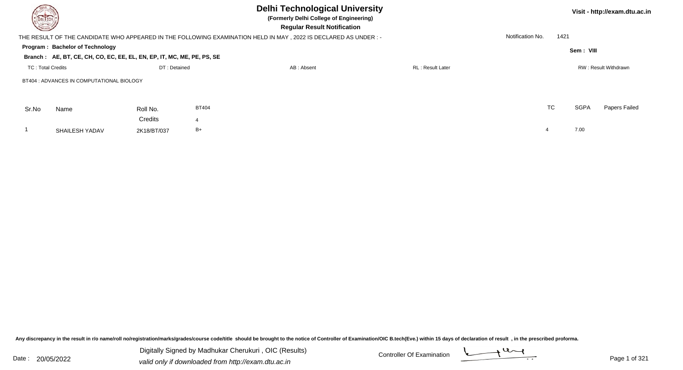| DELTECH |                                                                        |             |              |                                                                                                                  | Visit - http://exam.dtu.ac.in |                          |             |               |  |
|---------|------------------------------------------------------------------------|-------------|--------------|------------------------------------------------------------------------------------------------------------------|-------------------------------|--------------------------|-------------|---------------|--|
|         |                                                                        |             |              | THE RESULT OF THE CANDIDATE WHO APPEARED IN THE FOLLOWING EXAMINATION HELD IN MAY , 2022 IS DECLARED AS UNDER :- |                               | Notification No.<br>1421 |             |               |  |
|         | Program: Bachelor of Technology                                        |             |              |                                                                                                                  |                               |                          | Sem: VIII   |               |  |
|         | Branch: AE, BT, CE, CH, CO, EC, EE, EL, EN, EP, IT, MC, ME, PE, PS, SE |             |              |                                                                                                                  |                               |                          |             |               |  |
|         | DT: Detained<br><b>TC: Total Credits</b>                               |             |              | AB: Absent                                                                                                       |                               | RW: Result Withdrawn     |             |               |  |
|         | BT404 : ADVANCES IN COMPUTATIONAL BIOLOGY                              |             |              |                                                                                                                  |                               |                          |             |               |  |
| Sr.No   | Name                                                                   | Roll No.    | <b>BT404</b> |                                                                                                                  |                               | TC                       | <b>SGPA</b> | Papers Failed |  |
|         |                                                                        | Credits     |              |                                                                                                                  |                               |                          |             |               |  |
|         | <b>SHAILESH YADAV</b>                                                  | 2K18/BT/037 | B+           |                                                                                                                  |                               | $\overline{a}$           | 7.00        |               |  |
|         |                                                                        |             |              |                                                                                                                  |                               |                          |             |               |  |

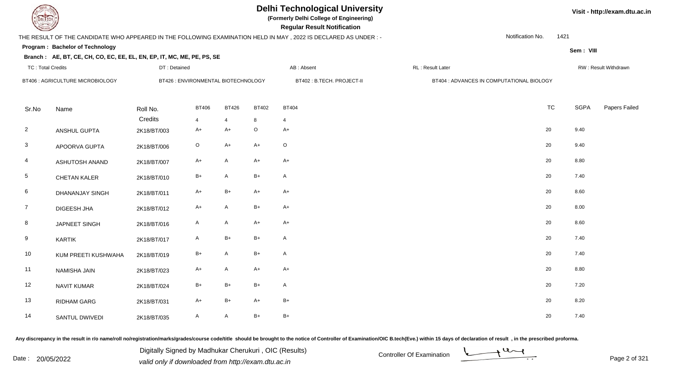**(Formerly Delhi College of Engineering)**

 **Regular Result Notification**

**Visit - http://exam.dtu.ac.in**

**Program : Bachelor of Technology**THE RESULT OF THE CANDIDATE WHO APPEARED IN THE FOLLOWING EXAMINATION HELD IN MAY , 2022 IS DECLARED AS UNDER : -Notification No.1421

## **Sem : VIII**

#### **Branch : AE, BT, CE, CH, CO, EC, EE, EL, EN, EP, IT, MC, ME, PE, PS, SE**TC : Total Credits DT : Detainedd AB : Absent RL : Result Later RW : Result Withdrawn BT406 : AGRICULTURE MICROBIOLOGYBT426 : ENVIRONMENTAL BIOTECHNOLOGY BT402 : B.TECH. PROJECT-II BT404 : ADVANCES IN COMPUTATIONAL BIOLOGY

| Sr.No           | Name                | Roll No.    | <b>BT406</b>   | <b>BT426</b>   | <b>BT402</b> | <b>BT404</b> | TC | <b>SGPA</b> | Papers Failed |
|-----------------|---------------------|-------------|----------------|----------------|--------------|--------------|----|-------------|---------------|
|                 |                     | Credits     | $\overline{4}$ | $\overline{4}$ | 8            | 4            |    |             |               |
| $\overline{2}$  | ANSHUL GUPTA        | 2K18/BT/003 | $A+$           | A+             | $\mathsf O$  | $A+$         | 20 | 9.40        |               |
| $\mathbf{3}$    | APOORVA GUPTA       | 2K18/BT/006 | $\circ$        | $A+$           | $A+$         | $\circ$      | 20 | 9.40        |               |
| $\overline{4}$  | ASHUTOSH ANAND      | 2K18/BT/007 | $A+$           | $\mathsf{A}$   | $A+$         | $A+$         | 20 | 8.80        |               |
| $\overline{5}$  | CHETAN KALER        | 2K18/BT/010 | $B+$           | A              | $B+$         | $\mathsf{A}$ | 20 | 7.40        |               |
| $6\phantom{.}6$ | DHANANJAY SINGH     | 2K18/BT/011 | $A+$           | B+             | $A+$         | $A+$         | 20 | 8.60        |               |
| $\overline{7}$  | DIGEESH JHA         | 2K18/BT/012 | $A+$           | A              | $B+$         | $A+$         | 20 | 8.00        |               |
| $8\phantom{.}$  | JAPNEET SINGH       | 2K18/BT/016 | $\mathsf{A}$   | A              | $A+$         | $A+$         | 20 | 8.60        |               |
| 9               | KARTIK              | 2K18/BT/017 | A              | $B+$           | $B+$         | $\mathsf{A}$ | 20 | 7.40        |               |
| 10              | KUM PREETI KUSHWAHA | 2K18/BT/019 | $B+$           | $\mathsf{A}$   | $B+$         | A            | 20 | 7.40        |               |
| 11              | NAMISHA JAIN        | 2K18/BT/023 | $A+$           | $\mathsf{A}$   | $A+$         | $A+$         | 20 | 8.80        |               |
| 12              | NAVIT KUMAR         | 2K18/BT/024 | $B+$           | $B+$           | $B+$         | $\mathsf{A}$ | 20 | 7.20        |               |
| 13              | RIDHAM GARG         | 2K18/BT/031 | $A+$           | B+             | $A+$         | $B+$         | 20 | 8.20        |               |
| 14              | SANTUL DWIVEDI      | 2K18/BT/035 | $\mathsf{A}$   | A              | $B+$         | $B+$         | 20 | 7.40        |               |

Any discrepancy in the result in r/o name/roll no/registration/marks/grades/course code/title should be brought to the notice of Controller of Examination/OIC B.tech(Eve.) within 15 days of declaration of result, in the pr

Date : 20/05/2022 Valid only if downloaded from http://exam.dtu.ac.in<br>valid only if downloaded from http://exam.dtu.ac.in Digitally Signed by Madhukar Cherukuri , OIC (Results)

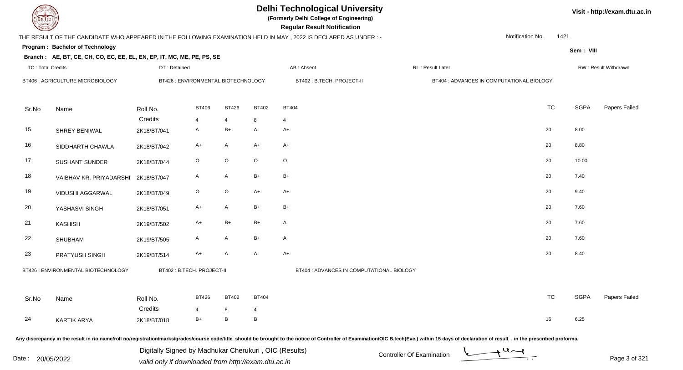**(Formerly Delhi College of Engineering)**

**Visit - http://exam.dtu.ac.in**

**Program : Bachelor of Technology Regular Result NotificationSem : VIII Branch : AE, BT, CE, CH, CO, EC, EE, EL, EN, EP, IT, MC, ME, PE, PS, SE**THE RESULT OF THE CANDIDATE WHO APPEARED IN THE FOLLOWING EXAMINATION HELD IN MAY , 2022 IS DECLARED AS UNDER : -TC : Total Credits DT : Detainedd AB : Absent RL : Result Later RW : Result Withdrawn Notification No. 1421Sr.NoName Roll No. **Credits** BT406 : AGRICULTURE MICROBIOLOGY BT426 : ENVIRONMENTAL BIOTECHNOLOGY BT402 : B.TECH. PROJECT-II BT404 : ADVANCES IN COMPUTATIONAL BIOLOGY BT4066 BT426 BT402 BT404 **TC** TC SGPA Papers Failed 4 <sup>4</sup> <sup>8</sup> <sup>4</sup> 15 SHREY BENIWALL 2K18/BT/041 A B+ A A+ 20 8.00 16 SIDDHARTH CHAWLAA 2K18/BT/042 A+ A A+ A+ <sup>A+</sup> A+ 20 8.80 17 SUSHANT SUNDERR 2K18/BT/044 O O O O O C 18 VAIBHAV KR. PRIYADARSHI 2K18/BT/047 <sup>A</sup> <sup>A</sup> B+ B+ <sup>20</sup> 7.40 19 VIDUSHI AGGARWALL 2K18/BT/049 O O A+ A+ 20 YASHASVI SINGHH 2K18/BT/051 A+ A B+ B+  $\rightarrow$  20 7.60 21 KASHISH 2K19/BT/502 A+ B+ B+ <sup>A</sup> <sup>20</sup> 7.60 22 SHUBHAMM 2K19/BT/505 A A B+ A 20 7.60 23 PRATYUSH SINGHH 2K19/BT/514 A+ A A A+ A A+ 20 8.40 Sr.Noo Name Roll No. **Credits** BT426 : ENVIRONMENTAL BIOTECHNOLOGYBT402 : B.TECH. PROJECT-II BT404 : ADVANCES IN COMPUTATIONAL BIOLOGY BT4266 BT402 BT404 TC TC SGPA Papers Failed 4 <sup>8</sup> <sup>4</sup> 24 KARTIK ARYA $A$  2K18/BT/018  $B+$  B B  $B$ Any discrepancy in the result in r/o name/roll no/registration/marks/grades/course code/title should be brought to the notice of Controller of Examination/OIC B.tech(Eve.) within 15 days of declaration of result , in the p Digitally Signed by Madhukar Cherukuri , OIC (Results)

Date : 20/05/2022 Valid only if downloaded from http://exam.dtu.ac.in<br>valid only if downloaded from http://exam.dtu.ac.in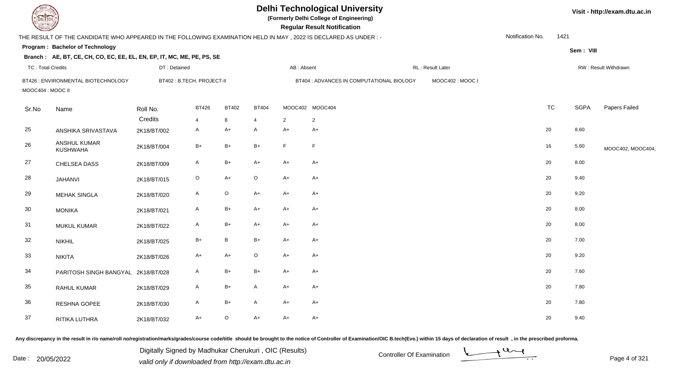| <b>DELTECH</b>           |                                                                                                                |                           |                |              |                |            | <b>Delhi Technological University</b><br>(Formerly Delhi College of Engineering)<br><b>Regular Result Notification</b> |                   |                  |           |             | Visit - http://exam.dtu.ac.in |
|--------------------------|----------------------------------------------------------------------------------------------------------------|---------------------------|----------------|--------------|----------------|------------|------------------------------------------------------------------------------------------------------------------------|-------------------|------------------|-----------|-------------|-------------------------------|
|                          | THE RESULT OF THE CANDIDATE WHO APPEARED IN THE FOLLOWING EXAMINATION HELD IN MAY, 2022 IS DECLARED AS UNDER:- |                           |                |              |                |            |                                                                                                                        |                   | Notification No. | 1421      |             |                               |
|                          | Program: Bachelor of Technology                                                                                |                           |                |              |                |            |                                                                                                                        |                   |                  |           | Sem: VIII   |                               |
|                          | Branch: AE, BT, CE, CH, CO, EC, EE, EL, EN, EP, IT, MC, ME, PE, PS, SE                                         |                           |                |              |                |            |                                                                                                                        |                   |                  |           |             |                               |
| <b>TC: Total Credits</b> |                                                                                                                | DT: Detained              |                |              |                | AB: Absent |                                                                                                                        | RL : Result Later |                  |           |             | RW: Result Withdrawn          |
| MOOC404 : MOOC II        | BT426 : ENVIRONMENTAL BIOTECHNOLOGY                                                                            | BT402: B.TECH. PROJECT-II |                |              |                |            | BT404 : ADVANCES IN COMPUTATIONAL BIOLOGY                                                                              | MOOC402: MOOC I   |                  |           |             |                               |
| Sr.No                    | Name                                                                                                           | Roll No.                  | <b>BT426</b>   | BT402        | <b>BT404</b>   |            | MOOC402 MOOC404                                                                                                        |                   |                  | <b>TC</b> | <b>SGPA</b> | Papers Failed                 |
|                          |                                                                                                                | Credits                   | $\overline{4}$ | 8            | $\overline{4}$ | 2          | $\overline{2}$                                                                                                         |                   |                  |           |             |                               |
| 25                       | ANSHIKA SRIVASTAVA                                                                                             | 2K18/BT/002               | A              | $A+$         | $\mathsf{A}$   | $A+$       | $A+$                                                                                                                   |                   |                  | 20        | 8.60        |                               |
| 26                       | <b>ANSHUL KUMAR</b><br><b>KUSHWAHA</b>                                                                         | 2K18/BT/004               | $B+$           | $B+$         | $B+$           | F          | $\mathsf F$                                                                                                            |                   |                  | 16        | 5.60        | MOOC402, MOOC404,             |
| 27                       | CHELSEA DASS                                                                                                   | 2K18/BT/009               | $\mathsf{A}$   | $B+$         | $A+$           | $A+$       | $A+$                                                                                                                   |                   |                  | 20        | 8.00        |                               |
| 28                       | <b>JAHANVI</b>                                                                                                 | 2K18/BT/015               | $\mathsf O$    | $A+$         | $\circ$        | $A+$       | $A+$                                                                                                                   |                   |                  | 20        | 9.40        |                               |
| 29                       | <b>MEHAK SINGLA</b>                                                                                            | 2K18/BT/020               | $\mathsf{A}$   | $\mathsf O$  | $A+$           | $A+$       | $A+$                                                                                                                   |                   |                  | 20        | 9.20        |                               |
| 30                       | <b>MONIKA</b>                                                                                                  | 2K18/BT/021               | $\mathsf{A}$   | $B+$         | $A+$           | $A+$       | $A+$                                                                                                                   |                   |                  | 20        | 8.00        |                               |
| 31                       | <b>MUKUL KUMAR</b>                                                                                             | 2K18/BT/022               | A              | $B+$         | A+             | $A+$       | $A+$                                                                                                                   |                   |                  | 20        | 8.00        |                               |
| 32                       | <b>NIKHIL</b>                                                                                                  | 2K18/BT/025               | $B+$           | $\, {\bf B}$ | $B+$           | $A+$       | $A+$                                                                                                                   |                   |                  | 20        | 7.00        |                               |
| 33                       | <b>NIKITA</b>                                                                                                  | 2K18/BT/026               | A+             | $A+$         | $\circ$        | $A+$       | $A+$                                                                                                                   |                   |                  | 20        | 9.20        |                               |
| 34                       | PARITOSH SINGH BANGYAL 2K18/BT/028                                                                             |                           | $\mathsf{A}$   | $B+$         | $B+$           | $A+$       | $A+$                                                                                                                   |                   |                  | 20        | 7.60        |                               |
| 35                       | RAHUL KUMAR                                                                                                    | 2K18/BT/029               | $\mathsf{A}$   | $B+$         | $\overline{A}$ | $A+$       | $A+$                                                                                                                   |                   |                  | 20        | 7.80        |                               |
| 36                       | RESHNA GOPEE                                                                                                   | 2K18/BT/030               | A              | $B+$         | $\mathsf{A}$   | $A+$       | $A+$                                                                                                                   |                   |                  | 20        | 7.80        |                               |
| 37                       | RITIKA LUTHRA                                                                                                  | 2K18/BT/032               | $A+$           | $\circ$      | $A+$           | $A+$       | $A+$                                                                                                                   |                   |                  | 20        | 9.40        |                               |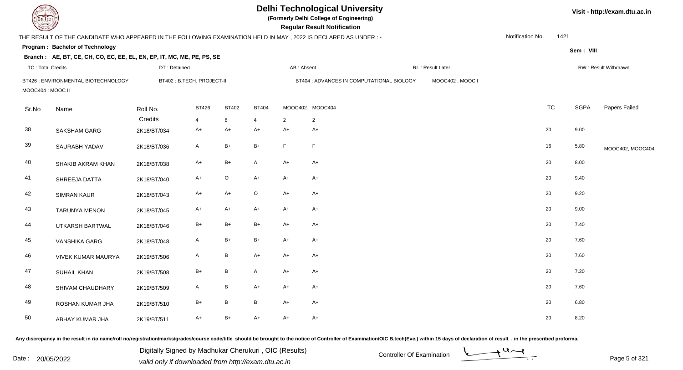| DEL ECH                  |                                                                                                                |              |                           |                 |                |            | <b>Delhi Technological University</b><br>(Formerly Delhi College of Engineering)<br><b>Regular Result Notification</b> |                   |                  |           |             | Visit - http://exam.dtu.ac.in |
|--------------------------|----------------------------------------------------------------------------------------------------------------|--------------|---------------------------|-----------------|----------------|------------|------------------------------------------------------------------------------------------------------------------------|-------------------|------------------|-----------|-------------|-------------------------------|
|                          | THE RESULT OF THE CANDIDATE WHO APPEARED IN THE FOLLOWING EXAMINATION HELD IN MAY, 2022 IS DECLARED AS UNDER:- |              |                           |                 |                |            |                                                                                                                        |                   | Notification No. | 1421      |             |                               |
|                          | Program: Bachelor of Technology                                                                                |              |                           |                 |                |            |                                                                                                                        |                   |                  |           | Sem: VIII   |                               |
|                          | Branch: AE, BT, CE, CH, CO, EC, EE, EL, EN, EP, IT, MC, ME, PE, PS, SE                                         |              |                           |                 |                |            |                                                                                                                        |                   |                  |           |             |                               |
| <b>TC: Total Credits</b> |                                                                                                                | DT: Detained |                           |                 |                | AB: Absent |                                                                                                                        | RL : Result Later |                  |           |             | RW: Result Withdrawn          |
| MOOC404 : MOOC II        | BT426 : ENVIRONMENTAL BIOTECHNOLOGY                                                                            |              | BT402: B.TECH. PROJECT-II |                 |                |            | BT404 : ADVANCES IN COMPUTATIONAL BIOLOGY                                                                              | MOOC402: MOOC I   |                  |           |             |                               |
| Sr.No                    | Name                                                                                                           | Roll No.     | <b>BT426</b>              | <b>BT402</b>    | <b>BT404</b>   |            | MOOC402 MOOC404                                                                                                        |                   |                  | <b>TC</b> | <b>SGPA</b> | Papers Failed                 |
|                          |                                                                                                                | Credits      | $\overline{4}$            | 8               | $\overline{4}$ | 2          | $\overline{2}$                                                                                                         |                   |                  |           |             |                               |
| 38                       | <b>SAKSHAM GARG</b>                                                                                            | 2K18/BT/034  | $A+$                      | $A+$            | $A+$           | $A+$       | $A+$                                                                                                                   |                   |                  | 20        | 9.00        |                               |
| 39                       | SAURABH YADAV                                                                                                  | 2K18/BT/036  | $\mathsf{A}$              | $B+$            | B+             | E          | $\mathsf F$                                                                                                            |                   |                  | 16        | 5.80        | MOOC402, MOOC404,             |
| 40                       | SHAKIB AKRAM KHAN                                                                                              | 2K18/BT/038  | $A+$                      | $B+$            | A              | $A+$       | $A+$                                                                                                                   |                   |                  | 20        | 8.00        |                               |
| 41                       | SHREEJA DATTA                                                                                                  | 2K18/BT/040  | A+                        | $\circ$         | A+             | $A+$       | $A+$                                                                                                                   |                   |                  | 20        | 9.40        |                               |
| 42                       | <b>SIMRAN KAUR</b>                                                                                             | 2K18/BT/043  | $A+$                      | $A+$            | $\circ$        | $A+$       | $A+$                                                                                                                   |                   |                  | 20        | 9.20        |                               |
| 43                       | <b>TARUNYA MENON</b>                                                                                           | 2K18/BT/045  | $A+$                      | $A+$            | $A+$           | $A+$       | $A+$                                                                                                                   |                   |                  | 20        | 9.00        |                               |
| 44                       | UTKARSH BARTWAL                                                                                                | 2K18/BT/046  | $B+$                      | $B+$            | B+             | $A+$       | $A+$                                                                                                                   |                   |                  | 20        | 7.40        |                               |
| 45                       | <b>VANSHIKA GARG</b>                                                                                           | 2K18/BT/048  | A                         | $B+$            | $B+$           | $A+$       | $A+$                                                                                                                   |                   |                  | 20        | 7.60        |                               |
| 46                       | <b>VIVEK KUMAR MAURYA</b>                                                                                      | 2K19/BT/506  | A                         | $\, {\bf B}$    | $A+$           | $A+$       | $A+$                                                                                                                   |                   |                  | 20        | 7.60        |                               |
| 47                       | <b>SUHAIL KHAN</b>                                                                                             | 2K19/BT/508  | $B+$                      | $\sf B$         | A              | $A+$       | $A+$                                                                                                                   |                   |                  | 20        | 7.20        |                               |
| 48                       | SHIVAM CHAUDHARY                                                                                               | 2K19/BT/509  | $\mathsf{A}$              | $\sf B$         | $A+$           | $A+$       | $A+$                                                                                                                   |                   |                  | 20        | 7.60        |                               |
| 49                       | ROSHAN KUMAR JHA                                                                                               | 2K19/BT/510  | $B+$                      | $\, {\bf B} \,$ | B              | $A+$       | $A+$                                                                                                                   |                   |                  | 20        | 6.80        |                               |
| 50                       | ABHAY KUMAR JHA                                                                                                | 2K19/BT/511  | $A+$                      | $B+$            | $A+$           | $A+$       | $A+$                                                                                                                   |                   |                  | 20        | 8.20        |                               |

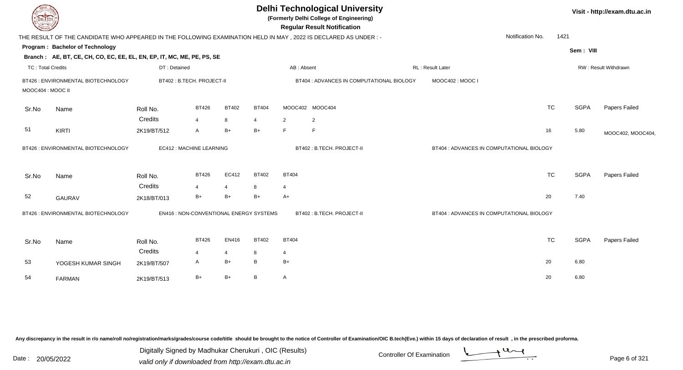| <b>DELTECH</b>    |                                                                                                                |                                         |                |                |                 |                 | <b>Delhi Technological University</b><br>(Formerly Delhi College of Engineering)<br><b>Regular Result Notification</b> |                  |                                           |             | Visit - http://exam.dtu.ac.in |
|-------------------|----------------------------------------------------------------------------------------------------------------|-----------------------------------------|----------------|----------------|-----------------|-----------------|------------------------------------------------------------------------------------------------------------------------|------------------|-------------------------------------------|-------------|-------------------------------|
|                   | THE RESULT OF THE CANDIDATE WHO APPEARED IN THE FOLLOWING EXAMINATION HELD IN MAY, 2022 IS DECLARED AS UNDER:- |                                         |                |                |                 |                 |                                                                                                                        |                  | Notification No.                          | 1421        |                               |
|                   | Program: Bachelor of Technology                                                                                |                                         |                |                |                 |                 |                                                                                                                        |                  |                                           | Sem: VIII   |                               |
|                   | Branch: AE, BT, CE, CH, CO, EC, EE, EL, EN, EP, IT, MC, ME, PE, PS, SE                                         |                                         |                |                |                 |                 |                                                                                                                        |                  |                                           |             |                               |
| TC: Total Credits |                                                                                                                | DT: Detained                            |                |                |                 | AB: Absent      |                                                                                                                        | RL: Result Later |                                           |             | RW: Result Withdrawn          |
|                   | BT426 : ENVIRONMENTAL BIOTECHNOLOGY                                                                            | BT402 : B.TECH. PROJECT-II              |                |                |                 |                 | BT404 : ADVANCES IN COMPUTATIONAL BIOLOGY                                                                              | MOOC402: MOOC I  |                                           |             |                               |
| MOOC404 : MOOC II |                                                                                                                |                                         |                |                |                 |                 |                                                                                                                        |                  |                                           |             |                               |
| Sr.No             | Name                                                                                                           | Roll No.                                | <b>BT426</b>   | <b>BT402</b>   | <b>BT404</b>    | MOOC402 MOOC404 |                                                                                                                        |                  | <b>TC</b>                                 | <b>SGPA</b> | Papers Failed                 |
|                   |                                                                                                                | Credits                                 | $\overline{4}$ | 8              | $\overline{4}$  | 2               | $\overline{2}$                                                                                                         |                  |                                           |             |                               |
| 51                | <b>KIRTI</b>                                                                                                   | 2K19/BT/512                             | $\mathsf{A}$   | $B+$           | $B+$            | E               | F                                                                                                                      |                  | 16                                        | 5.80        | MOOC402, MOOC404,             |
|                   | BT426 : ENVIRONMENTAL BIOTECHNOLOGY                                                                            | EC412 : MACHINE LEARNING                |                |                |                 |                 | BT402: B.TECH. PROJECT-II                                                                                              |                  | BT404 : ADVANCES IN COMPUTATIONAL BIOLOGY |             |                               |
| Sr.No             | Name                                                                                                           | Roll No.                                | <b>BT426</b>   | EC412          | <b>BT402</b>    | <b>BT404</b>    |                                                                                                                        |                  | <b>TC</b>                                 | <b>SGPA</b> | Papers Failed                 |
|                   |                                                                                                                | Credits                                 | $\overline{4}$ | $\overline{4}$ | 8               | $\overline{4}$  |                                                                                                                        |                  |                                           |             |                               |
| 52                | <b>GAURAV</b>                                                                                                  | 2K18/BT/013                             | $B+$           | $B+$           | $B+$            | $A+$            |                                                                                                                        |                  | 20                                        | 7.40        |                               |
|                   | BT426 : ENVIRONMENTAL BIOTECHNOLOGY                                                                            | EN416 : NON-CONVENTIONAL ENERGY SYSTEMS |                |                |                 |                 | BT402: B.TECH. PROJECT-II                                                                                              |                  | BT404 : ADVANCES IN COMPUTATIONAL BIOLOGY |             |                               |
| Sr.No             | Name                                                                                                           | Roll No.                                | <b>BT426</b>   | EN416          | <b>BT402</b>    | <b>BT404</b>    |                                                                                                                        |                  | <b>TC</b>                                 | <b>SGPA</b> | Papers Failed                 |
|                   |                                                                                                                | Credits                                 | $\overline{4}$ | $\overline{4}$ | 8               | 4               |                                                                                                                        |                  |                                           |             |                               |
| 53                | YOGESH KUMAR SINGH                                                                                             | 2K19/BT/507                             | $\mathsf{A}$   | $B+$           | $\, {\bf B} \,$ | $B+$            |                                                                                                                        |                  | 20                                        | 6.80        |                               |
|                   |                                                                                                                |                                         |                |                |                 |                 |                                                                                                                        |                  |                                           |             |                               |
| 54                | <b>FARMAN</b>                                                                                                  | 2K19/BT/513                             | $B+$           | $B+$           | B               | A               |                                                                                                                        |                  | 20                                        | 6.80        |                               |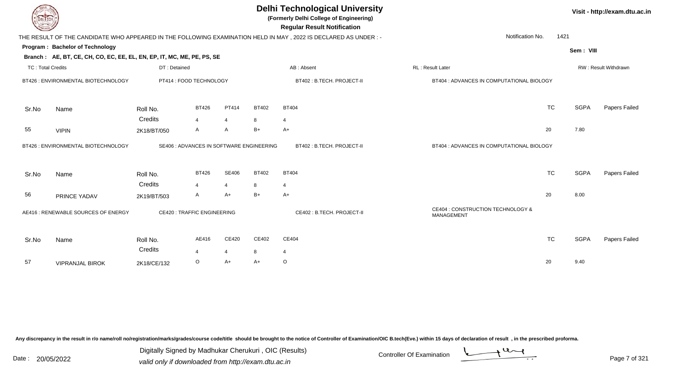| DEL I ECH                |                                                                        |                                          |                |                |              | <b>Delhi Technological University</b><br>(Formerly Delhi College of Engineering)<br><b>Regular Result Notification</b> |                                                 |           |             | Visit - http://exam.dtu.ac.in |
|--------------------------|------------------------------------------------------------------------|------------------------------------------|----------------|----------------|--------------|------------------------------------------------------------------------------------------------------------------------|-------------------------------------------------|-----------|-------------|-------------------------------|
|                          |                                                                        |                                          |                |                |              | THE RESULT OF THE CANDIDATE WHO APPEARED IN THE FOLLOWING EXAMINATION HELD IN MAY, 2022 IS DECLARED AS UNDER :-        | Notification No.                                | 1421      |             |                               |
|                          | Program: Bachelor of Technology                                        |                                          |                |                |              |                                                                                                                        |                                                 |           | Sem: VIII   |                               |
|                          | Branch: AE, BT, CE, CH, CO, EC, EE, EL, EN, EP, IT, MC, ME, PE, PS, SE |                                          |                |                |              |                                                                                                                        |                                                 |           |             |                               |
| <b>TC: Total Credits</b> |                                                                        | DT: Detained                             |                |                |              | AB: Absent                                                                                                             | RL : Result Later                               |           |             | RW: Result Withdrawn          |
|                          | BT426 : ENVIRONMENTAL BIOTECHNOLOGY                                    | PT414 : FOOD TECHNOLOGY                  |                |                |              | BT402 : B.TECH. PROJECT-II                                                                                             | BT404 : ADVANCES IN COMPUTATIONAL BIOLOGY       |           |             |                               |
| Sr.No                    | Name                                                                   | Roll No.                                 | <b>BT426</b>   | PT414          | <b>BT402</b> | <b>BT404</b>                                                                                                           |                                                 | <b>TC</b> | <b>SGPA</b> | Papers Failed                 |
|                          |                                                                        | Credits                                  | 4              | $\overline{4}$ | 8            | 4                                                                                                                      |                                                 |           |             |                               |
| 55                       | <b>VIPIN</b>                                                           | 2K18/BT/050                              | A              | A              | $B+$         | $A+$                                                                                                                   |                                                 | 20        | 7.80        |                               |
|                          | BT426 : ENVIRONMENTAL BIOTECHNOLOGY                                    | SE406 : ADVANCES IN SOFTWARE ENGINEERING |                |                |              | BT402 : B.TECH. PROJECT-II                                                                                             | BT404 : ADVANCES IN COMPUTATIONAL BIOLOGY       |           |             |                               |
| Sr.No                    | Name                                                                   | Roll No.                                 | <b>BT426</b>   | <b>SE406</b>   | <b>BT402</b> | <b>BT404</b>                                                                                                           |                                                 | <b>TC</b> | <b>SGPA</b> | Papers Failed                 |
|                          |                                                                        | Credits                                  | $\overline{4}$ | $\overline{4}$ | 8            | 4                                                                                                                      |                                                 |           |             |                               |
| 56                       | PRINCE YADAV                                                           | 2K19/BT/503                              | A              | A+             | $B+$         | $A+$                                                                                                                   |                                                 | 20        | 8.00        |                               |
|                          | AE416 : RENEWABLE SOURCES OF ENERGY                                    | <b>CE420: TRAFFIC ENGINEERING</b>        |                |                |              | CE402 : B.TECH. PROJECT-II                                                                                             | CE404 : CONSTRUCTION TECHNOLOGY &<br>MANAGEMENT |           |             |                               |
| Sr.No                    | Name                                                                   | Roll No.<br>Credits                      | AE416          | CE420          | CE402        | CE404                                                                                                                  |                                                 | <b>TC</b> | <b>SGPA</b> | <b>Papers Failed</b>          |
|                          |                                                                        |                                          | 4              | $\overline{4}$ | 8            | 4                                                                                                                      |                                                 |           |             |                               |
| 57                       | <b>VIPRANJAL BIROK</b>                                                 | 2K18/CE/132                              | O              | A+             | A+           | $\circ$                                                                                                                |                                                 | 20        | 9.40        |                               |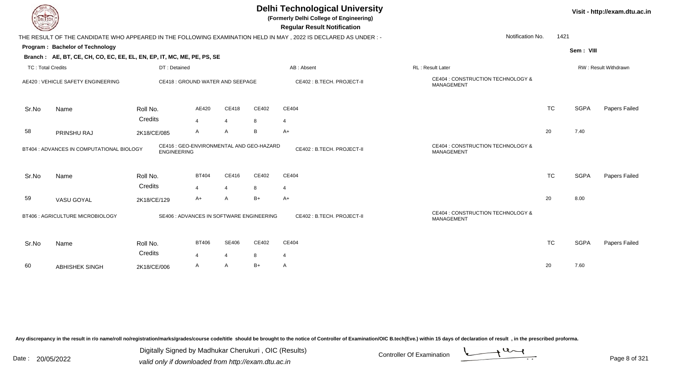| <b>DELTECH</b>           |                                                                                                           |                                                                |                        |                                  |            | <b>Delhi Technological University</b><br>(Formerly Delhi College of Engineering)<br><b>Regular Result Notification</b> |                                                 |           |             | Visit - http://exam.dtu.ac.in |
|--------------------------|-----------------------------------------------------------------------------------------------------------|----------------------------------------------------------------|------------------------|----------------------------------|------------|------------------------------------------------------------------------------------------------------------------------|-------------------------------------------------|-----------|-------------|-------------------------------|
|                          |                                                                                                           |                                                                |                        |                                  |            | THE RESULT OF THE CANDIDATE WHO APPEARED IN THE FOLLOWING EXAMINATION HELD IN MAY, 2022 IS DECLARED AS UNDER :-        | Notification No.                                | 1421      |             |                               |
|                          | Program: Bachelor of Technology<br>Branch: AE, BT, CE, CH, CO, EC, EE, EL, EN, EP, IT, MC, ME, PE, PS, SE |                                                                |                        |                                  |            |                                                                                                                        |                                                 |           | Sem: VIII   |                               |
| <b>TC: Total Credits</b> |                                                                                                           | DT: Detained                                                   |                        |                                  |            | AB: Absent                                                                                                             | RL: Result Later                                |           |             | RW: Result Withdrawn          |
|                          | AE420 : VEHICLE SAFETY ENGINEERING                                                                        | CE418 : GROUND WATER AND SEEPAGE                               |                        |                                  |            | CE402: B.TECH. PROJECT-II                                                                                              | CE404 : CONSTRUCTION TECHNOLOGY &<br>MANAGEMENT |           |             |                               |
| Sr.No                    | Name                                                                                                      | Roll No.                                                       | AE420                  | CE418                            | CE402      | CE404                                                                                                                  |                                                 | <b>TC</b> | <b>SGPA</b> | Papers Failed                 |
| 58                       | PRINSHU RAJ                                                                                               | Credits<br>2K18/CE/085                                         | $\overline{4}$<br>A    | $\overline{4}$<br>$\mathsf{A}$   | 8<br>B     | 4<br>$A+$                                                                                                              |                                                 | 20        | 7.40        |                               |
|                          | BT404 : ADVANCES IN COMPUTATIONAL BIOLOGY                                                                 | CE416 : GEO-ENVIRONMENTAL AND GEO-HAZARD<br><b>ENGINEERING</b> |                        |                                  |            | CE402: B.TECH. PROJECT-II                                                                                              | CE404 : CONSTRUCTION TECHNOLOGY &<br>MANAGEMENT |           |             |                               |
| Sr.No                    | Name                                                                                                      | Roll No.<br>Credits                                            | <b>BT404</b>           | CE416                            | CE402      | CE404                                                                                                                  |                                                 | <b>TC</b> | <b>SGPA</b> | Papers Failed                 |
| 59                       | VASU GOYAL                                                                                                | 2K18/CE/129                                                    | $\overline{4}$<br>$A+$ | $\overline{4}$<br>$\overline{A}$ | 8<br>B+    | 4<br>$A+$                                                                                                              |                                                 | 20        | 8.00        |                               |
|                          | BT406 : AGRICULTURE MICROBIOLOGY                                                                          | SE406 : ADVANCES IN SOFTWARE ENGINEERING                       |                        |                                  |            | CE402: B.TECH. PROJECT-II                                                                                              | CE404 : CONSTRUCTION TECHNOLOGY &<br>MANAGEMENT |           |             |                               |
| Sr.No                    | Name                                                                                                      | Roll No.<br>Credits                                            | <b>BT406</b><br>4      | SE406<br>$\overline{4}$          | CE402<br>8 | CE404<br>$\overline{4}$                                                                                                |                                                 | <b>TC</b> | <b>SGPA</b> | Papers Failed                 |
| 60                       | <b>ABHISHEK SINGH</b>                                                                                     | 2K18/CE/006                                                    | A                      | $\mathsf{A}$                     | $B+$       | A                                                                                                                      |                                                 | 20        | 7.60        |                               |

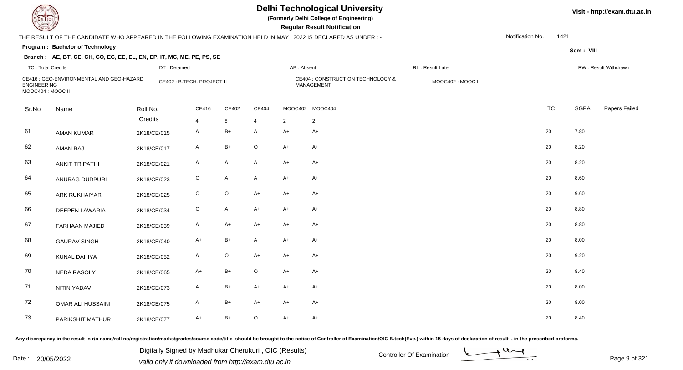|                                         |                                                                                                                 |                           |              |              |              |                | <b>Delhi Technological University</b><br>(Formerly Delhi College of Engineering)<br><b>Regular Result Notification</b> |                  |                  |           |             | Visit - http://exam.dtu.ac.in |
|-----------------------------------------|-----------------------------------------------------------------------------------------------------------------|---------------------------|--------------|--------------|--------------|----------------|------------------------------------------------------------------------------------------------------------------------|------------------|------------------|-----------|-------------|-------------------------------|
|                                         | THE RESULT OF THE CANDIDATE WHO APPEARED IN THE FOLLOWING EXAMINATION HELD IN MAY, 2022 IS DECLARED AS UNDER :- |                           |              |              |              |                |                                                                                                                        |                  | Notification No. | 1421      |             |                               |
|                                         | Program: Bachelor of Technology                                                                                 |                           |              |              |              |                |                                                                                                                        |                  |                  |           | Sem: VIII   |                               |
|                                         | Branch: AE, BT, CE, CH, CO, EC, EE, EL, EN, EP, IT, MC, ME, PE, PS, SE                                          |                           |              |              |              |                |                                                                                                                        |                  |                  |           |             |                               |
| <b>TC: Total Credits</b>                |                                                                                                                 | DT: Detained              |              |              |              | AB: Absent     |                                                                                                                        | RL: Result Later |                  |           |             | RW: Result Withdrawn          |
| <b>ENGINEERING</b><br>MOOC404 : MOOC II | CE416 : GEO-ENVIRONMENTAL AND GEO-HAZARD                                                                        | CE402: B.TECH. PROJECT-II |              |              |              |                | CE404 : CONSTRUCTION TECHNOLOGY &<br>MANAGEMENT                                                                        | MOOC402: MOOC I  |                  |           |             |                               |
| Sr.No                                   | Name                                                                                                            | Roll No.                  | CE416        | CE402        | CE404        |                | MOOC402 MOOC404                                                                                                        |                  |                  | <b>TC</b> | <b>SGPA</b> | Papers Failed                 |
|                                         |                                                                                                                 | Credits                   | 4            | 8            |              | $\overline{2}$ | $\overline{2}$                                                                                                         |                  |                  |           |             |                               |
| 61                                      | <b>AMAN KUMAR</b>                                                                                               | 2K18/CE/015               | A            | $B+$         | A            | $A+$           | $A+$                                                                                                                   |                  | 20               |           | 7.80        |                               |
| 62                                      | <b>AMAN RAJ</b>                                                                                                 | 2K18/CE/017               | A            | $B+$         | $\mathsf O$  | $A+$           | A+                                                                                                                     |                  | 20               |           | 8.20        |                               |
| 63                                      | <b>ANKIT TRIPATHI</b>                                                                                           | 2K18/CE/021               | $\mathsf{A}$ | $\mathsf{A}$ | A            | $A+$           | $A+$                                                                                                                   |                  | 20               |           | 8.20        |                               |
| 64                                      | ANURAG DUDPURI                                                                                                  | 2K18/CE/023               | $\mathsf O$  | $\mathsf{A}$ | A            | $A+$           | A+                                                                                                                     |                  | 20               |           | 8.60        |                               |
| 65                                      | <b>ARK RUKHAIYAR</b>                                                                                            | 2K18/CE/025               | O            | $\mathsf O$  | $A+$         | $A+$           | A+                                                                                                                     |                  | 20               |           | 9.60        |                               |
| 66                                      | <b>DEEPEN LAWARIA</b>                                                                                           | 2K18/CE/034               | $\circ$      | $\mathsf{A}$ | $A+$         | $A+$           | A+                                                                                                                     |                  | 20               |           | 8.80        |                               |
| 67                                      | <b>FARHAAN MAJIED</b>                                                                                           | 2K18/CE/039               | A            | $A+$         | $A+$         | $A+$           | $A+$                                                                                                                   |                  | 20               |           | 8.80        |                               |
| 68                                      | <b>GAURAV SINGH</b>                                                                                             | 2K18/CE/040               | $A+$         | $B+$         | $\mathsf{A}$ | $A+$           | $A+$                                                                                                                   |                  | 20               |           | 8.00        |                               |
| 69                                      | KUNAL DAHIYA                                                                                                    | 2K18/CE/052               | A            | $\mathsf O$  | $A+$         | $A+$           | A+                                                                                                                     |                  | 20               |           | 9.20        |                               |
| 70                                      | <b>NEDA RASOLY</b>                                                                                              | 2K18/CE/065               | A+           | $B+$         | $\circ$      | $A+$           | A+                                                                                                                     |                  | 20               |           | 8.40        |                               |
| 71                                      | <b>NITIN YADAV</b>                                                                                              | 2K18/CE/073               | A            | B+           | A+           | $A+$           | A+                                                                                                                     |                  | 20               |           | 8.00        |                               |
| 72                                      | <b>OMAR ALI HUSSAINI</b>                                                                                        | 2K18/CE/075               | A            | $B+$         | $A+$         | $A+$           | A+                                                                                                                     |                  | 20               |           | 8.00        |                               |
| 73                                      | PARIKSHIT MATHUR                                                                                                | 2K18/CE/077               | $A+$         | $B+$         | $\circ$      | $A+$           | $A+$                                                                                                                   |                  | 20               |           | 8.40        |                               |

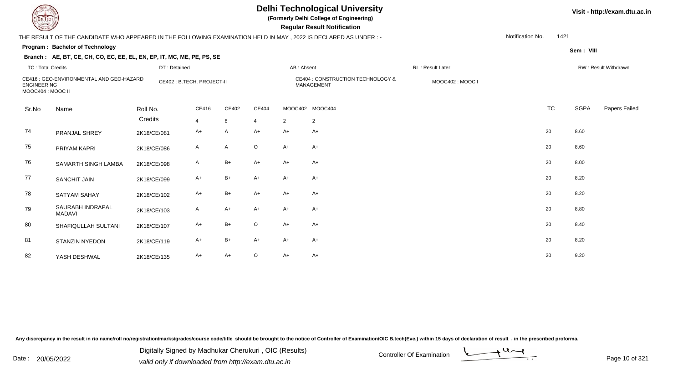| EL ECH                                  |                                                                                                                |              |                           |       |                |            | <b>Delhi Technological University</b><br>(Formerly Delhi College of Engineering)<br><b>Regular Result Notification</b> |                  |                  |           |             | Visit - http://exam.dtu.ac.in |
|-----------------------------------------|----------------------------------------------------------------------------------------------------------------|--------------|---------------------------|-------|----------------|------------|------------------------------------------------------------------------------------------------------------------------|------------------|------------------|-----------|-------------|-------------------------------|
|                                         | THE RESULT OF THE CANDIDATE WHO APPEARED IN THE FOLLOWING EXAMINATION HELD IN MAY, 2022 IS DECLARED AS UNDER:- |              |                           |       |                |            |                                                                                                                        |                  | Notification No. | 1421      |             |                               |
|                                         | Program: Bachelor of Technology                                                                                |              |                           |       |                |            |                                                                                                                        |                  |                  |           | Sem: VIII   |                               |
|                                         | Branch: AE, BT, CE, CH, CO, EC, EE, EL, EN, EP, IT, MC, ME, PE, PS, SE                                         |              |                           |       |                |            |                                                                                                                        |                  |                  |           |             |                               |
| <b>TC: Total Credits</b>                |                                                                                                                | DT: Detained |                           |       |                | AB: Absent |                                                                                                                        | RL: Result Later |                  |           |             | RW: Result Withdrawn          |
| <b>ENGINEERING</b><br>MOOC404 : MOOC II | CE416 : GEO-ENVIRONMENTAL AND GEO-HAZARD                                                                       |              | CE402: B.TECH. PROJECT-II |       |                |            | CE404 : CONSTRUCTION TECHNOLOGY &<br><b>MANAGEMENT</b>                                                                 | MOOC402: MOOC I  |                  |           |             |                               |
| Sr.No                                   | Name                                                                                                           | Roll No.     | CE416                     | CE402 | CE404          |            | MOOC402 MOOC404                                                                                                        |                  |                  | <b>TC</b> | <b>SGPA</b> | Papers Failed                 |
|                                         |                                                                                                                | Credits      | $\overline{4}$            | 8     | $\overline{4}$ | 2          | $\overline{2}$                                                                                                         |                  |                  |           |             |                               |
| 74                                      | PRANJAL SHREY                                                                                                  | 2K18/CE/081  | A+                        | A     | $A+$           | $A+$       | A+                                                                                                                     |                  |                  | 20        | 8.60        |                               |
| 75                                      | PRIYAM KAPRI                                                                                                   | 2K18/CE/086  | A                         | A     | $\circ$        | $A+$       | A+                                                                                                                     |                  |                  | 20        | 8.60        |                               |
| 76                                      | SAMARTH SINGH LAMBA                                                                                            | 2K18/CE/098  | A                         | $B+$  | $A+$           | $A+$       | $A+$                                                                                                                   |                  |                  | 20        | 8.00        |                               |
| 77                                      | <b>SANCHIT JAIN</b>                                                                                            | 2K18/CE/099  | A+                        | $B+$  | A+             | $A+$       | A+                                                                                                                     |                  |                  | 20        | 8.20        |                               |
| 78                                      | <b>SATYAM SAHAY</b>                                                                                            | 2K18/CE/102  | $A+$                      | $B+$  | $A+$           | $A+$       | $A+$                                                                                                                   |                  |                  | 20        | 8.20        |                               |
| 79                                      | SAURABH INDRAPAL<br><b>MADAVI</b>                                                                              | 2K18/CE/103  | A                         | $A+$  | $A+$           | $A+$       | A+                                                                                                                     |                  |                  | 20        | 8.80        |                               |
| 80                                      | SHAFIQULLAH SULTANI                                                                                            | 2K18/CE/107  | $A+$                      | $B+$  | $\circ$        | $A+$       | A+                                                                                                                     |                  |                  | 20        | 8.40        |                               |
| 81                                      | STANZIN NYEDON                                                                                                 | 2K18/CE/119  | $A+$                      | $B+$  | $A+$           | $A+$       | $A+$                                                                                                                   |                  |                  | 20        | 8.20        |                               |
| 82                                      | YASH DESHWAL                                                                                                   | 2K18/CE/135  | A+                        | $A+$  | O              | $A+$       | A+                                                                                                                     |                  |                  | 20        | 9.20        |                               |

Digitally Signed by Madhukar Cherukuri, OIC (Results)<br>Date : 20/05/2022 valid only if downloaded from http://oxam.dtu.ac.in Digitally Signed by Madhukar Cherukuri , OIC (Results)

valid only if downloaded from http://exam.dtu.ac.in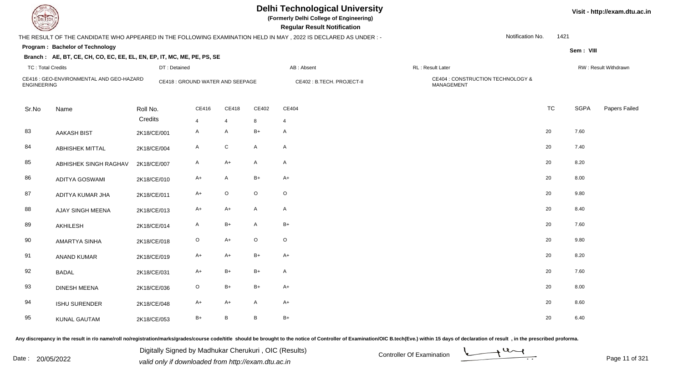**(Formerly Delhi College of Engineering)**

 **Regular Result Notification**

### THE RESULT OF THE CANDIDATE WHO APPEARED IN THE FOLLOWING EXAMINATION HELD IN MAY , 2022 IS DECLARED AS UNDER : -

Notification No.1421

**Sem : VIII**

### **Program : Bachelor of TechnologyBranch : AE, BT, CE, CH, CO, EC, EE, EL, EN, EP, IT, MC, ME, PE, PS, SE**

| <b>TC: Total Credits</b> |                                          | DT: Detained        |                                  |                     |              | AB: Absent                 | RL: Result Later                                |           |             | RW: Result Withdrawn |
|--------------------------|------------------------------------------|---------------------|----------------------------------|---------------------|--------------|----------------------------|-------------------------------------------------|-----------|-------------|----------------------|
| <b>ENGINEERING</b>       | CE416 : GEO-ENVIRONMENTAL AND GEO-HAZARD |                     | CE418 : GROUND WATER AND SEEPAGE |                     |              | CE402 : B.TECH. PROJECT-II | CE404 : CONSTRUCTION TECHNOLOGY &<br>MANAGEMENT |           |             |                      |
| Sr.No                    | Name                                     | Roll No.<br>Credits | CE416                            | CE418               | CE402        | CE404                      |                                                 | <b>TC</b> | <b>SGPA</b> | Papers Failec        |
| 83                       | <b>AAKASH BIST</b>                       | 2K18/CE/001         | $\overline{4}$<br>$\mathsf{A}$   | $\overline{4}$<br>Α | 8<br>$B+$    | $\overline{4}$<br>A        |                                                 | 20        | 7.60        |                      |
|                          |                                          |                     |                                  |                     |              |                            |                                                 |           |             |                      |
| 84                       | <b>ABHISHEK MITTAL</b>                   | 2K18/CE/004         | $\mathsf{A}$                     | ${\rm C}$           | $\mathsf{A}$ | $\mathsf{A}$               |                                                 | 20        | 7.40        |                      |
| 85                       | ABHISHEK SINGH RAGHAV                    | 2K18/CE/007         | A                                | $A+$                | $\mathsf{A}$ | A                          |                                                 | 20        | 8.20        |                      |
| 86                       | <b>ADITYA GOSWAMI</b>                    | 2K18/CE/010         | $A+$                             | $\mathsf{A}$        | $B+$         | $A+$                       |                                                 | 20        | 8.00        |                      |
| 87                       | ADITYA KUMAR JHA                         | 2K18/CE/011         | $A+$                             | $\mathsf O$         | $\mathsf O$  | $\circ$                    |                                                 | 20        | 9.80        |                      |
| 88                       | AJAY SINGH MEENA                         | 2K18/CE/013         | $A+$                             | $A+$                | $\mathsf{A}$ | A                          |                                                 | 20        | 8.40        |                      |
| 89                       | AKHILESH                                 | 2K18/CE/014         | $\mathsf{A}$                     | $B+$                | $\mathsf{A}$ | $B+$                       |                                                 | 20        | 7.60        |                      |
| 90                       | AMARTYA SINHA                            | 2K18/CE/018         | $\circ$                          | $A+$                | $\circ$      | $\circ$                    |                                                 | 20        | 9.80        |                      |
| 91                       | <b>ANAND KUMAR</b>                       | 2K18/CE/019         | $A+$                             | $A+$                | $B+$         | $A+$                       |                                                 | 20        | 8.20        |                      |
| 92                       | <b>BADAL</b>                             | 2K18/CE/031         | $A+$                             | $B+$                | $B+$         | A                          |                                                 | 20        | 7.60        |                      |
| 93                       | <b>DINESH MEENA</b>                      | 2K18/CE/036         | $\mathsf O$                      | $B+$                | $B+$         | $A+$                       |                                                 | 20        | 8.00        |                      |
| 94                       | <b>ISHU SURENDER</b>                     | 2K18/CE/048         | $A+$                             | $A+$                | $\mathsf{A}$ | $A+$                       |                                                 | 20        | 8.60        |                      |
| 95                       | <b>KUNAL GAUTAM</b>                      | 2K18/CE/053         | $B+$                             | B                   | $\, {\bf B}$ | $B+$                       |                                                 | 20        | 6.40        |                      |

Any discrepancy in the result in r/o name/roll no/registration/marks/grades/course code/title should be brought to the notice of Controller of Examination/OIC B.tech(Eve.) within 15 days of declaration of result, in the pr

Date : 20/05/2022 Digital Digital of Ortroller Of Examination Determination Date : 20/05/2022<br>valid only if downloaded from http://exam.dtu.ac.in Digitally Signed by Madhukar Cherukuri , OIC (Results)



**Visit - http://exam.dtu.ac.in**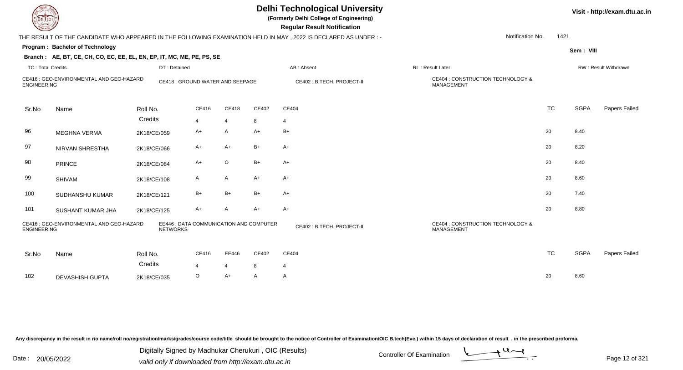| EL ECH                   |                                                                        |                                                            |                |                |       | <b>Delhi Technological University</b><br>(Formerly Delhi College of Engineering)<br><b>Regular Result Notification</b> |                                                        | Visit - http://exam.dtu.ac.in |             |                      |  |  |
|--------------------------|------------------------------------------------------------------------|------------------------------------------------------------|----------------|----------------|-------|------------------------------------------------------------------------------------------------------------------------|--------------------------------------------------------|-------------------------------|-------------|----------------------|--|--|
|                          |                                                                        |                                                            |                |                |       | THE RESULT OF THE CANDIDATE WHO APPEARED IN THE FOLLOWING EXAMINATION HELD IN MAY, 2022 IS DECLARED AS UNDER :-        | Notification No.                                       | 1421                          |             |                      |  |  |
|                          | Program: Bachelor of Technology                                        |                                                            |                |                |       |                                                                                                                        |                                                        |                               | Sem: VIII   |                      |  |  |
|                          | Branch: AE, BT, CE, CH, CO, EC, EE, EL, EN, EP, IT, MC, ME, PE, PS, SE |                                                            |                |                |       |                                                                                                                        |                                                        |                               |             |                      |  |  |
| <b>TC: Total Credits</b> |                                                                        | DT: Detained                                               |                |                |       | AB: Absent                                                                                                             | <b>RL: Result Later</b>                                |                               |             | RW: Result Withdrawn |  |  |
| <b>ENGINEERING</b>       | CE416 : GEO-ENVIRONMENTAL AND GEO-HAZARD                               | CE418 : GROUND WATER AND SEEPAGE                           |                |                |       | CE402 : B.TECH. PROJECT-II                                                                                             | CE404 : CONSTRUCTION TECHNOLOGY &<br>MANAGEMENT        |                               |             |                      |  |  |
| Sr.No                    | Name                                                                   | Roll No.                                                   | CE416          | CE418          | CE402 | CE404                                                                                                                  |                                                        | <b>TC</b>                     | <b>SGPA</b> | Papers Failed        |  |  |
|                          |                                                                        | Credits                                                    | $\overline{4}$ | $\overline{4}$ | 8     | $\overline{4}$                                                                                                         |                                                        |                               |             |                      |  |  |
| 96                       | <b>MEGHNA VERMA</b>                                                    | 2K18/CE/059                                                | A+             | $\mathsf{A}$   | $A+$  | $B+$                                                                                                                   |                                                        | 20                            | 8.40        |                      |  |  |
| 97                       | NIRVAN SHRESTHA                                                        | 2K18/CE/066                                                | A+             | A+             | $B+$  | $A+$                                                                                                                   |                                                        | 20                            | 8.20        |                      |  |  |
| 98                       | <b>PRINCE</b>                                                          | 2K18/CE/084                                                | A+             | $\circ$        | $B+$  | $A+$                                                                                                                   |                                                        | 20                            | 8.40        |                      |  |  |
| 99                       | <b>SHIVAM</b>                                                          | 2K18/CE/108                                                | A              | $\mathsf{A}$   | A+    | $A+$                                                                                                                   |                                                        | 20                            | 8.60        |                      |  |  |
| 100                      | SUDHANSHU KUMAR                                                        | 2K18/CE/121                                                | $B+$           | $B+$           | $B+$  | $A+$                                                                                                                   |                                                        | 20                            | 7.40        |                      |  |  |
| 101                      | SUSHANT KUMAR JHA                                                      | 2K18/CE/125                                                | $A+$           | $\mathsf{A}$   | $A+$  | $A+$                                                                                                                   |                                                        | 20                            | 8.80        |                      |  |  |
| <b>ENGINEERING</b>       | CE416 : GEO-ENVIRONMENTAL AND GEO-HAZARD                               | EE446 : DATA COMMUNICATION AND COMPUTER<br><b>NETWORKS</b> |                |                |       | CE402 : B.TECH. PROJECT-II                                                                                             | CE404 : CONSTRUCTION TECHNOLOGY &<br><b>MANAGEMENT</b> |                               |             |                      |  |  |
| Sr.No                    | Name                                                                   | Roll No.                                                   | CE416          | EE446          | CE402 | CE404                                                                                                                  |                                                        | <b>TC</b>                     | <b>SGPA</b> | Papers Failed        |  |  |
|                          |                                                                        | Credits                                                    | $\overline{4}$ | $\overline{4}$ | 8     | $\overline{4}$                                                                                                         |                                                        |                               |             |                      |  |  |
| 102                      | <b>DEVASHISH GUPTA</b>                                                 | 2K18/CE/035                                                | $\circ$        | A+             | A     | A                                                                                                                      |                                                        | 20                            | 8.60        |                      |  |  |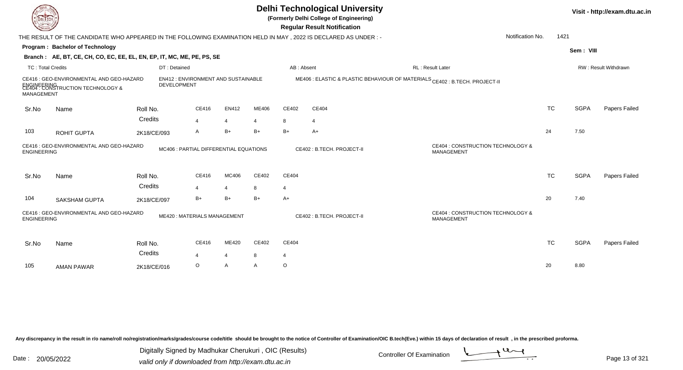|                          | <b>Delhi Technological University</b><br>Visit - http://exam.dtu.ac.in<br>(Formerly Delhi College of Engineering)<br>EL ECH<br><b>Regular Result Notification</b><br>Notification No.<br>THE RESULT OF THE CANDIDATE WHO APPEARED IN THE FOLLOWING EXAMINATION HELD IN MAY , 2022 IS DECLARED AS UNDER :- |                     |                                        |                         |            |                         |                           |                                                                             |           |             |                      |  |  |  |
|--------------------------|-----------------------------------------------------------------------------------------------------------------------------------------------------------------------------------------------------------------------------------------------------------------------------------------------------------|---------------------|----------------------------------------|-------------------------|------------|-------------------------|---------------------------|-----------------------------------------------------------------------------|-----------|-------------|----------------------|--|--|--|
|                          |                                                                                                                                                                                                                                                                                                           |                     |                                        |                         |            |                         |                           |                                                                             | 1421      |             |                      |  |  |  |
|                          | Program: Bachelor of Technology                                                                                                                                                                                                                                                                           |                     |                                        |                         |            |                         |                           |                                                                             |           | Sem: VIII   |                      |  |  |  |
|                          | Branch: AE, BT, CE, CH, CO, EC, EE, EL, EN, EP, IT, MC, ME, PE, PS, SE                                                                                                                                                                                                                                    |                     |                                        |                         |            |                         |                           |                                                                             |           |             |                      |  |  |  |
| <b>TC: Total Credits</b> |                                                                                                                                                                                                                                                                                                           | DT: Detained        |                                        |                         |            | AB: Absent              |                           | RL: Result Later                                                            |           |             | RW: Result Withdrawn |  |  |  |
| MANAGEMENT               | CE416 : GEO-ENVIRONMENTAL AND GEO-HAZARD<br>ENGINEERING<br>CE404 : CONSTRUCTION TECHNOLOGY &                                                                                                                                                                                                              | <b>DEVELOPMENT</b>  | EN412 : ENVIRONMENT AND SUSTAINABLE    |                         |            |                         |                           | ME406 : ELASTIC & PLASTIC BEHAVIOUR OF MATERIALS CE402 : B.TECH. PROJECT-II |           |             |                      |  |  |  |
| Sr.No                    | Name                                                                                                                                                                                                                                                                                                      | Roll No.            | CE416                                  | <b>EN412</b>            | ME406      | CE402                   | CE404                     |                                                                             | <b>TC</b> | <b>SGPA</b> | Papers Failed        |  |  |  |
|                          |                                                                                                                                                                                                                                                                                                           | Credits             | 4                                      | $\overline{4}$          | 4          | 8                       | $\overline{4}$            |                                                                             |           |             |                      |  |  |  |
| 103                      | ROHIT GUPTA                                                                                                                                                                                                                                                                                               | 2K18/CE/093         | A                                      | $B+$                    | $B+$       | $B+$                    | $A+$                      |                                                                             | 24        | 7.50        |                      |  |  |  |
| <b>ENGINEERING</b>       | CE416 : GEO-ENVIRONMENTAL AND GEO-HAZARD                                                                                                                                                                                                                                                                  |                     | MC406 : PARTIAL DIFFERENTIAL EQUATIONS |                         |            |                         | CE402: B.TECH. PROJECT-II | CE404 : CONSTRUCTION TECHNOLOGY &<br><b>MANAGEMENT</b>                      |           |             |                      |  |  |  |
| Sr.No                    | Name                                                                                                                                                                                                                                                                                                      | Roll No.            | CE416                                  | MC406                   | CE402      | CE404                   |                           |                                                                             | <b>TC</b> | <b>SGPA</b> | Papers Failed        |  |  |  |
|                          |                                                                                                                                                                                                                                                                                                           | Credits             | 4                                      | $\overline{4}$          | 8          | $\overline{4}$          |                           |                                                                             |           |             |                      |  |  |  |
| 104                      | <b>SAKSHAM GUPTA</b>                                                                                                                                                                                                                                                                                      | 2K18/CE/097         | B+                                     | $B+$                    | $B+$       | $A+$                    |                           |                                                                             | 20        | 7.40        |                      |  |  |  |
| <b>ENGINEERING</b>       | CE416 : GEO-ENVIRONMENTAL AND GEO-HAZARD                                                                                                                                                                                                                                                                  |                     | ME420: MATERIALS MANAGEMENT            |                         |            |                         | CE402: B.TECH. PROJECT-II | CE404 : CONSTRUCTION TECHNOLOGY &<br>MANAGEMENT                             |           |             |                      |  |  |  |
| Sr.No                    | Name                                                                                                                                                                                                                                                                                                      | Roll No.<br>Credits | CE416                                  | ME420<br>$\overline{4}$ | CE402<br>8 | CE404<br>$\overline{4}$ |                           |                                                                             | <b>TC</b> | <b>SGPA</b> | Papers Failed        |  |  |  |
| 105                      | <b>AMAN PAWAR</b>                                                                                                                                                                                                                                                                                         | 2K18/CE/016         | $\circ$                                | $\overline{A}$          | A          | $\circ$                 |                           |                                                                             | 20        | 8.80        |                      |  |  |  |
|                          |                                                                                                                                                                                                                                                                                                           |                     |                                        |                         |            |                         |                           |                                                                             |           |             |                      |  |  |  |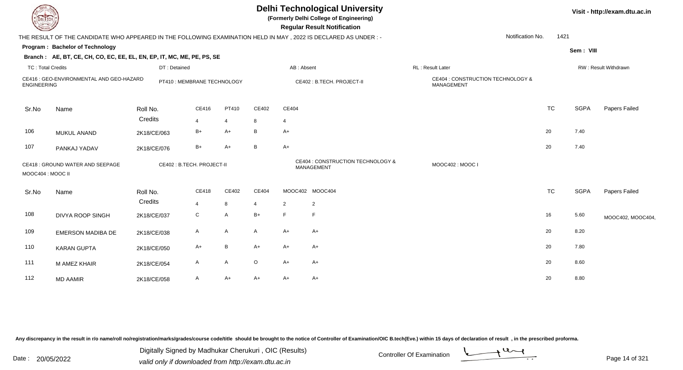| <b>DELTECH</b>           |                                                                                                                  |                             |                |       |                |                | <b>Delhi Technological University</b><br>(Formerly Delhi College of Engineering)<br><b>Regular Result Notification</b> |                   |                                   |           |             | Visit - http://exam.dtu.ac.in |
|--------------------------|------------------------------------------------------------------------------------------------------------------|-----------------------------|----------------|-------|----------------|----------------|------------------------------------------------------------------------------------------------------------------------|-------------------|-----------------------------------|-----------|-------------|-------------------------------|
|                          | THE RESULT OF THE CANDIDATE WHO APPEARED IN THE FOLLOWING EXAMINATION HELD IN MAY , 2022 IS DECLARED AS UNDER :- |                             |                |       |                |                |                                                                                                                        |                   | Notification No.                  | 1421      |             |                               |
|                          | Program: Bachelor of Technology                                                                                  |                             |                |       |                |                |                                                                                                                        |                   |                                   |           | Sem: VIII   |                               |
|                          | Branch: AE, BT, CE, CH, CO, EC, EE, EL, EN, EP, IT, MC, ME, PE, PS, SE                                           |                             |                |       |                |                |                                                                                                                        |                   |                                   |           |             |                               |
| <b>TC: Total Credits</b> |                                                                                                                  | DT: Detained                |                |       |                | AB: Absent     |                                                                                                                        | RL : Result Later |                                   |           |             | RW: Result Withdrawn          |
| <b>ENGINEERING</b>       | CE416 : GEO-ENVIRONMENTAL AND GEO-HAZARD                                                                         | PT410 : MEMBRANE TECHNOLOGY |                |       |                |                | CE402 : B.TECH. PROJECT-II                                                                                             | MANAGEMENT        | CE404 : CONSTRUCTION TECHNOLOGY & |           |             |                               |
| Sr.No                    | Name                                                                                                             | Roll No.                    | CE416          | PT410 | CE402          | CE404          |                                                                                                                        |                   |                                   | <b>TC</b> | <b>SGPA</b> | Papers Failed                 |
|                          |                                                                                                                  | Credits                     | $\overline{4}$ | 4     | 8              | $\overline{4}$ |                                                                                                                        |                   |                                   |           |             |                               |
| 106                      | MUKUL ANAND                                                                                                      | 2K18/CE/063                 | $B+$           | $A+$  | В              | $A+$           |                                                                                                                        |                   |                                   | 20        | 7.40        |                               |
| 107                      | PANKAJ YADAV                                                                                                     | 2K18/CE/076                 | $B+$           | $A+$  | B              | $A+$           |                                                                                                                        |                   |                                   | 20        | 7.40        |                               |
| MOOC404 : MOOC II        | CE418 : GROUND WATER AND SEEPAGE                                                                                 | CE402 : B.TECH. PROJECT-II  |                |       |                |                | CE404 : CONSTRUCTION TECHNOLOGY &<br>MANAGEMENT                                                                        | MOOC402: MOOC I   |                                   |           |             |                               |
| Sr.No                    | Name                                                                                                             | Roll No.                    | CE418          | CE402 | CE404          |                | MOOC402 MOOC404                                                                                                        |                   |                                   | <b>TC</b> | <b>SGPA</b> | Papers Failed                 |
|                          |                                                                                                                  | Credits                     | $\overline{4}$ | 8     | $\overline{4}$ | 2              | $\overline{2}$                                                                                                         |                   |                                   |           |             |                               |
| 108                      | <b>DIVYA ROOP SINGH</b>                                                                                          | 2K18/CE/037                 | ${\rm C}$      | A     | $B+$           | F              | F.                                                                                                                     |                   |                                   | 16        | 5.60        | MOOC402, MOOC404,             |
| 109                      | <b>EMERSON MADIBA DE</b>                                                                                         | 2K18/CE/038                 | $\mathsf{A}$   | A     | A              | $A+$           | $A+$                                                                                                                   |                   |                                   | 20        | 8.20        |                               |
| 110                      | <b>KARAN GUPTA</b>                                                                                               | 2K18/CE/050                 | $A+$           | B     | $A+$           | $A+$           | $A+$                                                                                                                   |                   |                                   | 20        | 7.80        |                               |
| 111                      | M AMEZ KHAIR                                                                                                     | 2K18/CE/054                 | $\mathsf{A}$   | A     | $\circ$        | $A+$           | $A+$                                                                                                                   |                   |                                   | 20        | 8.60        |                               |
| 112                      | <b>MD AAMIR</b>                                                                                                  | 2K18/CE/058                 | A              | $A+$  | A+             | A+             | $A+$                                                                                                                   |                   |                                   | 20        | 8.80        |                               |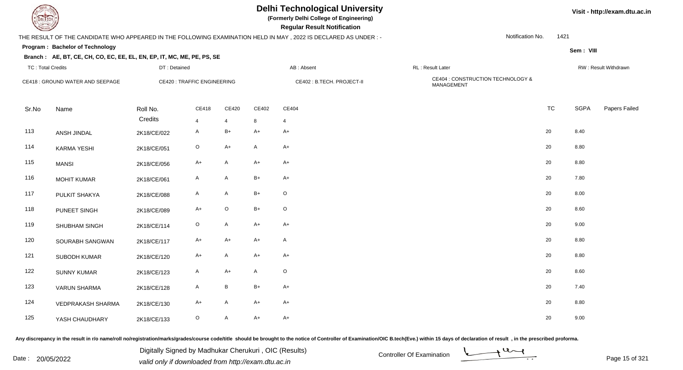

**(Formerly Delhi College of Engineering)**

 **Regular Result Notification**

### THE RESULT OF THE CANDIDATE WHO APPEARED IN THE FOLLOWING EXAMINATION HELD IN MAY , 2022 IS DECLARED AS UNDER : -

Notification No.1421

**Program : Bachelor of Technology**

### **Branch : AE, BT, CE, CH, CO, EC, EE, EL, EN, EP, IT, MC, ME, PE, PS, SE**

| <b>TC: Total Credits</b> |                                  | DT: Detained                      |                     |                           |              | AB: Absent                 | RL : Result Later                               |           |             | RW: Result Withdrawn |
|--------------------------|----------------------------------|-----------------------------------|---------------------|---------------------------|--------------|----------------------------|-------------------------------------------------|-----------|-------------|----------------------|
|                          | CE418 : GROUND WATER AND SEEPAGE | <b>CE420: TRAFFIC ENGINEERING</b> |                     |                           |              | CE402 : B.TECH. PROJECT-II | CE404 : CONSTRUCTION TECHNOLOGY &<br>MANAGEMENT |           |             |                      |
| Sr.No                    | Name                             | Roll No.<br>Credits               | CE418               | CE420                     | CE402        | CE404                      |                                                 | <b>TC</b> | <b>SGPA</b> | Papers Failed        |
| 113                      | ANSH JINDAL                      | 2K18/CE/022                       | $\overline{4}$<br>A | $\overline{4}$<br>$B+$    | 8<br>$A+$    | $\overline{4}$<br>A+       |                                                 | 20        | 8.40        |                      |
| 114                      | <b>KARMA YESHI</b>               | 2K18/CE/051                       | $\circ$             | $A+$                      | $\mathsf{A}$ | A+                         |                                                 | 20        | 8.80        |                      |
| 115                      | <b>MANSI</b>                     | 2K18/CE/056                       | $A+$                | $\overline{A}$            | $A+$         | $A+$                       |                                                 | 20        | 8.80        |                      |
| 116                      | <b>MOHIT KUMAR</b>               | 2K18/CE/061                       | A                   | A                         | $B+$         | A+                         |                                                 | 20        | 7.80        |                      |
| 117                      | PULKIT SHAKYA                    | 2K18/CE/088                       | A                   | A                         | $B+$         | $\circ$                    |                                                 | 20        | 8.00        |                      |
| 118                      | PUNEET SINGH                     | 2K18/CE/089                       | $A+$                | $\mathsf O$               | $B+$         | $\mathsf O$                |                                                 | 20        | 8.60        |                      |
| 119                      | SHUBHAM SINGH                    | 2K18/CE/114                       | $\circ$             | $\mathsf{A}$              | $A+$         | $A+$                       |                                                 | 20        | 9.00        |                      |
| 120                      | SOURABH SANGWAN                  | 2K18/CE/117                       | $A+$                | $A+$                      | $A+$         | A                          |                                                 | 20        | 8.80        |                      |
| 121                      | SUBODH KUMAR                     | 2K18/CE/120                       | $A+$                | $\boldsymbol{\mathsf{A}}$ | $A+$         | $A+$                       |                                                 | 20        | 8.80        |                      |
| 122                      | <b>SUNNY KUMAR</b>               | 2K18/CE/123                       | $\mathsf{A}$        | $A+$                      | $\mathsf{A}$ | $\mathsf O$                |                                                 | 20        | 8.60        |                      |
| 123                      | <b>VARUN SHARMA</b>              | 2K18/CE/128                       | A                   | $\,$ B                    | $B+$         | A+                         |                                                 | 20        | 7.40        |                      |
| 124                      | <b>VEDPRAKASH SHARMA</b>         | 2K18/CE/130                       | $A+$                | $\overline{A}$            | $A+$         | A+                         |                                                 | 20        | 8.80        |                      |
| 125                      | YASH CHAUDHARY                   | 2K18/CE/133                       | $\circ$             | A                         | $A+$         | A+                         |                                                 | 20        | 9.00        |                      |

Any discrepancy in the result in r/o name/roll no/registration/marks/grades/course code/title should be brought to the notice of Controller of Examination/OIC B.tech(Eve.) within 15 days of declaration of result, in the pr

Date : 20/05/2022 Valid only if downloaded from http://exam.dtu.ac.in<br>valid only if downloaded from http://exam.dtu.ac.in Digitally Signed by Madhukar Cherukuri , OIC (Results)



**Visit - http://exam.dtu.ac.in**

**Sem : VIII**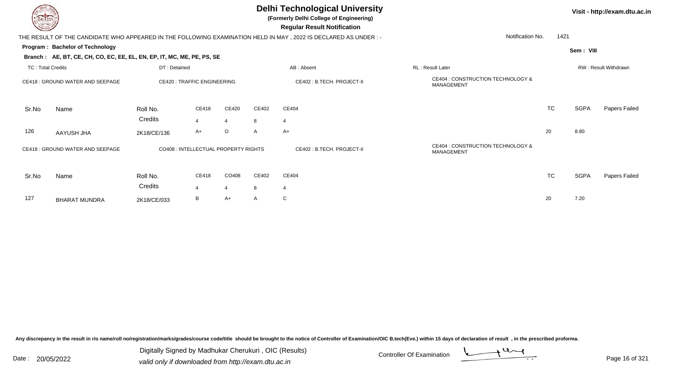**(Formerly Delhi College of Engineering)**

 **Regular Result Notification**

| <b>Courses A</b>         |                                                                        |                                   |                                      |                           |                                                 | Regular Result Notification                                                                                    |                                                 |           |           |                      |
|--------------------------|------------------------------------------------------------------------|-----------------------------------|--------------------------------------|---------------------------|-------------------------------------------------|----------------------------------------------------------------------------------------------------------------|-------------------------------------------------|-----------|-----------|----------------------|
|                          |                                                                        |                                   |                                      |                           |                                                 | THE RESULT OF THE CANDIDATE WHO APPEARED IN THE FOLLOWING EXAMINATION HELD IN MAY, 2022 IS DECLARED AS UNDER:- | Notification No.                                | 1421      |           |                      |
|                          | Program: Bachelor of Technology                                        |                                   |                                      |                           |                                                 |                                                                                                                |                                                 |           | Sem: VIII |                      |
|                          | Branch: AE, BT, CE, CH, CO, EC, EE, EL, EN, EP, IT, MC, ME, PE, PS, SE |                                   |                                      |                           |                                                 |                                                                                                                |                                                 |           |           |                      |
| <b>TC: Total Credits</b> |                                                                        | DT: Detained                      |                                      |                           |                                                 | AB: Absent                                                                                                     | RL: Result Later                                |           |           | RW: Result Withdrawn |
|                          | CE418 : GROUND WATER AND SEEPAGE                                       | <b>CE420: TRAFFIC ENGINEERING</b> |                                      | CE402: B.TECH. PROJECT-II | CE404 : CONSTRUCTION TECHNOLOGY &<br>MANAGEMENT |                                                                                                                |                                                 |           |           |                      |
| Sr.No                    | Name                                                                   | Roll No.                          | CE418                                | <b>CE420</b>              | CE402                                           | CE404                                                                                                          |                                                 | <b>TC</b> | SGPA      | Papers Failed        |
|                          |                                                                        | Credits                           | $\boldsymbol{\Delta}$                | $\overline{4}$            | 8                                               | $\overline{4}$                                                                                                 |                                                 |           |           |                      |
| 126                      | AAYUSH JHA                                                             | 2K18/CE/136                       | $A+$                                 | $\circ$                   | $\mathsf{A}$                                    | A+                                                                                                             |                                                 | 20        | 8.80      |                      |
|                          | CE418 : GROUND WATER AND SEEPAGE                                       |                                   | CO408 : INTELLECTUAL PROPERTY RIGHTS |                           |                                                 | CE402 : B.TECH. PROJECT-II                                                                                     | CE404 : CONSTRUCTION TECHNOLOGY &<br>MANAGEMENT |           |           |                      |
| Sr.No                    | Name                                                                   | Roll No.                          | CE418                                | CO408                     | CE402                                           | CE404                                                                                                          |                                                 | <b>TC</b> | SGPA      | Papers Failed        |
|                          |                                                                        | Credits                           | $\overline{4}$                       | $\overline{4}$            | 8                                               | $\overline{4}$                                                                                                 |                                                 |           |           |                      |
| 127                      | <b>BHARAT MUNDRA</b>                                                   | 2K18/CE/033                       | B                                    | A+                        | $\mathsf{A}$                                    | C                                                                                                              |                                                 | 20        | 7.20      |                      |
|                          |                                                                        |                                   |                                      |                           |                                                 |                                                                                                                |                                                 |           |           |                      |

Any discrepancy in the result in r/o name/roll no/registration/marks/grades/course code/title should be brought to the notice of Controller of Examination/OIC B.tech(Eve.) within 15 days of declaration of result, in the pr

Date : 20/05/2022 Digital Digital of Microsofted Chemical Controller Of Examination Determination Page 16 of 32 Digitally Signed by Madhukar Cherukuri , OIC (Results)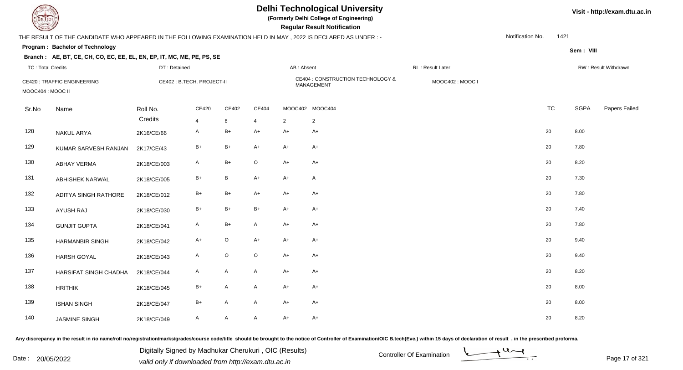**(Formerly Delhi College of Engineering)**

**Regular Regular Results** 

| <b>Country of Charles</b> |                                                                                                                 |              |                            |         |                |                | <b>Regular Result Notification</b>                     |                  |                  |           |             |                      |
|---------------------------|-----------------------------------------------------------------------------------------------------------------|--------------|----------------------------|---------|----------------|----------------|--------------------------------------------------------|------------------|------------------|-----------|-------------|----------------------|
|                           | THE RESULT OF THE CANDIDATE WHO APPEARED IN THE FOLLOWING EXAMINATION HELD IN MAY, 2022 IS DECLARED AS UNDER :- |              |                            |         |                |                |                                                        |                  | Notification No. | 1421      |             |                      |
|                           | Program: Bachelor of Technology                                                                                 |              |                            |         |                |                |                                                        |                  |                  |           | Sem: VIII   |                      |
|                           | Branch: AE, BT, CE, CH, CO, EC, EE, EL, EN, EP, IT, MC, ME, PE, PS, SE                                          |              |                            |         |                |                |                                                        |                  |                  |           |             |                      |
| <b>TC: Total Credits</b>  |                                                                                                                 | DT: Detained |                            |         |                | AB: Absent     |                                                        | RL: Result Later |                  |           |             | RW: Result Withdrawn |
| MOOC404 : MOOC II         | <b>CE420: TRAFFIC ENGINEERING</b>                                                                               |              | CE402 : B.TECH. PROJECT-II |         |                |                | CE404 : CONSTRUCTION TECHNOLOGY &<br><b>MANAGEMENT</b> | MOOC402: MOOC I  |                  |           |             |                      |
| Sr.No                     | Name                                                                                                            | Roll No.     | CE420                      | CE402   | CE404          |                | MOOC402 MOOC404                                        |                  |                  | <b>TC</b> | <b>SGPA</b> | Papers Failed        |
|                           |                                                                                                                 | Credits      | $\overline{4}$             | 8       | $\overline{4}$ | $\overline{2}$ | $\overline{2}$                                         |                  |                  |           |             |                      |
| 128                       | <b>NAKUL ARYA</b>                                                                                               | 2K16/CE/66   | $\mathsf{A}$               | $B+$    | $A+$           | $A+$           | $A+$                                                   |                  | 20               |           | 8.00        |                      |
| 129                       | KUMAR SARVESH RANJAN                                                                                            | 2K17/CE/43   | $B+$                       | $B+$    | $A+$           | $A+$           | A+                                                     |                  | 20               |           | 7.80        |                      |
| 130                       | <b>ABHAY VERMA</b>                                                                                              | 2K18/CE/003  | $\mathsf{A}$               | $B+$    | $\circ$        | $A+$           | $A+$                                                   |                  | 20               |           | 8.20        |                      |
| 131                       | ABHISHEK NARWAL                                                                                                 | 2K18/CE/005  | $B+$                       | B       | $A+$           | $A+$           | A                                                      |                  | 20               |           | 7.30        |                      |
| 132                       | ADITYA SINGH RATHORE                                                                                            | 2K18/CE/012  | $B+$                       | B+      | $A+$           | $A+$           | $A+$                                                   |                  | 20               |           | 7.80        |                      |
| 133                       | <b>AYUSH RAJ</b>                                                                                                | 2K18/CE/030  | $B+$                       | B+      | $B+$           | $A+$           | $A+$                                                   |                  | 20               |           | 7.40        |                      |
| 134                       | <b>GUNJIT GUPTA</b>                                                                                             | 2K18/CE/041  | $\mathsf{A}$               | B+      | A              | $A+$           | $A+$                                                   |                  | 20               |           | 7.80        |                      |
| 135                       | <b>HARMANBIR SINGH</b>                                                                                          | 2K18/CE/042  | $A+$                       | $\circ$ | $A+$           | $A+$           | $A+$                                                   |                  | 20               |           | 9.40        |                      |
| 136                       | <b>HARSH GOYAL</b>                                                                                              | 2K18/CE/043  | $\mathsf{A}$               | O       | $\mathsf O$    | $A+$           | $A+$                                                   |                  | 20               |           | 9.40        |                      |
| 137                       | HARSIFAT SINGH CHADHA                                                                                           | 2K18/CE/044  | $\mathsf{A}$               | A       | A              | $A+$           | $A+$                                                   |                  | 20               |           | 8.20        |                      |
| 138                       | <b>HRITHIK</b>                                                                                                  | 2K18/CE/045  | $B+$                       | A       | $\mathsf{A}$   | $A+$           | $A+$                                                   |                  | 20               |           | 8.00        |                      |
| 139                       | <b>ISHAN SINGH</b>                                                                                              | 2K18/CE/047  | $B+$                       | A       | A              | $A+$           | $A+$                                                   |                  | 20               |           | 8.00        |                      |
| 140                       | <b>JASMINE SINGH</b>                                                                                            | 2K18/CE/049  | A                          | A       | $\mathsf{A}$   | $A+$           | $A+$                                                   |                  | 20               |           | 8.20        |                      |

Any discrepancy in the result in r/o name/roll no/registration/marks/grades/course code/title should be brought to the notice of Controller of Examination/OIC B.tech(Eve.) within 15 days of declaration of result, in the pr

Date : 20/05/2022 Valid only if downloaded from http://exam.dtu.ac.in<br>valid only if downloaded from http://exam.dtu.ac.in Digitally Signed by Madhukar Cherukuri , OIC (Results)

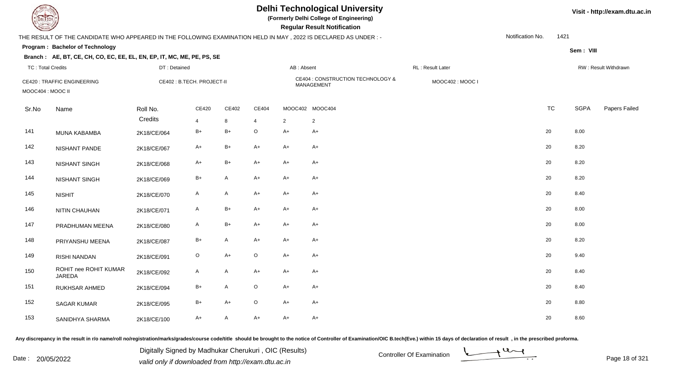**(Formerly Delhi College of Engineering)**

 **Regular Result Notification**

#### **Visit - http://exam.dtu.ac.in**

**Program : Bachelor of TechnologySem : VIII Branch : AE, BT, CE, CH, CO, EC, EE, EL, EN, EP, IT, MC, ME, PE, PS, SE**THE RESULT OF THE CANDIDATE WHO APPEARED IN THE FOLLOWING EXAMINATION HELD IN MAY , 2022 IS DECLARED AS UNDER : -TC : Total Credits DT : Detainedd AB : Absent RL : Result Later RW : Result Withdrawn Notification No. 1421Sr.Noo Name Roll No. **Credits** CE420 : TRAFFIC ENGINEERING CE402 : B.TECH. PROJECT-II CE404 : CONSTRUCTION TECHNOLOGY & MANAGEMENT MOOC402 : MOOC I MOOC404 : MOOC IICE4200 CE402 CE404 MOOC402 MOOC404 TC SGPA Papers Failed 4 <sup>8</sup> <sup>4</sup> <sup>2</sup> <sup>2</sup> 141 MUNA KABAMBAA 2K18/CE/064 B+ B+ O A+ A+ 142 NISHANT PANDEE 2K18/CE/067 A+ B+ A+ A+ A+ A+ C 20 8.20 143 NISHANT SINGH 2K18/CE/068 A+ B+ A+ A+ A+ <sup>20</sup> 8.20 144 NISHANT SINGHH 2K18/CE/069 B+ A A+ A+ A+ A+ C 20 8.20 145 NISHITT 2K18/CE/070 A A A+ A+ A+ A+ C 20 8.40 146 NITIN CHAUHANN 2K18/CE/071 A B+ A+ A+ A+ A+ C 20 8.00 147 PRADHUMAN MEENAA 2K18/CE/080 A B+ A+ A+ A+ A+ C+ 20 8.00 148 PRIYANSHU MEENAA 2K18/CE/087 B+ A A+ A+ A+ A+ C+ 20 8.20 149 RISHI NANDANN 2K18/CE/091 O A+ O A+ A+ 20 20 9.40 ROHIT nee ROHIT KUMARJAREDA150 2K18/CE/0922 A A A+ A+ A+  $+$  A+  $+$  A+  $+$  20 8.40 151 RUKHSAR AHMEDD 2K18/CE/094 B+ A O A+ A+ 152 SAGAR KUMARR 2K18/CE/095 B+ A+ O A+ A+  $\sim$  20 8.80 153 SANIDHYA SHARMAA 2K18/CE/100 A+ A A+ A+ A+ A+ A+ C+ 20 8.60

Any discrepancy in the result in r/o name/roll no/registration/marks/grades/course code/title should be brought to the notice of Controller of Examination/OIC B.tech(Eve.) within 15 days of declaration of result , in the p

Date : 20/05/2022 Digital Digital of Microsofted Chemical Controller Of Examination Determination Page 18 of 32 Digitally Signed by Madhukar Cherukuri , OIC (Results)

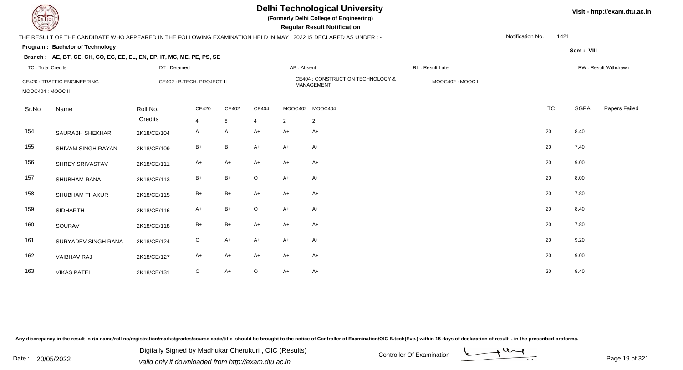**(Formerly Delhi College of Engineering)**

 **Regular Result Notification**

### **Visit - http://exam.dtu.ac.in**

| $\tilde{}$               |                                                                                                                 |              |                            |       |             |                | nogaia nobait nothiodhon                               |                  |                  |           |             |                      |
|--------------------------|-----------------------------------------------------------------------------------------------------------------|--------------|----------------------------|-------|-------------|----------------|--------------------------------------------------------|------------------|------------------|-----------|-------------|----------------------|
|                          | THE RESULT OF THE CANDIDATE WHO APPEARED IN THE FOLLOWING EXAMINATION HELD IN MAY, 2022 IS DECLARED AS UNDER :- |              |                            |       |             |                |                                                        |                  | Notification No. | 1421      |             |                      |
|                          | Program: Bachelor of Technology                                                                                 |              |                            |       |             |                |                                                        |                  |                  |           | Sem: VIII   |                      |
|                          | Branch: AE, BT, CE, CH, CO, EC, EE, EL, EN, EP, IT, MC, ME, PE, PS, SE                                          |              |                            |       |             |                |                                                        |                  |                  |           |             |                      |
| <b>TC: Total Credits</b> |                                                                                                                 | DT: Detained |                            |       |             | AB: Absent     |                                                        | RL: Result Later |                  |           |             | RW: Result Withdrawn |
| MOOC404 : MOOC II        | <b>CE420: TRAFFIC ENGINEERING</b>                                                                               |              | CE402 : B.TECH. PROJECT-II |       |             |                | CE404 : CONSTRUCTION TECHNOLOGY &<br><b>MANAGEMENT</b> | MOOC402: MOOC I  |                  |           |             |                      |
| Sr.No                    | Name                                                                                                            | Roll No.     | CE420                      | CE402 | CE404       |                | MOOC402 MOOC404                                        |                  |                  | <b>TC</b> | <b>SGPA</b> | Papers Failed        |
|                          |                                                                                                                 | Credits      | $\overline{4}$             | 8     | 4           | $\overline{2}$ | $\overline{2}$                                         |                  |                  |           |             |                      |
| 154                      | SAURABH SHEKHAR                                                                                                 | 2K18/CE/104  | $\mathsf{A}$               | A     | $A+$        | $A+$           | $A+$                                                   |                  |                  | 20        | 8.40        |                      |
| 155                      | SHIVAM SINGH RAYAN                                                                                              | 2K18/CE/109  | $B+$                       | B     | $A+$        | $A+$           | $A+$                                                   |                  |                  | 20        | 7.40        |                      |
| 156                      | SHREY SRIVASTAV                                                                                                 | 2K18/CE/111  | $A+$                       | $A+$  | $A+$        | $A+$           | $A+$                                                   |                  |                  | 20        | 9.00        |                      |
| 157                      | SHUBHAM RANA                                                                                                    | 2K18/CE/113  | $B+$                       | $B+$  | $\mathsf O$ | $A+$           | $A+$                                                   |                  |                  | 20        | 8.00        |                      |
| 158                      | <b>SHUBHAM THAKUR</b>                                                                                           | 2K18/CE/115  | $B+$                       | $B+$  | $A+$        | $A+$           | $A+$                                                   |                  |                  | 20        | 7.80        |                      |
| 159                      | <b>SIDHARTH</b>                                                                                                 | 2K18/CE/116  | $A+$                       | $B+$  | $\mathsf O$ | $A+$           | $A+$                                                   |                  |                  | 20        | 8.40        |                      |
| 160                      | SOURAV                                                                                                          | 2K18/CE/118  | $B+$                       | $B+$  | $A+$        | $A+$           | $A+$                                                   |                  |                  | 20        | 7.80        |                      |
| 161                      | <b>SURYADEV SINGH RANA</b>                                                                                      | 2K18/CE/124  | $\circ$                    | $A+$  | $A+$        | $A+$           | $A+$                                                   |                  |                  | 20        | 9.20        |                      |
| 162                      | VAIBHAV RAJ                                                                                                     | 2K18/CE/127  | $A+$                       | $A+$  | $A+$        | $A+$           | $A+$                                                   |                  |                  | 20        | 9.00        |                      |
| 163                      | <b>VIKAS PATEL</b>                                                                                              | 2K18/CE/131  | $\mathsf O$                | A+    | $\mathsf O$ | $A+$           | $A+$                                                   |                  |                  | 20        | 9.40        |                      |

Any discrepancy in the result in r/o name/roll no/registration/marks/grades/course code/title should be brought to the notice of Controller of Examination/OIC B.tech(Eve.) within 15 days of declaration of result, in the pr

Date : 20/05/2022 Valid only if downloaded from http://exam.dtu.ac.in<br>valid only if downloaded from http://exam.dtu.ac.in Digitally Signed by Madhukar Cherukuri , OIC (Results)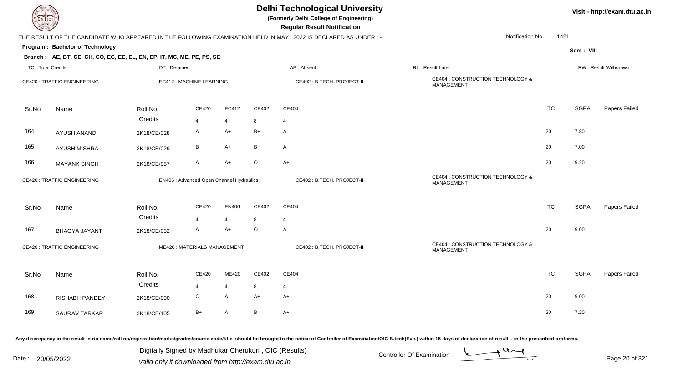| EL ECH                   |                                                                        |              |                                          |                |                 | <b>Delhi Technological University</b><br>(Formerly Delhi College of Engineering)<br><b>Regular Result Notification</b> |                                                 |           | Visit - http://exam.dtu.ac.in |                      |
|--------------------------|------------------------------------------------------------------------|--------------|------------------------------------------|----------------|-----------------|------------------------------------------------------------------------------------------------------------------------|-------------------------------------------------|-----------|-------------------------------|----------------------|
|                          |                                                                        |              |                                          |                |                 | THE RESULT OF THE CANDIDATE WHO APPEARED IN THE FOLLOWING EXAMINATION HELD IN MAY , 2022 IS DECLARED AS UNDER :-       | Notification No.                                | 1421      |                               |                      |
|                          | Program: Bachelor of Technology                                        |              |                                          |                |                 |                                                                                                                        |                                                 |           | Sem: VIII                     |                      |
|                          | Branch: AE, BT, CE, CH, CO, EC, EE, EL, EN, EP, IT, MC, ME, PE, PS, SE |              |                                          |                |                 |                                                                                                                        |                                                 |           |                               |                      |
| <b>TC: Total Credits</b> |                                                                        | DT: Detained |                                          |                |                 | AB: Absent                                                                                                             | RL: Result Later                                |           |                               | RW: Result Withdrawn |
|                          | <b>CE420: TRAFFIC ENGINEERING</b>                                      |              | EC412 : MACHINE LEARNING                 |                |                 | CE402: B.TECH. PROJECT-II                                                                                              | CE404 : CONSTRUCTION TECHNOLOGY &<br>MANAGEMENT |           |                               |                      |
| Sr.No                    | Name                                                                   | Roll No.     | CE420                                    | EC412          | CE402           | CE404                                                                                                                  |                                                 | <b>TC</b> | <b>SGPA</b>                   | Papers Failed        |
|                          |                                                                        | Credits      | 4                                        | $\overline{4}$ | 8               | $\overline{4}$                                                                                                         |                                                 |           |                               |                      |
| 164                      | <b>AYUSH ANAND</b>                                                     | 2K18/CE/028  | A                                        | $A+$           | $B+$            | $\mathsf{A}$                                                                                                           |                                                 | 20        | 7.80                          |                      |
| 165                      | AYUSH MISHRA                                                           | 2K18/CE/029  | В                                        | $A+$           | B               | $\mathsf{A}$                                                                                                           |                                                 | 20        | 7.00                          |                      |
| 166                      | <b>MAYANK SINGH</b>                                                    | 2K18/CE/057  | A                                        | $A+$           | $\circ$         | $A+$                                                                                                                   |                                                 | 20        | 9.20                          |                      |
|                          | <b>CE420: TRAFFIC ENGINEERING</b>                                      |              | EN406 : Advanced Open Channel Hydraulics |                |                 | CE402 : B.TECH. PROJECT-II                                                                                             | CE404 : CONSTRUCTION TECHNOLOGY &<br>MANAGEMENT |           |                               |                      |
| Sr.No                    | Name                                                                   | Roll No.     | CE420                                    | <b>EN406</b>   | CE402           | CE404                                                                                                                  |                                                 | <b>TC</b> | <b>SGPA</b>                   | Papers Failed        |
|                          |                                                                        | Credits      | 4                                        | $\overline{4}$ | 8               | $\overline{4}$                                                                                                         |                                                 |           |                               |                      |
| 167                      | <b>BHAGYA JAYANT</b>                                                   | 2K18/CE/032  | A                                        | $A+$           | $\circ$         | $\mathsf{A}$                                                                                                           |                                                 | 20        | 9.00                          |                      |
|                          | <b>CE420: TRAFFIC ENGINEERING</b>                                      |              | ME420: MATERIALS MANAGEMENT              |                |                 | CE402 : B.TECH. PROJECT-II                                                                                             | CE404 : CONSTRUCTION TECHNOLOGY &<br>MANAGEMENT |           |                               |                      |
| Sr.No                    | Name                                                                   | Roll No.     | <b>CE420</b>                             | ME420          | CE402           | CE404                                                                                                                  |                                                 | <b>TC</b> | <b>SGPA</b>                   | Papers Failed        |
|                          |                                                                        | Credits      | 4                                        | $\overline{4}$ | 8               | $\overline{4}$                                                                                                         |                                                 |           |                               |                      |
| 168                      | <b>RISHABH PANDEY</b>                                                  | 2K18/CE/090  | $\circ$                                  | A              | $A+$            | $A+$                                                                                                                   |                                                 | 20        | 9.00                          |                      |
| 169                      | <b>SAURAV TARKAR</b>                                                   | 2K18/CE/105  | $B+$                                     | A              | $\, {\bf B} \,$ | $A+$                                                                                                                   |                                                 | 20        | 7.20                          |                      |

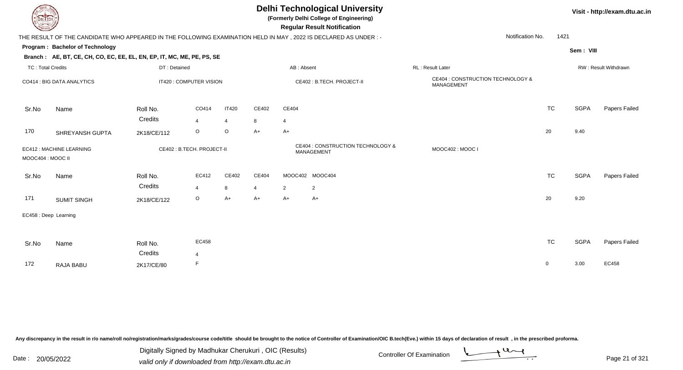| EL ECH                   |                                                                                                                  |                     |                           |                |           |                        | Visit - http://exam.dtu.ac.in                   |                                                        |                          |             |                      |
|--------------------------|------------------------------------------------------------------------------------------------------------------|---------------------|---------------------------|----------------|-----------|------------------------|-------------------------------------------------|--------------------------------------------------------|--------------------------|-------------|----------------------|
|                          | THE RESULT OF THE CANDIDATE WHO APPEARED IN THE FOLLOWING EXAMINATION HELD IN MAY , 2022 IS DECLARED AS UNDER :- |                     |                           |                |           |                        |                                                 |                                                        | 1421<br>Notification No. |             |                      |
|                          | Program: Bachelor of Technology                                                                                  |                     |                           |                |           |                        |                                                 |                                                        |                          | Sem: VIII   |                      |
|                          | Branch: AE, BT, CE, CH, CO, EC, EE, EL, EN, EP, IT, MC, ME, PE, PS, SE                                           |                     |                           |                |           |                        |                                                 |                                                        |                          |             |                      |
| <b>TC: Total Credits</b> |                                                                                                                  | DT: Detained        |                           |                |           | AB: Absent             |                                                 | RL : Result Later                                      |                          |             | RW: Result Withdrawn |
|                          | CO414 : BIG DATA ANALYTICS                                                                                       |                     | IT420 : COMPUTER VISION   |                |           |                        | CE402: B.TECH. PROJECT-II                       | CE404 : CONSTRUCTION TECHNOLOGY &<br><b>MANAGEMENT</b> |                          |             |                      |
| Sr.No                    | Name                                                                                                             | Roll No.            | CO414                     | <b>IT420</b>   | CE402     | CE404                  |                                                 |                                                        | <b>TC</b>                | <b>SGPA</b> | <b>Papers Failed</b> |
|                          |                                                                                                                  | Credits             | $\overline{4}$            | $\overline{4}$ | 8         | $\overline{4}$         |                                                 |                                                        |                          |             |                      |
| 170                      | SHREYANSH GUPTA                                                                                                  | 2K18/CE/112         | $\circ$                   | $\circ$        | $A+$      | $A+$                   |                                                 |                                                        | 20                       | 9.40        |                      |
| MOOC404 : MOOC II        | EC412 : MACHINE LEARNING                                                                                         |                     | CE402: B.TECH. PROJECT-II |                |           |                        | CE404 : CONSTRUCTION TECHNOLOGY &<br>MANAGEMENT | MOOC402: MOOC I                                        |                          |             |                      |
| Sr.No                    | Name                                                                                                             | Roll No.<br>Credits | EC412                     | CE402          | CE404     |                        | MOOC402 MOOC404                                 |                                                        | <b>TC</b>                | <b>SGPA</b> | Papers Failed        |
| 171                      | <b>SUMIT SINGH</b>                                                                                               | 2K18/CE/122         | $\overline{4}$<br>$\circ$ | 8<br>$A+$      | 4<br>$A+$ | $\overline{2}$<br>$A+$ | $\overline{2}$<br>A+                            |                                                        | 20                       | 9.20        |                      |
|                          | EC458 : Deep Learning                                                                                            |                     |                           |                |           |                        |                                                 |                                                        |                          |             |                      |
| Sr.No                    | Name                                                                                                             | Roll No.<br>Credits | EC458                     |                |           |                        |                                                 |                                                        | <b>TC</b>                | <b>SGPA</b> | Papers Failed        |
| 172                      | <b>RAJA BABU</b>                                                                                                 | 2K17/CE/80          | 4<br>F                    |                |           |                        |                                                 |                                                        | $\mathbf{0}$             | 3.00        | EC458                |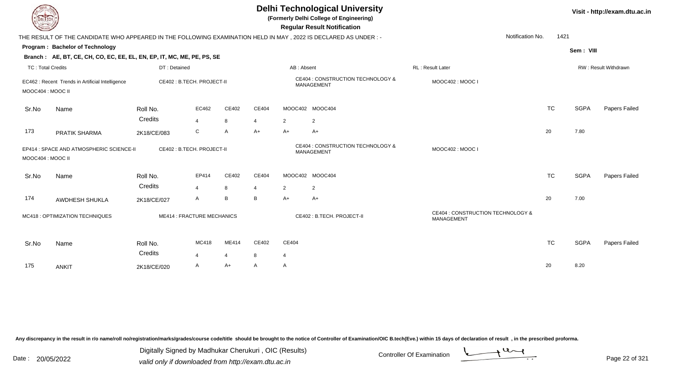| <b>DELTECH</b>           |                                                                                                                |                     |                                   |                         |                      |                         | <b>Delhi Technological University</b><br>(Formerly Delhi College of Engineering)<br><b>Regular Result Notification</b> |                                                 | Visit - http://exam.dtu.ac.in |             |                             |  |
|--------------------------|----------------------------------------------------------------------------------------------------------------|---------------------|-----------------------------------|-------------------------|----------------------|-------------------------|------------------------------------------------------------------------------------------------------------------------|-------------------------------------------------|-------------------------------|-------------|-----------------------------|--|
|                          | THE RESULT OF THE CANDIDATE WHO APPEARED IN THE FOLLOWING EXAMINATION HELD IN MAY, 2022 IS DECLARED AS UNDER:- |                     |                                   |                         |                      |                         |                                                                                                                        | Notification No.                                | 1421                          |             |                             |  |
|                          | Program: Bachelor of Technology                                                                                |                     |                                   |                         |                      |                         |                                                                                                                        |                                                 |                               | Sem: VIII   |                             |  |
|                          | Branch: AE, BT, CE, CH, CO, EC, EE, EL, EN, EP, IT, MC, ME, PE, PS, SE                                         |                     |                                   |                         |                      |                         |                                                                                                                        |                                                 |                               |             |                             |  |
| <b>TC: Total Credits</b> |                                                                                                                | DT: Detained        |                                   |                         |                      | AB: Absent              |                                                                                                                        | <b>RL: Result Later</b>                         |                               |             | <b>RW: Result Withdrawn</b> |  |
| MOOC404 : MOOC II        | EC462 : Recent Trends in Artificial Intelligence                                                               |                     | CE402 : B.TECH. PROJECT-II        |                         |                      |                         | CE404 : CONSTRUCTION TECHNOLOGY &<br><b>MANAGEMENT</b>                                                                 | MOOC402: MOOC I                                 |                               |             |                             |  |
| Sr.No                    | Name                                                                                                           | Roll No.<br>Credits | EC462                             | CE402                   | CE404                |                         | MOOC402 MOOC404                                                                                                        |                                                 | <b>TC</b>                     | <b>SGPA</b> | Papers Failed               |  |
| 173                      | PRATIK SHARMA                                                                                                  | 2K18/CE/083         | $\overline{4}$<br>C               | 8<br>Α                  | $\overline{4}$<br>A+ | 2<br>$A+$               | $\overline{2}$<br>$A+$                                                                                                 |                                                 | 20                            | 7.80        |                             |  |
| MOOC404 : MOOC II        | EP414 : SPACE AND ATMOSPHERIC SCIENCE-II                                                                       |                     | CE402: B.TECH. PROJECT-II         |                         |                      |                         | CE404 : CONSTRUCTION TECHNOLOGY &<br>MANAGEMENT                                                                        | MOOC402: MOOC I                                 |                               |             |                             |  |
| Sr.No                    | Name                                                                                                           | Roll No.            | EP414                             | CE402                   | CE404                |                         | MOOC402 MOOC404                                                                                                        |                                                 | <b>TC</b>                     | <b>SGPA</b> | Papers Failed               |  |
|                          |                                                                                                                | Credits             | $\overline{4}$                    | 8                       | $\overline{4}$       | 2                       | 2                                                                                                                      |                                                 |                               |             |                             |  |
| 174                      | AWDHESH SHUKLA                                                                                                 | 2K18/CE/027         | Α                                 | B                       | B                    | A+                      | A+                                                                                                                     |                                                 | 20                            | 7.00        |                             |  |
|                          | MC418 : OPTIMIZATION TECHNIQUES                                                                                |                     | <b>ME414 : FRACTURE MECHANICS</b> |                         |                      |                         | CE402: B.TECH. PROJECT-II                                                                                              | CE404 : CONSTRUCTION TECHNOLOGY &<br>MANAGEMENT |                               |             |                             |  |
| Sr.No                    | Name                                                                                                           | Roll No.<br>Credits | MC418<br>$\overline{\mathbf{A}}$  | ME414<br>$\overline{4}$ | CE402<br>8           | CE404<br>$\overline{4}$ |                                                                                                                        |                                                 | <b>TC</b>                     | <b>SGPA</b> | Papers Failed               |  |
| 175                      | <b>ANKIT</b>                                                                                                   | 2K18/CE/020         | A                                 | A+                      | A                    | A                       |                                                                                                                        |                                                 | 20                            | 8.20        |                             |  |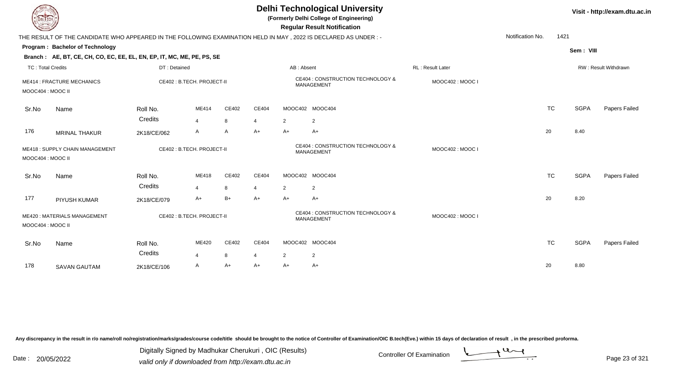| EL ECH                   |                                                                                                                 |                     |                                |                   |            |            | <b>Delhi Technological University</b><br>(Formerly Delhi College of Engineering)<br><b>Regular Result Notification</b> |                  |                  |           |             | Visit - http://exam.dtu.ac.in |
|--------------------------|-----------------------------------------------------------------------------------------------------------------|---------------------|--------------------------------|-------------------|------------|------------|------------------------------------------------------------------------------------------------------------------------|------------------|------------------|-----------|-------------|-------------------------------|
|                          | THE RESULT OF THE CANDIDATE WHO APPEARED IN THE FOLLOWING EXAMINATION HELD IN MAY, 2022 IS DECLARED AS UNDER :- |                     |                                |                   |            |            |                                                                                                                        |                  | Notification No. | 1421      |             |                               |
|                          | Program: Bachelor of Technology<br>Branch: AE, BT, CE, CH, CO, EC, EE, EL, EN, EP, IT, MC, ME, PE, PS, SE       |                     |                                |                   |            |            |                                                                                                                        |                  |                  |           | Sem: VIII   |                               |
| <b>TC: Total Credits</b> |                                                                                                                 | DT: Detained        |                                |                   |            | AB: Absent |                                                                                                                        | RL: Result Later |                  |           |             | RW: Result Withdrawn          |
| MOOC404 : MOOC II        | <b>ME414 : FRACTURE MECHANICS</b>                                                                               |                     | CE402 : B.TECH. PROJECT-II     |                   |            |            | CE404 : CONSTRUCTION TECHNOLOGY &<br><b>MANAGEMENT</b>                                                                 | MOOC402: MOOC I  |                  |           |             |                               |
| Sr.No                    | Name                                                                                                            | Roll No.<br>Credits | ME414<br>$\overline{4}$        | CE402<br>8        | CE404<br>4 | 2          | MOOC402 MOOC404<br>2                                                                                                   |                  |                  | <b>TC</b> | <b>SGPA</b> | Papers Failed                 |
| 176                      | <b>MRINAL THAKUR</b>                                                                                            | 2K18/CE/062         | A                              | A                 | A+         | $A+$       | A+                                                                                                                     |                  |                  | 20        | 8.40        |                               |
| MOOC404 : MOOC II        | <b>ME418: SUPPLY CHAIN MANAGEMENT</b>                                                                           |                     | CE402: B.TECH. PROJECT-II      |                   |            |            | CE404 : CONSTRUCTION TECHNOLOGY &<br>MANAGEMENT                                                                        | MOOC402: MOOC I  |                  |           |             |                               |
| Sr.No                    | Name                                                                                                            | Roll No.<br>Credits | ME418<br>$\boldsymbol{\Delta}$ | <b>CE402</b><br>8 | CE404<br>4 | 2          | MOOC402 MOOC404<br>2                                                                                                   |                  |                  | <b>TC</b> | <b>SGPA</b> | Papers Failed                 |
| 177                      | PIYUSH KUMAR                                                                                                    | 2K18/CE/079         | A+                             | B+                | A+         | $A+$       | $A+$                                                                                                                   |                  |                  | 20        | 8.20        |                               |
| MOOC404: MOOC II         | ME420: MATERIALS MANAGEMENT                                                                                     |                     | CE402: B.TECH. PROJECT-II      |                   |            |            | CE404 : CONSTRUCTION TECHNOLOGY &<br>MANAGEMENT                                                                        | MOOC402: MOOC    |                  |           |             |                               |
| Sr.No                    | Name                                                                                                            | Roll No.<br>Credits | ME420<br>4                     | CE402<br>8        | CE404<br>4 | 2          | MOOC402 MOOC404<br>2                                                                                                   |                  |                  | <b>TC</b> | <b>SGPA</b> | Papers Failed                 |
| 178                      | <b>SAVAN GAUTAM</b>                                                                                             | 2K18/CE/106         | A                              | A+                | A+         | A+         | A+                                                                                                                     |                  |                  | 20        | 8.80        |                               |

Digitally Signed by Madhukar Cherukuri, OIC (Results)<br>Date : 20/05/2022 valid only if downloaded from http://oxam.dtu.ac.in Digitally Signed by Madhukar Cherukuri , OIC (Results)

valid only if downloaded from http://exam.dtu.ac.in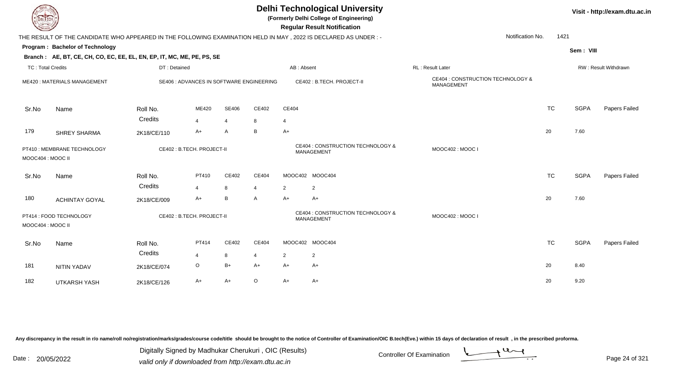| DEL ECH                  |                                                                                                                |                     |                                          |                |                         |                                                 | <b>Delhi Technological University</b><br>(Formerly Delhi College of Engineering)<br><b>Regular Result Notification</b> |                                                 |                  | Visit - http://exam.dtu.ac.in |                      |
|--------------------------|----------------------------------------------------------------------------------------------------------------|---------------------|------------------------------------------|----------------|-------------------------|-------------------------------------------------|------------------------------------------------------------------------------------------------------------------------|-------------------------------------------------|------------------|-------------------------------|----------------------|
|                          | THE RESULT OF THE CANDIDATE WHO APPEARED IN THE FOLLOWING EXAMINATION HELD IN MAY, 2022 IS DECLARED AS UNDER:- |                     |                                          |                |                         |                                                 |                                                                                                                        |                                                 | Notification No. | 1421                          |                      |
|                          | Program: Bachelor of Technology                                                                                |                     |                                          |                |                         |                                                 |                                                                                                                        |                                                 |                  | Sem: VIII                     |                      |
|                          | Branch: AE, BT, CE, CH, CO, EC, EE, EL, EN, EP, IT, MC, ME, PE, PS, SE                                         |                     |                                          |                |                         |                                                 |                                                                                                                        |                                                 |                  |                               |                      |
| <b>TC: Total Credits</b> |                                                                                                                | DT: Detained        |                                          |                |                         | AB: Absent                                      |                                                                                                                        | RL: Result Later                                |                  |                               | RW: Result Withdrawn |
|                          | ME420: MATERIALS MANAGEMENT                                                                                    |                     | SE406 : ADVANCES IN SOFTWARE ENGINEERING |                |                         |                                                 | CE402: B.TECH. PROJECT-II                                                                                              | CE404 : CONSTRUCTION TECHNOLOGY &<br>MANAGEMENT |                  |                               |                      |
| Sr.No                    | Name                                                                                                           | Roll No.            | ME420                                    | <b>SE406</b>   | CE402                   | CE404                                           |                                                                                                                        |                                                 | <b>TC</b>        | <b>SGPA</b>                   | Papers Failed        |
|                          |                                                                                                                | Credits             | $\overline{4}$                           | $\overline{4}$ | 8                       | $\overline{4}$                                  |                                                                                                                        |                                                 |                  |                               |                      |
| 179                      | <b>SHREY SHARMA</b>                                                                                            | 2K18/CE/110         | A+                                       | A              | B                       | A+                                              |                                                                                                                        |                                                 | 20               | 7.60                          |                      |
|                          | CE402 : B.TECH. PROJECT-II<br>PT410 : MEMBRANE TECHNOLOGY<br>MOOC404 : MOOC II                                 |                     |                                          |                |                         | CE404 : CONSTRUCTION TECHNOLOGY &<br>MANAGEMENT | MOOC402: MOOC I                                                                                                        |                                                 |                  |                               |                      |
| Sr.No                    | Name                                                                                                           | Roll No.<br>Credits | PT410<br>$\overline{4}$                  | CE402<br>8     | CE404<br>$\overline{4}$ | 2                                               | MOOC402 MOOC404<br>$\overline{2}$                                                                                      |                                                 | <b>TC</b>        | <b>SGPA</b>                   | Papers Failed        |
| 180                      | <b>ACHINTAY GOYAL</b>                                                                                          | 2K18/CE/009         | A+                                       | B              | A                       | $A+$                                            | $A+$                                                                                                                   |                                                 | 20               | 7.60                          |                      |
| MOOC404 : MOOC II        | CE402 : B.TECH. PROJECT-II<br>PT414 : FOOD TECHNOLOGY                                                          |                     |                                          |                |                         | CE404 : CONSTRUCTION TECHNOLOGY &<br>MANAGEMENT | MOOC402: MOOC I                                                                                                        |                                                 |                  |                               |                      |
| Sr.No                    | Name                                                                                                           | Roll No.            | PT414                                    | CE402          | CE404                   |                                                 | MOOC402 MOOC404                                                                                                        |                                                 | <b>TC</b>        | <b>SGPA</b>                   | Papers Failed        |
|                          |                                                                                                                | Credits             | 4                                        | 8              | 4                       | $\overline{2}$                                  | $\overline{c}$                                                                                                         |                                                 |                  |                               |                      |
| 181                      | <b>NITIN YADAV</b>                                                                                             | 2K18/CE/074         | $\circ$                                  | $B+$           | A+                      | A+                                              | A+                                                                                                                     |                                                 | 20               | 8.40                          |                      |
| 182                      | <b>UTKARSH YASH</b>                                                                                            | 2K18/CE/126         | A+                                       | A+             | O                       | A+                                              | A+                                                                                                                     |                                                 | 20               | 9.20                          |                      |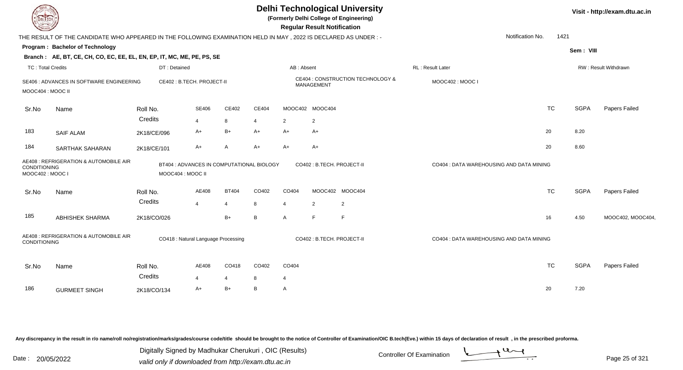| <b>DELIECH</b>           |                                                                                                                                             |                                     |                         |                                | <b>Delhi Technological University</b><br>(Formerly Delhi College of Engineering)<br><b>Regular Result Notification</b> |                                  |                                   |                                   |                                          |                  | Visit - http://exam.dtu.ac.in |                      |  |
|--------------------------|---------------------------------------------------------------------------------------------------------------------------------------------|-------------------------------------|-------------------------|--------------------------------|------------------------------------------------------------------------------------------------------------------------|----------------------------------|-----------------------------------|-----------------------------------|------------------------------------------|------------------|-------------------------------|----------------------|--|
|                          | THE RESULT OF THE CANDIDATE WHO APPEARED IN THE FOLLOWING EXAMINATION HELD IN MAY , 2022 IS DECLARED AS UNDER :-                            |                                     |                         |                                |                                                                                                                        |                                  |                                   |                                   |                                          | Notification No. | 1421                          |                      |  |
|                          | Program: Bachelor of Technology                                                                                                             |                                     |                         |                                |                                                                                                                        |                                  |                                   |                                   |                                          |                  | Sem: VIII                     |                      |  |
|                          | Branch: AE, BT, CE, CH, CO, EC, EE, EL, EN, EP, IT, MC, ME, PE, PS, SE                                                                      |                                     |                         |                                |                                                                                                                        |                                  |                                   |                                   |                                          |                  |                               |                      |  |
| <b>TC: Total Credits</b> |                                                                                                                                             | DT: Detained                        |                         |                                |                                                                                                                        | AB: Absent                       |                                   |                                   | RL: Result Later                         |                  |                               | RW: Result Withdrawn |  |
| MOOC404 : MOOC II        | SE406 : ADVANCES IN SOFTWARE ENGINEERING                                                                                                    | CE402 : B.TECH. PROJECT-II          |                         |                                |                                                                                                                        |                                  | MANAGEMENT                        | CE404 : CONSTRUCTION TECHNOLOGY & | MOOC402: MOOC I                          |                  |                               |                      |  |
| Sr.No                    | Name                                                                                                                                        | Roll No.<br>Credits                 | SE406                   | CE402                          | CE404                                                                                                                  | MOOC402 MOOC404                  |                                   |                                   |                                          | <b>TC</b>        | <b>SGPA</b>                   | Papers Failed        |  |
| 183                      | <b>SAIF ALAM</b>                                                                                                                            | 2K18/CE/096                         | $\overline{4}$<br>A+    | 8<br>$B+$                      | $\overline{4}$<br>$A+$                                                                                                 | $\overline{2}$<br>$A+$           | 2<br>$A+$                         |                                   |                                          | 20               | 8.20                          |                      |  |
| 184                      | <b>SARTHAK SAHARAN</b>                                                                                                                      | 2K18/CE/101                         | $A+$                    | $\mathsf{A}$                   | $A+$                                                                                                                   | $A+$                             | $A+$                              |                                   |                                          | 20               | 8.60                          |                      |  |
|                          | AE408 : REFRIGERATION & AUTOMOBILE AIR<br>BT404 : ADVANCES IN COMPUTATIONAL BIOLOGY<br>CONDITIONING<br>MOOC404 : MOOC II<br>MOOC402: MOOC I |                                     |                         |                                |                                                                                                                        |                                  | CO402 : B.TECH. PROJECT-II        |                                   | CO404 : DATA WAREHOUSING AND DATA MINING |                  |                               |                      |  |
| Sr.No                    | Name                                                                                                                                        | Roll No.<br>Credits                 | AE408<br>$\overline{4}$ | <b>BT404</b><br>$\overline{4}$ | CO402<br>8                                                                                                             | CO404<br>$\overline{\mathbf{A}}$ | MOOC402 MOOC404<br>$\overline{2}$ | 2                                 |                                          | <b>TC</b>        | <b>SGPA</b>                   | Papers Failed        |  |
| 185                      | <b>ABHISHEK SHARMA</b>                                                                                                                      | 2K18/CO/026                         |                         | $B+$                           | B                                                                                                                      | $\mathsf{A}$                     | F                                 | F                                 |                                          | 16               | 4.50                          | MOOC402, MOOC404,    |  |
| <b>CONDITIONING</b>      | AE408 : REFRIGERATION & AUTOMOBILE AIR                                                                                                      | CO418 : Natural Language Processing |                         |                                |                                                                                                                        |                                  | CO402 : B.TECH. PROJECT-II        |                                   | CO404 : DATA WAREHOUSING AND DATA MINING |                  |                               |                      |  |
| Sr.No                    | Name                                                                                                                                        | Roll No.<br>Credits                 | AE408<br>$\overline{4}$ | CO418<br>$\overline{4}$        | CO402<br>8                                                                                                             | CO404<br>4                       |                                   |                                   |                                          | <b>TC</b>        | <b>SGPA</b>                   | Papers Failed        |  |
| 186                      | <b>GURMEET SINGH</b>                                                                                                                        | 2K18/CO/134                         | A+                      | $B+$                           | B                                                                                                                      | $\overline{A}$                   |                                   |                                   |                                          | 20               | 7.20                          |                      |  |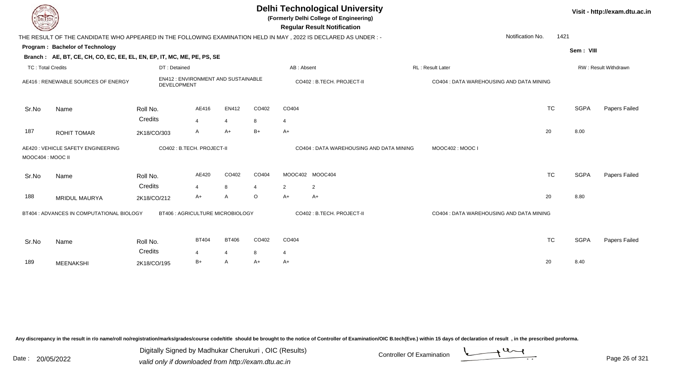|                          | <b>Delhi Technological University</b><br>(Formerly Delhi College of Engineering)<br><b>DELTECH</b><br><b>Regular Result Notification</b> |                                                          |                         |                |         |            |                                          |                                          |                          |             |                      |  |  |
|--------------------------|------------------------------------------------------------------------------------------------------------------------------------------|----------------------------------------------------------|-------------------------|----------------|---------|------------|------------------------------------------|------------------------------------------|--------------------------|-------------|----------------------|--|--|
|                          | THE RESULT OF THE CANDIDATE WHO APPEARED IN THE FOLLOWING EXAMINATION HELD IN MAY, 2022 IS DECLARED AS UNDER:-                           |                                                          |                         |                |         |            |                                          |                                          | Notification No.<br>1421 |             |                      |  |  |
|                          | Program: Bachelor of Technology                                                                                                          |                                                          |                         |                |         |            |                                          |                                          |                          | Sem: VIII   |                      |  |  |
|                          | Branch: AE, BT, CE, CH, CO, EC, EE, EL, EN, EP, IT, MC, ME, PE, PS, SE                                                                   |                                                          |                         |                |         |            |                                          |                                          |                          |             |                      |  |  |
| <b>TC: Total Credits</b> |                                                                                                                                          | DT: Detained                                             |                         |                |         | AB: Absent |                                          | RL: Result Later                         |                          |             | RW: Result Withdrawn |  |  |
|                          | AE416 : RENEWABLE SOURCES OF ENERGY                                                                                                      | <b>EN412: ENVIRONMENT AND SUSTAINABLE</b><br>DEVELOPMENT |                         |                |         |            | CO402 : B.TECH. PROJECT-II               | CO404 : DATA WAREHOUSING AND DATA MINING |                          |             |                      |  |  |
| Sr.No                    | Name                                                                                                                                     | Roll No.                                                 | AE416                   | EN412          | CO402   | CO404      |                                          |                                          | <b>TC</b>                | <b>SGPA</b> | Papers Failed        |  |  |
|                          |                                                                                                                                          | Credits                                                  | $\overline{4}$          | $\overline{4}$ | 8       | 4          |                                          |                                          |                          |             |                      |  |  |
| 187                      | <b>ROHIT TOMAR</b>                                                                                                                       | 2K18/CO/303                                              | A                       | $A+$           | $B+$    | $A+$       |                                          |                                          | 20                       | 8.00        |                      |  |  |
| MOOC404 : MOOC II        | AE420 : VEHICLE SAFETY ENGINEERING                                                                                                       | CO402 : B.TECH. PROJECT-II                               |                         |                |         |            | CO404 : DATA WAREHOUSING AND DATA MINING | MOOC402: MOOC I                          |                          |             |                      |  |  |
| Sr.No                    | Name                                                                                                                                     | Roll No.<br>Credits                                      | AE420<br>$\overline{4}$ | CO402<br>8     | CO404   | 2          | MOOC402 MOOC404                          |                                          | <b>TC</b>                | <b>SGPA</b> | <b>Papers Failed</b> |  |  |
| 188                      | <b>MRIDUL MAURYA</b>                                                                                                                     | 2K18/CO/212                                              | $A+$                    | A              | $\circ$ | $A+$       | $\overline{2}$<br>A+                     |                                          | 20                       | 8.80        |                      |  |  |
|                          | BT404 : ADVANCES IN COMPUTATIONAL BIOLOGY                                                                                                | BT406 : AGRICULTURE MICROBIOLOGY                         |                         |                |         |            | CO402: B.TECH. PROJECT-II                | CO404 : DATA WAREHOUSING AND DATA MINING |                          |             |                      |  |  |
| Sr.No                    | Name                                                                                                                                     | Roll No.                                                 | <b>BT404</b>            | <b>BT406</b>   | CO402   | CO404      |                                          |                                          | <b>TC</b>                | <b>SGPA</b> | Papers Failed        |  |  |
|                          |                                                                                                                                          | Credits                                                  | 4                       | 4              | 8       | 4          |                                          |                                          |                          |             |                      |  |  |
| 189                      | <b>MEENAKSHI</b>                                                                                                                         | 2K18/CO/195                                              | $B+$                    | A              | $A+$    | $A+$       |                                          |                                          | 20                       | 8.40        |                      |  |  |

Digitally Signed by Madhukar Cherukuri, OIC (Results)<br>Date : 20/05/2022 valid only if downloaded from http://oxam.dtu.ac.in Digitally Signed by Madhukar Cherukuri , OIC (Results)

valid only if downloaded from http://exam.dtu.ac.in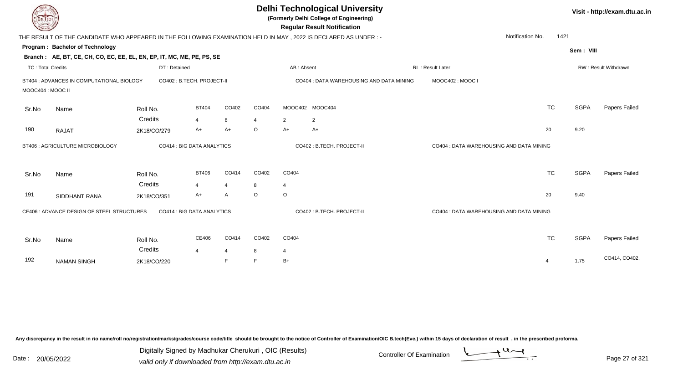|                   |                                                                        |              |                            |                          |         |                | <b>Delhi Technological University</b><br>(Formerly Delhi College of Engineering)<br><b>Regular Result Notification</b> |                                          |           |             | Visit - http://exam.dtu.ac.in |
|-------------------|------------------------------------------------------------------------|--------------|----------------------------|--------------------------|---------|----------------|------------------------------------------------------------------------------------------------------------------------|------------------------------------------|-----------|-------------|-------------------------------|
|                   |                                                                        |              |                            |                          |         |                | THE RESULT OF THE CANDIDATE WHO APPEARED IN THE FOLLOWING EXAMINATION HELD IN MAY , 2022 IS DECLARED AS UNDER :-       | Notification No.                         | 1421      |             |                               |
|                   | Program: Bachelor of Technology                                        |              |                            |                          |         |                |                                                                                                                        |                                          |           | Sem: VIII   |                               |
|                   | Branch: AE, BT, CE, CH, CO, EC, EE, EL, EN, EP, IT, MC, ME, PE, PS, SE |              |                            |                          |         |                |                                                                                                                        |                                          |           |             |                               |
| TC: Total Credits |                                                                        | DT: Detained |                            |                          |         |                | AB: Absent                                                                                                             | <b>RL: Result Later</b>                  |           |             | <b>RW: Result Withdrawn</b>   |
| MOOC404 : MOOC II | BT404 : ADVANCES IN COMPUTATIONAL BIOLOGY                              |              | CO402 : B.TECH. PROJECT-II |                          |         |                | CO404 : DATA WAREHOUSING AND DATA MINING                                                                               | MOOC402: MOOC I                          |           |             |                               |
| Sr.No             | Name                                                                   | Roll No.     | <b>BT404</b>               | CO402                    | CO404   |                | MOOC402 MOOC404                                                                                                        |                                          | <b>TC</b> | <b>SGPA</b> | Papers Failed                 |
|                   |                                                                        | Credits      | 4                          | 8                        | 4       | $\overline{2}$ | 2                                                                                                                      |                                          |           |             |                               |
| 190               | <b>RAJAT</b>                                                           | 2K18/CO/279  | A+                         | A+                       | $\circ$ | $A+$           | A+                                                                                                                     |                                          | 20        | 9.20        |                               |
|                   | BT406 : AGRICULTURE MICROBIOLOGY                                       |              | CO414 : BIG DATA ANALYTICS |                          |         |                | CO402: B.TECH. PROJECT-II                                                                                              | CO404 : DATA WAREHOUSING AND DATA MINING |           |             |                               |
| Sr.No             | Name                                                                   | Roll No.     | <b>BT406</b>               | CO414                    | CO402   | CO404          |                                                                                                                        |                                          | <b>TC</b> | <b>SGPA</b> | Papers Failed                 |
|                   |                                                                        | Credits      | $\boldsymbol{\Lambda}$     | $\overline{\mathcal{A}}$ | 8       | 4              |                                                                                                                        |                                          |           |             |                               |
| 191               | SIDDHANT RANA                                                          | 2K18/CO/351  | A+                         | A                        | $\circ$ | $\circ$        |                                                                                                                        |                                          | 20        | 9.40        |                               |
|                   | CE406 : ADVANCE DESIGN OF STEEL STRUCTURES                             |              | CO414 : BIG DATA ANALYTICS |                          |         |                | CO402 : B.TECH. PROJECT-II                                                                                             | CO404 : DATA WAREHOUSING AND DATA MINING |           |             |                               |
| Sr.No             | Name                                                                   | Roll No.     | CE406                      | CO414                    | CO402   | CO404          |                                                                                                                        |                                          | <b>TC</b> | <b>SGPA</b> | Papers Failed                 |
|                   |                                                                        | Credits      | $\overline{\mathbf{4}}$    | $\overline{4}$           | 8       | 4              |                                                                                                                        |                                          |           |             |                               |
| 192               | <b>NAMAN SINGH</b>                                                     | 2K18/CO/220  |                            | F                        |         | $B+$           |                                                                                                                        |                                          | 4         | 1.75        | CO414, CO402,                 |

Digitally Signed by Madhukar Cherukuri, OIC (Results)<br>Date : 20/05/2022 valid only if downloaded from http://oxam.dtu.ac.in Digitally Signed by Madhukar Cherukuri , OIC (Results)

valid only if downloaded from http://exam.dtu.ac.in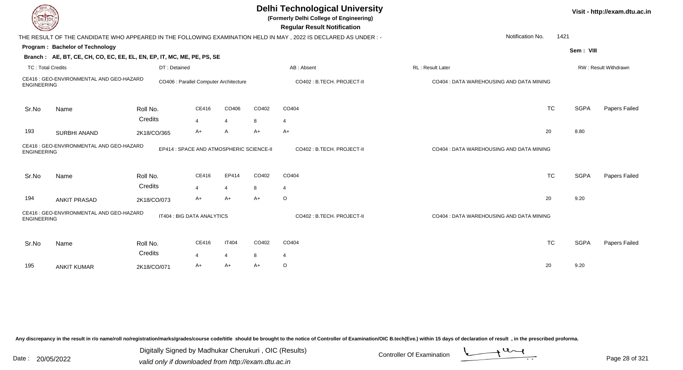| DEL TECH                 |                                                                        |                     |                                          |                |       | <b>Delhi Technological University</b><br>(Formerly Delhi College of Engineering)<br><b>Regular Result Notification</b> |                                          |             | Visit - http://exam.dtu.ac.in |
|--------------------------|------------------------------------------------------------------------|---------------------|------------------------------------------|----------------|-------|------------------------------------------------------------------------------------------------------------------------|------------------------------------------|-------------|-------------------------------|
|                          |                                                                        |                     |                                          |                |       | THE RESULT OF THE CANDIDATE WHO APPEARED IN THE FOLLOWING EXAMINATION HELD IN MAY, 2022 IS DECLARED AS UNDER:-         | Notification No.                         | 1421        |                               |
|                          | Program: Bachelor of Technology                                        |                     |                                          |                |       |                                                                                                                        |                                          | Sem: VIII   |                               |
|                          | Branch: AE, BT, CE, CH, CO, EC, EE, EL, EN, EP, IT, MC, ME, PE, PS, SE |                     |                                          |                |       |                                                                                                                        |                                          |             |                               |
| <b>TC: Total Credits</b> |                                                                        | DT: Detained        |                                          |                |       | AB: Absent                                                                                                             | <b>RL</b> : Result Later                 |             | <b>RW: Result Withdrawn</b>   |
| <b>ENGINEERING</b>       | CE416 : GEO-ENVIRONMENTAL AND GEO-HAZARD                               |                     | CO406 : Parallel Computer Architecture   |                |       | CO402 : B.TECH. PROJECT-II                                                                                             | CO404 : DATA WAREHOUSING AND DATA MINING |             |                               |
| Sr.No                    | Name                                                                   | Roll No.            | CE416                                    | CO406          | CO402 | CO404                                                                                                                  | <b>TC</b>                                | <b>SGPA</b> | Papers Failed                 |
|                          |                                                                        | Credits             | $\overline{4}$                           | $\overline{4}$ | 8     | 4                                                                                                                      |                                          |             |                               |
| 193                      | SURBHI ANAND                                                           | 2K18/CO/365         | $A+$                                     | A              | $A+$  | $A+$                                                                                                                   | 20                                       | 8.80        |                               |
| <b>ENGINEERING</b>       | CE416 : GEO-ENVIRONMENTAL AND GEO-HAZARD                               |                     | EP414 : SPACE AND ATMOSPHERIC SCIENCE-II |                |       | CO402: B.TECH. PROJECT-II                                                                                              | CO404 : DATA WAREHOUSING AND DATA MINING |             |                               |
| Sr.No                    | Name                                                                   | Roll No.            | CE416                                    | EP414          | CO402 | CO404                                                                                                                  | <b>TC</b>                                | <b>SGPA</b> | Papers Failed                 |
|                          |                                                                        | Credits             | 4                                        | $\overline{4}$ | 8     | $\overline{4}$                                                                                                         |                                          |             |                               |
| 194                      | <b>ANKIT PRASAD</b>                                                    | 2K18/CO/073         | $A+$                                     | $A+$           | $A+$  | $\circ$                                                                                                                | 20                                       | 9.20        |                               |
| <b>ENGINEERING</b>       | CE416 : GEO-ENVIRONMENTAL AND GEO-HAZARD                               |                     | IT404 : BIG DATA ANALYTICS               |                |       | CO402 : B.TECH. PROJECT-II                                                                                             | CO404 : DATA WAREHOUSING AND DATA MINING |             |                               |
| Sr.No                    | Name                                                                   | Roll No.<br>Credits | CE416                                    | <b>IT404</b>   | CO402 | CO404                                                                                                                  | <b>TC</b>                                | <b>SGPA</b> | Papers Failed                 |
|                          |                                                                        |                     | 4                                        | $\overline{4}$ | 8     | 4                                                                                                                      |                                          |             |                               |
| 195                      | <b>ANKIT KUMAR</b>                                                     | 2K18/CO/071         | A+                                       | $A+$           | $A+$  | $\circ$                                                                                                                | 20                                       | 9.20        |                               |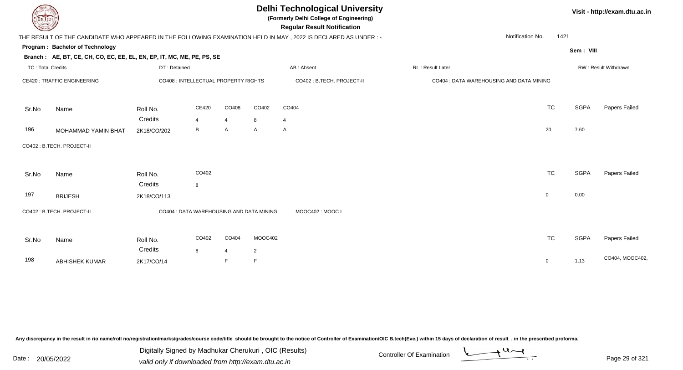| EL ECH                   |                                                                        |              |                                          |                |                | <b>Delhi Technological University</b><br>(Formerly Delhi College of Engineering)<br><b>Regular Result Notification</b> |                                          |             |             | Visit - http://exam.dtu.ac.in |
|--------------------------|------------------------------------------------------------------------|--------------|------------------------------------------|----------------|----------------|------------------------------------------------------------------------------------------------------------------------|------------------------------------------|-------------|-------------|-------------------------------|
|                          |                                                                        |              |                                          |                |                | THE RESULT OF THE CANDIDATE WHO APPEARED IN THE FOLLOWING EXAMINATION HELD IN MAY, 2022 IS DECLARED AS UNDER :-        | Notification No.                         | 1421        |             |                               |
|                          | Program: Bachelor of Technology                                        |              |                                          |                |                |                                                                                                                        |                                          |             | Sem: VIII   |                               |
|                          | Branch: AE, BT, CE, CH, CO, EC, EE, EL, EN, EP, IT, MC, ME, PE, PS, SE |              |                                          |                |                |                                                                                                                        |                                          |             |             |                               |
| <b>TC: Total Credits</b> |                                                                        | DT: Detained |                                          |                |                | AB: Absent                                                                                                             | RL: Result Later                         |             |             | RW: Result Withdrawn          |
|                          | <b>CE420: TRAFFIC ENGINEERING</b>                                      |              | CO408 : INTELLECTUAL PROPERTY RIGHTS     |                |                | CO402 : B.TECH. PROJECT-II                                                                                             | CO404 : DATA WAREHOUSING AND DATA MINING |             |             |                               |
| Sr.No                    | Name                                                                   | Roll No.     | CE420                                    | CO408          | CO402          | CO404                                                                                                                  |                                          | <b>TC</b>   | <b>SGPA</b> | Papers Failed                 |
|                          |                                                                        | Credits      | $\overline{4}$                           | $\overline{4}$ | 8              | 4                                                                                                                      |                                          |             |             |                               |
| 196                      | MOHAMMAD YAMIN BHAT                                                    | 2K18/CO/202  | B                                        | A              | A              | $\mathsf{A}$                                                                                                           |                                          | 20          | 7.60        |                               |
|                          | CO402 : B.TECH. PROJECT-II                                             |              |                                          |                |                |                                                                                                                        |                                          |             |             |                               |
| Sr.No                    | Name                                                                   | Roll No.     | CO402                                    |                |                |                                                                                                                        |                                          | <b>TC</b>   | <b>SGPA</b> | Papers Failed                 |
|                          |                                                                        | Credits      | 8                                        |                |                |                                                                                                                        |                                          |             |             |                               |
| 197                      | <b>BRIJESH</b>                                                         | 2K18/CO/113  |                                          |                |                |                                                                                                                        |                                          | $\mathbf 0$ | 0.00        |                               |
|                          | CO402 : B.TECH. PROJECT-II                                             |              | CO404 : DATA WAREHOUSING AND DATA MINING |                |                | MOOC402: MOOC I                                                                                                        |                                          |             |             |                               |
| Sr.No                    | Name                                                                   | Roll No.     | CO402                                    | CO404          | MOOC402        |                                                                                                                        |                                          | <b>TC</b>   | <b>SGPA</b> | Papers Failed                 |
|                          |                                                                        | Credits      | 8                                        | 4              | $\overline{2}$ |                                                                                                                        |                                          |             |             | CO404, MOOC402,               |
| 198                      | <b>ABHISHEK KUMAR</b>                                                  | 2K17/CO/14   |                                          | F              | $\mathsf F$    |                                                                                                                        |                                          | 0           | 1.13        |                               |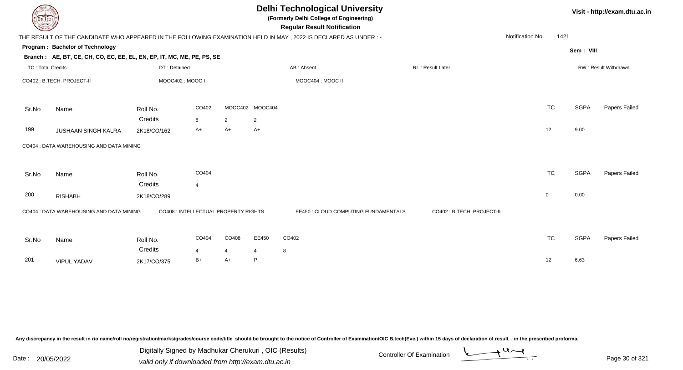|                          | <b>Delhi Technological University</b><br>Visit - http://exam.dtu.ac.in<br>(Formerly Delhi College of Engineering)<br>DEL ECH<br><b>Regular Result Notification</b> |                 |                |                                      |                 |                                                                                                                 |                           |                  |           |             |                      |  |  |  |
|--------------------------|--------------------------------------------------------------------------------------------------------------------------------------------------------------------|-----------------|----------------|--------------------------------------|-----------------|-----------------------------------------------------------------------------------------------------------------|---------------------------|------------------|-----------|-------------|----------------------|--|--|--|
|                          |                                                                                                                                                                    |                 |                |                                      |                 | THE RESULT OF THE CANDIDATE WHO APPEARED IN THE FOLLOWING EXAMINATION HELD IN MAY, 2022 IS DECLARED AS UNDER :- |                           | Notification No. | 1421      |             |                      |  |  |  |
|                          | Program: Bachelor of Technology<br>Branch: AE, BT, CE, CH, CO, EC, EE, EL, EN, EP, IT, MC, ME, PE, PS, SE                                                          |                 |                |                                      |                 |                                                                                                                 |                           |                  |           | Sem: VIII   |                      |  |  |  |
| <b>TC: Total Credits</b> |                                                                                                                                                                    | DT: Detained    |                |                                      |                 | AB: Absent                                                                                                      | RL: Result Later          |                  |           |             | RW: Result Withdrawn |  |  |  |
|                          | CO402 : B.TECH. PROJECT-II                                                                                                                                         | MOOC402: MOOC I |                |                                      |                 | MOOC404 : MOOC II                                                                                               |                           |                  |           |             |                      |  |  |  |
| Sr.No                    | Name                                                                                                                                                               | Roll No.        | CO402          |                                      | MOOC402 MOOC404 |                                                                                                                 |                           |                  | <b>TC</b> | <b>SGPA</b> | Papers Failed        |  |  |  |
|                          |                                                                                                                                                                    | Credits         | 8              | $\overline{2}$                       | 2               |                                                                                                                 |                           |                  |           |             |                      |  |  |  |
| 199                      | <b>JUSHAAN SINGH KALRA</b>                                                                                                                                         | 2K18/CO/162     | A+             | $A+$                                 | $A+$            |                                                                                                                 |                           | 12               |           | 9.00        |                      |  |  |  |
|                          | CO404 : DATA WAREHOUSING AND DATA MINING                                                                                                                           |                 |                |                                      |                 |                                                                                                                 |                           |                  |           |             |                      |  |  |  |
| Sr.No                    | Name                                                                                                                                                               | Roll No.        | CO404          |                                      |                 |                                                                                                                 |                           |                  | <b>TC</b> | <b>SGPA</b> | Papers Failed        |  |  |  |
|                          |                                                                                                                                                                    | Credits         | $\overline{4}$ |                                      |                 |                                                                                                                 |                           |                  |           |             |                      |  |  |  |
| 200                      | <b>RISHABH</b>                                                                                                                                                     | 2K18/CO/289     |                |                                      |                 |                                                                                                                 |                           | $\mathbf 0$      |           | 0.00        |                      |  |  |  |
|                          | CO404 : DATA WAREHOUSING AND DATA MINING                                                                                                                           |                 |                | CO408 : INTELLECTUAL PROPERTY RIGHTS |                 | EE450 : CLOUD COMPUTING FUNDAMENTALS                                                                            | CO402: B.TECH. PROJECT-II |                  |           |             |                      |  |  |  |
| Sr.No                    | Name                                                                                                                                                               | Roll No.        | CO404          | CO408                                | EE450           | CO402                                                                                                           |                           |                  | <b>TC</b> | <b>SGPA</b> | Papers Failed        |  |  |  |
|                          |                                                                                                                                                                    | Credits         | $\overline{4}$ | $\overline{4}$                       | $\overline{4}$  | 8                                                                                                               |                           |                  |           |             |                      |  |  |  |
| 201                      | <b>VIPUL YADAV</b>                                                                                                                                                 | 2K17/CO/375     | $B+$           | A+                                   | P               |                                                                                                                 |                           | 12               |           | 6.63        |                      |  |  |  |
|                          |                                                                                                                                                                    |                 |                |                                      |                 |                                                                                                                 |                           |                  |           |             |                      |  |  |  |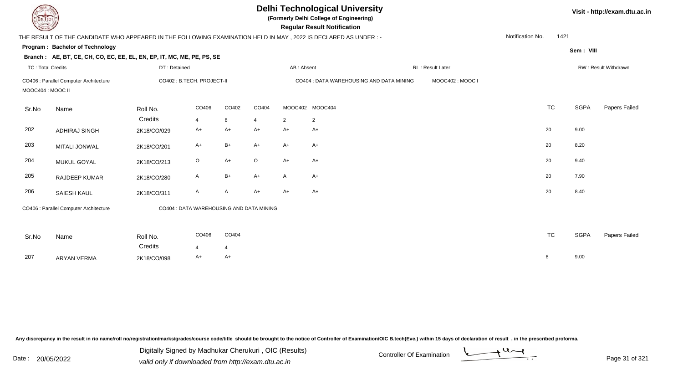| EL ECH                   |                                                                                                                 | <b>Delhi Technological University</b><br>(Formerly Delhi College of Engineering)<br><b>Regular Result Notification</b> |         |                        |         |                | Visit - http://exam.dtu.ac.in            |                   |                  |           |             |                      |
|--------------------------|-----------------------------------------------------------------------------------------------------------------|------------------------------------------------------------------------------------------------------------------------|---------|------------------------|---------|----------------|------------------------------------------|-------------------|------------------|-----------|-------------|----------------------|
|                          | THE RESULT OF THE CANDIDATE WHO APPEARED IN THE FOLLOWING EXAMINATION HELD IN MAY, 2022 IS DECLARED AS UNDER :- |                                                                                                                        |         |                        |         |                |                                          |                   | Notification No. | 1421      |             |                      |
|                          | Program: Bachelor of Technology                                                                                 |                                                                                                                        |         |                        |         |                |                                          |                   |                  |           | Sem: VIII   |                      |
|                          | Branch: AE, BT, CE, CH, CO, EC, EE, EL, EN, EP, IT, MC, ME, PE, PS, SE                                          |                                                                                                                        |         |                        |         |                |                                          |                   |                  |           |             |                      |
| <b>TC: Total Credits</b> |                                                                                                                 | DT: Detained                                                                                                           |         |                        |         | AB: Absent     |                                          | RL : Result Later |                  |           |             | RW: Result Withdrawn |
| MOOC404 : MOOC II        | CO406 : Parallel Computer Architecture                                                                          | CO402: B.TECH. PROJECT-II                                                                                              |         |                        |         |                | CO404 : DATA WAREHOUSING AND DATA MINING | MOOC402: MOOC I   |                  |           |             |                      |
| Sr.No                    | Name                                                                                                            | Roll No.                                                                                                               | CO406   | CO402                  | CO404   |                | MOOC402 MOOC404                          |                   |                  | <b>TC</b> | <b>SGPA</b> | Papers Failed        |
|                          |                                                                                                                 | Credits                                                                                                                | 4       | 8                      | 4       | $\overline{2}$ | $\overline{2}$                           |                   |                  |           |             |                      |
| 202                      | <b>ADHIRAJ SINGH</b>                                                                                            | 2K18/CO/029                                                                                                            | A+      | $A+$                   | A+      | $A+$           | A+                                       |                   |                  | 20        | 9.00        |                      |
| 203                      | <b>MITALI JONWAL</b>                                                                                            | 2K18/CO/201                                                                                                            | A+      | $B+$                   | $A+$    | $A+$           | A+                                       |                   |                  | 20        | 8.20        |                      |
| 204                      | MUKUL GOYAL                                                                                                     | 2K18/CO/213                                                                                                            | $\circ$ | $A+$                   | $\circ$ | $A+$           | A+                                       |                   |                  | 20        | 9.40        |                      |
| 205                      | RAJDEEP KUMAR                                                                                                   | 2K18/CO/280                                                                                                            | A       | $B+$                   | $A+$    | A              | A+                                       |                   |                  | 20        | 7.90        |                      |
| 206                      | SAIESH KAUL                                                                                                     | 2K18/CO/311                                                                                                            | A       | A                      | $A+$    | $A+$           | A+                                       |                   |                  | 20        | 8.40        |                      |
|                          | CO406 : Parallel Computer Architecture                                                                          | CO404 : DATA WAREHOUSING AND DATA MINING                                                                               |         |                        |         |                |                                          |                   |                  |           |             |                      |
| Sr.No                    | Name                                                                                                            | Roll No.<br>Credits                                                                                                    | CO406   | CO404                  |         |                |                                          |                   |                  | <b>TC</b> | <b>SGPA</b> | Papers Failed        |
| 207                      | <b>ARYAN VERMA</b>                                                                                              | 2K18/CO/098                                                                                                            | 4<br>A+ | $\overline{4}$<br>$A+$ |         |                |                                          |                   |                  | 8         | 9.00        |                      |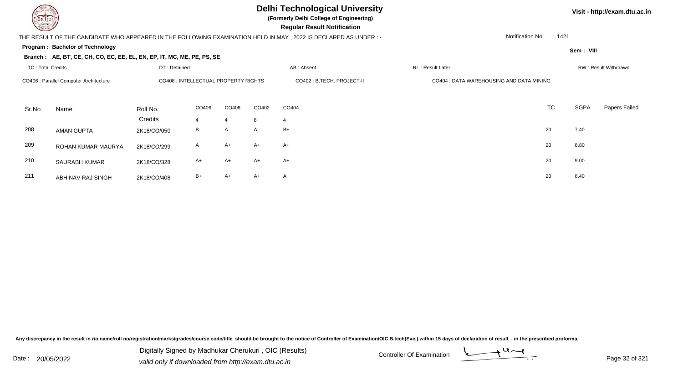

**(Formerly Delhi College of Engineering)**

 **Regular Result Notification**

## THE RESULT OF THE CANDIDATE WHO APPEARED IN THE FOLLOWING EXAMINATION HELD IN MAY , 2022 IS DECLARED AS UNDER : -

Notification No.1421

**Program : Bachelor of Technology**

### **Branch : AE, BT, CE, CH, CO, EC, EE, EL, EN, EP, IT, MC, ME, PE, PS, SE**

| <b>TC: Total Credits</b>               |                      | DT: Detained                         |              |       |              | AB: Absent                 | RL : Result Later                        |  |           | RW: Result Withdrawn |               |  |
|----------------------------------------|----------------------|--------------------------------------|--------------|-------|--------------|----------------------------|------------------------------------------|--|-----------|----------------------|---------------|--|
| CO406 : Parallel Computer Architecture |                      | CO408 : INTELLECTUAL PROPERTY RIGHTS |              |       |              | CO402 : B.TECH. PROJECT-II | CO404 : DATA WAREHOUSING AND DATA MINING |  |           |                      |               |  |
| Sr.No                                  | Name                 | Roll No.                             | CO406        | CO408 | CO402        | CO404                      |                                          |  | <b>TC</b> | <b>SGPA</b>          | Papers Failed |  |
|                                        |                      | Credits                              |              | 4     | 8            | $\overline{4}$             |                                          |  |           |                      |               |  |
| 208                                    | <b>AMAN GUPTA</b>    | 2K18/CO/050                          | B            | A     | $\mathsf{A}$ | $B+$                       |                                          |  | 20        | 7.40                 |               |  |
| 209                                    | ROHAN KUMAR MAURYA   | 2K18/CO/299                          | $\mathsf{A}$ | $A+$  | $A+$         | $A+$                       |                                          |  | 20        | 8.80                 |               |  |
| 210                                    | <b>SAURABH KUMAR</b> | 2K18/CO/328                          | $A+$         | $A+$  | $A+$         | $A+$                       |                                          |  | 20        | 9.00                 |               |  |
| 211                                    | ABHINAV RAJ SINGH    | 2K18/CO/408                          | $B+$         | A+    | $A+$         | $\mathsf{A}$               |                                          |  | 20        | 8.40                 |               |  |

Any discrepancy in the result in r/o name/roll no/registration/marks/grades/course code/title should be brought to the notice of Controller of Examination/OIC B.tech(Eve.) within 15 days of declaration of result, in the pr



**Visit - http://exam.dtu.ac.in**

**Sem : VIII**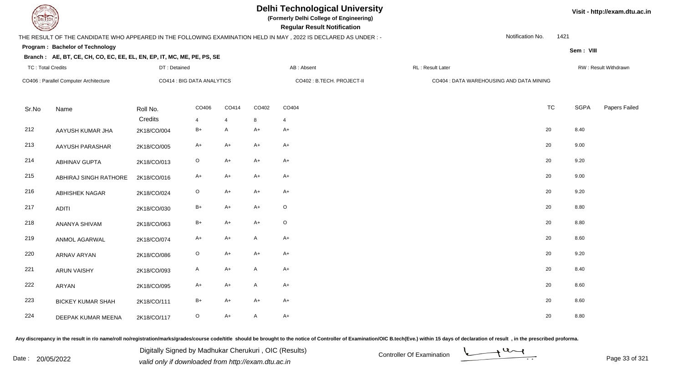

TC : Total Credits

## **Delhi Technological University**

**(Formerly Delhi College of Engineering)**

 **Regular Result Notification**

### THE RESULT OF THE CANDIDATE WHO APPEARED IN THE FOLLOWING EXAMINATION HELD IN MAY , 2022 IS DECLARED AS UNDER : -

DT : Detained

Notification No.1421

**Sem : VIII**

**Visit - http://exam.dtu.ac.in**

### **Program : Bachelor of Technology**

#### **Branch : AE, BT, CE, CH, CO, EC, EE, EL, EN, EP, IT, MC, ME, PE, PS, SE**

| TC: Total Credits |                                        | DT : Detained              |                         |                         | AB : Absent<br>RL : Result Later |            |                                          |  | RW : Result Withdrawn |             |               |
|-------------------|----------------------------------------|----------------------------|-------------------------|-------------------------|----------------------------------|------------|------------------------------------------|--|-----------------------|-------------|---------------|
|                   | CO406 : Parallel Computer Architecture | CO414 : BIG DATA ANALYTICS |                         |                         | CO402 : B.TECH. PROJECT-II       |            | CO404 : DATA WAREHOUSING AND DATA MINING |  |                       |             |               |
| Sr.No             | Name                                   | Roll No.<br>Credits        | CO406<br>$\overline{4}$ | CO414<br>$\overline{4}$ | CO402<br>8                       | CO404<br>4 |                                          |  | <b>TC</b>             | <b>SGPA</b> | Papers Failed |
| 212               | AAYUSH KUMAR JHA                       | 2K18/CO/004                | $B+$                    | A                       | $A+$                             | $A+$       |                                          |  | 20                    | 8.40        |               |
| 213               | AAYUSH PARASHAR                        | 2K18/CO/005                | $A+$                    | $A+$                    | $A+$                             | $A+$       |                                          |  | 20                    | 9.00        |               |
| 214               | <b>ABHINAV GUPTA</b>                   | 2K18/CO/013                | $\circ$                 | $A+$                    | $A+$                             | $A+$       |                                          |  | 20                    | 9.20        |               |
| 215               | ABHIRAJ SINGH RATHORE                  | 2K18/CO/016                | $A+$                    | $A+$                    | $A+$                             | $A+$       |                                          |  | 20                    | 9.00        |               |
| 216               | ABHISHEK NAGAR                         | 2K18/CO/024                | $\circ$                 | $A+$                    | $A+$                             | $A+$       |                                          |  | 20                    | 9.20        |               |
| 217               | <b>ADITI</b>                           | 2K18/CO/030                | $B+$                    | $A+$                    | $A+$                             | $\circ$    |                                          |  | 20                    | 8.80        |               |
| 218               | ANANYA SHIVAM                          | 2K18/CO/063                | $B+$                    | $A+$                    | $A+$                             | $\circ$    |                                          |  | 20                    | 8.80        |               |
| 219               | ANMOL AGARWAL                          | 2K18/CO/074                | $A+$                    | $A+$                    | $\mathsf{A}$                     | $A+$       |                                          |  | 20                    | 8.60        |               |
| 220               | ARNAV ARYAN                            | 2K18/CO/086                | $\circ$                 | $A+$                    | $A+$                             | $A+$       |                                          |  | 20                    | 9.20        |               |
| 221               | <b>ARUN VAISHY</b>                     | 2K18/CO/093                | $\mathsf{A}$            | $A+$                    | $\mathsf{A}$                     | $A+$       |                                          |  | 20                    | 8.40        |               |
| 222               | ARYAN                                  | 2K18/CO/095                | $A+$                    | $A+$                    | $\mathsf{A}$                     | $A+$       |                                          |  | 20                    | 8.60        |               |
| 223               | <b>BICKEY KUMAR SHAH</b>               | 2K18/CO/111                | $B+$                    | $A+$                    | $A+$                             | $A+$       |                                          |  | 20                    | 8.60        |               |
| 224               | DEEPAK KUMAR MEENA                     | 2K18/CO/117                | $\circ$                 | $A+$                    | A                                | $A+$       |                                          |  | 20                    | 8.80        |               |

Any discrepancy in the result in r/o name/roll no/registration/marks/grades/course code/title should be brought to the notice of Controller of Examination/OIC B.tech(Eve.) within 15 days of declaration of result, in the pr

Date : 20/05/2022 Digital Digital of Microsofted Chemical Controller Of Examination Determination Page 33 of 32 Digitally Signed by Madhukar Cherukuri , OIC (Results)

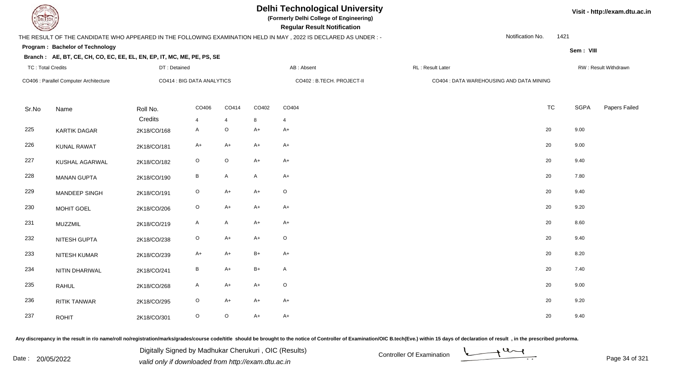

TC : Total Credits

## **Delhi Technological University**

**(Formerly Delhi College of Engineering)**

 **Regular Result Notification**

### THE RESULT OF THE CANDIDATE WHO APPEARED IN THE FOLLOWING EXAMINATION HELD IN MAY , 2022 IS DECLARED AS UNDER : -

DT : Detained

Notification No.1421

**Sem : VIII**

**Visit - http://exam.dtu.ac.in**

### **Program : Bachelor of Technology**

### **Branch : AE, BT, CE, CH, CO, EC, EE, EL, EN, EP, IT, MC, ME, PE, PS, SE**

| TC : Total Credits<br>CO406 : Parallel Computer Architecture |                     | DT: Detained<br>CO414 : BIG DATA ANALYTICS |                   |                           |                            | AB : Absent  |                                          | RW: Result Withdrawn |             |               |
|--------------------------------------------------------------|---------------------|--------------------------------------------|-------------------|---------------------------|----------------------------|--------------|------------------------------------------|----------------------|-------------|---------------|
|                                                              |                     |                                            |                   |                           | CO402 : B.TECH. PROJECT-II |              | CO404 : DATA WAREHOUSING AND DATA MINING |                      |             |               |
| Sr.No                                                        | Name                | Roll No.                                   | CO406             | CO414                     | CO402                      | CO404        |                                          | <b>TC</b>            | <b>SGPA</b> | Papers Failed |
| 225                                                          | <b>KARTIK DAGAR</b> | Credits<br>2K18/CO/168                     | 4<br>$\mathsf{A}$ | $\overline{4}$<br>$\circ$ | 8<br>$A+$                  | 4<br>$A+$    |                                          | 20                   | 9.00        |               |
| 226                                                          | <b>KUNAL RAWAT</b>  | 2K18/CO/181                                | $A+$              | A+                        | $A+$                       | $A+$         |                                          | $20\,$               | 9.00        |               |
| 227                                                          | KUSHAL AGARWAL      | 2K18/CO/182                                | $\circ$           | $\mathsf O$               | $A+$                       | $A+$         |                                          | $20\,$               | 9.40        |               |
| 228                                                          | <b>MANAN GUPTA</b>  | 2K18/CO/190                                | $\, {\sf B}$      | $\mathsf{A}$              | A                          | $A+$         |                                          | $20\,$               | 7.80        |               |
| 229                                                          | MANDEEP SINGH       | 2K18/CO/191                                | $\circ$           | $A+$                      | $A+$                       | $\circ$      |                                          | 20                   | 9.40        |               |
| 230                                                          | <b>MOHIT GOEL</b>   | 2K18/CO/206                                | $\circ$           | A+                        | $A+$                       | $A+$         |                                          | $20\,$               | 9.20        |               |
| 231                                                          | <b>MUZZMIL</b>      | 2K18/CO/219                                | A                 | A                         | $A+$                       | $A+$         |                                          | 20                   | 8.60        |               |
| 232                                                          | NITESH GUPTA        | 2K18/CO/238                                | $\circ$           | $A+$                      | $A+$                       | $\circ$      |                                          | $20\,$               | 9.40        |               |
| 233                                                          | NITESH KUMAR        | 2K18/CO/239                                | $A+$              | $A+$                      | $\mathsf{B}+$              | $A+$         |                                          | $20\,$               | 8.20        |               |
| 234                                                          | NITIN DHARIWAL      | 2K18/CO/241                                | B                 | $A+$                      | $\mathsf{B}+$              | $\mathsf{A}$ |                                          | $20\,$               | 7.40        |               |
| 235                                                          | <b>RAHUL</b>        | 2K18/CO/268                                | $\mathsf{A}$      | A+                        | $A+$                       | $\circ$      |                                          | $20\,$               | 9.00        |               |
| 236                                                          | <b>RITIK TANWAR</b> | 2K18/CO/295                                | $\circ$           | A+                        | $A+$                       | $A+$         |                                          | 20                   | 9.20        |               |
| 237                                                          | <b>ROHIT</b>        | 2K18/CO/301                                | $\circ$           | $\circ$                   | $A+$                       | $A+$         |                                          | 20                   | 9.40        |               |

Any discrepancy in the result in r/o name/roll no/registration/marks/grades/course code/title should be brought to the notice of Controller of Examination/OIC B.tech(Eve.) within 15 days of declaration of result, in the pr

Date : 20/05/2022 Digital Digital of Microsofted Chemical Controller Of Examination Determination Page 34 of 32 Digitally Signed by Madhukar Cherukuri , OIC (Results)

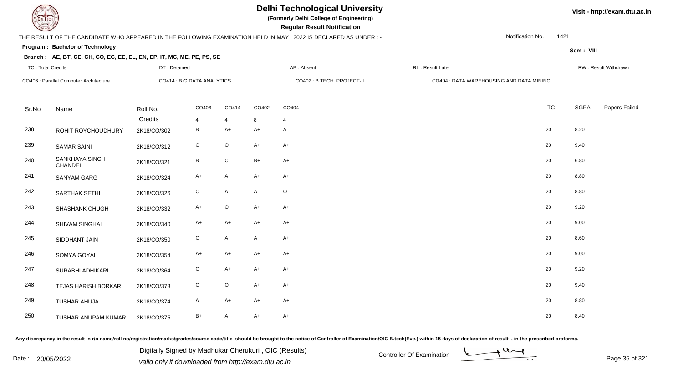

TC : Total Credits

## **Delhi Technological University**

**(Formerly Delhi College of Engineering)**

 **Regular Result Notification**

### THE RESULT OF THE CANDIDATE WHO APPEARED IN THE FOLLOWING EXAMINATION HELD IN MAY , 2022 IS DECLARED AS UNDER : -

DT : Detained

Notification No.1421

**Sem : VIII**

### **Program : Bachelor of Technology**

#### **Branch : AE, BT, CE, CH, CO, EC, EE, EL, EN, EP, IT, MC, ME, PE, PS, SE**

| CO406 : Parallel Computer Architecture |                           | CO414 : BIG DATA ANALYTICS |                         |              |                         | CO402 : B.TECH. PROJECT-II | CO404 : DATA WAREHOUSING AND DATA MINING |           |             |               |
|----------------------------------------|---------------------------|----------------------------|-------------------------|--------------|-------------------------|----------------------------|------------------------------------------|-----------|-------------|---------------|
| Sr.No                                  | Name                      | Roll No.<br>Credits        | CO406<br>$\overline{4}$ | CO414        | CO402<br>$8\phantom{.}$ | CO404                      |                                          | <b>TC</b> | <b>SGPA</b> | Papers Failed |
| 238                                    | ROHIT ROYCHOUDHURY        | 2K18/CO/302                | $\, {\bf B} \,$         | 4<br>A+      | $A+$                    | $\overline{4}$<br>A        |                                          | 20        | 8.20        |               |
| 239                                    | <b>SAMAR SAINI</b>        | 2K18/CO/312                | $\mathsf O$             | $\circ$      | $A+$                    | $A+$                       |                                          | 20        | 9.40        |               |
| 240                                    | SANKHAYA SINGH<br>CHANDEL | 2K18/CO/321                | B                       | $\mathsf{C}$ | $B+$                    | $A+$                       |                                          | 20        | 6.80        |               |
| 241                                    | SANYAM GARG               | 2K18/CO/324                | $A+$                    | A            | $A+$                    | $A+$                       |                                          | 20        | 8.80        |               |
| 242                                    | SARTHAK SETHI             | 2K18/CO/326                | $\mathsf O$             | A            | $\mathsf{A}$            | $\circ$                    |                                          | 20        | 8.80        |               |
| 243                                    | SHASHANK CHUGH            | 2K18/CO/332                | $A+$                    | $\circ$      | $A+$                    | $A+$                       |                                          | 20        | 9.20        |               |
| 244                                    | SHIVAM SINGHAL            | 2K18/CO/340                | $A+$                    | $A+$         | $A+$                    | $A+$                       |                                          | 20        | 9.00        |               |
| 245                                    | SIDDHANT JAIN             | 2K18/CO/350                | $\mathsf O$             | A            | $\mathsf{A}$            | $A+$                       |                                          | 20        | 8.60        |               |
| 246                                    | SOMYA GOYAL               | 2K18/CO/354                | $A+$                    | $A+$         | $A+$                    | $A+$                       |                                          | 20        | 9.00        |               |
| 247                                    | SURABHI ADHIKARI          | 2K18/CO/364                | $\mathsf O$             | $A+$         | $A+$                    | $A+$                       |                                          | 20        | 9.20        |               |
| 248                                    | TEJAS HARISH BORKAR       | 2K18/CO/373                | $\circ$                 | $\circ$      | $A+$                    | $A+$                       |                                          | 20        | 9.40        |               |
| 249                                    | TUSHAR AHUJA              | 2K18/CO/374                | $\mathsf{A}$            | $A+$         | $A+$                    | $A+$                       |                                          | 20        | 8.80        |               |
| 250                                    | TUSHAR ANUPAM KUMAR       | 2K18/CO/375                | $B+$                    | A            | $A+$                    | $A+$                       |                                          | 20        | 8.40        |               |

Any discrepancy in the result in r/o name/roll no/registration/marks/grades/course code/title should be brought to the notice of Controller of Examination/OIC B.tech(Eve.) within 15 days of declaration of result, in the pr

Date : 20/05/2022 Digital Digital of Microsofted Chemical Controller Of Examination Determination Page 35 of 32 Digitally Signed by Madhukar Cherukuri , OIC (Results)

d AB : Absent RL : Result Later RW : Result Withdrawn



**Visit - http://exam.dtu.ac.in**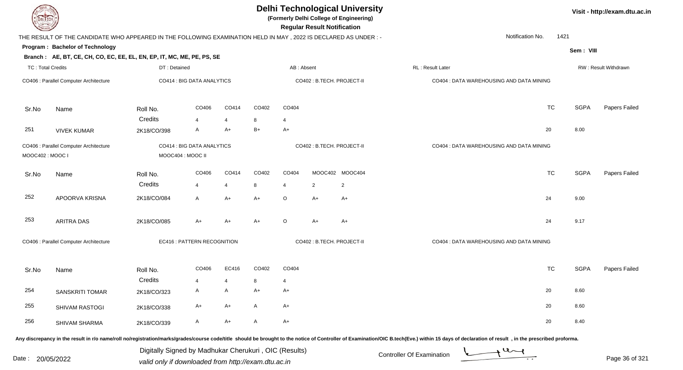| <b>DELTECH</b>                                                              |                                                                                                                                                                                                                                |                   |                            |                |       |                            |                                          | <b>Delhi Technological University</b><br>(Formerly Delhi College of Engineering)<br><b>Regular Result Notification</b> |                                          |           |             | Visit - http://exam.dtu.ac.in |
|-----------------------------------------------------------------------------|--------------------------------------------------------------------------------------------------------------------------------------------------------------------------------------------------------------------------------|-------------------|----------------------------|----------------|-------|----------------------------|------------------------------------------|------------------------------------------------------------------------------------------------------------------------|------------------------------------------|-----------|-------------|-------------------------------|
|                                                                             | THE RESULT OF THE CANDIDATE WHO APPEARED IN THE FOLLOWING EXAMINATION HELD IN MAY, 2022 IS DECLARED AS UNDER:-                                                                                                                 |                   |                            |                |       |                            |                                          |                                                                                                                        | Notification No.                         | 1421      |             |                               |
|                                                                             | Program: Bachelor of Technology                                                                                                                                                                                                |                   |                            |                |       |                            |                                          |                                                                                                                        |                                          |           | Sem: VIII   |                               |
|                                                                             | Branch: AE, BT, CE, CH, CO, EC, EE, EL, EN, EP, IT, MC, ME, PE, PS, SE                                                                                                                                                         |                   |                            |                |       |                            |                                          |                                                                                                                        |                                          |           |             |                               |
| TC: Total Credits                                                           |                                                                                                                                                                                                                                | DT: Detained      |                            |                |       | AB: Absent                 |                                          |                                                                                                                        | RL: Result Later                         |           |             | RW: Result Withdrawn          |
| CO406 : Parallel Computer Architecture                                      |                                                                                                                                                                                                                                |                   | CO414 : BIG DATA ANALYTICS |                |       |                            |                                          | CO402 : B.TECH. PROJECT-II                                                                                             | CO404 : DATA WAREHOUSING AND DATA MINING |           |             |                               |
| Sr.No                                                                       | Name                                                                                                                                                                                                                           | Roll No.          | CO406                      | CO414          | CO402 | CO404                      |                                          |                                                                                                                        |                                          | <b>TC</b> | <b>SGPA</b> | Papers Failed                 |
|                                                                             |                                                                                                                                                                                                                                | Credits           | $\overline{4}$             | 4              | 8     | 4                          |                                          |                                                                                                                        |                                          |           |             |                               |
| 251                                                                         | <b>VIVEK KUMAR</b>                                                                                                                                                                                                             | 2K18/CO/398       | $\mathsf{A}$               | $A+$           | B+    | $A+$                       |                                          |                                                                                                                        |                                          | 20        | 8.00        |                               |
| CO406 : Parallel Computer Architecture<br>MOOC402: MOOC I                   |                                                                                                                                                                                                                                | MOOC404 : MOOC II | CO414 : BIG DATA ANALYTICS |                |       | CO402 : B.TECH. PROJECT-II |                                          |                                                                                                                        | CO404 : DATA WAREHOUSING AND DATA MINING |           |             |                               |
| Sr.No                                                                       | Name                                                                                                                                                                                                                           | Roll No.          | CO406                      | CO414          | CO402 | CO404                      |                                          | MOOC402 MOOC404                                                                                                        |                                          | <b>TC</b> | <b>SGPA</b> | Papers Failed                 |
|                                                                             |                                                                                                                                                                                                                                | Credits           | $\overline{4}$             | $\overline{4}$ | 8     | 4                          | $\overline{2}$                           | $\overline{2}$                                                                                                         |                                          |           |             |                               |
| 252                                                                         | APOORVA KRISNA                                                                                                                                                                                                                 | 2K18/CO/084       | $\mathsf{A}$               | $A+$           | $A+$  | O                          | $A+$                                     | $A+$                                                                                                                   |                                          | 24        | 9.00        |                               |
| 253                                                                         | <b>ARITRA DAS</b>                                                                                                                                                                                                              | 2K18/CO/085       | $A+$                       | A+             | $A+$  | O                          | A+                                       | $A+$                                                                                                                   |                                          | 24        | 9.17        |                               |
| CO406 : Parallel Computer Architecture<br><b>EC416: PATTERN RECOGNITION</b> |                                                                                                                                                                                                                                |                   |                            |                |       | CO402 : B.TECH. PROJECT-II | CO404 : DATA WAREHOUSING AND DATA MINING |                                                                                                                        |                                          |           |             |                               |
| Sr.No                                                                       | Name                                                                                                                                                                                                                           | Roll No.          | CO406                      | EC416          | CO402 | CO404                      |                                          |                                                                                                                        |                                          | <b>TC</b> | <b>SGPA</b> | Papers Failed                 |
|                                                                             |                                                                                                                                                                                                                                | Credits           |                            |                |       | 4                          |                                          |                                                                                                                        |                                          |           |             |                               |
| 254                                                                         | <b>SANSKRITI TOMAR</b>                                                                                                                                                                                                         | 2K18/CO/323       | A                          | A              | A+    | A+                         |                                          |                                                                                                                        |                                          | 20        | 8.60        |                               |
| 255                                                                         | SHIVAM RASTOGI                                                                                                                                                                                                                 | 2K18/CO/338       | A+                         | A+             | A     | A+                         |                                          |                                                                                                                        |                                          | 20        | 8.60        |                               |
| 256                                                                         | SHIVAM SHARMA                                                                                                                                                                                                                  | 2K18/CO/339       | A                          | A+             | A     | $A+$                       |                                          |                                                                                                                        |                                          | 20        | 8.40        |                               |
|                                                                             | Any discrepancy in the result in r/o name/roll no/registration/marks/grades/course code/title should be brought to the notice of Controller of Examination/OIC B.tech(Eve.) within 15 days of declaration of result , in the p |                   |                            |                |       |                            |                                          |                                                                                                                        |                                          |           |             |                               |

Date : 20/05/2022 Digital Digital of Microsofted Chemical Controller Of Examination Determination Page 36 of 32 Digitally Signed by Madhukar Cherukuri , OIC (Results)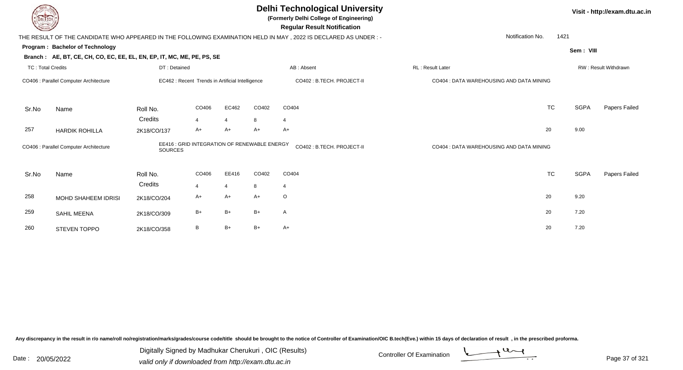| <b>DELTECH</b>           |                                                                        |                     |                                                  |                        |         | <b>Delhi Technological University</b><br>(Formerly Delhi College of Engineering)<br><b>Regular Result Notification</b> |                                          |           |             | Visit - http://exam.dtu.ac.in |
|--------------------------|------------------------------------------------------------------------|---------------------|--------------------------------------------------|------------------------|---------|------------------------------------------------------------------------------------------------------------------------|------------------------------------------|-----------|-------------|-------------------------------|
|                          |                                                                        |                     |                                                  |                        |         | THE RESULT OF THE CANDIDATE WHO APPEARED IN THE FOLLOWING EXAMINATION HELD IN MAY, 2022 IS DECLARED AS UNDER :-        | Notification No.                         | 1421      |             |                               |
|                          | Program: Bachelor of Technology                                        |                     |                                                  |                        |         |                                                                                                                        |                                          |           | Sem: VIII   |                               |
|                          | Branch: AE, BT, CE, CH, CO, EC, EE, EL, EN, EP, IT, MC, ME, PE, PS, SE |                     |                                                  |                        |         |                                                                                                                        |                                          |           |             |                               |
| <b>TC: Total Credits</b> |                                                                        | DT: Detained        |                                                  |                        |         | AB: Absent                                                                                                             | RL: Result Later                         |           |             | RW: Result Withdrawn          |
|                          | CO406 : Parallel Computer Architecture                                 |                     | EC462 : Recent Trends in Artificial Intelligence |                        |         | CO402 : B.TECH. PROJECT-II                                                                                             | CO404 : DATA WAREHOUSING AND DATA MINING |           |             |                               |
| Sr.No                    | Name                                                                   | Roll No.            | CO406                                            | EC462                  | CO402   | CO404                                                                                                                  |                                          | <b>TC</b> | <b>SGPA</b> | Papers Failed                 |
|                          |                                                                        | Credits             | $\overline{4}$                                   | $\overline{4}$         | 8       | 4                                                                                                                      |                                          |           |             |                               |
| 257                      | <b>HARDIK ROHILLA</b>                                                  | 2K18/CO/137         | A+                                               | $A+$                   | $A+$    | $A+$                                                                                                                   |                                          | 20        | 9.00        |                               |
|                          | CO406 : Parallel Computer Architecture                                 | <b>SOURCES</b>      | EE416 : GRID INTEGRATION OF RENEWABLE ENERGY     |                        |         | CO402: B.TECH. PROJECT-II                                                                                              | CO404 : DATA WAREHOUSING AND DATA MINING |           |             |                               |
| Sr.No                    | Name                                                                   | Roll No.<br>Credits | CO406<br>$\overline{4}$                          | EE416                  | CO402   | CO404                                                                                                                  |                                          | <b>TC</b> | <b>SGPA</b> | Papers Failed                 |
| 258                      | MOHD SHAHEEM IDRISI                                                    | 2K18/CO/204         | A+                                               | $\overline{4}$<br>$A+$ | 8<br>A+ | $\overline{4}$<br>$\circ$                                                                                              |                                          | 20        | 9.20        |                               |
| 259                      | <b>SAHIL MEENA</b>                                                     | 2K18/CO/309         | $B+$                                             | $B+$                   | $B+$    | A                                                                                                                      |                                          | 20        | 7.20        |                               |
| 260                      | STEVEN TOPPO                                                           | 2K18/CO/358         | B                                                | $B+$                   | $B+$    | $A+$                                                                                                                   |                                          | 20        | 7.20        |                               |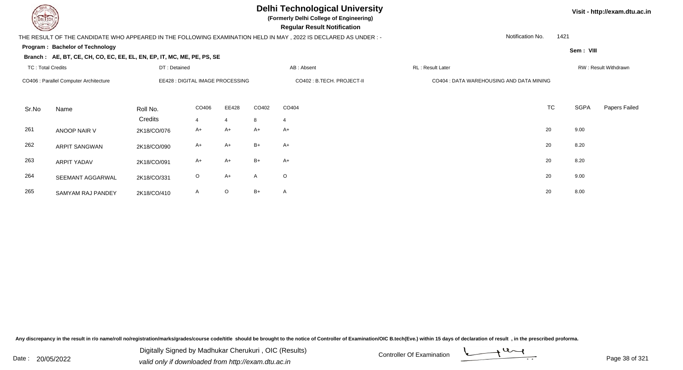

**(Formerly Delhi College of Engineering)**

 **Regular Result Notification**

### THE RESULT OF THE CANDIDATE WHO APPEARED IN THE FOLLOWING EXAMINATION HELD IN MAY , 2022 IS DECLARED AS UNDER : -

Notification No.1421

**Sem : VIII**

**Visit - http://exam.dtu.ac.in**

**Program : Bachelor of Technology**

### **Branch : AE, BT, CE, CH, CO, EC, EE, EL, EN, EP, IT, MC, ME, PE, PS, SE**

| <b>TC: Total Credits</b> |                                        | DT: Detained |                                  |                |       | AB: Absent                 | RL : Result Later                        |           |             | RW: Result Withdrawn |
|--------------------------|----------------------------------------|--------------|----------------------------------|----------------|-------|----------------------------|------------------------------------------|-----------|-------------|----------------------|
|                          | CO406 : Parallel Computer Architecture |              | EE428 : DIGITAL IMAGE PROCESSING |                |       | CO402 : B.TECH. PROJECT-II | CO404 : DATA WAREHOUSING AND DATA MINING |           |             |                      |
| Sr.No                    | Name                                   | Roll No.     | CO406                            | EE428          | CO402 | CO404                      |                                          | <b>TC</b> | <b>SGPA</b> | Papers Failed        |
|                          |                                        | Credits      | $\overline{4}$                   | $\overline{4}$ | 8     | $\overline{4}$             |                                          |           |             |                      |
| 261                      | ANOOP NAIR V                           | 2K18/CO/076  | A+                               | $A+$           | $A+$  | $A+$                       |                                          | 20        | 9.00        |                      |
| 262                      | <b>ARPIT SANGWAN</b>                   | 2K18/CO/090  | $A+$                             | $A+$           | $B+$  | $A+$                       |                                          | 20        | 8.20        |                      |
| 263                      | <b>ARPIT YADAV</b>                     | 2K18/CO/091  | A+                               | $A+$           | $B+$  | $A+$                       |                                          | 20        | 8.20        |                      |
| 264                      | SEEMANT AGGARWAL                       | 2K18/CO/331  | $\circ$                          | $A+$           | A     | $\circ$                    |                                          | 20        | 9.00        |                      |
| 265                      | SAMYAM RAJ PANDEY                      | 2K18/CO/410  | A                                | $\circ$        | $B+$  | A                          |                                          | 20        | 8.00        |                      |

Any discrepancy in the result in r/o name/roll no/registration/marks/grades/course code/title should be brought to the notice of Controller of Examination/OIC B.tech(Eve.) within 15 days of declaration of result, in the pr



Date : 20/05/2022 Valid only if downloaded from http://exam.dtu.ac.in<br>valid only if downloaded from http://exam.dtu.ac.in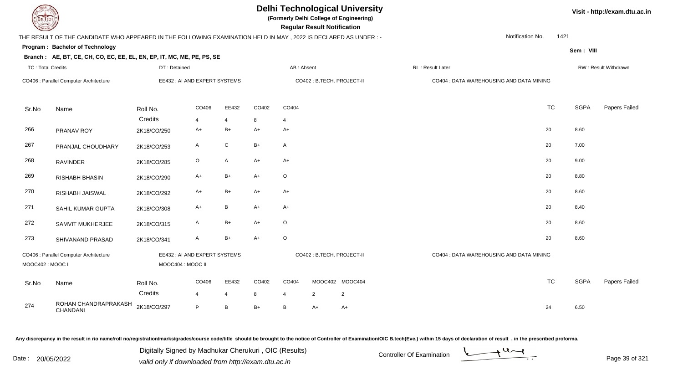**Program : Bachelor of Technology**

# **Delhi Technological University**

**(Formerly Delhi College of Engineering)**

 **Regular Result Notification**

## THE RESULT OF THE CANDIDATE WHO APPEARED IN THE FOLLOWING EXAMINATION HELD IN MAY , 2022 IS DECLARED AS UNDER : -

Notification No.1421

**Branch : AE, BT, CE, CH, CO, EC, EE, EL, EN, EP, IT, MC, ME, PE, PS, SE**

| <b>TC: Total Credits</b> |                                        | DT: Detained                                       |                         |                         |            | AB: Absent              |                            |                                   | RL: Result Later                         |           |      | RW: Result Withdrawn |
|--------------------------|----------------------------------------|----------------------------------------------------|-------------------------|-------------------------|------------|-------------------------|----------------------------|-----------------------------------|------------------------------------------|-----------|------|----------------------|
|                          | CO406 : Parallel Computer Architecture | EE432 : AI AND EXPERT SYSTEMS                      |                         |                         |            |                         | CO402 : B.TECH. PROJECT-II |                                   | CO404 : DATA WAREHOUSING AND DATA MINING |           |      |                      |
| Sr.No                    | Name                                   | Roll No.<br>Credits                                | CO406<br>$\overline{4}$ | EE432<br>$\overline{4}$ | CO402<br>8 | CO404<br>$\overline{4}$ |                            |                                   |                                          | <b>TC</b> | SGPA | Papers Failed        |
| 266                      | PRANAV ROY                             | 2K18/CO/250                                        | $A+$                    | $B+$                    | $A+$       | $A+$                    |                            |                                   |                                          | 20        | 8.60 |                      |
| 267                      | PRANJAL CHOUDHARY                      | 2K18/CO/253                                        | $\mathsf{A}$            | ${\bf C}$               | $B+$       | $\overline{A}$          |                            |                                   |                                          | 20        | 7.00 |                      |
| 268                      | <b>RAVINDER</b>                        | 2K18/CO/285                                        | $\circ$                 | $\mathsf{A}$            | $A+$       | $A+$                    |                            |                                   |                                          | 20        | 9.00 |                      |
| 269                      | RISHABH BHASIN                         | 2K18/CO/290                                        | $A+$                    | $B+$                    | $A+$       | $\circ$                 |                            |                                   |                                          | 20        | 8.80 |                      |
| 270                      | RISHABH JAISWAL                        | 2K18/CO/292                                        | $A+$                    | $B+$                    | $A+$       | $A+$                    |                            |                                   |                                          | 20        | 8.60 |                      |
| 271                      | SAHIL KUMAR GUPTA                      | 2K18/CO/308                                        | $A+$                    | $\, {\bf B}$            | $A+$       | $A+$                    |                            |                                   |                                          | 20        | 8.40 |                      |
| 272                      | SAMVIT MUKHERJEE                       | 2K18/CO/315                                        | $\mathsf{A}$            | $B+$                    | $A+$       | $\circ$                 |                            |                                   |                                          | 20        | 8.60 |                      |
| 273                      | SHIVANAND PRASAD                       | 2K18/CO/341                                        | $\mathsf{A}$            | $B+$                    | $A+$       | $\circ$                 |                            |                                   |                                          | 20        | 8.60 |                      |
| MOOC402 : MOOC I         | CO406 : Parallel Computer Architecture | EE432 : AI AND EXPERT SYSTEMS<br>MOOC404 : MOOC II |                         |                         |            |                         | CO402 : B.TECH. PROJECT-II |                                   | CO404 : DATA WAREHOUSING AND DATA MINING |           |      |                      |
| Sr.No                    | Name                                   | Roll No.<br>Credits                                | CO406<br>$\overline{4}$ | EE432<br>$\overline{4}$ | CO402<br>8 | CO404<br>$\overline{4}$ | 2                          | MOOC402 MOOC404<br>$\overline{2}$ |                                          | <b>TC</b> | SGPA | Papers Failed        |
| 274                      | ROHAN CHANDRAPRAKASH<br>CHANDANI       | 2K18/CO/297                                        | P                       | $\, {\bf B}$            | $B+$       | B                       | $A+$                       | $A+$                              |                                          | 24        | 6.50 |                      |

Any discrepancy in the result in r/o name/roll no/registration/marks/grades/course code/title should be brought to the notice of Controller of Examination/OIC B.tech(Eve.) within 15 days of declaration of result, in the pr

Date : 20/05/2022 Digital Digital of Microsofted Chemical Controller Of Examination Determination Page 39 of 32 Digitally Signed by Madhukar Cherukuri , OIC (Results)

**Visit - http://exam.dtu.ac.in**

**Sem : VIII**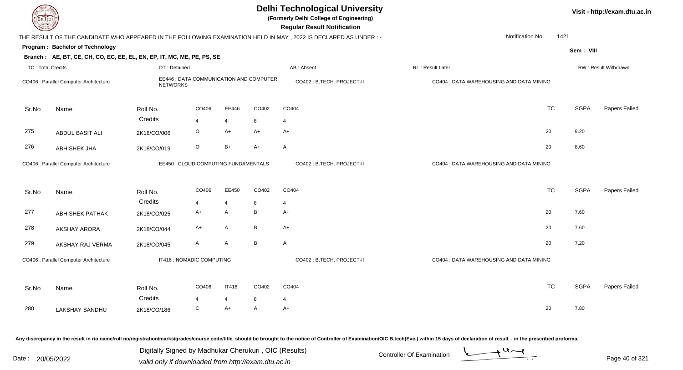| JEL I ECH                |                                                                        |                 |                                         |                |              | <b>Delhi Technological University</b><br>(Formerly Delhi College of Engineering)<br><b>Regular Result Notification</b> |                                          |             | Visit - http://exam.dtu.ac.in |
|--------------------------|------------------------------------------------------------------------|-----------------|-----------------------------------------|----------------|--------------|------------------------------------------------------------------------------------------------------------------------|------------------------------------------|-------------|-------------------------------|
|                          |                                                                        |                 |                                         |                |              | THE RESULT OF THE CANDIDATE WHO APPEARED IN THE FOLLOWING EXAMINATION HELD IN MAY, 2022 IS DECLARED AS UNDER:-         | Notification No.                         | 1421        |                               |
|                          | Program: Bachelor of Technology                                        |                 |                                         |                |              |                                                                                                                        |                                          | Sem: VIII   |                               |
|                          | Branch: AE, BT, CE, CH, CO, EC, EE, EL, EN, EP, IT, MC, ME, PE, PS, SE |                 |                                         |                |              |                                                                                                                        |                                          |             |                               |
| <b>TC: Total Credits</b> |                                                                        | DT: Detained    |                                         |                |              | AB: Absent                                                                                                             | RL: Result Later                         |             | RW: Result Withdrawn          |
|                          | CO406 : Parallel Computer Architecture                                 | <b>NETWORKS</b> | EE446 : DATA COMMUNICATION AND COMPUTER |                |              | CO402 : B.TECH. PROJECT-II                                                                                             | CO404 : DATA WAREHOUSING AND DATA MINING |             |                               |
| Sr.No                    | Name                                                                   | Roll No.        | CO406                                   | EE446          | CO402        | CO404                                                                                                                  | <b>TC</b>                                | SGPA        | Papers Failed                 |
|                          |                                                                        | Credits         | 4                                       | $\overline{4}$ | 8            | $\overline{4}$                                                                                                         |                                          |             |                               |
| 275                      | ABDUL BASIT ALI                                                        | 2K18/CO/006     | O                                       | $A+$           | A+           | $A+$                                                                                                                   | 20                                       | 9.20        |                               |
| 276                      | <b>ABHISHEK JHA</b>                                                    | 2K18/CO/019     | O                                       | $B+$           | $A+$         | $\mathsf{A}$                                                                                                           | 20                                       | 8.60        |                               |
|                          | CO406 : Parallel Computer Architecture                                 |                 | EE450 : CLOUD COMPUTING FUNDAMENTALS    |                |              | CO402 : B.TECH. PROJECT-II                                                                                             | CO404 : DATA WAREHOUSING AND DATA MINING |             |                               |
| Sr.No                    | Name                                                                   | Roll No.        | CO406                                   | EE450          | CO402        | CO404                                                                                                                  | <b>TC</b>                                | <b>SGPA</b> | Papers Failed                 |
|                          |                                                                        | Credits         | 4                                       | $\overline{4}$ | 8            | $\overline{4}$                                                                                                         |                                          |             |                               |
| 277                      | <b>ABHISHEK PATHAK</b>                                                 | 2K18/CO/025     | $A+$                                    | $\mathsf{A}$   | B            | $A+$                                                                                                                   | 20                                       | 7.60        |                               |
| 278                      | <b>AKSHAY ARORA</b>                                                    | 2K18/CO/044     | A+                                      | A              | B            | $A+$                                                                                                                   | 20                                       | 7.60        |                               |
| 279                      | AKSHAY RAJ VERMA                                                       | 2K18/CO/045     | $\mathsf{A}$                            | A              | B            | $\mathsf{A}$                                                                                                           | 20                                       | 7.20        |                               |
|                          | CO406 : Parallel Computer Architecture                                 |                 | IT416 : NOMADIC COMPUTING               |                |              | CO402 : B.TECH. PROJECT-II                                                                                             | CO404 : DATA WAREHOUSING AND DATA MINING |             |                               |
| Sr.No                    | Name                                                                   | Roll No.        | CO406                                   | <b>IT416</b>   | CO402        | CO404                                                                                                                  | <b>TC</b>                                | <b>SGPA</b> | Papers Failed                 |
|                          |                                                                        | Credits         | 4                                       | $\overline{4}$ | 8            | $\overline{4}$                                                                                                         |                                          |             |                               |
| 280                      | LAKSHAY SANDHU                                                         | 2K18/CO/186     | C                                       | $A+$           | $\mathsf{A}$ | $A+$                                                                                                                   | 20                                       | 7.80        |                               |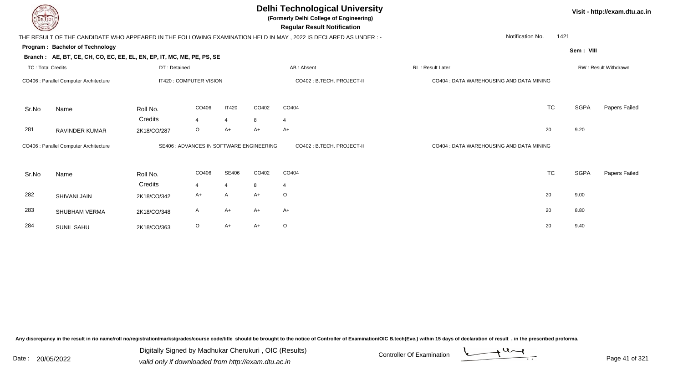**(Formerly Delhi College of Engineering)**

 **Regular Result Notification**

| $\overline{\phantom{0}}$ |                                                                        |              |                                          |                |       | <b>110galar 1100an: 110tinoation</b>                                                                             |                                          |           |             |                      |
|--------------------------|------------------------------------------------------------------------|--------------|------------------------------------------|----------------|-------|------------------------------------------------------------------------------------------------------------------|------------------------------------------|-----------|-------------|----------------------|
|                          |                                                                        |              |                                          |                |       | THE RESULT OF THE CANDIDATE WHO APPEARED IN THE FOLLOWING EXAMINATION HELD IN MAY, 2022 IS DECLARED AS UNDER : - | Notification No.                         | 1421      |             |                      |
|                          | Program: Bachelor of Technology                                        |              |                                          |                |       |                                                                                                                  |                                          |           | Sem: VIII   |                      |
|                          | Branch: AE, BT, CE, CH, CO, EC, EE, EL, EN, EP, IT, MC, ME, PE, PS, SE |              |                                          |                |       |                                                                                                                  |                                          |           |             |                      |
| <b>TC: Total Credits</b> |                                                                        | DT: Detained |                                          |                |       | AB: Absent                                                                                                       | <b>RL: Result Later</b>                  |           |             | RW: Result Withdrawn |
|                          | CO406 : Parallel Computer Architecture                                 |              | IT420 : COMPUTER VISION                  |                |       | CO402 : B.TECH. PROJECT-II                                                                                       | CO404 : DATA WAREHOUSING AND DATA MINING |           |             |                      |
| Sr.No                    | Name                                                                   | Roll No.     | CO406                                    | <b>IT420</b>   | CO402 | CO404                                                                                                            |                                          | <b>TC</b> | <b>SGPA</b> | Papers Failed        |
|                          |                                                                        | Credits      | $\overline{\mathbf{A}}$                  | $\overline{4}$ | 8     | $\overline{4}$                                                                                                   |                                          |           |             |                      |
| 281                      | RAVINDER KUMAR                                                         | 2K18/CO/287  | $\circ$                                  | $A+$           | $A+$  | $A+$                                                                                                             |                                          | 20        | 9.20        |                      |
|                          | CO406 : Parallel Computer Architecture                                 |              | SE406 : ADVANCES IN SOFTWARE ENGINEERING |                |       | CO402 : B.TECH. PROJECT-II                                                                                       | CO404 : DATA WAREHOUSING AND DATA MINING |           |             |                      |
| Sr.No                    | Name                                                                   | Roll No.     | CO406                                    | SE406          | CO402 | CO404                                                                                                            |                                          | <b>TC</b> | <b>SGPA</b> | Papers Failed        |
|                          |                                                                        | Credits      | $\overline{\mathbf{A}}$                  | $\overline{4}$ | 8     | 4                                                                                                                |                                          |           |             |                      |
| 282                      | SHIVANI JAIN                                                           | 2K18/CO/342  | $A+$                                     | $\mathsf{A}$   | $A+$  | $\circ$                                                                                                          |                                          | 20        | 9.00        |                      |
| 283                      | SHUBHAM VERMA                                                          | 2K18/CO/348  | A                                        | $A+$           | $A+$  | $A+$                                                                                                             |                                          | 20        | 8.80        |                      |
| 284                      | SUNIL SAHU                                                             | 2K18/CO/363  | $\circ$                                  | $A+$           | $A+$  | $\circ$                                                                                                          |                                          | 20        | 9.40        |                      |

Any discrepancy in the result in r/o name/roll no/registration/marks/grades/course code/title should be brought to the notice of Controller of Examination/OIC B.tech(Eve.) within 15 days of declaration of result, in the pr

Date : 20/05/2022 Digital Digital of State of Controller Of Examination Determination Date : 20/05/2022<br>valid only if downloaded from http://exam.dtu.ac.in Digitally Signed by Madhukar Cherukuri , OIC (Results)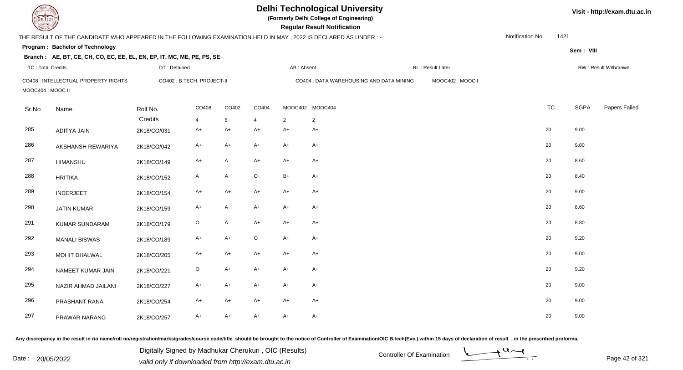| DEL ECH                  |                                                                                                                  |                            |             |              |                |            | <b>Delhi Technological University</b><br>(Formerly Delhi College of Engineering)<br><b>Regular Result Notification</b> |                  |                  |      |             | Visit - http://exam.dtu.ac.in |
|--------------------------|------------------------------------------------------------------------------------------------------------------|----------------------------|-------------|--------------|----------------|------------|------------------------------------------------------------------------------------------------------------------------|------------------|------------------|------|-------------|-------------------------------|
|                          | THE RESULT OF THE CANDIDATE WHO APPEARED IN THE FOLLOWING EXAMINATION HELD IN MAY , 2022 IS DECLARED AS UNDER :- |                            |             |              |                |            |                                                                                                                        |                  | Notification No. | 1421 |             |                               |
|                          | Program: Bachelor of Technology                                                                                  |                            |             |              |                |            |                                                                                                                        |                  |                  |      | Sem: VIII   |                               |
|                          | Branch: AE, BT, CE, CH, CO, EC, EE, EL, EN, EP, IT, MC, ME, PE, PS, SE                                           |                            |             |              |                |            |                                                                                                                        |                  |                  |      |             |                               |
| <b>TC: Total Credits</b> |                                                                                                                  | DT: Detained               |             |              |                | AB: Absent |                                                                                                                        | RL: Result Later |                  |      |             | RW: Result Withdrawn          |
| MOOC404: MOOC II         | CO408 : INTELLECTUAL PROPERTY RIGHTS                                                                             | CO402 : B.TECH. PROJECT-II |             |              |                |            | CO404 : DATA WAREHOUSING AND DATA MINING                                                                               | MOOC402: MOOC I  |                  |      |             |                               |
| Sr.No                    | Name                                                                                                             | Roll No.                   | CO408       | CO402        | CO404          |            | MOOC402 MOOC404                                                                                                        |                  | <b>TC</b>        |      | <b>SGPA</b> | Papers Failed                 |
|                          |                                                                                                                  | Credits                    | 4           | 8            | $\overline{4}$ | 2          | $\overline{2}$                                                                                                         |                  |                  |      |             |                               |
| 285                      | ADITYA JAIN                                                                                                      | 2K18/CO/031                | $A+$        | $A+$         | $A+$           | $A+$       | $A+$                                                                                                                   |                  | 20               |      | 9.00        |                               |
| 286                      | AKSHANSH REWARIYA                                                                                                | 2K18/CO/042                | $A+$        | $A+$         | $A+$           | $A+$       | $A+$                                                                                                                   |                  | 20               |      | 9.00        |                               |
| 287                      | <b>HIMANSHU</b>                                                                                                  | 2K18/CO/149                | $A+$        | $\mathsf{A}$ | $A+$           | $A+$       | $A+$                                                                                                                   |                  | 20               |      | 8.60        |                               |
| 288                      | <b>HRITIKA</b>                                                                                                   | 2K18/CO/152                | A           | $\mathsf{A}$ | $\circ$        | $B+$       | $A+$                                                                                                                   |                  | 20               |      | 8.40        |                               |
| 289                      | <b>INDERJEET</b>                                                                                                 | 2K18/CO/154                | $A+$        | $A+$         | $A+$           | $A+$       | $A+$                                                                                                                   |                  | 20               |      | 9.00        |                               |
| 290                      | <b>JATIN KUMAR</b>                                                                                               | 2K18/CO/159                | A+          | $\mathsf{A}$ | A+             | $A+$       | A+                                                                                                                     |                  | 20               |      | 8.60        |                               |
| 291                      | <b>KUMAR SUNDARAM</b>                                                                                            | 2K18/CO/179                | $\mathsf O$ | A            | $A+$           | $A+$       | $A+$                                                                                                                   |                  | 20               |      | 8.80        |                               |
| 292                      | <b>MANALI BISWAS</b>                                                                                             | 2K18/CO/189                | A+          | $A+$         | $\circ$        | $A+$       | $A+$                                                                                                                   |                  | 20               |      | 9.20        |                               |
| 293                      | MOHIT DHALWAL                                                                                                    | 2K18/CO/205                | A+          | $A+$         | $A+$           | $A+$       | A+                                                                                                                     |                  | 20               |      | 9.00        |                               |
| 294                      | NAMEET KUMAR JAIN                                                                                                | 2K18/CO/221                | $\mathsf O$ | $A+$         | $A+$           | $A+$       | A+                                                                                                                     |                  | 20               |      | 9.20        |                               |
| 295                      | NAZIR AHMAD JAILANI                                                                                              | 2K18/CO/227                | A+          | $A+$         | A+             | $A+$       | A+                                                                                                                     |                  | 20               |      | 9.00        |                               |
| 296                      | PRASHANT RANA                                                                                                    | 2K18/CO/254                | A+          | $A+$         | A+             | $A+$       | A+                                                                                                                     |                  | 20               |      | 9.00        |                               |
| 297                      | PRAWAR NARANG                                                                                                    | 2K18/CO/257                | $A+$        | $A+$         | $A+$           | $A+$       | A+                                                                                                                     |                  | 20               |      | 9.00        |                               |

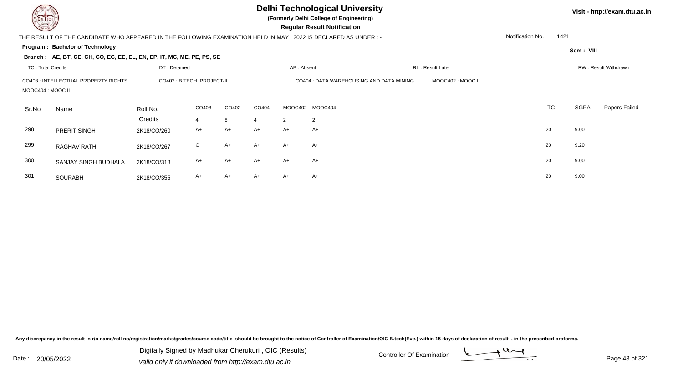| DEL TECH                 |                                                                                                                 |                            |                         |            |       |            | <b>Delhi Technological University</b><br>(Formerly Delhi College of Engineering)<br><b>Regular Result Notification</b> |                  |                  |      |             | Visit - http://exam.dtu.ac.in |
|--------------------------|-----------------------------------------------------------------------------------------------------------------|----------------------------|-------------------------|------------|-------|------------|------------------------------------------------------------------------------------------------------------------------|------------------|------------------|------|-------------|-------------------------------|
|                          | THE RESULT OF THE CANDIDATE WHO APPEARED IN THE FOLLOWING EXAMINATION HELD IN MAY, 2022 IS DECLARED AS UNDER :- |                            |                         |            |       |            |                                                                                                                        |                  | Notification No. | 1421 |             |                               |
|                          | Program: Bachelor of Technology                                                                                 |                            |                         |            |       |            |                                                                                                                        |                  |                  |      | Sem: VIII   |                               |
| <b>TC: Total Credits</b> | Branch: AE, BT, CE, CH, CO, EC, EE, EL, EN, EP, IT, MC, ME, PE, PS, SE                                          | DT: Detained               |                         |            |       | AB: Absent |                                                                                                                        | RL: Result Later |                  |      |             | RW: Result Withdrawn          |
| MOOC404 : MOOC II        | CO408 : INTELLECTUAL PROPERTY RIGHTS                                                                            | CO402 : B.TECH. PROJECT-II |                         |            |       |            | CO404 : DATA WAREHOUSING AND DATA MINING                                                                               | MOOC402: MOOC I  |                  |      |             |                               |
| Sr.No                    | Name                                                                                                            | Roll No.<br>Credits        | CO408<br>$\overline{4}$ | CO402<br>8 | CO404 | 2          | MOOC402 MOOC404<br>$\overline{2}$                                                                                      |                  | <b>TC</b>        |      | <b>SGPA</b> | Papers Failed                 |
| 298                      | PRERIT SINGH                                                                                                    | 2K18/CO/260                | A+                      | $A+$       | A+    | $A+$       | $A+$                                                                                                                   |                  | 20               |      | 9.00        |                               |
| 299                      | RAGHAV RATHI                                                                                                    | 2K18/CO/267                | $\circ$                 | $A+$       | $A+$  | $A+$       | $A+$                                                                                                                   |                  | 20               |      | 9.20        |                               |
| 300                      | SANJAY SINGH BUDHALA                                                                                            | 2K18/CO/318                | A+                      | $A+$       | A+    | $A+$       | $A+$                                                                                                                   |                  | 20               |      | 9.00        |                               |
| 301                      | SOURABH                                                                                                         | 2K18/CO/355                | A+                      | $A+$       | A+    | $A+$       | $A+$                                                                                                                   |                  | 20               |      | 9.00        |                               |

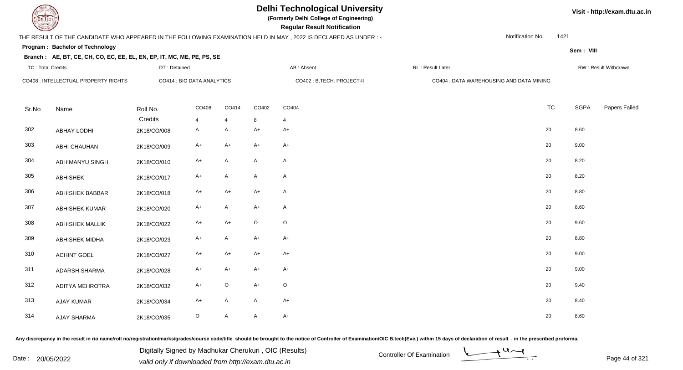# **Delhi Technological University**

**(Formerly Delhi College of Engineering)**

 **Regular Result Notification**

## THE RESULT OF THE CANDIDATE WHO APPEARED IN THE FOLLOWING EXAMINATION HELD IN MAY , 2022 IS DECLARED AS UNDER : -

DT : Detained

Notification No.1421

**Sem : VIII**

## **Program : Bachelor of Technology**

**Branch : AE, BT, CE, CH, CO, EC, EE, EL, EN, EP, IT, MC, ME, PE, PS, SE**

| TC: Total Credits |                                      | DT : Detained       |                                |                     |                           | AB : Absent                | RL : Result Later                        |           |             | RW: Result Withdrawn |
|-------------------|--------------------------------------|---------------------|--------------------------------|---------------------|---------------------------|----------------------------|------------------------------------------|-----------|-------------|----------------------|
|                   | CO408 : INTELLECTUAL PROPERTY RIGHTS |                     | CO414 : BIG DATA ANALYTICS     |                     |                           | CO402 : B.TECH. PROJECT-II | CO404 : DATA WAREHOUSING AND DATA MINING |           |             |                      |
| Sr.No             | Name                                 | Roll No.<br>Credits | CO408                          | CO414               | CO402                     | CO404                      |                                          | <b>TC</b> | <b>SGPA</b> | Papers Failed        |
| 302               | <b>ABHAY LODHI</b>                   | 2K18/CO/008         | $\overline{4}$<br>$\mathsf{A}$ | $\overline{4}$<br>A | 8<br>$A+$                 | 4<br>$A+$                  |                                          | 20        | 8.60        |                      |
| 303               | ABHI CHAUHAN                         | 2K18/CO/009         | $A+$                           | A+                  | $A+$                      | $A+$                       |                                          | 20        | 9.00        |                      |
| 304               | ABHIMANYU SINGH                      | 2K18/CO/010         | $A+$                           | A                   | $\boldsymbol{\mathsf{A}}$ | $\mathsf{A}$               |                                          | 20        | 8.20        |                      |
| 305               | ABHISHEK                             | 2K18/CO/017         | $A+$                           | A                   | $\mathsf{A}$              | $\mathsf{A}$               |                                          | 20        | 8.20        |                      |
| 306               | <b>ABHISHEK BABBAR</b>               | 2K18/CO/018         | $A+$                           | $A+$                | $A+$                      | $\mathsf{A}$               |                                          | 20        | 8.80        |                      |
| 307               | <b>ABHISHEK KUMAR</b>                | 2K18/CO/020         | $A+$                           | A                   | $A+$                      | $\mathsf{A}$               |                                          | 20        | 8.60        |                      |
| 308               | <b>ABHISHEK MALLIK</b>               | 2K18/CO/022         | A+                             | A+                  | $\mathsf O$               | $\circ$                    |                                          | 20        | 9.60        |                      |
| 309               | ABHISHEK MIDHA                       | 2K18/CO/023         | $A+$                           | A                   | $A+$                      | $A+$                       |                                          | 20        | 8.80        |                      |
| 310               | <b>ACHINT GOEL</b>                   | 2K18/CO/027         | $A+$                           | $A+$                | $A+$                      | $A+$                       |                                          | 20        | 9.00        |                      |
| 311               | <b>ADARSH SHARMA</b>                 | 2K18/CO/028         | $A+$                           | A+                  | $A+$                      | $A+$                       |                                          | 20        | 9.00        |                      |
| 312               | <b>ADITYA MEHROTRA</b>               | 2K18/CO/032         | $A+$                           | $\circ$             | $A+$                      | $\circ$                    |                                          | 20        | 9.40        |                      |
| 313               | <b>AJAY KUMAR</b>                    | 2K18/CO/034         | $A+$                           | A                   | $\mathsf{A}$              | $A+$                       |                                          | 20        | 8.40        |                      |
| 314               | AJAY SHARMA                          | 2K18/CO/035         | $\circ$                        | A                   | $\mathsf{A}$              | $A+$                       |                                          | 20        | 8.60        |                      |

Any discrepancy in the result in r/o name/roll no/registration/marks/grades/course code/title should be brought to the notice of Controller of Examination/OIC B.tech(Eve.) within 15 days of declaration of result, in the pr

Date : 20/05/2022 Digital Digital of Ortroller Of Examination Determination Date : 20/05/2022<br>valid only if downloaded from http://exam.dtu.ac.in Digitally Signed by Madhukar Cherukuri , OIC (Results)

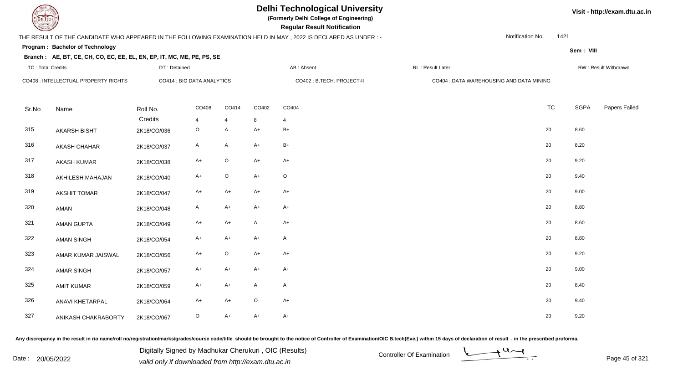# **Delhi Technological University**

**(Formerly Delhi College of Engineering)**

 **Regular Result Notification**

## THE RESULT OF THE CANDIDATE WHO APPEARED IN THE FOLLOWING EXAMINATION HELD IN MAY , 2022 IS DECLARED AS UNDER : -

DT : Detained

Notification No.1421

**Sem : VIII**

### **Program : Bachelor of TechnologyBranch : AE, BT, CE, CH, CO, EC, EE, EL, EN, EP, IT, MC, ME, PE, PS, SE**

| TC: Total Credits                    |                     | DT : Detained              |                           |             | AB : Absent<br>RL : Result Later |                            |                                          |           | RW: Result Withdrawn |               |  |
|--------------------------------------|---------------------|----------------------------|---------------------------|-------------|----------------------------------|----------------------------|------------------------------------------|-----------|----------------------|---------------|--|
| CO408 : INTELLECTUAL PROPERTY RIGHTS |                     | CO414 : BIG DATA ANALYTICS |                           |             |                                  | CO402 : B.TECH. PROJECT-II | CO404 : DATA WAREHOUSING AND DATA MINING |           |                      |               |  |
| Sr.No                                | Name                | Roll No.                   | CO408                     | CO414       | CO402                            | CO404                      |                                          | <b>TC</b> | <b>SGPA</b>          | Papers Failec |  |
| 315                                  | <b>AKARSH BISHT</b> | Credits<br>2K18/CO/036     | $\overline{4}$<br>$\circ$ | 4<br>A      | 8<br>$A+$                        | 4<br>$B+$                  |                                          | 20        | 8.60                 |               |  |
| 316                                  | <b>AKASH CHAHAR</b> | 2K18/CO/037                | A                         | A           | $A+$                             | $B+$                       |                                          | 20        | 8.20                 |               |  |
| 317                                  | <b>AKASH KUMAR</b>  | 2K18/CO/038                | $A+$                      | $\circ$     | $A+$                             | $A+$                       |                                          | 20        | 9.20                 |               |  |
| 318                                  | AKHILESH MAHAJAN    | 2K18/CO/040                | $A+$                      | $\circ$     | $A+$                             | $\mathsf O$                |                                          | 20        | 9.40                 |               |  |
| 319                                  | <b>AKSHIT TOMAR</b> | 2K18/CO/047                | $A+$                      | $A+$        | $A+$                             | $A+$                       |                                          | 20        | 9.00                 |               |  |
| 320                                  | AMAN                | 2K18/CO/048                | A                         | $A+$        | $A+$                             | $A+$                       |                                          | 20        | 8.80                 |               |  |
| 321                                  | <b>AMAN GUPTA</b>   | 2K18/CO/049                | $A+$                      | $A+$        | A                                | $A+$                       |                                          | 20        | 8.60                 |               |  |
| 322                                  | <b>AMAN SINGH</b>   | 2K18/CO/054                | $A+$                      | $A+$        | $A+$                             | $\mathsf{A}$               |                                          | 20        | 8.80                 |               |  |
| 323                                  | AMAR KUMAR JAISWAL  | 2K18/CO/056                | $A+$                      | $\mathsf O$ | $A+$                             | $A+$                       |                                          | 20        | 9.20                 |               |  |
| 324                                  | <b>AMAR SINGH</b>   | 2K18/CO/057                | $A+$                      | $A+$        | $A+$                             | $A+$                       |                                          | 20        | 9.00                 |               |  |
| 325                                  | <b>AMIT KUMAR</b>   | 2K18/CO/059                | $A+$                      | $A+$        | A                                | $\mathsf{A}$               |                                          | 20        | 8.40                 |               |  |
| 326                                  | ANAVI KHETARPAL     | 2K18/CO/064                | A+                        | $A+$        | $\mathsf O$                      | $A+$                       |                                          | 20        | 9.40                 |               |  |
| 327                                  | ANIKASH CHAKRABORTY | 2K18/CO/067                | $\circ$                   | $A+$        | $A+$                             | $A+$                       |                                          | 20        | 9.20                 |               |  |

Any discrepancy in the result in r/o name/roll no/registration/marks/grades/course code/title should be brought to the notice of Controller of Examination/OIC B.tech(Eve.) within 15 days of declaration of result, in the pr

Date : 20/05/2022 Digital Digital of Microsofted Chemical Controller Of Examination Determination Page 45 of 32 Digitally Signed by Madhukar Cherukuri , OIC (Results)

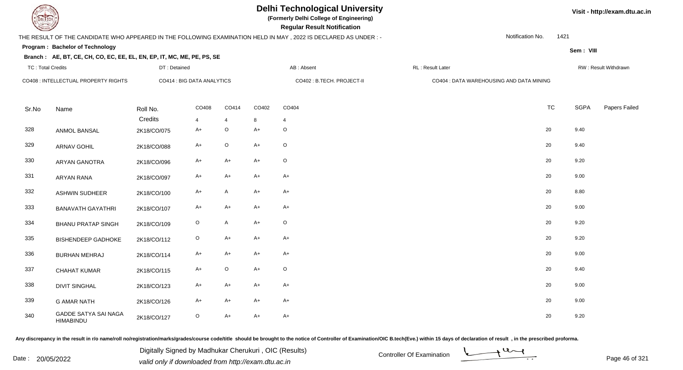**(Formerly Delhi College of Engineering)**

 **Regular Result Notification**

## THE RESULT OF THE CANDIDATE WHO APPEARED IN THE FOLLOWING EXAMINATION HELD IN MAY , 2022 IS DECLARED AS UNDER : -

Notification No.1421

**Sem : VIII**

**Visit - http://exam.dtu.ac.in**

### **Program : Bachelor of Technology**

### **Branch : AE, BT, CE, CH, CO, EC, EE, EL, EN, EP, IT, MC, ME, PE, PS, SE**

| <b>TC: Total Credits</b>             |                                                 | DT: Detained |                            |                | AB: Absent                 |             | RL: Result Later                         |           |             | RW: Result Withdrawn |  |  |
|--------------------------------------|-------------------------------------------------|--------------|----------------------------|----------------|----------------------------|-------------|------------------------------------------|-----------|-------------|----------------------|--|--|
| CO408 : INTELLECTUAL PROPERTY RIGHTS |                                                 |              | CO414 : BIG DATA ANALYTICS |                | CO402 : B.TECH. PROJECT-II |             | CO404 : DATA WAREHOUSING AND DATA MINING |           |             |                      |  |  |
| Sr.No                                | Name                                            | Roll No.     | CO408                      | CO414          | CO402                      | CO404       |                                          | <b>TC</b> | <b>SGPA</b> | Papers Failed        |  |  |
|                                      |                                                 | Credits      | $\overline{4}$             | $\overline{4}$ | 8                          | 4           |                                          |           |             |                      |  |  |
| 328                                  | ANMOL BANSAL                                    | 2K18/CO/075  | $A+$                       | O              | $A+$                       | $\circ$     |                                          | 20        | 9.40        |                      |  |  |
| 329                                  | <b>ARNAV GOHIL</b>                              | 2K18/CO/088  | $A+$                       | $\circ$        | $A+$                       | $\circ$     |                                          | 20        | 9.40        |                      |  |  |
| 330                                  | <b>ARYAN GANOTRA</b>                            | 2K18/CO/096  | $A+$                       | $A+$           | $A+$                       | $\circ$     |                                          | 20        | 9.20        |                      |  |  |
| 331                                  | <b>ARYAN RANA</b>                               | 2K18/CO/097  | A+                         | A+             | $A+$                       | $A+$        |                                          | 20        | 9.00        |                      |  |  |
| 332                                  | <b>ASHWIN SUDHEER</b>                           | 2K18/CO/100  | $A+$                       | A              | $A+$                       | $A+$        | 20                                       |           | 8.80        |                      |  |  |
| 333                                  | <b>BANAVATH GAYATHRI</b>                        | 2K18/CO/107  | $A+$                       | $A+$           | $A+$                       | $A+$        | 20                                       |           | 9.00        |                      |  |  |
| 334                                  | <b>BHANU PRATAP SINGH</b>                       | 2K18/CO/109  | $\circ$                    | A              | $A+$                       | $\circ$     | 20                                       |           | 9.20        |                      |  |  |
| 335                                  | <b>BISHENDEEP GADHOKE</b>                       | 2K18/CO/112  | $\circ$                    | $A+$           | $A+$                       | $A+$        |                                          | 20        | 9.20        |                      |  |  |
| 336                                  | <b>BURHAN MEHRAJ</b>                            | 2K18/CO/114  | $A+$                       | $A+$           | $A+$                       | $A+$        |                                          | 20        | 9.00        |                      |  |  |
| 337                                  | <b>CHAHAT KUMAR</b>                             | 2K18/CO/115  | $A+$                       | $\circ$        | $A+$                       | $\mathsf O$ |                                          | 20        | 9.40        |                      |  |  |
| 338                                  | <b>DIVIT SINGHAL</b>                            | 2K18/CO/123  | $A+$                       | $A+$           | $A+$                       | $A+$        |                                          | 20        | 9.00        |                      |  |  |
| 339                                  | <b>G AMAR NATH</b>                              | 2K18/CO/126  | $A+$                       | A+             | $A+$                       | A+          |                                          | 20        | 9.00        |                      |  |  |
| 340                                  | <b>GADDE SATYA SAI NAGA</b><br><b>HIMABINDU</b> | 2K18/CO/127  | $\circ$                    | A+             | $A+$                       | $A+$        |                                          | 20        | 9.20        |                      |  |  |

Any discrepancy in the result in r/o name/roll no/registration/marks/grades/course code/title should be brought to the notice of Controller of Examination/OIC B.tech(Eve.) within 15 days of declaration of result, in the pr

Date : 20/05/2022 Digital Digital of Microsofted Chemical Controller Of Examination Determination Page 46 of 32 Digitally Signed by Madhukar Cherukuri , OIC (Results)

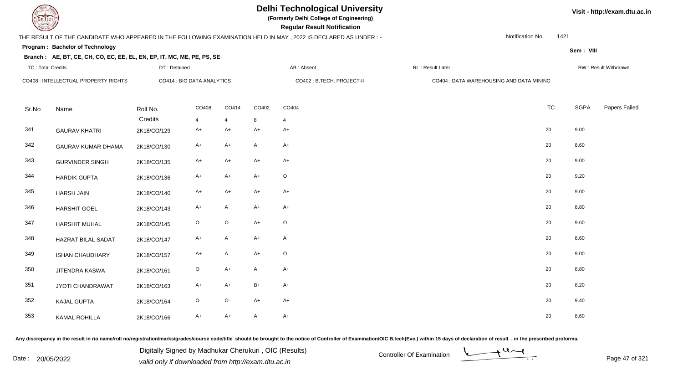

# **Delhi Technological University**

**(Formerly Delhi College of Engineering)**

 **Regular Result Notification**

### THE RESULT OF THE CANDIDATE WHO APPEARED IN THE FOLLOWING EXAMINATION HELD IN MAY , 2022 IS DECLARED AS UNDER : -

DT : Detained

Notification No.1421

**Sem : VIII**

**Visit - http://exam.dtu.ac.in**

## **Program : Bachelor of Technology**

| Branch: AE, BT, CE, CH, CO, EC, EE, EL, EN, EP, IT, MC, ME, PE, PS, SE |  |
|------------------------------------------------------------------------|--|
|                                                                        |  |

|                           |                                                           |                |                |                            |              |                                          |                   |             | RW: Result Withdrawn |  |  |
|---------------------------|-----------------------------------------------------------|----------------|----------------|----------------------------|--------------|------------------------------------------|-------------------|-------------|----------------------|--|--|
|                           | CO414 : BIG DATA ANALYTICS                                |                |                | CO402 : B.TECH. PROJECT-II |              | CO404 : DATA WAREHOUSING AND DATA MINING |                   |             |                      |  |  |
| Name                      | Roll No.                                                  | CO408          | CO414          | CO402                      | CO404        |                                          | <b>TC</b>         | <b>SGPA</b> | Papers Failed        |  |  |
|                           | Credits                                                   | $\overline{4}$ | $\overline{4}$ | 8                          | 4            |                                          |                   |             |                      |  |  |
| <b>GAURAV KHATRI</b>      | 2K18/CO/129                                               | $A+$           | A+             | $A+$                       | $A+$         |                                          | 20                | 9.00        |                      |  |  |
| <b>GAURAV KUMAR DHAMA</b> | 2K18/CO/130                                               | $A+$           | $A+$           | $\boldsymbol{\mathsf{A}}$  | $A+$         |                                          | 20                | 8.60        |                      |  |  |
| <b>GURVINDER SINGH</b>    | 2K18/CO/135                                               | A+             | A+             | $A+$                       | $A+$         |                                          | $20\,$            | 9.00        |                      |  |  |
| <b>HARDIK GUPTA</b>       | 2K18/CO/136                                               | $A+$           | A+             | $A+$                       | $\circ$      |                                          | 20                | 9.20        |                      |  |  |
| <b>HARSH JAIN</b>         | 2K18/CO/140                                               | $A+$           | $A+$           | $A+$                       | $A+$         |                                          | 20                | 9.00        |                      |  |  |
| <b>HARSHIT GOEL</b>       | 2K18/CO/143                                               | $A+$           | A              | $A+$                       | $A+$         |                                          | 20                | 8.80        |                      |  |  |
| <b>HARSHIT MUHAL</b>      | 2K18/CO/145                                               | $\circ$        | $\circ$        | $A+$                       | $\circ$      |                                          | 20                | 9.60        |                      |  |  |
| <b>HAZRAT BILAL SADAT</b> | 2K18/CO/147                                               | $A+$           | A              | $A+$                       | $\mathsf{A}$ |                                          | 20                | 8.60        |                      |  |  |
| <b>ISHAN CHAUDHARY</b>    | 2K18/CO/157                                               | A+             | A              | $A+$                       | $\circ$      |                                          | 20                | 9.00        |                      |  |  |
| JITENDRA KASWA            | 2K18/CO/161                                               | $\circ$        | $A+$           | A                          | $A+$         |                                          | 20                | 8.80        |                      |  |  |
| JYOTI CHANDRAWAT          | 2K18/CO/163                                               | $A+$           | $A+$           | $B+$                       | $A+$         |                                          | 20                | 8.20        |                      |  |  |
| <b>KAJAL GUPTA</b>        | 2K18/CO/164                                               | $\circ$        | $\circ$        | $A+$                       | $A+$         |                                          | 20                | 9.40        |                      |  |  |
| KAMAL ROHILLA             | 2K18/CO/166                                               | $A+$           | $A+$           | $\mathsf{A}$               | $A+$         |                                          | 20                | 8.60        |                      |  |  |
|                           | TC: Total Credits<br>CO408 : INTELLECTUAL PROPERTY RIGHTS |                |                |                            | DT: Detained | AB : Absent                              | RL : Result Later |             |                      |  |  |

Any discrepancy in the result in r/o name/roll no/registration/marks/grades/course code/title should be brought to the notice of Controller of Examination/OIC B.tech(Eve.) within 15 days of declaration of result, in the pr

Date : 20/05/2022 Digital Digital of Microsofted Chemical Controller Of Examination Determination Page 47 of 32 Digitally Signed by Madhukar Cherukuri , OIC (Results)

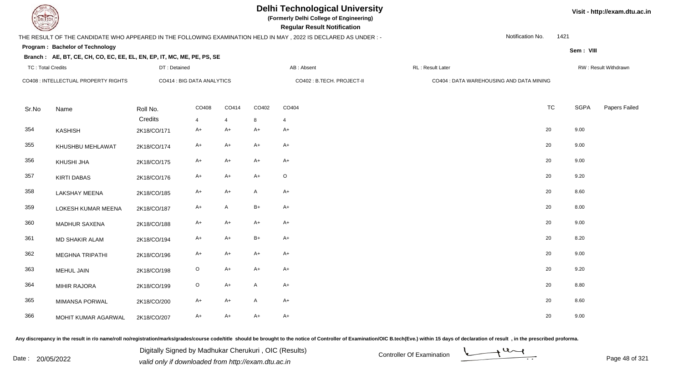

# **Delhi Technological University**

**(Formerly Delhi College of Engineering)**

 **Regular Result Notification**

## THE RESULT OF THE CANDIDATE WHO APPEARED IN THE FOLLOWING EXAMINATION HELD IN MAY , 2022 IS DECLARED AS UNDER : -

DT : Detained

Notification No.1421

**Sem : VIII**

**Visit - http://exam.dtu.ac.in**

### **Program : Bachelor of Technology**

### **Branch : AE, BT, CE, CH, CO, EC, EE, EL, EN, EP, IT, MC, ME, PE, PS, SE**

| TC: Total Credits |                                      | DT : Detained              |                         |            | AB : Absent<br>RL : Result Later |                            |                                          |           |             | RW : Result Withdrawn |  |  |
|-------------------|--------------------------------------|----------------------------|-------------------------|------------|----------------------------------|----------------------------|------------------------------------------|-----------|-------------|-----------------------|--|--|
|                   | CO408 : INTELLECTUAL PROPERTY RIGHTS | CO414 : BIG DATA ANALYTICS |                         |            |                                  | CO402 : B.TECH. PROJECT-II | CO404 : DATA WAREHOUSING AND DATA MINING |           |             |                       |  |  |
| Sr.No             | Name                                 | Roll No.<br>Credits        | CO408<br>$\overline{4}$ | CO414<br>4 | CO402<br>8                       | CO404<br>$\overline{4}$    |                                          | <b>TC</b> | <b>SGPA</b> | Papers Failed         |  |  |
| 354               | KASHISH                              | 2K18/CO/171                | $A+$                    | A+         | $A+$                             | $A+$                       |                                          | 20        | 9.00        |                       |  |  |
| 355               | KHUSHBU MEHLAWAT                     | 2K18/CO/174                | $A+$                    | $A+$       | $A+$                             | $A+$                       |                                          | 20        | 9.00        |                       |  |  |
| 356               | KHUSHI JHA                           | 2K18/CO/175                | $A+$                    | A+         | $A+$                             | $A+$                       |                                          | 20        | 9.00        |                       |  |  |
| 357               | <b>KIRTI DABAS</b>                   | 2K18/CO/176                | $A+$                    | $A+$       | $A+$                             | $\circ$                    |                                          | 20        | 9.20        |                       |  |  |
| 358               | <b>LAKSHAY MEENA</b>                 | 2K18/CO/185                | $A+$                    | $A+$       | $\mathsf{A}$                     | $A+$                       |                                          | 20        | 8.60        |                       |  |  |
| 359               | LOKESH KUMAR MEENA                   | 2K18/CO/187                | $A+$                    | A          | $B+$                             | $A+$                       |                                          | 20        | 8.00        |                       |  |  |
| 360               | <b>MADHUR SAXENA</b>                 | 2K18/CO/188                | $A+$                    | $A+$       | $A+$                             | $A+$                       |                                          | 20        | 9.00        |                       |  |  |
| 361               | <b>MD SHAKIR ALAM</b>                | 2K18/CO/194                | $A+$                    | $A+$       | $B+$                             | $A+$                       |                                          | 20        | 8.20        |                       |  |  |
| 362               | <b>MEGHNA TRIPATHI</b>               | 2K18/CO/196                | $A+$                    | $A+$       | $A+$                             | $A+$                       |                                          | 20        | 9.00        |                       |  |  |
| 363               | MEHUL JAIN                           | 2K18/CO/198                | $\circ$                 | $A+$       | $A+$                             | $A+$                       |                                          | 20        | 9.20        |                       |  |  |
| 364               | <b>MIHIR RAJORA</b>                  | 2K18/CO/199                | $\mathsf O$             | $A+$       | $\mathsf{A}$                     | $A+$                       |                                          | 20        | 8.80        |                       |  |  |
| 365               | <b>MIMANSA PORWAL</b>                | 2K18/CO/200                | $A+$                    | $A+$       | $\mathsf{A}$                     | $A+$                       |                                          | 20        | 8.60        |                       |  |  |
| 366               | MOHIT KUMAR AGARWAL                  | 2K18/CO/207                | $A+$                    | A+         | $A+$                             | $A+$                       |                                          | 20        | 9.00        |                       |  |  |

Any discrepancy in the result in r/o name/roll no/registration/marks/grades/course code/title should be brought to the notice of Controller of Examination/OIC B.tech(Eve.) within 15 days of declaration of result, in the pr

Date : 20/05/2022 Digital Digital of Microsofted Chemical Controller Of Examination Determination Page 48 of 32 Digitally Signed by Madhukar Cherukuri , OIC (Results)

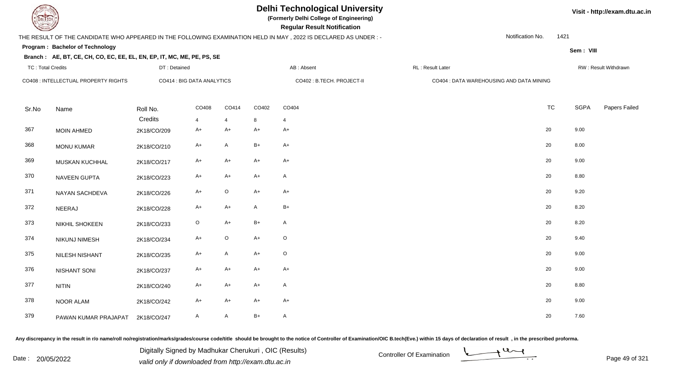# **Delhi Technological University**

**(Formerly Delhi College of Engineering)**

 **Regular Result Notification**

## THE RESULT OF THE CANDIDATE WHO APPEARED IN THE FOLLOWING EXAMINATION HELD IN MAY , 2022 IS DECLARED AS UNDER : -

DT : Detained

Notification No.1421

**Sem : VIII**

### **Program : Bachelor of TechnologyBranch : AE, BT, CE, CH, CO, EC, EE, EL, EN, EP, IT, MC, ME, PE, PS, SE**

|       | TC: Total Credits                    | DT : Detained              |                        |           | AB : Absent<br>RL : Result Later |                            |                                          | RW: Result Withdrawn |             |               |
|-------|--------------------------------------|----------------------------|------------------------|-----------|----------------------------------|----------------------------|------------------------------------------|----------------------|-------------|---------------|
|       | CO408 : INTELLECTUAL PROPERTY RIGHTS | CO414 : BIG DATA ANALYTICS |                        |           |                                  | CO402 : B.TECH. PROJECT-II | CO404 : DATA WAREHOUSING AND DATA MINING |                      |             |               |
| Sr.No | Name                                 | Roll No.                   | CO408                  | CO414     | CO402                            | CO404                      |                                          | <b>TC</b>            | <b>SGPA</b> | Papers Failec |
| 367   | <b>MOIN AHMED</b>                    | Credits<br>2K18/CO/209     | $\overline{4}$<br>$A+$ | 4<br>$A+$ | 8<br>$A+$                        | 4<br>$A+$                  |                                          | 20                   | 9.00        |               |
| 368   | <b>MONU KUMAR</b>                    | 2K18/CO/210                | $A+$                   | A         | $B+$                             | $A+$                       |                                          | 20                   | 8.00        |               |
| 369   | MUSKAN KUCHHAL                       | 2K18/CO/217                | $A+$                   | $A+$      | $A+$                             | $A+$                       |                                          | 20                   | 9.00        |               |
| 370   | <b>NAVEEN GUPTA</b>                  | 2K18/CO/223                | A+                     | $A+$      | $A+$                             | $\mathsf{A}$               |                                          | 20                   | 8.80        |               |
| 371   | NAYAN SACHDEVA                       | 2K18/CO/226                | $A+$                   | $\circ$   | $A+$                             | $A+$                       |                                          | 20                   | 9.20        |               |
| 372   | NEERAJ                               | 2K18/CO/228                | $A+$                   | $A+$      | A                                | $B+$                       |                                          | 20                   | 8.20        |               |
| 373   | <b>NIKHIL SHOKEEN</b>                | 2K18/CO/233                | $\circ$                | $A+$      | $B+$                             | $\mathsf{A}$               |                                          | 20                   | 8.20        |               |
| 374   | NIKUNJ NIMESH                        | 2K18/CO/234                | $A+$                   | $\circ$   | $A+$                             | $\mathsf O$                |                                          | 20                   | 9.40        |               |
| 375   | NILESH NISHANT                       | 2K18/CO/235                | $A+$                   | A         | $A+$                             | $\mathsf O$                |                                          | 20                   | 9.00        |               |
| 376   | <b>NISHANT SONI</b>                  | 2K18/CO/237                | $A+$                   | $A+$      | $A+$                             | $A+$                       |                                          | 20                   | 9.00        |               |
| 377   | <b>NITIN</b>                         | 2K18/CO/240                | A+                     | $A+$      | $A+$                             | $\mathsf{A}$               |                                          | 20                   | 8.80        |               |
| 378   | NOOR ALAM                            | 2K18/CO/242                | A+                     | A+        | $A+$                             | $A+$                       |                                          | 20                   | 9.00        |               |
| 379   | PAWAN KUMAR PRAJAPAT                 | 2K18/CO/247                | A                      | A         | $B+$                             | A                          |                                          | 20                   | 7.60        |               |

Any discrepancy in the result in r/o name/roll no/registration/marks/grades/course code/title should be brought to the notice of Controller of Examination/OIC B.tech(Eve.) within 15 days of declaration of result, in the pr

Date : 20/05/2022 Valid only if downloaded from http://exam.dtu.ac.in<br>valid only if downloaded from http://exam.dtu.ac.in Digitally Signed by Madhukar Cherukuri , OIC (Results)

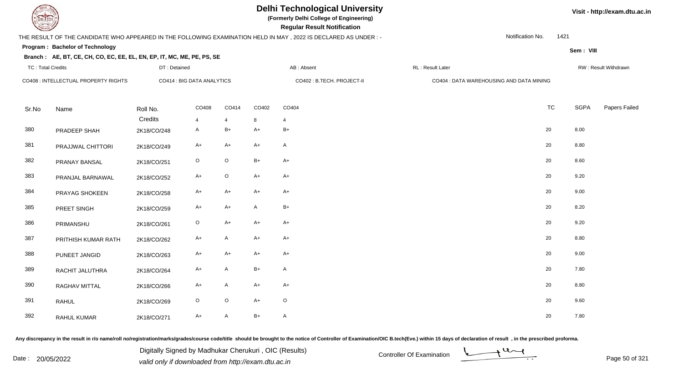**(Formerly Delhi College of Engineering)**

 **Regular Result Notification**

## THE RESULT OF THE CANDIDATE WHO APPEARED IN THE FOLLOWING EXAMINATION HELD IN MAY , 2022 IS DECLARED AS UNDER : -

Notification No.1421

**Sem : VIII**

**Visit - http://exam.dtu.ac.in**

### **Program : Bachelor of Technology**

### **Branch : AE, BT, CE, CH, CO, EC, EE, EL, EN, EP, IT, MC, ME, PE, PS, SE**

| <b>TC: Total Credits</b> |                                      | DT: Detained        |                            |                         |              | AB: Absent                 | RL: Result Later                         |           |             | RW: Result Withdrawn |  |
|--------------------------|--------------------------------------|---------------------|----------------------------|-------------------------|--------------|----------------------------|------------------------------------------|-----------|-------------|----------------------|--|
|                          | CO408 : INTELLECTUAL PROPERTY RIGHTS |                     | CO414 : BIG DATA ANALYTICS |                         |              | CO402 : B.TECH. PROJECT-II | CO404 : DATA WAREHOUSING AND DATA MINING |           |             |                      |  |
| Sr.No                    | Name                                 | Roll No.<br>Credits | CO408<br>$\overline{4}$    | CO414<br>$\overline{4}$ | CO402<br>8   | CO404<br>4                 |                                          | <b>TC</b> | <b>SGPA</b> | Papers Failed        |  |
| 380                      | PRADEEP SHAH                         | 2K18/CO/248         | A                          | $B+$                    | $A+$         | $B+$                       |                                          | 20        | 8.00        |                      |  |
| 381                      | PRAJJWAL CHITTORI                    | 2K18/CO/249         | A+                         | A+                      | $A+$         | A                          |                                          | 20        | 8.80        |                      |  |
| 382                      | PRANAY BANSAL                        | 2K18/CO/251         | $\circ$                    | O                       | $B+$         | $A+$                       |                                          | 20        | 8.60        |                      |  |
| 383                      | PRANJAL BARNAWAL                     | 2K18/CO/252         | $A+$                       | $\circ$                 | $A+$         | $A+$                       |                                          | 20        | 9.20        |                      |  |
| 384                      | PRAYAG SHOKEEN                       | 2K18/CO/258         | $A+$                       | $A+$                    | $A+$         | $A+$                       |                                          | 20        | 9.00        |                      |  |
| 385                      | PREET SINGH                          | 2K18/CO/259         | A+                         | $A+$                    | $\mathsf{A}$ | $B+$                       |                                          | 20        | 8.20        |                      |  |
| 386                      | PRIMANSHU                            | 2K18/CO/261         | $\mathsf O$                | $A+$                    | $A+$         | $A+$                       |                                          | 20        | 9.20        |                      |  |
| 387                      | PRITHISH KUMAR RATH                  | 2K18/CO/262         | $A+$                       | A                       | $A+$         | $A+$                       |                                          | 20        | 8.80        |                      |  |
| 388                      | PUNEET JANGID                        | 2K18/CO/263         | $A+$                       | $A+$                    | $A+$         | $A+$                       |                                          | 20        | 9.00        |                      |  |
| 389                      | RACHIT JALUTHRA                      | 2K18/CO/264         | A+                         | A                       | $B+$         | $\mathsf{A}$               |                                          | 20        | 7.80        |                      |  |
| 390                      | RAGHAV MITTAL                        | 2K18/CO/266         | A+                         | A                       | $A+$         | $A+$                       |                                          | 20        | 8.80        |                      |  |
| 391                      | <b>RAHUL</b>                         | 2K18/CO/269         | $\circ$                    | $\circ$                 | $A+$         | $\circ$                    |                                          | 20        | 9.60        |                      |  |
| 392                      | RAHUL KUMAR                          | 2K18/CO/271         | A+                         | A                       | $B+$         | A                          |                                          | 20        | 7.80        |                      |  |

Any discrepancy in the result in r/o name/roll no/registration/marks/grades/course code/title should be brought to the notice of Controller of Examination/OIC B.tech(Eve.) within 15 days of declaration of result, in the pr

Date : 20/05/2022 Digital Digital of Microsofted Chemical Controller Of Examination Determination Page 50 of 32 Digitally Signed by Madhukar Cherukuri , OIC (Results)

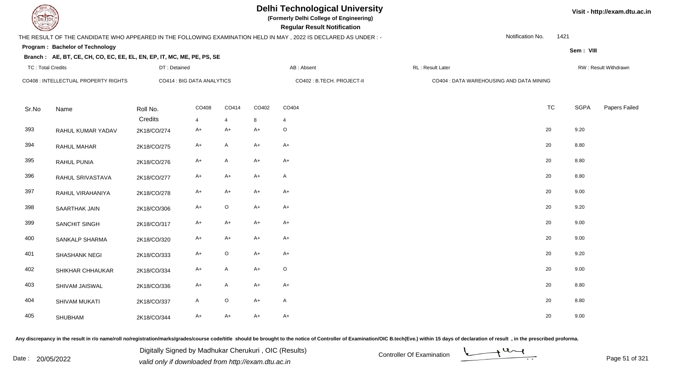**(Formerly Delhi College of Engineering)**

 **Regular Result Notification**

## THE RESULT OF THE CANDIDATE WHO APPEARED IN THE FOLLOWING EXAMINATION HELD IN MAY , 2022 IS DECLARED AS UNDER : -

Notification No.1421

**Sem : VIII**

### **Program : Bachelor of Technology**

### **Branch : AE, BT, CE, CH, CO, EC, EE, EL, EN, EP, IT, MC, ME, PE, PS, SE**

| <b>TC: Total Credits</b> |                                      | DT: Detained           |                            |                      | AB: Absent                 |              | RL: Result Later                         |           |             | RW: Result Withdrawn |  |  |
|--------------------------|--------------------------------------|------------------------|----------------------------|----------------------|----------------------------|--------------|------------------------------------------|-----------|-------------|----------------------|--|--|
|                          | CO408 : INTELLECTUAL PROPERTY RIGHTS |                        | CO414 : BIG DATA ANALYTICS |                      | CO402 : B.TECH. PROJECT-II |              | CO404 : DATA WAREHOUSING AND DATA MINING |           |             |                      |  |  |
| Sr.No                    | Name                                 | Roll No.               | CO408                      | CO414                | CO402                      | CO404        |                                          | <b>TC</b> | <b>SGPA</b> | Papers Failed        |  |  |
| 393                      | RAHUL KUMAR YADAV                    | Credits<br>2K18/CO/274 | $\overline{4}$<br>A+       | $\overline{4}$<br>A+ | 8<br>$A+$                  | 4<br>$\circ$ |                                          | 20        | 9.20        |                      |  |  |
| 394                      | <b>RAHUL MAHAR</b>                   | 2K18/CO/275            | $A+$                       | A                    | $A+$                       | $A+$         |                                          | $20\,$    | 8.80        |                      |  |  |
| 395                      | RAHUL PUNIA                          | 2K18/CO/276            | $A+$                       | A                    | $A+$                       | $A+$         |                                          | 20        | 8.80        |                      |  |  |
| 396                      | RAHUL SRIVASTAVA                     | 2K18/CO/277            | $A+$                       | $A+$                 | $A+$                       | $\mathsf{A}$ |                                          | 20        | 8.80        |                      |  |  |
| 397                      | RAHUL VIRAHANIYA                     | 2K18/CO/278            | $A+$                       | $A+$                 | $A+$                       | $A+$         |                                          | 20        | 9.00        |                      |  |  |
| 398                      | <b>SAARTHAK JAIN</b>                 | 2K18/CO/306            | $A+$                       | $\circ$              | $A+$                       | $A+$         |                                          | 20        | 9.20        |                      |  |  |
| 399                      | SANCHIT SINGH                        | 2K18/CO/317            | $A+$                       | $A+$                 | $A+$                       | $A+$         |                                          | 20        | 9.00        |                      |  |  |
| 400                      | <b>SANKALP SHARMA</b>                | 2K18/CO/320            | A+                         | A+                   | $A+$                       | $A+$         |                                          | 20        | 9.00        |                      |  |  |
| 401                      | SHASHANK NEGI                        | 2K18/CO/333            | $A+$                       | $\circ$              | $A+$                       | $A+$         |                                          | 20        | 9.20        |                      |  |  |
| 402                      | SHIKHAR CHHAUKAR                     | 2K18/CO/334            | A+                         | A                    | $A+$                       | $\circ$      |                                          | 20        | 9.00        |                      |  |  |
| 403                      | SHIVAM JAISWAL                       | 2K18/CO/336            | A+                         | A                    | $A+$                       | $A+$         |                                          | 20        | 8.80        |                      |  |  |
| 404                      | SHIVAM MUKATI                        | 2K18/CO/337            | A                          | $\circ$              | $A+$                       | A            |                                          | 20        | 8.80        |                      |  |  |
| 405                      | SHUBHAM                              | 2K18/CO/344            | $A+$                       | A+                   | $A+$                       | $A+$         |                                          | 20        | 9.00        |                      |  |  |

Any discrepancy in the result in r/o name/roll no/registration/marks/grades/course code/title should be brought to the notice of Controller of Examination/OIC B.tech(Eve.) within 15 days of declaration of result, in the pr

Date : 20/05/2022 Digital Digital of Microsofted Chemical Controller Of Examination Determination Page 51 of 32 Digitally Signed by Madhukar Cherukuri , OIC (Results)

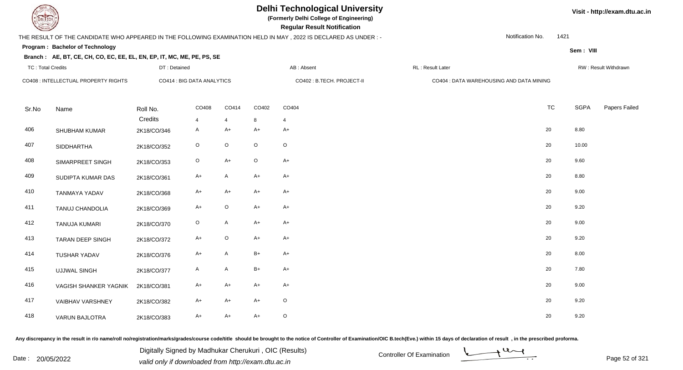

# **Delhi Technological University**

**(Formerly Delhi College of Engineering)**

 **Regular Result Notification**

## THE RESULT OF THE CANDIDATE WHO APPEARED IN THE FOLLOWING EXAMINATION HELD IN MAY , 2022 IS DECLARED AS UNDER : -

DT : Detained

Notification No.1421

**Sem : VIII**

### **Program : Bachelor of Technology**

### **Branch : AE, BT, CE, CH, CO, EC, EE, EL, EN, EP, IT, MC, ME, PE, PS, SE**

| TC: Total Credits |                                      | DT : Detained              |                         |              |             | AB : Absent                | RL : Result Later |                                          |             | RW : Result Withdrawn |
|-------------------|--------------------------------------|----------------------------|-------------------------|--------------|-------------|----------------------------|-------------------|------------------------------------------|-------------|-----------------------|
|                   | CO408 : INTELLECTUAL PROPERTY RIGHTS | CO414 : BIG DATA ANALYTICS |                         |              |             | CO402 : B.TECH. PROJECT-II |                   | CO404 : DATA WAREHOUSING AND DATA MINING |             |                       |
| Sr.No             | Name                                 | Roll No.<br>Credits        | CO408<br>$\overline{4}$ | CO414<br>4   | CO402<br>8  | CO404<br>4                 |                   | <b>TC</b>                                | <b>SGPA</b> | Papers Failed         |
| 406               | SHUBHAM KUMAR                        | 2K18/CO/346                | $\mathsf{A}$            | $A+$         | $A+$        | $A+$                       |                   | 20                                       | 8.80        |                       |
| 407               | <b>SIDDHARTHA</b>                    | 2K18/CO/352                | $\mathsf O$             | O            | $\circ$     | $\circ$                    |                   | 20                                       | 10.00       |                       |
| 408               | SIMARPREET SINGH                     | 2K18/CO/353                | $\mathsf O$             | $A+$         | $\mathsf O$ | $A+$                       |                   | 20                                       | 9.60        |                       |
| 409               | SUDIPTA KUMAR DAS                    | 2K18/CO/361                | $A+$                    | $\mathsf{A}$ | $A+$        | $A+$                       |                   | 20                                       | 8.80        |                       |
| 410               | TANMAYA YADAV                        | 2K18/CO/368                | A+                      | $A+$         | $A+$        | $A+$                       |                   | 20                                       | 9.00        |                       |
| 411               | TANUJ CHANDOLIA                      | 2K18/CO/369                | $A+$                    | $\mathsf O$  | $A+$        | $A+$                       |                   | 20                                       | 9.20        |                       |
| 412               | TANUJA KUMARI                        | 2K18/CO/370                | $\circ$                 | A            | $A+$        | $A+$                       |                   | 20                                       | 9.00        |                       |
| 413               | <b>TARAN DEEP SINGH</b>              | 2K18/CO/372                | $A+$                    | $\circ$      | $A+$        | $A+$                       |                   | 20                                       | 9.20        |                       |
| 414               | <b>TUSHAR YADAV</b>                  | 2K18/CO/376                | $A+$                    | A            | $B+$        | $A+$                       |                   | 20                                       | 8.00        |                       |
| 415               | <b>UJJWAL SINGH</b>                  | 2K18/CO/377                | A                       | A            | $B+$        | $A+$                       |                   | 20                                       | 7.80        |                       |
| 416               | VAGISH SHANKER YAGNIK                | 2K18/CO/381                | $A+$                    | $A+$         | $A+$        | $A+$                       |                   | 20                                       | 9.00        |                       |
| 417               | <b>VAIBHAV VARSHNEY</b>              | 2K18/CO/382                | A+                      | A+           | $A+$        | $\circ$                    |                   | 20                                       | 9.20        |                       |
| 418               | <b>VARUN BAJLOTRA</b>                | 2K18/CO/383                | $A+$                    | $A+$         | $A+$        | $\circ$                    |                   | 20                                       | 9.20        |                       |

Any discrepancy in the result in r/o name/roll no/registration/marks/grades/course code/title should be brought to the notice of Controller of Examination/OIC B.tech(Eve.) within 15 days of declaration of result, in the pr

Date : 20/05/2022 Digital Digital of Microsofted Chemical Controller Of Examination Determination Page 52 of 32<br>valid only if downloaded from http://exam.dtu.ac.in Digitally Signed by Madhukar Cherukuri , OIC (Results)

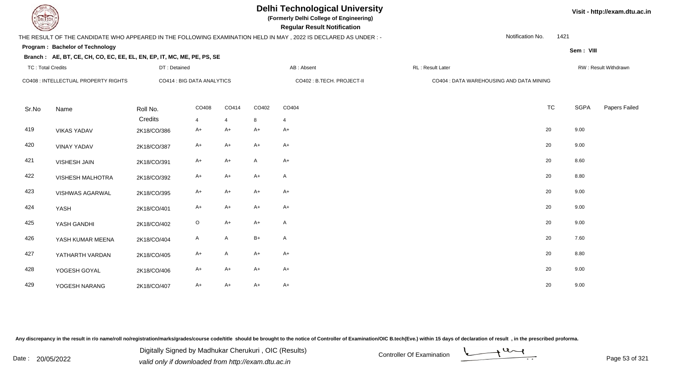**(Formerly Delhi College of Engineering)**

 **Regular Result Notification**

## THE RESULT OF THE CANDIDATE WHO APPEARED IN THE FOLLOWING EXAMINATION HELD IN MAY , 2022 IS DECLARED AS UNDER : -

Notification No.1421

**Sem : VIII**

#### **Program : Bachelor of Technology**

### **Branch : AE, BT, CE, CH, CO, EC, EE, EL, EN, EP, IT, MC, ME, PE, PS, SE**

| <b>TC: Total Credits</b> |                                      | DT: Detained               |                |                |              | AB: Absent                 | RL: Result Later                         |           |      | RW: Result Withdrawn |
|--------------------------|--------------------------------------|----------------------------|----------------|----------------|--------------|----------------------------|------------------------------------------|-----------|------|----------------------|
|                          | CO408 : INTELLECTUAL PROPERTY RIGHTS | CO414 : BIG DATA ANALYTICS |                |                |              | CO402 : B.TECH. PROJECT-II | CO404 : DATA WAREHOUSING AND DATA MINING |           |      |                      |
| Sr.No                    | Name                                 | Roll No.                   | CO408          | CO414          | CO402        | CO404                      |                                          | <b>TC</b> | SGPA | Papers Failed        |
|                          |                                      | Credits                    | $\overline{4}$ | $\overline{4}$ | 8            | $\overline{4}$             |                                          |           |      |                      |
| 419                      | <b>VIKAS YADAV</b>                   | 2K18/CO/386                | $A+$           | $A+$           | $A+$         | A+                         |                                          | 20        | 9.00 |                      |
| 420                      | <b>VINAY YADAV</b>                   | 2K18/CO/387                | $A+$           | $A+$           | $A+$         | $A+$                       |                                          | 20        | 9.00 |                      |
| 421                      | VISHESH JAIN                         | 2K18/CO/391                | $A+$           | $A+$           | $\mathsf{A}$ | $A+$                       |                                          | 20        | 8.60 |                      |
| 422                      | <b>VISHESH MALHOTRA</b>              | 2K18/CO/392                | $A+$           | $A+$           | $A+$         | $\mathsf{A}$               |                                          | 20        | 8.80 |                      |
| 423                      | VISHWAS AGARWAL                      | 2K18/CO/395                | $A+$           | $A+$           | $A+$         | $A+$                       |                                          | 20        | 9.00 |                      |
| 424                      | YASH                                 | 2K18/CO/401                | $A+$           | $A+$           | $A+$         | $A+$                       |                                          | 20        | 9.00 |                      |
| 425                      | YASH GANDHI                          | 2K18/CO/402                | $\mathsf O$    | $A+$           | $A+$         | $\mathsf{A}$               |                                          | 20        | 9.00 |                      |
| 426                      | YASH KUMAR MEENA                     | 2K18/CO/404                | $\mathsf{A}$   | $\mathsf{A}$   | $B+$         | $\mathsf{A}$               |                                          | 20        | 7.60 |                      |
| 427                      | YATHARTH VARDAN                      | 2K18/CO/405                | $A+$           | $\mathsf{A}$   | $A+$         | $A+$                       |                                          | 20        | 8.80 |                      |
| 428                      | YOGESH GOYAL                         | 2K18/CO/406                | $A+$           | $A+$           | $A+$         | $A+$                       |                                          | 20        | 9.00 |                      |
| 429                      | YOGESH NARANG                        | 2K18/CO/407                | $A+$           | $A+$           | $A+$         | $A+$                       |                                          | 20        | 9.00 |                      |

Any discrepancy in the result in r/o name/roll no/registration/marks/grades/course code/title should be brought to the notice of Controller of Examination/OIC B.tech(Eve.) within 15 days of declaration of result, in the pr

Date : 20/05/2022 Digital Digital of Microsofted Chemical Controller Of Examination Determination Page 53 of 32 Digitally Signed by Madhukar Cherukuri , OIC (Results)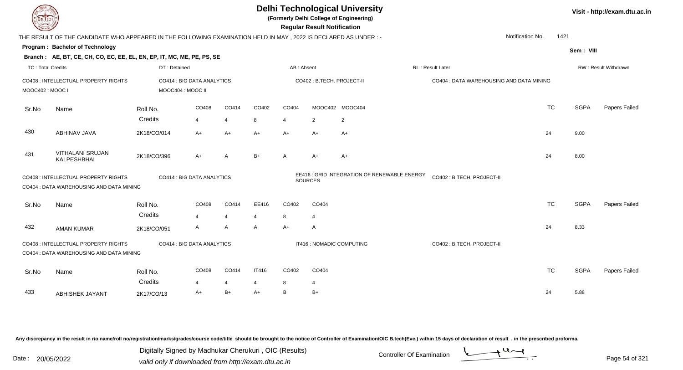| DEL ECH                  |                                                                                                                |                   |                            |                |                |            | <b>Regular Result Notification</b> | <b>Delhi Technological University</b><br>(Formerly Delhi College of Engineering) |                                          |                  |           |             | Visit - http://exam.dtu.ac.in |
|--------------------------|----------------------------------------------------------------------------------------------------------------|-------------------|----------------------------|----------------|----------------|------------|------------------------------------|----------------------------------------------------------------------------------|------------------------------------------|------------------|-----------|-------------|-------------------------------|
|                          | THE RESULT OF THE CANDIDATE WHO APPEARED IN THE FOLLOWING EXAMINATION HELD IN MAY, 2022 IS DECLARED AS UNDER:- |                   |                            |                |                |            |                                    |                                                                                  |                                          | Notification No. | 1421      |             |                               |
|                          | Program: Bachelor of Technology                                                                                |                   |                            |                |                |            |                                    |                                                                                  |                                          |                  |           | Sem: VIII   |                               |
|                          | Branch: AE, BT, CE, CH, CO, EC, EE, EL, EN, EP, IT, MC, ME, PE, PS, SE                                         |                   |                            |                |                |            |                                    |                                                                                  |                                          |                  |           |             |                               |
| <b>TC: Total Credits</b> |                                                                                                                | DT: Detained      |                            |                |                | AB: Absent |                                    |                                                                                  | <b>RL: Result Later</b>                  |                  |           |             | <b>RW: Result Withdrawn</b>   |
| MOOC402: MOOC I          | CO408 : INTELLECTUAL PROPERTY RIGHTS                                                                           | MOOC404 : MOOC II | CO414 : BIG DATA ANALYTICS |                |                |            | CO402 : B.TECH. PROJECT-II         |                                                                                  | CO404 : DATA WAREHOUSING AND DATA MINING |                  |           |             |                               |
| Sr.No                    | Name                                                                                                           | Roll No.          | CO408                      | CO414          | CO402          | CO404      |                                    | MOOC402 MOOC404                                                                  |                                          |                  | <b>TC</b> | <b>SGPA</b> | Papers Failed                 |
|                          |                                                                                                                | Credits           | $\overline{4}$             | $\overline{4}$ | 8              | 4          | 2                                  | $\overline{2}$                                                                   |                                          |                  |           |             |                               |
| 430                      | ABHINAV JAVA                                                                                                   | 2K18/CO/014       | $A+$                       | $A+$           | $A+$           | $A+$       | $A+$                               | $A+$                                                                             |                                          |                  | 24        | 9.00        |                               |
| 431                      | <b>VITHALANI SRUJAN</b><br><b>KALPESHBHAI</b>                                                                  | 2K18/CO/396       | $A+$                       | A              | $B+$           | A          | $A+$                               | $A+$                                                                             |                                          |                  | 24        | 8.00        |                               |
|                          | CO408 : INTELLECTUAL PROPERTY RIGHTS<br>CO404 : DATA WAREHOUSING AND DATA MINING                               |                   | CO414 : BIG DATA ANALYTICS |                |                |            | <b>SOURCES</b>                     | EE416 : GRID INTEGRATION OF RENEWABLE ENERGY                                     | CO402: B.TECH. PROJECT-II                |                  |           |             |                               |
| Sr.No                    | Name                                                                                                           | Roll No.          | CO408                      | CO414          | EE416          | CO402      | CO404                              |                                                                                  |                                          |                  | <b>TC</b> | <b>SGPA</b> | Papers Failed                 |
|                          |                                                                                                                | Credits           | $\overline{4}$             | $\overline{4}$ | $\overline{4}$ | 8          | $\overline{4}$                     |                                                                                  |                                          |                  |           |             |                               |
| 432                      | <b>AMAN KUMAR</b>                                                                                              | 2K18/CO/051       | A                          | A              | A              | $A+$       | A                                  |                                                                                  |                                          |                  | 24        | 8.33        |                               |
|                          | CO408 : INTELLECTUAL PROPERTY RIGHTS<br>CO404 : DATA WAREHOUSING AND DATA MINING                               |                   | CO414 : BIG DATA ANALYTICS |                |                |            | IT416 : NOMADIC COMPUTING          |                                                                                  | CO402: B.TECH. PROJECT-II                |                  |           |             |                               |
| Sr.No                    | Name                                                                                                           | Roll No.          | CO408                      | CO414          | <b>IT416</b>   | CO402      | CO404                              |                                                                                  |                                          |                  | <b>TC</b> | <b>SGPA</b> | Papers Failed                 |
|                          |                                                                                                                | Credits           | $\overline{4}$             | $\overline{4}$ | 4              | 8          | 4                                  |                                                                                  |                                          |                  |           |             |                               |
| 433                      | <b>ABHISHEK JAYANT</b>                                                                                         | 2K17/CO/13        | $A+$                       | $B+$           | $A+$           | B          | $B+$                               |                                                                                  |                                          |                  | 24        | 5.88        |                               |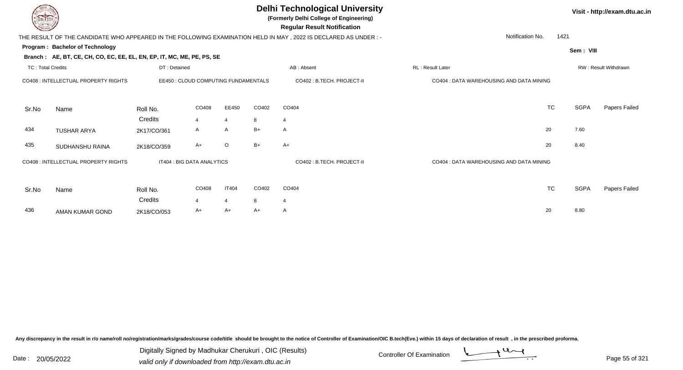| DEL TECH                 |                                                                        |              |                                      |                |       | <b>Delhi Technological University</b><br>(Formerly Delhi College of Engineering)<br><b>Regular Result Notification</b> |                                          |             | Visit - http://exam.dtu.ac.in |
|--------------------------|------------------------------------------------------------------------|--------------|--------------------------------------|----------------|-------|------------------------------------------------------------------------------------------------------------------------|------------------------------------------|-------------|-------------------------------|
|                          |                                                                        |              |                                      |                |       | THE RESULT OF THE CANDIDATE WHO APPEARED IN THE FOLLOWING EXAMINATION HELD IN MAY, 2022 IS DECLARED AS UNDER:-         | Notification No.                         | 1421        |                               |
|                          | Program: Bachelor of Technology                                        |              |                                      |                |       |                                                                                                                        |                                          | Sem: VIII   |                               |
|                          | Branch: AE, BT, CE, CH, CO, EC, EE, EL, EN, EP, IT, MC, ME, PE, PS, SE |              |                                      |                |       |                                                                                                                        |                                          |             |                               |
| <b>TC: Total Credits</b> |                                                                        | DT: Detained |                                      |                |       | AB: Absent                                                                                                             | <b>RL</b> : Result Later                 |             | RW: Result Withdrawn          |
|                          | CO408 : INTELLECTUAL PROPERTY RIGHTS                                   |              | EE450 : CLOUD COMPUTING FUNDAMENTALS |                |       | CO402 : B.TECH. PROJECT-II                                                                                             | CO404 : DATA WAREHOUSING AND DATA MINING |             |                               |
| Sr.No                    | Name                                                                   | Roll No.     | CO408                                | EE450          | CO402 | CO404                                                                                                                  | <b>TC</b>                                | <b>SGPA</b> | Papers Failed                 |
|                          |                                                                        | Credits      | $\overline{4}$                       | $\overline{4}$ | 8     | $\overline{4}$                                                                                                         |                                          |             |                               |
| 434                      | <b>TUSHAR ARYA</b>                                                     | 2K17/CO/361  | A                                    | A              | $B+$  | A                                                                                                                      | 20                                       | 7.60        |                               |
| 435                      | SUDHANSHU RAINA                                                        | 2K18/CO/359  | $A+$                                 | $\circ$        | $B+$  | $A+$                                                                                                                   | 20                                       | 8.40        |                               |
|                          | CO408 : INTELLECTUAL PROPERTY RIGHTS                                   |              | IT404 : BIG DATA ANALYTICS           |                |       | CO402 : B.TECH. PROJECT-II                                                                                             | CO404 : DATA WAREHOUSING AND DATA MINING |             |                               |
| Sr.No                    | Name                                                                   | Roll No.     | CO408                                | <b>IT404</b>   | CO402 | CO404                                                                                                                  | <b>TC</b>                                | <b>SGPA</b> | Papers Failed                 |
|                          |                                                                        | Credits      | $\overline{4}$                       | $\overline{4}$ | 8     | 4                                                                                                                      |                                          |             |                               |
| 436                      | AMAN KUMAR GOND                                                        | 2K18/CO/053  | $A+$                                 | $A+$           | $A+$  | A                                                                                                                      | 20                                       | 8.80        |                               |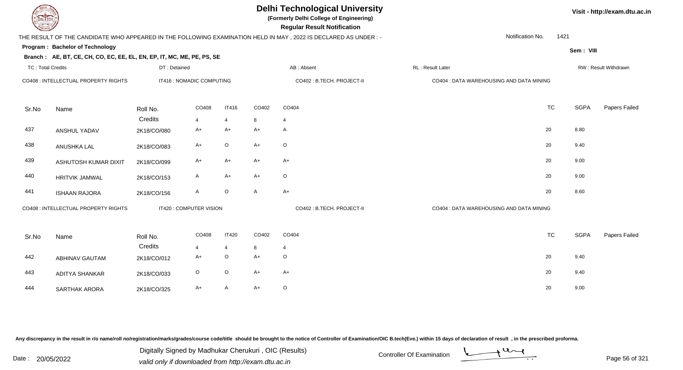| EL ECH                   |                                                                        |                           |              |                |       | <b>Delhi Technological University</b><br>(Formerly Delhi College of Engineering)<br><b>Regular Result Notification</b> |                                          |      |             | Visit - http://exam.dtu.ac.in |
|--------------------------|------------------------------------------------------------------------|---------------------------|--------------|----------------|-------|------------------------------------------------------------------------------------------------------------------------|------------------------------------------|------|-------------|-------------------------------|
|                          |                                                                        |                           |              |                |       | THE RESULT OF THE CANDIDATE WHO APPEARED IN THE FOLLOWING EXAMINATION HELD IN MAY , 2022 IS DECLARED AS UNDER :-       | Notification No.                         | 1421 |             |                               |
|                          | Program: Bachelor of Technology                                        |                           |              |                |       |                                                                                                                        |                                          |      | Sem: VIII   |                               |
|                          | Branch: AE, BT, CE, CH, CO, EC, EE, EL, EN, EP, IT, MC, ME, PE, PS, SE |                           |              |                |       |                                                                                                                        |                                          |      |             |                               |
| <b>TC: Total Credits</b> |                                                                        | DT: Detained              |              |                |       | AB: Absent                                                                                                             | RL: Result Later                         |      |             | RW: Result Withdrawn          |
|                          | CO408 : INTELLECTUAL PROPERTY RIGHTS                                   | IT416 : NOMADIC COMPUTING |              |                |       | CO402 : B.TECH. PROJECT-II                                                                                             | CO404 : DATA WAREHOUSING AND DATA MINING |      |             |                               |
| Sr.No                    | Name                                                                   | Roll No.                  | CO408        | <b>IT416</b>   | CO402 | CO404                                                                                                                  | <b>TC</b>                                |      | <b>SGPA</b> | Papers Failed                 |
|                          |                                                                        | Credits                   | 4            | $\overline{4}$ | 8     | $\overline{4}$                                                                                                         |                                          |      |             |                               |
| 437                      | ANSHUL YADAV                                                           | 2K18/CO/080               | A+           | $A+$           | $A+$  | $\mathsf{A}$                                                                                                           | 20                                       |      | 8.80        |                               |
| 438                      | ANUSHKA LAL                                                            | 2K18/CO/083               | A+           | $\mathsf O$    | $A+$  | $\circ$                                                                                                                | 20                                       |      | 9.40        |                               |
| 439                      | ASHUTOSH KUMAR DIXIT                                                   | 2K18/CO/099               | A+           | $A+$           | $A+$  | $A+$                                                                                                                   | 20                                       |      | 9.00        |                               |
| 440                      | <b>HRITVIK JAMWAL</b>                                                  | 2K18/CO/153               | A            | $A+$           | $A+$  | $\circ$                                                                                                                | 20                                       |      | 9.00        |                               |
| 441                      | <b>ISHAAN RAJORA</b>                                                   | 2K18/CO/156               | $\mathsf{A}$ | $\mathsf O$    | A     | $A+$                                                                                                                   | 20                                       |      | 8.60        |                               |
|                          | CO408 : INTELLECTUAL PROPERTY RIGHTS                                   | IT420 : COMPUTER VISION   |              |                |       | CO402 : B.TECH. PROJECT-II                                                                                             | CO404 : DATA WAREHOUSING AND DATA MINING |      |             |                               |
| Sr.No                    | Name                                                                   | Roll No.                  | CO408        | <b>IT420</b>   | CO402 | CO404                                                                                                                  | <b>TC</b>                                |      | <b>SGPA</b> | Papers Failed                 |
|                          |                                                                        | Credits                   | 4            | $\overline{4}$ | 8     | $\overline{4}$                                                                                                         |                                          |      |             |                               |
| 442                      | <b>ABHINAV GAUTAM</b>                                                  | 2K18/CO/012               | $A+$         | $\mathsf O$    | $A+$  | $\circ$                                                                                                                | 20                                       |      | 9.40        |                               |
| 443                      | <b>ADITYA SHANKAR</b>                                                  | 2K18/CO/033               | $\circ$      | $\mathsf O$    | $A+$  | $A+$                                                                                                                   | 20                                       |      | 9.40        |                               |
| 444                      | <b>SARTHAK ARORA</b>                                                   | 2K18/CO/325               | $A+$         | A              | $A+$  | $\circ$                                                                                                                | 20                                       |      | 9.00        |                               |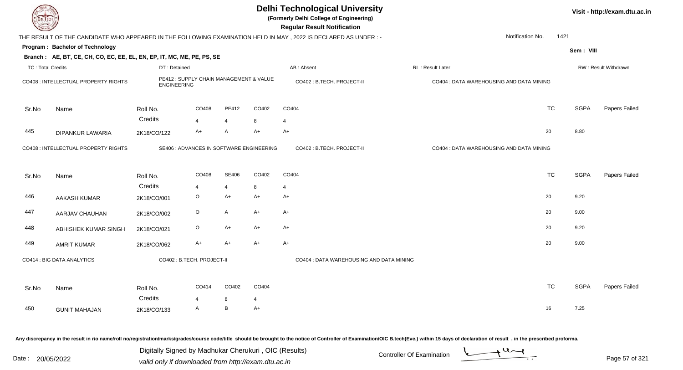|                          |                                                                        |                                                               |                         |                |            | <b>Delhi Technological University</b><br>(Formerly Delhi College of Engineering)<br><b>Regular Result Notification</b> |                                          |           |             | Visit - http://exam.dtu.ac.in |
|--------------------------|------------------------------------------------------------------------|---------------------------------------------------------------|-------------------------|----------------|------------|------------------------------------------------------------------------------------------------------------------------|------------------------------------------|-----------|-------------|-------------------------------|
|                          |                                                                        |                                                               |                         |                |            | THE RESULT OF THE CANDIDATE WHO APPEARED IN THE FOLLOWING EXAMINATION HELD IN MAY, 2022 IS DECLARED AS UNDER:-         | Notification No.                         | 1421      |             |                               |
|                          | Program: Bachelor of Technology                                        |                                                               |                         |                |            |                                                                                                                        |                                          |           | Sem: VIII   |                               |
|                          | Branch: AE, BT, CE, CH, CO, EC, EE, EL, EN, EP, IT, MC, ME, PE, PS, SE |                                                               |                         |                |            |                                                                                                                        |                                          |           |             |                               |
| <b>TC: Total Credits</b> |                                                                        | DT: Detained                                                  |                         |                |            | AB: Absent                                                                                                             | RL : Result Later                        |           |             | RW: Result Withdrawn          |
|                          | CO408 : INTELLECTUAL PROPERTY RIGHTS                                   | PE412 : SUPPLY CHAIN MANAGEMENT & VALUE<br><b>ENGINEERING</b> |                         |                |            | CO402: B.TECH. PROJECT-II                                                                                              | CO404 : DATA WAREHOUSING AND DATA MINING |           |             |                               |
| Sr.No                    | Name                                                                   | Roll No.                                                      | CO408                   | PE412          | CO402      | CO404                                                                                                                  |                                          | <b>TC</b> | <b>SGPA</b> | Papers Failed                 |
|                          |                                                                        | Credits                                                       | $\overline{4}$          | $\overline{4}$ | 8          | $\overline{4}$                                                                                                         |                                          |           |             |                               |
| 445                      | <b>DIPANKUR LAWARIA</b>                                                | 2K18/CO/122                                                   | A+                      | $\overline{A}$ | $A+$       | $A+$                                                                                                                   |                                          | 20        | 8.80        |                               |
|                          | CO408 : INTELLECTUAL PROPERTY RIGHTS                                   | SE406 : ADVANCES IN SOFTWARE ENGINEERING                      |                         |                |            | CO402: B.TECH. PROJECT-II                                                                                              | CO404 : DATA WAREHOUSING AND DATA MINING |           |             |                               |
| Sr.No                    | Name                                                                   | Roll No.                                                      | CO408                   | SE406          | CO402      | CO404                                                                                                                  |                                          | <b>TC</b> | <b>SGPA</b> | Papers Failed                 |
|                          |                                                                        | Credits                                                       | 4                       | $\overline{4}$ | 8          | $\overline{4}$                                                                                                         |                                          |           |             |                               |
| 446                      | AAKASH KUMAR                                                           | 2K18/CO/001                                                   | $\circ$                 | $A+$           | $A+$       | $A+$                                                                                                                   |                                          | 20        | 9.20        |                               |
| 447                      | AARJAV CHAUHAN                                                         | 2K18/CO/002                                                   | $\circ$                 | $\mathsf{A}$   | $A+$       | $A+$                                                                                                                   |                                          | 20        | 9.00        |                               |
| 448                      | ABHISHEK KUMAR SINGH                                                   | 2K18/CO/021                                                   | $\circ$                 | $A+$           | $A+$       | $A+$                                                                                                                   |                                          | 20        | 9.20        |                               |
| 449                      | <b>AMRIT KUMAR</b>                                                     | 2K18/CO/062                                                   | $A+$                    | $A+$           | $A+$       | $A+$                                                                                                                   |                                          | 20        | 9.00        |                               |
|                          | CO414 : BIG DATA ANALYTICS                                             | CO402 : B.TECH. PROJECT-II                                    |                         |                |            | CO404 : DATA WAREHOUSING AND DATA MINING                                                                               |                                          |           |             |                               |
| Sr.No                    | Name                                                                   | Roll No.<br>Credits                                           | CO414<br>$\overline{4}$ | CO402<br>8     | CO404<br>4 |                                                                                                                        |                                          | <b>TC</b> | <b>SGPA</b> | Papers Failed                 |
| 450                      | <b>GUNIT MAHAJAN</b>                                                   | 2K18/CO/133                                                   | A                       | B              | $A+$       |                                                                                                                        |                                          | 16        | 7.25        |                               |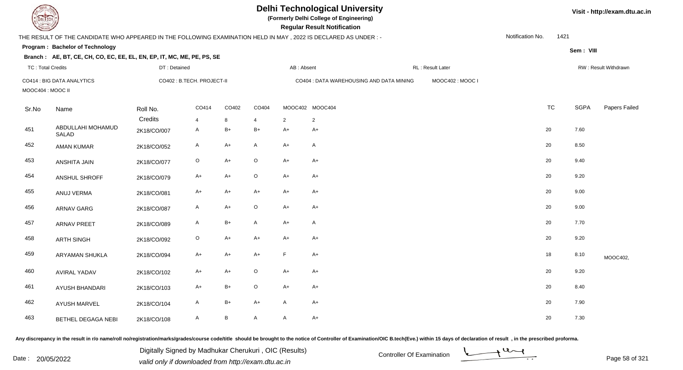| DEL ECH                  |                                                                                                                |              |                            |               |                |              | <b>Delhi Technological University</b><br>(Formerly Delhi College of Engineering)<br><b>Regular Result Notification</b> |                  |                  |      |             | Visit - http://exam.dtu.ac.in |
|--------------------------|----------------------------------------------------------------------------------------------------------------|--------------|----------------------------|---------------|----------------|--------------|------------------------------------------------------------------------------------------------------------------------|------------------|------------------|------|-------------|-------------------------------|
|                          | THE RESULT OF THE CANDIDATE WHO APPEARED IN THE FOLLOWING EXAMINATION HELD IN MAY, 2022 IS DECLARED AS UNDER:- |              |                            |               |                |              |                                                                                                                        |                  | Notification No. | 1421 |             |                               |
|                          | Program: Bachelor of Technology                                                                                |              |                            |               |                |              |                                                                                                                        |                  |                  |      | Sem: VIII   |                               |
|                          | Branch: AE, BT, CE, CH, CO, EC, EE, EL, EN, EP, IT, MC, ME, PE, PS, SE                                         |              |                            |               |                |              |                                                                                                                        |                  |                  |      |             |                               |
| <b>TC: Total Credits</b> |                                                                                                                | DT: Detained |                            |               |                | AB: Absent   |                                                                                                                        | RL: Result Later |                  |      |             | RW: Result Withdrawn          |
|                          | CO414 : BIG DATA ANALYTICS                                                                                     |              | CO402 : B.TECH. PROJECT-II |               |                |              | CO404 : DATA WAREHOUSING AND DATA MINING                                                                               | MOOC402: MOOC I  |                  |      |             |                               |
| MOOC404 : MOOC II        |                                                                                                                |              |                            |               |                |              |                                                                                                                        |                  |                  |      |             |                               |
| Sr.No                    | Name                                                                                                           | Roll No.     | CO414                      | CO402         | CO404          |              | MOOC402 MOOC404                                                                                                        |                  | <b>TC</b>        |      | <b>SGPA</b> | Papers Failed                 |
|                          |                                                                                                                | Credits      | $\overline{4}$             | 8             | $\overline{4}$ | 2            | $\overline{2}$                                                                                                         |                  |                  |      |             |                               |
| 451                      | ABDULLAHI MOHAMUD<br><b>SALAD</b>                                                                              | 2K18/CO/007  | A                          | $\mathsf{B}+$ | $B+$           | $A+$         | $A+$                                                                                                                   |                  | 20               |      | 7.60        |                               |
| 452                      | <b>AMAN KUMAR</b>                                                                                              | 2K18/CO/052  | $\mathsf{A}$               | $A+$          | $\mathsf{A}$   | $A+$         | A                                                                                                                      |                  | 20               |      | 8.50        |                               |
| 453                      | ANSHITA JAIN                                                                                                   | 2K18/CO/077  | $\mathsf O$                | $A+$          | O              | $A+$         | $A+$                                                                                                                   |                  | 20               |      | 9.40        |                               |
| 454                      | ANSHUL SHROFF                                                                                                  | 2K18/CO/079  | A+                         | $A+$          | $\circ$        | $A+$         | $A+$                                                                                                                   |                  | 20               |      | 9.20        |                               |
| 455                      | ANUJ VERMA                                                                                                     | 2K18/CO/081  | $A+$                       | $A+$          | $A+$           | $A+$         | $A+$                                                                                                                   |                  | 20               |      | 9.00        |                               |
| 456                      | <b>ARNAV GARG</b>                                                                                              | 2K18/CO/087  | $\mathsf{A}$               | $A+$          | $\mathsf O$    | $A+$         | $A+$                                                                                                                   |                  | 20               |      | 9.00        |                               |
| 457                      | <b>ARNAV PREET</b>                                                                                             | 2K18/CO/089  | A                          | $B+$          | A              | $A+$         | A                                                                                                                      |                  | 20               |      | 7.70        |                               |
| 458                      | <b>ARTH SINGH</b>                                                                                              | 2K18/CO/092  | $\mathsf O$                | $A+$          | $A+$           | $A+$         | $A+$                                                                                                                   |                  | 20               |      | 9.20        |                               |
| 459                      | ARYAMAN SHUKLA                                                                                                 | 2K18/CO/094  | A+                         | $A+$          | $A+$           | $\mathsf F$  | $A+$                                                                                                                   |                  | 18               |      | 8.10        | MOOC402,                      |
| 460                      | <b>AVIRAL YADAV</b>                                                                                            | 2K18/CO/102  | $A+$                       | $A+$          | $\circ$        | $A+$         | $A+$                                                                                                                   |                  | 20               |      | 9.20        |                               |
| 461                      | <b>AYUSH BHANDARI</b>                                                                                          | 2K18/CO/103  | $A+$                       | $B+$          | $\circ$        | $A+$         | $A+$                                                                                                                   |                  | 20               |      | 8.40        |                               |
| 462                      | <b>AYUSH MARVEL</b>                                                                                            | 2K18/CO/104  | A                          | $B+$          | $A+$           | $\mathsf{A}$ | $A+$                                                                                                                   |                  | 20               |      | 7.90        |                               |
| 463                      | BETHEL DEGAGA NEBI                                                                                             | 2K18/CO/108  | A                          | B             | A              | $\mathsf{A}$ | $A+$                                                                                                                   |                  | 20               |      | 7.30        |                               |

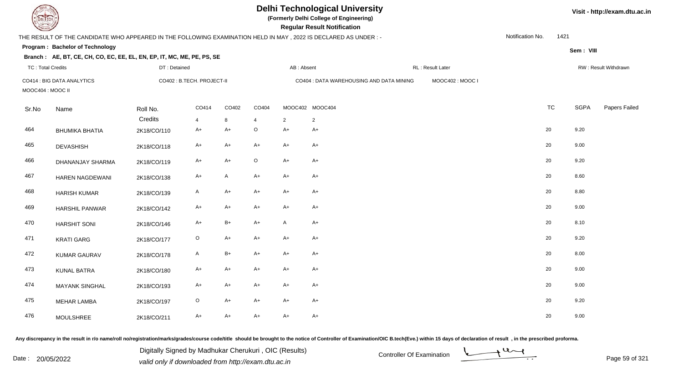| <b>DELTECH</b>           |                                                                                                                 |              |                            |              |             |              | <b>Delhi Technological University</b><br>(Formerly Delhi College of Engineering)<br><b>Regular Result Notification</b> |                  |                  |           |             | Visit - http://exam.dtu.ac.in |
|--------------------------|-----------------------------------------------------------------------------------------------------------------|--------------|----------------------------|--------------|-------------|--------------|------------------------------------------------------------------------------------------------------------------------|------------------|------------------|-----------|-------------|-------------------------------|
|                          | THE RESULT OF THE CANDIDATE WHO APPEARED IN THE FOLLOWING EXAMINATION HELD IN MAY, 2022 IS DECLARED AS UNDER :- |              |                            |              |             |              |                                                                                                                        |                  | Notification No. | 1421      |             |                               |
|                          | Program: Bachelor of Technology                                                                                 |              |                            |              |             |              |                                                                                                                        |                  |                  |           | Sem: VIII   |                               |
|                          | Branch: AE, BT, CE, CH, CO, EC, EE, EL, EN, EP, IT, MC, ME, PE, PS, SE                                          |              |                            |              |             |              |                                                                                                                        |                  |                  |           |             |                               |
| <b>TC: Total Credits</b> |                                                                                                                 | DT: Detained |                            |              |             | AB: Absent   |                                                                                                                        | RL: Result Later |                  |           |             | RW: Result Withdrawn          |
| MOOC404: MOOC II         | CO414 : BIG DATA ANALYTICS                                                                                      |              | CO402 : B.TECH. PROJECT-II |              |             |              | CO404 : DATA WAREHOUSING AND DATA MINING                                                                               | MOOC402: MOOC I  |                  |           |             |                               |
| Sr.No                    | Name                                                                                                            | Roll No.     | CO414                      | CO402        | CO404       |              | MOOC402 MOOC404                                                                                                        |                  |                  | <b>TC</b> | <b>SGPA</b> | Papers Failed                 |
|                          |                                                                                                                 | Credits      | 4                          | 8            | $\Delta$    | 2            | $\overline{2}$                                                                                                         |                  |                  |           |             |                               |
| 464                      | <b>BHUMIKA BHATIA</b>                                                                                           | 2K18/CO/110  | A+                         | $A+$         | $\mathsf O$ | $A+$         | $A+$                                                                                                                   |                  |                  | 20        | 9.20        |                               |
| 465                      | <b>DEVASHISH</b>                                                                                                | 2K18/CO/118  | A+                         | $A+$         | $A+$        | $A+$         | $A+$                                                                                                                   |                  |                  | 20        | 9.00        |                               |
| 466                      | DHANANJAY SHARMA                                                                                                | 2K18/CO/119  | $A+$                       | $A+$         | $\circ$     | $A+$         | $A+$                                                                                                                   |                  |                  | 20        | 9.20        |                               |
| 467                      | <b>HAREN NAGDEWANI</b>                                                                                          | 2K18/CO/138  | $A+$                       | $\mathsf{A}$ | $A+$        | $A+$         | $A+$                                                                                                                   |                  |                  | 20        | 8.60        |                               |
| 468                      | <b>HARISH KUMAR</b>                                                                                             | 2K18/CO/139  | A                          | $A+$         | $A+$        | $A+$         | A+                                                                                                                     |                  |                  | 20        | 8.80        |                               |
| 469                      | HARSHIL PANWAR                                                                                                  | 2K18/CO/142  | $A+$                       | $A+$         | $A+$        | $A+$         | $A+$                                                                                                                   |                  |                  | 20        | 9.00        |                               |
| 470                      | <b>HARSHIT SONI</b>                                                                                             | 2K18/CO/146  | $A+$                       | $B+$         | $A+$        | $\mathsf{A}$ | $A+$                                                                                                                   |                  |                  | 20        | 8.10        |                               |
| 471                      | <b>KRATI GARG</b>                                                                                               | 2K18/CO/177  | $\circ$                    | $A+$         | $A+$        | $A+$         | $A+$                                                                                                                   |                  |                  | 20        | 9.20        |                               |
| 472                      | <b>KUMAR GAURAV</b>                                                                                             | 2K18/CO/178  | A                          | $B+$         | A+          | $A+$         | A+                                                                                                                     |                  |                  | 20        | 8.00        |                               |
| 473                      | <b>KUNAL BATRA</b>                                                                                              | 2K18/CO/180  | $A+$                       | $A+$         | $A+$        | $A+$         | $A+$                                                                                                                   |                  |                  | 20        | 9.00        |                               |
| 474                      | <b>MAYANK SINGHAL</b>                                                                                           | 2K18/CO/193  | A+                         | $A+$         | A+          | $A+$         | A+                                                                                                                     |                  |                  | 20        | 9.00        |                               |
| 475                      | <b>MEHAR LAMBA</b>                                                                                              | 2K18/CO/197  | $\circ$                    | $A+$         | $A+$        | $A+$         | A+                                                                                                                     |                  |                  | 20        | 9.20        |                               |
| 476                      | <b>MOULSHREE</b>                                                                                                | 2K18/CO/211  | A+                         | $A+$         | $A+$        | $A+$         | $A+$                                                                                                                   |                  |                  | 20        | 9.00        |                               |

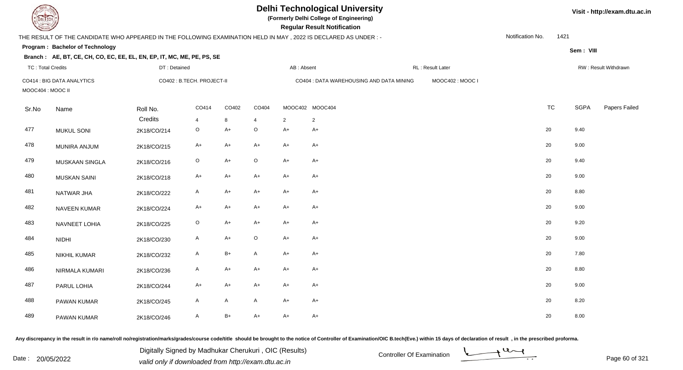| EL ECH                   |                                                                        |              |                            |              |                         |            | <b>Delhi Technological University</b><br>(Formerly Delhi College of Engineering)<br><b>Regular Result Notification</b> |                  |                  |           |             | Visit - http://exam.dtu.ac.in |
|--------------------------|------------------------------------------------------------------------|--------------|----------------------------|--------------|-------------------------|------------|------------------------------------------------------------------------------------------------------------------------|------------------|------------------|-----------|-------------|-------------------------------|
|                          |                                                                        |              |                            |              |                         |            | THE RESULT OF THE CANDIDATE WHO APPEARED IN THE FOLLOWING EXAMINATION HELD IN MAY, 2022 IS DECLARED AS UNDER :-        |                  | Notification No. | 1421      |             |                               |
|                          | <b>Program: Bachelor of Technology</b>                                 |              |                            |              |                         |            |                                                                                                                        |                  |                  |           | Sem: VIII   |                               |
|                          | Branch: AE, BT, CE, CH, CO, EC, EE, EL, EN, EP, IT, MC, ME, PE, PS, SE |              |                            |              |                         |            |                                                                                                                        |                  |                  |           |             |                               |
| <b>TC: Total Credits</b> |                                                                        | DT: Detained |                            |              |                         | AB: Absent |                                                                                                                        | RL: Result Later |                  |           |             | RW: Result Withdrawn          |
| MOOC404 : MOOC II        | CO414 : BIG DATA ANALYTICS                                             |              | CO402 : B.TECH. PROJECT-II |              |                         |            | CO404 : DATA WAREHOUSING AND DATA MINING                                                                               | MOOC402: MOOC I  |                  |           |             |                               |
| Sr.No                    | Name                                                                   | Roll No.     | CO414                      | CO402        | CO404                   |            | MOOC402 MOOC404                                                                                                        |                  |                  | <b>TC</b> | <b>SGPA</b> | Papers Failed                 |
|                          |                                                                        | Credits      | 4                          | 8            | $\overline{\mathbf{4}}$ | 2          | $\overline{2}$                                                                                                         |                  |                  |           |             |                               |
| 477                      | <b>MUKUL SONI</b>                                                      | 2K18/CO/214  | $\circ$                    | $A+$         | $\mathsf O$             | $A+$       | $A+$                                                                                                                   |                  |                  | 20        | 9.40        |                               |
| 478                      | <b>MUNIRA ANJUM</b>                                                    | 2K18/CO/215  | $A+$                       | $A+$         | $A+$                    | $A+$       | $A+$                                                                                                                   |                  |                  | 20        | 9.00        |                               |
| 479                      | MUSKAAN SINGLA                                                         | 2K18/CO/216  | $\mathsf O$                | $A+$         | $\circ$                 | $A+$       | $A+$                                                                                                                   |                  |                  | 20        | 9.40        |                               |
| 480                      | <b>MUSKAN SAINI</b>                                                    | 2K18/CO/218  | $A+$                       | $A+$         | $A+$                    | $A+$       | $A+$                                                                                                                   |                  |                  | 20        | 9.00        |                               |
| 481                      | NATWAR JHA                                                             | 2K18/CO/222  | A                          | $A+$         | $A+$                    | $A+$       | $A+$                                                                                                                   |                  |                  | 20        | 8.80        |                               |
| 482                      | NAVEEN KUMAR                                                           | 2K18/CO/224  | A+                         | $A+$         | A+                      | $A+$       | A+                                                                                                                     |                  |                  | 20        | 9.00        |                               |
| 483                      | NAVNEET LOHIA                                                          | 2K18/CO/225  | $\circ$                    | $A+$         | $A+$                    | $A+$       | $A+$                                                                                                                   |                  |                  | 20        | 9.20        |                               |
| 484                      | <b>NIDHI</b>                                                           | 2K18/CO/230  | $\mathsf{A}$               | $A+$         | $\mathsf O$             | $A+$       | $A+$                                                                                                                   |                  |                  | 20        | 9.00        |                               |
| 485                      | NIKHIL KUMAR                                                           | 2K18/CO/232  | A                          | $B+$         | $\mathsf{A}$            | $A+$       | $A+$                                                                                                                   |                  |                  | 20        | 7.80        |                               |
| 486                      | NIRMALA KUMARI                                                         | 2K18/CO/236  | A                          | $A+$         | A+                      | $A+$       | A+                                                                                                                     |                  |                  | 20        | 8.80        |                               |
| 487                      | PARUL LOHIA                                                            | 2K18/CO/244  | A+                         | $A+$         | $A+$                    | $A+$       | $A+$                                                                                                                   |                  |                  | 20        | 9.00        |                               |
| 488                      | PAWAN KUMAR                                                            | 2K18/CO/245  | A                          | $\mathsf{A}$ | A                       | $A+$       | $A+$                                                                                                                   |                  |                  | 20        | 8.20        |                               |
| 489                      | PAWAN KUMAR                                                            | 2K18/CO/246  | A                          | $B+$         | $A+$                    | $A+$       | $A+$                                                                                                                   |                  | 20               |           | 8.00        |                               |

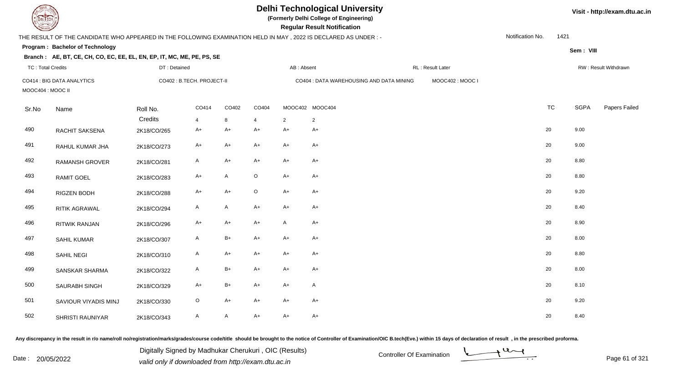| <b>DELTECH</b>           |                                                                                                                |              |                            |              |                         |              | <b>Delhi Technological University</b><br>(Formerly Delhi College of Engineering)<br><b>Regular Result Notification</b> |                  |                  |           |             | Visit - http://exam.dtu.ac.in |
|--------------------------|----------------------------------------------------------------------------------------------------------------|--------------|----------------------------|--------------|-------------------------|--------------|------------------------------------------------------------------------------------------------------------------------|------------------|------------------|-----------|-------------|-------------------------------|
|                          | THE RESULT OF THE CANDIDATE WHO APPEARED IN THE FOLLOWING EXAMINATION HELD IN MAY, 2022 IS DECLARED AS UNDER:- |              |                            |              |                         |              |                                                                                                                        |                  | Notification No. | 1421      |             |                               |
|                          | Program: Bachelor of Technology                                                                                |              |                            |              |                         |              |                                                                                                                        |                  |                  |           | Sem: VIII   |                               |
|                          | Branch: AE, BT, CE, CH, CO, EC, EE, EL, EN, EP, IT, MC, ME, PE, PS, SE                                         |              |                            |              |                         |              |                                                                                                                        |                  |                  |           |             |                               |
| <b>TC: Total Credits</b> |                                                                                                                | DT: Detained |                            |              |                         | AB: Absent   |                                                                                                                        | RL: Result Later |                  |           |             | RW: Result Withdrawn          |
| MOOC404: MOOC II         | CO414 : BIG DATA ANALYTICS                                                                                     |              | CO402 : B.TECH. PROJECT-II |              |                         |              | CO404 : DATA WAREHOUSING AND DATA MINING                                                                               | MOOC402: MOOC I  |                  |           |             |                               |
| Sr.No                    | Name                                                                                                           | Roll No.     | CO414                      | CO402        | CO404                   |              | MOOC402 MOOC404                                                                                                        |                  |                  | <b>TC</b> | <b>SGPA</b> | Papers Failed                 |
|                          |                                                                                                                | Credits      | 4                          | 8            | $\overline{\mathbf{4}}$ | 2            | $\overline{2}$                                                                                                         |                  |                  |           |             |                               |
| 490                      | RACHIT SAKSENA                                                                                                 | 2K18/CO/265  | A+                         | $A+$         | $A+$                    | $A+$         | $A+$                                                                                                                   |                  | 20               |           | 9.00        |                               |
| 491                      | RAHUL KUMAR JHA                                                                                                | 2K18/CO/273  | A+                         | $A+$         | $A+$                    | $A+$         | $A+$                                                                                                                   |                  | 20               |           | 9.00        |                               |
| 492                      | <b>RAMANSH GROVER</b>                                                                                          | 2K18/CO/281  | A                          | $A+$         | $A+$                    | $A+$         | $A+$                                                                                                                   |                  | 20               |           | 8.80        |                               |
| 493                      | <b>RAMIT GOEL</b>                                                                                              | 2K18/CO/283  | A+                         | $\mathsf{A}$ | $\circ$                 | $A+$         | $A+$                                                                                                                   |                  | 20               |           | 8.80        |                               |
| 494                      | RIGZEN BODH                                                                                                    | 2K18/CO/288  | $A+$                       | $A+$         | $\mathsf O$             | $A+$         | $A+$                                                                                                                   |                  | 20               |           | 9.20        |                               |
| 495                      | RITIK AGRAWAL                                                                                                  | 2K18/CO/294  | A                          | $\mathsf{A}$ | $A+$                    | $A+$         | $A+$                                                                                                                   |                  | 20               |           | 8.40        |                               |
| 496                      | <b>RITWIK RANJAN</b>                                                                                           | 2K18/CO/296  | $A+$                       | $A+$         | $A+$                    | $\mathsf{A}$ | $A+$                                                                                                                   |                  | 20               |           | 8.90        |                               |
| 497                      | <b>SAHIL KUMAR</b>                                                                                             | 2K18/CO/307  | A                          | $B+$         | $A+$                    | $A+$         | $A+$                                                                                                                   |                  | 20               |           | 8.00        |                               |
| 498                      | <b>SAHIL NEGI</b>                                                                                              | 2K18/CO/310  | A                          | $A+$         | $A+$                    | $A+$         | $A+$                                                                                                                   |                  | 20               |           | 8.80        |                               |
| 499                      | <b>SANSKAR SHARMA</b>                                                                                          | 2K18/CO/322  | A                          | $B+$         | $A+$                    | $A+$         | A+                                                                                                                     |                  | 20               |           | 8.00        |                               |
| 500                      | SAURABH SINGH                                                                                                  | 2K18/CO/329  | A+                         | $B+$         | $A+$                    | $A+$         | A                                                                                                                      |                  | 20               |           | 8.10        |                               |
| 501                      | SAVIOUR VIYADIS MINJ                                                                                           | 2K18/CO/330  | O                          | $A+$         | $A+$                    | $A+$         | $A+$                                                                                                                   |                  | 20               |           | 9.20        |                               |
| 502                      | <b>SHRISTI RAUNIYAR</b>                                                                                        | 2K18/CO/343  | A                          | $\mathsf{A}$ | $A+$                    | $A+$         | $A+$                                                                                                                   |                  | 20               |           | 8.40        |                               |

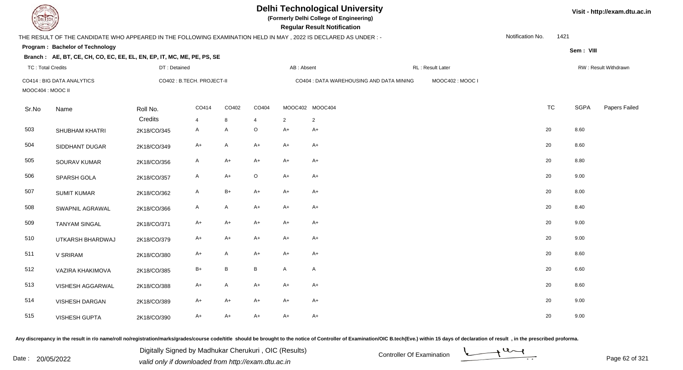| <b>DELTECH</b>           |                                                                                                                 |              |                            |              |                 |              | <b>Delhi Technological University</b><br>(Formerly Delhi College of Engineering)<br><b>Regular Result Notification</b> |                  |                  |           |             | Visit - http://exam.dtu.ac.in |
|--------------------------|-----------------------------------------------------------------------------------------------------------------|--------------|----------------------------|--------------|-----------------|--------------|------------------------------------------------------------------------------------------------------------------------|------------------|------------------|-----------|-------------|-------------------------------|
|                          | THE RESULT OF THE CANDIDATE WHO APPEARED IN THE FOLLOWING EXAMINATION HELD IN MAY, 2022 IS DECLARED AS UNDER :- |              |                            |              |                 |              |                                                                                                                        |                  | Notification No. | 1421      |             |                               |
|                          | Program: Bachelor of Technology                                                                                 |              |                            |              |                 |              |                                                                                                                        |                  |                  |           | Sem: VIII   |                               |
|                          | Branch: AE, BT, CE, CH, CO, EC, EE, EL, EN, EP, IT, MC, ME, PE, PS, SE                                          |              |                            |              |                 |              |                                                                                                                        |                  |                  |           |             |                               |
| <b>TC: Total Credits</b> |                                                                                                                 | DT: Detained |                            |              |                 | AB: Absent   |                                                                                                                        | RL: Result Later |                  |           |             | RW: Result Withdrawn          |
| MOOC404: MOOC II         | CO414 : BIG DATA ANALYTICS                                                                                      |              | CO402 : B.TECH. PROJECT-II |              |                 |              | CO404 : DATA WAREHOUSING AND DATA MINING                                                                               | MOOC402: MOOC I  |                  |           |             |                               |
| Sr.No                    | Name                                                                                                            | Roll No.     | CO414                      | CO402        | CO404           |              | MOOC402 MOOC404                                                                                                        |                  |                  | <b>TC</b> | <b>SGPA</b> | Papers Failed                 |
|                          |                                                                                                                 | Credits      | 4                          | 8            | $\Delta$        | 2            | $\overline{2}$                                                                                                         |                  |                  |           |             |                               |
| 503                      | <b>SHUBHAM KHATRI</b>                                                                                           | 2K18/CO/345  | A                          | A            | $\circ$         | $A+$         | $A+$                                                                                                                   |                  |                  | 20        | 8.60        |                               |
| 504                      | SIDDHANT DUGAR                                                                                                  | 2K18/CO/349  | $A+$                       | $\mathsf{A}$ | $A+$            | $A+$         | $A+$                                                                                                                   |                  |                  | 20        | 8.60        |                               |
| 505                      | SOURAV KUMAR                                                                                                    | 2K18/CO/356  | $\mathsf{A}$               | $A+$         | $A+$            | $A+$         | $A+$                                                                                                                   |                  |                  | 20        | 8.80        |                               |
| 506                      | SPARSH GOLA                                                                                                     | 2K18/CO/357  | $\mathsf{A}$               | $A+$         | $\circ$         | $A+$         | $A+$                                                                                                                   |                  |                  | 20        | 9.00        |                               |
| 507                      | <b>SUMIT KUMAR</b>                                                                                              | 2K18/CO/362  | A                          | $B+$         | $A+$            | $A+$         | A+                                                                                                                     |                  |                  | 20        | 8.00        |                               |
| 508                      | SWAPNIL AGRAWAL                                                                                                 | 2K18/CO/366  | $\mathsf{A}$               | $\mathsf{A}$ | $A+$            | $A+$         | $A+$                                                                                                                   |                  |                  | 20        | 8.40        |                               |
| 509                      | <b>TANYAM SINGAL</b>                                                                                            | 2K18/CO/371  | $A+$                       | $A+$         | $A+$            | $A+$         | $A+$                                                                                                                   |                  |                  | 20        | 9.00        |                               |
| 510                      | UTKARSH BHARDWAJ                                                                                                | 2K18/CO/379  | $A+$                       | $A+$         | $A+$            | $A+$         | $A+$                                                                                                                   |                  |                  | 20        | 9.00        |                               |
| 511                      | V SRIRAM                                                                                                        | 2K18/CO/380  | A+                         | A            | A+              | $A+$         | A+                                                                                                                     |                  |                  | 20        | 8.60        |                               |
| 512                      | VAZIRA KHAKIMOVA                                                                                                | 2K18/CO/385  | $B+$                       | $\, {\bf B}$ | $\, {\bf B} \,$ | $\mathsf{A}$ | A                                                                                                                      |                  |                  | 20        | 6.60        |                               |
| 513                      | VISHESH AGGARWAL                                                                                                | 2K18/CO/388  | A+                         | $\mathsf{A}$ | A+              | $A+$         | A+                                                                                                                     |                  |                  | 20        | 8.60        |                               |
| 514                      | VISHESH DARGAN                                                                                                  | 2K18/CO/389  | A+                         | $A+$         | $A+$            | $A+$         | A+                                                                                                                     |                  |                  | 20        | 9.00        |                               |
| 515                      | VISHESH GUPTA                                                                                                   | 2K18/CO/390  | A+                         | $A+$         | $A+$            | $A+$         | $A+$                                                                                                                   |                  |                  | 20        | 9.00        |                               |

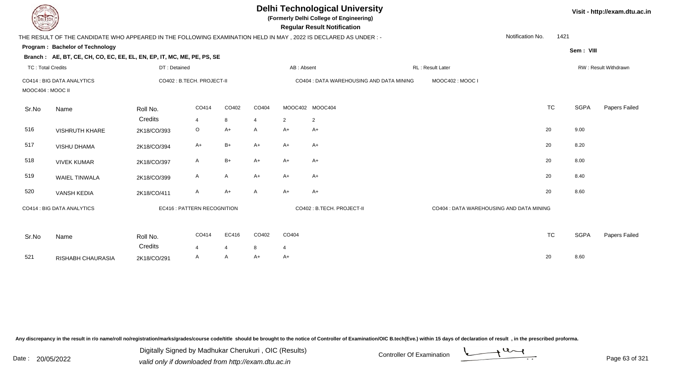| <b>DELTECH</b>           |                                                                                                                |              |                             |                |                |                | <b>Delhi Technological University</b><br>(Formerly Delhi College of Engineering)<br><b>Regular Result Notification</b> |                                          | Visit - http://exam.dtu.ac.in |             |                      |
|--------------------------|----------------------------------------------------------------------------------------------------------------|--------------|-----------------------------|----------------|----------------|----------------|------------------------------------------------------------------------------------------------------------------------|------------------------------------------|-------------------------------|-------------|----------------------|
|                          | THE RESULT OF THE CANDIDATE WHO APPEARED IN THE FOLLOWING EXAMINATION HELD IN MAY, 2022 IS DECLARED AS UNDER:- |              |                             |                |                |                |                                                                                                                        |                                          | Notification No.<br>1421      |             |                      |
|                          | Program: Bachelor of Technology                                                                                |              |                             |                |                |                |                                                                                                                        |                                          |                               | Sem: VIII   |                      |
|                          | Branch: AE, BT, CE, CH, CO, EC, EE, EL, EN, EP, IT, MC, ME, PE, PS, SE                                         |              |                             |                |                |                |                                                                                                                        |                                          |                               |             |                      |
| <b>TC: Total Credits</b> |                                                                                                                | DT: Detained |                             |                |                | AB: Absent     |                                                                                                                        | RL: Result Later                         |                               |             | RW: Result Withdrawn |
| MOOC404 : MOOC II        | CO414 : BIG DATA ANALYTICS                                                                                     |              | CO402 : B.TECH. PROJECT-II  |                |                |                | CO404 : DATA WAREHOUSING AND DATA MINING                                                                               | MOOC402: MOOC I                          |                               |             |                      |
| Sr.No                    | Name                                                                                                           | Roll No.     | CO414                       | CO402          | CO404          |                | MOOC402 MOOC404                                                                                                        |                                          | <b>TC</b>                     | <b>SGPA</b> | Papers Failed        |
|                          |                                                                                                                | Credits      | $\overline{4}$              | 8              | $\overline{4}$ | $\overline{2}$ | $\overline{2}$                                                                                                         |                                          |                               |             |                      |
| 516                      | <b>VISHRUTH KHARE</b>                                                                                          | 2K18/CO/393  | $\circ$                     | $A+$           | A              | A+             | A+                                                                                                                     |                                          | 20                            | 9.00        |                      |
| 517                      | <b>VISHU DHAMA</b>                                                                                             | 2K18/CO/394  | $A+$                        | $B+$           | $A+$           | A+             | $A+$                                                                                                                   |                                          | 20                            | 8.20        |                      |
| 518                      | <b>VIVEK KUMAR</b>                                                                                             | 2K18/CO/397  | A                           | $B+$           | $A+$           | $A+$           | $A+$                                                                                                                   |                                          | 20                            | 8.00        |                      |
| 519                      | WAIEL TINWALA                                                                                                  | 2K18/CO/399  | A                           | A              | $A+$           | A+             | $A+$                                                                                                                   |                                          | 20                            | 8.40        |                      |
| 520                      | <b>VANSH KEDIA</b>                                                                                             | 2K18/CO/411  | A                           | $A+$           | A              | $A+$           | $A+$                                                                                                                   |                                          | 20                            | 8.60        |                      |
|                          | CO414 : BIG DATA ANALYTICS                                                                                     |              | EC416 : PATTERN RECOGNITION |                |                |                | CO402 : B.TECH. PROJECT-II                                                                                             | CO404 : DATA WAREHOUSING AND DATA MINING |                               |             |                      |
| Sr.No                    | Name                                                                                                           | Roll No.     | CO414                       | EC416          | CO402          | CO404          |                                                                                                                        |                                          | <b>TC</b>                     | <b>SGPA</b> | Papers Failed        |
|                          |                                                                                                                | Credits      | 4                           | $\overline{4}$ | 8              | 4              |                                                                                                                        |                                          |                               |             |                      |
| 521                      | RISHABH CHAURASIA                                                                                              | 2K18/CO/291  | A                           | A              | A+             | A+             |                                                                                                                        |                                          | 20                            | 8.60        |                      |

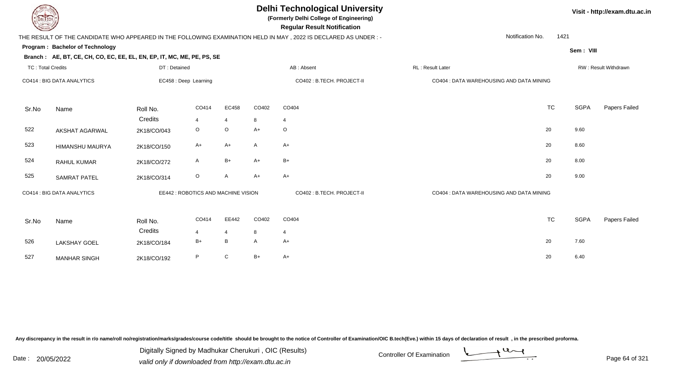**(Formerly Delhi College of Engineering)**

 **Regular Result Notification**

## THE RESULT OF THE CANDIDATE WHO APPEARED IN THE FOLLOWING EXAMINATION HELD IN MAY , 2022 IS DECLARED AS UNDER : -

Notification No.1421

**Program : Bachelor of Technology**

**Branch : AE, BT, CE, CH, CO, EC, EE, EL, EN, EP, IT, MC, ME, PE, PS, SE**

**Sem : VIII**

**Visit - http://exam.dtu.ac.in**

| <b>TC: Total Credits</b> |                            | DT: Detained           |                                     |                |           | AB: Absent                 | RL: Result Later |                                          |           |      | RW: Result Withdrawn |
|--------------------------|----------------------------|------------------------|-------------------------------------|----------------|-----------|----------------------------|------------------|------------------------------------------|-----------|------|----------------------|
|                          | CO414 : BIG DATA ANALYTICS |                        | EC458 : Deep Learning               |                |           | CO402 : B.TECH. PROJECT-II |                  | CO404 : DATA WAREHOUSING AND DATA MINING |           |      |                      |
| Sr.No                    | Name                       | Roll No.               | CO414                               | EC458          | CO402     | CO404                      |                  |                                          | <b>TC</b> | SGPA | Papers Failed        |
| 522                      | AKSHAT AGARWAL             | Credits<br>2K18/CO/043 | $\overline{4}$<br>O                 | 4<br>$\circ$   | 8<br>$A+$ | $\overline{4}$<br>$\circ$  |                  |                                          | 20        | 9.60 |                      |
| 523                      |                            |                        | $A+$                                | $A+$           | Α         | $A+$                       |                  |                                          | 20        | 8.60 |                      |
|                          | HIMANSHU MAURYA            | 2K18/CO/150            |                                     |                |           |                            |                  |                                          |           |      |                      |
| 524                      | RAHUL KUMAR                | 2K18/CO/272            | A                                   | $B+$           | $A+$      | $B+$                       |                  |                                          | 20        | 8.00 |                      |
| 525                      | <b>SAMRAT PATEL</b>        | 2K18/CO/314            | $\circ$                             | A              | $A+$      | $A+$                       |                  |                                          | 20        | 9.00 |                      |
|                          | CO414 : BIG DATA ANALYTICS |                        | EE442 : ROBOTICS AND MACHINE VISION |                |           | CO402 : B.TECH. PROJECT-II |                  | CO404 : DATA WAREHOUSING AND DATA MINING |           |      |                      |
| Sr.No                    | Name                       | Roll No.               | CO414                               | EE442          | CO402     | CO404                      |                  |                                          | <b>TC</b> | SGPA | Papers Failed        |
|                          |                            | Credits                | 4                                   | $\overline{4}$ | 8         | $\overline{4}$             |                  |                                          |           |      |                      |
| 526                      | LAKSHAY GOEL               | 2K18/CO/184            | $B+$                                | B              | Α         | $A+$                       |                  |                                          | 20        | 7.60 |                      |
| 527                      | <b>MANHAR SINGH</b>        | 2K18/CO/192            | P                                   | ${\bf C}$      | $B+$      | $A+$                       |                  |                                          | 20        | 6.40 |                      |
|                          |                            |                        |                                     |                |           |                            |                  |                                          |           |      |                      |

Any discrepancy in the result in r/o name/roll no/registration/marks/grades/course code/title should be brought to the notice of Controller of Examination/OIC B.tech(Eve.) within 15 days of declaration of result, in the pr

Date : 20/05/2022 Digital Digital of Microsofted Chemical Controller Of Examination Determination Page 64 of 32 Digitally Signed by Madhukar Cherukuri , OIC (Results)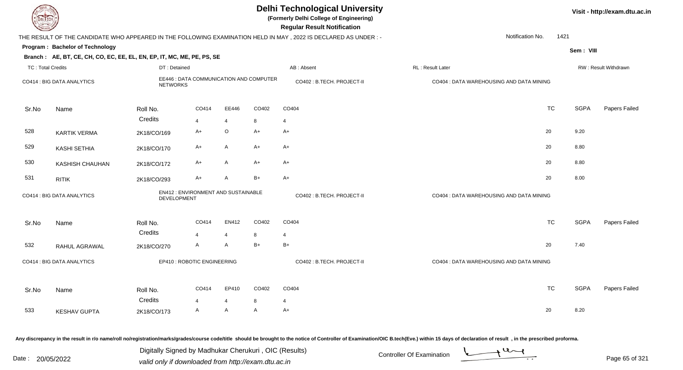| <b>DELTECH</b>           |                                                                        |                 |                                         |                         |              | <b>Delhi Technological University</b><br>(Formerly Delhi College of Engineering)<br><b>Regular Result Notification</b> |                                          |           |             | Visit - http://exam.dtu.ac.in |
|--------------------------|------------------------------------------------------------------------|-----------------|-----------------------------------------|-------------------------|--------------|------------------------------------------------------------------------------------------------------------------------|------------------------------------------|-----------|-------------|-------------------------------|
|                          |                                                                        |                 |                                         |                         |              | THE RESULT OF THE CANDIDATE WHO APPEARED IN THE FOLLOWING EXAMINATION HELD IN MAY, 2022 IS DECLARED AS UNDER :-        | Notification No.                         | 1421      |             |                               |
|                          | Program: Bachelor of Technology                                        |                 |                                         |                         |              |                                                                                                                        |                                          |           | Sem: VIII   |                               |
|                          | Branch: AE, BT, CE, CH, CO, EC, EE, EL, EN, EP, IT, MC, ME, PE, PS, SE |                 |                                         |                         |              |                                                                                                                        |                                          |           |             |                               |
| <b>TC: Total Credits</b> |                                                                        | DT: Detained    |                                         |                         |              | AB: Absent                                                                                                             | RL: Result Later                         |           |             | RW: Result Withdrawn          |
|                          | CO414 : BIG DATA ANALYTICS                                             | <b>NETWORKS</b> | EE446 : DATA COMMUNICATION AND COMPUTER |                         |              | CO402 : B.TECH. PROJECT-II                                                                                             | CO404 : DATA WAREHOUSING AND DATA MINING |           |             |                               |
| Sr.No                    | Name                                                                   | Roll No.        | CO414                                   | EE446                   | CO402        | CO404                                                                                                                  |                                          | <b>TC</b> | <b>SGPA</b> | Papers Failed                 |
|                          |                                                                        | Credits         | $\overline{\mathbf{A}}$                 | $\overline{4}$          | 8            | $\overline{4}$                                                                                                         |                                          |           |             |                               |
| 528                      | <b>KARTIK VERMA</b>                                                    | 2K18/CO/169     | $A+$                                    | O                       | $A+$         | $A+$                                                                                                                   |                                          | 20        | 9.20        |                               |
| 529                      | KASHI SETHIA                                                           | 2K18/CO/170     | $A+$                                    | A                       | $A+$         | $A+$                                                                                                                   |                                          | 20        | 8.80        |                               |
| 530                      | <b>KASHISH CHAUHAN</b>                                                 | 2K18/CO/172     | A+                                      | $\mathsf{A}$            | $A+$         | $A+$                                                                                                                   |                                          | 20        | 8.80        |                               |
| 531                      | <b>RITIK</b>                                                           | 2K18/CO/293     | A+                                      | A                       | $B+$         | $A+$                                                                                                                   |                                          | 20        | 8.00        |                               |
|                          | CO414 : BIG DATA ANALYTICS                                             | DEVELOPMENT     | EN412 : ENVIRONMENT AND SUSTAINABLE     |                         |              | CO402 : B.TECH. PROJECT-II                                                                                             | CO404 : DATA WAREHOUSING AND DATA MINING |           |             |                               |
| Sr.No                    | Name                                                                   | Roll No.        | CO414                                   | EN412                   | CO402        | CO404                                                                                                                  |                                          | <b>TC</b> | <b>SGPA</b> | Papers Failed                 |
|                          |                                                                        | Credits         | $\overline{\mathbf{A}}$                 | $\overline{\mathbf{4}}$ | 8            | $\overline{4}$                                                                                                         |                                          |           |             |                               |
| 532                      | RAHUL AGRAWAL                                                          | 2K18/CO/270     | A                                       | $\mathsf{A}$            | $B+$         | $B+$                                                                                                                   |                                          | 20        | 7.40        |                               |
|                          | CO414 : BIG DATA ANALYTICS                                             |                 | EP410 : ROBOTIC ENGINEERING             |                         |              | CO402: B.TECH. PROJECT-II                                                                                              | CO404 : DATA WAREHOUSING AND DATA MINING |           |             |                               |
| Sr.No                    | Name                                                                   | Roll No.        | CO414                                   | EP410                   | CO402        | CO404                                                                                                                  |                                          | <b>TC</b> | <b>SGPA</b> | Papers Failed                 |
|                          |                                                                        | Credits         | $\overline{4}$                          | $\overline{4}$          | 8            | $\overline{4}$                                                                                                         |                                          |           |             |                               |
| 533                      | <b>KESHAV GUPTA</b>                                                    | 2K18/CO/173     | A                                       | A                       | $\mathsf{A}$ | $A+$                                                                                                                   |                                          | 20        | 8.20        |                               |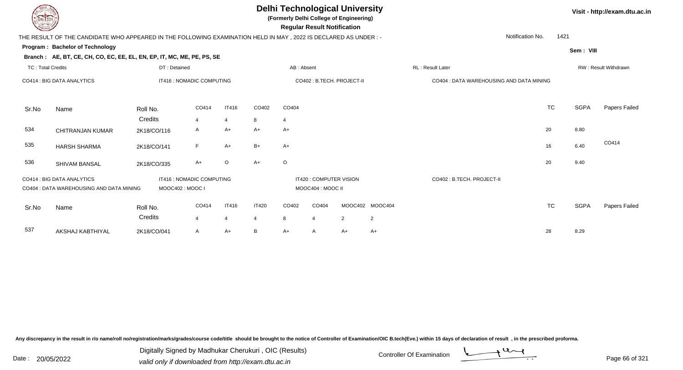**(Formerly Delhi College of Engineering)**

**Regular Regular Results Notification** 

**Visit - http://exam.dtu.ac.in**

| <b>County of Several Property</b> |                                                                                                                 |                           |                           |                |                |                | <b>Regular Result Notification</b>           |                            |                |                                          |           |             |                      |
|-----------------------------------|-----------------------------------------------------------------------------------------------------------------|---------------------------|---------------------------|----------------|----------------|----------------|----------------------------------------------|----------------------------|----------------|------------------------------------------|-----------|-------------|----------------------|
|                                   | THE RESULT OF THE CANDIDATE WHO APPEARED IN THE FOLLOWING EXAMINATION HELD IN MAY, 2022 IS DECLARED AS UNDER :- |                           |                           |                |                |                |                                              |                            |                | Notification No.                         | 1421      |             |                      |
|                                   | Program: Bachelor of Technology                                                                                 |                           |                           |                |                |                |                                              |                            |                |                                          |           | Sem: VIII   |                      |
|                                   | Branch: AE, BT, CE, CH, CO, EC, EE, EL, EN, EP, IT, MC, ME, PE, PS, SE                                          |                           |                           |                |                |                |                                              |                            |                |                                          |           |             |                      |
| <b>TC: Total Credits</b>          |                                                                                                                 | DT: Detained              |                           |                |                | AB: Absent     |                                              |                            |                | RL: Result Later                         |           |             | RW: Result Withdrawn |
|                                   | CO414 : BIG DATA ANALYTICS                                                                                      | IT416 : NOMADIC COMPUTING |                           |                |                |                |                                              | CO402 : B.TECH. PROJECT-II |                | CO404 : DATA WAREHOUSING AND DATA MINING |           |             |                      |
| Sr.No                             | Name                                                                                                            | Roll No.                  | CO414                     | IT416          | CO402          | CO404          |                                              |                            |                |                                          | <b>TC</b> | <b>SGPA</b> | Papers Failed        |
|                                   |                                                                                                                 | Credits                   | $\overline{4}$            | $\overline{4}$ | 8              | $\overline{4}$ |                                              |                            |                |                                          |           |             |                      |
| 534                               | <b>CHITRANJAN KUMAR</b>                                                                                         | 2K18/CO/116               | A                         | A+             | $A+$           | A+             |                                              |                            |                |                                          | 20        | 8.80        |                      |
| 535                               | <b>HARSH SHARMA</b>                                                                                             | 2K18/CO/141               | F                         | A+             | $B+$           | A+             |                                              |                            |                |                                          | 16        | 6.40        | CO414                |
| 536                               | SHIVAM BANSAL                                                                                                   | 2K18/CO/335               | A+                        | $\circ$        | $A+$           | $\circ$        |                                              |                            |                |                                          | 20        | 9.40        |                      |
|                                   | CO414 : BIG DATA ANALYTICS<br>CO404 : DATA WAREHOUSING AND DATA MINING                                          | MOOC402: MOOC I           | IT416 : NOMADIC COMPUTING |                |                |                | IT420 : COMPUTER VISION<br>MOOC404 : MOOC II |                            |                | CO402 : B.TECH. PROJECT-II               |           |             |                      |
| Sr.No                             | Name                                                                                                            | Roll No.                  | CO414                     | IT416          | <b>IT420</b>   | CO402          | CO404                                        | MOOC402 MOOC404            |                |                                          | <b>TC</b> | <b>SGPA</b> | Papers Failed        |
|                                   |                                                                                                                 | Credits                   | 4                         | $\overline{4}$ | $\overline{4}$ | 8              | $\boldsymbol{\Delta}$                        | 2                          | $\overline{2}$ |                                          |           |             |                      |
| 537                               | AKSHAJ KABTHIYAL                                                                                                | 2K18/CO/041               | A                         | A+             | В              | A+             | A                                            | A+                         | $A+$           |                                          | 28        | 8.29        |                      |

Any discrepancy in the result in r/o name/roll no/registration/marks/grades/course code/title should be brought to the notice of Controller of Examination/OIC B.tech(Eve.) within 15 days of declaration of result, in the pr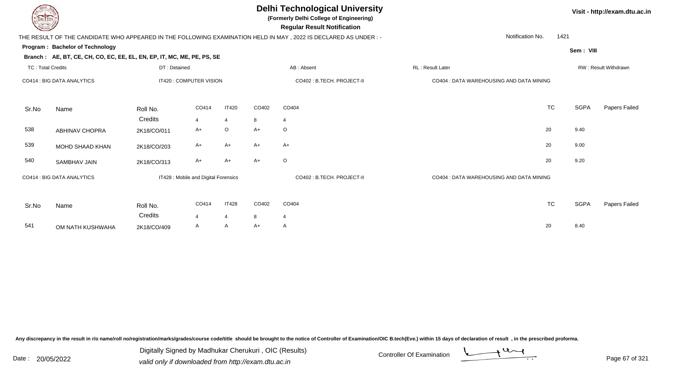**(Formerly Delhi College of Engineering)**

 **Regular Result Notification**

**Visit - http://exam.dtu.ac.in**

**Program : Bachelor of TechnologySem : VIII Branch : AE, BT, CE, CH, CO, EC, EE, EL, EN, EP, IT, MC, ME, PE, PS, SE**THE RESULT OF THE CANDIDATE WHO APPEARED IN THE FOLLOWING EXAMINATION HELD IN MAY , 2022 IS DECLARED AS UNDER : -TC : Total Credits DT : Detainedd AB : Absent RL : Result Later RW : Result Withdrawn Notification No. 1421Sr.NoName Roll No. **Credits** CO414 : BIG DATA ANALYTICS IT420 : COMPUTER VISION CO402 : B.TECH. PROJECT-II CO404 : DATA WAREHOUSING AND DATA MININGCO4144 IT420 CO402 CO404 **TC** TC SGPA Papers Failed 4 <sup>4</sup> <sup>8</sup> <sup>4</sup> 538 ABHINAV CHOPRAA 2K18/CO/011 A+ O A+ O 539 MOHD SHAAD KHANN 2K18/CO/203 A+ A+ A+ A+ A+ A+ CO 20 9.00 540 SAMBHAV JAINN 2K18/CO/313 A+ A+ A+ O 20 20 9.20 Sr.NoName Roll No. **Credits** CO414 : BIG DATA ANALYTICS IT428 : Mobile and Digital Forensics CO402 : B.TECH. PROJECT-II CO404 : DATA WAREHOUSING AND DATA MININGCO4144 IT428 CO402 CO404 **TC** TC SGPA Papers Failed 44 4 8 4 541 OM NATH KUSHWAHAA 2K18/CO/409 A A A+ A <br>

Any discrepancy in the result in r/o name/roll no/registration/marks/grades/course code/title should be brought to the notice of Controller of Examination/OIC B.tech(Eve.) within 15 days of declaration of result , in the p

Date : 20/05/2022 Digital Digital of Microsofted Chemical Controller Of Examination Determination Page 67 of 32 Digitally Signed by Madhukar Cherukuri , OIC (Results)

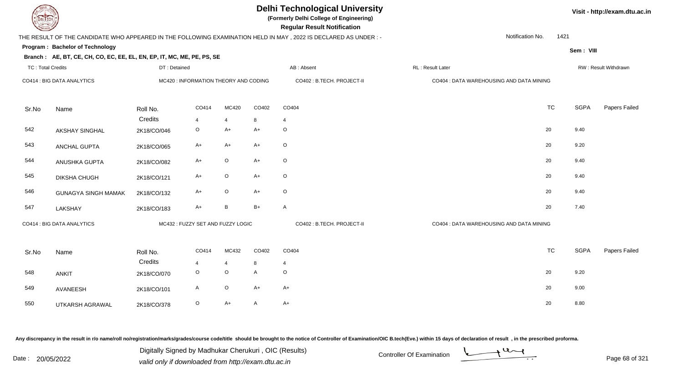| EL I ECH                 |                                                                        |                                      |                |                |              | <b>Delhi Technological University</b><br>(Formerly Delhi College of Engineering)<br><b>Regular Result Notification</b> |                                          | Visit - http://exam.dtu.ac.in |             |                      |  |
|--------------------------|------------------------------------------------------------------------|--------------------------------------|----------------|----------------|--------------|------------------------------------------------------------------------------------------------------------------------|------------------------------------------|-------------------------------|-------------|----------------------|--|
|                          |                                                                        |                                      |                |                |              | THE RESULT OF THE CANDIDATE WHO APPEARED IN THE FOLLOWING EXAMINATION HELD IN MAY, 2022 IS DECLARED AS UNDER :-        | Notification No.                         | 1421                          |             |                      |  |
|                          | Program: Bachelor of Technology                                        |                                      |                |                |              |                                                                                                                        |                                          |                               | Sem: VIII   |                      |  |
|                          | Branch: AE, BT, CE, CH, CO, EC, EE, EL, EN, EP, IT, MC, ME, PE, PS, SE |                                      |                |                |              |                                                                                                                        |                                          |                               |             |                      |  |
| <b>TC: Total Credits</b> |                                                                        | DT: Detained                         |                |                |              | AB: Absent                                                                                                             | RL: Result Later                         |                               |             | RW: Result Withdrawn |  |
|                          | CO414 : BIG DATA ANALYTICS                                             | MC420: INFORMATION THEORY AND CODING |                |                |              | CO402 : B.TECH. PROJECT-II                                                                                             | CO404 : DATA WAREHOUSING AND DATA MINING |                               |             |                      |  |
| Sr.No                    | Name                                                                   | Roll No.                             | CO414          | MC420          | CO402        | CO404                                                                                                                  |                                          | <b>TC</b>                     | <b>SGPA</b> | Papers Failed        |  |
|                          |                                                                        | Credits                              | $\overline{4}$ | $\overline{4}$ | 8            | $\overline{4}$                                                                                                         |                                          |                               |             |                      |  |
| 542                      | <b>AKSHAY SINGHAL</b>                                                  | 2K18/CO/046                          | $\mathsf O$    | $A+$           | $A+$         | $\circ$                                                                                                                |                                          | 20                            | 9.40        |                      |  |
| 543                      | <b>ANCHAL GUPTA</b>                                                    | 2K18/CO/065                          | $A+$           | $A+$           | $A+$         | $\circ$                                                                                                                |                                          | 20                            | 9.20        |                      |  |
| 544                      | ANUSHKA GUPTA                                                          | 2K18/CO/082                          | $A+$           | $\mathsf O$    | $A+$         | $\circ$                                                                                                                |                                          | 20                            | 9.40        |                      |  |
| 545                      | DIKSHA CHUGH                                                           | 2K18/CO/121                          | $A+$           | $\mathsf O$    | $A+$         | $\circ$                                                                                                                |                                          | 20                            | 9.40        |                      |  |
| 546                      | <b>GUNAGYA SINGH MAMAK</b>                                             | 2K18/CO/132                          | $A+$           | $\mathsf O$    | $A+$         | $\mathsf O$                                                                                                            |                                          | 20                            | 9.40        |                      |  |
| 547                      | LAKSHAY                                                                | 2K18/CO/183                          | A+             | $\, {\sf B}$   | $B+$         | A                                                                                                                      |                                          | 20                            | 7.40        |                      |  |
|                          | CO414 : BIG DATA ANALYTICS                                             | MC432: FUZZY SET AND FUZZY LOGIC     |                |                |              | CO402: B.TECH. PROJECT-II                                                                                              | CO404 : DATA WAREHOUSING AND DATA MINING |                               |             |                      |  |
|                          |                                                                        |                                      |                |                |              |                                                                                                                        |                                          |                               |             |                      |  |
| Sr.No                    | Name                                                                   | Roll No.                             | CO414          | MC432          | CO402        | CO404                                                                                                                  |                                          | <b>TC</b>                     | <b>SGPA</b> | Papers Failed        |  |
|                          |                                                                        | Credits                              | 4              | $\overline{4}$ | 8            | $\overline{4}$                                                                                                         |                                          |                               |             |                      |  |
| 548                      | <b>ANKIT</b>                                                           | 2K18/CO/070                          | $\circ$        | $\circ$        | $\mathsf{A}$ | $\circ$                                                                                                                |                                          | 20                            | 9.20        |                      |  |
| 549                      | AVANEESH                                                               | 2K18/CO/101                          | A              | $\mathsf O$    | $A+$         | $A+$                                                                                                                   |                                          | 20                            | 9.00        |                      |  |
| 550                      | <b>UTKARSH AGRAWAL</b>                                                 | 2K18/CO/378                          | $\circ$        | $A+$           | A            | $A+$                                                                                                                   |                                          | 20                            | 8.80        |                      |  |
|                          |                                                                        |                                      |                |                |              |                                                                                                                        |                                          |                               |             |                      |  |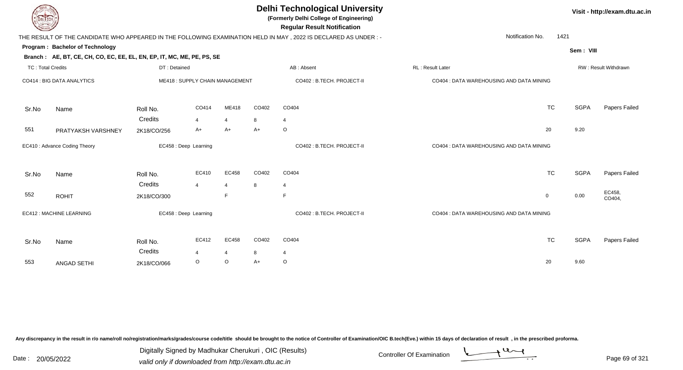| <b>DELTECH</b>           |                                                                        |              |                                |                |       | <b>Delhi Technological University</b><br>(Formerly Delhi College of Engineering)<br><b>Regular Result Notification</b> | Visit - http://exam.dtu.ac.in            |             |                      |
|--------------------------|------------------------------------------------------------------------|--------------|--------------------------------|----------------|-------|------------------------------------------------------------------------------------------------------------------------|------------------------------------------|-------------|----------------------|
|                          |                                                                        |              |                                |                |       | THE RESULT OF THE CANDIDATE WHO APPEARED IN THE FOLLOWING EXAMINATION HELD IN MAY, 2022 IS DECLARED AS UNDER:-         | Notification No.                         | 1421        |                      |
|                          | Program: Bachelor of Technology                                        |              |                                |                |       |                                                                                                                        |                                          | Sem: VIII   |                      |
|                          | Branch: AE, BT, CE, CH, CO, EC, EE, EL, EN, EP, IT, MC, ME, PE, PS, SE |              |                                |                |       |                                                                                                                        |                                          |             |                      |
| <b>TC: Total Credits</b> |                                                                        | DT: Detained |                                |                |       | AB: Absent                                                                                                             | RL: Result Later                         |             | RW: Result Withdrawn |
|                          | CO414 : BIG DATA ANALYTICS                                             |              | ME418: SUPPLY CHAIN MANAGEMENT |                |       | CO402 : B.TECH. PROJECT-II                                                                                             | CO404 : DATA WAREHOUSING AND DATA MINING |             |                      |
| Sr.No                    | Name                                                                   | Roll No.     | CO414                          | ME418          | CO402 | CO404                                                                                                                  | <b>TC</b>                                | <b>SGPA</b> | Papers Failed        |
|                          |                                                                        | Credits      | $\overline{4}$                 | $\overline{4}$ | 8     | 4                                                                                                                      |                                          |             |                      |
| 551                      | PRATYAKSH VARSHNEY                                                     | 2K18/CO/256  | A+                             | A+             | A+    | $\circ$                                                                                                                | 20                                       | 9.20        |                      |
|                          | EC410 : Advance Coding Theory                                          |              | EC458 : Deep Learning          |                |       | CO402 : B.TECH. PROJECT-II                                                                                             | CO404 : DATA WAREHOUSING AND DATA MINING |             |                      |
| Sr.No                    | Name                                                                   | Roll No.     | EC410                          | EC458          | CO402 | CO404                                                                                                                  | <b>TC</b>                                | <b>SGPA</b> | Papers Failed        |
|                          |                                                                        | Credits      | $\overline{4}$                 | 4              | 8     | $\overline{4}$                                                                                                         |                                          |             |                      |
| 552                      | <b>ROHIT</b>                                                           | 2K18/CO/300  |                                | F              |       | E                                                                                                                      | $\mathbf 0$                              | 0.00        | EC458,<br>CO404,     |
|                          | EC412 : MACHINE LEARNING                                               |              | EC458 : Deep Learning          |                |       | CO402: B.TECH. PROJECT-II                                                                                              | CO404 : DATA WAREHOUSING AND DATA MINING |             |                      |
| Sr.No                    | Name                                                                   | Roll No.     | EC412                          | EC458          | CO402 | CO404                                                                                                                  | <b>TC</b>                                | <b>SGPA</b> | Papers Failed        |
|                          |                                                                        | Credits      | $\overline{\mathbf{A}}$        | $\overline{4}$ | 8     | $\overline{4}$                                                                                                         |                                          |             |                      |
| 553                      | <b>ANGAD SETHI</b>                                                     | 2K18/CO/066  | $\circ$                        | $\circ$        | A+    | $\circ$                                                                                                                | 20                                       | 9.60        |                      |
|                          |                                                                        |              |                                |                |       |                                                                                                                        |                                          |             |                      |

Digitally Signed by Madhukar Cherukuri, OIC (Results)<br>Date : 20/05/2022 valid only if downloaded from http://oxam.dtu.ac.in Digitally Signed by Madhukar Cherukuri , OIC (Results)

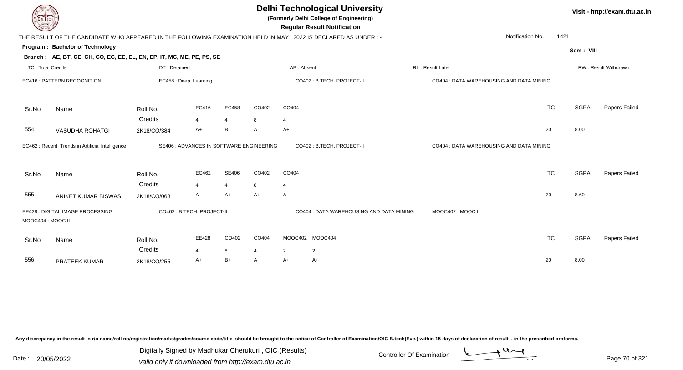| <b>DELTECH</b>           |                                                                                                                 |                            |                |                         |                                          |                      | <b>Delhi Technological University</b><br>(Formerly Delhi College of Engineering)<br><b>Regular Result Notification</b> |                                          |           |             | Visit - http://exam.dtu.ac.in |
|--------------------------|-----------------------------------------------------------------------------------------------------------------|----------------------------|----------------|-------------------------|------------------------------------------|----------------------|------------------------------------------------------------------------------------------------------------------------|------------------------------------------|-----------|-------------|-------------------------------|
|                          | THE RESULT OF THE CANDIDATE WHO APPEARED IN THE FOLLOWING EXAMINATION HELD IN MAY, 2022 IS DECLARED AS UNDER :- |                            |                |                         |                                          |                      |                                                                                                                        | Notification No.                         | 1421      |             |                               |
|                          | Program: Bachelor of Technology                                                                                 |                            |                |                         |                                          |                      |                                                                                                                        |                                          |           | Sem: VIII   |                               |
| <b>TC: Total Credits</b> | Branch: AE, BT, CE, CH, CO, EC, EE, EL, EN, EP, IT, MC, ME, PE, PS, SE                                          | DT: Detained               |                |                         |                                          | AB: Absent           |                                                                                                                        | RL: Result Later                         |           |             | RW: Result Withdrawn          |
|                          | EC416 : PATTERN RECOGNITION                                                                                     | EC458 : Deep Learning      |                |                         |                                          |                      | CO402 : B.TECH. PROJECT-II                                                                                             | CO404 : DATA WAREHOUSING AND DATA MINING |           |             |                               |
| Sr.No                    | Name                                                                                                            | Roll No.                   | EC416          | EC458                   | CO402                                    | CO404                |                                                                                                                        |                                          | <b>TC</b> | <b>SGPA</b> | Papers Failed                 |
|                          |                                                                                                                 | Credits                    | $\overline{4}$ | $\overline{4}$          | 8                                        | 4                    |                                                                                                                        |                                          |           |             |                               |
| 554                      | <b>VASUDHA ROHATGI</b>                                                                                          | 2K18/CO/384                | A+             | B                       | A                                        | A+                   |                                                                                                                        |                                          | 20        | 8.00        |                               |
|                          | EC462 : Recent Trends in Artificial Intelligence                                                                |                            |                |                         | SE406 : ADVANCES IN SOFTWARE ENGINEERING |                      | CO402 : B.TECH. PROJECT-II                                                                                             | CO404 : DATA WAREHOUSING AND DATA MINING |           |             |                               |
| Sr.No                    | Name                                                                                                            | Roll No.<br>Credits        | EC462<br>4     | SE406<br>$\overline{4}$ | CO402<br>8                               | CO404<br>4           |                                                                                                                        |                                          | <b>TC</b> | <b>SGPA</b> | Papers Failed                 |
| 555                      | ANIKET KUMAR BISWAS                                                                                             | 2K18/CO/068                | A              | $A+$                    | $A+$                                     | A                    |                                                                                                                        |                                          | 20        | 8.60        |                               |
| MOOC404 : MOOC II        | EE428 : DIGITAL IMAGE PROCESSING                                                                                | CO402 : B.TECH. PROJECT-II |                |                         |                                          |                      | CO404 : DATA WAREHOUSING AND DATA MINING                                                                               | MOOC402: MOOC I                          |           |             |                               |
| Sr.No                    | Name                                                                                                            | Roll No.<br>Credits        | EE428          | CO402                   | CO404                                    |                      | MOOC402 MOOC404                                                                                                        |                                          | <b>TC</b> | <b>SGPA</b> | Papers Failed                 |
| 556                      | PRATEEK KUMAR                                                                                                   | 2K18/CO/255                | 4<br>A+        | 8<br>$B+$               | $\overline{4}$<br>A                      | $\overline{2}$<br>A+ | $\overline{2}$<br>A+                                                                                                   |                                          | 20        | 8.00        |                               |

Digitally Signed by Madhukar Cherukuri, OIC (Results)<br>Date : 20/05/2022 valid only if downloaded from http://oxam.dtu.ac.in Digitally Signed by Madhukar Cherukuri , OIC (Results)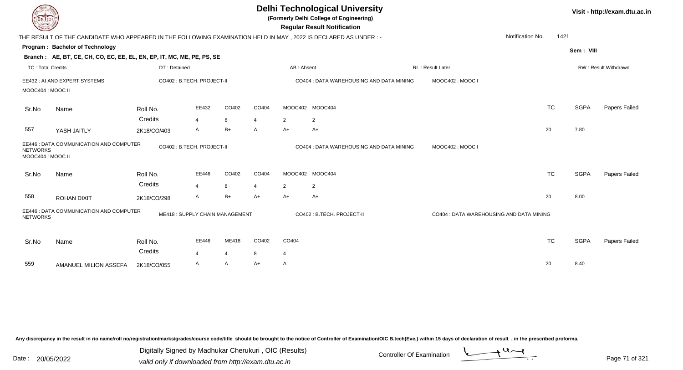| DEL TECH                             |                                                                                                                |                     |                                  |            |                       |                | <b>Delhi Technological University</b><br>(Formerly Delhi College of Engineering)<br><b>Regular Result Notification</b> |                                          |           |             | Visit - http://exam.dtu.ac.in |
|--------------------------------------|----------------------------------------------------------------------------------------------------------------|---------------------|----------------------------------|------------|-----------------------|----------------|------------------------------------------------------------------------------------------------------------------------|------------------------------------------|-----------|-------------|-------------------------------|
|                                      | THE RESULT OF THE CANDIDATE WHO APPEARED IN THE FOLLOWING EXAMINATION HELD IN MAY, 2022 IS DECLARED AS UNDER:- |                     |                                  |            |                       |                |                                                                                                                        | Notification No.                         | 1421      |             |                               |
|                                      | Program: Bachelor of Technology                                                                                |                     |                                  |            |                       |                |                                                                                                                        |                                          |           | Sem: VIII   |                               |
|                                      | Branch: AE, BT, CE, CH, CO, EC, EE, EL, EN, EP, IT, MC, ME, PE, PS, SE                                         |                     |                                  |            |                       |                |                                                                                                                        |                                          |           |             |                               |
| <b>TC: Total Credits</b>             |                                                                                                                | DT: Detained        |                                  |            |                       | AB: Absent     |                                                                                                                        | <b>RL: Result Later</b>                  |           |             | RW: Result Withdrawn          |
| MOOC404: MOOC II                     | EE432 : AI AND EXPERT SYSTEMS                                                                                  |                     | CO402 : B.TECH. PROJECT-II       |            |                       |                | CO404 : DATA WAREHOUSING AND DATA MINING                                                                               | MOOC402: MOOC I                          |           |             |                               |
| Sr.No                                | Name                                                                                                           | Roll No.            | EE432                            | CO402      | CO404                 |                | MOOC402 MOOC404                                                                                                        |                                          | <b>TC</b> | <b>SGPA</b> | Papers Failed                 |
|                                      |                                                                                                                | Credits             | $\overline{4}$                   | 8          | $\overline{4}$        | $\overline{2}$ | $\overline{2}$                                                                                                         |                                          |           |             |                               |
| 557                                  | YASH JAITLY                                                                                                    | 2K18/CO/403         | Α                                | $B+$       | A                     | A+             | A+                                                                                                                     |                                          | 20        | 7.80        |                               |
| <b>NETWORKS</b><br>MOOC404 : MOOC II | EE446 : DATA COMMUNICATION AND COMPUTER                                                                        |                     | CO402: B.TECH. PROJECT-II        |            |                       |                | CO404 : DATA WAREHOUSING AND DATA MINING                                                                               | MOOC402: MOOC I                          |           |             |                               |
| Sr.No                                | Name                                                                                                           | Roll No.            | EE446                            | CO402      | CO404                 | MOOC402        | MOOC404                                                                                                                |                                          | <b>TC</b> | <b>SGPA</b> | Papers Failed                 |
|                                      |                                                                                                                | Credits             | $\overline{\mathbf{A}}$          | 8          | $\boldsymbol{\Delta}$ | $\overline{2}$ | $\overline{2}$                                                                                                         |                                          |           |             |                               |
| 558                                  | <b>ROHAN DIXIT</b>                                                                                             | 2K18/CO/298         | A                                | $B+$       | $A+$                  | A+             | $A+$                                                                                                                   |                                          | 20        | 8.00        |                               |
| <b>NETWORKS</b>                      | EE446 : DATA COMMUNICATION AND COMPUTER                                                                        |                     | ME418: SUPPLY CHAIN MANAGEMENT   |            |                       |                | CO402 : B.TECH. PROJECT-II                                                                                             | CO404 : DATA WAREHOUSING AND DATA MINING |           |             |                               |
| Sr.No                                | Name                                                                                                           | Roll No.<br>Credits | EE446<br>$\overline{\mathbf{A}}$ | ME418<br>4 | CO402<br>8            | CO404<br>4     |                                                                                                                        |                                          | <b>TC</b> | <b>SGPA</b> | Papers Failed                 |
| 559                                  | AMANUEL MILION ASSEFA                                                                                          | 2K18/CO/055         | A                                | A          | A+                    | A              |                                                                                                                        |                                          | 20        | 8.40        |                               |
|                                      |                                                                                                                |                     |                                  |            |                       |                |                                                                                                                        |                                          |           |             |                               |

Digitally Signed by Madhukar Cherukuri, OIC (Results)<br>Date : 20/05/2022 valid only if downloaded from http://oxam.dtu.ac.in Digitally Signed by Madhukar Cherukuri , OIC (Results)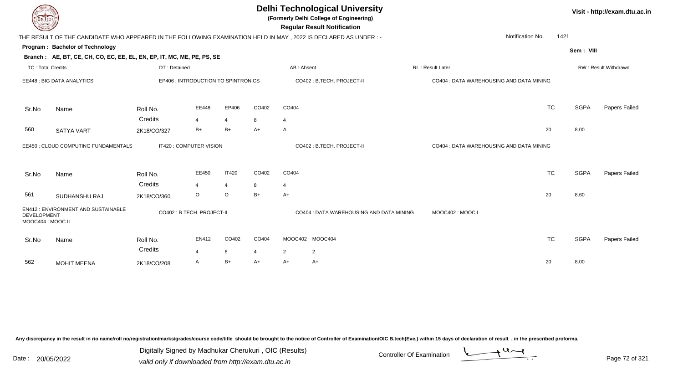| DEL ECH                                |                                                                                                                |                                     |                                 |                           |           | <b>Delhi Technological University</b><br>(Formerly Delhi College of Engineering)<br><b>Regular Result Notification</b> |                                          |                  |                                          |           |             | Visit - http://exam.dtu.ac.in |  |  |
|----------------------------------------|----------------------------------------------------------------------------------------------------------------|-------------------------------------|---------------------------------|---------------------------|-----------|------------------------------------------------------------------------------------------------------------------------|------------------------------------------|------------------|------------------------------------------|-----------|-------------|-------------------------------|--|--|
|                                        | THE RESULT OF THE CANDIDATE WHO APPEARED IN THE FOLLOWING EXAMINATION HELD IN MAY, 2022 IS DECLARED AS UNDER:- |                                     |                                 |                           |           |                                                                                                                        |                                          |                  | Notification No.                         | 1421      |             |                               |  |  |
|                                        | Program: Bachelor of Technology<br>Branch: AE, BT, CE, CH, CO, EC, EE, EL, EN, EP, IT, MC, ME, PE, PS, SE      |                                     |                                 |                           |           |                                                                                                                        |                                          |                  |                                          |           | Sem: VIII   |                               |  |  |
| <b>TC: Total Credits</b>               |                                                                                                                | DT: Detained                        |                                 |                           |           | AB: Absent                                                                                                             |                                          | RL: Result Later |                                          |           |             | RW: Result Withdrawn          |  |  |
|                                        | EE448 : BIG DATA ANALYTICS                                                                                     | EP406 : INTRODUCTION TO SPINTRONICS |                                 |                           |           |                                                                                                                        | CO402: B.TECH. PROJECT-II                |                  | CO404 : DATA WAREHOUSING AND DATA MINING |           |             |                               |  |  |
| Sr.No                                  | Name                                                                                                           | Roll No.                            | EE448                           | EP406                     | CO402     | CO404                                                                                                                  |                                          |                  |                                          | <b>TC</b> | <b>SGPA</b> | Papers Failed                 |  |  |
| 560                                    | <b>SATYA VART</b>                                                                                              | Credits<br>2K18/CO/327              | $\overline{\mathbf{A}}$<br>$B+$ | $\overline{4}$<br>$B+$    | 8<br>$A+$ | $\overline{4}$<br>A                                                                                                    |                                          |                  |                                          | 20        | 8.00        |                               |  |  |
|                                        | EE450 : CLOUD COMPUTING FUNDAMENTALS                                                                           | IT420 : COMPUTER VISION             |                                 |                           |           |                                                                                                                        | CO402: B.TECH. PROJECT-II                |                  | CO404 : DATA WAREHOUSING AND DATA MINING |           |             |                               |  |  |
| Sr.No                                  | Name                                                                                                           | Roll No.                            | EE450                           | <b>IT420</b>              | CO402     | CO404                                                                                                                  |                                          |                  |                                          | <b>TC</b> | <b>SGPA</b> | Papers Failed                 |  |  |
| 561                                    | SUDHANSHU RAJ                                                                                                  | Credits<br>2K18/CO/360              | 4<br>O                          | $\overline{4}$<br>$\circ$ | 8<br>$B+$ | $\overline{4}$<br>$A+$                                                                                                 |                                          |                  |                                          | 20        | 8.60        |                               |  |  |
| <b>DEVELOPMENT</b><br>MOOC404: MOOC II | <b>EN412: ENVIRONMENT AND SUSTAINABLE</b>                                                                      | CO402 : B.TECH. PROJECT-II          |                                 |                           |           |                                                                                                                        | CO404 : DATA WAREHOUSING AND DATA MINING |                  | MOOC402: MOOC I                          |           |             |                               |  |  |
| Sr.No                                  | Name                                                                                                           | Roll No.<br>Credits                 | <b>EN412</b><br>$\overline{a}$  | CO402<br>8                | CO404     | 2                                                                                                                      | MOOC402 MOOC404<br>$\overline{2}$        |                  |                                          | <b>TC</b> | <b>SGPA</b> | Papers Failed                 |  |  |
| 562                                    | <b>MOHIT MEENA</b>                                                                                             | 2K18/CO/208                         | A                               | $B+$                      | A+        | $A+$                                                                                                                   | A+                                       |                  |                                          | 20        | 8.00        |                               |  |  |

Digitally Signed by Madhukar Cherukuri, OIC (Results)<br>Date : 20/05/2022 valid only if downloaded from http://oxam.dtu.ac.in Digitally Signed by Madhukar Cherukuri , OIC (Results)

Page 72 of 321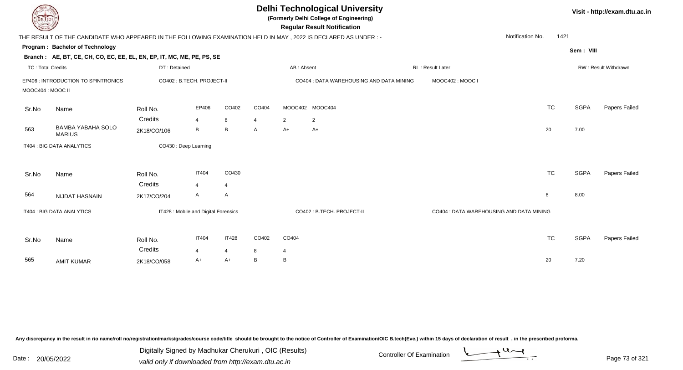| DEL TECH                 |                                                                                                                |                       |                           |                         |       |                            | <b>Delhi Technological University</b><br>(Formerly Delhi College of Engineering)<br><b>Regular Result Notification</b> |                  |                          |             | Visit - http://exam.dtu.ac.in |
|--------------------------|----------------------------------------------------------------------------------------------------------------|-----------------------|---------------------------|-------------------------|-------|----------------------------|------------------------------------------------------------------------------------------------------------------------|------------------|--------------------------|-------------|-------------------------------|
|                          | THE RESULT OF THE CANDIDATE WHO APPEARED IN THE FOLLOWING EXAMINATION HELD IN MAY, 2022 IS DECLARED AS UNDER:- |                       |                           |                         |       |                            |                                                                                                                        |                  | Notification No.<br>1421 |             |                               |
|                          | Program: Bachelor of Technology                                                                                |                       |                           |                         |       |                            |                                                                                                                        |                  |                          | Sem: VIII   |                               |
|                          | Branch: AE, BT, CE, CH, CO, EC, EE, EL, EN, EP, IT, MC, ME, PE, PS, SE                                         |                       |                           |                         |       |                            |                                                                                                                        |                  |                          |             |                               |
| <b>TC: Total Credits</b> |                                                                                                                | DT: Detained          |                           |                         |       | AB: Absent                 |                                                                                                                        | RL: Result Later |                          |             | RW: Result Withdrawn          |
| MOOC404 : MOOC II        | EP406 : INTRODUCTION TO SPINTRONICS                                                                            |                       | CO402: B.TECH. PROJECT-II |                         |       |                            | CO404 : DATA WAREHOUSING AND DATA MINING                                                                               | MOOC402: MOOC I  |                          |             |                               |
| Sr.No                    | Name                                                                                                           | Roll No.              | EP406                     | CO402                   | CO404 |                            | MOOC402 MOOC404                                                                                                        |                  | <b>TC</b>                | <b>SGPA</b> | Papers Failed                 |
|                          |                                                                                                                | Credits               | $\overline{4}$            | 8                       | 4     | 2                          | 2                                                                                                                      |                  |                          |             |                               |
| 563                      | <b>BAMBA YABAHA SOLO</b><br><b>MARIUS</b>                                                                      | 2K18/CO/106           | B                         | В                       | A     | $A+$                       | $A+$                                                                                                                   |                  | 20                       | 7.00        |                               |
|                          | IT404 : BIG DATA ANALYTICS                                                                                     | CO430 : Deep Learning |                           |                         |       |                            |                                                                                                                        |                  |                          |             |                               |
| Sr.No                    | Name                                                                                                           | Roll No.<br>Credits   | <b>IT404</b><br>4         | CO430<br>$\overline{4}$ |       |                            |                                                                                                                        |                  | <b>TC</b>                | <b>SGPA</b> | Papers Failed                 |
| 564                      | NIJDAT HASNAIN                                                                                                 | 2K17/CO/204           | A                         | Α                       |       |                            |                                                                                                                        |                  | 8                        | 8.00        |                               |
|                          | IT428 : Mobile and Digital Forensics<br>IT404 : BIG DATA ANALYTICS                                             |                       |                           |                         |       | CO402 : B.TECH. PROJECT-II | CO404 : DATA WAREHOUSING AND DATA MINING                                                                               |                  |                          |             |                               |
| Sr.No                    | Name                                                                                                           | Roll No.              | <b>IT404</b>              | <b>IT428</b>            | CO402 | CO404                      |                                                                                                                        |                  | <b>TC</b>                | <b>SGPA</b> | Papers Failed                 |
|                          |                                                                                                                | Credits               | 4                         | $\overline{4}$          | 8     | $\overline{4}$             |                                                                                                                        |                  |                          |             |                               |
| 565                      | <b>AMIT KUMAR</b>                                                                                              | 2K18/CO/058           | A+                        | A+                      | B     | B                          |                                                                                                                        |                  | 20                       | 7.20        |                               |

Digitally Signed by Madhukar Cherukuri, OIC (Results)<br>Date : 20/05/2022 valid only if downloaded from http://oxam.dtu.ac.in Digitally Signed by Madhukar Cherukuri , OIC (Results)

valid only if downloaded from http://exam.dtu.ac.in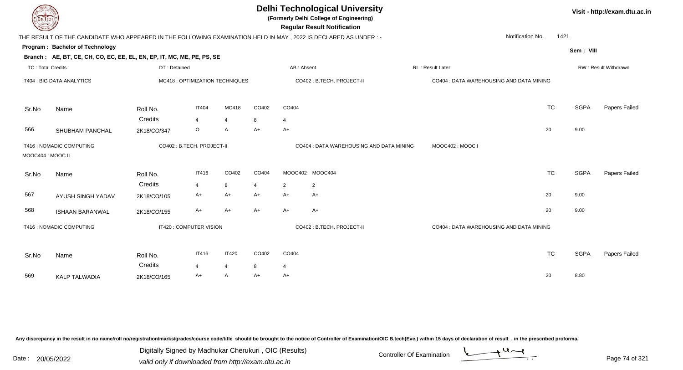| <b>DELTECH</b>           |                                                                             |              |                                 |                |       | <b>Delhi Technological University</b><br>(Formerly Delhi College of Engineering)<br><b>Regular Result Notification</b> |                                                                                                                |                                          |           | Visit - http://exam.dtu.ac.in |                      |
|--------------------------|-----------------------------------------------------------------------------|--------------|---------------------------------|----------------|-------|------------------------------------------------------------------------------------------------------------------------|----------------------------------------------------------------------------------------------------------------|------------------------------------------|-----------|-------------------------------|----------------------|
|                          |                                                                             |              |                                 |                |       |                                                                                                                        | THE RESULT OF THE CANDIDATE WHO APPEARED IN THE FOLLOWING EXAMINATION HELD IN MAY, 2022 IS DECLARED AS UNDER:- | Notification No.                         | 1421      |                               |                      |
|                          | Program: Bachelor of Technology                                             |              |                                 |                |       |                                                                                                                        |                                                                                                                |                                          |           | Sem: VIII                     |                      |
|                          | Branch: AE, BT, CE, CH, CO, EC, EE, EL, EN, EP, IT, MC, ME, PE, PS, SE      |              |                                 |                |       |                                                                                                                        |                                                                                                                |                                          |           |                               |                      |
| <b>TC: Total Credits</b> |                                                                             | DT: Detained |                                 |                |       | AB: Absent                                                                                                             |                                                                                                                | RL : Result Later                        |           |                               | RW: Result Withdrawn |
|                          | IT404 : BIG DATA ANALYTICS                                                  |              | MC418 : OPTIMIZATION TECHNIQUES |                |       |                                                                                                                        | CO402: B.TECH. PROJECT-II                                                                                      | CO404 : DATA WAREHOUSING AND DATA MINING |           |                               |                      |
| Sr.No                    | Name                                                                        | Roll No.     | <b>IT404</b>                    | MC418          | CO402 | CO404                                                                                                                  |                                                                                                                |                                          | <b>TC</b> | <b>SGPA</b>                   | Papers Failed        |
|                          |                                                                             | Credits      | $\overline{4}$                  | $\overline{4}$ | 8     | $\overline{4}$                                                                                                         |                                                                                                                |                                          |           |                               |                      |
| 566                      | SHUBHAM PANCHAL                                                             | 2K18/CO/347  | $\circ$                         | A              | $A+$  | $A+$                                                                                                                   |                                                                                                                |                                          | 20        | 9.00                          |                      |
|                          | IT416 : NOMADIC COMPUTING<br>CO402 : B.TECH. PROJECT-II<br>MOOC404: MOOC II |              |                                 |                |       | CO404 : DATA WAREHOUSING AND DATA MINING                                                                               | MOOC402: MOOC I                                                                                                |                                          |           |                               |                      |
| Sr.No                    | Name                                                                        | Roll No.     | <b>IT416</b>                    | CO402          | CO404 |                                                                                                                        | MOOC402 MOOC404                                                                                                |                                          | <b>TC</b> | <b>SGPA</b>                   | Papers Failed        |
|                          |                                                                             | Credits      | $\overline{4}$                  | 8              | 4     | $\overline{2}$                                                                                                         | $\overline{2}$                                                                                                 |                                          |           |                               |                      |
| 567                      | AYUSH SINGH YADAV                                                           | 2K18/CO/105  | $A+$                            | $A+$           | $A+$  | A+                                                                                                                     | $A+$                                                                                                           |                                          | 20        | 9.00                          |                      |
| 568                      | <b>ISHAAN BARANWAL</b>                                                      | 2K18/CO/155  | $A+$                            | $A+$           | $A+$  | $A+$                                                                                                                   | $A+$                                                                                                           |                                          | 20        | 9.00                          |                      |
|                          | IT416 : NOMADIC COMPUTING                                                   |              | IT420 : COMPUTER VISION         |                |       |                                                                                                                        | CO402 : B.TECH. PROJECT-II                                                                                     | CO404 : DATA WAREHOUSING AND DATA MINING |           |                               |                      |
| Sr.No                    | Name                                                                        | Roll No.     | <b>IT416</b>                    | IT420          | CO402 | CO404                                                                                                                  |                                                                                                                |                                          | <b>TC</b> | <b>SGPA</b>                   | Papers Failed        |
|                          |                                                                             | Credits      | $\overline{4}$                  | $\overline{4}$ | 8     | $\overline{4}$                                                                                                         |                                                                                                                |                                          |           |                               |                      |
| 569                      | <b>KALP TALWADIA</b>                                                        | 2K18/CO/165  | $A+$                            | A              | A+    | A+                                                                                                                     |                                                                                                                |                                          | 20        | 8.80                          |                      |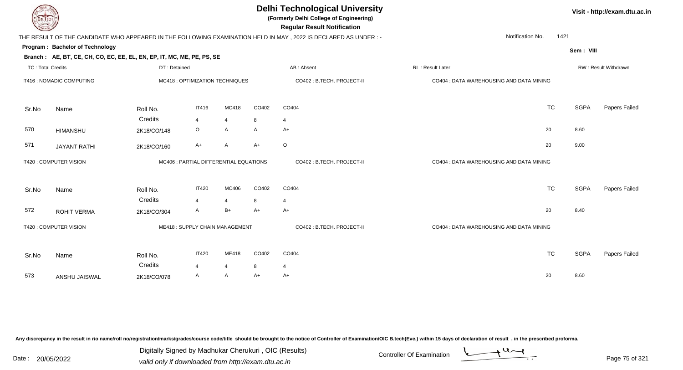| DEL I ECH                |                                                                        |              |                                        |                |       | <b>Delhi Technological University</b><br>(Formerly Delhi College of Engineering)<br><b>Regular Result Notification</b> |                                          |           |             | Visit - http://exam.dtu.ac |
|--------------------------|------------------------------------------------------------------------|--------------|----------------------------------------|----------------|-------|------------------------------------------------------------------------------------------------------------------------|------------------------------------------|-----------|-------------|----------------------------|
|                          |                                                                        |              |                                        |                |       | THE RESULT OF THE CANDIDATE WHO APPEARED IN THE FOLLOWING EXAMINATION HELD IN MAY, 2022 IS DECLARED AS UNDER :-        | Notification No.                         | 1421      |             |                            |
|                          | Program: Bachelor of Technology                                        |              |                                        |                |       |                                                                                                                        |                                          |           | Sem: VIII   |                            |
|                          | Branch: AE, BT, CE, CH, CO, EC, EE, EL, EN, EP, IT, MC, ME, PE, PS, SE |              |                                        |                |       |                                                                                                                        |                                          |           |             |                            |
| <b>TC: Total Credits</b> |                                                                        | DT: Detained |                                        |                |       | AB: Absent                                                                                                             | RL: Result Later                         |           |             | RW: Result Withdrawn       |
|                          | IT416 : NOMADIC COMPUTING                                              |              | MC418 : OPTIMIZATION TECHNIQUES        |                |       | CO402 : B.TECH. PROJECT-II                                                                                             | CO404 : DATA WAREHOUSING AND DATA MINING |           |             |                            |
| Sr.No                    | Name                                                                   | Roll No.     | <b>IT416</b>                           | MC418          | CO402 | CO404                                                                                                                  |                                          | <b>TC</b> | <b>SGPA</b> | Papers Failed              |
|                          |                                                                        | Credits      | $\overline{\mathbf{4}}$                | $\overline{4}$ | 8     | $\overline{4}$                                                                                                         |                                          |           |             |                            |
| 570                      | <b>HIMANSHU</b>                                                        | 2K18/CO/148  | O                                      | A              | A     | A+                                                                                                                     |                                          | 20        | 8.60        |                            |
| 571                      | <b>JAYANT RATHI</b>                                                    | 2K18/CO/160  | A+                                     | A              | $A+$  | $\circ$                                                                                                                |                                          | 20        | 9.00        |                            |
|                          | IT420 : COMPUTER VISION                                                |              | MC406 : PARTIAL DIFFERENTIAL EQUATIONS |                |       | CO402 : B.TECH. PROJECT-II                                                                                             | CO404 : DATA WAREHOUSING AND DATA MINING |           |             |                            |
| Sr.No                    | Name                                                                   | Roll No.     | <b>IT420</b>                           | MC406          | CO402 | CO404                                                                                                                  |                                          | <b>TC</b> | <b>SGPA</b> | Papers Failed              |
|                          |                                                                        | Credits      | $\overline{\mathbf{4}}$                | $\overline{4}$ | 8     | $\overline{4}$                                                                                                         |                                          |           |             |                            |
| 572                      | <b>ROHIT VERMA</b>                                                     | 2K18/CO/304  | A                                      | $B+$           | $A+$  | A+                                                                                                                     |                                          | 20        | 8.40        |                            |
|                          | IT420 : COMPUTER VISION                                                |              | ME418: SUPPLY CHAIN MANAGEMENT         |                |       | CO402 : B.TECH. PROJECT-II                                                                                             | CO404 : DATA WAREHOUSING AND DATA MINING |           |             |                            |
| Sr.No                    | Name                                                                   | Roll No.     | <b>IT420</b>                           | ME418          | CO402 | CO404                                                                                                                  |                                          | <b>TC</b> | <b>SGPA</b> | Papers Failed              |
|                          |                                                                        | Credits      | $\overline{4}$                         | $\overline{4}$ | 8     | $\overline{4}$                                                                                                         |                                          |           |             |                            |
| 573                      | ANSHU JAISWAL                                                          | 2K18/CO/078  | A                                      | A              | A+    | A+                                                                                                                     |                                          | 20        | 8.60        |                            |

Digitally Signed by Madhukar Cherukuri, OIC (Results)<br>Date : 20/05/2022 valid only if downloaded from http://oxam.dtu.ac.in Digitally Signed by Madhukar Cherukuri , OIC (Results)valid only if downloaded from http://exam.dtu.ac.in

**Visit - http://exam.dtu.ac.in**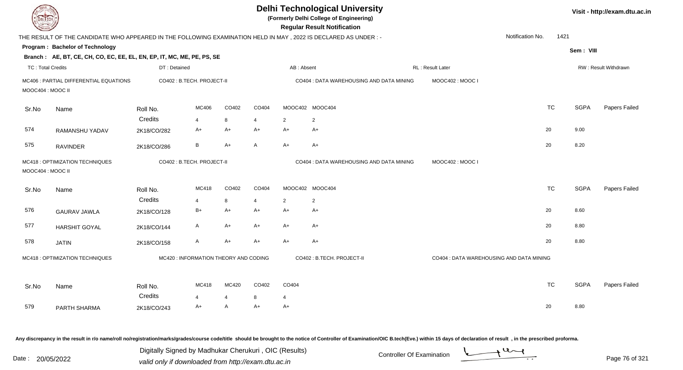| <b>DELTECH</b>                                       |                                                                                                                |              |                                       |                |                |                | <b>Delhi Technological University</b><br>(Formerly Delhi College of Engineering)<br><b>Regular Result Notification</b> |                                          |                  |           |             | Visit - http://exam.dtu.ac.in |
|------------------------------------------------------|----------------------------------------------------------------------------------------------------------------|--------------|---------------------------------------|----------------|----------------|----------------|------------------------------------------------------------------------------------------------------------------------|------------------------------------------|------------------|-----------|-------------|-------------------------------|
|                                                      | THE RESULT OF THE CANDIDATE WHO APPEARED IN THE FOLLOWING EXAMINATION HELD IN MAY, 2022 IS DECLARED AS UNDER:- |              |                                       |                |                |                |                                                                                                                        |                                          | Notification No. | 1421      |             |                               |
|                                                      | <b>Program: Bachelor of Technology</b>                                                                         |              |                                       |                |                |                |                                                                                                                        |                                          |                  |           | Sem: VIII   |                               |
|                                                      | Branch: AE, BT, CE, CH, CO, EC, EE, EL, EN, EP, IT, MC, ME, PE, PS, SE                                         |              |                                       |                |                |                |                                                                                                                        |                                          |                  |           |             |                               |
| <b>TC: Total Credits</b>                             |                                                                                                                | DT: Detained |                                       |                |                | AB: Absent     |                                                                                                                        | RL: Result Later                         |                  |           |             | RW: Result Withdrawn          |
| MOOC404 : MOOC II                                    | MC406 : PARTIAL DIFFERENTIAL EQUATIONS                                                                         |              | CO402 : B.TECH. PROJECT-II            |                |                |                | CO404 : DATA WAREHOUSING AND DATA MINING                                                                               | MOOC402: MOOC I                          |                  |           |             |                               |
| Sr.No                                                | Name                                                                                                           | Roll No.     | MC406                                 | CO402          | CO404          |                | MOOC402 MOOC404                                                                                                        |                                          |                  | <b>TC</b> | <b>SGPA</b> | Papers Failed                 |
|                                                      |                                                                                                                | Credits      | $\overline{4}$                        | 8              | $\overline{4}$ | $\overline{2}$ | $\overline{2}$                                                                                                         |                                          |                  |           |             |                               |
| 574                                                  | RAMANSHU YADAV                                                                                                 | 2K18/CO/282  | A+                                    | $A+$           | $A+$           | A+             | $A+$                                                                                                                   |                                          |                  | 20        | 9.00        |                               |
| 575                                                  | <b>RAVINDER</b>                                                                                                | 2K18/CO/286  | B                                     | $A+$           | A              | $A+$           | A+                                                                                                                     |                                          |                  | 20        | 8.20        |                               |
| MC418 : OPTIMIZATION TECHNIQUES<br>MOOC404 : MOOC II |                                                                                                                |              | CO402: B.TECH. PROJECT-II             |                |                |                | CO404 : DATA WAREHOUSING AND DATA MINING                                                                               | MOOC402: MOOC I                          |                  |           |             |                               |
| Sr.No                                                | Name                                                                                                           | Roll No.     | MC418                                 | CO402          | CO404          |                | MOOC402 MOOC404                                                                                                        |                                          |                  | <b>TC</b> | <b>SGPA</b> | Papers Failed                 |
|                                                      |                                                                                                                | Credits      | $\overline{4}$                        | 8              | $\overline{4}$ | 2              | $\overline{2}$                                                                                                         |                                          |                  |           |             |                               |
| 576                                                  | <b>GAURAV JAWLA</b>                                                                                            | 2K18/CO/128  | $B+$                                  | $A+$           | $A+$           | A+             | A+                                                                                                                     |                                          |                  | 20        | 8.60        |                               |
| 577                                                  | <b>HARSHIT GOYAL</b>                                                                                           | 2K18/CO/144  | A                                     | A+             | $A+$           | A+             | A+                                                                                                                     |                                          |                  | 20        | 8.80        |                               |
| 578                                                  | <b>JATIN</b>                                                                                                   | 2K18/CO/158  | $\mathsf{A}$                          | A+             | $A+$           | $A+$           | A+                                                                                                                     |                                          |                  | 20        | 8.80        |                               |
|                                                      | MC418 : OPTIMIZATION TECHNIQUES                                                                                |              | MC420 : INFORMATION THEORY AND CODING |                |                |                | CO402 : B.TECH. PROJECT-II                                                                                             | CO404 : DATA WAREHOUSING AND DATA MINING |                  |           |             |                               |
| Sr.No                                                | Name                                                                                                           | Roll No.     | MC418                                 | MC420          | CO402          | CO404          |                                                                                                                        |                                          |                  | <b>TC</b> | <b>SGPA</b> | Papers Failed                 |
|                                                      |                                                                                                                | Credits      | $\overline{4}$                        | $\overline{4}$ | 8              | $\overline{4}$ |                                                                                                                        |                                          |                  |           |             |                               |
| 579                                                  | PARTH SHARMA                                                                                                   | 2K18/CO/243  | A+                                    | $\mathsf{A}$   | $A+$           | $A+$           |                                                                                                                        |                                          |                  | 20        | 8.80        |                               |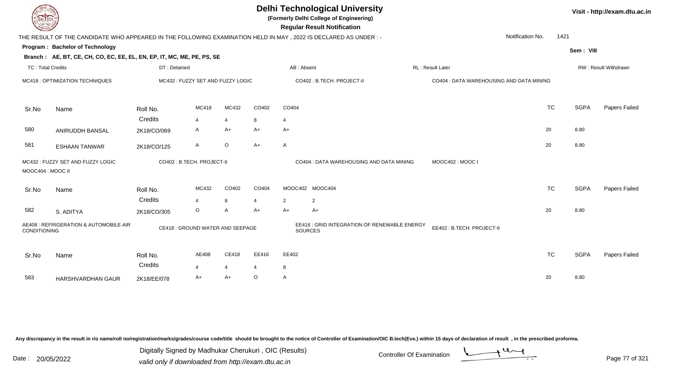| DEL TECH                 |                                                                                                                |                     |                                  |                   |            |                | <b>Delhi Technological University</b><br>(Formerly Delhi College of Engineering)<br><b>Regular Result Notification</b> |                                          |                  |             | Visit - http://exam.dtu.ac.in |
|--------------------------|----------------------------------------------------------------------------------------------------------------|---------------------|----------------------------------|-------------------|------------|----------------|------------------------------------------------------------------------------------------------------------------------|------------------------------------------|------------------|-------------|-------------------------------|
|                          | THE RESULT OF THE CANDIDATE WHO APPEARED IN THE FOLLOWING EXAMINATION HELD IN MAY, 2022 IS DECLARED AS UNDER:- |                     |                                  |                   |            |                |                                                                                                                        |                                          | Notification No. | 1421        |                               |
|                          | Program: Bachelor of Technology                                                                                |                     |                                  |                   |            |                |                                                                                                                        |                                          |                  | Sem: VIII   |                               |
|                          | Branch: AE, BT, CE, CH, CO, EC, EE, EL, EN, EP, IT, MC, ME, PE, PS, SE                                         |                     |                                  |                   |            |                |                                                                                                                        |                                          |                  |             |                               |
| <b>TC: Total Credits</b> |                                                                                                                | DT: Detained        |                                  |                   |            | AB: Absent     |                                                                                                                        | RL : Result Later                        |                  |             | RW: Result Withdrawn          |
|                          | MC418 : OPTIMIZATION TECHNIQUES                                                                                |                     | MC432: FUZZY SET AND FUZZY LOGIC |                   |            |                | CO402 : B.TECH. PROJECT-II                                                                                             | CO404 : DATA WAREHOUSING AND DATA MINING |                  |             |                               |
| Sr.No                    | Name                                                                                                           | Roll No.            | MC418                            | MC432             | CO402      | CO404          |                                                                                                                        |                                          | <b>TC</b>        | <b>SGPA</b> | Papers Failed                 |
|                          |                                                                                                                | Credits             | $\overline{4}$                   | $\overline{4}$    | 8          | 4              |                                                                                                                        |                                          |                  |             |                               |
| 580                      | ANIRUDDH BANSAL                                                                                                | 2K18/CO/069         | A                                | $A+$              | $A+$       | $A+$           |                                                                                                                        |                                          | 20               | 8.80        |                               |
| 581                      | <b>ESHAAN TANWAR</b>                                                                                           | 2K18/CO/125         | A                                | $\circ$           | $A+$       | A              |                                                                                                                        |                                          | 20               | 8.80        |                               |
| MOOC404 : MOOC II        | MC432 : FUZZY SET AND FUZZY LOGIC                                                                              |                     | CO402 : B.TECH. PROJECT-II       |                   |            |                | CO404 : DATA WAREHOUSING AND DATA MINING                                                                               | MOOC402: MOOC I                          |                  |             |                               |
| Sr.No                    | Name                                                                                                           | Roll No.            | MC432                            | CO402             | CO404      |                | MOOC402 MOOC404                                                                                                        |                                          | <b>TC</b>        | <b>SGPA</b> | Papers Failed                 |
|                          |                                                                                                                | Credits             | $\overline{4}$                   | 8                 | 4          | 2              | $\overline{2}$                                                                                                         |                                          |                  |             |                               |
| 582                      | S. ADITYA                                                                                                      | 2K18/CO/305         | O                                | A                 | $A+$       | $A+$           | $A+$                                                                                                                   |                                          | 20               | 8.80        |                               |
| <b>CONDITIONING</b>      | AE408 : REFRIGERATION & AUTOMOBILE AIR                                                                         |                     | CE418 : GROUND WATER AND SEEPAGE |                   |            | <b>SOURCES</b> | EE416 : GRID INTEGRATION OF RENEWABLE ENERGY                                                                           | EE402: B.TECH. PROJECT-II                |                  |             |                               |
| Sr.No                    | Name                                                                                                           | Roll No.<br>Credits | AE408<br>4                       | <b>CE418</b><br>4 | EE416<br>4 | EE402<br>8     |                                                                                                                        |                                          | <b>TC</b>        | <b>SGPA</b> | Papers Failed                 |
| 583                      | HARSHVARDHAN GAUR                                                                                              | 2K18/EE/078         | A+                               | A+                | $\circ$    | $\mathsf{A}$   |                                                                                                                        |                                          | 20               | 8.80        |                               |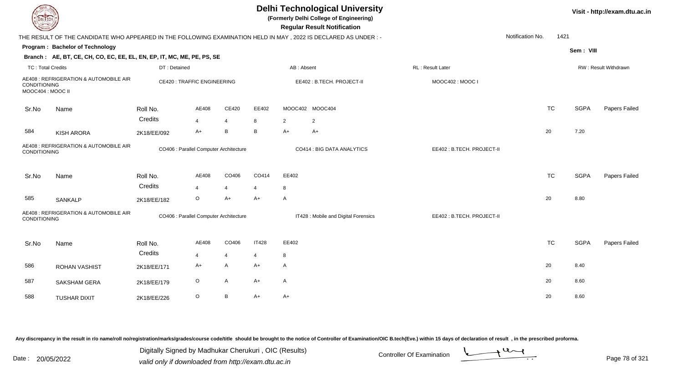|                                                        | <b>DELTECH</b>                                                                                                 |              |                                        |                |                |                | <b>Delhi Technological University</b><br>(Formerly Delhi College of Engineering)<br><b>Regular Result Notification</b> |                           |                  |             | Visit - http://exam.dtu.ac.in |
|--------------------------------------------------------|----------------------------------------------------------------------------------------------------------------|--------------|----------------------------------------|----------------|----------------|----------------|------------------------------------------------------------------------------------------------------------------------|---------------------------|------------------|-------------|-------------------------------|
|                                                        | THE RESULT OF THE CANDIDATE WHO APPEARED IN THE FOLLOWING EXAMINATION HELD IN MAY, 2022 IS DECLARED AS UNDER:- |              |                                        |                |                |                |                                                                                                                        |                           | Notification No. | 1421        |                               |
|                                                        | Program: Bachelor of Technology                                                                                |              |                                        |                |                |                |                                                                                                                        |                           |                  | Sem: VIII   |                               |
|                                                        | Branch: AE, BT, CE, CH, CO, EC, EE, EL, EN, EP, IT, MC, ME, PE, PS, SE                                         |              |                                        |                |                |                |                                                                                                                        |                           |                  |             |                               |
| <b>TC: Total Credits</b>                               |                                                                                                                | DT: Detained |                                        |                |                | AB: Absent     |                                                                                                                        | RL: Result Later          |                  |             | RW: Result Withdrawn          |
| <b>CONDITIONING</b><br>MOOC404 : MOOC II               | AE408 : REFRIGERATION & AUTOMOBILE AIR                                                                         |              | <b>CE420: TRAFFIC ENGINEERING</b>      |                |                |                | EE402: B.TECH. PROJECT-II                                                                                              | MOOC402: MOOC I           |                  |             |                               |
| Sr.No                                                  | Name                                                                                                           | Roll No.     | AE408                                  | CE420          | EE402          |                | MOOC402 MOOC404                                                                                                        |                           | <b>TC</b>        | <b>SGPA</b> | Papers Failed                 |
|                                                        |                                                                                                                | Credits      | $\overline{4}$                         | $\overline{4}$ | 8              | $\overline{2}$ | 2                                                                                                                      |                           |                  |             |                               |
| 584                                                    | <b>KISH ARORA</b>                                                                                              | 2K18/EE/092  | $A+$                                   | B              | В              | A+             | A+                                                                                                                     |                           | 20               | 7.20        |                               |
| AE408 : REFRIGERATION & AUTOMOBILE AIR<br>CONDITIONING |                                                                                                                |              | CO406 : Parallel Computer Architecture |                |                |                | CO414 : BIG DATA ANALYTICS                                                                                             | EE402: B.TECH. PROJECT-II |                  |             |                               |
| Sr.No                                                  | Name                                                                                                           | Roll No.     | AE408                                  | CO406          | CO414          | EE402          |                                                                                                                        |                           | <b>TC</b>        | <b>SGPA</b> | Papers Failed                 |
|                                                        |                                                                                                                | Credits      | $\overline{4}$                         | 4              | 4              | 8              |                                                                                                                        |                           |                  |             |                               |
| 585                                                    | SANKALP                                                                                                        | 2K18/EE/182  | $\circ$                                | $A+$           | $A+$           | A              |                                                                                                                        |                           | 20               | 8.80        |                               |
| CONDITIONING                                           | AE408 : REFRIGERATION & AUTOMOBILE AIR                                                                         |              | CO406 : Parallel Computer Architecture |                |                |                | IT428 : Mobile and Digital Forensics                                                                                   | EE402: B.TECH. PROJECT-II |                  |             |                               |
| Sr.No                                                  | Name                                                                                                           | Roll No.     | AE408                                  | CO406          | <b>IT428</b>   | EE402          |                                                                                                                        |                           | <b>TC</b>        | <b>SGPA</b> | Papers Failed                 |
|                                                        |                                                                                                                | Credits      | $\overline{4}$                         | $\overline{4}$ | $\overline{4}$ | 8              |                                                                                                                        |                           |                  |             |                               |
| 586                                                    | <b>ROHAN VASHIST</b>                                                                                           | 2K18/EE/171  | A+                                     | Α              | $A+$           | A              |                                                                                                                        |                           | 20               | 8.40        |                               |
| 587                                                    | SAKSHAM GERA                                                                                                   | 2K18/EE/179  | $\circ$                                | $\mathsf{A}$   | $A+$           | A              |                                                                                                                        |                           | 20               | 8.60        |                               |
| 588                                                    | <b>TUSHAR DIXIT</b>                                                                                            | 2K18/EE/226  | $\circ$                                | B              | $A+$           | $A+$           |                                                                                                                        |                           | 20               | 8.60        |                               |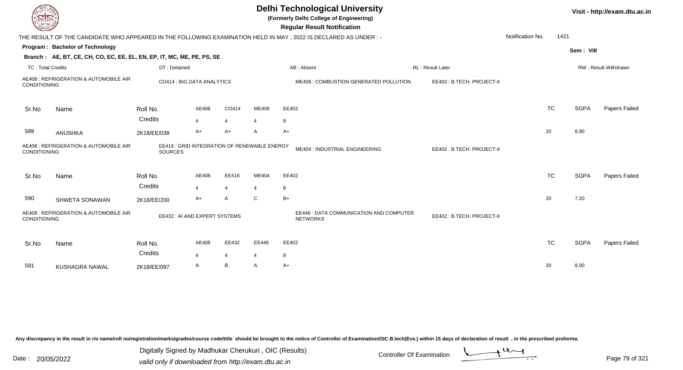| EL ECH                                                        |                                                                        |                                                         |                         |                          |       | <b>Delhi Technological University</b><br>(Formerly Delhi College of Engineering)<br><b>Regular Result Notification</b> |                  |                           |                  |           |             | Visit - http://exam.dtu.ac.in |
|---------------------------------------------------------------|------------------------------------------------------------------------|---------------------------------------------------------|-------------------------|--------------------------|-------|------------------------------------------------------------------------------------------------------------------------|------------------|---------------------------|------------------|-----------|-------------|-------------------------------|
|                                                               |                                                                        |                                                         |                         |                          |       | THE RESULT OF THE CANDIDATE WHO APPEARED IN THE FOLLOWING EXAMINATION HELD IN MAY , 2022 IS DECLARED AS UNDER :-       |                  |                           | Notification No. | 1421      |             |                               |
|                                                               | Program: Bachelor of Technology                                        |                                                         |                         |                          |       |                                                                                                                        |                  |                           |                  |           | Sem: VIII   |                               |
|                                                               | Branch: AE, BT, CE, CH, CO, EC, EE, EL, EN, EP, IT, MC, ME, PE, PS, SE |                                                         |                         |                          |       |                                                                                                                        |                  |                           |                  |           |             |                               |
| <b>TC: Total Credits</b>                                      |                                                                        | DT: Detained                                            |                         |                          |       | AB: Absent                                                                                                             | RL: Result Later |                           |                  |           |             | RW: Result Withdrawn          |
| CONDITIONING                                                  | AE408 : REFRIGERATION & AUTOMOBILE AIR                                 | CO414 : BIG DATA ANALYTICS                              |                         |                          |       | ME408 : COMBUSTION GENERATED POLLUTION                                                                                 |                  | EE402: B.TECH. PROJECT-II |                  |           |             |                               |
| Sr.No                                                         | Name                                                                   | Roll No.                                                | AE408                   | CO414                    | ME408 | EE402                                                                                                                  |                  |                           |                  | <b>TC</b> | <b>SGPA</b> | Papers Failed                 |
|                                                               |                                                                        | Credits                                                 | $\overline{4}$          | $\overline{4}$           | 4     | 8                                                                                                                      |                  |                           |                  |           |             |                               |
| 589                                                           | <b>ANUSHKA</b>                                                         | 2K18/EE/038                                             | A+                      | A+                       | A     | A+                                                                                                                     |                  |                           |                  | 20        | 8.80        |                               |
| AE408 : REFRIGERATION & AUTOMOBILE AIR<br><b>CONDITIONING</b> |                                                                        | EE416 : GRID INTEGRATION OF RENEWABLE ENERGY<br>SOURCES |                         |                          |       | ME404 : INDUSTRIAL ENGINEERING                                                                                         |                  | EE402: B.TECH. PROJECT-II |                  |           |             |                               |
| Sr.No                                                         | Name                                                                   | Roll No.                                                | AE408                   | EE416                    | ME404 | EE402                                                                                                                  |                  |                           |                  | <b>TC</b> | <b>SGPA</b> | Papers Failed                 |
|                                                               |                                                                        | Credits                                                 | $\boldsymbol{\Delta}$   | $\overline{4}$           |       | 8                                                                                                                      |                  |                           |                  |           |             |                               |
| 590                                                           | SHWETA SONAWAN                                                         | 2K18/EE/200                                             | A+                      | A                        | C     | $B+$                                                                                                                   |                  |                           |                  | 20        | 7.20        |                               |
| <b>CONDITIONING</b>                                           | AE408 : REFRIGERATION & AUTOMOBILE AIR                                 | EE432 : AI AND EXPERT SYSTEMS                           |                         |                          |       | EE446 : DATA COMMUNICATION AND COMPUTER<br><b>NETWORKS</b>                                                             |                  | EE402: B.TECH. PROJECT-II |                  |           |             |                               |
| Sr.No                                                         | Name                                                                   | Roll No.<br>Credits                                     | AE408                   | EE432                    | EE446 | EE402                                                                                                                  |                  |                           |                  | <b>TC</b> | <b>SGPA</b> | Papers Failed                 |
|                                                               |                                                                        |                                                         | $\overline{\mathbf{4}}$ | $\overline{\mathcal{A}}$ |       | 8                                                                                                                      |                  |                           |                  |           |             |                               |
| 591                                                           | KUSHAGRA NAWAL                                                         | 2K18/EE/097                                             | A                       | В                        | A     | A+                                                                                                                     |                  |                           |                  | 20        | 8.00        |                               |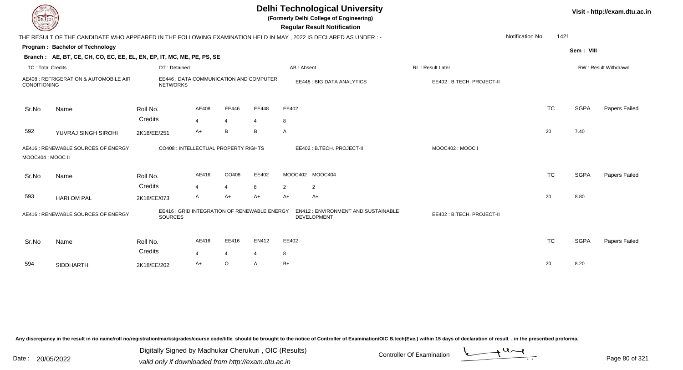| LI ECH                                                                                                |                                                                                                                  |                                                            |                |                |                |                                                                 | <b>Delhi Technological University</b><br>(Formerly Delhi College of Engineering)<br><b>Regular Result Notification</b> |                           |                  |           |             | Visit - http://exam.dtu.ac.in |
|-------------------------------------------------------------------------------------------------------|------------------------------------------------------------------------------------------------------------------|------------------------------------------------------------|----------------|----------------|----------------|-----------------------------------------------------------------|------------------------------------------------------------------------------------------------------------------------|---------------------------|------------------|-----------|-------------|-------------------------------|
|                                                                                                       | THE RESULT OF THE CANDIDATE WHO APPEARED IN THE FOLLOWING EXAMINATION HELD IN MAY , 2022 IS DECLARED AS UNDER :- |                                                            |                |                |                |                                                                 |                                                                                                                        |                           | Notification No. | 1421      |             |                               |
|                                                                                                       | Program: Bachelor of Technology                                                                                  |                                                            |                |                |                |                                                                 |                                                                                                                        |                           |                  |           | Sem: VIII   |                               |
|                                                                                                       | Branch: AE, BT, CE, CH, CO, EC, EE, EL, EN, EP, IT, MC, ME, PE, PS, SE                                           |                                                            |                |                |                |                                                                 |                                                                                                                        |                           |                  |           |             |                               |
| <b>TC: Total Credits</b>                                                                              |                                                                                                                  | DT: Detained                                               |                |                |                | AB: Absent                                                      |                                                                                                                        | RL: Result Later          |                  |           |             | RW: Result Withdrawn          |
| CONDITIONING                                                                                          | AE408 : REFRIGERATION & AUTOMOBILE AIR                                                                           | EE446 : DATA COMMUNICATION AND COMPUTER<br><b>NETWORKS</b> |                |                |                |                                                                 | EE448 : BIG DATA ANALYTICS                                                                                             | EE402: B.TECH. PROJECT-II |                  |           |             |                               |
| Sr.No                                                                                                 | Name                                                                                                             | Roll No.                                                   | AE408          | EE446          | EE448          | EE402                                                           |                                                                                                                        |                           |                  | <b>TC</b> | <b>SGPA</b> | <b>Papers Failed</b>          |
|                                                                                                       |                                                                                                                  | Credits                                                    | $\overline{4}$ | $\overline{4}$ | $\overline{4}$ | 8                                                               |                                                                                                                        |                           |                  |           |             |                               |
| 592                                                                                                   | YUVRAJ SINGH SIROHI                                                                                              | 2K18/EE/251                                                | A+             | B              | B              | $\mathsf{A}$                                                    |                                                                                                                        |                           |                  | 20        | 7.40        |                               |
| AE416 : RENEWABLE SOURCES OF ENERGY<br>MOOC404: MOOC II                                               |                                                                                                                  | CO408 : INTELLECTUAL PROPERTY RIGHTS                       |                |                |                |                                                                 | EE402: B.TECH. PROJECT-II                                                                                              | MOOC402: MOOC I           |                  |           |             |                               |
| Sr.No                                                                                                 | Name                                                                                                             | Roll No.                                                   | AE416          | CO408          | EE402          |                                                                 | MOOC402 MOOC404                                                                                                        |                           |                  | <b>TC</b> | <b>SGPA</b> | Papers Failed                 |
|                                                                                                       |                                                                                                                  | Credits                                                    | $\overline{4}$ | $\overline{4}$ | 8              | 2                                                               | $\overline{2}$                                                                                                         |                           |                  |           |             |                               |
| 593                                                                                                   | <b>HARI OM PAL</b>                                                                                               | 2K18/EE/073                                                | A              | $A+$           | $A+$           | $A+$                                                            | A+                                                                                                                     |                           |                  | 20        | 8.80        |                               |
| EE416 : GRID INTEGRATION OF RENEWABLE ENERGY<br>AE416 : RENEWABLE SOURCES OF ENERGY<br><b>SOURCES</b> |                                                                                                                  |                                                            |                |                |                | <b>EN412: ENVIRONMENT AND SUSTAINABLE</b><br><b>DEVELOPMENT</b> | EE402: B.TECH. PROJECT-II                                                                                              |                           |                  |           |             |                               |
| Sr.No                                                                                                 | Name                                                                                                             | Roll No.                                                   | AE416          | EE416          | EN412          | EE402                                                           |                                                                                                                        |                           |                  | <b>TC</b> | <b>SGPA</b> | Papers Failed                 |
|                                                                                                       |                                                                                                                  | Credits                                                    | 4              | $\overline{4}$ | 4              | 8                                                               |                                                                                                                        |                           |                  |           |             |                               |
| 594                                                                                                   | <b>SIDDHARTH</b>                                                                                                 | 2K18/EE/202                                                | A+             | $\circ$        | A              | $B+$                                                            |                                                                                                                        |                           |                  | 20        | 8.20        |                               |

Digitally Signed by Madhukar Cherukuri, OIC (Results)<br>Date : 20/05/2022 valid only if downloaded from http://oxam.dtu.ac.in Digitally Signed by Madhukar Cherukuri , OIC (Results)

valid only if downloaded from http://exam.dtu.ac.in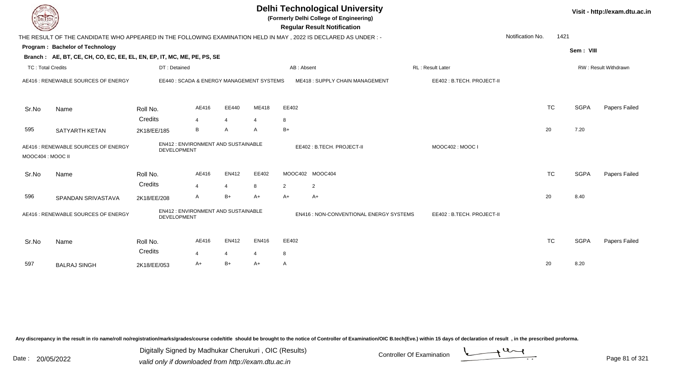|                          |                                                                                                                 |                                                          |       |                |                |            | <b>Delhi Technological University</b><br>(Formerly Delhi College of Engineering)<br><b>Regular Result Notification</b> |                           |                  |           |             | Visit - http://exam.dtu.ac.in |
|--------------------------|-----------------------------------------------------------------------------------------------------------------|----------------------------------------------------------|-------|----------------|----------------|------------|------------------------------------------------------------------------------------------------------------------------|---------------------------|------------------|-----------|-------------|-------------------------------|
|                          | THE RESULT OF THE CANDIDATE WHO APPEARED IN THE FOLLOWING EXAMINATION HELD IN MAY, 2022 IS DECLARED AS UNDER :- |                                                          |       |                |                |            |                                                                                                                        |                           | Notification No. | 1421      |             |                               |
|                          | Program: Bachelor of Technology                                                                                 |                                                          |       |                |                |            |                                                                                                                        |                           |                  |           | Sem: VIII   |                               |
|                          | Branch: AE, BT, CE, CH, CO, EC, EE, EL, EN, EP, IT, MC, ME, PE, PS, SE                                          |                                                          |       |                |                |            |                                                                                                                        |                           |                  |           |             |                               |
| <b>TC: Total Credits</b> |                                                                                                                 | DT: Detained                                             |       |                |                | AB: Absent |                                                                                                                        | <b>RL: Result Later</b>   |                  |           |             | <b>RW: Result Withdrawn</b>   |
|                          | AE416 : RENEWABLE SOURCES OF ENERGY                                                                             | EE440: SCADA & ENERGY MANAGEMENT SYSTEMS                 |       |                |                |            | ME418: SUPPLY CHAIN MANAGEMENT                                                                                         | EE402: B.TECH. PROJECT-II |                  |           |             |                               |
| Sr.No                    | Name                                                                                                            | Roll No.                                                 | AE416 | EE440          | ME418          | EE402      |                                                                                                                        |                           |                  | <b>TC</b> | <b>SGPA</b> | Papers Failed                 |
|                          |                                                                                                                 | Credits                                                  | 4     | $\overline{4}$ | $\overline{4}$ | 8          |                                                                                                                        |                           |                  |           |             |                               |
| 595                      | SATYARTH KETAN                                                                                                  | 2K18/EE/185                                              | B     | $\mathsf{A}$   | $\mathsf{A}$   | $B+$       |                                                                                                                        |                           |                  | 20        | 7.20        |                               |
| MOOC404 : MOOC II        | AE416 : RENEWABLE SOURCES OF ENERGY                                                                             | <b>EN412: ENVIRONMENT AND SUSTAINABLE</b><br>DEVELOPMENT |       |                |                |            | EE402: B.TECH. PROJECT-II                                                                                              | MOOC402: MOOC I           |                  |           |             |                               |
| Sr.No                    | Name                                                                                                            | Roll No.                                                 | AE416 | EN412          | EE402          |            | MOOC402 MOOC404                                                                                                        |                           |                  | <b>TC</b> | <b>SGPA</b> | Papers Failed                 |
|                          |                                                                                                                 | Credits                                                  | 4     | $\overline{4}$ | 8              | 2          | $\overline{2}$                                                                                                         |                           |                  |           |             |                               |
| 596                      | SPANDAN SRIVASTAVA                                                                                              | 2K18/EE/208                                              | A     | $B+$           | $A+$           | $A+$       | A+                                                                                                                     |                           |                  | 20        | 8.40        |                               |
|                          | EN412 : ENVIRONMENT AND SUSTAINABLE<br>AE416 : RENEWABLE SOURCES OF ENERGY<br><b>DEVELOPMENT</b>                |                                                          |       |                |                |            | EN416 : NON-CONVENTIONAL ENERGY SYSTEMS                                                                                | EE402: B.TECH. PROJECT-II |                  |           |             |                               |
| Sr.No                    | Name                                                                                                            | Roll No.                                                 | AE416 | EN412          | EN416          | EE402      |                                                                                                                        |                           |                  | <b>TC</b> | <b>SGPA</b> | Papers Failed                 |
|                          |                                                                                                                 | Credits                                                  | 4     | $\overline{4}$ | $\overline{4}$ | 8          |                                                                                                                        |                           |                  |           |             |                               |
| 597                      | <b>BALRAJ SINGH</b>                                                                                             | 2K18/EE/053                                              | A+    | $B+$           | $A+$           | A          |                                                                                                                        |                           |                  | 20        | 8.20        |                               |

Digitally Signed by Madhukar Cherukuri, OIC (Results)<br>Date : 20/05/2022 valid only if downloaded from http://oxam.dtu.ac.in Digitally Signed by Madhukar Cherukuri , OIC (Results)

valid only if downloaded from http://exam.dtu.ac.in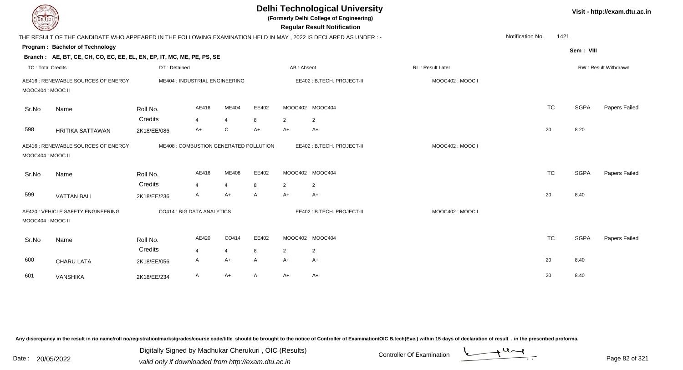| EL ECH                                                   |                                                                                                                 |              |                                        |                |              |                | <b>Delhi Technological University</b><br>(Formerly Delhi College of Engineering)<br><b>Regular Result Notification</b> |                  |                  |      |             | Visit - http://exam.dtu.ac.in |
|----------------------------------------------------------|-----------------------------------------------------------------------------------------------------------------|--------------|----------------------------------------|----------------|--------------|----------------|------------------------------------------------------------------------------------------------------------------------|------------------|------------------|------|-------------|-------------------------------|
|                                                          | THE RESULT OF THE CANDIDATE WHO APPEARED IN THE FOLLOWING EXAMINATION HELD IN MAY, 2022 IS DECLARED AS UNDER :- |              |                                        |                |              |                |                                                                                                                        |                  | Notification No. | 1421 |             |                               |
|                                                          | Program: Bachelor of Technology                                                                                 |              |                                        |                |              |                |                                                                                                                        |                  |                  |      | Sem: VIII   |                               |
|                                                          | Branch: AE, BT, CE, CH, CO, EC, EE, EL, EN, EP, IT, MC, ME, PE, PS, SE                                          |              |                                        |                |              |                |                                                                                                                        |                  |                  |      |             |                               |
| <b>TC: Total Credits</b>                                 |                                                                                                                 | DT: Detained |                                        |                |              | AB: Absent     |                                                                                                                        | RL: Result Later |                  |      |             | RW: Result Withdrawn          |
|                                                          | AE416 : RENEWABLE SOURCES OF ENERGY                                                                             |              | ME404 : INDUSTRIAL ENGINEERING         |                |              |                | EE402: B.TECH. PROJECT-II                                                                                              | MOOC402: MOOC I  |                  |      |             |                               |
| MOOC404: MOOC II                                         |                                                                                                                 |              |                                        |                |              |                |                                                                                                                        |                  |                  |      |             |                               |
| Sr.No                                                    | Name                                                                                                            | Roll No.     | AE416                                  | ME404          | EE402        |                | MOOC402 MOOC404                                                                                                        |                  | <b>TC</b>        |      | <b>SGPA</b> | Papers Failed                 |
|                                                          |                                                                                                                 | Credits      | 4                                      | $\overline{4}$ | 8            | 2              | 2                                                                                                                      |                  |                  |      |             |                               |
| 598                                                      | <b>HRITIKA SATTAWAN</b>                                                                                         | 2K18/EE/086  | A+                                     | C              | A+           | $A+$           | $A+$                                                                                                                   |                  | 20               |      | 8.20        |                               |
| AE416 : RENEWABLE SOURCES OF ENERGY<br>MOOC404 : MOOC II |                                                                                                                 |              | ME408 : COMBUSTION GENERATED POLLUTION |                |              |                | EE402: B.TECH. PROJECT-II                                                                                              | MOOC402: MOOC I  |                  |      |             |                               |
| Sr.No                                                    | Name                                                                                                            | Roll No.     | AE416                                  | ME408          | EE402        |                | MOOC402 MOOC404                                                                                                        |                  | <b>TC</b>        |      | <b>SGPA</b> | Papers Failed                 |
|                                                          |                                                                                                                 | Credits      | $\overline{4}$                         | $\overline{4}$ | 8            | 2              | 2                                                                                                                      |                  |                  |      |             |                               |
| 599                                                      | <b>VATTAN BALI</b>                                                                                              | 2K18/EE/236  | A                                      | $A+$           | $\mathsf{A}$ | $A+$           | $A+$                                                                                                                   |                  | 20               |      | 8.40        |                               |
| MOOC404 : MOOC II                                        | AE420 : VEHICLE SAFETY ENGINEERING                                                                              |              | CO414 : BIG DATA ANALYTICS             |                |              |                | EE402: B.TECH. PROJECT-II                                                                                              | MOOC402: MOOC I  |                  |      |             |                               |
| Sr.No                                                    | Name                                                                                                            | Roll No.     | AE420                                  | CO414          | EE402        |                | MOOC402 MOOC404                                                                                                        |                  | <b>TC</b>        |      | <b>SGPA</b> | Papers Failed                 |
|                                                          |                                                                                                                 | Credits      | $\overline{4}$                         | $\overline{4}$ | 8            | $\overline{2}$ | $\overline{2}$                                                                                                         |                  |                  |      |             |                               |
| 600                                                      | <b>CHARU LATA</b>                                                                                               | 2K18/EE/056  | A                                      | A+             | A            | $A+$           | A+                                                                                                                     |                  | 20               |      | 8.40        |                               |
| 601                                                      | VANSHIKA                                                                                                        | 2K18/EE/234  | A                                      | $A+$           | A            | $A+$           | $A+$                                                                                                                   |                  | 20               |      | 8.40        |                               |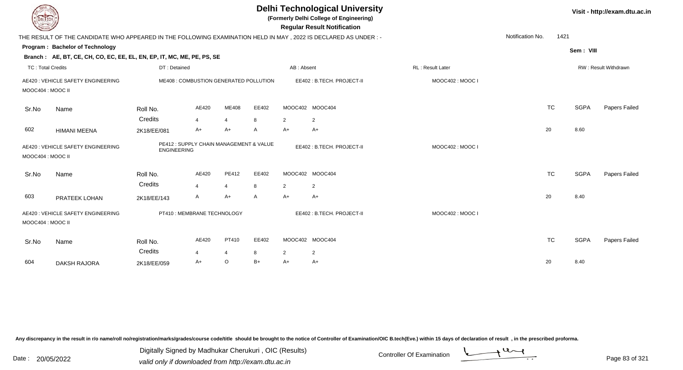| <b>DELTECH</b>                                          |                                                                                                                |                        |                                        |                                |                           |                        | <b>Delhi Technological University</b><br>(Formerly Delhi College of Engineering)<br><b>Regular Result Notification</b> |                         |                  |           |             | Visit - http://exam.dtu.ac.in |
|---------------------------------------------------------|----------------------------------------------------------------------------------------------------------------|------------------------|----------------------------------------|--------------------------------|---------------------------|------------------------|------------------------------------------------------------------------------------------------------------------------|-------------------------|------------------|-----------|-------------|-------------------------------|
|                                                         | THE RESULT OF THE CANDIDATE WHO APPEARED IN THE FOLLOWING EXAMINATION HELD IN MAY, 2022 IS DECLARED AS UNDER:- |                        |                                        |                                |                           |                        |                                                                                                                        |                         | Notification No. | 1421      |             |                               |
|                                                         | Program: Bachelor of Technology                                                                                |                        |                                        |                                |                           |                        |                                                                                                                        |                         |                  |           | Sem: VIII   |                               |
|                                                         | Branch: AE, BT, CE, CH, CO, EC, EE, EL, EN, EP, IT, MC, ME, PE, PS, SE                                         |                        |                                        |                                |                           |                        |                                                                                                                        |                         |                  |           |             |                               |
| <b>TC: Total Credits</b>                                |                                                                                                                | DT: Detained           |                                        |                                |                           | AB: Absent             |                                                                                                                        | <b>RL: Result Later</b> |                  |           |             | RW: Result Withdrawn          |
| MOOC404 : MOOC II                                       | AE420 : VEHICLE SAFETY ENGINEERING                                                                             |                        | ME408 : COMBUSTION GENERATED POLLUTION |                                |                           |                        | EE402: B.TECH. PROJECT-II                                                                                              | MOOC402: MOOC I         |                  |           |             |                               |
| Sr.No                                                   | Name                                                                                                           | Roll No.               | AE420                                  | ME408                          | EE402                     |                        | MOOC402 MOOC404                                                                                                        |                         |                  | <b>TC</b> | <b>SGPA</b> | Papers Failed                 |
| 602                                                     | <b>HIMANI MEENA</b>                                                                                            | Credits<br>2K18/EE/081 | $\overline{4}$<br>$A+$                 | $\overline{4}$<br>$A+$         | 8<br>A                    | $\overline{2}$<br>$A+$ | $\overline{2}$<br>$A+$                                                                                                 |                         |                  | 20        | 8.60        |                               |
| AE420 : VEHICLE SAFETY ENGINEERING<br>MOOC404 : MOOC II |                                                                                                                | <b>ENGINEERING</b>     | PE412: SUPPLY CHAIN MANAGEMENT & VALUE |                                |                           |                        | EE402: B.TECH. PROJECT-II                                                                                              | MOOC402: MOOC I         |                  |           |             |                               |
| Sr.No                                                   | Name                                                                                                           | Roll No.<br>Credits    | AE420<br>$\mathbf{A}$                  | <b>PE412</b><br>$\overline{4}$ | EE402<br>8                | $\overline{2}$         | MOOC402 MOOC404<br>2                                                                                                   |                         |                  | <b>TC</b> | <b>SGPA</b> | Papers Failed                 |
| 603                                                     | PRATEEK LOHAN                                                                                                  | 2K18/EE/143            | A                                      | $A+$                           | A                         | $A+$                   | $A+$                                                                                                                   |                         |                  | 20        | 8.40        |                               |
| MOOC404 : MOOC II                                       | AE420 : VEHICLE SAFETY ENGINEERING<br>PT410 : MEMBRANE TECHNOLOGY                                              |                        |                                        |                                | EE402: B.TECH. PROJECT-II | MOOC402: MOOC I        |                                                                                                                        |                         |                  |           |             |                               |
| Sr.No                                                   | Name                                                                                                           | Roll No.               | AE420                                  | PT410                          | EE402                     |                        | MOOC402 MOOC404                                                                                                        |                         |                  | <b>TC</b> | <b>SGPA</b> | Papers Failed                 |
| 604                                                     | <b>DAKSH RAJORA</b>                                                                                            | Credits<br>2K18/EE/059 | $\overline{4}$<br>A+                   | $\overline{4}$<br>O            | 8<br>$B+$                 | $\overline{2}$<br>A+   | $\overline{c}$<br>$A+$                                                                                                 |                         |                  | 20        | 8.40        |                               |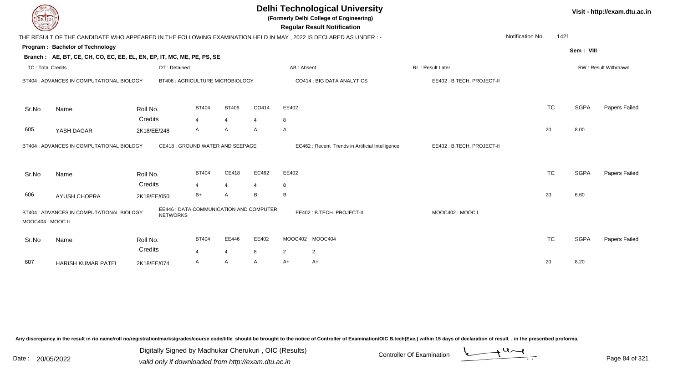| DEL ECH                  |                                                                        |                 |                                         |                |                | <b>Delhi Technological University</b><br>(Formerly Delhi College of Engineering)<br><b>Regular Result Notification</b> |                           |                  |             | Visit - http://exam.dtu.ac.in |
|--------------------------|------------------------------------------------------------------------|-----------------|-----------------------------------------|----------------|----------------|------------------------------------------------------------------------------------------------------------------------|---------------------------|------------------|-------------|-------------------------------|
|                          |                                                                        |                 |                                         |                |                | THE RESULT OF THE CANDIDATE WHO APPEARED IN THE FOLLOWING EXAMINATION HELD IN MAY, 2022 IS DECLARED AS UNDER:-         |                           | Notification No. | 1421        |                               |
|                          | Program: Bachelor of Technology                                        |                 |                                         |                |                |                                                                                                                        |                           |                  | Sem: VIII   |                               |
|                          | Branch: AE, BT, CE, CH, CO, EC, EE, EL, EN, EP, IT, MC, ME, PE, PS, SE |                 |                                         |                |                |                                                                                                                        |                           |                  |             |                               |
| <b>TC: Total Credits</b> |                                                                        | DT: Detained    |                                         |                |                | AB: Absent                                                                                                             | <b>RL: Result Later</b>   |                  |             | RW: Result Withdrawn          |
|                          | BT404 : ADVANCES IN COMPUTATIONAL BIOLOGY                              |                 | BT406 : AGRICULTURE MICROBIOLOGY        |                |                | CO414 : BIG DATA ANALYTICS                                                                                             | EE402: B.TECH. PROJECT-II |                  |             |                               |
| Sr.No                    | Name                                                                   | Roll No.        | <b>BT404</b>                            | <b>BT406</b>   | CO414          | EE402                                                                                                                  |                           | <b>TC</b>        | <b>SGPA</b> | Papers Failed                 |
|                          |                                                                        | Credits         | $\overline{4}$                          | $\overline{4}$ | $\overline{4}$ | 8                                                                                                                      |                           |                  |             |                               |
| 605                      | YASH DAGAR                                                             | 2K18/EE/248     | A                                       | A              | A              | A                                                                                                                      |                           | 20               | 8.00        |                               |
|                          | BT404 : ADVANCES IN COMPUTATIONAL BIOLOGY                              |                 | CE418 : GROUND WATER AND SEEPAGE        |                |                | EC462 : Recent Trends in Artificial Intelligence                                                                       | EE402: B.TECH. PROJECT-II |                  |             |                               |
| Sr.No                    | Name                                                                   | Roll No.        | <b>BT404</b>                            | CE418          | EC462          | EE402                                                                                                                  |                           | <b>TC</b>        | <b>SGPA</b> | Papers Failed                 |
|                          |                                                                        | Credits         | $\overline{4}$                          | $\overline{4}$ |                | 8                                                                                                                      |                           |                  |             |                               |
| 606                      | <b>AYUSH CHOPRA</b>                                                    | 2K18/EE/050     | $B+$                                    | A              | B              | B                                                                                                                      |                           | 20               | 6.60        |                               |
| MOOC404 : MOOC II        | BT404 : ADVANCES IN COMPUTATIONAL BIOLOGY                              | <b>NETWORKS</b> | EE446 : DATA COMMUNICATION AND COMPUTER |                |                | EE402: B.TECH. PROJECT-II                                                                                              | MOOC402: MOOC I           |                  |             |                               |
| Sr.No                    | Name                                                                   | Roll No.        | <b>BT404</b>                            | EE446          | EE402          | MOOC402 MOOC404                                                                                                        |                           | <b>TC</b>        | <b>SGPA</b> | Papers Failed                 |
|                          |                                                                        | Credits         | $\overline{4}$                          | $\overline{4}$ | 8              | 2<br>$\overline{2}$                                                                                                    |                           |                  |             |                               |
| 607                      | <b>HARISH KUMAR PATEL</b>                                              | 2K18/EE/074     | A                                       | A              | A              | $A+$<br>A+                                                                                                             |                           | 20               | 8.20        |                               |

Digitally Signed by Madhukar Cherukuri, OIC (Results)<br>Date : 20/05/2022 valid only if downloaded from http://oxam.dtu.ac.in Digitally Signed by Madhukar Cherukuri , OIC (Results)

valid only if downloaded from http://exam.dtu.ac.in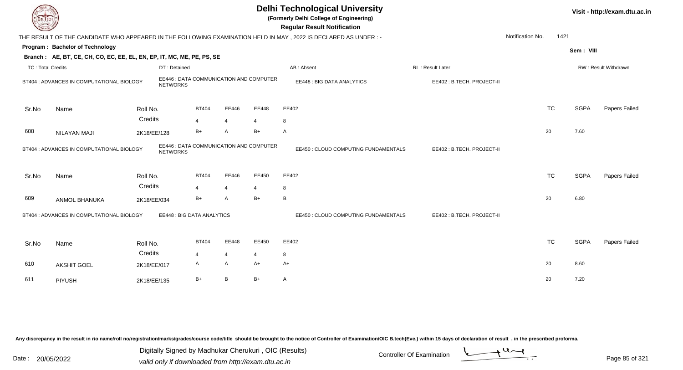| DEL TECH                 |                                                                                                           |             |                                  |                |                |                                         | <b>Delhi Technological University</b><br>(Formerly Delhi College of Engineering)<br><b>Regular Result Notification</b> |                           |                  |             | Visit - http://exam.dtu.ac.in |
|--------------------------|-----------------------------------------------------------------------------------------------------------|-------------|----------------------------------|----------------|----------------|-----------------------------------------|------------------------------------------------------------------------------------------------------------------------|---------------------------|------------------|-------------|-------------------------------|
|                          |                                                                                                           |             |                                  |                |                |                                         | THE RESULT OF THE CANDIDATE WHO APPEARED IN THE FOLLOWING EXAMINATION HELD IN MAY, 2022 IS DECLARED AS UNDER:-         |                           | Notification No. | 1421        |                               |
|                          | Program: Bachelor of Technology<br>Branch: AE, BT, CE, CH, CO, EC, EE, EL, EN, EP, IT, MC, ME, PE, PS, SE |             |                                  |                |                |                                         |                                                                                                                        |                           |                  | Sem: VIII   |                               |
| <b>TC: Total Credits</b> |                                                                                                           |             | DT: Detained                     |                |                |                                         | AB: Absent                                                                                                             | RL: Result Later          |                  |             | RW: Result Withdrawn          |
|                          | BT404 : ADVANCES IN COMPUTATIONAL BIOLOGY                                                                 |             | <b>NETWORKS</b>                  |                |                | EE446 : DATA COMMUNICATION AND COMPUTER | EE448 : BIG DATA ANALYTICS                                                                                             | EE402: B.TECH. PROJECT-II |                  |             |                               |
| Sr.No                    | Name                                                                                                      | Roll No.    |                                  | <b>BT404</b>   | EE446          | EE448                                   | EE402                                                                                                                  |                           | <b>TC</b>        | <b>SGPA</b> | Papers Failed                 |
|                          |                                                                                                           | Credits     |                                  | $\overline{4}$ | $\overline{4}$ | $\overline{\mathbf{A}}$                 | 8                                                                                                                      |                           |                  |             |                               |
| 608                      | <b>NILAYAN MAJI</b>                                                                                       | 2K18/EE/128 |                                  | $B+$           | $\overline{A}$ | $B+$                                    | A                                                                                                                      |                           | 20               | 7.60        |                               |
|                          | BT404 : ADVANCES IN COMPUTATIONAL BIOLOGY                                                                 |             | <b>NETWORKS</b>                  |                |                | EE446 : DATA COMMUNICATION AND COMPUTER | EE450 : CLOUD COMPUTING FUNDAMENTALS                                                                                   | EE402: B.TECH. PROJECT-II |                  |             |                               |
| Sr.No                    | Name                                                                                                      | Roll No.    |                                  | <b>BT404</b>   | EE446          | EE450                                   | EE402                                                                                                                  |                           | <b>TC</b>        | <b>SGPA</b> | Papers Failed                 |
|                          |                                                                                                           | Credits     |                                  | $\overline{4}$ | $\overline{4}$ | 4                                       | 8                                                                                                                      |                           |                  |             |                               |
| 609                      | <b>ANMOL BHANUKA</b>                                                                                      | 2K18/EE/034 |                                  | $B+$           | A              | $B+$                                    | B                                                                                                                      |                           | 20               | 6.80        |                               |
|                          | BT404 : ADVANCES IN COMPUTATIONAL BIOLOGY                                                                 |             | <b>EE448: BIG DATA ANALYTICS</b> |                |                |                                         | EE450 : CLOUD COMPUTING FUNDAMENTALS                                                                                   | EE402: B.TECH. PROJECT-II |                  |             |                               |
| Sr.No                    | Name                                                                                                      | Roll No.    |                                  | <b>BT404</b>   | EE448          | EE450                                   | EE402                                                                                                                  |                           | TC               | <b>SGPA</b> | Papers Failed                 |
|                          |                                                                                                           | Credits     |                                  | $\overline{4}$ | $\overline{4}$ | 4                                       | 8                                                                                                                      |                           |                  |             |                               |
| 610                      | <b>AKSHIT GOEL</b>                                                                                        | 2K18/EE/017 |                                  | $\mathsf{A}$   | A              | $A+$                                    | $A+$                                                                                                                   |                           | 20               | 8.60        |                               |
| 611                      | PIYUSH                                                                                                    | 2K18/EE/135 |                                  | $B+$           | B              | $B+$                                    | A                                                                                                                      |                           | 20               | 7.20        |                               |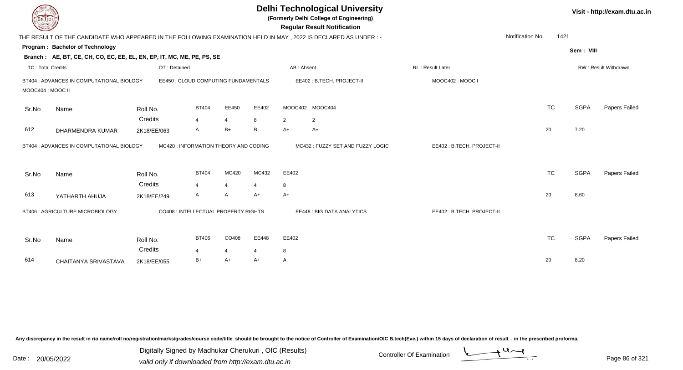|                          | <b>Delhi Technological University</b><br>Visit - http://exam.dtu.ac.in<br>(Formerly Delhi College of Engineering)<br><b>Regular Result Notification</b><br>Notification No.<br>1421<br>THE RESULT OF THE CANDIDATE WHO APPEARED IN THE FOLLOWING EXAMINATION HELD IN MAY, 2022 IS DECLARED AS UNDER :- |                                       |                              |                |                |              |                                  |                           |  |           |             |                             |  |  |
|--------------------------|--------------------------------------------------------------------------------------------------------------------------------------------------------------------------------------------------------------------------------------------------------------------------------------------------------|---------------------------------------|------------------------------|----------------|----------------|--------------|----------------------------------|---------------------------|--|-----------|-------------|-----------------------------|--|--|
|                          |                                                                                                                                                                                                                                                                                                        |                                       |                              |                |                |              |                                  |                           |  |           |             |                             |  |  |
|                          | Program: Bachelor of Technology                                                                                                                                                                                                                                                                        |                                       |                              |                |                |              |                                  |                           |  |           | Sem: VIII   |                             |  |  |
|                          | Branch: AE, BT, CE, CH, CO, EC, EE, EL, EN, EP, IT, MC, ME, PE, PS, SE                                                                                                                                                                                                                                 |                                       |                              |                |                |              |                                  |                           |  |           |             |                             |  |  |
| <b>TC: Total Credits</b> |                                                                                                                                                                                                                                                                                                        | DT: Detained                          |                              |                |                | AB: Absent   |                                  | <b>RL: Result Later</b>   |  |           |             | <b>RW: Result Withdrawn</b> |  |  |
| MOOC404 : MOOC II        | BT404 : ADVANCES IN COMPUTATIONAL BIOLOGY                                                                                                                                                                                                                                                              | EE450 : CLOUD COMPUTING FUNDAMENTALS  |                              |                |                |              | EE402: B.TECH. PROJECT-II        | MOOC402: MOOC I           |  |           |             |                             |  |  |
| Sr.No                    | Name                                                                                                                                                                                                                                                                                                   | Roll No.                              | <b>BT404</b>                 | EE450          | EE402          |              | MOOC402 MOOC404                  |                           |  | <b>TC</b> | <b>SGPA</b> | Papers Failed               |  |  |
| 612                      | DHARMENDRA KUMAR                                                                                                                                                                                                                                                                                       | Credits<br>2K18/EE/063                | $\overline{\mathbf{A}}$<br>A | 4<br>$B+$      | 8<br>B         | 2<br>$A+$    | $\overline{2}$<br>A+             |                           |  | 20        | 7.20        |                             |  |  |
|                          | BT404 : ADVANCES IN COMPUTATIONAL BIOLOGY                                                                                                                                                                                                                                                              | MC420 : INFORMATION THEORY AND CODING |                              |                |                |              | MC432: FUZZY SET AND FUZZY LOGIC | EE402: B.TECH. PROJECT-II |  |           |             |                             |  |  |
| Sr.No                    | Name                                                                                                                                                                                                                                                                                                   | Roll No.                              | <b>BT404</b>                 | MC420          | MC432          | EE402        |                                  |                           |  | <b>TC</b> | <b>SGPA</b> | Papers Failed               |  |  |
|                          |                                                                                                                                                                                                                                                                                                        | Credits                               | 4                            | $\overline{4}$ | $\overline{4}$ | 8            |                                  |                           |  |           |             |                             |  |  |
| 613                      | YATHARTH AHUJA                                                                                                                                                                                                                                                                                         | 2K18/EE/249                           | A                            | A              | A+             | $A+$         |                                  |                           |  | 20        | 8.60        |                             |  |  |
|                          | BT406 : AGRICULTURE MICROBIOLOGY                                                                                                                                                                                                                                                                       | CO408 : INTELLECTUAL PROPERTY RIGHTS  |                              |                |                |              | EE448 : BIG DATA ANALYTICS       | EE402: B.TECH. PROJECT-II |  |           |             |                             |  |  |
| Sr.No                    | Name                                                                                                                                                                                                                                                                                                   | Roll No.                              | <b>BT406</b>                 | CO408          | EE448          | EE402        |                                  |                           |  | <b>TC</b> | <b>SGPA</b> | Papers Failed               |  |  |
|                          |                                                                                                                                                                                                                                                                                                        | Credits                               | $\overline{4}$               | 4              | 4              | 8            |                                  |                           |  |           |             |                             |  |  |
| 614                      | CHAITANYA SRIVASTAVA                                                                                                                                                                                                                                                                                   | 2K18/EE/055                           | B+                           | A+             | $A+$           | $\mathsf{A}$ |                                  |                           |  | 20        | 8.20        |                             |  |  |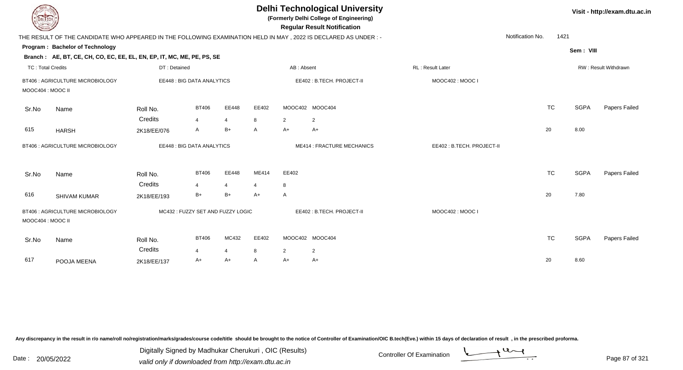|                          | <b>DELTECH</b><br>THE RESULT OF THE CANDIDATE WHO APPEARED IN THE FOLLOWING EXAMINATION HELD IN MAY, 2022 IS DECLARED AS UNDER:- |              |                                  |       |                |                | <b>Delhi Technological University</b><br>(Formerly Delhi College of Engineering)<br><b>Regular Result Notification</b> |                           |           |             | Visit - http://exam.dtu.ac.in |
|--------------------------|----------------------------------------------------------------------------------------------------------------------------------|--------------|----------------------------------|-------|----------------|----------------|------------------------------------------------------------------------------------------------------------------------|---------------------------|-----------|-------------|-------------------------------|
|                          |                                                                                                                                  |              |                                  |       |                |                |                                                                                                                        | Notification No.          | 1421      |             |                               |
|                          | Program: Bachelor of Technology                                                                                                  |              |                                  |       |                |                |                                                                                                                        |                           |           | Sem: VIII   |                               |
|                          | Branch: AE, BT, CE, CH, CO, EC, EE, EL, EN, EP, IT, MC, ME, PE, PS, SE                                                           |              |                                  |       |                |                |                                                                                                                        |                           |           |             |                               |
| <b>TC: Total Credits</b> |                                                                                                                                  | DT: Detained |                                  |       |                | AB: Absent     |                                                                                                                        | RL: Result Later          |           |             | RW: Result Withdrawn          |
|                          | BT406 : AGRICULTURE MICROBIOLOGY                                                                                                 |              | EE448 : BIG DATA ANALYTICS       |       |                |                | EE402: B.TECH. PROJECT-II                                                                                              | MOOC402: MOOC I           |           |             |                               |
| MOOC404 : MOOC II        |                                                                                                                                  |              |                                  |       |                |                |                                                                                                                        |                           |           |             |                               |
| Sr.No                    | Name                                                                                                                             | Roll No.     | <b>BT406</b>                     | EE448 | EE402          |                | MOOC402 MOOC404                                                                                                        |                           | <b>TC</b> | <b>SGPA</b> | Papers Failed                 |
|                          |                                                                                                                                  | Credits      | $\overline{4}$                   | 4     | 8              | $\overline{2}$ | 2                                                                                                                      |                           |           |             |                               |
| 615                      | <b>HARSH</b>                                                                                                                     | 2K18/EE/076  | A                                | $B+$  | A              | $A+$           | A+                                                                                                                     |                           | 20        | 8.00        |                               |
|                          | BT406 : AGRICULTURE MICROBIOLOGY                                                                                                 |              | EE448 : BIG DATA ANALYTICS       |       |                |                | <b>ME414: FRACTURE MECHANICS</b>                                                                                       | EE402: B.TECH. PROJECT-II |           |             |                               |
| Sr.No                    | Name                                                                                                                             | Roll No.     | <b>BT406</b>                     | EE448 | ME414          | EE402          |                                                                                                                        |                           | <b>TC</b> | <b>SGPA</b> | Papers Failed                 |
|                          |                                                                                                                                  | Credits      | $\overline{4}$                   | 4     | $\overline{4}$ | 8              |                                                                                                                        |                           |           |             |                               |
| 616                      | <b>SHIVAM KUMAR</b>                                                                                                              | 2K18/EE/193  | B+                               | $B+$  | $A+$           | A              |                                                                                                                        |                           | 20        | 7.80        |                               |
| MOOC404 : MOOC II        | BT406 : AGRICULTURE MICROBIOLOGY                                                                                                 |              | MC432: FUZZY SET AND FUZZY LOGIC |       |                |                | EE402: B.TECH. PROJECT-II                                                                                              | MOOC402: MOOC I           |           |             |                               |
| Sr.No                    | Name                                                                                                                             | Roll No.     | <b>BT406</b>                     | MC432 | EE402          |                | MOOC402 MOOC404                                                                                                        |                           | <b>TC</b> | <b>SGPA</b> | Papers Failed                 |
|                          |                                                                                                                                  | Credits      | $\overline{4}$                   | 4     | 8              | $\overline{2}$ | 2                                                                                                                      |                           |           |             |                               |
| 617                      | POOJA MEENA                                                                                                                      | 2K18/EE/137  | A+                               | A+    | A              | A+             | A+                                                                                                                     |                           | 20        | 8.60        |                               |

Digitally Signed by Madhukar Cherukuri, OIC (Results)<br>Date : 20/05/2022 valid only if downloaded from http://oxam.dtu.ac.in Digitally Signed by Madhukar Cherukuri , OIC (Results)

valid only if downloaded from http://exam.dtu.ac.in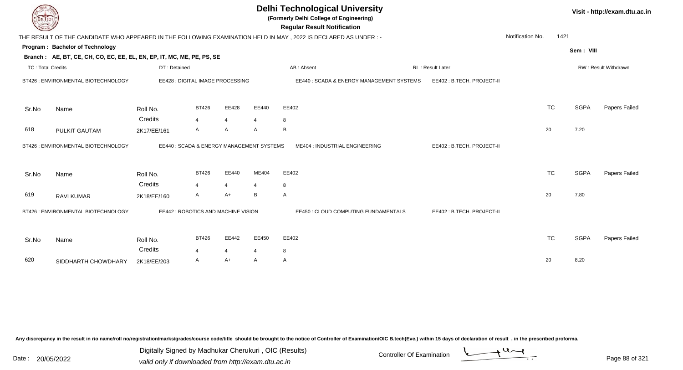| <b>DELTECH</b>           |                                                                        |                                           |                |                |       | <b>Delhi Technological University</b><br>(Formerly Delhi College of Engineering)<br><b>Regular Result Notification</b> |                           |                  |           |             | Visit - http://exam.dtu.ac.in |
|--------------------------|------------------------------------------------------------------------|-------------------------------------------|----------------|----------------|-------|------------------------------------------------------------------------------------------------------------------------|---------------------------|------------------|-----------|-------------|-------------------------------|
|                          |                                                                        |                                           |                |                |       | THE RESULT OF THE CANDIDATE WHO APPEARED IN THE FOLLOWING EXAMINATION HELD IN MAY, 2022 IS DECLARED AS UNDER:-         |                           | Notification No. | 1421      |             |                               |
|                          | Program: Bachelor of Technology                                        |                                           |                |                |       |                                                                                                                        |                           |                  |           | Sem: VIII   |                               |
|                          | Branch: AE, BT, CE, CH, CO, EC, EE, EL, EN, EP, IT, MC, ME, PE, PS, SE |                                           |                |                |       |                                                                                                                        |                           |                  |           |             |                               |
| <b>TC: Total Credits</b> |                                                                        | DT: Detained                              |                |                |       | AB: Absent                                                                                                             | <b>RL: Result Later</b>   |                  |           |             | RW: Result Withdrawn          |
|                          | BT426 : ENVIRONMENTAL BIOTECHNOLOGY                                    | EE428 : DIGITAL IMAGE PROCESSING          |                |                |       | EE440: SCADA & ENERGY MANAGEMENT SYSTEMS                                                                               | EE402: B.TECH. PROJECT-II |                  |           |             |                               |
| Sr.No                    | Name                                                                   | Roll No.                                  | <b>BT426</b>   | EE428          | EE440 | EE402                                                                                                                  |                           |                  | <b>TC</b> | <b>SGPA</b> | Papers Failed                 |
|                          |                                                                        | Credits                                   | $\overline{4}$ | $\overline{4}$ | 4     | 8                                                                                                                      |                           |                  |           |             |                               |
| 618                      | PULKIT GAUTAM                                                          | 2K17/EE/161                               | $\mathsf{A}$   | A              | A     | B                                                                                                                      |                           |                  | 20        | 7.20        |                               |
|                          | BT426 : ENVIRONMENTAL BIOTECHNOLOGY                                    | EE440 : SCADA & ENERGY MANAGEMENT SYSTEMS |                |                |       | ME404 : INDUSTRIAL ENGINEERING                                                                                         | EE402: B.TECH. PROJECT-II |                  |           |             |                               |
| Sr.No                    | Name                                                                   | Roll No.                                  | <b>BT426</b>   | EE440          | ME404 | EE402                                                                                                                  |                           |                  | <b>TC</b> | <b>SGPA</b> | Papers Failed                 |
|                          |                                                                        | Credits                                   | $\overline{4}$ | $\overline{4}$ | 4     | 8                                                                                                                      |                           |                  |           |             |                               |
| 619                      | <b>RAVI KUMAR</b>                                                      | 2K18/EE/160                               | A              | $A+$           | В     | Α                                                                                                                      |                           |                  | 20        | 7.80        |                               |
|                          | BT426 : ENVIRONMENTAL BIOTECHNOLOGY                                    | EE442 : ROBOTICS AND MACHINE VISION       |                |                |       | EE450 : CLOUD COMPUTING FUNDAMENTALS                                                                                   | EE402: B.TECH. PROJECT-II |                  |           |             |                               |
| Sr.No                    | Name                                                                   | Roll No.<br>Credits                       | <b>BT426</b>   | EE442          | EE450 | EE402                                                                                                                  |                           |                  | <b>TC</b> | <b>SGPA</b> | Papers Failed                 |
|                          |                                                                        |                                           | 4              | $\overline{4}$ | 4     | 8                                                                                                                      |                           |                  |           |             |                               |
| 620                      | SIDDHARTH CHOWDHARY                                                    | 2K18/EE/203                               | A              | $A+$           | A     | $\mathsf{A}$                                                                                                           |                           |                  | 20        | 8.20        |                               |

Digitally Signed by Madhukar Cherukuri, OIC (Results)<br>Date : 20/05/2022 valid only if downloaded from http://oxam.dtu.ac.in Digitally Signed by Madhukar Cherukuri , OIC (Results)

valid only if downloaded from http://exam.dtu.ac.in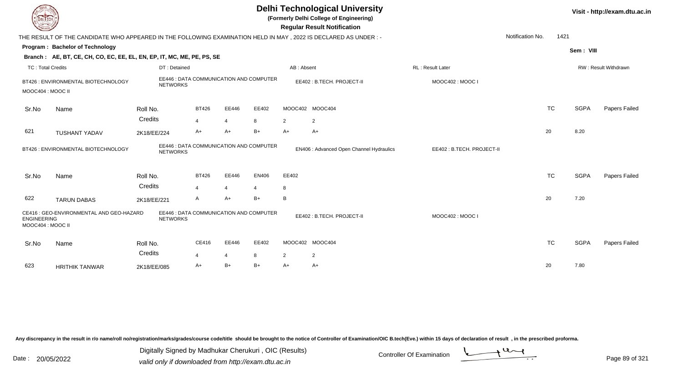| DEL ECH                                 |                                                                                                                 |                     |                                |                         |                                                |                      | <b>Delhi Technological University</b><br>(Formerly Delhi College of Engineering)<br><b>Regular Result Notification</b> |                           |                  |      |             | Visit - http://exam.dtu.ac.in |
|-----------------------------------------|-----------------------------------------------------------------------------------------------------------------|---------------------|--------------------------------|-------------------------|------------------------------------------------|----------------------|------------------------------------------------------------------------------------------------------------------------|---------------------------|------------------|------|-------------|-------------------------------|
|                                         | THE RESULT OF THE CANDIDATE WHO APPEARED IN THE FOLLOWING EXAMINATION HELD IN MAY, 2022 IS DECLARED AS UNDER :- |                     |                                |                         |                                                |                      |                                                                                                                        |                           | Notification No. | 1421 |             |                               |
|                                         | Program: Bachelor of Technology                                                                                 |                     |                                |                         |                                                |                      |                                                                                                                        |                           |                  |      | Sem: VIII   |                               |
|                                         | Branch: AE, BT, CE, CH, CO, EC, EE, EL, EN, EP, IT, MC, ME, PE, PS, SE                                          |                     |                                |                         |                                                |                      |                                                                                                                        |                           |                  |      |             |                               |
| <b>TC: Total Credits</b>                |                                                                                                                 | DT: Detained        |                                |                         |                                                | AB: Absent           |                                                                                                                        | RL: Result Later          |                  |      |             | RW: Result Withdrawn          |
| MOOC404 : MOOC II                       | BT426 : ENVIRONMENTAL BIOTECHNOLOGY                                                                             | <b>NETWORKS</b>     |                                |                         | EE446 : DATA COMMUNICATION AND COMPUTER        |                      | EE402: B.TECH. PROJECT-II                                                                                              | MOOC402: MOOC I           |                  |      |             |                               |
| Sr.No                                   | Name                                                                                                            | Roll No.<br>Credits | <b>BT426</b><br>$\overline{4}$ | EE446<br>$\overline{4}$ | EE402<br>8                                     | 2                    | MOOC402 MOOC404<br>2                                                                                                   |                           | <b>TC</b>        |      | <b>SGPA</b> | Papers Failed                 |
| 621                                     | <b>TUSHANT YADAV</b>                                                                                            | 2K18/EE/224         | $A+$                           | $A+$                    | B+                                             | $A+$                 | A+                                                                                                                     |                           | 20               |      | 8.20        |                               |
|                                         | BT426 : ENVIRONMENTAL BIOTECHNOLOGY                                                                             | <b>NETWORKS</b>     |                                |                         | <b>EE446 : DATA COMMUNICATION AND COMPUTER</b> |                      | EN406 : Advanced Open Channel Hydraulics                                                                               | EE402: B.TECH. PROJECT-II |                  |      |             |                               |
| Sr.No                                   | Name                                                                                                            | Roll No.<br>Credits | <b>BT426</b><br>4              | EE446<br>4              | <b>EN406</b><br>$\overline{4}$                 | EE402<br>8           |                                                                                                                        |                           | <b>TC</b>        |      | <b>SGPA</b> | Papers Failed                 |
| 622                                     | <b>TARUN DABAS</b>                                                                                              | 2K18/EE/221         | A                              | $A+$                    | B+                                             | B                    |                                                                                                                        |                           | 20               |      | 7.20        |                               |
| <b>ENGINEERING</b><br>MOOC404 : MOOC II | CE416 : GEO-ENVIRONMENTAL AND GEO-HAZARD                                                                        | <b>NETWORKS</b>     |                                |                         | EE446 : DATA COMMUNICATION AND COMPUTER        |                      | EE402: B.TECH. PROJECT-II                                                                                              | MOOC402: MOOC I           |                  |      |             |                               |
| Sr.No                                   | Name                                                                                                            | Roll No.<br>Credits | CE416                          | EE446                   | EE402                                          |                      | MOOC402 MOOC404                                                                                                        |                           | <b>TC</b>        |      | <b>SGPA</b> | Papers Failed                 |
| 623                                     | <b>HRITHIK TANWAR</b>                                                                                           | 2K18/EE/085         | 4<br>A+                        | $\overline{4}$<br>$B+$  | 8<br>$B+$                                      | $\overline{2}$<br>A+ | $\overline{2}$<br>A+                                                                                                   |                           | 20               |      | 7.80        |                               |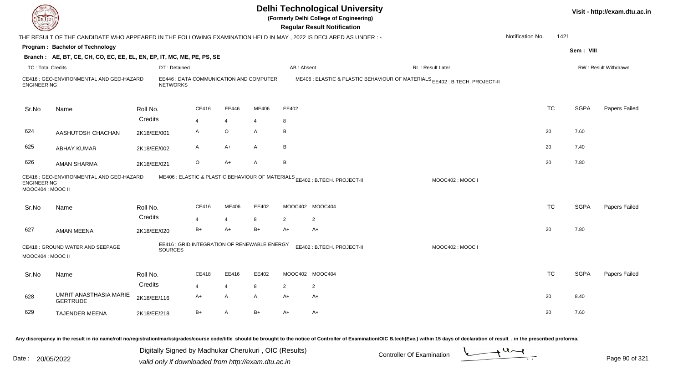|                                        |                                                                                                                 |                 |                                              |                |       |              | <b>Delhi Technological University</b><br>(Formerly Delhi College of Engineering)<br><b>Regular Result Notification</b> |                  |                  |           |             | Visit - http://exam.dtu.ac.in |
|----------------------------------------|-----------------------------------------------------------------------------------------------------------------|-----------------|----------------------------------------------|----------------|-------|--------------|------------------------------------------------------------------------------------------------------------------------|------------------|------------------|-----------|-------------|-------------------------------|
|                                        | THE RESULT OF THE CANDIDATE WHO APPEARED IN THE FOLLOWING EXAMINATION HELD IN MAY, 2022 IS DECLARED AS UNDER :- |                 |                                              |                |       |              |                                                                                                                        |                  | Notification No. | 1421      |             |                               |
|                                        | Program: Bachelor of Technology                                                                                 |                 |                                              |                |       |              |                                                                                                                        |                  |                  |           | Sem: VIII   |                               |
|                                        | Branch: AE, BT, CE, CH, CO, EC, EE, EL, EN, EP, IT, MC, ME, PE, PS, SE                                          |                 |                                              |                |       |              |                                                                                                                        |                  |                  |           |             |                               |
| <b>TC: Total Credits</b>               |                                                                                                                 | DT: Detained    |                                              |                |       | AB: Absent   |                                                                                                                        | RL: Result Later |                  |           |             | RW: Result Withdrawn          |
| <b>ENGINEERING</b>                     | CE416 : GEO-ENVIRONMENTAL AND GEO-HAZARD                                                                        | <b>NETWORKS</b> | EE446 : DATA COMMUNICATION AND COMPUTER      |                |       |              | ME406 : ELASTIC & PLASTIC BEHAVIOUR OF MATERIALS EE402 : B.TECH. PROJECT-II                                            |                  |                  |           |             |                               |
| Sr.No                                  | Name                                                                                                            | Roll No.        | CE416                                        | EE446          | ME406 | EE402        |                                                                                                                        |                  |                  | <b>TC</b> | <b>SGPA</b> | Papers Failed                 |
|                                        |                                                                                                                 | Credits         | $\overline{4}$                               | $\overline{4}$ | 4     | 8            |                                                                                                                        |                  |                  |           |             |                               |
| 624                                    | AASHUTOSH CHACHAN                                                                                               | 2K18/EE/001     | A                                            | $\mathsf O$    | A     | B            |                                                                                                                        |                  | 20               |           | 7.60        |                               |
| 625                                    | <b>ABHAY KUMAR</b>                                                                                              | 2K18/EE/002     | A                                            | A+             | A     | $\, {\sf B}$ |                                                                                                                        |                  | 20               |           | 7.40        |                               |
| 626                                    | AMAN SHARMA                                                                                                     | 2K18/EE/021     | O                                            | A+             | A     | B            |                                                                                                                        |                  | 20               |           | 7.80        |                               |
| <b>ENGINEERING</b><br>MOOC404: MOOC II | CE416 : GEO-ENVIRONMENTAL AND GEO-HAZARD                                                                        |                 |                                              |                |       |              | ME406 : ELASTIC & PLASTIC BEHAVIOUR OF MATERIALS EE402 : B.TECH. PROJECT-II                                            | MOOC402: MOOC I  |                  |           |             |                               |
| Sr.No                                  | Name                                                                                                            | Roll No.        | CE416                                        | ME406          | EE402 |              | MOOC402 MOOC404                                                                                                        |                  |                  | <b>TC</b> | <b>SGPA</b> | Papers Failed                 |
|                                        |                                                                                                                 | Credits         | $\overline{4}$                               | $\overline{4}$ | 8     | 2            | 2                                                                                                                      |                  |                  |           |             |                               |
| 627                                    | <b>AMAN MEENA</b>                                                                                               | 2K18/EE/020     | $B+$                                         | $A+$           | B+    | $A+$         | $A+$                                                                                                                   |                  | 20               |           | 7.80        |                               |
| MOOC404 : MOOC II                      | CE418 : GROUND WATER AND SEEPAGE                                                                                | SOURCES         | EE416 : GRID INTEGRATION OF RENEWABLE ENERGY |                |       |              | EE402: B.TECH. PROJECT-II                                                                                              | MOOC402: MOOC I  |                  |           |             |                               |
| Sr.No                                  | Name                                                                                                            | Roll No.        | CE418                                        | EE416          | EE402 |              | MOOC402 MOOC404                                                                                                        |                  |                  | <b>TC</b> | <b>SGPA</b> | Papers Failed                 |
|                                        |                                                                                                                 | Credits         | $\overline{4}$                               | $\overline{4}$ | 8     | 2            | 2                                                                                                                      |                  |                  |           |             |                               |
| 628                                    | UMRIT ANASTHASIA MARIE<br><b>GERTRUDE</b>                                                                       | 2K18/EE/116     | A+                                           | A              | A     | A+           | A+                                                                                                                     |                  | 20               |           | 8.40        |                               |
| 629                                    | TAJENDER MEENA                                                                                                  | 2K18/EE/218     | $B+$                                         | A              | $B+$  | $A+$         | $A+$                                                                                                                   |                  | 20               |           | 7.60        |                               |
|                                        |                                                                                                                 |                 |                                              |                |       |              |                                                                                                                        |                  |                  |           |             |                               |

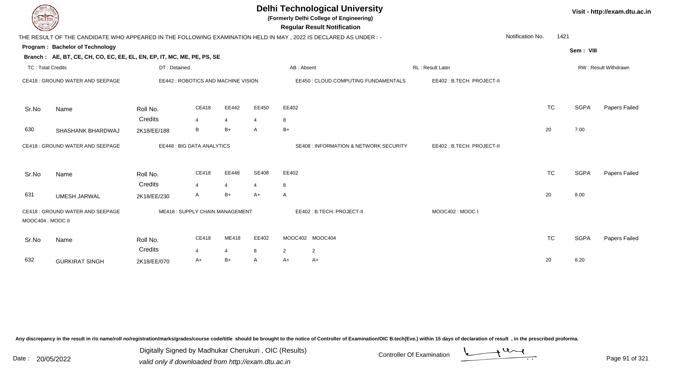| DEL ECH                  |                                                                        |                     |                                     |                        |              | <b>Delhi Technological University</b><br>(Formerly Delhi College of Engineering)<br><b>Regular Result Notification</b> |                           |                  |           |             | Visit - http://exam.dtu.ac.in |
|--------------------------|------------------------------------------------------------------------|---------------------|-------------------------------------|------------------------|--------------|------------------------------------------------------------------------------------------------------------------------|---------------------------|------------------|-----------|-------------|-------------------------------|
|                          |                                                                        |                     |                                     |                        |              | THE RESULT OF THE CANDIDATE WHO APPEARED IN THE FOLLOWING EXAMINATION HELD IN MAY, 2022 IS DECLARED AS UNDER:-         |                           | Notification No. | 1421      |             |                               |
|                          | Program: Bachelor of Technology                                        |                     |                                     |                        |              |                                                                                                                        |                           |                  |           | Sem: VIII   |                               |
|                          | Branch: AE, BT, CE, CH, CO, EC, EE, EL, EN, EP, IT, MC, ME, PE, PS, SE |                     |                                     |                        |              |                                                                                                                        |                           |                  |           |             |                               |
| <b>TC: Total Credits</b> |                                                                        | DT: Detained        |                                     |                        |              | AB: Absent                                                                                                             | RL: Result Later          |                  |           |             | RW: Result Withdrawn          |
|                          | CE418 : GROUND WATER AND SEEPAGE                                       |                     | EE442 : ROBOTICS AND MACHINE VISION |                        |              | EE450 : CLOUD COMPUTING FUNDAMENTALS                                                                                   | EE402: B.TECH. PROJECT-II |                  |           |             |                               |
| Sr.No                    | Name                                                                   | Roll No.            | CE418                               | EE442                  | EE450        | EE402                                                                                                                  |                           |                  | <b>TC</b> | <b>SGPA</b> | Papers Failed                 |
|                          |                                                                        | Credits             | $\overline{\mathbf{A}}$             | $\overline{4}$         | 4            | 8                                                                                                                      |                           |                  |           |             |                               |
| 630                      | SHASHANK BHARDWAJ                                                      | 2K18/EE/188         | B                                   | $B+$                   | A            | $B+$                                                                                                                   |                           |                  | 20        | 7.00        |                               |
|                          | CE418 : GROUND WATER AND SEEPAGE                                       |                     | EE448 : BIG DATA ANALYTICS          |                        |              | <b>SE408 : INFORMATION &amp; NETWORK SECURITY</b>                                                                      | EE402: B.TECH. PROJECT-II |                  |           |             |                               |
| Sr.No                    | Name                                                                   | Roll No.<br>Credits | CE418                               | EE448                  | <b>SE408</b> | EE402                                                                                                                  |                           |                  | <b>TC</b> | <b>SGPA</b> | Papers Failed                 |
| 631                      | <b>UMESH JARWAL</b>                                                    | 2K18/EE/230         | $\boldsymbol{\Delta}$<br>A          | 4<br>$B+$              | 4<br>$A+$    | 8<br>A                                                                                                                 |                           |                  | 20        | 8.00        |                               |
|                          |                                                                        |                     |                                     |                        |              |                                                                                                                        |                           |                  |           |             |                               |
| MOOC404 : MOOC II        | CE418 : GROUND WATER AND SEEPAGE                                       |                     | ME418: SUPPLY CHAIN MANAGEMENT      |                        |              | EE402: B.TECH. PROJECT-II                                                                                              | MOOC402: MOOC I           |                  |           |             |                               |
| Sr.No                    | Name                                                                   | Roll No.<br>Credits | CE418                               | ME418                  | EE402        | MOOC402 MOOC404                                                                                                        |                           |                  | <b>TC</b> | <b>SGPA</b> | Papers Failed                 |
| 632                      | <b>GURKIRAT SINGH</b>                                                  |                     | 4<br>A+                             | $\overline{4}$<br>$B+$ | 8<br>A       | $\overline{2}$<br>$\overline{2}$<br>$A+$<br>A+                                                                         |                           |                  | 20        | 8.20        |                               |
|                          |                                                                        | 2K18/EE/070         |                                     |                        |              |                                                                                                                        |                           |                  |           |             |                               |

Digitally Signed by Madhukar Cherukuri, OIC (Results)<br>Date : 20/05/2022 valid only if downloaded from http://oxam.dtu.ac.in Digitally Signed by Madhukar Cherukuri , OIC (Results)

Page 91 of 321

valid only if downloaded from http://exam.dtu.ac.in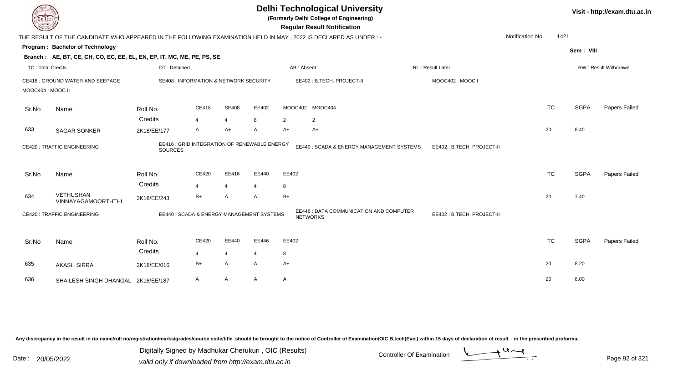| DEL ECH                  |                                                                        |                     |                                                   |                         |                         |                | <b>Delhi Technological University</b><br>(Formerly Delhi College of Engineering)<br><b>Regular Result Notification</b> |                           |                  |      |             | Visit - http://exam.dtu.ac.in |
|--------------------------|------------------------------------------------------------------------|---------------------|---------------------------------------------------|-------------------------|-------------------------|----------------|------------------------------------------------------------------------------------------------------------------------|---------------------------|------------------|------|-------------|-------------------------------|
|                          |                                                                        |                     |                                                   |                         |                         |                | THE RESULT OF THE CANDIDATE WHO APPEARED IN THE FOLLOWING EXAMINATION HELD IN MAY, 2022 IS DECLARED AS UNDER:-         |                           | Notification No. | 1421 |             |                               |
|                          | Program: Bachelor of Technology                                        |                     |                                                   |                         |                         |                |                                                                                                                        |                           |                  |      | Sem: VIII   |                               |
|                          | Branch: AE, BT, CE, CH, CO, EC, EE, EL, EN, EP, IT, MC, ME, PE, PS, SE |                     |                                                   |                         |                         |                |                                                                                                                        |                           |                  |      |             |                               |
| <b>TC: Total Credits</b> |                                                                        | DT: Detained        |                                                   |                         |                         |                | AB: Absent                                                                                                             | RL : Result Later         |                  |      |             | RW: Result Withdrawn          |
|                          | CE418 : GROUND WATER AND SEEPAGE                                       |                     | <b>SE408 : INFORMATION &amp; NETWORK SECURITY</b> |                         |                         |                | EE402: B.TECH. PROJECT-II                                                                                              | MOOC402: MOOC I           |                  |      |             |                               |
| MOOC404 : MOOC II        |                                                                        |                     |                                                   |                         |                         |                |                                                                                                                        |                           |                  |      |             |                               |
| Sr.No                    | Name                                                                   | Roll No.            | CE418                                             | <b>SE408</b>            | EE402                   |                | MOOC402 MOOC404                                                                                                        |                           | <b>TC</b>        |      | <b>SGPA</b> | Papers Failed                 |
|                          |                                                                        | Credits             | $\overline{4}$                                    | $\overline{4}$          | 8                       | $\overline{2}$ | $\overline{2}$                                                                                                         |                           |                  |      |             |                               |
| 633                      | <b>SAGAR SONKER</b>                                                    | 2K18/EE/177         | A                                                 | A+                      | A                       | $A+$           | $A+$                                                                                                                   |                           | 20               |      | 8.40        |                               |
|                          | <b>CE420: TRAFFIC ENGINEERING</b>                                      | <b>SOURCES</b>      | EE416 : GRID INTEGRATION OF RENEWABLE ENERGY      |                         |                         |                | EE440 : SCADA & ENERGY MANAGEMENT SYSTEMS                                                                              | EE402: B.TECH. PROJECT-II |                  |      |             |                               |
| Sr.No                    | Name                                                                   | Roll No.<br>Credits | CE420<br>$\overline{4}$                           | EE416<br>$\overline{4}$ | EE440<br>$\overline{4}$ | EE402<br>8     |                                                                                                                        |                           | <b>TC</b>        |      | <b>SGPA</b> | Papers Failed                 |
| 634                      | <b>VETHUSHAN</b><br><b>VINNAYAGAMOORTHTHI</b>                          | 2K18/EE/243         | $B+$                                              | Α                       | A                       | $B+$           |                                                                                                                        |                           | 20               |      | 7.40        |                               |
|                          | <b>CE420: TRAFFIC ENGINEERING</b>                                      |                     | EE440: SCADA & ENERGY MANAGEMENT SYSTEMS          |                         |                         |                | EE446 : DATA COMMUNICATION AND COMPUTER<br><b>NETWORKS</b>                                                             | EE402: B.TECH. PROJECT-II |                  |      |             |                               |
| Sr.No                    | Name                                                                   | Roll No.            | CE420                                             | EE440                   | EE446                   | EE402          |                                                                                                                        |                           | <b>TC</b>        |      | <b>SGPA</b> | Papers Failed                 |
|                          |                                                                        | Credits             | $\overline{4}$                                    | $\overline{4}$          | $\overline{4}$          | 8              |                                                                                                                        |                           |                  |      |             |                               |
| 635                      | <b>AKASH SIRRA</b>                                                     | 2K18/EE/016         | $B+$                                              | A                       | A                       | A+             |                                                                                                                        |                           | 20               |      | 8.20        |                               |
| 636                      | SHAILESH SINGH DHANGAL 2K18/EE/187                                     |                     | A                                                 | A                       | A                       | A              |                                                                                                                        |                           | 20               |      | 8.00        |                               |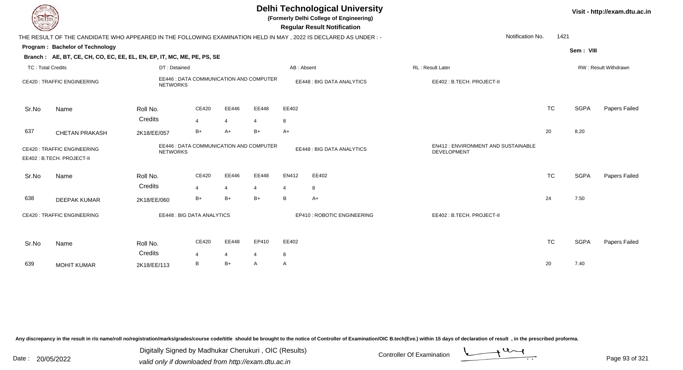| EL ECH                                                                                                                       |                                                                                                                  |                                                            |                |                |       |                            | <b>Delhi Technological University</b><br>(Formerly Delhi College of Engineering)<br><b>Regular Result Notification</b> |                           |                  |           |             | Visit - http://exam.dtu.ac.in |
|------------------------------------------------------------------------------------------------------------------------------|------------------------------------------------------------------------------------------------------------------|------------------------------------------------------------|----------------|----------------|-------|----------------------------|------------------------------------------------------------------------------------------------------------------------|---------------------------|------------------|-----------|-------------|-------------------------------|
|                                                                                                                              | THE RESULT OF THE CANDIDATE WHO APPEARED IN THE FOLLOWING EXAMINATION HELD IN MAY , 2022 IS DECLARED AS UNDER :- |                                                            |                |                |       |                            |                                                                                                                        |                           | Notification No. | 1421      |             |                               |
|                                                                                                                              | Program: Bachelor of Technology                                                                                  |                                                            |                |                |       |                            |                                                                                                                        |                           |                  |           | Sem: VIII   |                               |
|                                                                                                                              | Branch: AE, BT, CE, CH, CO, EC, EE, EL, EN, EP, IT, MC, ME, PE, PS, SE                                           |                                                            |                |                |       |                            |                                                                                                                        |                           |                  |           |             |                               |
| <b>TC: Total Credits</b>                                                                                                     |                                                                                                                  | DT: Detained                                               |                |                |       | AB: Absent                 |                                                                                                                        | RL: Result Later          |                  |           |             | RW: Result Withdrawn          |
|                                                                                                                              | <b>CE420: TRAFFIC ENGINEERING</b>                                                                                | EE446 : DATA COMMUNICATION AND COMPUTER<br><b>NETWORKS</b> |                |                |       |                            | EE448 : BIG DATA ANALYTICS                                                                                             | EE402: B.TECH. PROJECT-II |                  |           |             |                               |
| Sr.No                                                                                                                        | Name                                                                                                             | Roll No.                                                   | CE420          | EE446          | EE448 | EE402                      |                                                                                                                        |                           |                  | <b>TC</b> | <b>SGPA</b> | Papers Failed                 |
|                                                                                                                              |                                                                                                                  | Credits                                                    | $\overline{4}$ | $\overline{4}$ | 4     | 8                          |                                                                                                                        |                           |                  |           |             |                               |
| 637                                                                                                                          | <b>CHETAN PRAKASH</b>                                                                                            | 2K18/EE/057                                                | $B+$           | $A+$           | $B+$  | $A+$                       |                                                                                                                        |                           |                  | 20        | 8.20        |                               |
| EE446 : DATA COMMUNICATION AND COMPUTER<br><b>CE420: TRAFFIC ENGINEERING</b><br><b>NETWORKS</b><br>EE402: B.TECH. PROJECT-II |                                                                                                                  |                                                            |                |                |       | EE448 : BIG DATA ANALYTICS | EN412 : ENVIRONMENT AND SUSTAINABLE<br><b>DEVELOPMENT</b>                                                              |                           |                  |           |             |                               |
| Sr.No                                                                                                                        | Name                                                                                                             | Roll No.                                                   | CE420          | EE446          | EE448 | EN412                      | EE402                                                                                                                  |                           |                  | <b>TC</b> | <b>SGPA</b> | Papers Failed                 |
|                                                                                                                              |                                                                                                                  | Credits                                                    |                | $\overline{4}$ | 4     | $\overline{4}$             | 8                                                                                                                      |                           |                  |           |             |                               |
| 638                                                                                                                          | <b>DEEPAK KUMAR</b>                                                                                              | 2K18/EE/060                                                | $B+$           | $B+$           | $B+$  | B                          | $A+$                                                                                                                   |                           |                  | 24        | 7.50        |                               |
|                                                                                                                              | CE420 : TRAFFIC ENGINEERING                                                                                      | <b>EE448: BIG DATA ANALYTICS</b>                           |                |                |       |                            | EP410 : ROBOTIC ENGINEERING                                                                                            | EE402: B.TECH. PROJECT-II |                  |           |             |                               |
| Sr.No                                                                                                                        | Name                                                                                                             | Roll No.                                                   | CE420          | EE448          | EP410 | EE402                      |                                                                                                                        |                           |                  | <b>TC</b> | <b>SGPA</b> | Papers Failed                 |
|                                                                                                                              |                                                                                                                  | Credits                                                    | 4              | 4              | 4     | 8                          |                                                                                                                        |                           |                  |           |             |                               |
| 639                                                                                                                          | <b>MOHIT KUMAR</b>                                                                                               | 2K18/EE/113                                                | B              | $B+$           | A     | A                          |                                                                                                                        |                           |                  | 20        | 7.40        |                               |
|                                                                                                                              |                                                                                                                  |                                                            |                |                |       |                            |                                                                                                                        |                           |                  |           |             |                               |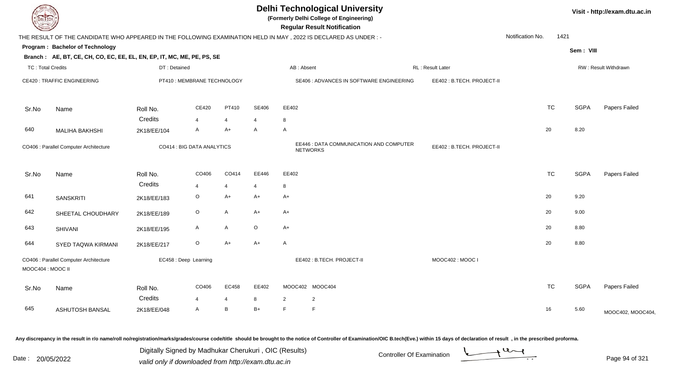| DEL I ECH                |                                                                                                                |              |                             |                     |                |                     | <b>Delhi Technological University</b><br>(Formerly Delhi College of Engineering)<br><b>Regular Result Notification</b> |                           |                  |           |             | Visit - http://exam.dtu.ac.in |
|--------------------------|----------------------------------------------------------------------------------------------------------------|--------------|-----------------------------|---------------------|----------------|---------------------|------------------------------------------------------------------------------------------------------------------------|---------------------------|------------------|-----------|-------------|-------------------------------|
|                          | THE RESULT OF THE CANDIDATE WHO APPEARED IN THE FOLLOWING EXAMINATION HELD IN MAY, 2022 IS DECLARED AS UNDER:- |              |                             |                     |                |                     |                                                                                                                        |                           | Notification No. | 1421      |             |                               |
|                          | Program: Bachelor of Technology                                                                                |              |                             |                     |                |                     |                                                                                                                        |                           |                  |           | Sem: VIII   |                               |
|                          | Branch: AE, BT, CE, CH, CO, EC, EE, EL, EN, EP, IT, MC, ME, PE, PS, SE                                         |              |                             |                     |                |                     |                                                                                                                        |                           |                  |           |             |                               |
| <b>TC: Total Credits</b> |                                                                                                                | DT: Detained |                             |                     |                | AB: Absent          |                                                                                                                        | RL : Result Later         |                  |           |             | RW: Result Withdrawn          |
|                          | <b>CE420: TRAFFIC ENGINEERING</b>                                                                              |              | PT410 : MEMBRANE TECHNOLOGY |                     |                |                     | SE406 : ADVANCES IN SOFTWARE ENGINEERING                                                                               | EE402: B.TECH. PROJECT-II |                  |           |             |                               |
| Sr.No                    | Name                                                                                                           | Roll No.     | CE420                       | PT410               | SE406          | EE402               |                                                                                                                        |                           |                  | <b>TC</b> | <b>SGPA</b> | Papers Failed                 |
|                          |                                                                                                                | Credits      | $\overline{\mathbf{4}}$     | $\overline{4}$      | $\overline{4}$ | 8                   |                                                                                                                        |                           |                  |           |             |                               |
| 640                      | <b>MALIHA BAKHSHI</b>                                                                                          | 2K18/EE/104  | A                           | A+                  | $\mathsf{A}$   | $\overline{A}$      |                                                                                                                        |                           | 20               |           | 8.20        |                               |
|                          | CO406 : Parallel Computer Architecture                                                                         |              | CO414 : BIG DATA ANALYTICS  |                     |                |                     | EE446 : DATA COMMUNICATION AND COMPUTER<br><b>NETWORKS</b>                                                             | EE402: B.TECH. PROJECT-II |                  |           |             |                               |
| Sr.No                    | Name                                                                                                           | Roll No.     | CO406                       | CO414               | EE446          | EE402               |                                                                                                                        |                           |                  | <b>TC</b> | <b>SGPA</b> | Papers Failed                 |
|                          |                                                                                                                | Credits      | 4                           | $\overline{4}$      | $\overline{4}$ | 8                   |                                                                                                                        |                           |                  |           |             |                               |
| 641                      | <b>SANSKRITI</b>                                                                                               | 2K18/EE/183  | $\mathsf O$                 | $A+$                | $A+$           | $A+$                |                                                                                                                        |                           | 20               |           | 9.20        |                               |
| 642                      | SHEETAL CHOUDHARY                                                                                              | 2K18/EE/189  | $\mathsf O$                 | $\mathsf{A}$        | A+             | $A+$                |                                                                                                                        |                           | 20               |           | 9.00        |                               |
| 643                      | <b>SHIVANI</b>                                                                                                 | 2K18/EE/195  | A                           | $\mathsf{A}$        | $\mathsf O$    | $A+$                |                                                                                                                        |                           | 20               |           | 8.80        |                               |
| 644                      | SYED TAQWA KIRMANI                                                                                             | 2K18/EE/217  | $\circ$                     | $A+$                | $A+$           | $\overline{A}$      |                                                                                                                        |                           | 20               |           | 8.80        |                               |
| MOOC404: MOOC II         | CO406 : Parallel Computer Architecture                                                                         |              | EC458 : Deep Learning       |                     |                |                     | EE402: B.TECH. PROJECT-II                                                                                              | MOOC402: MOOC I           |                  |           |             |                               |
| Sr.No                    | Name                                                                                                           | Roll No.     | CO406                       | EC458               | EE402          |                     | MOOC402 MOOC404                                                                                                        |                           |                  | <b>TC</b> | <b>SGPA</b> | Papers Failed                 |
| 645                      | ASHUTOSH BANSAL                                                                                                | Credits      | $\overline{4}$<br>A         | $\overline{4}$<br>B | 8<br>$B+$      | $\overline{2}$<br>E | $\overline{2}$<br>$\mathsf{F}$                                                                                         |                           | 16               |           | 5.60        |                               |
|                          |                                                                                                                | 2K18/EE/048  |                             |                     |                |                     |                                                                                                                        |                           |                  |           |             | MOOC402, MOOC404              |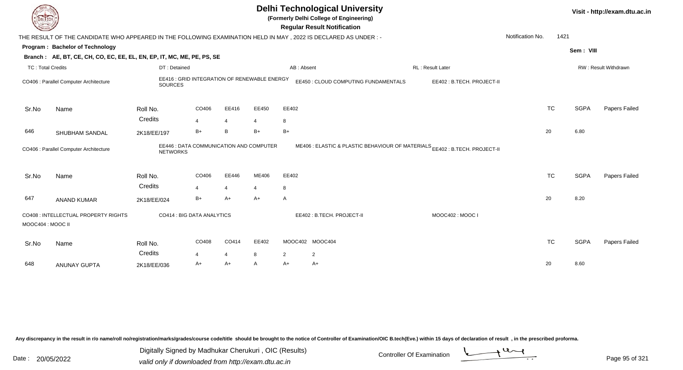| DEL TECH                 |                                                                                                                 |                                                                |            |                         |                         |                | <b>Delhi Technological University</b><br>(Formerly Delhi College of Engineering)<br><b>Regular Result Notification</b> |                           |                  |           |             | Visit - http://exam.dtu.ac.in |
|--------------------------|-----------------------------------------------------------------------------------------------------------------|----------------------------------------------------------------|------------|-------------------------|-------------------------|----------------|------------------------------------------------------------------------------------------------------------------------|---------------------------|------------------|-----------|-------------|-------------------------------|
|                          | THE RESULT OF THE CANDIDATE WHO APPEARED IN THE FOLLOWING EXAMINATION HELD IN MAY, 2022 IS DECLARED AS UNDER :- |                                                                |            |                         |                         |                |                                                                                                                        |                           | Notification No. | 1421      |             |                               |
|                          | Program: Bachelor of Technology                                                                                 |                                                                |            |                         |                         |                |                                                                                                                        |                           |                  |           | Sem: VIII   |                               |
|                          | Branch: AE, BT, CE, CH, CO, EC, EE, EL, EN, EP, IT, MC, ME, PE, PS, SE                                          |                                                                |            |                         |                         |                |                                                                                                                        |                           |                  |           |             |                               |
| <b>TC: Total Credits</b> |                                                                                                                 | DT: Detained                                                   |            |                         |                         | AB: Absent     |                                                                                                                        | <b>RL</b> : Result Later  |                  |           |             | RW: Result Withdrawn          |
|                          | CO406 : Parallel Computer Architecture                                                                          | EE416 : GRID INTEGRATION OF RENEWABLE ENERGY<br><b>SOURCES</b> |            |                         |                         |                | EE450 : CLOUD COMPUTING FUNDAMENTALS                                                                                   | EE402: B.TECH. PROJECT-II |                  |           |             |                               |
| Sr.No                    | Name                                                                                                            | Roll No.                                                       | CO406      | EE416                   | EE450                   | EE402          |                                                                                                                        |                           |                  | <b>TC</b> | <b>SGPA</b> | <b>Papers Failed</b>          |
|                          |                                                                                                                 | Credits                                                        | 4          | $\overline{4}$          | 4                       | 8              |                                                                                                                        |                           |                  |           |             |                               |
| 646                      | SHUBHAM SANDAL                                                                                                  | 2K18/EE/197                                                    | $B+$       | B                       | $B+$                    | $B+$           |                                                                                                                        |                           |                  | 20        | 6.80        |                               |
|                          | CO406 : Parallel Computer Architecture                                                                          | EE446 : DATA COMMUNICATION AND COMPUTER<br><b>NETWORKS</b>     |            |                         |                         |                | ME406 : ELASTIC & PLASTIC BEHAVIOUR OF MATERIALS EE402 : B.TECH. PROJECT-II                                            |                           |                  |           |             |                               |
| Sr.No                    | Name                                                                                                            | Roll No.<br>Credits                                            | CO406<br>4 | EE446<br>$\overline{4}$ | ME406<br>$\overline{4}$ | EE402<br>8     |                                                                                                                        |                           |                  | <b>TC</b> | <b>SGPA</b> | Papers Failed                 |
| 647                      | <b>ANAND KUMAR</b>                                                                                              | 2K18/EE/024                                                    | $B+$       | A+                      | A+                      | $\mathsf{A}$   |                                                                                                                        |                           |                  | 20        | 8.20        |                               |
| MOOC404: MOOC II         | CO408 : INTELLECTUAL PROPERTY RIGHTS                                                                            | CO414 : BIG DATA ANALYTICS                                     |            |                         |                         |                | EE402: B.TECH. PROJECT-II                                                                                              | MOOC402: MOOC I           |                  |           |             |                               |
| Sr.No                    | Name                                                                                                            | Roll No.<br>Credits                                            | CO408<br>4 | CO414<br>4              | EE402<br>8              | $\overline{2}$ | MOOC402 MOOC404<br>$\overline{2}$                                                                                      |                           |                  | <b>TC</b> | <b>SGPA</b> | Papers Failed                 |
| 648                      | <b>ANUNAY GUPTA</b>                                                                                             | 2K18/EE/036                                                    | A+         | A+                      | A                       | $A+$           | A+                                                                                                                     |                           |                  | 20        | 8.60        |                               |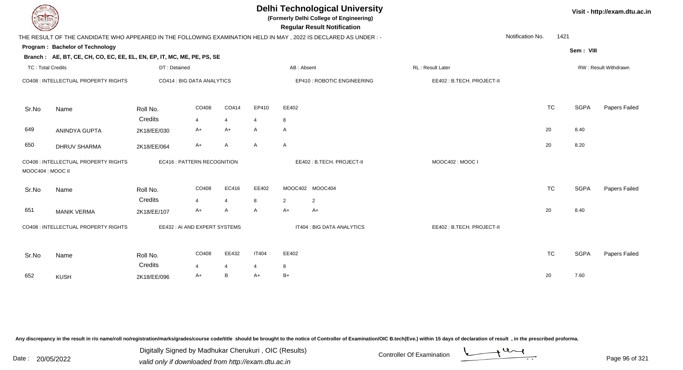| EL I ECH                 |                                                                                                                |                     |                                   | Visit - http://exam.dtu.ac.in |                   |              |                             |                           |                  |             |                      |
|--------------------------|----------------------------------------------------------------------------------------------------------------|---------------------|-----------------------------------|-------------------------------|-------------------|--------------|-----------------------------|---------------------------|------------------|-------------|----------------------|
|                          | THE RESULT OF THE CANDIDATE WHO APPEARED IN THE FOLLOWING EXAMINATION HELD IN MAY, 2022 IS DECLARED AS UNDER:- |                     |                                   |                               |                   |              |                             |                           | Notification No. | 1421        |                      |
|                          | Program: Bachelor of Technology                                                                                |                     |                                   |                               |                   |              |                             |                           |                  | Sem: VIII   |                      |
|                          | Branch: AE, BT, CE, CH, CO, EC, EE, EL, EN, EP, IT, MC, ME, PE, PS, SE                                         |                     |                                   |                               |                   |              |                             |                           |                  |             |                      |
| <b>TC: Total Credits</b> |                                                                                                                | DT: Detained        |                                   |                               |                   | AB: Absent   |                             | RL: Result Later          |                  |             | RW: Result Withdrawn |
|                          | CO408 : INTELLECTUAL PROPERTY RIGHTS                                                                           |                     | CO414 : BIG DATA ANALYTICS        |                               |                   |              | EP410 : ROBOTIC ENGINEERING | EE402: B.TECH. PROJECT-II |                  |             |                      |
| Sr.No                    | Name                                                                                                           | Roll No.            | CO408                             | CO414                         | EP410             | EE402        |                             |                           | <b>TC</b>        | <b>SGPA</b> | Papers Failed        |
|                          |                                                                                                                | Credits             | $\overline{4}$                    | $\overline{4}$                | 4                 | 8            |                             |                           |                  |             |                      |
| 649                      | ANINDYA GUPTA                                                                                                  | 2K18/EE/030         | A+                                | A+                            | A                 | $\mathsf{A}$ |                             |                           | 20               | 8.40        |                      |
| 650                      | <b>DHRUV SHARMA</b>                                                                                            | 2K18/EE/064         | A+                                | A                             | A                 | $\mathsf{A}$ |                             |                           | 20               | 8.20        |                      |
| MOOC404: MOOC II         | CO408 : INTELLECTUAL PROPERTY RIGHTS                                                                           |                     | <b>EC416: PATTERN RECOGNITION</b> |                               |                   |              | EE402: B.TECH. PROJECT-II   | MOOC402: MOOC I           |                  |             |                      |
| Sr.No                    | Name                                                                                                           | Roll No.            | CO408                             | EC416                         | EE402             |              | MOOC402 MOOC404             |                           | <b>TC</b>        | <b>SGPA</b> | Papers Failed        |
|                          |                                                                                                                | Credits             | $\overline{4}$                    | $\overline{4}$                | 8                 | 2            | 2                           |                           |                  |             |                      |
| 651                      | <b>MANIK VERMA</b>                                                                                             | 2K18/EE/107         | A+                                | A                             | A                 | $A+$         | $A+$                        |                           | 20               | 8.40        |                      |
|                          | CO408 : INTELLECTUAL PROPERTY RIGHTS                                                                           |                     | EE432: AI AND EXPERT SYSTEMS      |                               |                   |              | IT404 : BIG DATA ANALYTICS  | EE402: B.TECH. PROJECT-II |                  |             |                      |
| Sr.No                    | Name                                                                                                           | Roll No.<br>Credits | CO408<br>$\boldsymbol{\Delta}$    | EE432<br>4                    | <b>IT404</b><br>4 | EE402<br>8   |                             |                           | <b>TC</b>        | <b>SGPA</b> | Papers Failed        |
| 652                      | <b>KUSH</b>                                                                                                    | 2K18/EE/096         | $A+$                              | B                             | A+                | $B+$         |                             |                           | 20               | 7.60        |                      |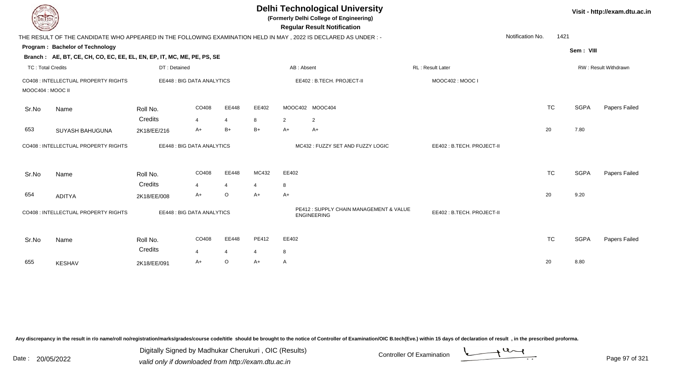| DEL TECH                 |                                                                        |                            |                |                |                |                | <b>Delhi Technological University</b><br>(Formerly Delhi College of Engineering)<br><b>Regular Result Notification</b> |                            |                  |           |             | Visit - http://exam.dtu.ac.in |
|--------------------------|------------------------------------------------------------------------|----------------------------|----------------|----------------|----------------|----------------|------------------------------------------------------------------------------------------------------------------------|----------------------------|------------------|-----------|-------------|-------------------------------|
|                          |                                                                        |                            |                |                |                |                | THE RESULT OF THE CANDIDATE WHO APPEARED IN THE FOLLOWING EXAMINATION HELD IN MAY, 2022 IS DECLARED AS UNDER:-         |                            | Notification No. | 1421      |             |                               |
|                          | <b>Program: Bachelor of Technology</b>                                 |                            |                |                |                |                |                                                                                                                        |                            |                  |           | Sem: VIII   |                               |
|                          | Branch: AE, BT, CE, CH, CO, EC, EE, EL, EN, EP, IT, MC, ME, PE, PS, SE |                            |                |                |                |                |                                                                                                                        |                            |                  |           |             |                               |
| <b>TC: Total Credits</b> |                                                                        | DT: Detained               |                |                |                |                | AB: Absent                                                                                                             | RL: Result Later           |                  |           |             | RW: Result Withdrawn          |
| MOOC404 : MOOC II        | CO408 : INTELLECTUAL PROPERTY RIGHTS                                   | EE448 : BIG DATA ANALYTICS |                |                |                |                | EE402: B.TECH. PROJECT-II                                                                                              | MOOC402: MOOC I            |                  |           |             |                               |
| Sr.No                    | Name                                                                   | Roll No.                   | CO408          | EE448          | EE402          |                | MOOC402 MOOC404                                                                                                        |                            |                  | <b>TC</b> | <b>SGPA</b> | Papers Failed                 |
|                          |                                                                        | Credits                    | $\overline{4}$ | $\overline{4}$ | 8              | $\overline{2}$ | $\overline{2}$                                                                                                         |                            |                  |           |             |                               |
| 653                      | SUYASH BAHUGUNA                                                        | 2K18/EE/216                | A+             | $B+$           | B+             | $A+$           | $A+$                                                                                                                   |                            |                  | 20        | 7.80        |                               |
|                          | CO408 : INTELLECTUAL PROPERTY RIGHTS                                   | EE448 : BIG DATA ANALYTICS |                |                |                |                | MC432 : FUZZY SET AND FUZZY LOGIC                                                                                      | EE402 : B.TECH. PROJECT-II |                  |           |             |                               |
| Sr.No                    | Name                                                                   | Roll No.                   | CO408          | EE448          | MC432          | EE402          |                                                                                                                        |                            |                  | <b>TC</b> | <b>SGPA</b> | Papers Failed                 |
|                          |                                                                        | Credits                    | 4              | $\overline{4}$ | 4              | 8              |                                                                                                                        |                            |                  |           |             |                               |
| 654                      | <b>ADITYA</b>                                                          | 2K18/EE/008                | $A+$           | O              | A+             | $A+$           |                                                                                                                        |                            |                  | 20        | 9.20        |                               |
|                          | CO408 : INTELLECTUAL PROPERTY RIGHTS                                   | EE448 : BIG DATA ANALYTICS |                |                |                |                | PE412 : SUPPLY CHAIN MANAGEMENT & VALUE<br><b>ENGINEERING</b>                                                          | EE402: B.TECH. PROJECT-II  |                  |           |             |                               |
| Sr.No                    | Name                                                                   | Roll No.<br>Credits        | CO408          | EE448          | PE412          | EE402          |                                                                                                                        |                            |                  | <b>TC</b> | <b>SGPA</b> | Papers Failed                 |
|                          |                                                                        |                            | $\overline{4}$ | $\overline{4}$ | $\overline{4}$ | 8              |                                                                                                                        |                            |                  |           |             |                               |
| 655                      | <b>KESHAV</b>                                                          | 2K18/EE/091                | $A+$           | O              | A+             | $\mathsf{A}$   |                                                                                                                        |                            |                  | 20        | 8.80        |                               |

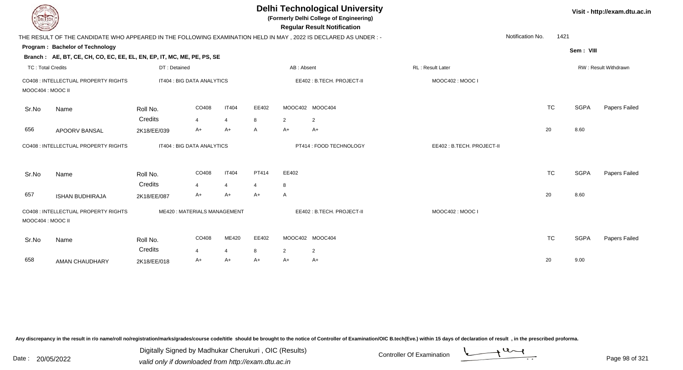| <b>DELTECH</b>           |                                                                                                                |                     |                                    |                |            |                | <b>Delhi Technological University</b><br>(Formerly Delhi College of Engineering)<br><b>Regular Result Notification</b> |                           |           |             | Visit - http://exam.dtu.ac.in |
|--------------------------|----------------------------------------------------------------------------------------------------------------|---------------------|------------------------------------|----------------|------------|----------------|------------------------------------------------------------------------------------------------------------------------|---------------------------|-----------|-------------|-------------------------------|
|                          | THE RESULT OF THE CANDIDATE WHO APPEARED IN THE FOLLOWING EXAMINATION HELD IN MAY, 2022 IS DECLARED AS UNDER:- |                     |                                    |                |            |                |                                                                                                                        | Notification No.          | 1421      |             |                               |
|                          | Program: Bachelor of Technology                                                                                |                     |                                    |                |            |                |                                                                                                                        |                           |           | Sem: VIII   |                               |
|                          | Branch: AE, BT, CE, CH, CO, EC, EE, EL, EN, EP, IT, MC, ME, PE, PS, SE                                         |                     |                                    |                |            |                |                                                                                                                        |                           |           |             |                               |
| <b>TC: Total Credits</b> |                                                                                                                | DT: Detained        |                                    |                |            | AB: Absent     |                                                                                                                        | <b>RL: Result Later</b>   |           |             | <b>RW: Result Withdrawn</b>   |
| MOOC404 : MOOC II        | CO408 : INTELLECTUAL PROPERTY RIGHTS                                                                           |                     | IT404 : BIG DATA ANALYTICS         |                |            |                | EE402: B.TECH. PROJECT-II                                                                                              | MOOC402: MOOC I           |           |             |                               |
| Sr.No                    | Name                                                                                                           | Roll No.            | CO408                              | <b>IT404</b>   | EE402      |                | MOOC402 MOOC404                                                                                                        |                           | <b>TC</b> | <b>SGPA</b> | Papers Failed                 |
|                          |                                                                                                                | Credits             | $\overline{4}$                     | $\overline{4}$ | 8          | 2              | $\overline{2}$                                                                                                         |                           |           |             |                               |
| 656                      | APOORV BANSAL                                                                                                  | 2K18/EE/039         | A+                                 | $A+$           | A          | A+             | $A+$                                                                                                                   |                           | 20        | 8.60        |                               |
|                          | CO408 : INTELLECTUAL PROPERTY RIGHTS                                                                           |                     | IT404 : BIG DATA ANALYTICS         |                |            |                | PT414 : FOOD TECHNOLOGY                                                                                                | EE402: B.TECH. PROJECT-II |           |             |                               |
| Sr.No                    | Name                                                                                                           | Roll No.            | CO408                              | <b>IT404</b>   | PT414      | EE402          |                                                                                                                        |                           | <b>TC</b> | <b>SGPA</b> | Papers Failed                 |
|                          |                                                                                                                | Credits             | 4                                  | $\overline{4}$ | 4          | 8              |                                                                                                                        |                           |           |             |                               |
| 657                      | <b>ISHAN BUDHIRAJA</b>                                                                                         | 2K18/EE/087         | $A+$                               | $A+$           | $A+$       | A              |                                                                                                                        |                           | 20        | 8.60        |                               |
| MOOC404 : MOOC II        | CO408 : INTELLECTUAL PROPERTY RIGHTS                                                                           |                     | <b>ME420: MATERIALS MANAGEMENT</b> |                |            |                | EE402: B.TECH. PROJECT-II                                                                                              | MOOC402: MOOC I           |           |             |                               |
| Sr.No                    | Name                                                                                                           | Roll No.<br>Credits | CO408<br>$\boldsymbol{4}$          | ME420<br>4     | EE402<br>8 | $\overline{2}$ | MOOC402 MOOC404<br>2                                                                                                   |                           | <b>TC</b> | <b>SGPA</b> | Papers Failed                 |
| 658                      | AMAN CHAUDHARY                                                                                                 | 2K18/EE/018         | A+                                 | A+             | A+         | A+             | A+                                                                                                                     |                           | 20        | 9.00        |                               |
|                          |                                                                                                                |                     |                                    |                |            |                |                                                                                                                        |                           |           |             |                               |

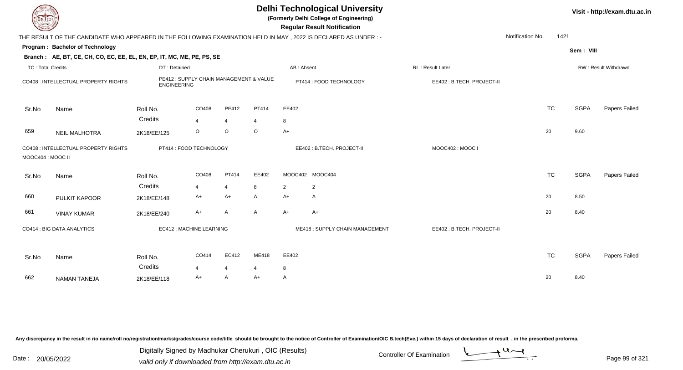| EL ECH                   |                                                                                                                |                                                               |                |                |              |                | <b>Delhi Technological University</b><br>(Formerly Delhi College of Engineering)<br><b>Regular Result Notification</b> |                           |                  |           |             | Visit - http://exam.dtu.ac.in |
|--------------------------|----------------------------------------------------------------------------------------------------------------|---------------------------------------------------------------|----------------|----------------|--------------|----------------|------------------------------------------------------------------------------------------------------------------------|---------------------------|------------------|-----------|-------------|-------------------------------|
|                          | THE RESULT OF THE CANDIDATE WHO APPEARED IN THE FOLLOWING EXAMINATION HELD IN MAY, 2022 IS DECLARED AS UNDER:- |                                                               |                |                |              |                |                                                                                                                        |                           | Notification No. | 1421      |             |                               |
|                          | Program: Bachelor of Technology                                                                                |                                                               |                |                |              |                |                                                                                                                        |                           |                  |           | Sem: VIII   |                               |
|                          | Branch: AE, BT, CE, CH, CO, EC, EE, EL, EN, EP, IT, MC, ME, PE, PS, SE                                         |                                                               |                |                |              |                |                                                                                                                        |                           |                  |           |             |                               |
| <b>TC: Total Credits</b> |                                                                                                                | DT: Detained                                                  |                |                |              | AB: Absent     |                                                                                                                        | RL: Result Later          |                  |           |             | RW: Result Withdrawn          |
|                          | CO408 : INTELLECTUAL PROPERTY RIGHTS                                                                           | PE412 : SUPPLY CHAIN MANAGEMENT & VALUE<br><b>ENGINEERING</b> |                |                |              |                | PT414 : FOOD TECHNOLOGY                                                                                                | EE402: B.TECH. PROJECT-II |                  |           |             |                               |
| Sr.No                    | Name                                                                                                           | Roll No.                                                      | CO408          | PE412          | PT414        | EE402          |                                                                                                                        |                           |                  | <b>TC</b> | <b>SGPA</b> | Papers Failed                 |
|                          |                                                                                                                | Credits                                                       | $\overline{4}$ | $\overline{4}$ | 4            | 8              |                                                                                                                        |                           |                  |           |             |                               |
| 659                      | <b>NEIL MALHOTRA</b>                                                                                           | 2K18/EE/125                                                   | $\circ$        | $\circ$        | $\circ$      | $A+$           |                                                                                                                        |                           |                  | 20        | 9.60        |                               |
| MOOC404 : MOOC II        | CO408 : INTELLECTUAL PROPERTY RIGHTS                                                                           | PT414 : FOOD TECHNOLOGY                                       |                |                |              |                | EE402: B.TECH. PROJECT-II                                                                                              | MOOC402: MOOC I           |                  |           |             |                               |
| Sr.No                    | Name                                                                                                           | Roll No.                                                      | CO408          | PT414          | EE402        |                | MOOC402 MOOC404                                                                                                        |                           |                  | <b>TC</b> | <b>SGPA</b> | Papers Failed                 |
|                          |                                                                                                                | Credits                                                       | $\overline{4}$ | $\overline{4}$ | 8            | $\overline{2}$ | $\overline{2}$                                                                                                         |                           |                  |           |             |                               |
| 660                      | PULKIT KAPOOR                                                                                                  | 2K18/EE/148                                                   | $A+$           | $A+$           | A            | $A+$           | $\mathsf{A}$                                                                                                           |                           |                  | 20        | 8.50        |                               |
| 661                      | <b>VINAY KUMAR</b>                                                                                             | 2K18/EE/240                                                   | $A+$           | A              | $\mathsf{A}$ | $A+$           | A+                                                                                                                     |                           |                  | 20        | 8.40        |                               |
|                          | CO414 : BIG DATA ANALYTICS                                                                                     | EC412 : MACHINE LEARNING                                      |                |                |              |                | ME418: SUPPLY CHAIN MANAGEMENT                                                                                         | EE402: B.TECH. PROJECT-II |                  |           |             |                               |
| Sr.No                    | Name                                                                                                           | Roll No.                                                      | CO414          | EC412          | ME418        | EE402          |                                                                                                                        |                           |                  | <b>TC</b> | <b>SGPA</b> | Papers Failed                 |
|                          |                                                                                                                | Credits                                                       | 4              | $\overline{4}$ | 4            | 8              |                                                                                                                        |                           |                  |           |             |                               |
| 662                      | <b>NAMAN TANEJA</b>                                                                                            | 2K18/EE/118                                                   | A+             | $\mathsf{A}$   | $A+$         | A              |                                                                                                                        |                           |                  | 20        | 8.40        |                               |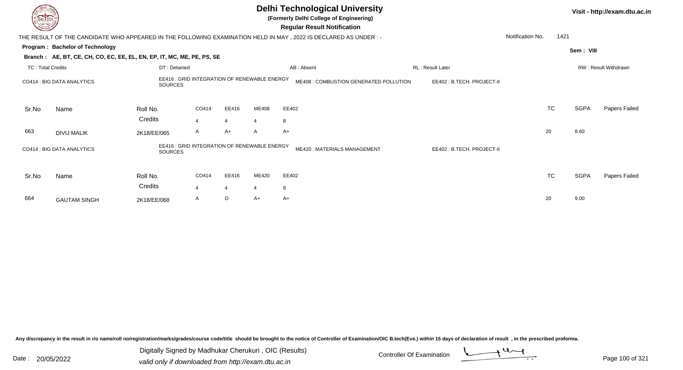|                          |                                                                        |                                                                |                |                |       | <b>Delhi Technological University</b><br>(Formerly Delhi College of Engineering)<br><b>Regular Result Notification</b> |                           |                  |           |           | Visit - http://exam.dtu.ac.in |
|--------------------------|------------------------------------------------------------------------|----------------------------------------------------------------|----------------|----------------|-------|------------------------------------------------------------------------------------------------------------------------|---------------------------|------------------|-----------|-----------|-------------------------------|
|                          |                                                                        |                                                                |                |                |       | THE RESULT OF THE CANDIDATE WHO APPEARED IN THE FOLLOWING EXAMINATION HELD IN MAY, 2022 IS DECLARED AS UNDER :-        |                           | Notification No. | 1421      |           |                               |
|                          | Program: Bachelor of Technology                                        |                                                                |                |                |       |                                                                                                                        |                           |                  |           | Sem: VIII |                               |
|                          | Branch: AE, BT, CE, CH, CO, EC, EE, EL, EN, EP, IT, MC, ME, PE, PS, SE |                                                                |                |                |       |                                                                                                                        |                           |                  |           |           |                               |
| <b>TC: Total Credits</b> |                                                                        | DT: Detained                                                   |                |                |       | AB: Absent                                                                                                             | RL: Result Later          |                  |           |           | RW: Result Withdrawn          |
|                          | CO414 : BIG DATA ANALYTICS                                             | EE416 : GRID INTEGRATION OF RENEWABLE ENERGY<br><b>SOURCES</b> |                |                |       | ME408 : COMBUSTION GENERATED POLLUTION                                                                                 | EE402: B.TECH. PROJECT-II |                  |           |           |                               |
| Sr.No                    | Name                                                                   | Roll No.                                                       | CO414          | EE416          | ME408 | EE402                                                                                                                  |                           |                  | <b>TC</b> | SGPA      | Papers Failed                 |
|                          |                                                                        | Credits                                                        | $\overline{4}$ | $\overline{4}$ |       | 8                                                                                                                      |                           |                  |           |           |                               |
| 663                      | <b>DIVIJ MALIK</b>                                                     | 2K18/EE/065                                                    | A              | $A+$           | A     | A+                                                                                                                     |                           | 20               |           | 8.60      |                               |
|                          | CO414 : BIG DATA ANALYTICS                                             | EE416 : GRID INTEGRATION OF RENEWABLE ENERGY<br><b>SOURCES</b> |                |                |       | ME420: MATERIALS MANAGEMENT                                                                                            | EE402: B.TECH. PROJECT-II |                  |           |           |                               |
| Sr.No                    | Name                                                                   | Roll No.                                                       | CO414          | EE416          | ME420 | EE402                                                                                                                  |                           |                  | <b>TC</b> | SGPA      | Papers Failed                 |
|                          |                                                                        | Credits                                                        | $\overline{a}$ | $\overline{4}$ |       | 8                                                                                                                      |                           |                  |           |           |                               |
| 664                      | <b>GAUTAM SINGH</b>                                                    | 2K18/EE/068                                                    | A              | $\circ$        | A+    | $A+$                                                                                                                   |                           | 20               |           | 9.00      |                               |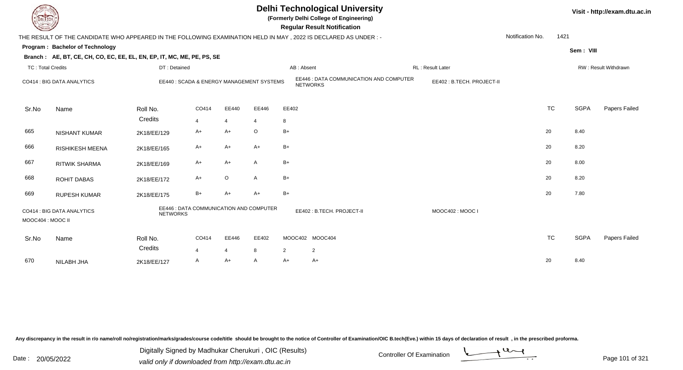## **Delhi Technological University**

**(Formerly Delhi College of Engineering)**

 **Regular Result Notification**

| <b>Command</b>           |                                                                                                                  |                                                            |                |                |                |                | Regular Result Notification                                |                           |                  |           |             |                      |
|--------------------------|------------------------------------------------------------------------------------------------------------------|------------------------------------------------------------|----------------|----------------|----------------|----------------|------------------------------------------------------------|---------------------------|------------------|-----------|-------------|----------------------|
|                          | THE RESULT OF THE CANDIDATE WHO APPEARED IN THE FOLLOWING EXAMINATION HELD IN MAY , 2022 IS DECLARED AS UNDER :- |                                                            |                |                |                |                |                                                            |                           | Notification No. | 1421      |             |                      |
|                          | Program: Bachelor of Technology                                                                                  |                                                            |                |                |                |                |                                                            |                           |                  |           | Sem: VIII   |                      |
|                          | Branch: AE, BT, CE, CH, CO, EC, EE, EL, EN, EP, IT, MC, ME, PE, PS, SE                                           |                                                            |                |                |                |                |                                                            |                           |                  |           |             |                      |
| <b>TC: Total Credits</b> |                                                                                                                  | DT: Detained                                               |                |                |                | AB: Absent     |                                                            | <b>RL: Result Later</b>   |                  |           |             | RW: Result Withdrawn |
|                          | CO414 : BIG DATA ANALYTICS                                                                                       | EE440 : SCADA & ENERGY MANAGEMENT SYSTEMS                  |                |                |                |                | EE446 : DATA COMMUNICATION AND COMPUTER<br><b>NETWORKS</b> | EE402: B.TECH. PROJECT-II |                  |           |             |                      |
| Sr.No                    | Name                                                                                                             | Roll No.                                                   | CO414          | EE440          | EE446          | EE402          |                                                            |                           |                  | <b>TC</b> | <b>SGPA</b> | Papers Failed        |
|                          |                                                                                                                  | Credits                                                    | $\overline{4}$ | $\overline{4}$ | $\overline{4}$ | 8              |                                                            |                           |                  |           |             |                      |
| 665                      | <b>NISHANT KUMAR</b>                                                                                             | 2K18/EE/129                                                | A+             | $A+$           | O              | $B+$           |                                                            |                           |                  | 20        | 8.40        |                      |
| 666                      | RISHIKESH MEENA                                                                                                  | 2K18/EE/165                                                | A+             | A+             | $A+$           | $B+$           |                                                            |                           |                  | 20        | 8.20        |                      |
| 667                      | <b>RITWIK SHARMA</b>                                                                                             | 2K18/EE/169                                                | A+             | A+             | $\mathsf{A}$   | $B+$           |                                                            |                           |                  | 20        | 8.00        |                      |
| 668                      | <b>ROHIT DABAS</b>                                                                                               | 2K18/EE/172                                                | $A+$           | $\circ$        | $\mathsf{A}$   | $B+$           |                                                            |                           |                  | 20        | 8.20        |                      |
| 669                      | <b>RUPESH KUMAR</b>                                                                                              | 2K18/EE/175                                                | $B+$           | $A+$           | $A+$           | $B+$           |                                                            |                           |                  | 20        | 7.80        |                      |
| MOOC404 : MOOC II        | CO414 : BIG DATA ANALYTICS                                                                                       | EE446 : DATA COMMUNICATION AND COMPUTER<br><b>NETWORKS</b> |                |                |                |                | EE402: B.TECH. PROJECT-II                                  | MOOC402: MOOC I           |                  |           |             |                      |
| Sr.No                    | Name                                                                                                             | Roll No.                                                   | CO414          | EE446          | EE402          |                | MOOC402 MOOC404                                            |                           |                  | <b>TC</b> | <b>SGPA</b> | Papers Failed        |
|                          |                                                                                                                  | Credits                                                    | $\overline{4}$ | $\overline{4}$ | 8              | $\overline{2}$ | $\overline{2}$                                             |                           |                  |           |             |                      |
| 670                      | NILABH JHA                                                                                                       | 2K18/EE/127                                                | A              | A+             | A              | A+             | $A+$                                                       |                           |                  | 20        | 8.40        |                      |

Any discrepancy in the result in r/o name/roll no/registration/marks/grades/course code/title should be brought to the notice of Controller of Examination/OIC B.tech(Eve.) within 15 days of declaration of result, in the pr

Digitally Signed by Madhukar Cherukuri , OIC (Results)

Date : 20/05/2022 Digital Digital of Digital of Muslim Controller Of Examination Determination Page 101 of 32

Page 101 of 321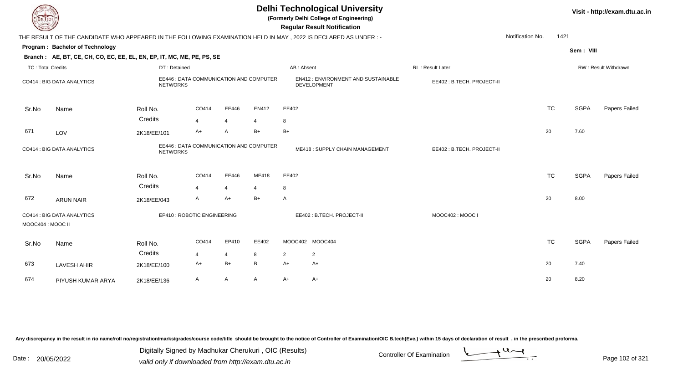| EL I ECH                 |                                                                                                                 |                             |                         |                |                                         |                | <b>Delhi Technological University</b><br>(Formerly Delhi College of Engineering)<br><b>Regular Result Notification</b> |                           |                  |           |             | Visit - http://exam.dtu.ac.in |
|--------------------------|-----------------------------------------------------------------------------------------------------------------|-----------------------------|-------------------------|----------------|-----------------------------------------|----------------|------------------------------------------------------------------------------------------------------------------------|---------------------------|------------------|-----------|-------------|-------------------------------|
|                          | THE RESULT OF THE CANDIDATE WHO APPEARED IN THE FOLLOWING EXAMINATION HELD IN MAY, 2022 IS DECLARED AS UNDER :- |                             |                         |                |                                         |                |                                                                                                                        |                           | Notification No. | 1421      |             |                               |
|                          | Program: Bachelor of Technology                                                                                 |                             |                         |                |                                         |                |                                                                                                                        |                           |                  |           | Sem: VIII   |                               |
|                          | Branch: AE, BT, CE, CH, CO, EC, EE, EL, EN, EP, IT, MC, ME, PE, PS, SE                                          |                             |                         |                |                                         |                |                                                                                                                        |                           |                  |           |             |                               |
| <b>TC: Total Credits</b> |                                                                                                                 | DT: Detained                |                         |                |                                         | AB: Absent     |                                                                                                                        | RL : Result Later         |                  |           |             | RW: Result Withdrawn          |
|                          | CO414 : BIG DATA ANALYTICS                                                                                      | <b>NETWORKS</b>             |                         |                | EE446 : DATA COMMUNICATION AND COMPUTER |                | EN412: ENVIRONMENT AND SUSTAINABLE<br><b>DEVELOPMENT</b>                                                               | EE402: B.TECH. PROJECT-II |                  |           |             |                               |
| Sr.No                    | Name                                                                                                            | Roll No.                    | CO414                   | EE446          | EN412                                   | EE402          |                                                                                                                        |                           |                  | <b>TC</b> | <b>SGPA</b> | Papers Failed                 |
|                          |                                                                                                                 | Credits                     | $\overline{4}$          | $\overline{4}$ | 4                                       | 8              |                                                                                                                        |                           |                  |           |             |                               |
| 671                      | LOV                                                                                                             | 2K18/EE/101                 | A+                      | $\mathsf{A}$   | $B+$                                    | $B+$           |                                                                                                                        |                           |                  | 20        | 7.60        |                               |
|                          | CO414 : BIG DATA ANALYTICS                                                                                      | <b>NETWORKS</b>             |                         |                | EE446 : DATA COMMUNICATION AND COMPUTER |                | ME418: SUPPLY CHAIN MANAGEMENT                                                                                         | EE402: B.TECH. PROJECT-II |                  |           |             |                               |
| Sr.No                    | Name                                                                                                            | Roll No.                    | CO414                   | EE446          | ME418                                   | EE402          |                                                                                                                        |                           |                  | <b>TC</b> | <b>SGPA</b> | Papers Failed                 |
|                          |                                                                                                                 | Credits                     | $\overline{\mathbf{A}}$ | $\overline{4}$ | 4                                       | 8              |                                                                                                                        |                           |                  |           |             |                               |
| 672                      | <b>ARUN NAIR</b>                                                                                                | 2K18/EE/043                 | A                       | $A+$           | $B+$                                    | $\overline{A}$ |                                                                                                                        |                           |                  | 20        | 8.00        |                               |
| MOOC404 : MOOC II        | CO414 : BIG DATA ANALYTICS                                                                                      | EP410 : ROBOTIC ENGINEERING |                         |                |                                         |                | EE402: B.TECH. PROJECT-II                                                                                              | MOOC402: MOOC I           |                  |           |             |                               |
| Sr.No                    | Name                                                                                                            | Roll No.                    | CO414                   | EP410          | EE402                                   |                | MOOC402 MOOC404                                                                                                        |                           |                  | <b>TC</b> | <b>SGPA</b> | Papers Failed                 |
|                          |                                                                                                                 | Credits                     | 4                       | $\overline{4}$ | 8                                       | $\overline{2}$ | $\overline{2}$                                                                                                         |                           |                  |           |             |                               |
| 673                      | <b>LAVESH AHIR</b>                                                                                              | 2K18/EE/100                 | A+                      | $B+$           | B                                       | $A+$           | A+                                                                                                                     |                           |                  | 20        | 7.40        |                               |
| 674                      | PIYUSH KUMAR ARYA                                                                                               | 2K18/EE/136                 | A                       | $\mathsf{A}$   | A                                       | $A+$           | $A+$                                                                                                                   |                           |                  | 20        | 8.20        |                               |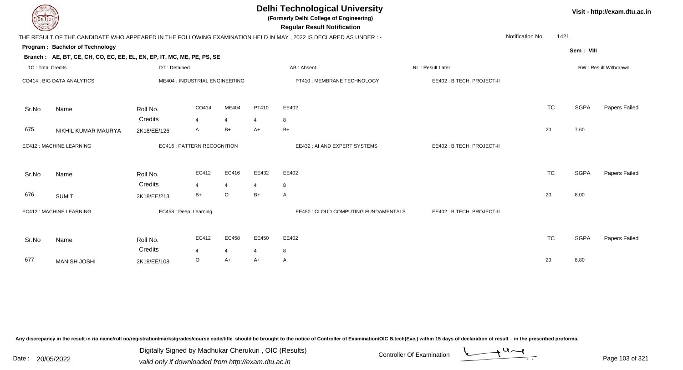| <b>DELIECH</b>           |                                                                                                           |              |                                   |                |                | <b>Delhi Technological University</b><br>(Formerly Delhi College of Engineering)<br><b>Regular Result Notification</b> |                           |                  |             | Visit - http://exam.dtu.ac.in |
|--------------------------|-----------------------------------------------------------------------------------------------------------|--------------|-----------------------------------|----------------|----------------|------------------------------------------------------------------------------------------------------------------------|---------------------------|------------------|-------------|-------------------------------|
|                          |                                                                                                           |              |                                   |                |                | THE RESULT OF THE CANDIDATE WHO APPEARED IN THE FOLLOWING EXAMINATION HELD IN MAY, 2022 IS DECLARED AS UNDER:-         |                           | Notification No. | 1421        |                               |
|                          | Program: Bachelor of Technology<br>Branch: AE, BT, CE, CH, CO, EC, EE, EL, EN, EP, IT, MC, ME, PE, PS, SE |              |                                   |                |                |                                                                                                                        |                           |                  | Sem: VIII   |                               |
| <b>TC: Total Credits</b> |                                                                                                           | DT: Detained |                                   |                |                | AB: Absent                                                                                                             | RL: Result Later          |                  |             | RW: Result Withdrawn          |
|                          | CO414 : BIG DATA ANALYTICS                                                                                |              | ME404 : INDUSTRIAL ENGINEERING    |                |                | PT410 : MEMBRANE TECHNOLOGY                                                                                            | EE402: B.TECH. PROJECT-II |                  |             |                               |
| Sr.No                    | Name                                                                                                      | Roll No.     | CO414                             | ME404          | PT410          | EE402                                                                                                                  |                           | <b>TC</b>        | <b>SGPA</b> | Papers Failed                 |
|                          |                                                                                                           | Credits      | $\overline{4}$                    | $\overline{4}$ | $\overline{4}$ | 8                                                                                                                      |                           |                  |             |                               |
| 675                      | NIKHIL KUMAR MAURYA                                                                                       | 2K18/EE/126  | A                                 | $B+$           | $A+$           | $B+$                                                                                                                   |                           | 20               | 7.60        |                               |
|                          | EC412 : MACHINE LEARNING                                                                                  |              | <b>EC416: PATTERN RECOGNITION</b> |                |                | EE432 : AI AND EXPERT SYSTEMS                                                                                          | EE402: B.TECH. PROJECT-II |                  |             |                               |
| Sr.No                    | Name                                                                                                      | Roll No.     | EC412                             | EC416          | EE432          | EE402                                                                                                                  |                           | <b>TC</b>        | <b>SGPA</b> | Papers Failed                 |
|                          |                                                                                                           | Credits      | $\overline{4}$                    | $\overline{4}$ | $\overline{4}$ | 8                                                                                                                      |                           |                  |             |                               |
| 676                      | <b>SUMIT</b>                                                                                              | 2K18/EE/213  | B+                                | $\circ$        | $B+$           | A                                                                                                                      |                           | 20               | 8.00        |                               |
|                          | EC412 : MACHINE LEARNING                                                                                  |              | EC458 : Deep Learning             |                |                | EE450 : CLOUD COMPUTING FUNDAMENTALS                                                                                   | EE402: B.TECH. PROJECT-II |                  |             |                               |
| Sr.No                    | Name                                                                                                      | Roll No.     | EC412                             | EC458          | EE450          | EE402                                                                                                                  |                           | <b>TC</b>        | <b>SGPA</b> | Papers Failed                 |
|                          |                                                                                                           | Credits      | 4                                 | 4              | 4              | 8                                                                                                                      |                           |                  |             |                               |
| 677                      | <b>MANISH JOSHI</b>                                                                                       | 2K18/EE/108  | O                                 | $A+$           | $A+$           | A                                                                                                                      |                           | 20               | 8.80        |                               |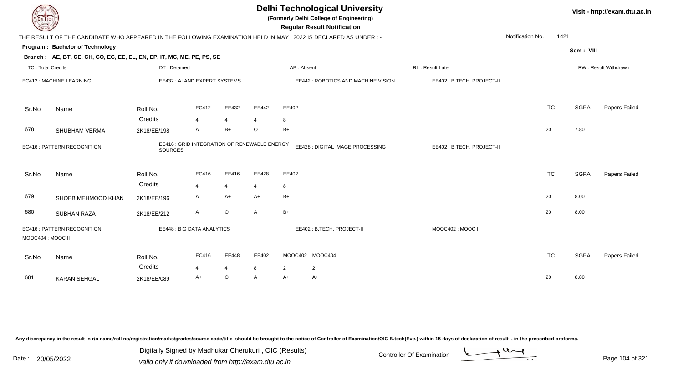| <b>DELTECH</b>           |                                                                                                                |                |                                              |                |                |            | <b>Delhi Technological University</b><br>(Formerly Delhi College of Engineering)<br><b>Regular Result Notification</b> |                  |                           |                  |           |             | Visit - http://exam.dtu.ac.in |
|--------------------------|----------------------------------------------------------------------------------------------------------------|----------------|----------------------------------------------|----------------|----------------|------------|------------------------------------------------------------------------------------------------------------------------|------------------|---------------------------|------------------|-----------|-------------|-------------------------------|
|                          | THE RESULT OF THE CANDIDATE WHO APPEARED IN THE FOLLOWING EXAMINATION HELD IN MAY, 2022 IS DECLARED AS UNDER:- |                |                                              |                |                |            |                                                                                                                        |                  |                           | Notification No. | 1421      |             |                               |
|                          | Program: Bachelor of Technology<br>Branch: AE, BT, CE, CH, CO, EC, EE, EL, EN, EP, IT, MC, ME, PE, PS, SE      |                |                                              |                |                |            |                                                                                                                        |                  |                           |                  |           | Sem: VIII   |                               |
| <b>TC: Total Credits</b> |                                                                                                                | DT: Detained   |                                              |                |                | AB: Absent |                                                                                                                        | RL: Result Later |                           |                  |           |             | RW: Result Withdrawn          |
|                          | EC412 : MACHINE LEARNING                                                                                       |                | EE432 : AI AND EXPERT SYSTEMS                |                |                |            | EE442 : ROBOTICS AND MACHINE VISION                                                                                    |                  | EE402: B.TECH. PROJECT-II |                  |           |             |                               |
| Sr.No                    | Name                                                                                                           | Roll No.       | EC412                                        | EE432          | EE442          | EE402      |                                                                                                                        |                  |                           |                  | <b>TC</b> | <b>SGPA</b> | Papers Failed                 |
|                          |                                                                                                                | Credits        | $\overline{4}$                               | 4              | 4              | 8          |                                                                                                                        |                  |                           |                  |           |             |                               |
| 678                      | SHUBHAM VERMA                                                                                                  | 2K18/EE/198    | $\mathsf{A}$                                 | $B+$           | $\circ$        | $B+$       |                                                                                                                        |                  |                           |                  | 20        | 7.80        |                               |
|                          | <b>EC416: PATTERN RECOGNITION</b>                                                                              | <b>SOURCES</b> | EE416 : GRID INTEGRATION OF RENEWABLE ENERGY |                |                |            | EE428 : DIGITAL IMAGE PROCESSING                                                                                       |                  | EE402: B.TECH. PROJECT-II |                  |           |             |                               |
| Sr.No                    | Name                                                                                                           | Roll No.       | EC416                                        | EE416          | EE428          | EE402      |                                                                                                                        |                  |                           |                  | <b>TC</b> | <b>SGPA</b> | Papers Failed                 |
|                          |                                                                                                                | Credits        | $\overline{4}$                               | $\overline{4}$ | $\overline{4}$ | 8          |                                                                                                                        |                  |                           |                  |           |             |                               |
| 679                      | SHOEB MEHMOOD KHAN                                                                                             | 2K18/EE/196    | $\mathsf{A}$                                 | $A+$           | $A+$           | $B+$       |                                                                                                                        |                  |                           |                  | 20        | 8.00        |                               |
| 680                      | <b>SUBHAN RAZA</b>                                                                                             | 2K18/EE/212    | A                                            | $\circ$        | A              | $B+$       |                                                                                                                        |                  |                           |                  | 20        | 8.00        |                               |
| MOOC404 : MOOC II        | EC416 : PATTERN RECOGNITION                                                                                    |                | EE448 : BIG DATA ANALYTICS                   |                |                |            | EE402: B.TECH. PROJECT-II                                                                                              |                  | MOOC402: MOOC I           |                  |           |             |                               |
| Sr.No                    | Name                                                                                                           | Roll No.       | EC416                                        | EE448          | EE402          |            | MOOC402 MOOC404                                                                                                        |                  |                           |                  | <b>TC</b> | <b>SGPA</b> | Papers Failed                 |
|                          |                                                                                                                | Credits        | $\overline{4}$                               | $\overline{4}$ | 8              | 2          | $\overline{2}$                                                                                                         |                  |                           |                  |           |             |                               |
| 681                      | <b>KARAN SEHGAL</b>                                                                                            | 2K18/EE/089    | A+                                           | $\circ$        | $\mathsf{A}$   | $A+$       | A+                                                                                                                     |                  |                           |                  | 20        | 8.80        |                               |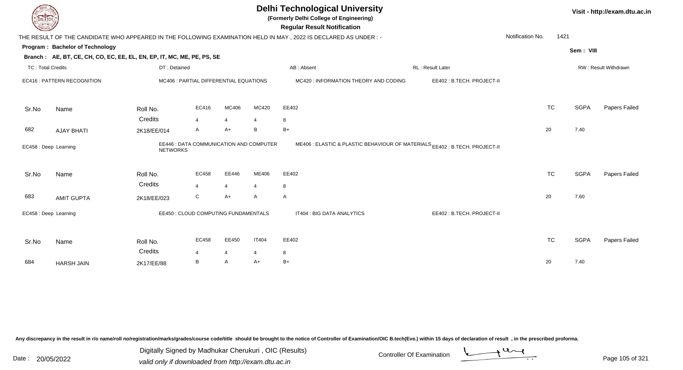| DEL ECH                  |                                                                        |                                                            |                |                |                         | <b>Delhi Technological University</b><br>(Formerly Delhi College of Engineering)<br><b>Regular Result Notification</b> |                           |                  |           |             | Visit - http://exam.dtu.ac.in |
|--------------------------|------------------------------------------------------------------------|------------------------------------------------------------|----------------|----------------|-------------------------|------------------------------------------------------------------------------------------------------------------------|---------------------------|------------------|-----------|-------------|-------------------------------|
|                          |                                                                        |                                                            |                |                |                         | THE RESULT OF THE CANDIDATE WHO APPEARED IN THE FOLLOWING EXAMINATION HELD IN MAY, 2022 IS DECLARED AS UNDER:-         |                           | Notification No. | 1421      |             |                               |
|                          | Program: Bachelor of Technology                                        |                                                            |                |                |                         |                                                                                                                        |                           |                  |           | Sem: VIII   |                               |
|                          | Branch: AE, BT, CE, CH, CO, EC, EE, EL, EN, EP, IT, MC, ME, PE, PS, SE |                                                            |                |                |                         |                                                                                                                        |                           |                  |           |             |                               |
| <b>TC: Total Credits</b> |                                                                        | DT: Detained                                               |                |                |                         | AB: Absent                                                                                                             | RL: Result Later          |                  |           |             | RW: Result Withdrawn          |
|                          | EC416 : PATTERN RECOGNITION                                            | MC406 : PARTIAL DIFFERENTIAL EQUATIONS                     |                |                |                         | MC420 : INFORMATION THEORY AND CODING                                                                                  | EE402: B.TECH. PROJECT-II |                  |           |             |                               |
| Sr.No                    | Name                                                                   | Roll No.                                                   | EC416          | MC406          | MC420                   | EE402                                                                                                                  |                           |                  | <b>TC</b> | <b>SGPA</b> | Papers Failed                 |
|                          |                                                                        | Credits                                                    | $\overline{4}$ | $\overline{4}$ |                         | 8                                                                                                                      |                           |                  |           |             |                               |
| 682                      | <b>AJAY BHATI</b>                                                      | 2K18/EE/014                                                | A              | $A+$           | B                       | $B+$                                                                                                                   |                           | 20               |           | 7.40        |                               |
| EC458 : Deep Learning    |                                                                        | EE446 : DATA COMMUNICATION AND COMPUTER<br><b>NETWORKS</b> |                |                |                         | ME406 : ELASTIC & PLASTIC BEHAVIOUR OF MATERIALS EE402 : B.TECH. PROJECT-II                                            |                           |                  |           |             |                               |
| Sr.No                    | Name                                                                   | Roll No.                                                   | EC458          | EE446          | ME406                   | EE402                                                                                                                  |                           |                  | <b>TC</b> | <b>SGPA</b> | Papers Failed                 |
|                          |                                                                        | Credits                                                    | $\overline{4}$ | $\overline{4}$ | $\overline{\mathbf{4}}$ | 8                                                                                                                      |                           |                  |           |             |                               |
| 683                      | <b>AMIT GUPTA</b>                                                      | 2K18/EE/023                                                | С              | $A+$           | $\mathsf{A}$            | A                                                                                                                      |                           | 20               |           | 7.60        |                               |
| EC458 : Deep Learning    |                                                                        | EE450 : CLOUD COMPUTING FUNDAMENTALS                       |                |                |                         | IT404 : BIG DATA ANALYTICS                                                                                             | EE402: B.TECH. PROJECT-II |                  |           |             |                               |
| Sr.No                    | Name                                                                   | Roll No.                                                   | EC458          | EE450          | <b>IT404</b>            | EE402                                                                                                                  |                           |                  | <b>TC</b> | <b>SGPA</b> | Papers Failed                 |
|                          |                                                                        | Credits                                                    | 4              | $\overline{4}$ | 4                       | 8                                                                                                                      |                           |                  |           |             |                               |
| 684                      | <b>HARSH JAIN</b>                                                      | 2K17/EE/88                                                 | B              | Α              | A+                      | $B+$                                                                                                                   |                           | 20               |           | 7.40        |                               |

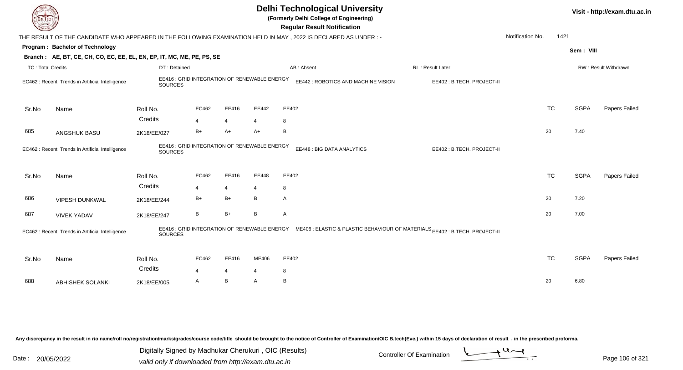| <b>DELTECH</b>           |                                                                        |                                                         |                       |                         |              | <b>Delhi Technological University</b><br>(Formerly Delhi College of Engineering)<br><b>Regular Result Notification</b>   |                           |                  |           |             | Visit - http://exam.dtu.ac.in |
|--------------------------|------------------------------------------------------------------------|---------------------------------------------------------|-----------------------|-------------------------|--------------|--------------------------------------------------------------------------------------------------------------------------|---------------------------|------------------|-----------|-------------|-------------------------------|
|                          |                                                                        |                                                         |                       |                         |              | THE RESULT OF THE CANDIDATE WHO APPEARED IN THE FOLLOWING EXAMINATION HELD IN MAY, 2022 IS DECLARED AS UNDER :-          |                           | Notification No. | 1421      |             |                               |
|                          | Program: Bachelor of Technology                                        |                                                         |                       |                         |              |                                                                                                                          |                           |                  |           | Sem: VIII   |                               |
|                          | Branch: AE, BT, CE, CH, CO, EC, EE, EL, EN, EP, IT, MC, ME, PE, PS, SE |                                                         |                       |                         |              |                                                                                                                          |                           |                  |           |             |                               |
| <b>TC: Total Credits</b> |                                                                        | DT: Detained                                            |                       |                         |              | AB: Absent                                                                                                               | RL : Result Later         |                  |           |             | RW: Result Withdrawn          |
|                          | EC462 : Recent Trends in Artificial Intelligence                       | EE416 : GRID INTEGRATION OF RENEWABLE ENERGY<br>SOURCES |                       |                         |              | EE442 : ROBOTICS AND MACHINE VISION                                                                                      | EE402: B.TECH. PROJECT-II |                  |           |             |                               |
| Sr.No                    | Name                                                                   | Roll No.                                                | EC462                 | EE416                   | EE442        | EE402                                                                                                                    |                           |                  | <b>TC</b> | <b>SGPA</b> | Papers Failed                 |
|                          |                                                                        | Credits                                                 | 4                     | 4                       | 4            | 8                                                                                                                        |                           |                  |           |             |                               |
| 685                      | ANGSHUK BASU                                                           | 2K18/EE/027                                             | $B+$                  | $A+$                    | $A+$         | B                                                                                                                        |                           | 20               |           | 7.40        |                               |
|                          | EC462 : Recent Trends in Artificial Intelligence                       | EE416 : GRID INTEGRATION OF RENEWABLE ENERGY<br>SOURCES |                       |                         |              | EE448 : BIG DATA ANALYTICS                                                                                               | EE402: B.TECH. PROJECT-II |                  |           |             |                               |
| Sr.No                    | Name                                                                   | Roll No.                                                | EC462                 | EE416                   | EE448        | EE402                                                                                                                    |                           |                  | <b>TC</b> | <b>SGPA</b> | Papers Failed                 |
|                          |                                                                        | Credits                                                 | 4                     | $\overline{4}$          | 4            | 8                                                                                                                        |                           |                  |           |             |                               |
| 686                      | <b>VIPESH DUNKWAL</b>                                                  | 2K18/EE/244                                             | $B+$                  | $B+$                    | B            | $\mathsf{A}$                                                                                                             |                           | 20               |           | 7.20        |                               |
| 687                      | <b>VIVEK YADAV</b>                                                     | 2K18/EE/247                                             | B                     | $B+$                    | B            | $\mathsf{A}$                                                                                                             |                           | 20               |           | 7.00        |                               |
|                          | EC462 : Recent Trends in Artificial Intelligence                       | <b>SOURCES</b>                                          |                       |                         |              | EE416 : GRID INTEGRATION OF RENEWABLE ENERGY ME406 : ELASTIC & PLASTIC BEHAVIOUR OF MATERIALS EE402 : B.TECH. PROJECT-II |                           |                  |           |             |                               |
| Sr.No                    | Name                                                                   | Roll No.                                                | EC462                 | EE416                   | ME406        | EE402                                                                                                                    |                           |                  | <b>TC</b> | <b>SGPA</b> | Papers Failed                 |
|                          |                                                                        | Credits                                                 | $\boldsymbol{\Delta}$ | $\overline{\mathbf{4}}$ | 4            | 8                                                                                                                        |                           |                  |           |             |                               |
| 688                      | <b>ABHISHEK SOLANKI</b>                                                | 2K18/EE/005                                             | A                     | B                       | $\mathsf{A}$ | B                                                                                                                        |                           | 20               |           | 6.80        |                               |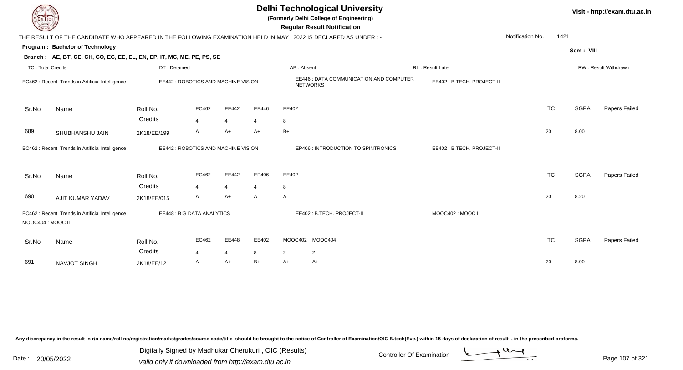## **Delhi Technological University**

**(Formerly Delhi College of Engineering)**

 **Regular Result Notification**

| <b>Course Lines</b>                              |                                                                        |                                     |                |                |                | Regular Result Notification                                                                                    |                            |                  |                      |             |               |
|--------------------------------------------------|------------------------------------------------------------------------|-------------------------------------|----------------|----------------|----------------|----------------------------------------------------------------------------------------------------------------|----------------------------|------------------|----------------------|-------------|---------------|
|                                                  |                                                                        |                                     |                |                |                | THE RESULT OF THE CANDIDATE WHO APPEARED IN THE FOLLOWING EXAMINATION HELD IN MAY, 2022 IS DECLARED AS UNDER:- |                            | Notification No. | 1421                 |             |               |
|                                                  | Program: Bachelor of Technology                                        |                                     |                |                |                |                                                                                                                |                            |                  |                      | Sem: VIII   |               |
|                                                  | Branch: AE, BT, CE, CH, CO, EC, EE, EL, EN, EP, IT, MC, ME, PE, PS, SE |                                     |                |                |                |                                                                                                                |                            |                  |                      |             |               |
| <b>TC: Total Credits</b>                         |                                                                        | DT: Detained                        |                |                |                | AB: Absent                                                                                                     |                            |                  | RW: Result Withdrawn |             |               |
| EC462 : Recent Trends in Artificial Intelligence |                                                                        | EE442 : ROBOTICS AND MACHINE VISION |                |                |                | EE446 : DATA COMMUNICATION AND COMPUTER<br><b>NETWORKS</b>                                                     | EE402: B.TECH. PROJECT-II  |                  |                      |             |               |
| Sr.No                                            | Name                                                                   | Roll No.                            | EC462          | EE442          | EE446          | EE402                                                                                                          |                            |                  | <b>TC</b>            | <b>SGPA</b> | Papers Failed |
|                                                  |                                                                        | Credits                             | $\overline{4}$ | 4              | $\overline{4}$ | 8                                                                                                              |                            |                  |                      |             |               |
| 689                                              | SHUBHANSHU JAIN                                                        | 2K18/EE/199                         | A              | A+             | $A+$           | $B+$                                                                                                           |                            | 20               |                      | 8.00        |               |
|                                                  | EC462 : Recent Trends in Artificial Intelligence                       | EE442 : ROBOTICS AND MACHINE VISION |                |                |                | EP406 : INTRODUCTION TO SPINTRONICS                                                                            | EE402 : B.TECH. PROJECT-II |                  |                      |             |               |
| Sr.No                                            | Name                                                                   | Roll No.                            | EC462          | EE442          | EP406          | EE402                                                                                                          |                            |                  | <b>TC</b>            | <b>SGPA</b> | Papers Failed |
|                                                  |                                                                        | Credits                             | $\overline{4}$ | $\overline{4}$ | $\overline{4}$ | 8                                                                                                              |                            |                  |                      |             |               |
| 690                                              | AJIT KUMAR YADAV                                                       | 2K18/EE/015                         | A              | A+             | A              | A                                                                                                              |                            | 20               |                      | 8.20        |               |
| MOOC404 : MOOC II                                | EC462 : Recent Trends in Artificial Intelligence                       | EE448 : BIG DATA ANALYTICS          |                |                |                | EE402: B.TECH. PROJECT-II                                                                                      |                            |                  |                      |             |               |
| Sr.No                                            | Name                                                                   | Roll No.                            | EC462          | EE448          | EE402          | MOOC402 MOOC404                                                                                                |                            |                  | <b>TC</b>            | <b>SGPA</b> | Papers Failed |
|                                                  |                                                                        | Credits                             | 4              | 4              | 8              | $\overline{2}$<br>$\overline{2}$                                                                               |                            |                  |                      |             |               |
| 691                                              | <b>NAVJOT SINGH</b>                                                    | 2K18/EE/121                         | A              | A+             | $B+$           | $A+$<br>A+                                                                                                     |                            | 20               |                      | 8.00        |               |

Any discrepancy in the result in r/o name/roll no/registration/marks/grades/course code/title should be brought to the notice of Controller of Examination/OIC B.tech(Eve.) within 15 days of declaration of result, in the pr

Date : 20/05/2022 Valid only if downloaded from http://exam.dtu.ac.in<br>valid only if downloaded from http://exam.dtu.ac.in Digitally Signed by Madhukar Cherukuri , OIC (Results)

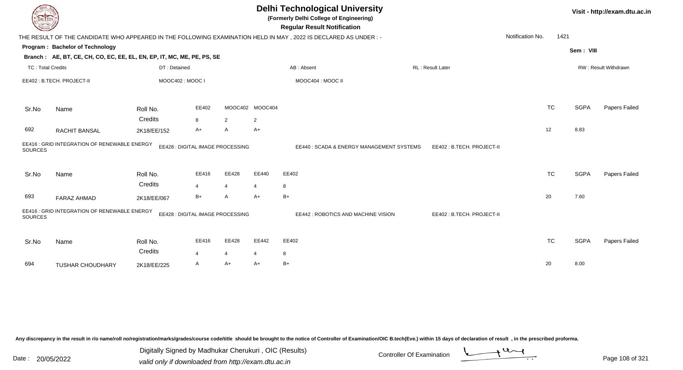| DEL TECH                                              |                                                                        |                                 | <b>Delhi Technological University</b><br>(Formerly Delhi College of Engineering)<br><b>Regular Result Notification</b> |                                  |                                                            |                                                                                                                |  |                           |           | Visit - http://exam.dtu.ac.in |               |  |
|-------------------------------------------------------|------------------------------------------------------------------------|---------------------------------|------------------------------------------------------------------------------------------------------------------------|----------------------------------|------------------------------------------------------------|----------------------------------------------------------------------------------------------------------------|--|---------------------------|-----------|-------------------------------|---------------|--|
|                                                       |                                                                        |                                 |                                                                                                                        |                                  |                                                            | THE RESULT OF THE CANDIDATE WHO APPEARED IN THE FOLLOWING EXAMINATION HELD IN MAY, 2022 IS DECLARED AS UNDER:- |  | Notification No.          | 1421      |                               |               |  |
|                                                       | Program: Bachelor of Technology                                        |                                 |                                                                                                                        |                                  |                                                            |                                                                                                                |  |                           |           | Sem: VIII                     |               |  |
|                                                       | Branch: AE, BT, CE, CH, CO, EC, EE, EL, EN, EP, IT, MC, ME, PE, PS, SE |                                 |                                                                                                                        |                                  |                                                            |                                                                                                                |  |                           |           |                               |               |  |
| <b>TC: Total Credits</b><br>EE402: B.TECH. PROJECT-II |                                                                        | DT: Detained<br>MOOC402: MOOC I |                                                                                                                        |                                  | AB: Absent<br><b>RL: Result Later</b><br>MOOC404 : MOOC II |                                                                                                                |  |                           |           | RW: Result Withdrawn          |               |  |
|                                                       |                                                                        |                                 |                                                                                                                        |                                  |                                                            |                                                                                                                |  |                           |           |                               |               |  |
| Sr.No                                                 | Name                                                                   | Roll No.                        | EE402                                                                                                                  |                                  | MOOC402 MOOC404                                            |                                                                                                                |  |                           | <b>TC</b> | <b>SGPA</b>                   | Papers Failed |  |
|                                                       |                                                                        | Credits                         | 8                                                                                                                      | $\overline{2}$                   | $\overline{2}$                                             |                                                                                                                |  |                           |           |                               |               |  |
| 692                                                   | RACHIT BANSAL                                                          | 2K18/EE/152                     | A+                                                                                                                     | A                                | $A+$                                                       |                                                                                                                |  |                           | 12        | 8.83                          |               |  |
| <b>SOURCES</b>                                        | EE416 : GRID INTEGRATION OF RENEWABLE ENERGY                           |                                 |                                                                                                                        | EE428 : DIGITAL IMAGE PROCESSING |                                                            | EE440: SCADA & ENERGY MANAGEMENT SYSTEMS                                                                       |  | EE402: B.TECH. PROJECT-II |           |                               |               |  |
| Sr.No                                                 | Name                                                                   | Roll No.                        | EE416                                                                                                                  | EE428                            | EE440                                                      | EE402                                                                                                          |  |                           | <b>TC</b> | <b>SGPA</b>                   | Papers Failed |  |
|                                                       |                                                                        | Credits                         | $\overline{4}$                                                                                                         | $\overline{4}$                   | 4                                                          | 8                                                                                                              |  |                           |           |                               |               |  |
| 693                                                   | FARAZ AHMAD                                                            | 2K18/EE/067                     | $B+$                                                                                                                   | A                                | A+                                                         | $B+$                                                                                                           |  |                           | 20        | 7.60                          |               |  |
| <b>SOURCES</b>                                        | EE416 : GRID INTEGRATION OF RENEWABLE ENERGY                           |                                 |                                                                                                                        | EE428 : DIGITAL IMAGE PROCESSING |                                                            | EE442 : ROBOTICS AND MACHINE VISION                                                                            |  | EE402: B.TECH. PROJECT-II |           |                               |               |  |
| Sr.No                                                 | Name                                                                   | Roll No.                        | EE416                                                                                                                  | EE428                            | EE442                                                      | EE402                                                                                                          |  |                           | <b>TC</b> | <b>SGPA</b>                   | Papers Failed |  |
|                                                       |                                                                        | Credits                         | 4                                                                                                                      | $\overline{4}$                   | 4                                                          | 8                                                                                                              |  |                           |           |                               |               |  |
| 694                                                   | TUSHAR CHOUDHARY                                                       | 2K18/EE/225                     | A                                                                                                                      | $A+$                             | A+                                                         | $B+$                                                                                                           |  |                           | 20        | 8.00                          |               |  |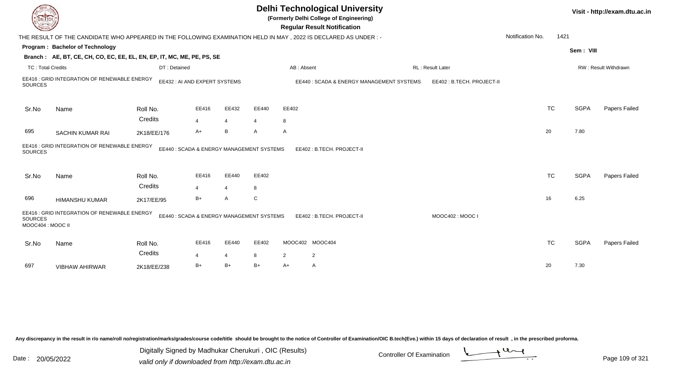| DEL TECH                            |                                                                                                                 |                                          |                         |                         |            |            | <b>Delhi Technological University</b><br>(Formerly Delhi College of Engineering)<br><b>Regular Result Notification</b> |                           |                  |           |             | Visit - http://exam.dtu.ac.in |
|-------------------------------------|-----------------------------------------------------------------------------------------------------------------|------------------------------------------|-------------------------|-------------------------|------------|------------|------------------------------------------------------------------------------------------------------------------------|---------------------------|------------------|-----------|-------------|-------------------------------|
|                                     | THE RESULT OF THE CANDIDATE WHO APPEARED IN THE FOLLOWING EXAMINATION HELD IN MAY, 2022 IS DECLARED AS UNDER :- |                                          |                         |                         |            |            |                                                                                                                        |                           | Notification No. | 1421      |             |                               |
|                                     | Program: Bachelor of Technology                                                                                 |                                          |                         |                         |            |            |                                                                                                                        |                           |                  |           | Sem: VIII   |                               |
|                                     | Branch: AE, BT, CE, CH, CO, EC, EE, EL, EN, EP, IT, MC, ME, PE, PS, SE                                          |                                          |                         |                         |            |            |                                                                                                                        |                           |                  |           |             |                               |
| <b>TC: Total Credits</b>            |                                                                                                                 | DT: Detained                             |                         |                         |            | AB: Absent |                                                                                                                        | RL: Result Later          |                  |           |             | RW: Result Withdrawn          |
| <b>SOURCES</b>                      | EE416 : GRID INTEGRATION OF RENEWABLE ENERGY                                                                    | EE432 : AI AND EXPERT SYSTEMS            |                         |                         |            |            | EE440: SCADA & ENERGY MANAGEMENT SYSTEMS                                                                               | EE402: B.TECH. PROJECT-II |                  |           |             |                               |
| Sr.No                               | Name                                                                                                            | Roll No.                                 | EE416                   | EE432                   | EE440      | EE402      |                                                                                                                        |                           |                  | <b>TC</b> | <b>SGPA</b> | <b>Papers Failed</b>          |
|                                     |                                                                                                                 | Credits                                  | $\overline{4}$          | $\overline{4}$          | 4          | 8          |                                                                                                                        |                           |                  |           |             |                               |
| 695                                 | SACHIN KUMAR RAI                                                                                                | 2K18/EE/176                              | $A+$                    | B                       | A          | A          |                                                                                                                        |                           |                  | 20        | 7.80        |                               |
| <b>SOURCES</b>                      | EE416 : GRID INTEGRATION OF RENEWABLE ENERGY                                                                    | EE440: SCADA & ENERGY MANAGEMENT SYSTEMS |                         |                         |            |            | EE402: B.TECH. PROJECT-II                                                                                              |                           |                  |           |             |                               |
| Sr.No                               | Name                                                                                                            | Roll No.<br>Credits                      | EE416<br>4              | EE440<br>$\overline{4}$ | EE402<br>8 |            |                                                                                                                        |                           |                  | <b>TC</b> | <b>SGPA</b> | Papers Failed                 |
| 696                                 | <b>HIMANSHU KUMAR</b>                                                                                           | 2K17/EE/95                               | $B+$                    | A                       | C          |            |                                                                                                                        |                           |                  | 16        | 6.25        |                               |
| <b>SOURCES</b><br>MOOC404 : MOOC II | EE416 : GRID INTEGRATION OF RENEWABLE ENERGY                                                                    | EE440: SCADA & ENERGY MANAGEMENT SYSTEMS |                         |                         |            |            | EE402: B.TECH. PROJECT-II                                                                                              | MOOC402: MOOC I           |                  |           |             |                               |
| Sr.No                               | Name                                                                                                            | Roll No.<br>Credits                      | EE416<br>$\overline{4}$ | EE440<br>4              | EE402<br>8 | 2          | MOOC402 MOOC404<br>$\overline{2}$                                                                                      |                           |                  | <b>TC</b> | <b>SGPA</b> | Papers Failed                 |
| 697                                 | <b>VIBHAW AHIRWAR</b>                                                                                           | 2K18/EE/238                              | $B+$                    | $B+$                    | B+         | A+         | A                                                                                                                      |                           |                  | 20        | 7.30        |                               |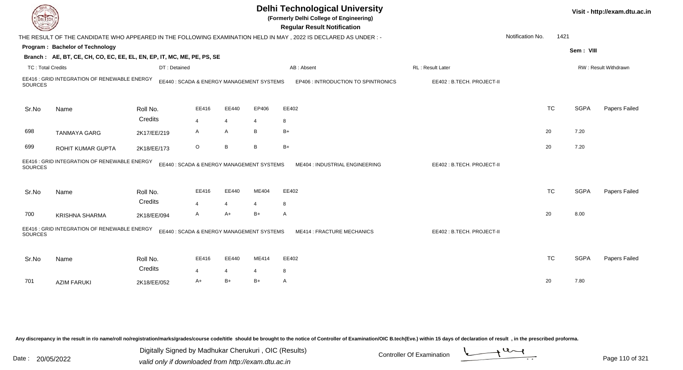|                          |                                                                        |                     |                                           |                |                | <b>Delhi Technological University</b><br>(Formerly Delhi College of Engineering)<br><b>Regular Result Notification</b> |                           |                  |             | Visit - http://exam.dtu.ac.in |
|--------------------------|------------------------------------------------------------------------|---------------------|-------------------------------------------|----------------|----------------|------------------------------------------------------------------------------------------------------------------------|---------------------------|------------------|-------------|-------------------------------|
|                          |                                                                        |                     |                                           |                |                | THE RESULT OF THE CANDIDATE WHO APPEARED IN THE FOLLOWING EXAMINATION HELD IN MAY, 2022 IS DECLARED AS UNDER :-        |                           | Notification No. | 1421        |                               |
|                          | Program: Bachelor of Technology                                        |                     |                                           |                |                |                                                                                                                        |                           |                  |             |                               |
|                          | Branch: AE, BT, CE, CH, CO, EC, EE, EL, EN, EP, IT, MC, ME, PE, PS, SE |                     |                                           |                |                |                                                                                                                        |                           |                  | Sem: VIII   |                               |
| <b>TC: Total Credits</b> |                                                                        | DT: Detained        |                                           |                |                | AB: Absent                                                                                                             | RL: Result Later          |                  |             | RW: Result Withdrawn          |
| SOURCES                  | EE416 : GRID INTEGRATION OF RENEWABLE ENERGY                           |                     | EE440: SCADA & ENERGY MANAGEMENT SYSTEMS  |                |                | EP406 : INTRODUCTION TO SPINTRONICS                                                                                    | EE402: B.TECH. PROJECT-II |                  |             |                               |
| Sr.No                    | Name                                                                   | Roll No.            | EE416                                     | EE440          | EP406          | EE402                                                                                                                  |                           | <b>TC</b>        | <b>SGPA</b> | Papers Failed                 |
|                          |                                                                        | Credits             | $\overline{4}$                            | $\overline{4}$ | 4              | 8                                                                                                                      |                           |                  |             |                               |
| 698                      | <b>TANMAYA GARG</b>                                                    | 2K17/EE/219         | A                                         | A              | В              | B+                                                                                                                     |                           | 20               | 7.20        |                               |
| 699                      | ROHIT KUMAR GUPTA                                                      | 2K18/EE/173         | $\circ$                                   | B              | B              | $B+$                                                                                                                   |                           | 20               | 7.20        |                               |
| <b>SOURCES</b>           | EE416 : GRID INTEGRATION OF RENEWABLE ENERGY                           |                     | EE440 : SCADA & ENERGY MANAGEMENT SYSTEMS |                |                | ME404 : INDUSTRIAL ENGINEERING                                                                                         | EE402: B.TECH. PROJECT-II |                  |             |                               |
| Sr.No                    | Name                                                                   | Roll No.            | EE416                                     | EE440          | ME404          | EE402                                                                                                                  |                           | <b>TC</b>        | <b>SGPA</b> | Papers Failed                 |
|                          |                                                                        | Credits             | $\overline{4}$                            | $\overline{4}$ | 4              | 8                                                                                                                      |                           |                  |             |                               |
| 700                      | <b>KRISHNA SHARMA</b>                                                  | 2K18/EE/094         | A                                         | A+             | $B+$           | A                                                                                                                      |                           | 20               | 8.00        |                               |
| SOURCES                  | EE416 : GRID INTEGRATION OF RENEWABLE ENERGY                           |                     | EE440: SCADA & ENERGY MANAGEMENT SYSTEMS  |                |                | ME414 : FRACTURE MECHANICS                                                                                             | EE402: B.TECH. PROJECT-II |                  |             |                               |
| Sr.No                    | Name                                                                   | Roll No.<br>Credits | EE416                                     | EE440          | ME414          | EE402                                                                                                                  |                           | <b>TC</b>        | <b>SGPA</b> | Papers Failed                 |
|                          |                                                                        |                     | $\overline{4}$                            | 4              | $\overline{4}$ | 8                                                                                                                      |                           |                  |             |                               |
| 701                      | <b>AZIM FARUKI</b>                                                     | 2K18/EE/052         | $A+$                                      | $B+$           | $B+$           | A                                                                                                                      |                           | 20               | 7.80        |                               |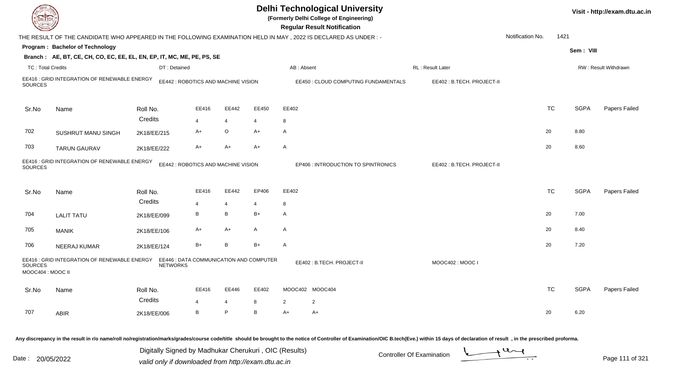| DEL ECH                             |                                                                                                                 |                                     |                                     |                |                                         |                | <b>Delhi Technological University</b><br>(Formerly Delhi College of Engineering)<br><b>Regular Result Notification</b> |                            |                  |      |             | Visit - http://exam.dtu.ac.in |
|-------------------------------------|-----------------------------------------------------------------------------------------------------------------|-------------------------------------|-------------------------------------|----------------|-----------------------------------------|----------------|------------------------------------------------------------------------------------------------------------------------|----------------------------|------------------|------|-------------|-------------------------------|
|                                     | THE RESULT OF THE CANDIDATE WHO APPEARED IN THE FOLLOWING EXAMINATION HELD IN MAY, 2022 IS DECLARED AS UNDER :- |                                     |                                     |                |                                         |                |                                                                                                                        |                            | Notification No. | 1421 |             |                               |
|                                     | Program: Bachelor of Technology                                                                                 |                                     |                                     |                |                                         |                |                                                                                                                        |                            |                  |      | Sem: VIII   |                               |
|                                     | Branch: AE, BT, CE, CH, CO, EC, EE, EL, EN, EP, IT, MC, ME, PE, PS, SE                                          |                                     |                                     |                |                                         |                |                                                                                                                        |                            |                  |      |             |                               |
| <b>TC: Total Credits</b>            |                                                                                                                 | DT: Detained                        |                                     |                |                                         | AB: Absent     |                                                                                                                        | RL: Result Later           |                  |      |             | RW: Result Withdrawn          |
| SOURCES                             | EE416 : GRID INTEGRATION OF RENEWABLE ENERGY                                                                    |                                     | EE442 : ROBOTICS AND MACHINE VISION |                |                                         |                | EE450 : CLOUD COMPUTING FUNDAMENTALS                                                                                   | EE402 : B.TECH. PROJECT-II |                  |      |             |                               |
| Sr.No                               | Name                                                                                                            | Roll No.                            | EE416                               | EE442          | EE450                                   | EE402          |                                                                                                                        |                            | <b>TC</b>        |      | <b>SGPA</b> | Papers Failed                 |
|                                     |                                                                                                                 | Credits                             | $\overline{\mathbf{A}}$             | $\overline{4}$ | $\overline{4}$                          | 8              |                                                                                                                        |                            |                  |      |             |                               |
| 702                                 | SUSHRUT MANU SINGH                                                                                              | 2K18/EE/215                         | A+                                  | O              | $A+$                                    | $\mathsf{A}$   |                                                                                                                        |                            | 20               |      | 8.80        |                               |
| 703                                 | <b>TARUN GAURAV</b>                                                                                             | 2K18/EE/222                         | A+                                  | $A+$           | A+                                      | $\mathsf{A}$   |                                                                                                                        |                            | 20               |      | 8.60        |                               |
| <b>SOURCES</b>                      | EE416 : GRID INTEGRATION OF RENEWABLE ENERGY                                                                    | EE442 : ROBOTICS AND MACHINE VISION |                                     |                |                                         |                | <b>EP406 : INTRODUCTION TO SPINTRONICS</b>                                                                             | EE402: B.TECH. PROJECT-II  |                  |      |             |                               |
| Sr.No                               | Name                                                                                                            | Roll No.                            | EE416                               | EE442          | EP406                                   | EE402          |                                                                                                                        |                            | <b>TC</b>        |      | <b>SGPA</b> | Papers Failed                 |
|                                     |                                                                                                                 | Credits                             | 4                                   | $\overline{4}$ | $\overline{4}$                          | 8              |                                                                                                                        |                            |                  |      |             |                               |
| 704                                 | <b>LALIT TATU</b>                                                                                               | 2K18/EE/099                         | В                                   | B              | $B+$                                    | $\overline{A}$ |                                                                                                                        |                            | 20               |      | 7.00        |                               |
| 705                                 | <b>MANIK</b>                                                                                                    | 2K18/EE/106                         | A+                                  | A+             | A                                       | $\mathsf{A}$   |                                                                                                                        |                            | 20               |      | 8.40        |                               |
| 706                                 | NEERAJ KUMAR                                                                                                    | 2K18/EE/124                         | $B+$                                | B              | $B+$                                    | $\mathsf{A}$   |                                                                                                                        |                            | 20               |      | 7.20        |                               |
| <b>SOURCES</b><br>MOOC404 : MOOC II | EE416 : GRID INTEGRATION OF RENEWABLE ENERGY                                                                    | <b>NETWORKS</b>                     |                                     |                | EE446 : DATA COMMUNICATION AND COMPUTER |                | EE402: B.TECH. PROJECT-II                                                                                              | MOOC402 : MOOC I           |                  |      |             |                               |
| Sr.No                               | Name                                                                                                            | Roll No.                            | EE416                               | EE446          | EE402                                   |                | MOOC402 MOOC404                                                                                                        |                            | <b>TC</b>        |      | <b>SGPA</b> | Papers Failed                 |
|                                     |                                                                                                                 | Credits                             | 4                                   | $\overline{4}$ | 8                                       | 2              | $\overline{2}$                                                                                                         |                            |                  |      |             |                               |
| 707                                 | <b>ABIR</b>                                                                                                     | 2K18/EE/006                         | B                                   | P              | B                                       | $A+$           | A+                                                                                                                     |                            | 20               |      | 6.20        |                               |
|                                     |                                                                                                                 |                                     |                                     |                |                                         |                |                                                                                                                        |                            |                  |      |             |                               |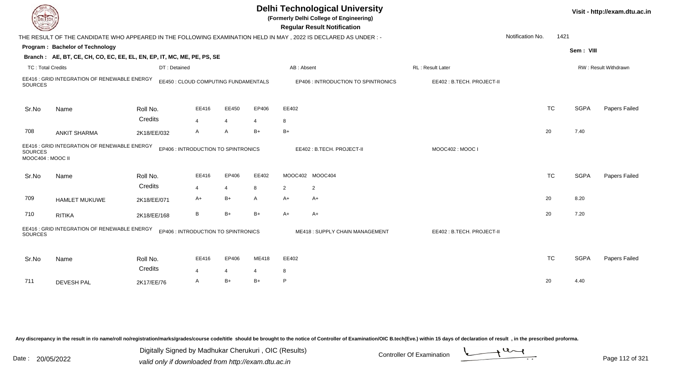|                          |                                                                                                                |              |                                      |                |                |            | <b>Delhi Technological University</b><br>(Formerly Delhi College of Engineering)<br><b>Regular Result Notification</b> |                           |                  |           |             | Visit - http://exam.dtu.ac.in |
|--------------------------|----------------------------------------------------------------------------------------------------------------|--------------|--------------------------------------|----------------|----------------|------------|------------------------------------------------------------------------------------------------------------------------|---------------------------|------------------|-----------|-------------|-------------------------------|
|                          | THE RESULT OF THE CANDIDATE WHO APPEARED IN THE FOLLOWING EXAMINATION HELD IN MAY, 2022 IS DECLARED AS UNDER:- |              |                                      |                |                |            |                                                                                                                        |                           | Notification No. | 1421      |             |                               |
|                          | Program: Bachelor of Technology                                                                                |              |                                      |                |                |            |                                                                                                                        |                           |                  |           | Sem: VIII   |                               |
|                          | Branch: AE, BT, CE, CH, CO, EC, EE, EL, EN, EP, IT, MC, ME, PE, PS, SE                                         |              |                                      |                |                |            |                                                                                                                        |                           |                  |           |             |                               |
| <b>TC: Total Credits</b> |                                                                                                                | DT: Detained |                                      |                |                | AB: Absent |                                                                                                                        | RL : Result Later         |                  |           |             | RW: Result Withdrawn          |
| <b>SOURCES</b>           | EE416 : GRID INTEGRATION OF RENEWABLE ENERGY                                                                   |              | EE450 : CLOUD COMPUTING FUNDAMENTALS |                |                |            | EP406 : INTRODUCTION TO SPINTRONICS                                                                                    | EE402: B.TECH. PROJECT-II |                  |           |             |                               |
| Sr.No                    | Name                                                                                                           | Roll No.     | EE416                                | EE450          | EP406          | EE402      |                                                                                                                        |                           |                  | <b>TC</b> | <b>SGPA</b> | Papers Failed                 |
|                          |                                                                                                                | Credits      | $\overline{4}$                       | $\overline{4}$ | $\overline{4}$ | 8          |                                                                                                                        |                           |                  |           |             |                               |
| 708                      | <b>ANKIT SHARMA</b>                                                                                            | 2K18/EE/032  | A                                    | $\overline{A}$ | $B+$           | $B+$       |                                                                                                                        |                           |                  | 20        | 7.40        |                               |
| <b>SOURCES</b>           | EE416 : GRID INTEGRATION OF RENEWABLE ENERGY<br>EP406 : INTRODUCTION TO SPINTRONICS<br>MOOC404 : MOOC II       |              |                                      |                |                |            | EE402: B.TECH. PROJECT-II                                                                                              | MOOC402: MOOC I           |                  |           |             |                               |
| Sr.No                    | Name                                                                                                           | Roll No.     | EE416                                | EP406          | EE402          |            | MOOC402 MOOC404                                                                                                        |                           |                  | <b>TC</b> | <b>SGPA</b> | Papers Failed                 |
|                          |                                                                                                                | Credits      | 4                                    | $\overline{4}$ | 8              | 2          | $\overline{2}$                                                                                                         |                           |                  |           |             |                               |
| 709                      | <b>HAMLET MUKUWE</b>                                                                                           | 2K18/EE/071  | A+                                   | $B+$           | A              | $A+$       | A+                                                                                                                     |                           |                  | 20        | 8.20        |                               |
| 710                      | <b>RITIKA</b>                                                                                                  | 2K18/EE/168  | В                                    | $B+$           | B+             | A+         | A+                                                                                                                     |                           |                  | 20        | 7.20        |                               |
| <b>SOURCES</b>           | EE416 : GRID INTEGRATION OF RENEWABLE ENERGY<br>EP406 : INTRODUCTION TO SPINTRONICS                            |              |                                      |                |                |            | ME418: SUPPLY CHAIN MANAGEMENT                                                                                         | EE402: B.TECH. PROJECT-II |                  |           |             |                               |
| Sr.No                    | Name                                                                                                           | Roll No.     | EE416                                | EP406          | ME418          | EE402      |                                                                                                                        |                           |                  | <b>TC</b> | <b>SGPA</b> | Papers Failed                 |
|                          |                                                                                                                | Credits      | 4                                    | $\overline{4}$ |                | 8          |                                                                                                                        |                           |                  |           |             |                               |
| 711                      | <b>DEVESH PAL</b>                                                                                              | 2K17/EE/76   | A                                    | $B+$           | $B+$           | P          |                                                                                                                        |                           |                  | 20        | 4.40        |                               |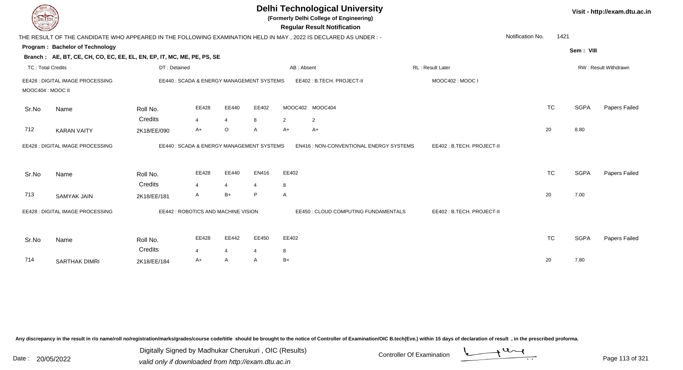| DEL ECH                  |                                                                        |                        |                                           |                        |        | <b>Delhi Technological University</b><br>(Formerly Delhi College of Engineering)<br><b>Regular Result Notification</b> |                           |                  |             | Visit - http://exam.dtu.ac.in |
|--------------------------|------------------------------------------------------------------------|------------------------|-------------------------------------------|------------------------|--------|------------------------------------------------------------------------------------------------------------------------|---------------------------|------------------|-------------|-------------------------------|
|                          |                                                                        |                        |                                           |                        |        | THE RESULT OF THE CANDIDATE WHO APPEARED IN THE FOLLOWING EXAMINATION HELD IN MAY, 2022 IS DECLARED AS UNDER:-         |                           | Notification No. | 1421        |                               |
|                          | Program: Bachelor of Technology                                        |                        |                                           |                        |        |                                                                                                                        |                           |                  | Sem: VIII   |                               |
|                          | Branch: AE, BT, CE, CH, CO, EC, EE, EL, EN, EP, IT, MC, ME, PE, PS, SE |                        |                                           |                        |        |                                                                                                                        |                           |                  |             |                               |
| <b>TC: Total Credits</b> |                                                                        | DT: Detained           |                                           |                        |        | AB: Absent                                                                                                             | RL: Result Later          |                  |             | RW: Result Withdrawn          |
| MOOC404 : MOOC II        | EE428 : DIGITAL IMAGE PROCESSING                                       |                        | EE440 : SCADA & ENERGY MANAGEMENT SYSTEMS |                        |        | EE402: B.TECH. PROJECT-II                                                                                              | MOOC402: MOOC I           |                  |             |                               |
| Sr.No                    | Name                                                                   | Roll No.               | EE428                                     | EE440                  | EE402  | MOOC402 MOOC404                                                                                                        |                           | <b>TC</b>        | <b>SGPA</b> | Papers Failed                 |
| 712                      | <b>KARAN VAITY</b>                                                     | Credits<br>2K18/EE/090 | $\overline{4}$<br>$A+$                    | $\overline{4}$<br>O    | 8<br>A | 2<br>2<br>$A+$<br>$A+$                                                                                                 |                           | 20               | 8.80        |                               |
|                          | EE428 : DIGITAL IMAGE PROCESSING                                       |                        | EE440: SCADA & ENERGY MANAGEMENT SYSTEMS  |                        |        | EN416 : NON-CONVENTIONAL ENERGY SYSTEMS                                                                                | EE402: B.TECH. PROJECT-II |                  |             |                               |
| Sr.No                    | Name                                                                   | Roll No.               | EE428                                     | EE440                  | EN416  | EE402                                                                                                                  |                           | <b>TC</b>        | <b>SGPA</b> | <b>Papers Failed</b>          |
| 713                      | SAMYAK JAIN                                                            | Credits<br>2K18/EE/181 | $\overline{4}$<br>A                       | $\overline{4}$<br>$B+$ | 4<br>P | 8<br>A                                                                                                                 |                           | 20               | 7.00        |                               |
|                          | EE428 : DIGITAL IMAGE PROCESSING                                       |                        | EE442 : ROBOTICS AND MACHINE VISION       |                        |        | EE450 : CLOUD COMPUTING FUNDAMENTALS                                                                                   | EE402: B.TECH. PROJECT-II |                  |             |                               |
| Sr.No                    | Name                                                                   | Roll No.               | EE428                                     | EE442                  | EE450  | EE402                                                                                                                  |                           | <b>TC</b>        | <b>SGPA</b> | Papers Failed                 |
| 714                      | SARTHAK DIMRI                                                          | Credits<br>2K18/EE/184 | $\overline{4}$<br>A+                      | 4<br>A                 | 4<br>A | 8<br>$B+$                                                                                                              |                           | 20               | 7.80        |                               |

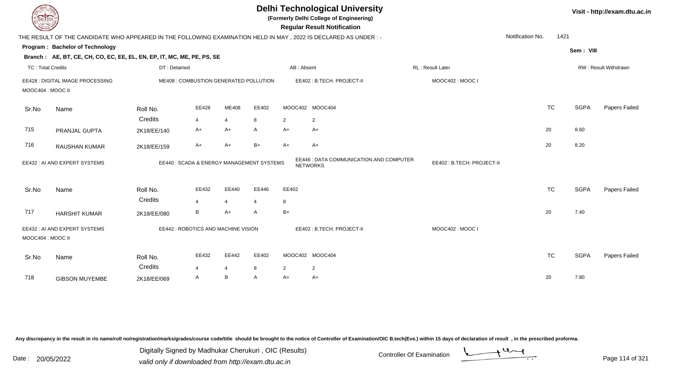| <b>DELTECH</b>    |                                                                                                                 |                                          |                         |                         |              |            | <b>Delhi Technological University</b><br>(Formerly Delhi College of Engineering)<br><b>Regular Result Notification</b> |                           |                  |           |             | Visit - http://exam.dtu.ac.in |
|-------------------|-----------------------------------------------------------------------------------------------------------------|------------------------------------------|-------------------------|-------------------------|--------------|------------|------------------------------------------------------------------------------------------------------------------------|---------------------------|------------------|-----------|-------------|-------------------------------|
|                   | THE RESULT OF THE CANDIDATE WHO APPEARED IN THE FOLLOWING EXAMINATION HELD IN MAY, 2022 IS DECLARED AS UNDER :- |                                          |                         |                         |              |            |                                                                                                                        |                           | Notification No. | 1421      |             |                               |
|                   | Program: Bachelor of Technology                                                                                 |                                          |                         |                         |              |            |                                                                                                                        |                           |                  |           | Sem: VIII   |                               |
|                   | Branch: AE, BT, CE, CH, CO, EC, EE, EL, EN, EP, IT, MC, ME, PE, PS, SE                                          |                                          |                         |                         |              |            |                                                                                                                        |                           |                  |           |             |                               |
| TC: Total Credits |                                                                                                                 | DT: Detained                             |                         |                         |              | AB: Absent |                                                                                                                        | <b>RL</b> : Result Later  |                  |           |             | <b>RW: Result Withdrawn</b>   |
| MOOC404 : MOOC II | EE428 : DIGITAL IMAGE PROCESSING                                                                                | ME408 : COMBUSTION GENERATED POLLUTION   |                         |                         |              |            | EE402: B.TECH. PROJECT-II                                                                                              | MOOC402: MOOC I           |                  |           |             |                               |
| Sr.No             | Name                                                                                                            | Roll No.                                 | EE428                   | ME408                   | EE402        |            | MOOC402 MOOC404                                                                                                        |                           |                  | <b>TC</b> | <b>SGPA</b> | Papers Failed                 |
|                   |                                                                                                                 | Credits                                  | $\overline{\mathbf{A}}$ | $\overline{\mathbf{4}}$ | 8            | 2          | $\overline{2}$                                                                                                         |                           |                  |           |             |                               |
| 715               | PRANJAL GUPTA                                                                                                   | 2K18/EE/140                              | A+                      | $A+$                    | A            | $A+$       | A+                                                                                                                     |                           |                  | 20        | 8.60        |                               |
| 716               | <b>RAUSHAN KUMAR</b>                                                                                            | 2K18/EE/159                              | A+                      | A+                      | $B+$         | $A+$       | A+                                                                                                                     |                           |                  | 20        | 8.20        |                               |
|                   | EE432 : AI AND EXPERT SYSTEMS                                                                                   | EE440: SCADA & ENERGY MANAGEMENT SYSTEMS |                         |                         |              |            | EE446 : DATA COMMUNICATION AND COMPUTER<br><b>NETWORKS</b>                                                             | EE402: B.TECH. PROJECT-II |                  |           |             |                               |
| Sr.No             | Name                                                                                                            | Roll No.                                 | EE432                   | EE440                   | EE446        | EE402      |                                                                                                                        |                           |                  | <b>TC</b> | <b>SGPA</b> | Papers Failed                 |
|                   |                                                                                                                 | Credits                                  | 4                       | $\overline{4}$          | 4            | 8          |                                                                                                                        |                           |                  |           |             |                               |
| 717               | <b>HARSHIT KUMAR</b>                                                                                            | 2K18/EE/080                              | B                       | $A+$                    | A            | $B+$       |                                                                                                                        |                           |                  | 20        | 7.40        |                               |
| MOOC404 : MOOC II | EE432 : AI AND EXPERT SYSTEMS                                                                                   | EE442 : ROBOTICS AND MACHINE VISION      |                         |                         |              |            | EE402: B.TECH. PROJECT-II                                                                                              | MOOC402: MOOC I           |                  |           |             |                               |
| Sr.No             | Name                                                                                                            | Roll No.<br>Credits                      | EE432<br>$\overline{4}$ | EE442<br>4              | EE402<br>8   | 2          | MOOC402 MOOC404<br>$\overline{2}$                                                                                      |                           |                  | <b>TC</b> | <b>SGPA</b> | Papers Failed                 |
| 718               | <b>GIBSON MUYEMBE</b>                                                                                           | 2K18/EE/069                              | A                       | B                       | $\mathsf{A}$ | $A+$       | A+                                                                                                                     |                           |                  | 20        | 7.80        |                               |
|                   |                                                                                                                 |                                          |                         |                         |              |            |                                                                                                                        |                           |                  |           |             |                               |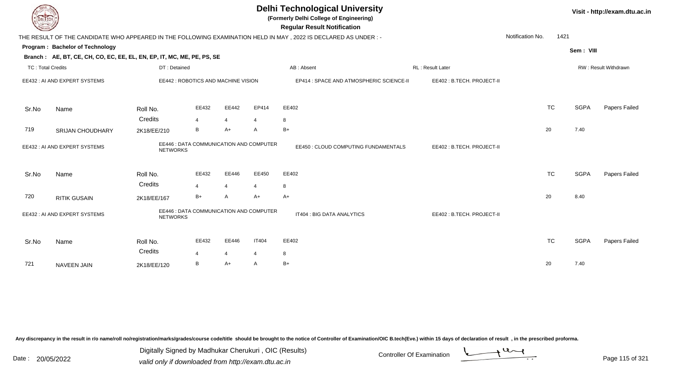| <b>DELTECH</b>           |                                                                                                           |                                                            |                |                                         |                | <b>Delhi Technological University</b><br>(Formerly Delhi College of Engineering)<br><b>Regular Result Notification</b> |                           |                  |      |             | Visit - http://exam.dtu.ac.in |
|--------------------------|-----------------------------------------------------------------------------------------------------------|------------------------------------------------------------|----------------|-----------------------------------------|----------------|------------------------------------------------------------------------------------------------------------------------|---------------------------|------------------|------|-------------|-------------------------------|
|                          |                                                                                                           |                                                            |                |                                         |                | THE RESULT OF THE CANDIDATE WHO APPEARED IN THE FOLLOWING EXAMINATION HELD IN MAY, 2022 IS DECLARED AS UNDER:-         |                           | Notification No. | 1421 |             |                               |
|                          | Program: Bachelor of Technology<br>Branch: AE, BT, CE, CH, CO, EC, EE, EL, EN, EP, IT, MC, ME, PE, PS, SE |                                                            |                |                                         |                |                                                                                                                        |                           |                  |      | Sem: VIII   |                               |
| <b>TC: Total Credits</b> |                                                                                                           | DT: Detained                                               |                |                                         |                | AB: Absent                                                                                                             | <b>RL: Result Later</b>   |                  |      |             | <b>RW: Result Withdrawn</b>   |
|                          | EE432: AI AND EXPERT SYSTEMS                                                                              | EE442 : ROBOTICS AND MACHINE VISION                        |                |                                         |                | EP414 : SPACE AND ATMOSPHERIC SCIENCE-II                                                                               | EE402: B.TECH. PROJECT-II |                  |      |             |                               |
| Sr.No                    | Name                                                                                                      | Roll No.                                                   | EE432          | EE442                                   | EP414          | EE402                                                                                                                  |                           | <b>TC</b>        |      | <b>SGPA</b> | Papers Failed                 |
|                          |                                                                                                           | Credits                                                    | 4              | $\overline{4}$                          |                | 8                                                                                                                      |                           |                  |      |             |                               |
| 719                      | SRIJAN CHOUDHARY                                                                                          | 2K18/EE/210                                                | B              | $A+$                                    | $\overline{A}$ | $B+$                                                                                                                   |                           | 20               |      | 7.40        |                               |
|                          | EE432 : AI AND EXPERT SYSTEMS                                                                             | EE446 : DATA COMMUNICATION AND COMPUTER<br><b>NETWORKS</b> |                |                                         |                | EE450 : CLOUD COMPUTING FUNDAMENTALS                                                                                   | EE402: B.TECH. PROJECT-II |                  |      |             |                               |
| Sr.No                    | Name                                                                                                      | Roll No.                                                   | EE432          | EE446                                   | EE450          | EE402                                                                                                                  |                           | <b>TC</b>        |      | <b>SGPA</b> | Papers Failed                 |
|                          |                                                                                                           | Credits                                                    | $\overline{4}$ | $\overline{4}$                          | $\overline{4}$ | 8                                                                                                                      |                           |                  |      |             |                               |
| 720                      | <b>RITIK GUSAIN</b>                                                                                       | 2K18/EE/167                                                | $B+$           | A                                       | $A+$           | $A+$                                                                                                                   |                           | 20               |      | 8.40        |                               |
|                          | EE432 : AI AND EXPERT SYSTEMS<br><b>NETWORKS</b>                                                          |                                                            |                | EE446 : DATA COMMUNICATION AND COMPUTER |                | IT404 : BIG DATA ANALYTICS                                                                                             | EE402: B.TECH. PROJECT-II |                  |      |             |                               |
| Sr.No                    | Name                                                                                                      | Roll No.                                                   | EE432          | EE446                                   | <b>IT404</b>   | EE402                                                                                                                  |                           | <b>TC</b>        |      | <b>SGPA</b> | Papers Failed                 |
|                          |                                                                                                           | Credits                                                    | 4              | 4                                       |                | 8                                                                                                                      |                           |                  |      |             |                               |
| 721                      | <b>NAVEEN JAIN</b>                                                                                        | 2K18/EE/120                                                | В              | $A+$                                    | A              | $B+$                                                                                                                   |                           | 20               |      | 7.40        |                               |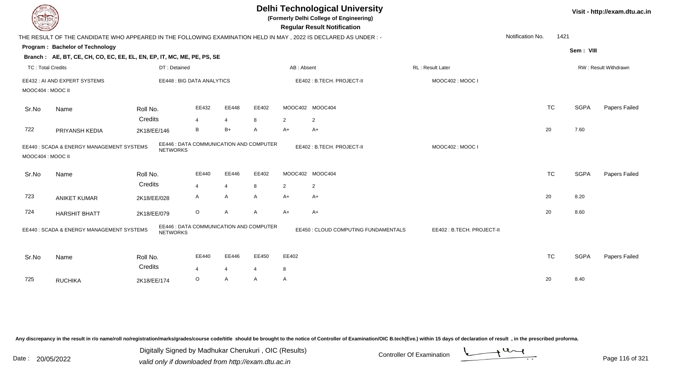| DEL TECH                                                                                               |                                                                                                                 |                 |                                         |                |                |                | <b>Delhi Technological University</b><br>(Formerly Delhi College of Engineering)<br><b>Regular Result Notification</b> |                           |                          |             | Visit - http://exam.dtu.ac.in |
|--------------------------------------------------------------------------------------------------------|-----------------------------------------------------------------------------------------------------------------|-----------------|-----------------------------------------|----------------|----------------|----------------|------------------------------------------------------------------------------------------------------------------------|---------------------------|--------------------------|-------------|-------------------------------|
|                                                                                                        | THE RESULT OF THE CANDIDATE WHO APPEARED IN THE FOLLOWING EXAMINATION HELD IN MAY, 2022 IS DECLARED AS UNDER :- |                 |                                         |                |                |                |                                                                                                                        |                           | Notification No.<br>1421 |             |                               |
|                                                                                                        | Program: Bachelor of Technology                                                                                 |                 |                                         |                |                |                |                                                                                                                        |                           |                          | Sem: VIII   |                               |
|                                                                                                        | Branch: AE, BT, CE, CH, CO, EC, EE, EL, EN, EP, IT, MC, ME, PE, PS, SE                                          |                 |                                         |                |                |                |                                                                                                                        |                           |                          |             |                               |
| <b>TC: Total Credits</b>                                                                               |                                                                                                                 | DT: Detained    |                                         |                |                | AB: Absent     |                                                                                                                        | RL: Result Later          |                          |             | RW: Result Withdrawn          |
|                                                                                                        | EE432 : AI AND EXPERT SYSTEMS                                                                                   |                 | <b>EE448: BIG DATA ANALYTICS</b>        |                |                |                | EE402: B.TECH. PROJECT-II                                                                                              | MOOC402: MOOC I           |                          |             |                               |
| MOOC404 : MOOC II                                                                                      |                                                                                                                 |                 |                                         |                |                |                |                                                                                                                        |                           |                          |             |                               |
| Sr.No                                                                                                  | Name                                                                                                            | Roll No.        | EE432                                   | EE448          | EE402          |                | MOOC402 MOOC404                                                                                                        |                           | <b>TC</b>                | <b>SGPA</b> | Papers Failed                 |
|                                                                                                        |                                                                                                                 | Credits         | $\overline{4}$                          | $\overline{4}$ | 8              | $\overline{2}$ | $\overline{2}$                                                                                                         |                           |                          |             |                               |
| 722                                                                                                    | PRIYANSH KEDIA                                                                                                  | 2K18/EE/146     | B                                       | $B+$           | A              | $A+$           | $A+$                                                                                                                   |                           | 20                       | 7.60        |                               |
| MOOC404 : MOOC II                                                                                      | EE440 : SCADA & ENERGY MANAGEMENT SYSTEMS                                                                       | <b>NETWORKS</b> | EE446 : DATA COMMUNICATION AND COMPUTER |                |                |                | EE402: B.TECH. PROJECT-II                                                                                              | MOOC402: MOOC I           |                          |             |                               |
| Sr.No                                                                                                  | Name                                                                                                            | Roll No.        | EE440                                   | EE446          | EE402          |                | MOOC402 MOOC404                                                                                                        |                           | <b>TC</b>                | <b>SGPA</b> | Papers Failed                 |
|                                                                                                        |                                                                                                                 | Credits         | $\overline{4}$                          | $\overline{4}$ | 8              | $\overline{2}$ | $\overline{2}$                                                                                                         |                           |                          |             |                               |
| 723                                                                                                    | <b>ANIKET KUMAR</b>                                                                                             | 2K18/EE/028     | $\mathsf{A}$                            | A              | A              | $A+$           | $A+$                                                                                                                   |                           | 20                       | 8.20        |                               |
| 724                                                                                                    | <b>HARSHIT BHATT</b>                                                                                            | 2K18/EE/079     | $\circ$                                 | $\overline{A}$ | A              | $A+$           | $A+$                                                                                                                   |                           | 20                       | 8.60        |                               |
| EE446 : DATA COMMUNICATION AND COMPUTER<br>EE440: SCADA & ENERGY MANAGEMENT SYSTEMS<br><b>NETWORKS</b> |                                                                                                                 |                 |                                         |                |                |                | EE450 : CLOUD COMPUTING FUNDAMENTALS                                                                                   | EE402: B.TECH. PROJECT-II |                          |             |                               |
| Sr.No                                                                                                  | Name                                                                                                            | Roll No.        | EE440                                   | EE446          | EE450          | EE402          |                                                                                                                        |                           | <b>TC</b>                | <b>SGPA</b> | Papers Failed                 |
|                                                                                                        |                                                                                                                 | Credits         | $\overline{4}$                          | $\overline{4}$ | $\overline{4}$ | 8              |                                                                                                                        |                           |                          |             |                               |
| 725                                                                                                    | <b>RUCHIKA</b>                                                                                                  | 2K18/EE/174     | $\circ$                                 | A              | A              | A              |                                                                                                                        |                           | 20                       | 8.40        |                               |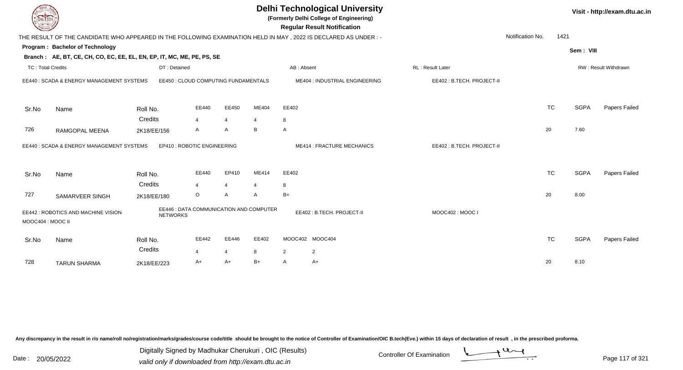| DEL TECH                 |                                                                                                                |                                                            |                         |                         |                |            | <b>Delhi Technological University</b><br>(Formerly Delhi College of Engineering)<br><b>Regular Result Notification</b> |                           |                  |           |             | Visit - http://exam.dtu.ac.in |
|--------------------------|----------------------------------------------------------------------------------------------------------------|------------------------------------------------------------|-------------------------|-------------------------|----------------|------------|------------------------------------------------------------------------------------------------------------------------|---------------------------|------------------|-----------|-------------|-------------------------------|
|                          | THE RESULT OF THE CANDIDATE WHO APPEARED IN THE FOLLOWING EXAMINATION HELD IN MAY, 2022 IS DECLARED AS UNDER:- |                                                            |                         |                         |                |            |                                                                                                                        |                           | Notification No. | 1421      |             |                               |
|                          | Program: Bachelor of Technology                                                                                |                                                            |                         |                         |                |            |                                                                                                                        |                           |                  |           | Sem: VIII   |                               |
|                          | Branch: AE, BT, CE, CH, CO, EC, EE, EL, EN, EP, IT, MC, ME, PE, PS, SE                                         |                                                            |                         |                         |                |            |                                                                                                                        |                           |                  |           |             |                               |
| <b>TC: Total Credits</b> |                                                                                                                | DT: Detained                                               |                         |                         |                | AB: Absent |                                                                                                                        | RL: Result Later          |                  |           |             | RW: Result Withdrawn          |
|                          | EE440 : SCADA & ENERGY MANAGEMENT SYSTEMS                                                                      | EE450 : CLOUD COMPUTING FUNDAMENTALS                       |                         |                         |                |            | ME404 : INDUSTRIAL ENGINEERING                                                                                         | EE402: B.TECH. PROJECT-II |                  |           |             |                               |
| Sr.No                    | Name                                                                                                           | Roll No.                                                   | EE440                   | EE450                   | ME404          | EE402      |                                                                                                                        |                           |                  | <b>TC</b> | <b>SGPA</b> | Papers Failed                 |
|                          |                                                                                                                | Credits                                                    | $\overline{4}$          | $\overline{4}$          | $\overline{4}$ | 8          |                                                                                                                        |                           |                  |           |             |                               |
| 726                      | RAMGOPAL MEENA                                                                                                 | 2K18/EE/156                                                | A                       | A                       | B              | A          |                                                                                                                        |                           |                  | 20        | 7.60        |                               |
|                          | EE440 : SCADA & ENERGY MANAGEMENT SYSTEMS                                                                      | EP410 : ROBOTIC ENGINEERING                                |                         |                         |                |            | <b>ME414: FRACTURE MECHANICS</b>                                                                                       | EE402: B.TECH. PROJECT-II |                  |           |             |                               |
| Sr.No                    | Name                                                                                                           | Roll No.                                                   | EE440                   | EP410                   | <b>ME414</b>   | EE402      |                                                                                                                        |                           |                  | <b>TC</b> | <b>SGPA</b> | Papers Failed                 |
|                          |                                                                                                                | Credits                                                    | 4                       | 4                       | 4              | 8          |                                                                                                                        |                           |                  |           |             |                               |
| 727                      | SAMARVEER SINGH                                                                                                | 2K18/EE/180                                                | O                       | A                       | $\overline{A}$ | $B+$       |                                                                                                                        |                           |                  | 20        | 8.00        |                               |
| MOOC404: MOOC II         | EE442 : ROBOTICS AND MACHINE VISION                                                                            | EE446 : DATA COMMUNICATION AND COMPUTER<br><b>NETWORKS</b> |                         |                         |                |            | EE402: B.TECH. PROJECT-II                                                                                              | MOOC402: MOOC I           |                  |           |             |                               |
| Sr.No                    | Name                                                                                                           | Roll No.<br>Credits                                        | EE442<br>$\overline{4}$ | EE446<br>$\overline{4}$ | EE402<br>8     | 2          | MOOC402 MOOC404<br>$\overline{2}$                                                                                      |                           |                  | <b>TC</b> | <b>SGPA</b> | Papers Failed                 |
| 728                      | <b>TARUN SHARMA</b>                                                                                            |                                                            | A+                      | $A+$                    | $B+$           | A          | $A+$                                                                                                                   |                           |                  | 20        | 8.10        |                               |
|                          |                                                                                                                | 2K18/EE/223                                                |                         |                         |                |            |                                                                                                                        |                           |                  |           |             |                               |

Digitally Signed by Madhukar Cherukuri, OIC (Results)<br>Date : 20/05/2022 valid only if downloaded from http://oxam.dtu.ac.in Digitally Signed by Madhukar Cherukuri , OIC (Results)

valid only if downloaded from http://exam.dtu.ac.in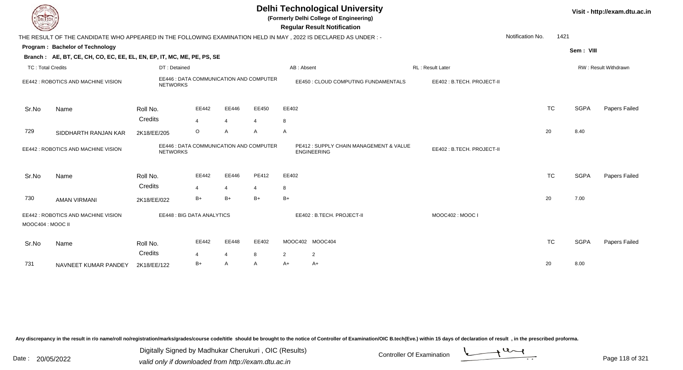| <b>DELIECH</b>           |                                                                                                                 |                                                            |                |                         |                |                | <b>Delhi Technological University</b><br>(Formerly Delhi College of Engineering)<br><b>Regular Result Notification</b> |                           |                  |           |             | Visit - http://exam.dtu.ac.in |
|--------------------------|-----------------------------------------------------------------------------------------------------------------|------------------------------------------------------------|----------------|-------------------------|----------------|----------------|------------------------------------------------------------------------------------------------------------------------|---------------------------|------------------|-----------|-------------|-------------------------------|
|                          | THE RESULT OF THE CANDIDATE WHO APPEARED IN THE FOLLOWING EXAMINATION HELD IN MAY, 2022 IS DECLARED AS UNDER :- |                                                            |                |                         |                |                |                                                                                                                        |                           | Notification No. | 1421      |             |                               |
|                          | Program: Bachelor of Technology                                                                                 |                                                            |                |                         |                |                |                                                                                                                        |                           |                  |           | Sem: VIII   |                               |
|                          | Branch: AE, BT, CE, CH, CO, EC, EE, EL, EN, EP, IT, MC, ME, PE, PS, SE                                          |                                                            |                |                         |                |                |                                                                                                                        |                           |                  |           |             |                               |
| <b>TC: Total Credits</b> |                                                                                                                 | DT: Detained                                               |                |                         |                | AB: Absent     |                                                                                                                        | RL: Result Later          |                  |           |             | RW: Result Withdrawn          |
|                          | EE442 : ROBOTICS AND MACHINE VISION                                                                             | EE446 : DATA COMMUNICATION AND COMPUTER<br><b>NETWORKS</b> |                |                         |                |                | EE450 : CLOUD COMPUTING FUNDAMENTALS                                                                                   | EE402: B.TECH. PROJECT-II |                  |           |             |                               |
| Sr.No                    | Name                                                                                                            | Roll No.                                                   | EE442          | EE446                   | EE450          | EE402          |                                                                                                                        |                           |                  | <b>TC</b> | <b>SGPA</b> | Papers Failed                 |
|                          |                                                                                                                 | Credits                                                    | $\overline{4}$ | $\overline{4}$          | $\overline{4}$ | 8              |                                                                                                                        |                           |                  |           |             |                               |
| 729                      | SIDDHARTH RANJAN KAR                                                                                            | 2K18/EE/205                                                | $\circ$        | $\mathsf{A}$            | A              | A              |                                                                                                                        |                           |                  | 20        | 8.40        |                               |
|                          | EE442 : ROBOTICS AND MACHINE VISION                                                                             | EE446 : DATA COMMUNICATION AND COMPUTER<br><b>NETWORKS</b> |                |                         |                |                | PE412: SUPPLY CHAIN MANAGEMENT & VALUE<br><b>ENGINEERING</b>                                                           | EE402: B.TECH. PROJECT-II |                  |           |             |                               |
| Sr.No                    | Name                                                                                                            | Roll No.<br>Credits                                        | EE442<br>4     | EE446<br>$\overline{4}$ | PE412          | EE402<br>8     |                                                                                                                        |                           |                  | <b>TC</b> | <b>SGPA</b> | Papers Failed                 |
| 730                      | <b>AMAN VIRMANI</b>                                                                                             | 2K18/EE/022                                                | $B+$           | $B+$                    | $B+$           | $B+$           |                                                                                                                        |                           |                  | 20        | 7.00        |                               |
| MOOC404 : MOOC II        | EE442 : ROBOTICS AND MACHINE VISION                                                                             | <b>EE448: BIG DATA ANALYTICS</b>                           |                |                         |                |                | EE402: B.TECH. PROJECT-II                                                                                              | MOOC402: MOOC I           |                  |           |             |                               |
| Sr.No                    | Name                                                                                                            | Roll No.<br>Credits                                        | EE442<br>4     | EE448<br>$\overline{4}$ | EE402<br>8     | $\overline{2}$ | MOOC402 MOOC404<br>$\overline{2}$                                                                                      |                           |                  | <b>TC</b> | <b>SGPA</b> | <b>Papers Failed</b>          |
| 731                      | NAVNEET KUMAR PANDEY                                                                                            | 2K18/EE/122                                                | $B+$           | $\mathsf{A}$            | A              | $A+$           | A+                                                                                                                     |                           |                  | 20        | 8.00        |                               |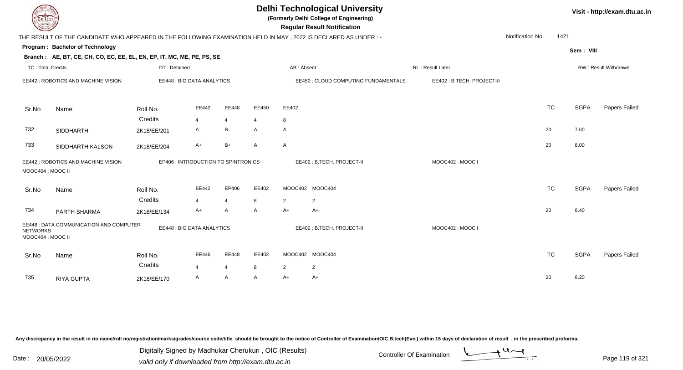| EL ECH                                                                          |                                                                                                                 |                                  |                                     |                |       |                           | <b>Delhi Technological University</b><br>(Formerly Delhi College of Engineering)<br><b>Regular Result Notification</b> |                           |                  |           |             | Visit - http://exam.dtu.ac.in |
|---------------------------------------------------------------------------------|-----------------------------------------------------------------------------------------------------------------|----------------------------------|-------------------------------------|----------------|-------|---------------------------|------------------------------------------------------------------------------------------------------------------------|---------------------------|------------------|-----------|-------------|-------------------------------|
|                                                                                 | THE RESULT OF THE CANDIDATE WHO APPEARED IN THE FOLLOWING EXAMINATION HELD IN MAY, 2022 IS DECLARED AS UNDER :- |                                  |                                     |                |       |                           |                                                                                                                        |                           | Notification No. | 1421      |             |                               |
|                                                                                 | Program: Bachelor of Technology                                                                                 |                                  |                                     |                |       |                           |                                                                                                                        |                           |                  |           | Sem: VIII   |                               |
|                                                                                 | Branch: AE, BT, CE, CH, CO, EC, EE, EL, EN, EP, IT, MC, ME, PE, PS, SE                                          |                                  |                                     |                |       |                           |                                                                                                                        |                           |                  |           |             |                               |
| <b>TC: Total Credits</b>                                                        |                                                                                                                 | DT: Detained                     |                                     |                |       | AB: Absent                |                                                                                                                        | RL: Result Later          |                  |           |             | RW: Result Withdrawn          |
|                                                                                 | EE442 : ROBOTICS AND MACHINE VISION                                                                             |                                  | EE448 : BIG DATA ANALYTICS          |                |       |                           | EE450 : CLOUD COMPUTING FUNDAMENTALS                                                                                   | EE402: B.TECH. PROJECT-II |                  |           |             |                               |
| Sr.No                                                                           | Name                                                                                                            | Roll No.                         | EE442                               | EE448          | EE450 | EE402                     |                                                                                                                        |                           |                  | <b>TC</b> | <b>SGPA</b> | Papers Failed                 |
|                                                                                 |                                                                                                                 | Credits                          | $\overline{4}$                      | $\overline{4}$ | 4     | 8                         |                                                                                                                        |                           |                  |           |             |                               |
| 732                                                                             | <b>SIDDHARTH</b>                                                                                                | 2K18/EE/201                      | A                                   | B              | A     | A                         |                                                                                                                        |                           |                  | 20        | 7.60        |                               |
| 733                                                                             | SIDDHARTH KALSON                                                                                                | 2K18/EE/204                      | A+                                  | $B+$           | A     | A                         |                                                                                                                        |                           |                  | 20        | 8.00        |                               |
| MOOC404 : MOOC II                                                               | EE442 : ROBOTICS AND MACHINE VISION                                                                             |                                  | EP406 : INTRODUCTION TO SPINTRONICS |                |       |                           | EE402: B.TECH. PROJECT-II                                                                                              | MOOC402: MOOC I           |                  |           |             |                               |
| Sr.No                                                                           | Name                                                                                                            | Roll No.                         | EE442                               | EP406          | EE402 |                           | MOOC402 MOOC404                                                                                                        |                           |                  | <b>TC</b> | <b>SGPA</b> | Papers Failed                 |
|                                                                                 |                                                                                                                 | Credits                          | $\overline{4}$                      | $\overline{4}$ | 8     | 2                         | 2                                                                                                                      |                           |                  |           |             |                               |
| 734                                                                             | PARTH SHARMA                                                                                                    | 2K18/EE/134                      | $A+$                                | A              | A     | $A+$                      | $A+$                                                                                                                   |                           |                  | 20        | 8.40        |                               |
| EE446 : DATA COMMUNICATION AND COMPUTER<br><b>NETWORKS</b><br>MOOC404 : MOOC II |                                                                                                                 | <b>EE448: BIG DATA ANALYTICS</b> |                                     |                |       | EE402: B.TECH. PROJECT-II | MOOC402: MOOC I                                                                                                        |                           |                  |           |             |                               |
| Sr.No                                                                           | Name                                                                                                            | Roll No.                         | EE446                               | EE448          | EE402 |                           | MOOC402 MOOC404                                                                                                        |                           |                  | <b>TC</b> | <b>SGPA</b> | Papers Failed                 |
|                                                                                 |                                                                                                                 | Credits                          | 4                                   | $\overline{4}$ | 8     | $\overline{2}$            | $\overline{2}$                                                                                                         |                           |                  |           |             |                               |
| 735                                                                             | RIYA GUPTA                                                                                                      | 2K18/EE/170                      | A                                   | A              | A     | $A+$                      | A+                                                                                                                     |                           |                  | 20        | 8.20        |                               |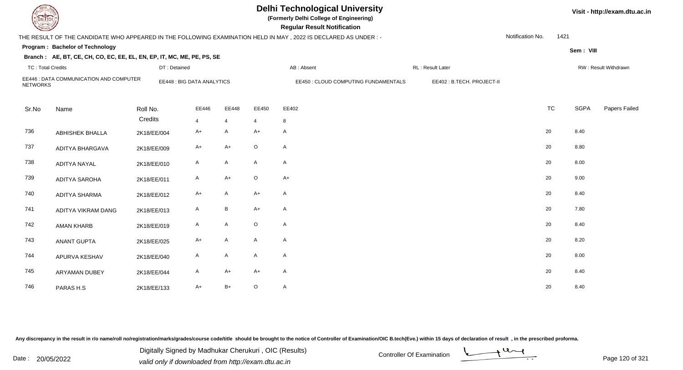|                          |                                                                        |              |                            |                 |                | <b>Delhi Technological University</b><br>(Formerly Delhi College of Engineering)<br><b>Regular Result Notification</b> |                           |                  |      |             | Visit - http://exam.dtu.ac.in |
|--------------------------|------------------------------------------------------------------------|--------------|----------------------------|-----------------|----------------|------------------------------------------------------------------------------------------------------------------------|---------------------------|------------------|------|-------------|-------------------------------|
|                          |                                                                        |              |                            |                 |                | THE RESULT OF THE CANDIDATE WHO APPEARED IN THE FOLLOWING EXAMINATION HELD IN MAY , 2022 IS DECLARED AS UNDER :-       |                           | Notification No. | 1421 |             |                               |
|                          | Program: Bachelor of Technology                                        |              |                            |                 |                |                                                                                                                        |                           |                  |      | Sem: VIII   |                               |
|                          | Branch: AE, BT, CE, CH, CO, EC, EE, EL, EN, EP, IT, MC, ME, PE, PS, SE |              |                            |                 |                |                                                                                                                        |                           |                  |      |             |                               |
| <b>TC: Total Credits</b> |                                                                        | DT: Detained |                            |                 |                | AB: Absent                                                                                                             | RL: Result Later          |                  |      |             | RW: Result Withdrawn          |
| <b>NETWORKS</b>          | EE446 : DATA COMMUNICATION AND COMPUTER                                |              | EE448 : BIG DATA ANALYTICS |                 |                | EE450 : CLOUD COMPUTING FUNDAMENTALS                                                                                   | EE402: B.TECH. PROJECT-II |                  |      |             |                               |
| Sr.No                    | Name                                                                   | Roll No.     | EE446                      | EE448           | EE450          | EE402                                                                                                                  |                           | <b>TC</b>        |      | <b>SGPA</b> | Papers Failed                 |
|                          |                                                                        | Credits      | $\overline{4}$             | $\overline{4}$  | $\overline{4}$ | 8                                                                                                                      |                           |                  |      |             |                               |
| 736                      | <b>ABHISHEK BHALLA</b>                                                 | 2K18/EE/004  | A+                         | A               | $A+$           | $\mathsf{A}$                                                                                                           |                           | 20               |      | 8.40        |                               |
| 737                      | ADITYA BHARGAVA                                                        | 2K18/EE/009  | A+                         | $A+$            | $\circ$        | $\mathsf{A}$                                                                                                           |                           | 20               |      | 8.80        |                               |
| 738                      | <b>ADITYA NAYAL</b>                                                    | 2K18/EE/010  | $\mathsf{A}$               | $\mathsf{A}$    | $\mathsf{A}$   | $\mathsf{A}$                                                                                                           |                           | 20               |      | 8.00        |                               |
| 739                      | <b>ADITYA SAROHA</b>                                                   | 2K18/EE/011  | $\mathsf{A}$               | $A+$            | $\circ$        | $A+$                                                                                                                   |                           | 20               |      | 9.00        |                               |
| 740                      | <b>ADITYA SHARMA</b>                                                   | 2K18/EE/012  | $A+$                       | $\mathsf{A}$    | $A+$           | $\mathsf{A}$                                                                                                           |                           | 20               |      | 8.40        |                               |
| 741                      | ADITYA VIKRAM DANG                                                     | 2K18/EE/013  | A                          | $\, {\bf B} \,$ | $A+$           | $\mathsf{A}$                                                                                                           |                           | 20               |      | 7.80        |                               |
| 742                      | <b>AMAN KHARB</b>                                                      | 2K18/EE/019  | A                          | $\mathsf{A}$    | $\circ$        | $\mathsf{A}$                                                                                                           |                           | 20               |      | 8.40        |                               |
| 743                      | <b>ANANT GUPTA</b>                                                     | 2K18/EE/025  | A+                         | A               | $\mathsf{A}$   | $\mathsf{A}$                                                                                                           |                           | 20               |      | 8.20        |                               |
| 744                      | APURVA KESHAV                                                          | 2K18/EE/040  | $\mathsf{A}$               | $\mathsf{A}$    | $\mathsf{A}$   | $\mathsf{A}$                                                                                                           |                           | 20               |      | 8.00        |                               |
| 745                      | <b>ARYAMAN DUBEY</b>                                                   | 2K18/EE/044  | A                          | $A+$            | $A+$           | $\mathsf{A}$                                                                                                           |                           | 20               |      | 8.40        |                               |
| 746                      | PARAS H.S                                                              | 2K18/EE/133  | A+                         | $B+$            | $\circ$        | $\mathsf{A}$                                                                                                           |                           | 20               |      | 8.40        |                               |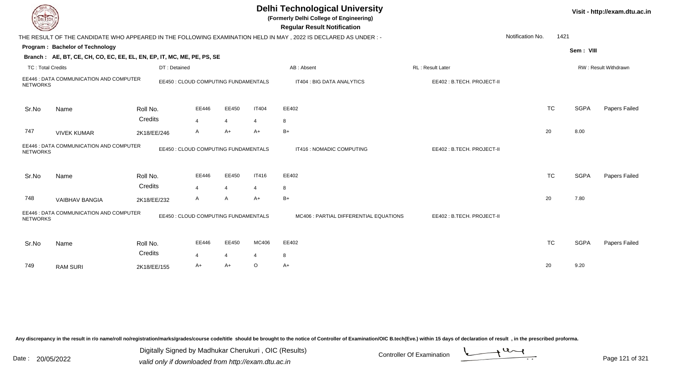|                          |                                                                        |                                      |                         |                |              | <b>Delhi Technological University</b><br>(Formerly Delhi College of Engineering)<br><b>Regular Result Notification</b> |                           |                  |           |             | Visit - http://exam.dtu.ac.in |
|--------------------------|------------------------------------------------------------------------|--------------------------------------|-------------------------|----------------|--------------|------------------------------------------------------------------------------------------------------------------------|---------------------------|------------------|-----------|-------------|-------------------------------|
|                          |                                                                        |                                      |                         |                |              | THE RESULT OF THE CANDIDATE WHO APPEARED IN THE FOLLOWING EXAMINATION HELD IN MAY , 2022 IS DECLARED AS UNDER :-       |                           | Notification No. | 1421      |             |                               |
|                          | Program: Bachelor of Technology                                        |                                      |                         |                |              |                                                                                                                        |                           |                  |           | Sem: VIII   |                               |
|                          | Branch: AE, BT, CE, CH, CO, EC, EE, EL, EN, EP, IT, MC, ME, PE, PS, SE |                                      |                         |                |              |                                                                                                                        |                           |                  |           |             |                               |
| <b>TC: Total Credits</b> |                                                                        | DT: Detained                         |                         |                |              | AB: Absent                                                                                                             | RL: Result Later          |                  |           |             | RW: Result Withdrawn          |
| <b>NETWORKS</b>          | EE446 : DATA COMMUNICATION AND COMPUTER                                | EE450 : CLOUD COMPUTING FUNDAMENTALS |                         |                |              | IT404 : BIG DATA ANALYTICS                                                                                             | EE402: B.TECH. PROJECT-II |                  |           |             |                               |
| Sr.No                    | Name                                                                   | Roll No.                             | EE446                   | EE450          | <b>IT404</b> | EE402                                                                                                                  |                           |                  | <b>TC</b> | <b>SGPA</b> | Papers Failed                 |
|                          |                                                                        | Credits                              | $\overline{4}$          | $\overline{4}$ | 4            | 8                                                                                                                      |                           |                  |           |             |                               |
| 747                      | <b>VIVEK KUMAR</b>                                                     | 2K18/EE/246                          | A                       | A+             | $A+$         | $B+$                                                                                                                   |                           |                  | 20        | 8.00        |                               |
| <b>NETWORKS</b>          | EE446 : DATA COMMUNICATION AND COMPUTER                                | EE450 : CLOUD COMPUTING FUNDAMENTALS |                         |                |              | IT416 : NOMADIC COMPUTING                                                                                              | EE402: B.TECH. PROJECT-II |                  |           |             |                               |
| Sr.No                    | Name                                                                   | Roll No.                             | EE446                   | EE450          | <b>IT416</b> | EE402                                                                                                                  |                           |                  | <b>TC</b> | <b>SGPA</b> | Papers Failed                 |
|                          |                                                                        | Credits                              | $\overline{\mathbf{A}}$ | $\overline{4}$ | 4            | 8                                                                                                                      |                           |                  |           |             |                               |
| 748                      | <b>VAIBHAV BANGIA</b>                                                  | 2K18/EE/232                          | A                       | A              | $A+$         | $B+$                                                                                                                   |                           |                  | 20        | 7.80        |                               |
| <b>NETWORKS</b>          | EE446 : DATA COMMUNICATION AND COMPUTER                                | EE450 : CLOUD COMPUTING FUNDAMENTALS |                         |                |              | MC406 : PARTIAL DIFFERENTIAL EQUATIONS                                                                                 | EE402: B.TECH. PROJECT-II |                  |           |             |                               |
| Sr.No                    | Name                                                                   | Roll No.                             | EE446                   | EE450          | MC406        | EE402                                                                                                                  |                           |                  | <b>TC</b> | <b>SGPA</b> | Papers Failed                 |
|                          |                                                                        | Credits                              | 4                       | $\overline{4}$ | 4            | 8                                                                                                                      |                           |                  |           |             |                               |
| 749                      | <b>RAM SURI</b>                                                        | 2K18/EE/155                          | A+                      | A+             | $\circ$      | A+                                                                                                                     |                           |                  | 20        | 9.20        |                               |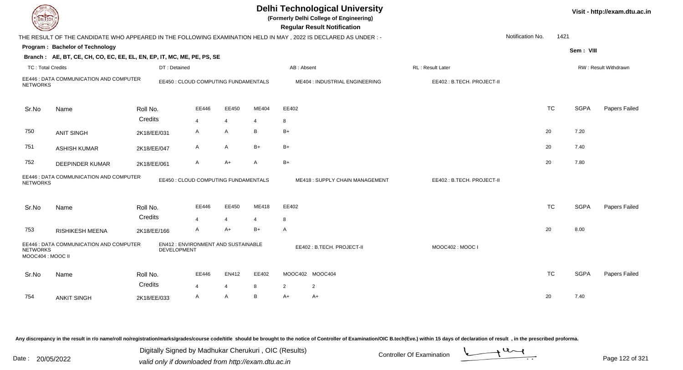| DEL TECH          |                                                                                                                           |              |                                      |                |       |              | <b>Delhi Technological University</b><br>(Formerly Delhi College of Engineering)<br><b>Regular Result Notification</b> |                           |                  |           |             | Visit - http://exam.dtu.ac.in |
|-------------------|---------------------------------------------------------------------------------------------------------------------------|--------------|--------------------------------------|----------------|-------|--------------|------------------------------------------------------------------------------------------------------------------------|---------------------------|------------------|-----------|-------------|-------------------------------|
|                   | THE RESULT OF THE CANDIDATE WHO APPEARED IN THE FOLLOWING EXAMINATION HELD IN MAY, 2022 IS DECLARED AS UNDER:-            |              |                                      |                |       |              |                                                                                                                        |                           | Notification No. | 1421      |             |                               |
|                   | Program: Bachelor of Technology                                                                                           |              |                                      |                |       |              |                                                                                                                        |                           |                  |           | Sem: VIII   |                               |
|                   | Branch: AE, BT, CE, CH, CO, EC, EE, EL, EN, EP, IT, MC, ME, PE, PS, SE                                                    |              |                                      |                |       |              |                                                                                                                        |                           |                  |           |             |                               |
| TC: Total Credits |                                                                                                                           | DT: Detained |                                      |                |       | AB: Absent   |                                                                                                                        | RL: Result Later          |                  |           |             | RW: Result Withdrawn          |
| <b>NETWORKS</b>   | EE446 : DATA COMMUNICATION AND COMPUTER                                                                                   |              | EE450 : CLOUD COMPUTING FUNDAMENTALS |                |       |              | ME404 : INDUSTRIAL ENGINEERING                                                                                         | EE402: B.TECH. PROJECT-II |                  |           |             |                               |
| Sr.No             | Name                                                                                                                      | Roll No.     | EE446                                | EE450          | ME404 | EE402        |                                                                                                                        |                           |                  | <b>TC</b> | <b>SGPA</b> | Papers Failed                 |
|                   |                                                                                                                           | Credits      | 4                                    | $\overline{4}$ |       | 8            |                                                                                                                        |                           |                  |           |             |                               |
| 750               | <b>ANIT SINGH</b>                                                                                                         | 2K18/EE/031  | A                                    | A              | В     | $B+$         |                                                                                                                        |                           |                  | 20        | 7.20        |                               |
| 751               | <b>ASHISH KUMAR</b>                                                                                                       | 2K18/EE/047  | A                                    | A              | B+    | $B+$         |                                                                                                                        |                           |                  | 20        | 7.40        |                               |
| 752               | <b>DEEPINDER KUMAR</b>                                                                                                    | 2K18/EE/061  | A                                    | $A+$           | A     | $B+$         |                                                                                                                        |                           |                  | 20        | 7.80        |                               |
| <b>NETWORKS</b>   | EE446 : DATA COMMUNICATION AND COMPUTER                                                                                   |              | EE450 : CLOUD COMPUTING FUNDAMENTALS |                |       |              | ME418: SUPPLY CHAIN MANAGEMENT                                                                                         | EE402: B.TECH. PROJECT-II |                  |           |             |                               |
| Sr.No             | Name                                                                                                                      | Roll No.     | EE446                                | EE450          | ME418 | EE402        |                                                                                                                        |                           |                  | <b>TC</b> | <b>SGPA</b> | Papers Failed                 |
|                   |                                                                                                                           | Credits      | 4                                    | 4              | 4     | 8            |                                                                                                                        |                           |                  |           |             |                               |
| 753               | <b>RISHIKESH MEENA</b>                                                                                                    | 2K18/EE/166  | A                                    | $A+$           | B+    | $\mathsf{A}$ |                                                                                                                        |                           |                  | 20        | 8.00        |                               |
| <b>NETWORKS</b>   | EE446 : DATA COMMUNICATION AND COMPUTER<br>EN412 : ENVIRONMENT AND SUSTAINABLE<br><b>DEVELOPMENT</b><br>MOOC404 : MOOC II |              |                                      |                |       |              | EE402: B.TECH. PROJECT-II                                                                                              | MOOC402: MOOC I           |                  |           |             |                               |
| Sr.No             | Name                                                                                                                      | Roll No.     | EE446                                | EN412          | EE402 |              | MOOC402 MOOC404                                                                                                        |                           |                  | <b>TC</b> | <b>SGPA</b> | Papers Failed                 |
|                   |                                                                                                                           | Credits      | 4                                    | $\overline{4}$ | 8     | 2            | 2                                                                                                                      |                           |                  |           |             |                               |
| 754               | <b>ANKIT SINGH</b>                                                                                                        | 2K18/EE/033  | A                                    | A              | B     | $A+$         | $A+$                                                                                                                   |                           |                  | 20        | 7.40        |                               |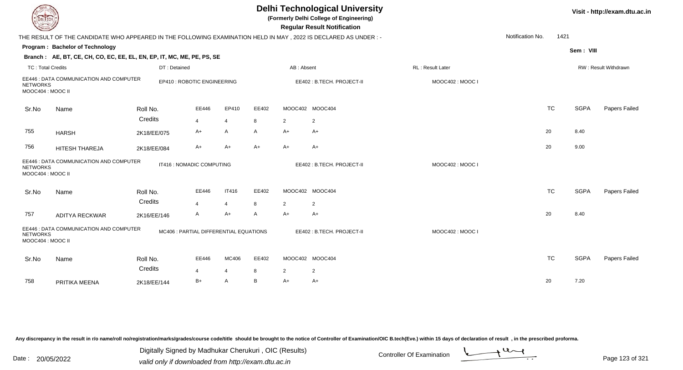| <b>DELTECH</b>                       |                                                                                                                 |              |                                        |                |       |                | <b>Delhi Technological University</b><br>(Formerly Delhi College of Engineering)<br><b>Regular Result Notification</b> |                  |                  |           |             | Visit - http://exam.dtu.ac.in |
|--------------------------------------|-----------------------------------------------------------------------------------------------------------------|--------------|----------------------------------------|----------------|-------|----------------|------------------------------------------------------------------------------------------------------------------------|------------------|------------------|-----------|-------------|-------------------------------|
|                                      | THE RESULT OF THE CANDIDATE WHO APPEARED IN THE FOLLOWING EXAMINATION HELD IN MAY, 2022 IS DECLARED AS UNDER :- |              |                                        |                |       |                |                                                                                                                        |                  | Notification No. | 1421      |             |                               |
|                                      | Program: Bachelor of Technology                                                                                 |              |                                        |                |       |                |                                                                                                                        |                  |                  |           | Sem: VIII   |                               |
|                                      | Branch: AE, BT, CE, CH, CO, EC, EE, EL, EN, EP, IT, MC, ME, PE, PS, SE                                          |              |                                        |                |       |                |                                                                                                                        |                  |                  |           |             |                               |
| <b>TC: Total Credits</b>             |                                                                                                                 | DT: Detained |                                        |                |       | AB: Absent     |                                                                                                                        | RL: Result Later |                  |           |             | RW: Result Withdrawn          |
| <b>NETWORKS</b><br>MOOC404 : MOOC II | EE446 : DATA COMMUNICATION AND COMPUTER                                                                         |              | EP410 : ROBOTIC ENGINEERING            |                |       |                | EE402: B.TECH. PROJECT-II                                                                                              | MOOC402: MOOC I  |                  |           |             |                               |
| Sr.No                                | Name                                                                                                            | Roll No.     | EE446                                  | EP410          | EE402 |                | MOOC402 MOOC404                                                                                                        |                  |                  | <b>TC</b> | <b>SGPA</b> | Papers Failed                 |
|                                      |                                                                                                                 | Credits      | $\overline{4}$                         | $\overline{4}$ | 8     | 2              | $\overline{2}$                                                                                                         |                  |                  |           |             |                               |
| 755                                  | <b>HARSH</b>                                                                                                    | 2K18/EE/075  | A+                                     | A              | A     | A+             | A+                                                                                                                     |                  |                  | 20        | 8.40        |                               |
| 756                                  | HITESH THAREJA                                                                                                  | 2K18/EE/084  | A+                                     | $A+$           | $A+$  | $A+$           | A+                                                                                                                     |                  |                  | 20        | 9.00        |                               |
| <b>NETWORKS</b><br>MOOC404 : MOOC II | EE446 : DATA COMMUNICATION AND COMPUTER                                                                         |              | IT416 : NOMADIC COMPUTING              |                |       |                | EE402: B.TECH. PROJECT-II                                                                                              | MOOC402: MOOC I  |                  |           |             |                               |
| Sr.No                                | Name                                                                                                            | Roll No.     | EE446                                  | <b>IT416</b>   | EE402 |                | MOOC402 MOOC404                                                                                                        |                  |                  | <b>TC</b> | <b>SGPA</b> | Papers Failed                 |
|                                      |                                                                                                                 | Credits      | $\overline{4}$                         | $\overline{4}$ | 8     | $\overline{2}$ | $\overline{2}$                                                                                                         |                  |                  |           |             |                               |
| 757                                  | <b>ADITYA RECKWAR</b>                                                                                           | 2K16/EE/146  | A                                      | $A+$           | A     | $A+$           | A+                                                                                                                     |                  |                  | 20        | 8.40        |                               |
| <b>NETWORKS</b><br>MOOC404 : MOOC II | EE446 : DATA COMMUNICATION AND COMPUTER                                                                         |              | MC406 : PARTIAL DIFFERENTIAL EQUATIONS |                |       |                | EE402: B.TECH. PROJECT-II                                                                                              | MOOC402: MOOC I  |                  |           |             |                               |
| Sr.No                                | Name                                                                                                            | Roll No.     | EE446                                  | MC406          | EE402 |                | MOOC402 MOOC404                                                                                                        |                  |                  | <b>TC</b> | <b>SGPA</b> | Papers Failed                 |
|                                      |                                                                                                                 | Credits      | 4                                      | 4              | 8     | 2              | $\overline{2}$                                                                                                         |                  |                  |           |             |                               |
| 758                                  | PRITIKA MEENA                                                                                                   | 2K18/EE/144  | $B+$                                   | $\overline{A}$ | B     | A+             | A+                                                                                                                     |                  |                  | 20        | 7.20        |                               |

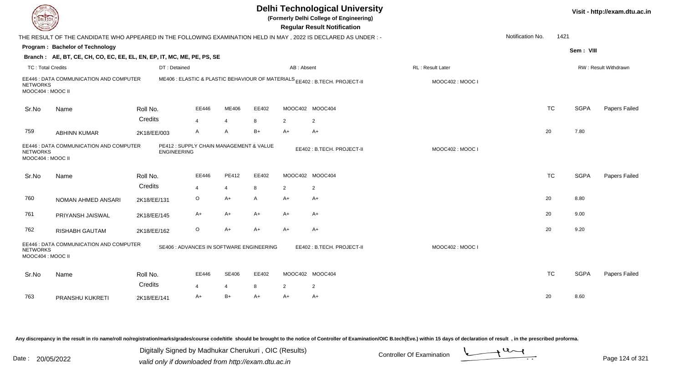| <b>DELTECH</b>                       |                                                                                                                |                     |                                          |                        |         |                | <b>Delhi Technological University</b><br>(Formerly Delhi College of Engineering)<br><b>Regular Result Notification</b> |                  |                  |           |             | Visit - http://exam.dtu.ac.in |
|--------------------------------------|----------------------------------------------------------------------------------------------------------------|---------------------|------------------------------------------|------------------------|---------|----------------|------------------------------------------------------------------------------------------------------------------------|------------------|------------------|-----------|-------------|-------------------------------|
|                                      | THE RESULT OF THE CANDIDATE WHO APPEARED IN THE FOLLOWING EXAMINATION HELD IN MAY, 2022 IS DECLARED AS UNDER:- |                     |                                          |                        |         |                |                                                                                                                        |                  | Notification No. | 1421      |             |                               |
|                                      | Program: Bachelor of Technology                                                                                |                     |                                          |                        |         |                |                                                                                                                        |                  |                  |           | Sem: VIII   |                               |
|                                      | Branch: AE, BT, CE, CH, CO, EC, EE, EL, EN, EP, IT, MC, ME, PE, PS, SE                                         |                     |                                          |                        |         |                |                                                                                                                        |                  |                  |           |             |                               |
| <b>TC: Total Credits</b>             |                                                                                                                | DT: Detained        |                                          |                        |         | AB: Absent     |                                                                                                                        | RL: Result Later |                  |           |             | RW: Result Withdrawn          |
| <b>NETWORKS</b><br>MOOC404: MOOC II  | EE446 : DATA COMMUNICATION AND COMPUTER                                                                        |                     |                                          |                        |         |                | ME406 : ELASTIC & PLASTIC BEHAVIOUR OF MATERIALS EE402 : B.TECH. PROJECT-II                                            | MOOC402: MOOC I  |                  |           |             |                               |
| Sr.No                                | Name                                                                                                           | Roll No.            | EE446                                    | ME406                  | EE402   |                | MOOC402 MOOC404                                                                                                        |                  |                  | <b>TC</b> | <b>SGPA</b> | Papers Failed                 |
|                                      |                                                                                                                | Credits             | $\overline{4}$                           | $\overline{4}$         | 8       | $\overline{2}$ | $\overline{c}$                                                                                                         |                  |                  |           |             |                               |
| 759                                  | <b>ABHINN KUMAR</b>                                                                                            | 2K18/EE/003         | $\mathsf{A}$                             | A                      | B+      | A+             | A+                                                                                                                     |                  |                  | 20        | 7.80        |                               |
| <b>NETWORKS</b><br>MOOC404 : MOOC II | EE446 : DATA COMMUNICATION AND COMPUTER                                                                        | <b>ENGINEERING</b>  | PE412 : SUPPLY CHAIN MANAGEMENT & VALUE  |                        |         |                | EE402: B.TECH. PROJECT-II                                                                                              | MOOC402 : MOOC I |                  |           |             |                               |
| Sr.No                                | Name                                                                                                           | Roll No.            | EE446                                    | PE412                  | EE402   |                | MOOC402 MOOC404                                                                                                        |                  |                  | <b>TC</b> | <b>SGPA</b> | Papers Failed                 |
|                                      |                                                                                                                | Credits             | $\overline{4}$                           | $\overline{4}$         | 8       | 2              | 2                                                                                                                      |                  |                  |           |             |                               |
| 760                                  | NOMAN AHMED ANSARI                                                                                             | 2K18/EE/131         | $\circ$                                  | $A+$                   | A       | A+             | A+                                                                                                                     |                  |                  | 20        | 8.80        |                               |
| 761                                  | PRIYANSH JAISWAL                                                                                               | 2K18/EE/145         | A+                                       | A+                     | A+      | A+             | A+                                                                                                                     |                  |                  | 20        | 9.00        |                               |
| 762                                  | <b>RISHABH GAUTAM</b>                                                                                          | 2K18/EE/162         | $\circ$                                  | $A+$                   | A+      | A+             | $A+$                                                                                                                   |                  |                  | 20        | 9.20        |                               |
| <b>NETWORKS</b><br>MOOC404: MOOC II  | EE446 : DATA COMMUNICATION AND COMPUTER                                                                        |                     | SE406 : ADVANCES IN SOFTWARE ENGINEERING |                        |         |                | EE402: B.TECH. PROJECT-II                                                                                              | MOOC402: MOOC I  |                  |           |             |                               |
| Sr.No                                | Name                                                                                                           | Roll No.<br>Credits | EE446                                    | <b>SE406</b>           | EE402   |                | MOOC402 MOOC404                                                                                                        |                  |                  | <b>TC</b> | <b>SGPA</b> | Papers Failed                 |
| 763                                  |                                                                                                                |                     | $\boldsymbol{\Delta}$<br>$A+$            | $\overline{4}$<br>$B+$ | 8<br>A+ | 2<br>A+        | 2<br>A+                                                                                                                |                  |                  | 20        | 8.60        |                               |
|                                      | PRANSHU KUKRETI                                                                                                | 2K18/EE/141         |                                          |                        |         |                |                                                                                                                        |                  |                  |           |             |                               |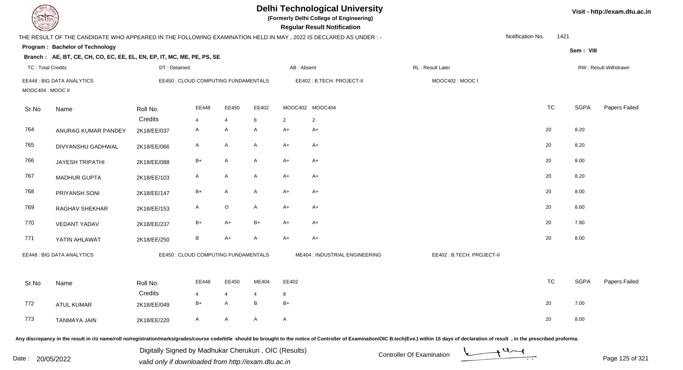| DEL TECH                 |                                                                                                                |              |                                      |                |             |                | <b>Delhi Technological University</b><br>(Formerly Delhi College of Engineering)<br><b>Regular Result Notification</b> |                                                                                                                                                                                                                                |                  |           |             | Visit - http://exam.dtu.ac.in |
|--------------------------|----------------------------------------------------------------------------------------------------------------|--------------|--------------------------------------|----------------|-------------|----------------|------------------------------------------------------------------------------------------------------------------------|--------------------------------------------------------------------------------------------------------------------------------------------------------------------------------------------------------------------------------|------------------|-----------|-------------|-------------------------------|
|                          | THE RESULT OF THE CANDIDATE WHO APPEARED IN THE FOLLOWING EXAMINATION HELD IN MAY, 2022 IS DECLARED AS UNDER:- |              |                                      |                |             |                |                                                                                                                        |                                                                                                                                                                                                                                | Notification No. | 1421      |             |                               |
|                          | Program: Bachelor of Technology                                                                                |              |                                      |                |             |                |                                                                                                                        |                                                                                                                                                                                                                                |                  |           | Sem: VIII   |                               |
|                          | Branch: AE, BT, CE, CH, CO, EC, EE, EL, EN, EP, IT, MC, ME, PE, PS, SE                                         |              |                                      |                |             |                |                                                                                                                        |                                                                                                                                                                                                                                |                  |           |             |                               |
| <b>TC: Total Credits</b> |                                                                                                                | DT: Detained |                                      |                |             | AB: Absent     |                                                                                                                        | RL: Result Later                                                                                                                                                                                                               |                  |           |             | RW: Result Withdrawn          |
| MOOC404 : MOOC II        | EE448 : BIG DATA ANALYTICS                                                                                     |              | EE450 : CLOUD COMPUTING FUNDAMENTALS |                |             |                | EE402: B.TECH. PROJECT-II                                                                                              | MOOC402: MOOC I                                                                                                                                                                                                                |                  |           |             |                               |
| Sr.No                    | Name                                                                                                           | Roll No.     | EE448                                | EE450          | EE402       |                | MOOC402 MOOC404                                                                                                        |                                                                                                                                                                                                                                |                  | <b>TC</b> | <b>SGPA</b> | Papers Failed                 |
|                          |                                                                                                                | Credits      | $\overline{4}$                       | $\overline{4}$ | 8           | $\overline{2}$ | $\overline{2}$                                                                                                         |                                                                                                                                                                                                                                |                  |           |             |                               |
| 764                      | ANURAG KUMAR PANDEY                                                                                            | 2K18/EE/037  | $\mathsf{A}$                         | A              | A           | A+             | A+                                                                                                                     |                                                                                                                                                                                                                                |                  | 20        | 8.20        |                               |
| 765                      | DIVYANSHU GADHWAL                                                                                              | 2K18/EE/066  | $\mathsf{A}$                         | $\mathsf{A}$   | A           | $A+$           | $A+$                                                                                                                   |                                                                                                                                                                                                                                |                  | 20        | 8.20        |                               |
| 766                      | <b>JAYESH TRIPATHI</b>                                                                                         | 2K18/EE/088  | $B+$                                 | A              | A           | A+             | $A+$                                                                                                                   |                                                                                                                                                                                                                                |                  | 20        | 8.00        |                               |
| 767                      | <b>MADHUR GUPTA</b>                                                                                            | 2K18/EE/103  | A                                    | A              | A           | A+             | $A+$                                                                                                                   |                                                                                                                                                                                                                                |                  | 20        | 8.20        |                               |
| 768                      | PRIYANSH SONI                                                                                                  | 2K18/EE/147  | $B+$                                 | $\mathsf{A}$   | A           | $A+$           | $A+$                                                                                                                   |                                                                                                                                                                                                                                |                  | 20        | 8.00        |                               |
| 769                      | RAGHAV SHEKHAR                                                                                                 | 2K18/EE/153  | A                                    | $\circ$        | A           | A+             | A+                                                                                                                     |                                                                                                                                                                                                                                |                  | 20        | 8.60        |                               |
| 770                      | <b>VEDANT YADAV</b>                                                                                            | 2K18/EE/237  | $B+$                                 | A+             | $B+$        | A+             | $A+$                                                                                                                   |                                                                                                                                                                                                                                |                  | 20        | 7.80        |                               |
| 771                      | YATIN AHLAWAT                                                                                                  | 2K18/EE/250  | $\, {\bf B} \,$                      | $A+$           | A           | $A+$           | $A+$                                                                                                                   |                                                                                                                                                                                                                                |                  | 20        | 8.00        |                               |
|                          | EE448 : BIG DATA ANALYTICS                                                                                     |              | EE450 : CLOUD COMPUTING FUNDAMENTALS |                |             |                | ME404 : INDUSTRIAL ENGINEERING                                                                                         | EE402: B.TECH. PROJECT-II                                                                                                                                                                                                      |                  |           |             |                               |
| Sr.No                    | Name                                                                                                           | Roll No.     | EE448                                |                | EE450 ME404 | EE402          |                                                                                                                        |                                                                                                                                                                                                                                |                  | TC        | SGPA        | Papers Failed                 |
|                          |                                                                                                                | Credits      | 4                                    | 4              | 4           | 8              |                                                                                                                        |                                                                                                                                                                                                                                |                  |           |             |                               |
| 772                      | <b>ATUL KUMAR</b>                                                                                              | 2K18/EE/049  | $B+$                                 | A              | B           | $B+$           |                                                                                                                        |                                                                                                                                                                                                                                |                  | 20        | 7.00        |                               |
| 773                      | <b>TANMAYA JAIN</b>                                                                                            | 2K18/EE/220  | A                                    | $\mathsf{A}$   | A           | $\mathsf{A}$   |                                                                                                                        |                                                                                                                                                                                                                                |                  | 20        | 8.00        |                               |
|                          |                                                                                                                |              |                                      |                |             |                |                                                                                                                        | Any discrepancy in the result in r/o name/roll no/registration/marks/grades/course code/title should be brought to the notice of Controller of Examination/OIC B.tech(Eve.) within 15 days of declaration of result , in the p |                  |           |             |                               |

Date : 20/05/2022 Digital Digital of Microsofted Chemical Controller Of Examination Determination Page 125 of 32 Digitally Signed by Madhukar Cherukuri , OIC (Results)

Page 125 of 321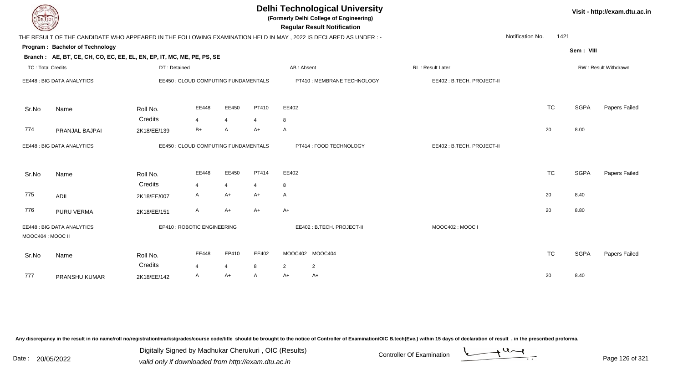| <b>DELTECH</b>           |                                                                        |              |                                      |                |                   |              | <b>Delhi Technological University</b><br>(Formerly Delhi College of Engineering)<br><b>Regular Result Notification</b> |                           |                  |           |             | Visit - http://exam.dtu.ac.in |
|--------------------------|------------------------------------------------------------------------|--------------|--------------------------------------|----------------|-------------------|--------------|------------------------------------------------------------------------------------------------------------------------|---------------------------|------------------|-----------|-------------|-------------------------------|
|                          |                                                                        |              |                                      |                |                   |              | THE RESULT OF THE CANDIDATE WHO APPEARED IN THE FOLLOWING EXAMINATION HELD IN MAY, 2022 IS DECLARED AS UNDER :-        |                           | Notification No. | 1421      |             |                               |
|                          | Program: Bachelor of Technology                                        |              |                                      |                |                   |              |                                                                                                                        |                           |                  |           | Sem: VIII   |                               |
|                          | Branch: AE, BT, CE, CH, CO, EC, EE, EL, EN, EP, IT, MC, ME, PE, PS, SE |              |                                      |                |                   |              |                                                                                                                        |                           |                  |           |             |                               |
| <b>TC: Total Credits</b> |                                                                        | DT: Detained |                                      |                |                   | AB: Absent   |                                                                                                                        | RL: Result Later          |                  |           |             | RW: Result Withdrawn          |
|                          | EE448 : BIG DATA ANALYTICS                                             |              | EE450 : CLOUD COMPUTING FUNDAMENTALS |                |                   |              | PT410 : MEMBRANE TECHNOLOGY                                                                                            | EE402: B.TECH. PROJECT-II |                  |           |             |                               |
| Sr.No                    | Name                                                                   | Roll No.     | EE448                                | EE450          | PT410             | EE402        |                                                                                                                        |                           |                  | <b>TC</b> | <b>SGPA</b> | Papers Failed                 |
|                          |                                                                        | Credits      | 4                                    | $\overline{4}$ | 4                 | 8            |                                                                                                                        |                           |                  |           |             |                               |
| 774                      | PRANJAL BAJPAI                                                         | 2K18/EE/139  | $B+$                                 | A              | $A+$              | A            |                                                                                                                        |                           |                  | 20        | 8.00        |                               |
|                          | EE448 : BIG DATA ANALYTICS                                             |              | EE450 : CLOUD COMPUTING FUNDAMENTALS |                |                   |              | PT414 : FOOD TECHNOLOGY                                                                                                | EE402: B.TECH. PROJECT-II |                  |           |             |                               |
| Sr.No                    | Name                                                                   | Roll No.     | EE448                                | EE450          | PT414             | EE402        |                                                                                                                        |                           |                  | <b>TC</b> | <b>SGPA</b> | Papers Failed                 |
|                          |                                                                        | Credits      | 4                                    | $\overline{4}$ | $\overline{4}$    | 8            |                                                                                                                        |                           |                  |           |             |                               |
| 775                      | <b>ADIL</b>                                                            | 2K18/EE/007  | A                                    | A+             | A+                | $\mathsf{A}$ |                                                                                                                        |                           |                  | 20        | 8.40        |                               |
| 776                      | PURU VERMA                                                             | 2K18/EE/151  | A                                    | $A+$           | $A+$              | $A+$         |                                                                                                                        |                           |                  | 20        | 8.80        |                               |
| MOOC404 : MOOC II        | EE448 : BIG DATA ANALYTICS                                             |              | EP410 : ROBOTIC ENGINEERING          |                |                   |              | EE402: B.TECH. PROJECT-II                                                                                              | MOOC402: MOOC I           |                  |           |             |                               |
| Sr.No                    | Name                                                                   | Roll No.     | EE448                                | EP410          | EE402             |              | MOOC402 MOOC404                                                                                                        |                           |                  | <b>TC</b> | <b>SGPA</b> | Papers Failed                 |
| 777                      |                                                                        | Credits      | $\boldsymbol{\Delta}$<br>A           | 4<br>$A+$      | 8<br>$\mathsf{A}$ | 2<br>$A+$    | $\overline{2}$<br>$A+$                                                                                                 |                           |                  | 20        | 8.40        |                               |
|                          | PRANSHU KUMAR                                                          | 2K18/EE/142  |                                      |                |                   |              |                                                                                                                        |                           |                  |           |             |                               |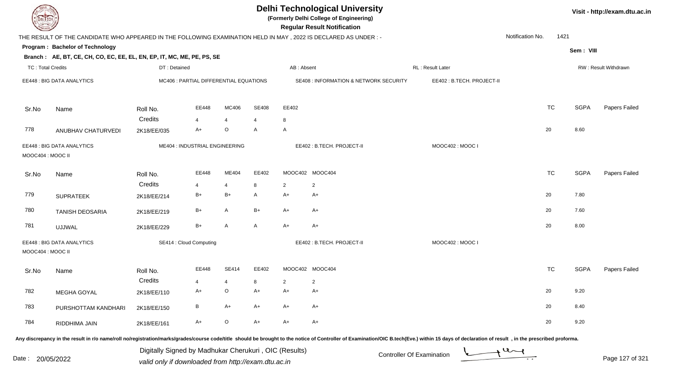| <b>DELTECH</b>                                                                                                                                                                                                                 |                                                       |                                        |                |              |            | <b>Delhi Technological University</b><br>(Formerly Delhi College of Engineering)<br><b>Regular Result Notification</b> |                                                  |                  |           |             | Visit - http://exam.dtu.ac.in |
|--------------------------------------------------------------------------------------------------------------------------------------------------------------------------------------------------------------------------------|-------------------------------------------------------|----------------------------------------|----------------|--------------|------------|------------------------------------------------------------------------------------------------------------------------|--------------------------------------------------|------------------|-----------|-------------|-------------------------------|
| THE RESULT OF THE CANDIDATE WHO APPEARED IN THE FOLLOWING EXAMINATION HELD IN MAY, 2022 IS DECLARED AS UNDER:-                                                                                                                 |                                                       |                                        |                |              |            |                                                                                                                        |                                                  | Notification No. | 1421      |             |                               |
| Program: Bachelor of Technology                                                                                                                                                                                                |                                                       |                                        |                |              |            |                                                                                                                        |                                                  |                  |           | Sem: VIII   |                               |
| Branch: AE, BT, CE, CH, CO, EC, EE, EL, EN, EP, IT, MC, ME, PE, PS, SE                                                                                                                                                         |                                                       |                                        |                |              |            |                                                                                                                        |                                                  |                  |           |             |                               |
| <b>TC: Total Credits</b>                                                                                                                                                                                                       | DT: Detained                                          |                                        |                |              | AB: Absent |                                                                                                                        | RL: Result Later                                 |                  |           |             | RW: Result Withdrawn          |
| EE448 : BIG DATA ANALYTICS                                                                                                                                                                                                     |                                                       | MC406 : PARTIAL DIFFERENTIAL EQUATIONS |                |              |            | SE408 : INFORMATION & NETWORK SECURITY                                                                                 | EE402: B.TECH. PROJECT-II                        |                  |           |             |                               |
| Name<br>Sr.No                                                                                                                                                                                                                  | Roll No.                                              | EE448                                  | MC406          | <b>SE408</b> | EE402      |                                                                                                                        |                                                  |                  | <b>TC</b> | <b>SGPA</b> | Papers Failed                 |
|                                                                                                                                                                                                                                | Credits                                               | $\overline{4}$                         | $\overline{4}$ | 4            | 8          |                                                                                                                        |                                                  |                  |           |             |                               |
| 778<br>ANUBHAV CHATURVEDI                                                                                                                                                                                                      | 2K18/EE/035                                           | $A+$                                   | $\circ$        | A            | A          |                                                                                                                        |                                                  |                  | 20        | 8.60        |                               |
| EE448 : BIG DATA ANALYTICS<br>MOOC404 : MOOC II                                                                                                                                                                                | ME404 : INDUSTRIAL ENGINEERING                        |                                        |                |              |            | EE402: B.TECH. PROJECT-II                                                                                              | MOOC402: MOOC I                                  |                  |           |             |                               |
| Name<br>Sr.No                                                                                                                                                                                                                  | Roll No.                                              | EE448                                  | ME404          | EE402        |            | MOOC402 MOOC404                                                                                                        |                                                  |                  | <b>TC</b> | <b>SGPA</b> | <b>Papers Failed</b>          |
|                                                                                                                                                                                                                                | Credits                                               | 4                                      | 4              | 8            | 2          | $\overline{2}$                                                                                                         |                                                  |                  |           |             |                               |
| 779<br><b>SUPRATEEK</b>                                                                                                                                                                                                        | 2K18/EE/214                                           | $B+$                                   | $B+$           | A            | A+         | $A+$                                                                                                                   |                                                  |                  | 20        | 7.80        |                               |
| 780<br><b>TANISH DEOSARIA</b>                                                                                                                                                                                                  | 2K18/EE/219                                           | $B+$                                   | A              | $B+$         | A+         | $A+$                                                                                                                   |                                                  |                  | 20        | 7.60        |                               |
| 781<br><b>UJJWAL</b>                                                                                                                                                                                                           | 2K18/EE/229                                           | $B+$                                   | A              | A            | $A+$       | $A+$                                                                                                                   |                                                  |                  | 20        | 8.00        |                               |
| EE448 : BIG DATA ANALYTICS<br>MOOC404 : MOOC II                                                                                                                                                                                |                                                       | SE414 : Cloud Computing                |                |              |            | EE402: B.TECH. PROJECT-II                                                                                              | MOOC402: MOOC I                                  |                  |           |             |                               |
| Sr.No<br>Name                                                                                                                                                                                                                  | Roll No.                                              | EE448                                  | <b>SE414</b>   | EE402        |            | MOOC402 MOOC404                                                                                                        |                                                  |                  | <b>TC</b> | <b>SGPA</b> | <b>Papers Failed</b>          |
|                                                                                                                                                                                                                                | Credits                                               |                                        |                |              |            | 2                                                                                                                      |                                                  |                  |           |             |                               |
| 782<br>MEGHA GOYAL                                                                                                                                                                                                             | 2K18/EE/110                                           | A+                                     | O              | A+           | A+         | A+                                                                                                                     |                                                  |                  | 20        | 9.20        |                               |
| 783<br>PURSHOTTAM KANDHARI                                                                                                                                                                                                     | 2K18/EE/150                                           | B                                      | A+             | A+           | A+         | $A+$                                                                                                                   |                                                  |                  | 20        | 8.40        |                               |
| 784<br>RIDDHIMA JAIN                                                                                                                                                                                                           | 2K18/EE/161                                           | A+                                     | $\mathsf O$    | $A+$         | A+         | $A+$                                                                                                                   |                                                  |                  | 20        | 9.20        |                               |
| Any discrepancy in the result in r/o name/roll no/registration/marks/grades/course code/title should be brought to the notice of Controller of Examination/OIC B.tech(Eve.) within 15 days of declaration of result , in the p | Digitally Signed by Madhukar Cherukuri, OIC (Results) |                                        |                |              |            |                                                                                                                        | $\rightarrow$ 4 and<br>Controller Of Evamination |                  |           |             |                               |

Date : 20/05/2022 Digital Digital of Microsofted Chemical Controller Of Examination Determination Page 127 of 32

Page 127 of 321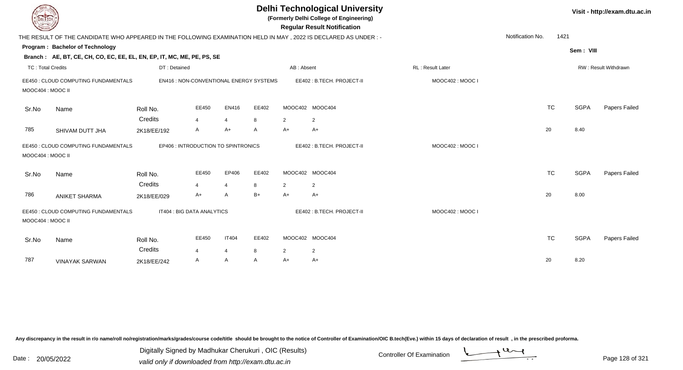| EL ECH            |                                                                                                                |                                     |                       |                |                                         |                | <b>Delhi Technological University</b><br>(Formerly Delhi College of Engineering)<br><b>Regular Result Notification</b> |                         |                  |           |             | Visit - http://exam.dtu.ac.in |
|-------------------|----------------------------------------------------------------------------------------------------------------|-------------------------------------|-----------------------|----------------|-----------------------------------------|----------------|------------------------------------------------------------------------------------------------------------------------|-------------------------|------------------|-----------|-------------|-------------------------------|
|                   | THE RESULT OF THE CANDIDATE WHO APPEARED IN THE FOLLOWING EXAMINATION HELD IN MAY, 2022 IS DECLARED AS UNDER:- |                                     |                       |                |                                         |                |                                                                                                                        |                         | Notification No. | 1421      |             |                               |
|                   | Program: Bachelor of Technology                                                                                |                                     |                       |                |                                         |                |                                                                                                                        |                         |                  |           | Sem: VIII   |                               |
|                   | Branch: AE, BT, CE, CH, CO, EC, EE, EL, EN, EP, IT, MC, ME, PE, PS, SE                                         |                                     |                       |                |                                         |                |                                                                                                                        |                         |                  |           |             |                               |
| TC: Total Credits |                                                                                                                | DT: Detained                        |                       |                |                                         | AB: Absent     |                                                                                                                        | <b>RL: Result Later</b> |                  |           |             | RW: Result Withdrawn          |
| MOOC404 : MOOC II | EE450 : CLOUD COMPUTING FUNDAMENTALS                                                                           |                                     |                       |                | EN416 : NON-CONVENTIONAL ENERGY SYSTEMS |                | EE402: B.TECH. PROJECT-II                                                                                              | MOOC402: MOOC I         |                  |           |             |                               |
| Sr.No             | Name                                                                                                           | Roll No.                            | EE450                 | EN416          | EE402                                   |                | MOOC402 MOOC404                                                                                                        |                         |                  | <b>TC</b> | <b>SGPA</b> | Papers Failed                 |
|                   |                                                                                                                | Credits                             | 4                     | $\overline{4}$ | 8                                       | $\overline{2}$ | $\overline{2}$                                                                                                         |                         |                  |           |             |                               |
| 785               | SHIVAM DUTT JHA                                                                                                | 2K18/EE/192                         | A                     | A+             | Α                                       | $A+$           | $A+$                                                                                                                   |                         |                  | 20        | 8.40        |                               |
| MOOC404 : MOOC II | EE450 : CLOUD COMPUTING FUNDAMENTALS                                                                           | EP406 : INTRODUCTION TO SPINTRONICS |                       |                |                                         |                | EE402: B.TECH. PROJECT-II                                                                                              | MOOC402: MOOC I         |                  |           |             |                               |
| Sr.No             | Name                                                                                                           | Roll No.                            | EE450                 | EP406          | EE402                                   |                | MOOC402 MOOC404                                                                                                        |                         |                  | <b>TC</b> | <b>SGPA</b> | Papers Failed                 |
|                   |                                                                                                                | Credits                             | 4                     | 4              | 8                                       | 2              | 2                                                                                                                      |                         |                  |           |             |                               |
| 786               | <b>ANIKET SHARMA</b>                                                                                           | 2K18/EE/029                         | A+                    | A              | $B+$                                    | $A+$           | $A+$                                                                                                                   |                         |                  | 20        | 8.00        |                               |
| MOOC404 : MOOC II | EE450 : CLOUD COMPUTING FUNDAMENTALS                                                                           | IT404 : BIG DATA ANALYTICS          |                       |                |                                         |                | EE402: B.TECH. PROJECT-II                                                                                              | MOOC402: MOOC I         |                  |           |             |                               |
| Sr.No             | Name                                                                                                           | Roll No.<br>Credits                 | EE450                 | <b>IT404</b>   | EE402                                   |                | MOOC402 MOOC404                                                                                                        |                         |                  | <b>TC</b> | <b>SGPA</b> | Papers Failed                 |
|                   |                                                                                                                |                                     | $\boldsymbol{\Delta}$ | $\overline{4}$ | 8                                       | 2              | $\overline{2}$                                                                                                         |                         |                  |           |             |                               |
| 787               | <b>VINAYAK SARWAN</b>                                                                                          | 2K18/EE/242                         | A                     | A              | A                                       | A+             | $A+$                                                                                                                   |                         |                  | 20        | 8.20        |                               |

Digitally Signed by Madhukar Cherukuri, OIC (Results)<br>Date : 20/05/2022 valid only if downloaded from http://oxam.dtu.ac.in Digitally Signed by Madhukar Cherukuri , OIC (Results)

valid only if downloaded from http://exam.dtu.ac.in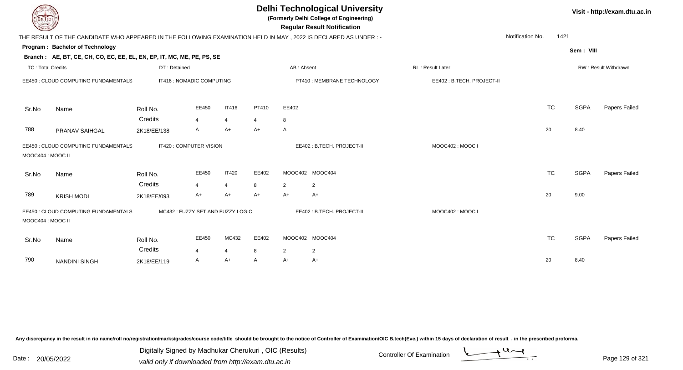| DEL TECH                 |                                                                                                                |                                  |            |                         |            |                      | <b>Delhi Technological University</b><br>(Formerly Delhi College of Engineering)<br><b>Regular Result Notification</b> |                           |                  |           |             | Visit - http://exam.dtu.ac.in |
|--------------------------|----------------------------------------------------------------------------------------------------------------|----------------------------------|------------|-------------------------|------------|----------------------|------------------------------------------------------------------------------------------------------------------------|---------------------------|------------------|-----------|-------------|-------------------------------|
|                          | THE RESULT OF THE CANDIDATE WHO APPEARED IN THE FOLLOWING EXAMINATION HELD IN MAY, 2022 IS DECLARED AS UNDER:- |                                  |            |                         |            |                      |                                                                                                                        |                           | Notification No. | 1421      |             |                               |
|                          | Program: Bachelor of Technology                                                                                |                                  |            |                         |            |                      |                                                                                                                        |                           |                  |           | Sem: VIII   |                               |
|                          | Branch: AE, BT, CE, CH, CO, EC, EE, EL, EN, EP, IT, MC, ME, PE, PS, SE                                         |                                  |            |                         |            |                      |                                                                                                                        |                           |                  |           |             |                               |
| <b>TC: Total Credits</b> |                                                                                                                | DT: Detained                     |            |                         |            | AB: Absent           |                                                                                                                        | RL: Result Later          |                  |           |             | RW: Result Withdrawn          |
|                          | EE450 : CLOUD COMPUTING FUNDAMENTALS                                                                           | IT416 : NOMADIC COMPUTING        |            |                         |            |                      | PT410 : MEMBRANE TECHNOLOGY                                                                                            | EE402: B.TECH. PROJECT-II |                  |           |             |                               |
| Sr.No                    | Name                                                                                                           | Roll No.                         | EE450      | <b>IT416</b>            | PT410      | EE402                |                                                                                                                        |                           |                  | <b>TC</b> | <b>SGPA</b> | Papers Failed                 |
|                          |                                                                                                                | Credits                          | 4          | $\overline{4}$          | 4          | 8                    |                                                                                                                        |                           |                  |           |             |                               |
| 788                      | PRANAV SAIHGAL                                                                                                 | 2K18/EE/138                      | A          | A+                      | A+         | A                    |                                                                                                                        |                           | 20               |           | 8.40        |                               |
| MOOC404 : MOOC II        | EE450 : CLOUD COMPUTING FUNDAMENTALS                                                                           | IT420 : COMPUTER VISION          |            |                         |            |                      | EE402: B.TECH. PROJECT-II                                                                                              | MOOC402: MOOC I           |                  |           |             |                               |
| Sr.No                    | Name                                                                                                           | Roll No.                         | EE450      | <b>IT420</b>            | EE402      |                      | MOOC402 MOOC404                                                                                                        |                           |                  | <b>TC</b> | <b>SGPA</b> | Papers Failed                 |
| 789                      | <b>KRISH MODI</b>                                                                                              | Credits<br>2K18/EE/093           | 4<br>$A+$  | $\overline{4}$<br>A+    | 8<br>A+    | $\overline{2}$<br>A+ | $\overline{2}$<br>A+                                                                                                   |                           | 20               |           | 9.00        |                               |
| MOOC404 : MOOC II        | EE450 : CLOUD COMPUTING FUNDAMENTALS                                                                           | MC432: FUZZY SET AND FUZZY LOGIC |            |                         |            |                      | EE402: B.TECH. PROJECT-II                                                                                              | MOOC402: MOOC I           |                  |           |             |                               |
| Sr.No                    | Name                                                                                                           | Roll No.<br>Credits              | EE450<br>4 | MC432<br>$\overline{4}$ | EE402<br>8 |                      | MOOC402 MOOC404                                                                                                        |                           |                  | <b>TC</b> | <b>SGPA</b> | Papers Failed                 |
| 790                      | <b>NANDINI SINGH</b>                                                                                           | 2K18/EE/119                      | A          | A+                      | A          | $\overline{2}$<br>A+ | $\overline{2}$<br>A+                                                                                                   |                           | 20               |           | 8.40        |                               |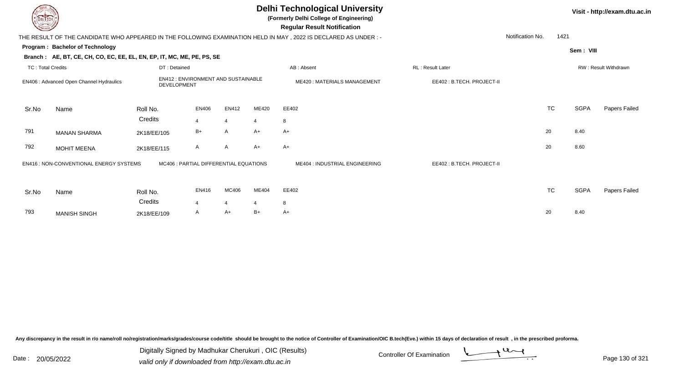|                          |                                                                        |              |                                           |                |       | <b>Delhi Technological University</b><br>(Formerly Delhi College of Engineering)<br><b>Regular Result Notification</b> |                           |                  |      |             | Visit - http://exam.dtu.ac.in |
|--------------------------|------------------------------------------------------------------------|--------------|-------------------------------------------|----------------|-------|------------------------------------------------------------------------------------------------------------------------|---------------------------|------------------|------|-------------|-------------------------------|
|                          |                                                                        |              |                                           |                |       | THE RESULT OF THE CANDIDATE WHO APPEARED IN THE FOLLOWING EXAMINATION HELD IN MAY, 2022 IS DECLARED AS UNDER :-        |                           | Notification No. | 1421 |             |                               |
|                          | Program: Bachelor of Technology                                        |              |                                           |                |       |                                                                                                                        |                           |                  |      | Sem: VIII   |                               |
|                          | Branch: AE, BT, CE, CH, CO, EC, EE, EL, EN, EP, IT, MC, ME, PE, PS, SE |              |                                           |                |       |                                                                                                                        |                           |                  |      |             |                               |
| <b>TC: Total Credits</b> |                                                                        | DT: Detained |                                           |                |       | AB: Absent                                                                                                             | RL: Result Later          |                  |      |             | RW: Result Withdrawn          |
|                          | EN406 : Advanced Open Channel Hydraulics                               | DEVELOPMENT  | <b>EN412: ENVIRONMENT AND SUSTAINABLE</b> |                |       | <b>ME420: MATERIALS MANAGEMENT</b>                                                                                     | EE402: B.TECH. PROJECT-II |                  |      |             |                               |
| Sr.No                    | Name                                                                   | Roll No.     | <b>EN406</b>                              | <b>EN412</b>   | ME420 | EE402                                                                                                                  |                           | <b>TC</b>        |      | <b>SGPA</b> | Papers Failed                 |
|                          |                                                                        | Credits      | $\overline{4}$                            | $\overline{4}$ | 4     | 8                                                                                                                      |                           |                  |      |             |                               |
| 791                      | <b>MANAN SHARMA</b>                                                    | 2K18/EE/105  | $B+$                                      | $\mathsf{A}$   | $A+$  | $A+$                                                                                                                   |                           | 20               |      | 8.40        |                               |
| 792                      | <b>MOHIT MEENA</b>                                                     | 2K18/EE/115  | A                                         | $\mathsf{A}$   | $A+$  | $A+$                                                                                                                   |                           | 20               |      | 8.60        |                               |
|                          | EN416 : NON-CONVENTIONAL ENERGY SYSTEMS                                |              | MC406 : PARTIAL DIFFERENTIAL EQUATIONS    |                |       | ME404 : INDUSTRIAL ENGINEERING                                                                                         | EE402: B.TECH. PROJECT-II |                  |      |             |                               |
| Sr.No                    | Name                                                                   | Roll No.     | EN416                                     | MC406          | ME404 | EE402                                                                                                                  |                           | <b>TC</b>        |      | <b>SGPA</b> | Papers Failed                 |
|                          |                                                                        | Credits      | 4                                         |                | 4     | 8                                                                                                                      |                           |                  |      |             |                               |

H 2K18/EE/109 A A+ B+ A+  $\rightarrow$  20 8.40

Any discrepancy in the result in r/o name/roll no/registration/marks/grades/course code/title should be brought to the notice of Controller of Examination/OIC B.tech(Eve.) within 15 days of declaration of result ,in the p

793

MANISH SINGH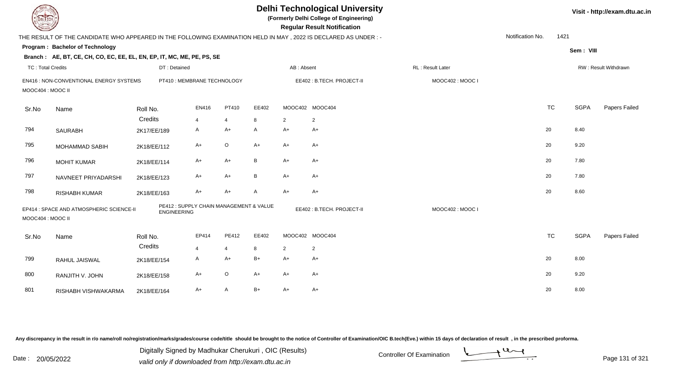| <b>DELTECH</b>           |                                                                                                                 |                                                               |       |                |       |                 | <b>Delhi Technological University</b><br>(Formerly Delhi College of Engineering)<br><b>Regular Result Notification</b> |                   |                  |           |             | Visit - http://exam.dtu.ac.in |
|--------------------------|-----------------------------------------------------------------------------------------------------------------|---------------------------------------------------------------|-------|----------------|-------|-----------------|------------------------------------------------------------------------------------------------------------------------|-------------------|------------------|-----------|-------------|-------------------------------|
|                          | THE RESULT OF THE CANDIDATE WHO APPEARED IN THE FOLLOWING EXAMINATION HELD IN MAY, 2022 IS DECLARED AS UNDER :- |                                                               |       |                |       |                 |                                                                                                                        |                   | Notification No. | 1421      |             |                               |
|                          | Program: Bachelor of Technology                                                                                 |                                                               |       |                |       |                 |                                                                                                                        |                   |                  |           | Sem: VIII   |                               |
|                          | Branch: AE, BT, CE, CH, CO, EC, EE, EL, EN, EP, IT, MC, ME, PE, PS, SE                                          |                                                               |       |                |       |                 |                                                                                                                        |                   |                  |           |             |                               |
| <b>TC: Total Credits</b> |                                                                                                                 | DT: Detained                                                  |       |                |       | AB: Absent      |                                                                                                                        | RL : Result Later |                  |           |             | RW: Result Withdrawn          |
| MOOC404 : MOOC II        | EN416 : NON-CONVENTIONAL ENERGY SYSTEMS                                                                         | PT410 : MEMBRANE TECHNOLOGY                                   |       |                |       |                 | EE402: B.TECH. PROJECT-II                                                                                              | MOOC402: MOOC I   |                  |           |             |                               |
| Sr.No                    | Name                                                                                                            | Roll No.                                                      | EN416 | PT410          | EE402 | MOOC402 MOOC404 |                                                                                                                        |                   |                  | <b>TC</b> | <b>SGPA</b> | Papers Failed                 |
|                          |                                                                                                                 | Credits                                                       | 4     | $\overline{4}$ | 8     | $\overline{2}$  | $\overline{2}$                                                                                                         |                   |                  |           |             |                               |
| 794                      | <b>SAURABH</b>                                                                                                  | 2K17/EE/189                                                   | A     | A+             | A     | $A+$            | $A+$                                                                                                                   |                   |                  | 20        | 8.40        |                               |
| 795                      | <b>MOHAMMAD SABIH</b>                                                                                           | 2K18/EE/112                                                   | $A+$  | $\mathsf O$    | $A+$  | $A+$            | $A+$                                                                                                                   |                   |                  | 20        | 9.20        |                               |
| 796                      | <b>MOHIT KUMAR</b>                                                                                              | 2K18/EE/114                                                   | $A+$  | $A+$           | B     | $A+$            | $A+$                                                                                                                   |                   |                  | 20        | 7.80        |                               |
| 797                      | NAVNEET PRIYADARSHI                                                                                             | 2K18/EE/123                                                   | $A+$  | $A+$           | B     | $A+$            | A+                                                                                                                     |                   |                  | 20        | 7.80        |                               |
| 798                      | RISHABH KUMAR                                                                                                   | 2K18/EE/163                                                   | $A+$  | $A+$           | A     | $A+$            | $A+$                                                                                                                   |                   |                  | 20        | 8.60        |                               |
| MOOC404: MOOC II         | EP414 : SPACE AND ATMOSPHERIC SCIENCE-II                                                                        | PE412 : SUPPLY CHAIN MANAGEMENT & VALUE<br><b>ENGINEERING</b> |       |                |       |                 | EE402: B.TECH. PROJECT-II                                                                                              | MOOC402: MOOC I   |                  |           |             |                               |
| Sr.No                    | Name                                                                                                            | Roll No.                                                      | EP414 | PE412          | EE402 | MOOC402 MOOC404 |                                                                                                                        |                   |                  | <b>TC</b> | <b>SGPA</b> | Papers Failed                 |
|                          |                                                                                                                 | Credits                                                       | 4     | $\overline{4}$ | 8     | $\overline{2}$  | $\overline{2}$                                                                                                         |                   |                  |           |             |                               |
| 799                      | RAHUL JAISWAL                                                                                                   | 2K18/EE/154                                                   | A     | $A+$           | $B+$  | $A+$            | $A+$                                                                                                                   |                   |                  | 20        | 8.00        |                               |
| 800                      | RANJITH V. JOHN                                                                                                 | 2K18/EE/158                                                   | $A+$  | $\mathsf O$    | $A+$  | $A+$            | $A+$                                                                                                                   |                   |                  | 20        | 9.20        |                               |
| 801                      | RISHABH VISHWAKARMA                                                                                             | 2K18/EE/164                                                   | A+    | A              | $B+$  | $A+$            | A+                                                                                                                     |                   |                  | 20        | 8.00        |                               |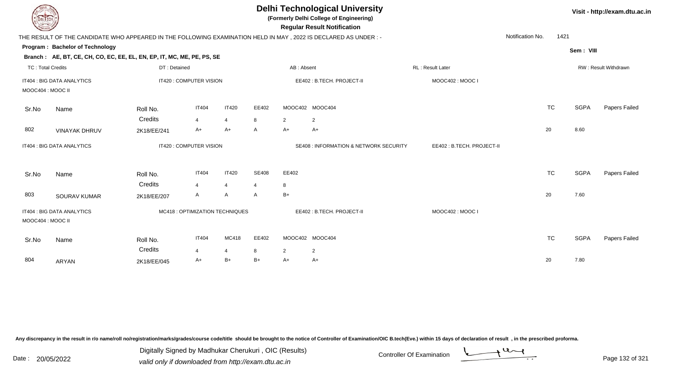| <b>DELTECH</b>           |                                                                                                                |              |                         |                                 |              |                | <b>Delhi Technological University</b><br>(Formerly Delhi College of Engineering)<br><b>Regular Result Notification</b> |                           |                          |             | Visit - http://exam.dtu.ac.in |
|--------------------------|----------------------------------------------------------------------------------------------------------------|--------------|-------------------------|---------------------------------|--------------|----------------|------------------------------------------------------------------------------------------------------------------------|---------------------------|--------------------------|-------------|-------------------------------|
|                          | THE RESULT OF THE CANDIDATE WHO APPEARED IN THE FOLLOWING EXAMINATION HELD IN MAY, 2022 IS DECLARED AS UNDER:- |              |                         |                                 |              |                |                                                                                                                        |                           | Notification No.<br>1421 |             |                               |
|                          | Program: Bachelor of Technology                                                                                |              |                         |                                 |              |                |                                                                                                                        |                           |                          | Sem: VIII   |                               |
|                          | Branch: AE, BT, CE, CH, CO, EC, EE, EL, EN, EP, IT, MC, ME, PE, PS, SE                                         |              |                         |                                 |              |                |                                                                                                                        |                           |                          |             |                               |
| <b>TC: Total Credits</b> |                                                                                                                | DT: Detained |                         |                                 |              | AB: Absent     |                                                                                                                        | <b>RL: Result Later</b>   |                          |             | RW: Result Withdrawn          |
|                          | IT404 : BIG DATA ANALYTICS                                                                                     |              | IT420 : COMPUTER VISION |                                 |              |                | EE402: B.TECH. PROJECT-II                                                                                              | MOOC402: MOOC I           |                          |             |                               |
| MOOC404 : MOOC II        |                                                                                                                |              |                         |                                 |              |                |                                                                                                                        |                           |                          |             |                               |
| Sr.No                    | Name                                                                                                           | Roll No.     | <b>IT404</b>            | <b>IT420</b>                    | EE402        |                | MOOC402 MOOC404                                                                                                        |                           | <b>TC</b>                | <b>SGPA</b> | <b>Papers Failed</b>          |
|                          |                                                                                                                | Credits      | $\overline{4}$          | 4                               | 8            | $\overline{2}$ | $\overline{2}$                                                                                                         |                           |                          |             |                               |
| 802                      | <b>VINAYAK DHRUV</b>                                                                                           | 2K18/EE/241  | $A+$                    | $A+$                            | A            | A+             | A+                                                                                                                     |                           | 20                       | 8.60        |                               |
|                          | IT404 : BIG DATA ANALYTICS                                                                                     |              | IT420 : COMPUTER VISION |                                 |              |                | <b>SE408 : INFORMATION &amp; NETWORK SECURITY</b>                                                                      | EE402: B.TECH. PROJECT-II |                          |             |                               |
| Sr.No                    | Name                                                                                                           | Roll No.     | <b>IT404</b>            | <b>IT420</b>                    | <b>SE408</b> | EE402          |                                                                                                                        |                           | <b>TC</b>                | <b>SGPA</b> | Papers Failed                 |
|                          |                                                                                                                | Credits      | $\overline{4}$          | $\overline{4}$                  | 4            | 8              |                                                                                                                        |                           |                          |             |                               |
| 803                      | <b>SOURAV KUMAR</b>                                                                                            | 2K18/EE/207  | A                       | A                               | A            | $B+$           |                                                                                                                        |                           | 20                       | 7.60        |                               |
| MOOC404 : MOOC II        | IT404 : BIG DATA ANALYTICS                                                                                     |              |                         | MC418 : OPTIMIZATION TECHNIQUES |              |                | EE402: B.TECH. PROJECT-II                                                                                              | MOOC402: MOOC I           |                          |             |                               |
| Sr.No                    | Name                                                                                                           | Roll No.     | <b>IT404</b>            | MC418                           | EE402        |                | MOOC402 MOOC404                                                                                                        |                           | <b>TC</b>                | <b>SGPA</b> | Papers Failed                 |
|                          |                                                                                                                | Credits      | $\overline{4}$          | 4                               | 8            | $\overline{2}$ | $\overline{2}$                                                                                                         |                           |                          |             |                               |
| 804                      | <b>ARYAN</b>                                                                                                   | 2K18/EE/045  | $A+$                    | $B+$                            | $B+$         | A+             | A+                                                                                                                     |                           | 20                       | 7.80        |                               |

Digitally Signed by Madhukar Cherukuri, OIC (Results)<br>Date : 20/05/2022 valid only if downloaded from http://oxam.dtu.ac.in Digitally Signed by Madhukar Cherukuri , OIC (Results)

valid only if downloaded from http://exam.dtu.ac.in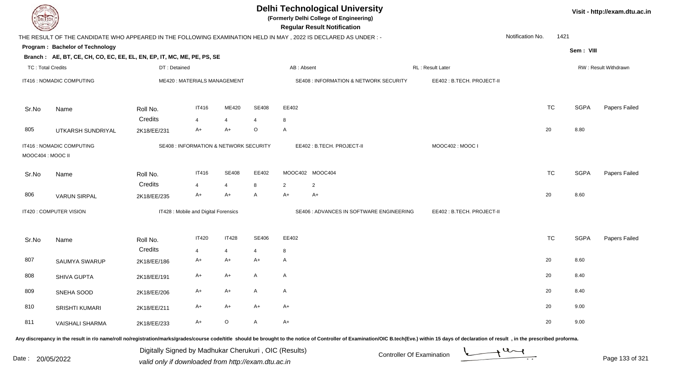| <b>DELTECH</b>           |                                                                                                                |              |                                                   |                |              | <b>Delhi Technological University</b><br>(Formerly Delhi College of Engineering)<br><b>Regular Result Notification</b> |                                          |                           |                  |           |             | Visit - http://exam.dtu.ac.in |
|--------------------------|----------------------------------------------------------------------------------------------------------------|--------------|---------------------------------------------------|----------------|--------------|------------------------------------------------------------------------------------------------------------------------|------------------------------------------|---------------------------|------------------|-----------|-------------|-------------------------------|
|                          | THE RESULT OF THE CANDIDATE WHO APPEARED IN THE FOLLOWING EXAMINATION HELD IN MAY, 2022 IS DECLARED AS UNDER:- |              |                                                   |                |              |                                                                                                                        |                                          |                           | Notification No. | 1421      |             |                               |
|                          | <b>Program: Bachelor of Technology</b>                                                                         |              |                                                   |                |              |                                                                                                                        |                                          |                           |                  |           | Sem: VIII   |                               |
|                          | Branch: AE, BT, CE, CH, CO, EC, EE, EL, EN, EP, IT, MC, ME, PE, PS, SE                                         |              |                                                   |                |              |                                                                                                                        |                                          |                           |                  |           |             |                               |
| <b>TC: Total Credits</b> |                                                                                                                | DT: Detained |                                                   |                |              | AB: Absent                                                                                                             |                                          | RL : Result Later         |                  |           |             | RW: Result Withdrawn          |
|                          | IT416 : NOMADIC COMPUTING                                                                                      |              | ME420: MATERIALS MANAGEMENT                       |                |              |                                                                                                                        | SE408 : INFORMATION & NETWORK SECURITY   | EE402: B.TECH. PROJECT-II |                  |           |             |                               |
| Sr.No                    | Name                                                                                                           | Roll No.     | <b>IT416</b>                                      | ME420          | <b>SE408</b> | EE402                                                                                                                  |                                          |                           |                  | <b>TC</b> | <b>SGPA</b> | Papers Failed                 |
|                          |                                                                                                                | Credits      | 4                                                 | $\overline{4}$ | 4            | 8                                                                                                                      |                                          |                           |                  |           |             |                               |
| 805                      | UTKARSH SUNDRIYAL                                                                                              | 2K18/EE/231  | $A+$                                              | $A+$           | O            | A                                                                                                                      |                                          |                           |                  | 20        | 8.80        |                               |
| MOOC404 : MOOC II        | IT416 : NOMADIC COMPUTING                                                                                      |              | <b>SE408 : INFORMATION &amp; NETWORK SECURITY</b> |                |              | EE402: B.TECH. PROJECT-II                                                                                              |                                          | MOOC402: MOOC I           |                  |           |             |                               |
| Sr.No                    | Name                                                                                                           | Roll No.     | <b>IT416</b>                                      | <b>SE408</b>   | EE402        | MOOC402 MOOC404                                                                                                        |                                          |                           |                  | TC        | <b>SGPA</b> | Papers Failed                 |
|                          |                                                                                                                | Credits      | 4                                                 | $\overline{4}$ | 8            | 2<br>$\overline{2}$                                                                                                    |                                          |                           |                  |           |             |                               |
| 806                      | <b>VARUN SIRPAL</b>                                                                                            | 2K18/EE/235  | A+                                                | A+             | A            | A+<br>$A+$                                                                                                             |                                          |                           |                  | 20        | 8.60        |                               |
|                          | IT420 : COMPUTER VISION                                                                                        |              | IT428 : Mobile and Digital Forensics              |                |              |                                                                                                                        | SE406 : ADVANCES IN SOFTWARE ENGINEERING | EE402: B.TECH. PROJECT-II |                  |           |             |                               |
| Sr.No                    | Name                                                                                                           | Roll No.     | <b>IT420</b>                                      | <b>IT428</b>   | <b>SE406</b> | EE402                                                                                                                  |                                          |                           |                  | <b>TC</b> | <b>SGPA</b> | Papers Failed                 |
|                          |                                                                                                                | Credits      | 4                                                 | $\overline{4}$ | 4            | 8                                                                                                                      |                                          |                           |                  |           |             |                               |
| 807                      | SAUMYA SWARUP                                                                                                  | 2K18/EE/186  | A+                                                | A+             | A+           | A                                                                                                                      |                                          |                           |                  | 20        | 8.60        |                               |
| 808                      | <b>SHIVA GUPTA</b>                                                                                             | 2K18/EE/191  | A+                                                | A+             | A            | $\mathsf{A}$                                                                                                           |                                          |                           |                  | 20        | 8.40        |                               |
| 809                      | SNEHA SOOD                                                                                                     | 2K18/EE/206  | A+                                                | A+             | A            | A                                                                                                                      |                                          |                           |                  | 20        | 8.40        |                               |
| 810                      | SRISHTI KUMARI                                                                                                 | 2K18/EE/211  | $A+$                                              | A+             | A+           | $A+$                                                                                                                   |                                          |                           |                  | 20        | 9.00        |                               |
| 811                      | <b>VAISHALI SHARMA</b>                                                                                         | 2K18/EE/233  | $A+$                                              | $\mathsf O$    | $\mathsf{A}$ | $A+$                                                                                                                   |                                          |                           |                  | 20        | 9.00        |                               |

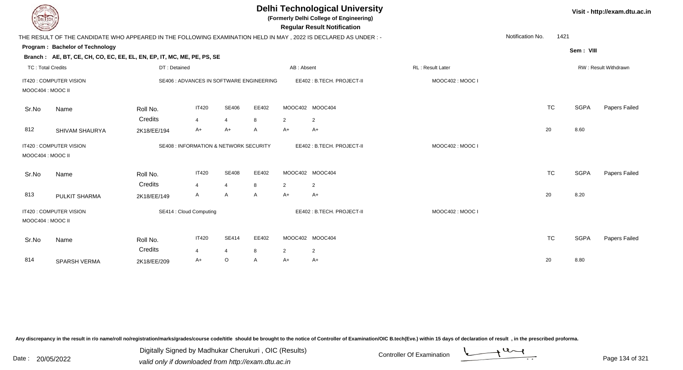| EL TECH                  |                                                                        |                     |                                          |                                |            |                      | <b>Delhi Technological University</b><br>(Formerly Delhi College of Engineering)<br><b>Regular Result Notification</b> |                   |                  |           |             | Visit - http://exam.dtu.ac.in |
|--------------------------|------------------------------------------------------------------------|---------------------|------------------------------------------|--------------------------------|------------|----------------------|------------------------------------------------------------------------------------------------------------------------|-------------------|------------------|-----------|-------------|-------------------------------|
|                          |                                                                        |                     |                                          |                                |            |                      | THE RESULT OF THE CANDIDATE WHO APPEARED IN THE FOLLOWING EXAMINATION HELD IN MAY , 2022 IS DECLARED AS UNDER :-       |                   | Notification No. | 1421      |             |                               |
|                          | Program: Bachelor of Technology                                        |                     |                                          |                                |            |                      |                                                                                                                        |                   |                  |           | Sem: VIII   |                               |
|                          | Branch: AE, BT, CE, CH, CO, EC, EE, EL, EN, EP, IT, MC, ME, PE, PS, SE |                     |                                          |                                |            |                      |                                                                                                                        |                   |                  |           |             |                               |
| <b>TC: Total Credits</b> |                                                                        | DT: Detained        |                                          |                                |            | AB: Absent           |                                                                                                                        | RL : Result Later |                  |           |             | RW: Result Withdrawn          |
| MOOC404 : MOOC II        | IT420 : COMPUTER VISION                                                |                     | SE406 : ADVANCES IN SOFTWARE ENGINEERING |                                |            |                      | EE402: B.TECH. PROJECT-II                                                                                              | MOOC402 : MOOC I  |                  |           |             |                               |
| Sr.No                    | Name                                                                   | Roll No.            | <b>IT420</b>                             | SE406                          | EE402      |                      | MOOC402 MOOC404                                                                                                        |                   |                  | <b>TC</b> | <b>SGPA</b> | Papers Failed                 |
|                          |                                                                        | Credits             | 4                                        | $\overline{4}$                 | 8          | $\overline{2}$       | $\overline{2}$                                                                                                         |                   |                  |           |             |                               |
| 812                      | SHIVAM SHAURYA                                                         | 2K18/EE/194         | A+                                       | $A+$                           | A          | $A+$                 | $A+$                                                                                                                   |                   |                  | 20        | 8.60        |                               |
| MOOC404 : MOOC II        | IT420 : COMPUTER VISION                                                |                     | SE408 : INFORMATION & NETWORK SECURITY   |                                |            |                      | EE402: B.TECH. PROJECT-II                                                                                              | MOOC402: MOOC I   |                  |           |             |                               |
| Sr.No                    | Name                                                                   | Roll No.<br>Credits | <b>IT420</b><br>4                        | <b>SE408</b><br>$\overline{4}$ | EE402<br>8 | $\overline{2}$       | MOOC402 MOOC404<br>$\overline{2}$                                                                                      |                   |                  | <b>TC</b> | <b>SGPA</b> | Papers Failed                 |
| 813                      | PULKIT SHARMA                                                          | 2K18/EE/149         | A                                        | A                              | A          | $A+$                 | $A+$                                                                                                                   |                   |                  | 20        | 8.20        |                               |
| MOOC404: MOOC II         | IT420 : COMPUTER VISION                                                |                     | SE414 : Cloud Computing                  |                                |            |                      | EE402: B.TECH. PROJECT-II                                                                                              | MOOC402: MOOC I   |                  |           |             |                               |
| Sr.No                    | Name                                                                   | Roll No.<br>Credits | <b>IT420</b>                             | <b>SE414</b>                   | EE402      |                      | MOOC402 MOOC404                                                                                                        |                   |                  | <b>TC</b> | <b>SGPA</b> | Papers Failed                 |
| 814                      |                                                                        |                     | $\overline{4}$<br>A+                     | 4<br>$\circ$                   | 8          | $\overline{2}$<br>A+ | $\overline{2}$<br>A+                                                                                                   |                   |                  | 20        | 8.80        |                               |
|                          | SPARSH VERMA                                                           | 2K18/EE/209         |                                          |                                | A          |                      |                                                                                                                        |                   |                  |           |             |                               |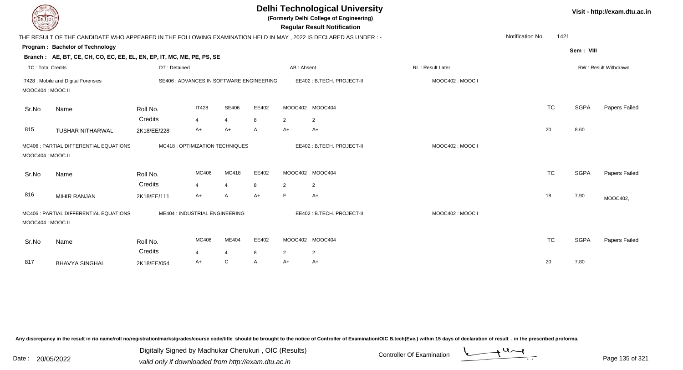|                          |                                                                                                                 |              |                                          |                |              |            | <b>Delhi Technological University</b><br>(Formerly Delhi College of Engineering)<br><b>Regular Result Notification</b> |                  |                  |      |             | Visit - http://exam.dtu.ac.in |
|--------------------------|-----------------------------------------------------------------------------------------------------------------|--------------|------------------------------------------|----------------|--------------|------------|------------------------------------------------------------------------------------------------------------------------|------------------|------------------|------|-------------|-------------------------------|
|                          | THE RESULT OF THE CANDIDATE WHO APPEARED IN THE FOLLOWING EXAMINATION HELD IN MAY, 2022 IS DECLARED AS UNDER :- |              |                                          |                |              |            |                                                                                                                        |                  | Notification No. | 1421 |             |                               |
|                          | Program: Bachelor of Technology                                                                                 |              |                                          |                |              |            |                                                                                                                        |                  |                  |      | Sem: VIII   |                               |
|                          | Branch: AE, BT, CE, CH, CO, EC, EE, EL, EN, EP, IT, MC, ME, PE, PS, SE                                          |              |                                          |                |              |            |                                                                                                                        |                  |                  |      |             |                               |
| <b>TC: Total Credits</b> |                                                                                                                 | DT: Detained |                                          |                |              | AB: Absent |                                                                                                                        | RL: Result Later |                  |      |             | RW: Result Withdrawn          |
| MOOC404 : MOOC II        | IT428 : Mobile and Digital Forensics                                                                            |              | SE406 : ADVANCES IN SOFTWARE ENGINEERING |                |              |            | EE402: B.TECH. PROJECT-II                                                                                              | MOOC402: MOOC I  |                  |      |             |                               |
| Sr.No                    | Name                                                                                                            | Roll No.     | <b>IT428</b>                             | <b>SE406</b>   | EE402        |            | MOOC402 MOOC404                                                                                                        |                  | <b>TC</b>        |      | <b>SGPA</b> | Papers Failed                 |
|                          |                                                                                                                 | Credits      | $\overline{4}$                           | $\overline{4}$ | 8            | 2          | $\overline{2}$                                                                                                         |                  |                  |      |             |                               |
| 815                      | <b>TUSHAR NITHARWAL</b>                                                                                         | 2K18/EE/228  | A+                                       | A+             | $\mathsf{A}$ | $A+$       | $A+$                                                                                                                   |                  | 20               |      | 8.60        |                               |
| MOOC404 : MOOC II        | MC406 : PARTIAL DIFFERENTIAL EQUATIONS                                                                          |              | MC418 : OPTIMIZATION TECHNIQUES          |                |              |            | EE402: B.TECH. PROJECT-II                                                                                              | MOOC402: MOOC I  |                  |      |             |                               |
| Sr.No                    | Name                                                                                                            | Roll No.     | MC406                                    | MC418          | EE402        |            | MOOC402 MOOC404                                                                                                        |                  | <b>TC</b>        |      | <b>SGPA</b> | Papers Failed                 |
|                          |                                                                                                                 | Credits      | $\overline{\mathbf{A}}$                  | 4              | 8            | 2          | $\overline{2}$                                                                                                         |                  |                  |      |             |                               |
| 816                      | <b>MIHIR RANJAN</b>                                                                                             | 2K18/EE/111  | A+                                       | A              | $A+$         | F          | A+                                                                                                                     |                  | 18               |      | 7.90        | MOOC402,                      |
| MOOC404 : MOOC II        | MC406 : PARTIAL DIFFERENTIAL EQUATIONS                                                                          |              | ME404 : INDUSTRIAL ENGINEERING           |                |              |            | EE402: B.TECH. PROJECT-II                                                                                              | MOOC402: MOOC I  |                  |      |             |                               |
| Sr.No                    | Name                                                                                                            | Roll No.     | MC406                                    | ME404          | EE402        |            | MOOC402 MOOC404                                                                                                        |                  | <b>TC</b>        |      | <b>SGPA</b> | Papers Failed                 |
|                          |                                                                                                                 | Credits      | $\overline{4}$                           | $\overline{4}$ | 8            | 2          | $\overline{2}$                                                                                                         |                  |                  |      |             |                               |
| 817                      | <b>BHAVYA SINGHAL</b>                                                                                           | 2K18/EE/054  | A+                                       | $\mathsf{C}$   | $\mathsf{A}$ | $A+$       | A+                                                                                                                     |                  | 20               |      | 7.80        |                               |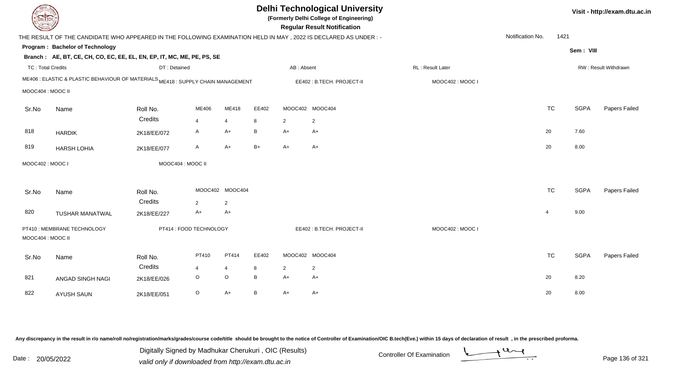| <b>DELTECH</b>    |                                                                                                                |                         |                |                 |       |                | <b>Delhi Technological University</b><br>(Formerly Delhi College of Engineering)<br><b>Regular Result Notification</b> |                         |                  |                |             | Visit - http://exam.dtu.ac.in |
|-------------------|----------------------------------------------------------------------------------------------------------------|-------------------------|----------------|-----------------|-------|----------------|------------------------------------------------------------------------------------------------------------------------|-------------------------|------------------|----------------|-------------|-------------------------------|
|                   | THE RESULT OF THE CANDIDATE WHO APPEARED IN THE FOLLOWING EXAMINATION HELD IN MAY, 2022 IS DECLARED AS UNDER:- |                         |                |                 |       |                |                                                                                                                        |                         | Notification No. | 1421           |             |                               |
|                   | Program: Bachelor of Technology                                                                                |                         |                |                 |       |                |                                                                                                                        |                         |                  |                | Sem: VIII   |                               |
|                   | Branch: AE, BT, CE, CH, CO, EC, EE, EL, EN, EP, IT, MC, ME, PE, PS, SE                                         |                         |                |                 |       |                |                                                                                                                        |                         |                  |                |             |                               |
| TC: Total Credits |                                                                                                                | DT: Detained            |                |                 |       | AB: Absent     |                                                                                                                        | <b>RL: Result Later</b> |                  |                |             | <b>RW: Result Withdrawn</b>   |
|                   | ME406 : ELASTIC & PLASTIC BEHAVIOUR OF MATERIALS ME418 : SUPPLY CHAIN MANAGEMENT                               |                         |                |                 |       |                | EE402: B.TECH. PROJECT-II                                                                                              | MOOC402: MOOC I         |                  |                |             |                               |
| MOOC404 : MOOC II |                                                                                                                |                         |                |                 |       |                |                                                                                                                        |                         |                  |                |             |                               |
| Sr.No             | Name                                                                                                           | Roll No.                | ME406          | ME418           | EE402 |                | MOOC402 MOOC404                                                                                                        |                         |                  | <b>TC</b>      | <b>SGPA</b> | Papers Failed                 |
|                   |                                                                                                                | Credits                 | $\overline{4}$ | $\overline{4}$  | 8     | $\overline{2}$ | $\overline{2}$                                                                                                         |                         |                  |                |             |                               |
| 818               | <b>HARDIK</b>                                                                                                  | 2K18/EE/072             | A              | $A+$            | B     | A+             | A+                                                                                                                     |                         |                  | 20             | 7.60        |                               |
| 819               | <b>HARSH LOHIA</b>                                                                                             | 2K18/EE/077             | A              | $A+$            | $B+$  | $A+$           | $A+$                                                                                                                   |                         |                  | 20             | 8.00        |                               |
| MOOC402: MOOC I   |                                                                                                                | MOOC404 : MOOC II       |                |                 |       |                |                                                                                                                        |                         |                  |                |             |                               |
|                   |                                                                                                                |                         |                |                 |       |                |                                                                                                                        |                         |                  |                |             |                               |
| Sr.No             | Name                                                                                                           | Roll No.                |                | MOOC402 MOOC404 |       |                |                                                                                                                        |                         |                  | <b>TC</b>      | <b>SGPA</b> | Papers Failed                 |
|                   |                                                                                                                | Credits                 | 2              | $\overline{2}$  |       |                |                                                                                                                        |                         |                  |                |             |                               |
| 820               | <b>TUSHAR MANATWAL</b>                                                                                         | 2K18/EE/227             | $A+$           | $A+$            |       |                |                                                                                                                        |                         |                  | $\overline{4}$ | 9.00        |                               |
|                   | PT410 : MEMBRANE TECHNOLOGY                                                                                    | PT414 : FOOD TECHNOLOGY |                |                 |       |                | EE402: B.TECH. PROJECT-II                                                                                              | MOOC402: MOOC I         |                  |                |             |                               |
| MOOC404 : MOOC II |                                                                                                                |                         |                |                 |       |                |                                                                                                                        |                         |                  |                |             |                               |
| Sr.No             | Name                                                                                                           | Roll No.                | PT410          | PT414           | EE402 |                | MOOC402 MOOC404                                                                                                        |                         |                  | TC             | <b>SGPA</b> | Papers Failed                 |
|                   |                                                                                                                | Credits                 | $\overline{4}$ | 4               | 8     | $\overline{a}$ | $\overline{2}$                                                                                                         |                         |                  |                |             |                               |
| 821               | ANGAD SINGH NAGI                                                                                               | 2K18/EE/026             | $\circ$        | $\circ$         | B     | $A+$           | $A+$                                                                                                                   |                         |                  | 20             | 8.20        |                               |
| 822               | <b>AYUSH SAUN</b>                                                                                              | 2K18/EE/051             | $\circ$        | $A+$            | B     | $A+$           | A+                                                                                                                     |                         |                  | 20             | 8.00        |                               |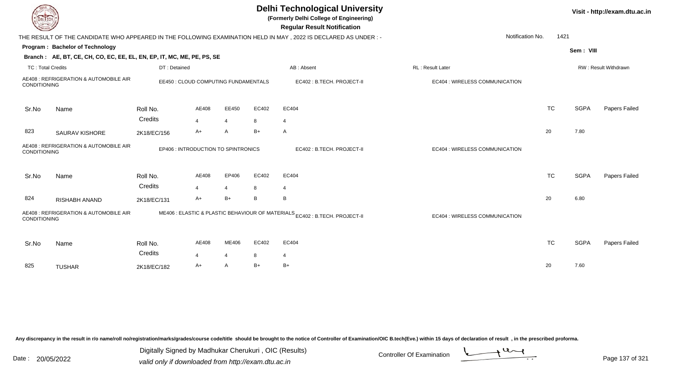| EL ECH                   |                                                                        |                     |                                      |                |       | <b>Delhi Technological University</b><br>(Formerly Delhi College of Engineering)<br><b>Regular Result Notification</b> |                                |           |             | Visit - http://exam.dtu.ac.in |
|--------------------------|------------------------------------------------------------------------|---------------------|--------------------------------------|----------------|-------|------------------------------------------------------------------------------------------------------------------------|--------------------------------|-----------|-------------|-------------------------------|
|                          |                                                                        |                     |                                      |                |       | THE RESULT OF THE CANDIDATE WHO APPEARED IN THE FOLLOWING EXAMINATION HELD IN MAY, 2022 IS DECLARED AS UNDER :-        | Notification No.               | 1421      |             |                               |
|                          | Program: Bachelor of Technology                                        |                     |                                      |                |       |                                                                                                                        |                                |           | Sem: VIII   |                               |
|                          | Branch: AE, BT, CE, CH, CO, EC, EE, EL, EN, EP, IT, MC, ME, PE, PS, SE |                     |                                      |                |       |                                                                                                                        |                                |           |             |                               |
| <b>TC: Total Credits</b> |                                                                        | DT: Detained        |                                      |                |       | AB: Absent                                                                                                             | RL: Result Later               |           |             | RW: Result Withdrawn          |
| CONDITIONING             | AE408 : REFRIGERATION & AUTOMOBILE AIR                                 |                     | EE450 : CLOUD COMPUTING FUNDAMENTALS |                |       | EC402 : B.TECH. PROJECT-II                                                                                             | EC404 : WIRELESS COMMUNICATION |           |             |                               |
| Sr.No                    | Name                                                                   | Roll No.            | AE408                                | EE450          | EC402 | EC404                                                                                                                  |                                | <b>TC</b> | <b>SGPA</b> | Papers Failed                 |
|                          |                                                                        | Credits             | $\overline{4}$                       | $\overline{4}$ | 8     | $\overline{4}$                                                                                                         |                                |           |             |                               |
| 823                      | <b>SAURAV KISHORE</b>                                                  | 2K18/EC/156         | A+                                   | A              | B+    | $\overline{A}$                                                                                                         |                                | 20        | 7.80        |                               |
| <b>CONDITIONING</b>      | AE408 : REFRIGERATION & AUTOMOBILE AIR                                 |                     | EP406 : INTRODUCTION TO SPINTRONICS  |                |       | EC402 : B.TECH. PROJECT-II                                                                                             | EC404 : WIRELESS COMMUNICATION |           |             |                               |
| Sr.No                    | Name                                                                   | Roll No.<br>Credits | AE408                                | EP406          | EC402 | EC404                                                                                                                  |                                | <b>TC</b> | <b>SGPA</b> | Papers Failed                 |
|                          |                                                                        |                     | $\Delta$                             | $\overline{4}$ | 8     | $\overline{4}$                                                                                                         |                                |           |             |                               |
| 824                      | RISHABH ANAND                                                          | 2K18/EC/131         | A+                                   | $B+$           | B     | B                                                                                                                      |                                | 20        | 6.80        |                               |
| <b>CONDITIONING</b>      | AE408 : REFRIGERATION & AUTOMOBILE AIR                                 |                     |                                      |                |       | ME406 : ELASTIC & PLASTIC BEHAVIOUR OF MATERIALS <sub>EC402</sub> : B.TECH. PROJECT-II                                 | EC404 : WIRELESS COMMUNICATION |           |             |                               |
| Sr.No                    | Name                                                                   | Roll No.<br>Credits | AE408                                | ME406          | EC402 | EC404                                                                                                                  |                                | <b>TC</b> | <b>SGPA</b> | Papers Failed                 |
|                          |                                                                        |                     | $\overline{\mathbf{4}}$              | $\overline{4}$ | 8     | $\overline{4}$                                                                                                         |                                |           |             |                               |
| 825                      | <b>TUSHAR</b>                                                          | 2K18/EC/182         | A+                                   | A              | B+    | $B+$                                                                                                                   |                                | 20        | 7.60        |                               |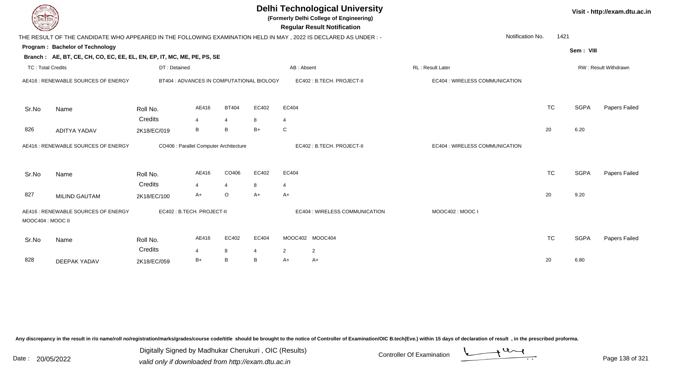| <b>DELTECH</b>           |                                                                                                                |                     |                           |                                           |            |            | <b>Delhi Technological University</b><br>(Formerly Delhi College of Engineering)<br><b>Regular Result Notification</b> |                                |                          |             | Visit - http://exam.dtu.ac.in |
|--------------------------|----------------------------------------------------------------------------------------------------------------|---------------------|---------------------------|-------------------------------------------|------------|------------|------------------------------------------------------------------------------------------------------------------------|--------------------------------|--------------------------|-------------|-------------------------------|
|                          | THE RESULT OF THE CANDIDATE WHO APPEARED IN THE FOLLOWING EXAMINATION HELD IN MAY, 2022 IS DECLARED AS UNDER:- |                     |                           |                                           |            |            |                                                                                                                        |                                | Notification No.<br>1421 |             |                               |
|                          | Program: Bachelor of Technology                                                                                |                     |                           |                                           |            |            |                                                                                                                        |                                |                          | Sem: VIII   |                               |
|                          | Branch: AE, BT, CE, CH, CO, EC, EE, EL, EN, EP, IT, MC, ME, PE, PS, SE                                         |                     |                           |                                           |            |            |                                                                                                                        |                                |                          |             |                               |
| <b>TC: Total Credits</b> |                                                                                                                | DT: Detained        |                           |                                           |            | AB: Absent |                                                                                                                        | RL: Result Later               |                          |             | RW: Result Withdrawn          |
|                          | AE416: RENEWABLE SOURCES OF ENERGY                                                                             |                     |                           | BT404 : ADVANCES IN COMPUTATIONAL BIOLOGY |            |            | EC402: B.TECH. PROJECT-II                                                                                              | EC404 : WIRELESS COMMUNICATION |                          |             |                               |
| Sr.No                    | Name                                                                                                           | Roll No.            | AE416                     | <b>BT404</b>                              | EC402      | EC404      |                                                                                                                        |                                | <b>TC</b>                | <b>SGPA</b> | Papers Failed                 |
|                          |                                                                                                                | Credits             | $\boldsymbol{\Delta}$     | $\overline{4}$                            | 8          | 4          |                                                                                                                        |                                |                          |             |                               |
| 826                      | <b>ADITYA YADAV</b>                                                                                            | 2K18/EC/019         | B                         | B                                         | $B+$       | ${\bf C}$  |                                                                                                                        |                                | 20                       | 6.20        |                               |
|                          | AE416 : RENEWABLE SOURCES OF ENERGY                                                                            |                     |                           | CO406 : Parallel Computer Architecture    |            |            | EC402: B.TECH. PROJECT-II                                                                                              | EC404 : WIRELESS COMMUNICATION |                          |             |                               |
| Sr.No                    | Name                                                                                                           | Roll No.            | AE416                     | CO406                                     | EC402      | EC404      |                                                                                                                        |                                | <b>TC</b>                | <b>SGPA</b> | Papers Failed                 |
|                          |                                                                                                                | Credits             | $\overline{4}$            | $\overline{4}$                            | 8          | 4          |                                                                                                                        |                                |                          |             |                               |
| 827                      | <b>MILIND GAUTAM</b>                                                                                           | 2K18/EC/100         | $A+$                      | O                                         | A+         | A+         |                                                                                                                        |                                | 20                       | 9.20        |                               |
| MOOC404 : MOOC II        | AE416 : RENEWABLE SOURCES OF ENERGY                                                                            |                     | EC402: B.TECH. PROJECT-II |                                           |            |            | EC404 : WIRELESS COMMUNICATION                                                                                         | MOOC402: MOOC I                |                          |             |                               |
| Sr.No                    | Name                                                                                                           | Roll No.<br>Credits | AE416<br>4                | EC402<br>8                                | EC404<br>4 | 2          | MOOC402 MOOC404<br>$\overline{2}$                                                                                      |                                | <b>TC</b>                | <b>SGPA</b> | Papers Failed                 |
| 828                      | <b>DEEPAK YADAV</b>                                                                                            | 2K18/EC/059         | $B+$                      | B                                         | B          | A+         | A+                                                                                                                     |                                | 20                       | 6.80        |                               |

Digitally Signed by Madhukar Cherukuri, OIC (Results)<br>Date : 20/05/2022 valid only if downloaded from http://oxam.dtu.ac.in Digitally Signed by Madhukar Cherukuri , OIC (Results)

valid only if downloaded from http://exam.dtu.ac.in

Page 138 of 321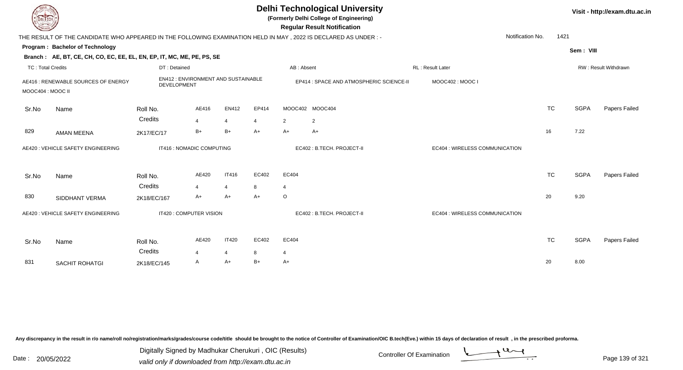|                          | <b>Delhi Technological University</b><br>(Formerly Delhi College of Engineering)<br>DEL ECH<br><b>Regular Result Notification</b><br>THE RESULT OF THE CANDIDATE WHO APPEARED IN THE FOLLOWING EXAMINATION HELD IN MAY, 2022 IS DECLARED AS UNDER :- |                                                          |                                |                                |            |                                          |                                   |                                |                  |             |                      |  |  |  |
|--------------------------|------------------------------------------------------------------------------------------------------------------------------------------------------------------------------------------------------------------------------------------------------|----------------------------------------------------------|--------------------------------|--------------------------------|------------|------------------------------------------|-----------------------------------|--------------------------------|------------------|-------------|----------------------|--|--|--|
|                          |                                                                                                                                                                                                                                                      |                                                          |                                |                                |            |                                          |                                   |                                | Notification No. | 1421        |                      |  |  |  |
|                          | Program: Bachelor of Technology                                                                                                                                                                                                                      |                                                          |                                |                                |            |                                          |                                   |                                |                  | Sem: VIII   |                      |  |  |  |
|                          | Branch: AE, BT, CE, CH, CO, EC, EE, EL, EN, EP, IT, MC, ME, PE, PS, SE                                                                                                                                                                               |                                                          |                                |                                |            |                                          |                                   |                                |                  |             |                      |  |  |  |
| <b>TC: Total Credits</b> |                                                                                                                                                                                                                                                      | DT: Detained                                             |                                |                                |            | AB: Absent                               |                                   | <b>RL: Result Later</b>        |                  |             | RW: Result Withdrawn |  |  |  |
| MOOC404 : MOOC II        | AE416 : RENEWABLE SOURCES OF ENERGY                                                                                                                                                                                                                  | EN412: ENVIRONMENT AND SUSTAINABLE<br><b>DEVELOPMENT</b> |                                |                                |            | EP414 : SPACE AND ATMOSPHERIC SCIENCE-II |                                   | MOOC402: MOOC I                |                  |             |                      |  |  |  |
| Sr.No                    | Name                                                                                                                                                                                                                                                 | Roll No.<br>Credits                                      | AE416<br>$\overline{4}$        | EN412<br>$\overline{4}$        | EP414<br>4 | $\overline{2}$                           | MOOC402 MOOC404<br>$\overline{2}$ |                                | <b>TC</b>        | <b>SGPA</b> | Papers Failed        |  |  |  |
| 829                      | <b>AMAN MEENA</b>                                                                                                                                                                                                                                    | 2K17/EC/17                                               | $B+$                           | $B+$                           | $A+$       | $A+$                                     | $A+$                              |                                | 16               | 7.22        |                      |  |  |  |
|                          | AE420 : VEHICLE SAFETY ENGINEERING                                                                                                                                                                                                                   | IT416 : NOMADIC COMPUTING                                |                                |                                |            |                                          | EC402: B.TECH. PROJECT-II         | EC404 : WIRELESS COMMUNICATION |                  |             |                      |  |  |  |
| Sr.No                    | Name                                                                                                                                                                                                                                                 | Roll No.<br>Credits                                      | AE420<br>$\boldsymbol{\Delta}$ | <b>IT416</b><br>$\overline{4}$ | EC402<br>8 | EC404<br>$\overline{4}$                  |                                   |                                | <b>TC</b>        | <b>SGPA</b> | Papers Failed        |  |  |  |
| 830                      | SIDDHANT VERMA                                                                                                                                                                                                                                       | 2K18/EC/167                                              | A+                             | A+                             | A+         | $\circ$                                  |                                   |                                | 20               | 9.20        |                      |  |  |  |
|                          | AE420 : VEHICLE SAFETY ENGINEERING                                                                                                                                                                                                                   | IT420 : COMPUTER VISION                                  |                                |                                |            |                                          | EC402 : B.TECH. PROJECT-II        | EC404 : WIRELESS COMMUNICATION |                  |             |                      |  |  |  |
| Sr.No                    | Name                                                                                                                                                                                                                                                 | Roll No.<br>Credits                                      | AE420<br>$\boldsymbol{\Delta}$ | <b>IT420</b><br>4              | EC402<br>8 | EC404<br>4                               |                                   |                                | <b>TC</b>        | <b>SGPA</b> | Papers Failed        |  |  |  |
| 831                      | <b>SACHIT ROHATGI</b>                                                                                                                                                                                                                                | 2K18/EC/145                                              | A                              | A+                             | B+         | $A+$                                     |                                   |                                | 20               | 8.00        |                      |  |  |  |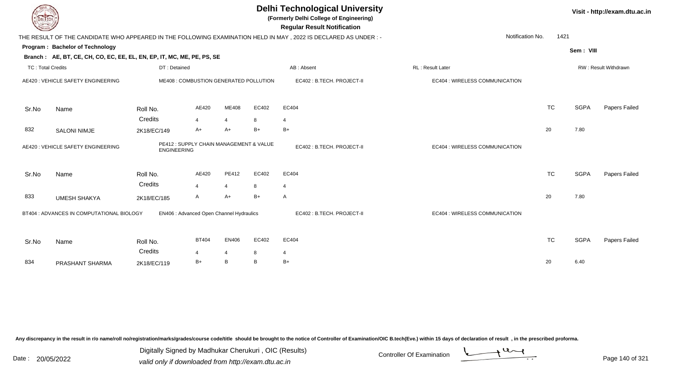| DEL ECH                  |                                                                        |                                                               |                |                     |        | <b>Delhi Technological University</b><br>(Formerly Delhi College of Engineering)<br><b>Regular Result Notification</b> |                                |           |             | Visit - http://exam.dtu.ac.in |
|--------------------------|------------------------------------------------------------------------|---------------------------------------------------------------|----------------|---------------------|--------|------------------------------------------------------------------------------------------------------------------------|--------------------------------|-----------|-------------|-------------------------------|
|                          |                                                                        |                                                               |                |                     |        | THE RESULT OF THE CANDIDATE WHO APPEARED IN THE FOLLOWING EXAMINATION HELD IN MAY, 2022 IS DECLARED AS UNDER :-        | Notification No.               | 1421      |             |                               |
|                          | Program: Bachelor of Technology                                        |                                                               |                |                     |        |                                                                                                                        |                                |           | Sem: VIII   |                               |
|                          | Branch: AE, BT, CE, CH, CO, EC, EE, EL, EN, EP, IT, MC, ME, PE, PS, SE |                                                               |                |                     |        |                                                                                                                        |                                |           |             |                               |
| <b>TC: Total Credits</b> |                                                                        | DT: Detained                                                  |                |                     |        | AB: Absent                                                                                                             | RL: Result Later               |           |             | RW: Result Withdrawn          |
|                          | AE420 : VEHICLE SAFETY ENGINEERING                                     | ME408 : COMBUSTION GENERATED POLLUTION                        |                |                     |        | EC402 : B.TECH. PROJECT-II                                                                                             | EC404 : WIRELESS COMMUNICATION |           |             |                               |
| Sr.No                    | Name                                                                   | Roll No.                                                      | AE420          | ME408               | EC402  | EC404                                                                                                                  |                                | <b>TC</b> | <b>SGPA</b> | Papers Failed                 |
|                          |                                                                        | Credits                                                       | $\overline{4}$ | $\overline{4}$      | 8      | $\overline{4}$                                                                                                         |                                |           |             |                               |
| 832                      | <b>SALONI NIMJE</b>                                                    | 2K18/EC/149                                                   | A+             | $A+$                | $B+$   | $B+$                                                                                                                   |                                | 20        | 7.80        |                               |
|                          | AE420 : VEHICLE SAFETY ENGINEERING                                     | PE412 : SUPPLY CHAIN MANAGEMENT & VALUE<br><b>ENGINEERING</b> |                |                     |        | EC402: B.TECH. PROJECT-II                                                                                              | EC404 : WIRELESS COMMUNICATION |           |             |                               |
| Sr.No                    | Name                                                                   | Roll No.<br>Credits                                           | AE420          | PE412               | EC402  | EC404                                                                                                                  |                                | <b>TC</b> | <b>SGPA</b> | Papers Failed                 |
|                          |                                                                        |                                                               | 4              | $\overline{4}$      | 8      | $\overline{4}$                                                                                                         |                                |           |             |                               |
| 833                      | <b>UMESH SHAKYA</b>                                                    | 2K18/EC/185                                                   | A              | $A+$                | $B+$   | A                                                                                                                      |                                | 20        | 7.80        |                               |
|                          | BT404 : ADVANCES IN COMPUTATIONAL BIOLOGY                              | EN406 : Advanced Open Channel Hydraulics                      |                |                     |        | EC402: B.TECH. PROJECT-II                                                                                              | EC404 : WIRELESS COMMUNICATION |           |             |                               |
| Sr.No                    | Name                                                                   | Roll No.<br>Credits                                           | <b>BT404</b>   | EN406               | EC402  | EC404                                                                                                                  |                                | <b>TC</b> | <b>SGPA</b> | Papers Failed                 |
| 834                      | PRASHANT SHARMA                                                        | 2K18/EC/119                                                   | 4<br>$B+$      | $\overline{4}$<br>B | 8<br>B | 4<br>$B+$                                                                                                              |                                | 20        | 6.40        |                               |

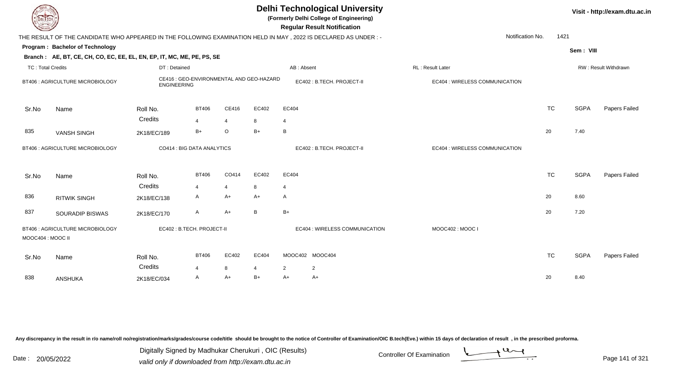| EL ECH                   |                                                                        |                        |                                          |                |           | <b>Delhi Technological University</b><br>(Formerly Delhi College of Engineering)<br><b>Regular Result Notification</b> |                                |           |             | Visit - http://exam.dtu.ac.in |
|--------------------------|------------------------------------------------------------------------|------------------------|------------------------------------------|----------------|-----------|------------------------------------------------------------------------------------------------------------------------|--------------------------------|-----------|-------------|-------------------------------|
|                          |                                                                        |                        |                                          |                |           | THE RESULT OF THE CANDIDATE WHO APPEARED IN THE FOLLOWING EXAMINATION HELD IN MAY, 2022 IS DECLARED AS UNDER :-        | Notification No.               | 1421      |             |                               |
|                          | Program: Bachelor of Technology                                        |                        |                                          |                |           |                                                                                                                        |                                |           | Sem: VIII   |                               |
|                          | Branch: AE, BT, CE, CH, CO, EC, EE, EL, EN, EP, IT, MC, ME, PE, PS, SE |                        |                                          |                |           |                                                                                                                        |                                |           |             |                               |
| <b>TC: Total Credits</b> |                                                                        | DT: Detained           |                                          |                |           | AB: Absent                                                                                                             | RL: Result Later               |           |             | RW: Result Withdrawn          |
|                          | BT406 : AGRICULTURE MICROBIOLOGY                                       | <b>ENGINEERING</b>     | CE416 : GEO-ENVIRONMENTAL AND GEO-HAZARD |                |           | EC402 : B.TECH. PROJECT-II                                                                                             | EC404 : WIRELESS COMMUNICATION |           |             |                               |
| Sr.No                    | Name                                                                   | Roll No.               | <b>BT406</b>                             | CE416          | EC402     | EC404                                                                                                                  |                                | <b>TC</b> | <b>SGPA</b> | Papers Failed                 |
|                          |                                                                        | Credits                | 4                                        | $\overline{4}$ | 8         | $\overline{4}$                                                                                                         |                                |           |             |                               |
| 835                      | <b>VANSH SINGH</b>                                                     | 2K18/EC/189            | $B+$                                     | $\circ$        | $B+$      | B                                                                                                                      |                                | 20        | 7.40        |                               |
|                          | BT406 : AGRICULTURE MICROBIOLOGY                                       |                        | CO414 : BIG DATA ANALYTICS               |                |           | EC402: B.TECH. PROJECT-II                                                                                              | EC404 : WIRELESS COMMUNICATION |           |             |                               |
| Sr.No                    | Name                                                                   | Roll No.               | <b>BT406</b>                             | CO414          | EC402     | EC404                                                                                                                  |                                | <b>TC</b> | <b>SGPA</b> | <b>Papers Failed</b>          |
|                          |                                                                        | Credits                | $\overline{4}$                           | $\overline{4}$ | 8         | $\overline{4}$                                                                                                         |                                |           |             |                               |
| 836                      | <b>RITWIK SINGH</b>                                                    | 2K18/EC/138            | A                                        | A+             | $A+$      | A                                                                                                                      |                                | 20        | 8.60        |                               |
| 837                      | <b>SOURADIP BISWAS</b>                                                 | 2K18/EC/170            | A                                        | $A+$           | B         | $B+$                                                                                                                   |                                | 20        | 7.20        |                               |
| MOOC404 : MOOC II        | BT406 : AGRICULTURE MICROBIOLOGY                                       |                        | EC402: B.TECH. PROJECT-II                |                |           | EC404 : WIRELESS COMMUNICATION                                                                                         | MOOC402: MOOC I                |           |             |                               |
| Sr.No                    | Name                                                                   | Roll No.               | <b>BT406</b>                             | EC402          | EC404     | MOOC402 MOOC404                                                                                                        |                                | <b>TC</b> | <b>SGPA</b> | Papers Failed                 |
| 838                      | <b>ANSHUKA</b>                                                         | Credits<br>2K18/EC/034 | $\overline{4}$<br>A                      | 8<br>A+        | 4<br>$B+$ | $\overline{2}$<br>$\overline{2}$<br>$A+$<br>A+                                                                         |                                | 20        | 8.40        |                               |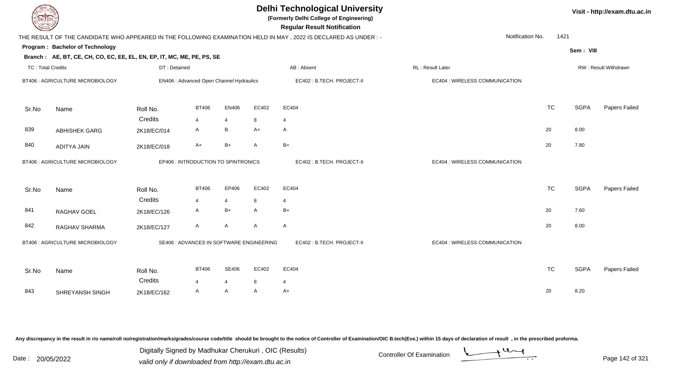| <b>DELTECH</b>           |                                                                        |              |                                          |                |       | <b>Delhi Technological University</b><br>(Formerly Delhi College of Engineering)<br><b>Regular Result Notification</b> |                                |           | Visit - http://exam.dtu.ac.in |                      |
|--------------------------|------------------------------------------------------------------------|--------------|------------------------------------------|----------------|-------|------------------------------------------------------------------------------------------------------------------------|--------------------------------|-----------|-------------------------------|----------------------|
|                          |                                                                        |              |                                          |                |       | THE RESULT OF THE CANDIDATE WHO APPEARED IN THE FOLLOWING EXAMINATION HELD IN MAY, 2022 IS DECLARED AS UNDER :-        | Notification No.               | 1421      |                               |                      |
|                          | Program: Bachelor of Technology                                        |              |                                          |                |       |                                                                                                                        |                                |           | Sem: VIII                     |                      |
|                          | Branch: AE, BT, CE, CH, CO, EC, EE, EL, EN, EP, IT, MC, ME, PE, PS, SE |              |                                          |                |       |                                                                                                                        |                                |           |                               |                      |
| <b>TC: Total Credits</b> |                                                                        | DT: Detained |                                          |                |       | AB: Absent                                                                                                             | RL: Result Later               |           |                               | RW: Result Withdrawn |
|                          | BT406 : AGRICULTURE MICROBIOLOGY                                       |              | EN406 : Advanced Open Channel Hydraulics |                |       | EC402: B.TECH. PROJECT-II                                                                                              | EC404 : WIRELESS COMMUNICATION |           |                               |                      |
| Sr.No                    | Name                                                                   | Roll No.     | <b>BT406</b>                             | EN406          | EC402 | EC404                                                                                                                  |                                | <b>TC</b> | <b>SGPA</b>                   | Papers Failed        |
|                          |                                                                        | Credits      | $\overline{4}$                           | $\overline{4}$ | 8     | $\overline{4}$                                                                                                         |                                |           |                               |                      |
| 839                      | <b>ABHISHEK GARG</b>                                                   | 2K18/EC/014  | $\mathsf{A}$                             | $\, {\sf B}$   | $A+$  | $\mathsf{A}$                                                                                                           |                                | 20        | 8.00                          |                      |
| 840                      | <b>ADITYA JAIN</b>                                                     | 2K18/EC/018  | A+                                       | $B+$           | A     | $B+$                                                                                                                   |                                | 20        | 7.80                          |                      |
|                          | BT406 : AGRICULTURE MICROBIOLOGY                                       |              | EP406 : INTRODUCTION TO SPINTRONICS      |                |       | EC402 : B.TECH. PROJECT-II                                                                                             | EC404 : WIRELESS COMMUNICATION |           |                               |                      |
| Sr.No                    | Name                                                                   | Roll No.     | <b>BT406</b>                             | EP406          | EC402 | EC404                                                                                                                  |                                | <b>TC</b> | <b>SGPA</b>                   | Papers Failed        |
|                          |                                                                        | Credits      | $\overline{4}$                           | $\overline{4}$ | 8     | $\overline{4}$                                                                                                         |                                |           |                               |                      |
| 841                      | RAGHAV GOEL                                                            | 2K18/EC/126  | A                                        | B+             | A     | $B+$                                                                                                                   |                                | 20        | 7.60                          |                      |
| 842                      | RAGHAV SHARMA                                                          | 2K18/EC/127  | A                                        | A              | A     | A                                                                                                                      |                                | 20        | 8.00                          |                      |
|                          | BT406 : AGRICULTURE MICROBIOLOGY                                       |              | SE406 : ADVANCES IN SOFTWARE ENGINEERING |                |       | EC402: B.TECH. PROJECT-II                                                                                              | EC404 : WIRELESS COMMUNICATION |           |                               |                      |
| Sr.No                    | Name                                                                   | Roll No.     | <b>BT406</b>                             | <b>SE406</b>   | EC402 | EC404                                                                                                                  |                                | <b>TC</b> | <b>SGPA</b>                   | Papers Failed        |
|                          |                                                                        | Credits      | $\overline{4}$                           | $\overline{4}$ | 8     | $\overline{4}$                                                                                                         |                                |           |                               |                      |
| 843                      | SHREYANSH SINGH                                                        | 2K18/EC/162  | $\mathsf{A}$                             | A              | A     | $A+$                                                                                                                   |                                | 20        | 8.20                          |                      |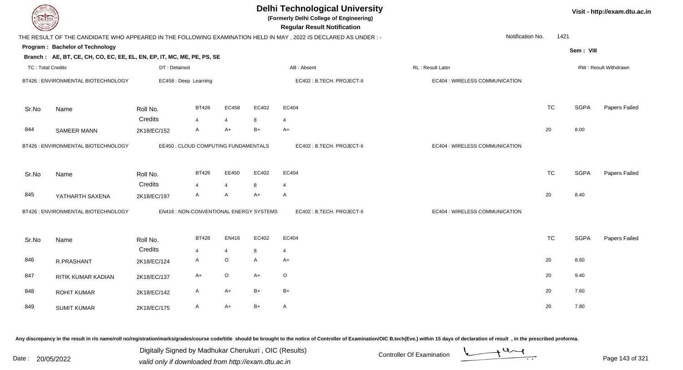| DEL TECH          |                                                                        |              |                                         |                |       | <b>Delhi Technological University</b><br>(Formerly Delhi College of Engineering)<br><b>Regular Result Notification</b> |                                |                          | Visit - http://exam.dtu.ac.in |                      |
|-------------------|------------------------------------------------------------------------|--------------|-----------------------------------------|----------------|-------|------------------------------------------------------------------------------------------------------------------------|--------------------------------|--------------------------|-------------------------------|----------------------|
|                   |                                                                        |              |                                         |                |       | THE RESULT OF THE CANDIDATE WHO APPEARED IN THE FOLLOWING EXAMINATION HELD IN MAY, 2022 IS DECLARED AS UNDER :-        |                                | Notification No.<br>1421 |                               |                      |
|                   | Program: Bachelor of Technology                                        |              |                                         |                |       |                                                                                                                        |                                |                          | Sem: VIII                     |                      |
|                   | Branch: AE, BT, CE, CH, CO, EC, EE, EL, EN, EP, IT, MC, ME, PE, PS, SE |              |                                         |                |       |                                                                                                                        |                                |                          |                               |                      |
| TC: Total Credits |                                                                        | DT: Detained |                                         |                |       | AB: Absent                                                                                                             | RL: Result Later               |                          |                               | RW: Result Withdrawn |
|                   | BT426 : ENVIRONMENTAL BIOTECHNOLOGY                                    |              | EC458 : Deep Learning                   |                |       | EC402: B.TECH. PROJECT-II                                                                                              | EC404 : WIRELESS COMMUNICATION |                          |                               |                      |
| Sr.No             | Name                                                                   | Roll No.     | <b>BT426</b>                            | EC458          | EC402 | EC404                                                                                                                  |                                | <b>TC</b>                | <b>SGPA</b>                   | Papers Failed        |
|                   |                                                                        | Credits      | $\overline{4}$                          | $\overline{4}$ | 8     | $\overline{\mathbf{4}}$                                                                                                |                                |                          |                               |                      |
| 844               | <b>SAMEER MANN</b>                                                     | 2K18/EC/152  | A                                       | A+             | $B+$  | $A+$                                                                                                                   |                                | 20                       | 8.00                          |                      |
|                   | BT426 : ENVIRONMENTAL BIOTECHNOLOGY                                    |              | EE450 : CLOUD COMPUTING FUNDAMENTALS    |                |       | EC402: B.TECH. PROJECT-II                                                                                              | EC404 : WIRELESS COMMUNICATION |                          |                               |                      |
| Sr.No             | Name                                                                   | Roll No.     | <b>BT426</b>                            | EE450          | EC402 | EC404                                                                                                                  |                                | <b>TC</b>                | <b>SGPA</b>                   | Papers Failed        |
|                   |                                                                        | Credits      | $\overline{4}$                          | $\overline{4}$ | 8     | $\overline{4}$                                                                                                         |                                |                          |                               |                      |
| 845               | YATHARTH SAXENA                                                        | 2K18/EC/197  | A                                       | A              | $A+$  | A                                                                                                                      |                                | 20                       | 8.40                          |                      |
|                   | BT426 : ENVIRONMENTAL BIOTECHNOLOGY                                    |              | EN416 : NON-CONVENTIONAL ENERGY SYSTEMS |                |       | EC402: B.TECH. PROJECT-II                                                                                              | EC404 : WIRELESS COMMUNICATION |                          |                               |                      |
| Sr.No             | Name                                                                   | Roll No.     | <b>BT426</b>                            | EN416          | EC402 | EC404                                                                                                                  |                                | <b>TC</b>                | <b>SGPA</b>                   | Papers Failed        |
|                   |                                                                        | Credits      | $\overline{4}$                          | $\overline{4}$ | 8     | $\overline{4}$                                                                                                         |                                |                          |                               |                      |
| 846               | R.PRASHANT                                                             | 2K18/EC/124  | A                                       | $\mathsf O$    | A     | $A+$                                                                                                                   |                                | 20                       | 8.60                          |                      |
| 847               | RITIK KUMAR KADIAN                                                     | 2K18/EC/137  | $A+$                                    | $\mathsf O$    | $A+$  | $\circ$                                                                                                                |                                | 20                       | 9.40                          |                      |
| 848               | <b>ROHIT KUMAR</b>                                                     | 2K18/EC/142  | A                                       | $A+$           | $B+$  | $B+$                                                                                                                   |                                | 20                       | 7.60                          |                      |
| 849               | <b>SUMIT KUMAR</b>                                                     | 2K18/EC/175  | A                                       | $A+$           | $B+$  | A                                                                                                                      |                                | 20                       | 7.80                          |                      |

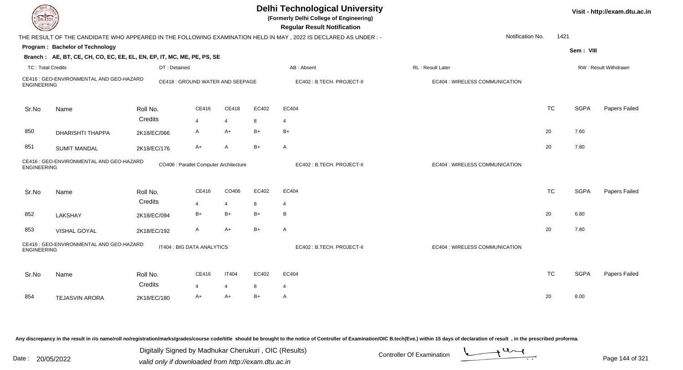| <b>DELTECH</b>           |                                                                        |              |                                        |                |       | <b>Delhi Technological University</b><br>(Formerly Delhi College of Engineering)<br><b>Regular Result Notification</b> |                                |           |             | Visit - http://exam.dtu.ac.in |
|--------------------------|------------------------------------------------------------------------|--------------|----------------------------------------|----------------|-------|------------------------------------------------------------------------------------------------------------------------|--------------------------------|-----------|-------------|-------------------------------|
|                          |                                                                        |              |                                        |                |       | THE RESULT OF THE CANDIDATE WHO APPEARED IN THE FOLLOWING EXAMINATION HELD IN MAY, 2022 IS DECLARED AS UNDER:-         | Notification No.               | 1421      |             |                               |
|                          | Program: Bachelor of Technology                                        |              |                                        |                |       |                                                                                                                        |                                |           | Sem: VIII   |                               |
|                          | Branch: AE, BT, CE, CH, CO, EC, EE, EL, EN, EP, IT, MC, ME, PE, PS, SE |              |                                        |                |       |                                                                                                                        |                                |           |             |                               |
| <b>TC: Total Credits</b> |                                                                        | DT: Detained |                                        |                |       | AB: Absent                                                                                                             | <b>RL: Result Later</b>        |           |             | RW: Result Withdrawn          |
| <b>ENGINEERING</b>       | CE416 : GEO-ENVIRONMENTAL AND GEO-HAZARD                               |              | CE418 : GROUND WATER AND SEEPAGE       |                |       | EC402: B.TECH. PROJECT-II                                                                                              | EC404 : WIRELESS COMMUNICATION |           |             |                               |
| Sr.No                    | Name                                                                   | Roll No.     | CE416                                  | CE418          | EC402 | EC404                                                                                                                  |                                | <b>TC</b> | <b>SGPA</b> | Papers Failed                 |
|                          |                                                                        | Credits      | $\overline{4}$                         | $\overline{4}$ | 8     | $\overline{4}$                                                                                                         |                                |           |             |                               |
| 850                      | <b>DHARISHTI THAPPA</b>                                                | 2K18/EC/066  | A                                      | $A+$           | $B+$  | $B+$                                                                                                                   |                                | 20        | 7.60        |                               |
| 851                      | <b>SUMIT MANDAL</b>                                                    | 2K18/EC/176  | $A+$                                   | A              | $B+$  | A                                                                                                                      |                                | 20        | 7.80        |                               |
| <b>ENGINEERING</b>       | CE416 : GEO-ENVIRONMENTAL AND GEO-HAZARD                               |              | CO406 : Parallel Computer Architecture |                |       | EC402: B.TECH. PROJECT-II                                                                                              | EC404 : WIRELESS COMMUNICATION |           |             |                               |
| Sr.No                    | Name                                                                   | Roll No.     | CE416                                  | CO406          | EC402 | EC404                                                                                                                  |                                | <b>TC</b> | <b>SGPA</b> | Papers Failed                 |
|                          |                                                                        | Credits      | $\overline{4}$                         | $\overline{4}$ | 8     | $\overline{4}$                                                                                                         |                                |           |             |                               |
| 852                      | LAKSHAY                                                                | 2K18/EC/094  | $B+$                                   | $B+$           | $B+$  | B                                                                                                                      |                                | 20        | 6.80        |                               |
| 853                      | VISHAL GOYAL                                                           | 2K18/EC/192  | A                                      | $A+$           | $B+$  | A                                                                                                                      |                                | 20        | 7.80        |                               |
| <b>ENGINEERING</b>       | CE416 : GEO-ENVIRONMENTAL AND GEO-HAZARD                               |              | IT404 : BIG DATA ANALYTICS             |                |       | EC402: B.TECH. PROJECT-II                                                                                              | EC404 : WIRELESS COMMUNICATION |           |             |                               |
| Sr.No                    | Name                                                                   | Roll No.     | <b>CE416</b>                           | <b>IT404</b>   | EC402 | EC404                                                                                                                  |                                | <b>TC</b> | <b>SGPA</b> | Papers Failed                 |
|                          |                                                                        | Credits      | $\overline{4}$                         | $\overline{4}$ | 8     | $\overline{4}$                                                                                                         |                                |           |             |                               |
| 854                      | <b>TEJASVIN ARORA</b>                                                  | 2K18/EC/180  | $A+$                                   | $A+$           | $B+$  | A                                                                                                                      |                                | 20        | 8.00        |                               |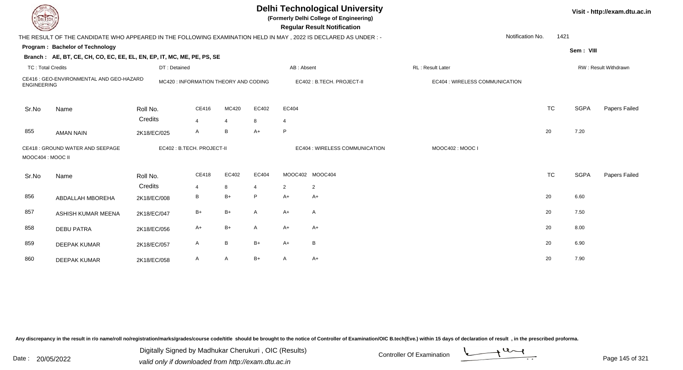| <b>DELTECH</b>           |                                                                                                                 |              |                                      |                |                |                | <b>Delhi Technological University</b><br>(Formerly Delhi College of Engineering)<br><b>Regular Result Notification</b> |                                |                  |           |             | Visit - http://exam.dtu.ac.in |
|--------------------------|-----------------------------------------------------------------------------------------------------------------|--------------|--------------------------------------|----------------|----------------|----------------|------------------------------------------------------------------------------------------------------------------------|--------------------------------|------------------|-----------|-------------|-------------------------------|
|                          | THE RESULT OF THE CANDIDATE WHO APPEARED IN THE FOLLOWING EXAMINATION HELD IN MAY, 2022 IS DECLARED AS UNDER :- |              |                                      |                |                |                |                                                                                                                        |                                | Notification No. | 1421      |             |                               |
|                          | Program: Bachelor of Technology                                                                                 |              |                                      |                |                |                |                                                                                                                        |                                |                  |           | Sem: VIII   |                               |
|                          | Branch: AE, BT, CE, CH, CO, EC, EE, EL, EN, EP, IT, MC, ME, PE, PS, SE                                          |              |                                      |                |                |                |                                                                                                                        |                                |                  |           |             |                               |
| <b>TC: Total Credits</b> |                                                                                                                 | DT: Detained |                                      |                |                | AB: Absent     |                                                                                                                        | RL: Result Later               |                  |           |             | RW: Result Withdrawn          |
| <b>ENGINEERING</b>       | CE416 : GEO-ENVIRONMENTAL AND GEO-HAZARD                                                                        |              | MC420: INFORMATION THEORY AND CODING |                |                |                | EC402: B.TECH. PROJECT-II                                                                                              | EC404 : WIRELESS COMMUNICATION |                  |           |             |                               |
| Sr.No                    | Name                                                                                                            | Roll No.     | CE416                                | MC420          | EC402          | EC404          |                                                                                                                        |                                |                  | <b>TC</b> | <b>SGPA</b> | Papers Failed                 |
|                          |                                                                                                                 | Credits      | 4                                    | $\overline{4}$ | 8              | $\overline{4}$ |                                                                                                                        |                                |                  |           |             |                               |
| 855                      | <b>AMAN NAIN</b>                                                                                                | 2K18/EC/025  | A                                    | $\, {\sf B}$   | $A+$           | P              |                                                                                                                        |                                | 20               |           | 7.20        |                               |
| MOOC404 : MOOC II        | CE418 : GROUND WATER AND SEEPAGE                                                                                |              | EC402 : B.TECH. PROJECT-II           |                |                |                | EC404 : WIRELESS COMMUNICATION                                                                                         | MOOC402: MOOC I                |                  |           |             |                               |
| Sr.No                    | Name                                                                                                            | Roll No.     | CE418                                | EC402          | EC404          |                | MOOC402 MOOC404                                                                                                        |                                |                  | <b>TC</b> | <b>SGPA</b> | Papers Failed                 |
|                          |                                                                                                                 | Credits      | 4                                    | 8              | $\overline{4}$ | 2              | 2                                                                                                                      |                                |                  |           |             |                               |
| 856                      | ABDALLAH MBOREHA                                                                                                | 2K18/EC/008  | В                                    | $B+$           | P              | $A+$           | A+                                                                                                                     |                                | 20               |           | 6.60        |                               |
| 857                      | ASHISH KUMAR MEENA                                                                                              | 2K18/EC/047  | $B+$                                 | $B+$           | A              | $A+$           | A                                                                                                                      |                                | 20               |           | 7.50        |                               |
| 858                      | <b>DEBU PATRA</b>                                                                                               | 2K18/EC/056  | A+                                   | $B+$           | A              | A+             | A+                                                                                                                     |                                | 20               |           | 8.00        |                               |
| 859                      | <b>DEEPAK KUMAR</b>                                                                                             | 2K18/EC/057  | A                                    | $\, {\bf B}$   | $B+$           | A+             | B                                                                                                                      |                                | 20               |           | 6.90        |                               |
| 860                      | <b>DEEPAK KUMAR</b>                                                                                             | 2K18/EC/058  | A                                    | A              | $B+$           | A              | A+                                                                                                                     |                                | 20               |           | 7.90        |                               |

Digitally Signed by Madhukar Cherukuri, OIC (Results)<br>Date : 20/05/2022 valid only if downloaded from http://oxam.dtu.ac.in Digitally Signed by Madhukar Cherukuri , OIC (Results)

valid only if downloaded from http://exam.dtu.ac.in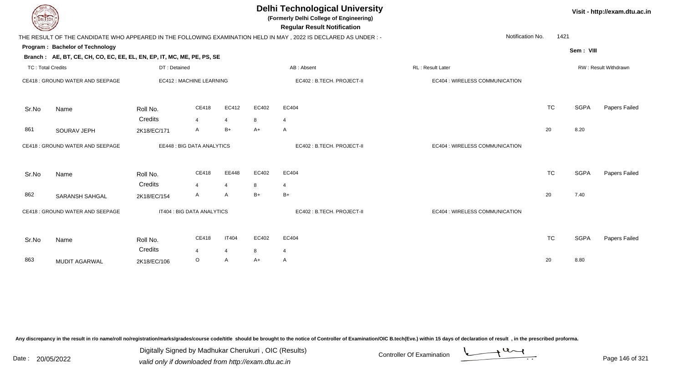| <b>DELTECH</b>           |                                                                        |              |                            |                |       | <b>Delhi Technological University</b><br>(Formerly Delhi College of Engineering)<br><b>Regular Result Notification</b> |                                |           |             | Visit - http://exam.dtu.ac.in |
|--------------------------|------------------------------------------------------------------------|--------------|----------------------------|----------------|-------|------------------------------------------------------------------------------------------------------------------------|--------------------------------|-----------|-------------|-------------------------------|
|                          |                                                                        |              |                            |                |       | THE RESULT OF THE CANDIDATE WHO APPEARED IN THE FOLLOWING EXAMINATION HELD IN MAY, 2022 IS DECLARED AS UNDER:-         | Notification No.               | 1421      |             |                               |
|                          | Program: Bachelor of Technology                                        |              |                            |                |       |                                                                                                                        |                                |           | Sem: VIII   |                               |
|                          | Branch: AE, BT, CE, CH, CO, EC, EE, EL, EN, EP, IT, MC, ME, PE, PS, SE |              |                            |                |       |                                                                                                                        |                                |           |             |                               |
| <b>TC: Total Credits</b> |                                                                        | DT: Detained |                            |                |       | AB: Absent                                                                                                             | RL: Result Later               |           |             | RW: Result Withdrawn          |
|                          | CE418 : GROUND WATER AND SEEPAGE                                       |              | EC412 : MACHINE LEARNING   |                |       | EC402 : B.TECH. PROJECT-II                                                                                             | EC404 : WIRELESS COMMUNICATION |           |             |                               |
| Sr.No                    | Name                                                                   | Roll No.     | CE418                      | EC412          | EC402 | EC404                                                                                                                  |                                | <b>TC</b> | <b>SGPA</b> | Papers Failed                 |
|                          |                                                                        | Credits      | $\overline{4}$             | $\overline{4}$ | 8     | $\overline{4}$                                                                                                         |                                |           |             |                               |
| 861                      | SOURAV JEPH                                                            | 2K18/EC/171  | A                          | $B+$           | $A+$  | A                                                                                                                      |                                | 20        | 8.20        |                               |
|                          | CE418 : GROUND WATER AND SEEPAGE                                       |              | EE448 : BIG DATA ANALYTICS |                |       | EC402: B.TECH. PROJECT-II                                                                                              | EC404 : WIRELESS COMMUNICATION |           |             |                               |
| Sr.No                    | Name                                                                   | Roll No.     | CE418                      | EE448          | EC402 | EC404                                                                                                                  |                                | <b>TC</b> | <b>SGPA</b> | Papers Failed                 |
|                          |                                                                        | Credits      | $\Delta$                   | $\overline{4}$ | 8     | $\overline{4}$                                                                                                         |                                |           |             |                               |
| 862                      | <b>SARANSH SAHGAL</b>                                                  | 2K18/EC/154  | A                          | $\overline{A}$ | $B+$  | $B+$                                                                                                                   |                                | 20        | 7.40        |                               |
|                          | CE418 : GROUND WATER AND SEEPAGE                                       |              | IT404 : BIG DATA ANALYTICS |                |       | EC402 : B.TECH. PROJECT-II                                                                                             | EC404 : WIRELESS COMMUNICATION |           |             |                               |
| Sr.No                    | Name                                                                   | Roll No.     | CE418                      | <b>IT404</b>   | EC402 | EC404                                                                                                                  |                                | <b>TC</b> | <b>SGPA</b> | Papers Failed                 |
|                          |                                                                        | Credits      | $\overline{4}$             | 4              | 8     | $\overline{4}$                                                                                                         |                                |           |             |                               |
| 863                      | <b>MUDIT AGARWAL</b>                                                   | 2K18/EC/106  | $\circ$                    | $\mathsf{A}$   | $A+$  | A                                                                                                                      |                                | 20        | 8.80        |                               |
|                          |                                                                        |              |                            |                |       |                                                                                                                        |                                |           |             |                               |

Digitally Signed by Madhukar Cherukuri, OIC (Results)<br>Date : 20/05/2022 valid only if downloaded from http://oxam.dtu.ac.in Digitally Signed by Madhukar Cherukuri , OIC (Results)

valid only if downloaded from http://exam.dtu.ac.in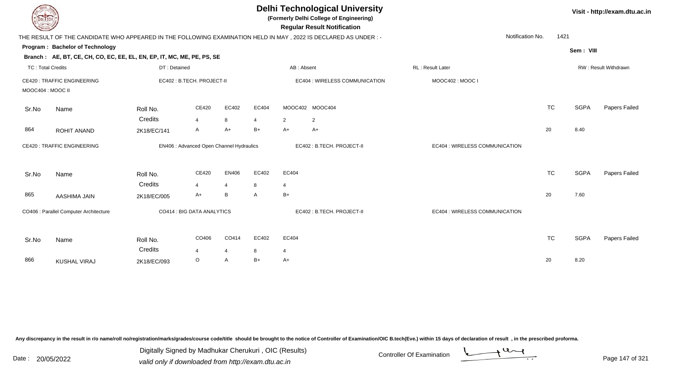| DEL ECH                  |                                                                                                                 |                     |                                          |                         |                         |                         | <b>Delhi Technological University</b><br>(Formerly Delhi College of Engineering)<br><b>Regular Result Notification</b> |                                |           |             | Visit - http://exam.dtu.ac.in |
|--------------------------|-----------------------------------------------------------------------------------------------------------------|---------------------|------------------------------------------|-------------------------|-------------------------|-------------------------|------------------------------------------------------------------------------------------------------------------------|--------------------------------|-----------|-------------|-------------------------------|
|                          | THE RESULT OF THE CANDIDATE WHO APPEARED IN THE FOLLOWING EXAMINATION HELD IN MAY, 2022 IS DECLARED AS UNDER :- |                     |                                          |                         |                         |                         |                                                                                                                        | Notification No.               | 1421      |             |                               |
|                          | Program: Bachelor of Technology<br>Branch: AE, BT, CE, CH, CO, EC, EE, EL, EN, EP, IT, MC, ME, PE, PS, SE       |                     |                                          |                         |                         |                         |                                                                                                                        |                                |           | Sem: VIII   |                               |
| <b>TC: Total Credits</b> |                                                                                                                 | DT: Detained        |                                          |                         |                         | AB: Absent              |                                                                                                                        | RL: Result Later               |           |             | RW: Result Withdrawn          |
| MOOC404 : MOOC II        | <b>CE420: TRAFFIC ENGINEERING</b>                                                                               |                     | EC402: B.TECH. PROJECT-II                |                         |                         |                         | EC404 : WIRELESS COMMUNICATION                                                                                         | MOOC402: MOOC I                |           |             |                               |
| Sr.No                    | Name                                                                                                            | Roll No.<br>Credits | CE420<br>$\overline{4}$                  | EC402<br>8              | EC404<br>$\overline{4}$ | $\overline{2}$          | MOOC402 MOOC404<br>$\overline{2}$                                                                                      |                                | <b>TC</b> | <b>SGPA</b> | Papers Failed                 |
| 864                      | <b>ROHIT ANAND</b>                                                                                              | 2K18/EC/141         | A                                        | $A+$                    | $B+$                    | $A+$                    | A+                                                                                                                     |                                | 20        | 8.40        |                               |
|                          | <b>CE420: TRAFFIC ENGINEERING</b>                                                                               |                     | EN406 : Advanced Open Channel Hydraulics |                         |                         |                         | EC402 : B.TECH. PROJECT-II                                                                                             | EC404 : WIRELESS COMMUNICATION |           |             |                               |
| Sr.No                    | Name                                                                                                            | Roll No.<br>Credits | CE420<br>4                               | EN406<br>$\overline{4}$ | EC402<br>8              | EC404<br>4              |                                                                                                                        |                                | <b>TC</b> | <b>SGPA</b> | Papers Failed                 |
| 865                      | AASHIMA JAIN                                                                                                    | 2K18/EC/005         | A+                                       | B                       | A                       | $B+$                    |                                                                                                                        |                                | 20        | 7.60        |                               |
|                          | CO406 : Parallel Computer Architecture                                                                          |                     | CO414 : BIG DATA ANALYTICS               |                         |                         |                         | EC402: B.TECH. PROJECT-II                                                                                              | EC404 : WIRELESS COMMUNICATION |           |             |                               |
| Sr.No                    | Name                                                                                                            | Roll No.<br>Credits | CO406<br>$\boldsymbol{\Delta}$           | CO414<br>4              | EC402<br>8              | EC404<br>$\overline{4}$ |                                                                                                                        |                                | <b>TC</b> | <b>SGPA</b> | Papers Failed                 |
| 866                      | <b>KUSHAL VIRAJ</b>                                                                                             | 2K18/EC/093         | O                                        | A                       | $B+$                    | $A+$                    |                                                                                                                        |                                | 20        | 8.20        |                               |

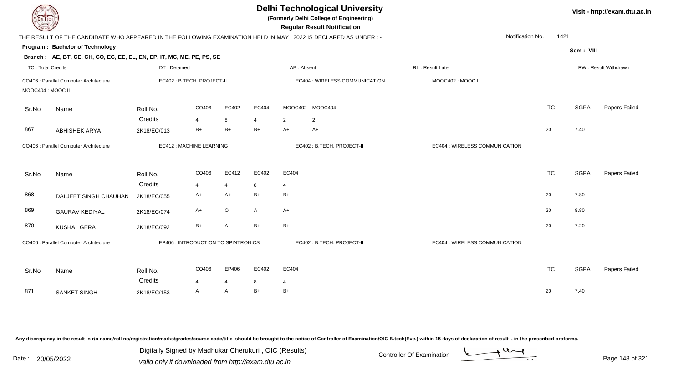| <b>DELTECH</b>           |                                                                                                                |                        |                                     |                |                        |                | <b>Delhi Technological University</b><br>(Formerly Delhi College of Engineering)<br><b>Regular Result Notification</b> |                                |           |             | Visit - http://exam.dtu.ac.in |
|--------------------------|----------------------------------------------------------------------------------------------------------------|------------------------|-------------------------------------|----------------|------------------------|----------------|------------------------------------------------------------------------------------------------------------------------|--------------------------------|-----------|-------------|-------------------------------|
|                          | THE RESULT OF THE CANDIDATE WHO APPEARED IN THE FOLLOWING EXAMINATION HELD IN MAY, 2022 IS DECLARED AS UNDER:- |                        |                                     |                |                        |                |                                                                                                                        | Notification No.               | 1421      |             |                               |
|                          | Program: Bachelor of Technology                                                                                |                        |                                     |                |                        |                |                                                                                                                        |                                |           | Sem: VIII   |                               |
|                          | Branch: AE, BT, CE, CH, CO, EC, EE, EL, EN, EP, IT, MC, ME, PE, PS, SE                                         |                        |                                     |                |                        |                |                                                                                                                        |                                |           |             |                               |
| <b>TC: Total Credits</b> |                                                                                                                | DT: Detained           |                                     |                |                        | AB: Absent     |                                                                                                                        | RL: Result Later               |           |             | RW: Result Withdrawn          |
| MOOC404 : MOOC II        | CO406 : Parallel Computer Architecture                                                                         |                        | EC402 : B.TECH. PROJECT-II          |                |                        |                | EC404 : WIRELESS COMMUNICATION                                                                                         | MOOC402: MOOC I                |           |             |                               |
| Sr.No                    | Name                                                                                                           | Roll No.               | CO406                               | EC402          | EC404                  |                | MOOC402 MOOC404                                                                                                        |                                | <b>TC</b> | <b>SGPA</b> | Papers Failed                 |
| 867                      | <b>ABHISHEK ARYA</b>                                                                                           | Credits<br>2K18/EC/013 | $\overline{\mathbf{4}}$<br>$B+$     | 8<br>$B+$      | $\overline{4}$<br>$B+$ | 2<br>$A+$      | $\overline{2}$<br>$A+$                                                                                                 |                                | 20        | 7.40        |                               |
|                          | CO406 : Parallel Computer Architecture                                                                         |                        | EC412 : MACHINE LEARNING            |                |                        |                | EC402: B.TECH. PROJECT-II                                                                                              | EC404 : WIRELESS COMMUNICATION |           |             |                               |
| Sr.No                    | Name                                                                                                           | Roll No.               | CO406                               | EC412          | EC402                  | EC404          |                                                                                                                        |                                | <b>TC</b> | <b>SGPA</b> | Papers Failed                 |
|                          |                                                                                                                | Credits                | $\overline{4}$                      | $\overline{4}$ | 8                      | $\overline{4}$ |                                                                                                                        |                                |           |             |                               |
| 868                      | DALJEET SINGH CHAUHAN                                                                                          | 2K18/EC/055            | A+                                  | $A+$           | $B+$                   | $B+$           |                                                                                                                        |                                | 20        | 7.80        |                               |
| 869                      | <b>GAURAV KEDIYAL</b>                                                                                          | 2K18/EC/074            | A+                                  | $\mathsf O$    | A                      | A+             |                                                                                                                        |                                | 20        | 8.80        |                               |
| 870                      | <b>KUSHAL GERA</b>                                                                                             | 2K18/EC/092            | $B+$                                | A              | $B+$                   | $B+$           |                                                                                                                        |                                | 20        | 7.20        |                               |
|                          | CO406 : Parallel Computer Architecture                                                                         |                        | EP406 : INTRODUCTION TO SPINTRONICS |                |                        |                | EC402: B.TECH. PROJECT-II                                                                                              | EC404 : WIRELESS COMMUNICATION |           |             |                               |
| Sr.No                    | Name                                                                                                           | Roll No.               | CO406                               | EP406          | EC402                  | EC404          |                                                                                                                        |                                | <b>TC</b> | <b>SGPA</b> | Papers Failed                 |
|                          |                                                                                                                | Credits                | $\overline{4}$                      | $\overline{4}$ | 8                      | $\overline{4}$ |                                                                                                                        |                                |           |             |                               |
| 871                      | SANKET SINGH                                                                                                   | 2K18/EC/153            | A                                   | A              | $B+$                   | $B+$           |                                                                                                                        |                                | 20        | 7.40        |                               |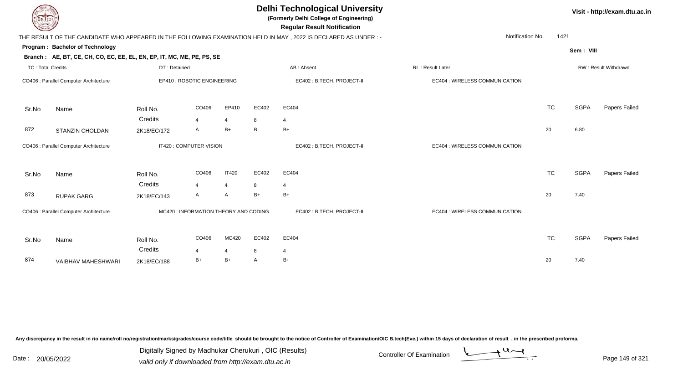| <b>DELTECH</b>           |                                                                        |              |                                       |                |       | <b>Delhi Technological University</b><br>(Formerly Delhi College of Engineering)<br><b>Regular Result Notification</b> |                                |           |             | Visit - http://exam.dtu.ac.in |
|--------------------------|------------------------------------------------------------------------|--------------|---------------------------------------|----------------|-------|------------------------------------------------------------------------------------------------------------------------|--------------------------------|-----------|-------------|-------------------------------|
|                          |                                                                        |              |                                       |                |       | THE RESULT OF THE CANDIDATE WHO APPEARED IN THE FOLLOWING EXAMINATION HELD IN MAY, 2022 IS DECLARED AS UNDER:-         | Notification No.               | 1421      |             |                               |
|                          | Program: Bachelor of Technology                                        |              |                                       |                |       |                                                                                                                        |                                |           | Sem: VIII   |                               |
|                          | Branch: AE, BT, CE, CH, CO, EC, EE, EL, EN, EP, IT, MC, ME, PE, PS, SE |              |                                       |                |       |                                                                                                                        |                                |           |             |                               |
| <b>TC: Total Credits</b> |                                                                        | DT: Detained |                                       |                |       | AB: Absent                                                                                                             | RL: Result Later               |           |             | RW: Result Withdrawn          |
|                          | CO406 : Parallel Computer Architecture                                 |              | EP410 : ROBOTIC ENGINEERING           |                |       | EC402 : B.TECH. PROJECT-II                                                                                             | EC404 : WIRELESS COMMUNICATION |           |             |                               |
| Sr.No                    | Name                                                                   | Roll No.     | CO406                                 | EP410          | EC402 | EC404                                                                                                                  |                                | <b>TC</b> | <b>SGPA</b> | Papers Failed                 |
|                          |                                                                        | Credits      | $\overline{4}$                        | $\overline{4}$ | 8     | 4                                                                                                                      |                                |           |             |                               |
| 872                      | <b>STANZIN CHOLDAN</b>                                                 | 2K18/EC/172  | A                                     | $B+$           | B     | $B+$                                                                                                                   |                                | 20        | 6.80        |                               |
|                          | CO406 : Parallel Computer Architecture                                 |              | IT420 : COMPUTER VISION               |                |       | EC402: B.TECH. PROJECT-II                                                                                              | EC404 : WIRELESS COMMUNICATION |           |             |                               |
| Sr.No                    | Name                                                                   | Roll No.     | CO406                                 | <b>IT420</b>   | EC402 | EC404                                                                                                                  |                                | <b>TC</b> | <b>SGPA</b> | Papers Failed                 |
|                          |                                                                        | Credits      | $\overline{4}$                        | $\overline{4}$ | 8     | 4                                                                                                                      |                                |           |             |                               |
| 873                      | <b>RUPAK GARG</b>                                                      | 2K18/EC/143  | A                                     | A              | $B+$  | $B+$                                                                                                                   |                                | 20        | 7.40        |                               |
|                          | CO406 : Parallel Computer Architecture                                 |              | MC420 : INFORMATION THEORY AND CODING |                |       | EC402: B.TECH. PROJECT-II                                                                                              | EC404 : WIRELESS COMMUNICATION |           |             |                               |
| Sr.No                    | Name                                                                   | Roll No.     | CO406                                 | MC420          | EC402 | EC404                                                                                                                  |                                | <b>TC</b> | <b>SGPA</b> | Papers Failed                 |
|                          |                                                                        | Credits      | $\overline{4}$                        | 4              | 8     | 4                                                                                                                      |                                |           |             |                               |
| 874                      | VAIBHAV MAHESHWARI                                                     | 2K18/EC/188  | $B+$                                  | $B+$           | A     | B+                                                                                                                     |                                | 20        | 7.40        |                               |
|                          |                                                                        |              |                                       |                |       |                                                                                                                        |                                |           |             |                               |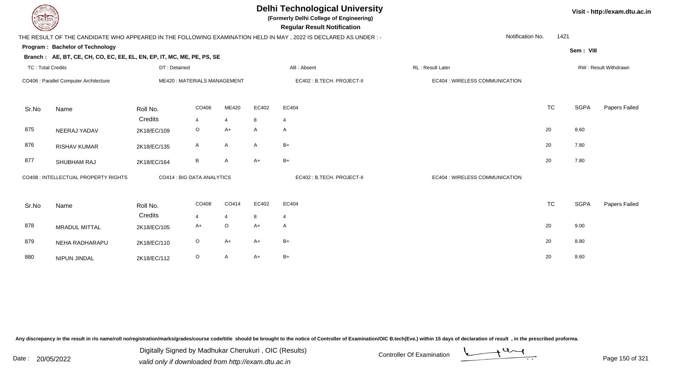| DEL TECH                 |                                                                        |              |                             |                |       | <b>Delhi Technological University</b><br>(Formerly Delhi College of Engineering)<br><b>Regular Result Notification</b> |                                |           |             | Visit - http://exam.dtu.ac.in |
|--------------------------|------------------------------------------------------------------------|--------------|-----------------------------|----------------|-------|------------------------------------------------------------------------------------------------------------------------|--------------------------------|-----------|-------------|-------------------------------|
|                          |                                                                        |              |                             |                |       | THE RESULT OF THE CANDIDATE WHO APPEARED IN THE FOLLOWING EXAMINATION HELD IN MAY, 2022 IS DECLARED AS UNDER:-         | Notification No.               | 1421      |             |                               |
|                          | Program: Bachelor of Technology                                        |              |                             |                |       |                                                                                                                        |                                |           | Sem: VIII   |                               |
|                          | Branch: AE, BT, CE, CH, CO, EC, EE, EL, EN, EP, IT, MC, ME, PE, PS, SE |              |                             |                |       |                                                                                                                        |                                |           |             |                               |
| <b>TC: Total Credits</b> |                                                                        | DT: Detained |                             |                |       | AB: Absent                                                                                                             | <b>RL: Result Later</b>        |           |             | RW: Result Withdrawn          |
|                          | CO406 : Parallel Computer Architecture                                 |              | ME420: MATERIALS MANAGEMENT |                |       | EC402 : B.TECH. PROJECT-II                                                                                             | EC404 : WIRELESS COMMUNICATION |           |             |                               |
| Sr.No                    | Name                                                                   | Roll No.     | CO406                       | ME420          | EC402 | EC404                                                                                                                  |                                | <b>TC</b> | <b>SGPA</b> | Papers Failed                 |
|                          |                                                                        | Credits      | 4                           | $\overline{4}$ | 8     | 4                                                                                                                      |                                |           |             |                               |
| 875                      | NEERAJ YADAV                                                           | 2K18/EC/109  | $\circ$                     | $A+$           | A     | $\mathsf{A}$                                                                                                           |                                | 20        | 8.60        |                               |
| 876                      | <b>RISHAV KUMAR</b>                                                    | 2K18/EC/135  | A                           | A              | A     | $B+$                                                                                                                   |                                | 20        | 7.80        |                               |
| 877                      | SHUBHAM RAJ                                                            | 2K18/EC/164  | B                           | A              | $A+$  | $B+$                                                                                                                   |                                | 20        | 7.80        |                               |
|                          | CO408 : INTELLECTUAL PROPERTY RIGHTS                                   |              | CO414 : BIG DATA ANALYTICS  |                |       | EC402 : B.TECH. PROJECT-II                                                                                             | EC404 : WIRELESS COMMUNICATION |           |             |                               |
| Sr.No                    | Name                                                                   | Roll No.     | CO408                       | CO414          | EC402 | EC404                                                                                                                  |                                | <b>TC</b> | <b>SGPA</b> | Papers Failed                 |
|                          |                                                                        | Credits      | 4                           | $\overline{4}$ | 8     | 4                                                                                                                      |                                |           |             |                               |
| 878                      | <b>MRADUL MITTAL</b>                                                   | 2K18/EC/105  | A+                          | $\circ$        | $A+$  | A                                                                                                                      |                                | 20        | 9.00        |                               |
| 879                      | NEHA RADHARAPU                                                         | 2K18/EC/110  | $\circ$                     | $A+$           | $A+$  | $B+$                                                                                                                   |                                | 20        | 8.80        |                               |
| 880                      | NIPUN JINDAL                                                           | 2K18/EC/112  | O                           | A              | $A+$  | $B+$                                                                                                                   |                                | 20        | 8.60        |                               |

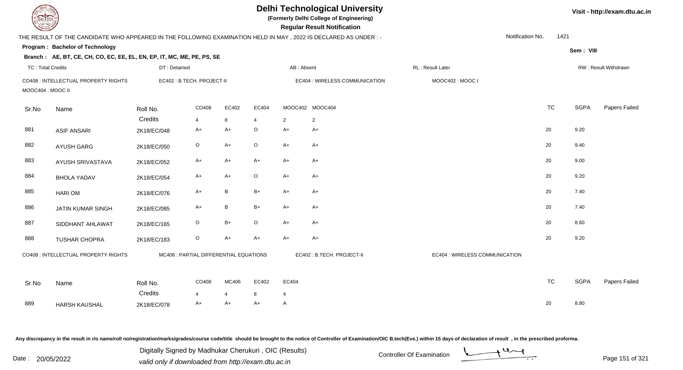| <b>DELIECH</b>           |                                                                                                                |                                        |         |                      |                         |                     | <b>Delhi Technological University</b><br>(Formerly Delhi College of Engineering)<br><b>Regular Result Notification</b> |                                |                  |      |             | Visit - http://exam.dtu.ac.in |
|--------------------------|----------------------------------------------------------------------------------------------------------------|----------------------------------------|---------|----------------------|-------------------------|---------------------|------------------------------------------------------------------------------------------------------------------------|--------------------------------|------------------|------|-------------|-------------------------------|
|                          | THE RESULT OF THE CANDIDATE WHO APPEARED IN THE FOLLOWING EXAMINATION HELD IN MAY, 2022 IS DECLARED AS UNDER:- |                                        |         |                      |                         |                     |                                                                                                                        |                                | Notification No. | 1421 |             |                               |
|                          | Program: Bachelor of Technology                                                                                |                                        |         |                      |                         |                     |                                                                                                                        |                                |                  |      | Sem: VIII   |                               |
|                          | Branch: AE, BT, CE, CH, CO, EC, EE, EL, EN, EP, IT, MC, ME, PE, PS, SE                                         |                                        |         |                      |                         |                     |                                                                                                                        |                                |                  |      |             |                               |
| <b>TC: Total Credits</b> |                                                                                                                | DT: Detained                           |         |                      |                         | AB: Absent          |                                                                                                                        | RL: Result Later               |                  |      |             | RW: Result Withdrawn          |
| MOOC404 : MOOC II        | CO408 : INTELLECTUAL PROPERTY RIGHTS                                                                           | EC402: B.TECH. PROJECT-II              |         |                      |                         |                     | EC404 : WIRELESS COMMUNICATION                                                                                         | MOOC402: MOOC I                |                  |      |             |                               |
| Sr.No                    | Name                                                                                                           | Roll No.                               | CO408   | EC402                | EC404                   |                     | MOOC402 MOOC404                                                                                                        |                                | <b>TC</b>        |      | <b>SGPA</b> | Papers Failed                 |
|                          |                                                                                                                | Credits                                | 4       | 8                    | $\overline{\mathbf{4}}$ | $\overline{2}$      | $\overline{2}$                                                                                                         |                                |                  |      |             |                               |
| 881                      | <b>ASIF ANSARI</b>                                                                                             | 2K18/EC/048                            | A+      | A+                   | $\circ$                 | $A+$                | $A+$                                                                                                                   |                                | 20               |      | 9.20        |                               |
| 882                      | AYUSH GARG                                                                                                     | 2K18/EC/050                            | $\circ$ | $A+$                 | $\mathsf O$             | $A+$                | $A+$                                                                                                                   |                                | 20               |      | 9.40        |                               |
| 883                      | AYUSH SRIVASTAVA                                                                                               | 2K18/EC/052                            | $A+$    | $A+$                 | $A+$                    | $A+$                | $A+$                                                                                                                   |                                | 20               |      | 9.00        |                               |
| 884                      | <b>BHOLA YADAV</b>                                                                                             | 2K18/EC/054                            | $A+$    | $A+$                 | O                       | $A+$                | $A+$                                                                                                                   |                                | 20               |      | 9.20        |                               |
| 885                      | <b>HARIOM</b>                                                                                                  | 2K18/EC/076                            | $A+$    | B                    | $B+$                    | $A+$                | $A+$                                                                                                                   |                                | 20               |      | 7.40        |                               |
| 886                      | <b>JATIN KUMAR SINGH</b>                                                                                       | 2K18/EC/085                            | $A+$    | $\sf B$              | $B+$                    | $A+$                | $A+$                                                                                                                   |                                | 20               |      | 7.40        |                               |
| 887                      | SIDDHANT AHLAWAT                                                                                               | 2K18/EC/165                            | $\circ$ | B+                   | O                       | $A+$                | $A+$                                                                                                                   |                                | 20               |      | 8.60        |                               |
| 888                      | <b>TUSHAR CHOPRA</b>                                                                                           | 2K18/EC/183                            | $\circ$ | $A+$                 | $A+$                    | $A+$                | $A+$                                                                                                                   |                                | 20               |      | 9.20        |                               |
|                          | CO408 : INTELLECTUAL PROPERTY RIGHTS                                                                           | MC406 : PARTIAL DIFFERENTIAL EQUATIONS |         |                      |                         |                     | EC402 : B.TECH. PROJECT-II                                                                                             | EC404 : WIRELESS COMMUNICATION |                  |      |             |                               |
| Sr.No                    | Name                                                                                                           | Roll No.<br>Credits                    | CO408   | MC406                | EC402                   | EC404               |                                                                                                                        |                                | <b>TC</b>        |      | <b>SGPA</b> | Papers Failed                 |
| 889                      | <b>HARSH KAUSHAL</b>                                                                                           | 2K18/EC/078                            | 4<br>A+ | $\overline{4}$<br>A+ | 8<br>$A+$               | $\overline{4}$<br>A |                                                                                                                        |                                | 20               |      | 8.80        |                               |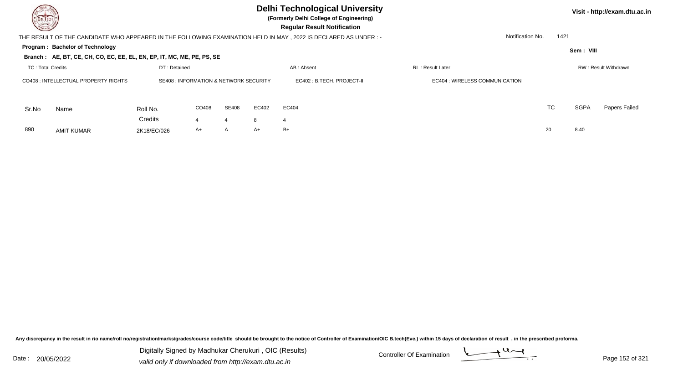## **Delhi Technological University**

**(Formerly Delhi College of Engineering)**

 **Regular Result Notification**

**Program : Bachelor of TechnologySem : VIII Branch : AE, BT, CE, CH, CO, EC, EE, EL, EN, EP, IT, MC, ME, PE, PS, SE**THE RESULT OF THE CANDIDATE WHO APPEARED IN THE FOLLOWING EXAMINATION HELD IN MAY , 2022 IS DECLARED AS UNDER : -TC : Total Credits DT : Detainedd AB : Absent RL : Result Later RW : Result Withdrawn Notification No. 1421Sr.NoName Roll No. **Credits** CO408 : INTELLECTUAL PROPERTY RIGHTSSE408 : INFORMATION & NETWORK SECURITY **ECA02 : B.TECH. PROJECT-II** FOR THE REGA04 : WIRELESS COMMUNICATION CO4088 SE408 EC402 EC404 **FOUND ECAUSE ECAUSE ECAUSE EXAMPLE EXAMPLE EXAMPLE EXAMPLE ECONOMIC ECONOMIC ECONOMIC ECONOMIC** TC SGPA Papers Failed 4 <sup>4</sup> <sup>8</sup> <sup>4</sup> 890 AMIT KUMARR 2K18/EC/026 A+ A A+ B+ 20 8.40

Any discrepancy in the result in r/o name/roll no/registration/marks/grades/course code/title should be brought to the notice of Controller of Examination/OIC B.tech(Eve.) within 15 days of declaration of result , in the p

Date : 20/05/2022 Digital Digital of Microsofted Chemical Controller Of Examination Determination Page 152 of 32<br>valid only if downloaded from http://exam.dtu.ac.in Digitally Signed by Madhukar Cherukuri , OIC (Results)

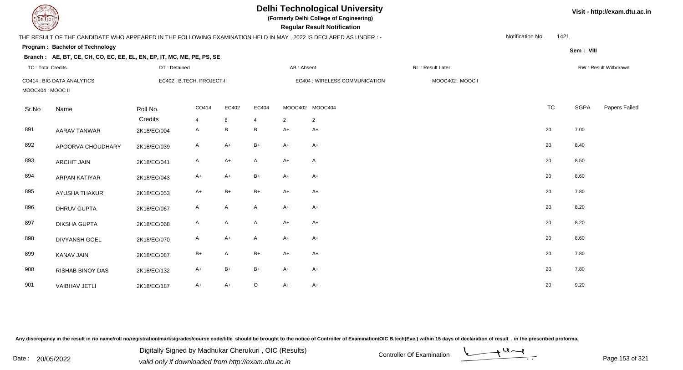| <b>DELTECH</b>           |                                                                                                                 |              |                           |              |                |                | <b>Delhi Technological University</b><br>(Formerly Delhi College of Engineering)<br><b>Regular Result Notification</b> |                  |                  |             | Visit - http://exam.dtu.ac.in |
|--------------------------|-----------------------------------------------------------------------------------------------------------------|--------------|---------------------------|--------------|----------------|----------------|------------------------------------------------------------------------------------------------------------------------|------------------|------------------|-------------|-------------------------------|
|                          | THE RESULT OF THE CANDIDATE WHO APPEARED IN THE FOLLOWING EXAMINATION HELD IN MAY, 2022 IS DECLARED AS UNDER :- |              |                           |              |                |                |                                                                                                                        |                  | Notification No. | 1421        |                               |
|                          | Program: Bachelor of Technology                                                                                 |              |                           |              |                |                |                                                                                                                        |                  |                  | Sem: VIII   |                               |
|                          | Branch: AE, BT, CE, CH, CO, EC, EE, EL, EN, EP, IT, MC, ME, PE, PS, SE                                          |              |                           |              |                |                |                                                                                                                        |                  |                  |             |                               |
| <b>TC: Total Credits</b> |                                                                                                                 | DT: Detained |                           |              |                | AB: Absent     |                                                                                                                        | RL: Result Later |                  |             | RW: Result Withdrawn          |
|                          | CO414 : BIG DATA ANALYTICS                                                                                      |              | EC402: B.TECH. PROJECT-II |              |                |                | EC404 : WIRELESS COMMUNICATION                                                                                         | MOOC402: MOOC I  |                  |             |                               |
| MOOC404 : MOOC II        |                                                                                                                 |              |                           |              |                |                |                                                                                                                        |                  |                  |             |                               |
| Sr.No                    | Name                                                                                                            | Roll No.     | CO414                     | EC402        | EC404          |                | MOOC402 MOOC404                                                                                                        |                  | <b>TC</b>        | <b>SGPA</b> | Papers Failed                 |
|                          |                                                                                                                 | Credits      | $\overline{4}$            | 8            | $\overline{4}$ | $\overline{2}$ | $\overline{2}$                                                                                                         |                  |                  |             |                               |
| 891                      | <b>AARAV TANWAR</b>                                                                                             | 2K18/EC/004  | $\mathsf{A}$              | B            | B              | $A+$           | $A+$                                                                                                                   |                  | 20               | 7.00        |                               |
| 892                      | APOORVA CHOUDHARY                                                                                               | 2K18/EC/039  | A                         | $A+$         | $B+$           | $A+$           | $A+$                                                                                                                   |                  | 20               | 8.40        |                               |
| 893                      | <b>ARCHIT JAIN</b>                                                                                              | 2K18/EC/041  | $\mathsf{A}$              | $A+$         | $\mathsf{A}$   | $A+$           | A                                                                                                                      |                  | 20               | 8.50        |                               |
| 894                      | <b>ARPAN KATIYAR</b>                                                                                            | 2K18/EC/043  | A+                        | $A+$         | $B+$           | $A+$           | $A+$                                                                                                                   |                  | 20               | 8.60        |                               |
| 895                      | <b>AYUSHA THAKUR</b>                                                                                            | 2K18/EC/053  | $A+$                      | $B+$         | B+             | $A+$           | $A+$                                                                                                                   |                  | 20               | 7.80        |                               |
| 896                      | <b>DHRUV GUPTA</b>                                                                                              | 2K18/EC/067  | A                         | A            | $\mathsf{A}$   | $A+$           | $A+$                                                                                                                   |                  | 20               | 8.20        |                               |
| 897                      | <b>DIKSHA GUPTA</b>                                                                                             | 2K18/EC/068  | A                         | $\mathsf{A}$ | $\mathsf{A}$   | $A+$           | $A+$                                                                                                                   |                  | 20               | 8.20        |                               |
| 898                      | <b>DIVYANSH GOEL</b>                                                                                            | 2K18/EC/070  | A                         | $A+$         | A              | $A+$           | $A+$                                                                                                                   |                  | 20               | 8.60        |                               |
| 899                      | <b>KANAV JAIN</b>                                                                                               | 2K18/EC/087  | $B+$                      | A            | $B+$           | $A+$           | $A+$                                                                                                                   |                  | 20               | 7.80        |                               |
| 900                      | <b>RISHAB BINOY DAS</b>                                                                                         | 2K18/EC/132  | A+                        | $B+$         | $B+$           | $A+$           | A+                                                                                                                     |                  | 20               | 7.80        |                               |
| 901                      | <b>VAIBHAV JETLI</b>                                                                                            | 2K18/EC/187  | A+                        | $A+$         | $\circ$        | $A+$           | A+                                                                                                                     |                  | 20               | 9.20        |                               |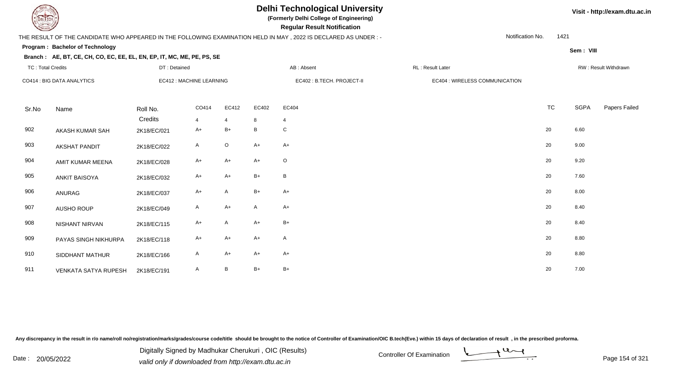

# **Delhi Technological University**

**(Formerly Delhi College of Engineering)**

 **Regular Result Notification**

### THE RESULT OF THE CANDIDATE WHO APPEARED IN THE FOLLOWING EXAMINATION HELD IN MAY , 2022 IS DECLARED AS UNDER : -

Notification No.1421

**Sem : VIII**

#### **Program : Bachelor of Technology**

#### **Branch : AE, BT, CE, CH, CO, EC, EE, EL, EN, EP, IT, MC, ME, PE, PS, SE**

| <b>TC: Total Credits</b> |                             | DT: Detained             |                         |                         |              | AB: Absent                 | RL: Result Later |                                |           |      | RW: Result Withdrawn |
|--------------------------|-----------------------------|--------------------------|-------------------------|-------------------------|--------------|----------------------------|------------------|--------------------------------|-----------|------|----------------------|
|                          | CO414 : BIG DATA ANALYTICS  | EC412 : MACHINE LEARNING |                         |                         |              | EC402 : B.TECH. PROJECT-II |                  | EC404 : WIRELESS COMMUNICATION |           |      |                      |
| Sr.No                    | Name                        | Roll No.<br>Credits      | CO414<br>$\overline{4}$ | EC412<br>$\overline{4}$ | EC402<br>8   | EC404<br>$\overline{4}$    |                  |                                | <b>TC</b> | SGPA | Papers Failed        |
| 902                      | AKASH KUMAR SAH             | 2K18/EC/021              | $A+$                    | $B+$                    | $\, {\bf B}$ | C                          |                  |                                | 20        | 6.60 |                      |
| 903                      | AKSHAT PANDIT               | 2K18/EC/022              | A                       | $\circ$                 | $A+$         | $A+$                       |                  |                                | 20        | 9.00 |                      |
| 904                      | AMIT KUMAR MEENA            | 2K18/EC/028              | $A+$                    | $A+$                    | $A+$         | $\circ$                    |                  |                                | 20        | 9.20 |                      |
| 905                      | <b>ANKIT BAISOYA</b>        | 2K18/EC/032              | $A+$                    | $A+$                    | $B+$         | $\, {\sf B}$               |                  |                                | 20        | 7.60 |                      |
| 906                      | ANURAG                      | 2K18/EC/037              | $A+$                    | A                       | $B+$         | $A+$                       |                  |                                | 20        | 8.00 |                      |
| 907                      | AUSHO ROUP                  | 2K18/EC/049              | A                       | $A+$                    | $\mathsf{A}$ | $A+$                       |                  |                                | 20        | 8.40 |                      |
| 908                      | NISHANT NIRVAN              | 2K18/EC/115              | $A+$                    | $\overline{A}$          | $A+$         | $B+$                       |                  |                                | 20        | 8.40 |                      |
| 909                      | PAYAS SINGH NIKHURPA        | 2K18/EC/118              | $A+$                    | $A+$                    | $A+$         | $\mathsf{A}$               |                  |                                | 20        | 8.80 |                      |
| 910                      | SIDDHANT MATHUR             | 2K18/EC/166              | A                       | $A+$                    | $A+$         | $A+$                       |                  |                                | 20        | 8.80 |                      |
| 911                      | <b>VENKATA SATYA RUPESH</b> | 2K18/EC/191              | A                       | B                       | $B+$         | $B+$                       |                  |                                | 20        | 7.00 |                      |

Any discrepancy in the result in r/o name/roll no/registration/marks/grades/course code/title should be brought to the notice of Controller of Examination/OIC B.tech(Eve.) within 15 days of declaration of result, in the pr

Date : 20/05/2022 Digital Digital of Digital of Mudahamar Chorental r, Ore (recentle)<br>valid only if downloaded from http://exam.dtu.ac.in<br>Date : 20/05/2022 valid only if downloaded from http://exam.dtu.ac.in Digitally Signed by Madhukar Cherukuri , OIC (Results)

**Visit - http://exam.dtu.ac.in**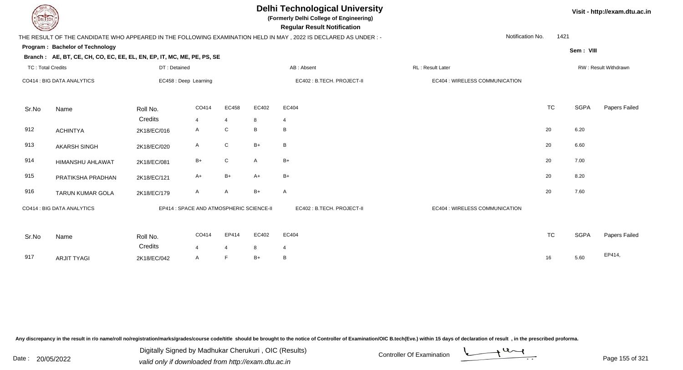## **Delhi Technological University**

**(Formerly Delhi College of Engineering)**

 **Regular Result Notification**

### THE RESULT OF THE CANDIDATE WHO APPEARED IN THE FOLLOWING EXAMINATION HELD IN MAY , 2022 IS DECLARED AS UNDER : -

Notification No.1421

**Program : Bachelor of Technology**

**Sem : VIII**

**Visit - http://exam.dtu.ac.in**

| <b>TC: Total Credits</b> |                            | DT: Detained          |                                          |                         |            | AB: Absent                 | RL: Result Later               |           |      | RW: Result Withdrawn |
|--------------------------|----------------------------|-----------------------|------------------------------------------|-------------------------|------------|----------------------------|--------------------------------|-----------|------|----------------------|
|                          | CO414 : BIG DATA ANALYTICS | EC458 : Deep Learning |                                          |                         |            | EC402 : B.TECH. PROJECT-II | EC404 : WIRELESS COMMUNICATION |           |      |                      |
| Sr.No                    | Name                       | Roll No.<br>Credits   | CO414<br>$\overline{4}$                  | EC458<br>$\overline{4}$ | EC402<br>8 | EC404<br>4                 |                                | <b>TC</b> | SGPA | Papers Failed        |
| 912                      | <b>ACHINTYA</b>            | 2K18/EC/016           | $\mathsf{A}$                             | ${\bf C}$               | B          | B                          |                                | $20\,$    | 6.20 |                      |
| 913                      | AKARSH SINGH               | 2K18/EC/020           | A                                        | ${\bf C}$               | $B+$       | B                          |                                | 20        | 6.60 |                      |
| 914                      | HIMANSHU AHLAWAT           | 2K18/EC/081           | $B+$                                     | ${\bf C}$               | A          | $B+$                       |                                | 20        | 7.00 |                      |
| 915                      | PRATIKSHA PRADHAN          | 2K18/EC/121           | $A+$                                     | $B+$                    | $A+$       | $B+$                       |                                | $20\,$    | 8.20 |                      |
| 916                      | TARUN KUMAR GOLA           | 2K18/EC/179           | A                                        | A                       | $B+$       | $\mathsf{A}$               |                                | 20        | 7.60 |                      |
|                          | CO414 : BIG DATA ANALYTICS |                       | EP414 : SPACE AND ATMOSPHERIC SCIENCE-II |                         |            | EC402 : B.TECH. PROJECT-II | EC404 : WIRELESS COMMUNICATION |           |      |                      |
| Sr.No                    | Name                       | Roll No.<br>Credits   | CO414<br>$\overline{4}$                  | EP414<br>4              | EC402<br>8 | EC404<br>$\overline{4}$    |                                | <b>TC</b> | SGPA | Papers Failed        |
| 917                      | <b>ARJIT TYAGI</b>         | 2K18/EC/042           | A                                        | F                       | $B+$       | B                          |                                | 16        | 5.60 | EP414,               |

Any discrepancy in the result in r/o name/roll no/registration/marks/grades/course code/title should be brought to the notice of Controller of Examination/OIC B.tech(Eve.) within 15 days of declaration of result, in the pr

Date : 20/05/2022 Digital Digital of Microsofted Chemical Controller Of Examination Determination Page 155 of 32 Digitally Signed by Madhukar Cherukuri , OIC (Results)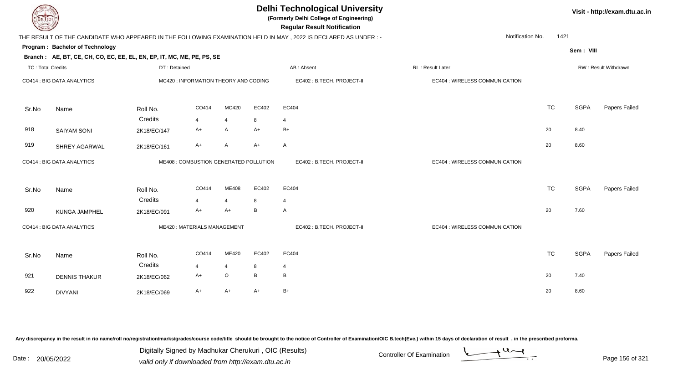| <b>DELTECH</b>           |                                                                        |              |                                        |                |       | <b>Delhi Technological University</b><br>(Formerly Delhi College of Engineering)<br><b>Regular Result Notification</b> |                                |           |             | Visit - http://exam.dtu.ac.in |
|--------------------------|------------------------------------------------------------------------|--------------|----------------------------------------|----------------|-------|------------------------------------------------------------------------------------------------------------------------|--------------------------------|-----------|-------------|-------------------------------|
|                          |                                                                        |              |                                        |                |       | THE RESULT OF THE CANDIDATE WHO APPEARED IN THE FOLLOWING EXAMINATION HELD IN MAY, 2022 IS DECLARED AS UNDER:-         | Notification No.               | 1421      |             |                               |
|                          | Program: Bachelor of Technology                                        |              |                                        |                |       |                                                                                                                        |                                |           | Sem: VIII   |                               |
|                          | Branch: AE, BT, CE, CH, CO, EC, EE, EL, EN, EP, IT, MC, ME, PE, PS, SE |              |                                        |                |       |                                                                                                                        |                                |           |             |                               |
| <b>TC: Total Credits</b> |                                                                        | DT: Detained |                                        |                |       | AB: Absent                                                                                                             | RL : Result Later              |           |             | RW: Result Withdrawn          |
|                          | CO414 : BIG DATA ANALYTICS                                             |              | MC420 : INFORMATION THEORY AND CODING  |                |       | EC402: B.TECH. PROJECT-II                                                                                              | EC404 : WIRELESS COMMUNICATION |           |             |                               |
| Sr.No                    | Name                                                                   | Roll No.     | CO414                                  | MC420          | EC402 | EC404                                                                                                                  |                                | <b>TC</b> | <b>SGPA</b> | Papers Failed                 |
|                          |                                                                        | Credits      | $\overline{4}$                         | $\overline{4}$ | 8     | $\overline{4}$                                                                                                         |                                |           |             |                               |
| 918                      | <b>SAIYAM SONI</b>                                                     | 2K18/EC/147  | $A+$                                   | $\mathsf{A}$   | $A+$  | $B+$                                                                                                                   |                                | 20        | 8.40        |                               |
| 919                      | SHREY AGARWAL                                                          | 2K18/EC/161  | A+                                     | A              | $A+$  | $\mathsf{A}$                                                                                                           |                                | 20        | 8.60        |                               |
|                          | CO414 : BIG DATA ANALYTICS                                             |              | ME408 : COMBUSTION GENERATED POLLUTION |                |       | EC402 : B.TECH. PROJECT-II                                                                                             | EC404 : WIRELESS COMMUNICATION |           |             |                               |
| Sr.No                    | Name                                                                   | Roll No.     | CO414                                  | ME408          | EC402 | EC404                                                                                                                  |                                | <b>TC</b> | <b>SGPA</b> | Papers Failed                 |
|                          |                                                                        | Credits      | 4                                      | $\overline{4}$ | 8     | $\overline{4}$                                                                                                         |                                |           |             |                               |
| 920                      | KUNGA JAMPHEL                                                          | 2K18/EC/091  | $A+$                                   | $A+$           | B     | $\overline{A}$                                                                                                         |                                | 20        | 7.60        |                               |
|                          | CO414 : BIG DATA ANALYTICS                                             |              | ME420: MATERIALS MANAGEMENT            |                |       | EC402: B.TECH. PROJECT-II                                                                                              | EC404 : WIRELESS COMMUNICATION |           |             |                               |
| Sr.No                    | Name                                                                   | Roll No.     | CO414                                  | ME420          | EC402 | EC404                                                                                                                  |                                | <b>TC</b> | <b>SGPA</b> | Papers Failed                 |
|                          |                                                                        | Credits      | $\overline{4}$                         | $\overline{4}$ | 8     | 4                                                                                                                      |                                |           |             |                               |
| 921                      | <b>DENNIS THAKUR</b>                                                   | 2K18/EC/062  | A+                                     | $\mathsf O$    | B     | В                                                                                                                      |                                | 20        | 7.40        |                               |
| 922                      | <b>DIVYANI</b>                                                         | 2K18/EC/069  | $A+$                                   | $A+$           | $A+$  | $B+$                                                                                                                   |                                | 20        | 8.60        |                               |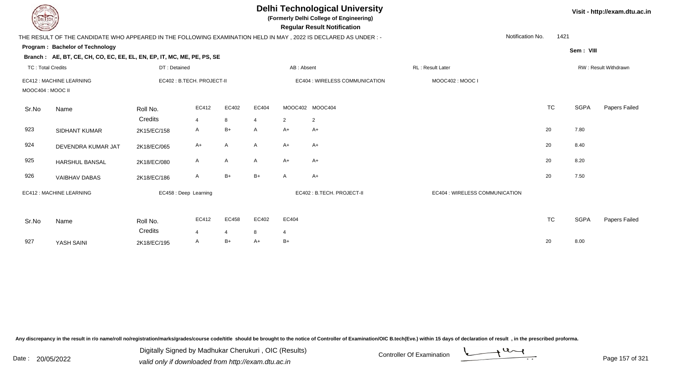| <b>DELTECH</b>           |                                                                                                                  |                            |                       |       |       |                | <b>Delhi Technological University</b><br>(Formerly Delhi College of Engineering)<br><b>Regular Result Notification</b> |                                |           |             | Visit - http://exam.dtu.ac.in |
|--------------------------|------------------------------------------------------------------------------------------------------------------|----------------------------|-----------------------|-------|-------|----------------|------------------------------------------------------------------------------------------------------------------------|--------------------------------|-----------|-------------|-------------------------------|
|                          | THE RESULT OF THE CANDIDATE WHO APPEARED IN THE FOLLOWING EXAMINATION HELD IN MAY , 2022 IS DECLARED AS UNDER :- |                            |                       |       |       |                |                                                                                                                        | Notification No.               | 1421      |             |                               |
|                          | Program: Bachelor of Technology<br>Branch: AE, BT, CE, CH, CO, EC, EE, EL, EN, EP, IT, MC, ME, PE, PS, SE        |                            |                       |       |       |                |                                                                                                                        |                                |           | Sem: VIII   |                               |
| <b>TC: Total Credits</b> |                                                                                                                  | DT: Detained               |                       |       |       | AB: Absent     |                                                                                                                        | RL: Result Later               |           |             | RW: Result Withdrawn          |
| MOOC404 : MOOC II        | EC412 : MACHINE LEARNING                                                                                         | EC402 : B.TECH. PROJECT-II |                       |       |       |                | EC404 : WIRELESS COMMUNICATION                                                                                         | MOOC402: MOOC I                |           |             |                               |
| Sr.No                    | Name                                                                                                             | Roll No.                   | EC412                 | EC402 | EC404 |                | MOOC402 MOOC404                                                                                                        |                                | <b>TC</b> | <b>SGPA</b> | Papers Failed                 |
|                          |                                                                                                                  | Credits                    | 4                     | 8     |       | 2              | 2                                                                                                                      |                                |           |             |                               |
| 923                      | SIDHANT KUMAR                                                                                                    | 2K15/EC/158                | A                     | B+    | A     | $A+$           | $A+$                                                                                                                   |                                | 20        | 7.80        |                               |
| 924                      | DEVENDRA KUMAR JAT                                                                                               | 2K18/EC/065                | $A+$                  | A     | A     | $A+$           | $A+$                                                                                                                   |                                | 20        | 8.40        |                               |
| 925                      | <b>HARSHUL BANSAL</b>                                                                                            | 2K18/EC/080                | A                     | A     | A     | $A+$           | $A+$                                                                                                                   |                                | 20        | 8.20        |                               |
| 926                      | <b>VAIBHAV DABAS</b>                                                                                             | 2K18/EC/186                | Α                     | $B+$  | $B+$  | A              | $A+$                                                                                                                   |                                | 20        | 7.50        |                               |
|                          | EC412 : MACHINE LEARNING                                                                                         |                            | EC458 : Deep Learning |       |       |                | EC402: B.TECH. PROJECT-II                                                                                              | EC404 : WIRELESS COMMUNICATION |           |             |                               |
| Sr.No                    | Name                                                                                                             | Roll No.                   | EC412                 | EC458 | EC402 | EC404          |                                                                                                                        |                                | <b>TC</b> | <b>SGPA</b> | Papers Failed                 |
|                          |                                                                                                                  | Credits                    | $\overline{4}$        | 4     | 8     | $\overline{4}$ |                                                                                                                        |                                |           |             |                               |
| 927                      | YASH SAINI                                                                                                       | 2K18/EC/195                | A                     | $B+$  | $A+$  | $B+$           |                                                                                                                        |                                | 20        | 8.00        |                               |

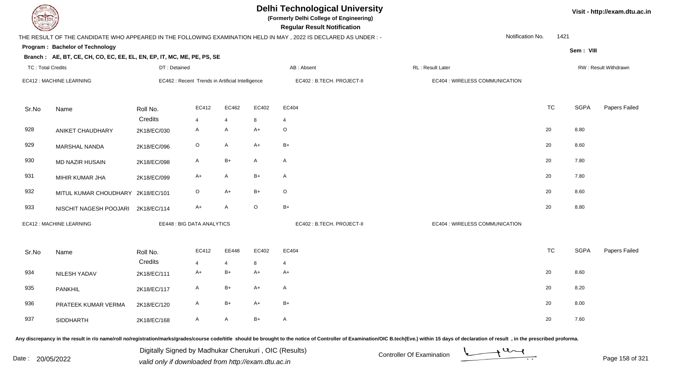| JEL I ECH                |                                                                        |              |                                                  |                |              | <b>Delhi Technological University</b><br>(Formerly Delhi College of Engineering)<br><b>Regular Result Notification</b> |                                |                  |             | Visit - http://exam.dtu.ac.in |
|--------------------------|------------------------------------------------------------------------|--------------|--------------------------------------------------|----------------|--------------|------------------------------------------------------------------------------------------------------------------------|--------------------------------|------------------|-------------|-------------------------------|
|                          |                                                                        |              |                                                  |                |              | THE RESULT OF THE CANDIDATE WHO APPEARED IN THE FOLLOWING EXAMINATION HELD IN MAY, 2022 IS DECLARED AS UNDER :-        |                                | Notification No. | 1421        |                               |
|                          | <b>Program: Bachelor of Technology</b>                                 |              |                                                  |                |              |                                                                                                                        |                                |                  | Sem: VIII   |                               |
|                          | Branch: AE, BT, CE, CH, CO, EC, EE, EL, EN, EP, IT, MC, ME, PE, PS, SE |              |                                                  |                |              |                                                                                                                        |                                |                  |             |                               |
| <b>TC: Total Credits</b> |                                                                        | DT: Detained |                                                  |                |              | AB: Absent                                                                                                             | RL: Result Later               |                  |             | RW: Result Withdrawn          |
|                          | EC412 : MACHINE LEARNING                                               |              | EC462 : Recent Trends in Artificial Intelligence |                |              | EC402 : B.TECH. PROJECT-II                                                                                             | EC404 : WIRELESS COMMUNICATION |                  |             |                               |
| Sr.No                    | Name                                                                   | Roll No.     | EC412                                            | EC462          | EC402        | EC404                                                                                                                  |                                | <b>TC</b>        | <b>SGPA</b> | Papers Failed                 |
|                          |                                                                        | Credits      | 4                                                | $\overline{4}$ | 8            | $\overline{4}$                                                                                                         |                                |                  |             |                               |
| 928                      | ANIKET CHAUDHARY                                                       | 2K18/EC/030  | A                                                | $\mathsf{A}$   | $A+$         | $\circ$                                                                                                                |                                | 20               | 8.80        |                               |
| 929                      | MARSHAL NANDA                                                          | 2K18/EC/096  | $\mathsf O$                                      | A              | $A+$         | $B+$                                                                                                                   |                                | 20               | 8.60        |                               |
| 930                      | <b>MD NAZIR HUSAIN</b>                                                 | 2K18/EC/098  | $\mathsf{A}$                                     | $B+$           | $\mathsf{A}$ | $\mathsf{A}$                                                                                                           |                                | 20               | 7.80        |                               |
| 931                      | MIHIR KUMAR JHA                                                        | 2K18/EC/099  | A+                                               | A              | $B+$         | $\mathsf{A}$                                                                                                           |                                | 20               | 7.80        |                               |
| 932                      | MITUL KUMAR CHOUDHARY 2K18/EC/101                                      |              | O                                                | $A+$           | $B+$         | $\circ$                                                                                                                |                                | 20               | 8.60        |                               |
| 933                      | NISCHIT NAGESH POOJARI                                                 | 2K18/EC/114  | $A+$                                             | $\mathsf A$    | $\circ$      | $B+$                                                                                                                   |                                | 20               | 8.80        |                               |
|                          | EC412 : MACHINE LEARNING                                               |              | <b>EE448: BIG DATA ANALYTICS</b>                 |                |              | EC402 : B.TECH. PROJECT-II                                                                                             | EC404 : WIRELESS COMMUNICATION |                  |             |                               |
| Sr.No                    | Name                                                                   | Roll No.     | EC412                                            | EE448          | EC402        | EC404                                                                                                                  |                                | <b>TC</b>        | SGPA        | Papers Failed                 |
|                          |                                                                        | Credits      | 4                                                | $\overline{4}$ | 8            | $\overline{4}$                                                                                                         |                                |                  |             |                               |
| 934                      | NILESH YADAV                                                           | 2K18/EC/111  | A+                                               | $B+$           | $A+$         | $A+$                                                                                                                   |                                | 20               | 8.60        |                               |
| 935                      | <b>PANKHIL</b>                                                         | 2K18/EC/117  | A                                                | $B+$           | $A+$         | $\mathsf{A}$                                                                                                           |                                | 20               | 8.20        |                               |
| 936                      | PRATEEK KUMAR VERMA                                                    | 2K18/EC/120  | A                                                | $B+$           | $A+$         | $B+$                                                                                                                   |                                | 20               | 8.00        |                               |
| 937                      | <b>SIDDHARTH</b>                                                       | 2K18/EC/168  | A                                                | $\mathsf A$    | $B+$         | $\mathsf{A}$                                                                                                           |                                | 20               | 7.60        |                               |

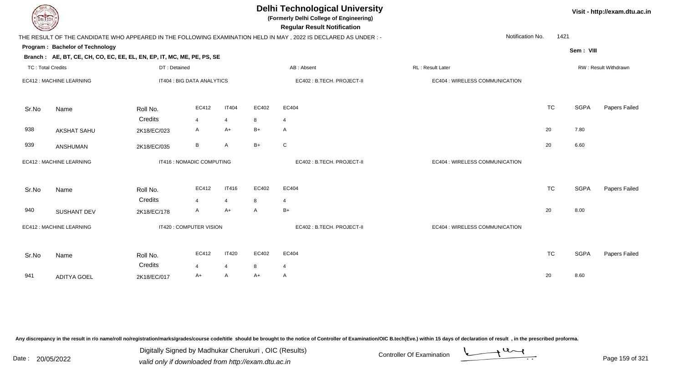| DEL TECH                 |                                                                        |              |                            |                |                | <b>Delhi Technological University</b><br>(Formerly Delhi College of Engineering)<br><b>Regular Result Notification</b> |                                |           |             | Visit - http://exam.dtu.ac.in |
|--------------------------|------------------------------------------------------------------------|--------------|----------------------------|----------------|----------------|------------------------------------------------------------------------------------------------------------------------|--------------------------------|-----------|-------------|-------------------------------|
|                          |                                                                        |              |                            |                |                | THE RESULT OF THE CANDIDATE WHO APPEARED IN THE FOLLOWING EXAMINATION HELD IN MAY, 2022 IS DECLARED AS UNDER :-        | Notification No.               | 1421      |             |                               |
|                          | Program: Bachelor of Technology                                        |              |                            |                |                |                                                                                                                        |                                |           | Sem: VIII   |                               |
|                          | Branch: AE, BT, CE, CH, CO, EC, EE, EL, EN, EP, IT, MC, ME, PE, PS, SE |              |                            |                |                |                                                                                                                        |                                |           |             |                               |
| <b>TC: Total Credits</b> |                                                                        | DT: Detained |                            |                |                | AB: Absent                                                                                                             | RL : Result Later              |           |             | RW: Result Withdrawn          |
|                          | EC412 : MACHINE LEARNING                                               |              | IT404 : BIG DATA ANALYTICS |                |                | EC402 : B.TECH. PROJECT-II                                                                                             | EC404 : WIRELESS COMMUNICATION |           |             |                               |
| Sr.No                    | Name                                                                   | Roll No.     | EC412                      | <b>IT404</b>   | EC402          | EC404                                                                                                                  |                                | <b>TC</b> | <b>SGPA</b> | Papers Failed                 |
|                          |                                                                        | Credits      | $\overline{4}$             | $\overline{4}$ | 8              | $\overline{4}$                                                                                                         |                                |           |             |                               |
| 938                      | <b>AKSHAT SAHU</b>                                                     | 2K18/EC/023  | A                          | A+             | $B+$           | $\mathsf{A}$                                                                                                           |                                | 20        | 7.80        |                               |
| 939                      | ANSHUMAN                                                               | 2K18/EC/035  | В                          | $\mathsf{A}$   | $B+$           | $\mathbf C$                                                                                                            |                                | 20        | 6.60        |                               |
|                          | EC412 : MACHINE LEARNING                                               |              | IT416 : NOMADIC COMPUTING  |                |                | EC402: B.TECH. PROJECT-II                                                                                              | EC404 : WIRELESS COMMUNICATION |           |             |                               |
| Sr.No                    | Name                                                                   | Roll No.     | EC412                      | IT416          | EC402          | EC404                                                                                                                  |                                | <b>TC</b> | <b>SGPA</b> | Papers Failed                 |
|                          |                                                                        | Credits      | 4                          | $\overline{4}$ | 8              | $\overline{4}$                                                                                                         |                                |           |             |                               |
| 940                      | <b>SUSHANT DEV</b>                                                     | 2K18/EC/178  | A                          | $A+$           | $\overline{A}$ | $B+$                                                                                                                   |                                | 20        | 8.00        |                               |
|                          | EC412 : MACHINE LEARNING                                               |              | IT420 : COMPUTER VISION    |                |                | EC402: B.TECH. PROJECT-II                                                                                              | EC404 : WIRELESS COMMUNICATION |           |             |                               |
| Sr.No                    | Name                                                                   | Roll No.     | EC412                      | <b>IT420</b>   | EC402          | EC404                                                                                                                  |                                | <b>TC</b> | <b>SGPA</b> | Papers Failed                 |
|                          |                                                                        | Credits      | 4                          | $\overline{4}$ | 8              | $\overline{4}$                                                                                                         |                                |           |             |                               |
| 941                      | <b>ADITYA GOEL</b>                                                     | 2K18/EC/017  | A+                         | A              | $A+$           | $\mathsf{A}$                                                                                                           |                                | 20        | 8.60        |                               |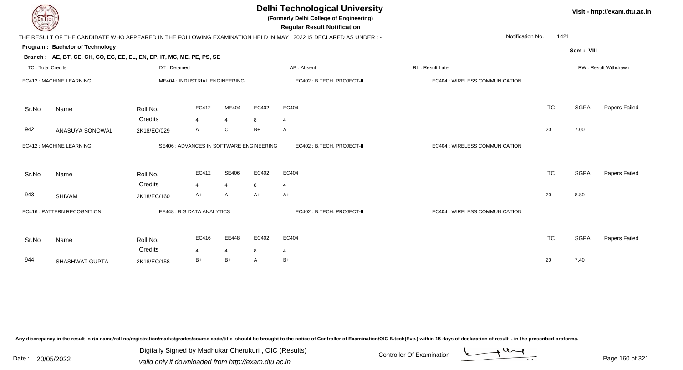| DEL TECH.                |                                                                                                           |              |                                          |                       |              | <b>Delhi Technological University</b><br>(Formerly Delhi College of Engineering)<br><b>Regular Result Notification</b> |                                |           |             | Visit - http://exam.dtu.ac |
|--------------------------|-----------------------------------------------------------------------------------------------------------|--------------|------------------------------------------|-----------------------|--------------|------------------------------------------------------------------------------------------------------------------------|--------------------------------|-----------|-------------|----------------------------|
|                          |                                                                                                           |              |                                          |                       |              | THE RESULT OF THE CANDIDATE WHO APPEARED IN THE FOLLOWING EXAMINATION HELD IN MAY , 2022 IS DECLARED AS UNDER :-       | Notification No.               | 1421      |             |                            |
|                          | Program: Bachelor of Technology<br>Branch: AE, BT, CE, CH, CO, EC, EE, EL, EN, EP, IT, MC, ME, PE, PS, SE |              |                                          |                       |              |                                                                                                                        |                                |           | Sem: VIII   |                            |
| <b>TC: Total Credits</b> |                                                                                                           | DT: Detained |                                          |                       |              | AB: Absent                                                                                                             | RL : Result Later              |           |             | RW: Result Withdrawn       |
|                          | EC412 : MACHINE LEARNING                                                                                  |              | ME404 : INDUSTRIAL ENGINEERING           |                       |              | EC402: B.TECH. PROJECT-II                                                                                              | EC404 : WIRELESS COMMUNICATION |           |             |                            |
| Sr.No                    | Name                                                                                                      | Roll No.     | EC412                                    | ME404                 | EC402        | EC404                                                                                                                  |                                | <b>TC</b> | <b>SGPA</b> | Papers Failed              |
|                          |                                                                                                           | Credits      | $\overline{4}$                           | $\overline{4}$        | 8            | $\overline{4}$                                                                                                         |                                |           |             |                            |
| 942                      | ANASUYA SONOWAL                                                                                           | 2K18/EC/029  | $\mathsf{A}$                             | $\mathsf{C}$          | $B+$         | $\overline{A}$                                                                                                         |                                | 20        | 7.00        |                            |
|                          | EC412 : MACHINE LEARNING                                                                                  |              | SE406 : ADVANCES IN SOFTWARE ENGINEERING |                       |              | EC402: B.TECH. PROJECT-II                                                                                              | EC404 : WIRELESS COMMUNICATION |           |             |                            |
| Sr.No                    | Name                                                                                                      | Roll No.     | EC412                                    | <b>SE406</b>          | EC402        | EC404                                                                                                                  |                                | <b>TC</b> | <b>SGPA</b> | Papers Failed              |
|                          |                                                                                                           | Credits      | $\Delta$                                 | $\boldsymbol{\Delta}$ | 8            | $\boldsymbol{\Delta}$                                                                                                  |                                |           |             |                            |
| 943                      | <b>SHIVAM</b>                                                                                             | 2K18/EC/160  | $A+$                                     | A                     | $A+$         | $A+$                                                                                                                   |                                | 20        | 8.80        |                            |
|                          | EC416 : PATTERN RECOGNITION                                                                               |              | EE448 : BIG DATA ANALYTICS               |                       |              | EC402 : B.TECH. PROJECT-II                                                                                             | EC404 : WIRELESS COMMUNICATION |           |             |                            |
| Sr.No                    | Name                                                                                                      | Roll No.     | EC416                                    | EE448                 | EC402        | EC404                                                                                                                  |                                | <b>TC</b> | <b>SGPA</b> | Papers Failed              |
|                          |                                                                                                           | Credits      | 4                                        | $\overline{4}$        | 8            | -4                                                                                                                     |                                |           |             |                            |
| 944                      | SHASHWAT GUPTA                                                                                            | 2K18/EC/158  | $B+$                                     | $B+$                  | $\mathsf{A}$ | B+                                                                                                                     |                                | 20        | 7.40        |                            |
|                          |                                                                                                           |              |                                          |                       |              |                                                                                                                        |                                |           |             |                            |

Digitally Signed by Madhukar Cherukuri, OIC (Results)<br>Date : 20/05/2022 valid only if downloaded from http://oxam.dtu.ac.in Digitally Signed by Madhukar Cherukuri , OIC (Results)valid only if downloaded from http://exam.dtu.ac.in



**Visit - http://exam.dtu.ac.in**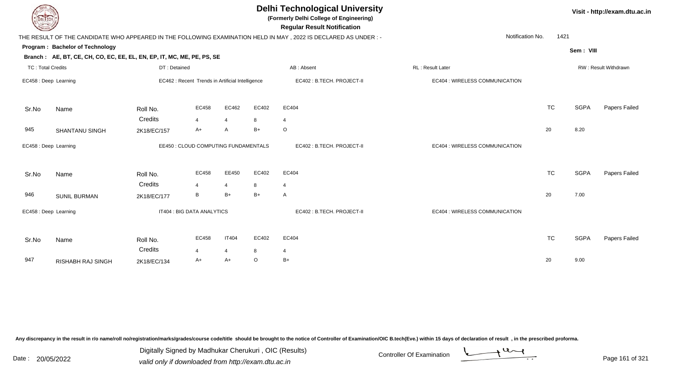| DEL ECH                  |                                                                                                           |              |                                                  |                |         | <b>Delhi Technological University</b><br>(Formerly Delhi College of Engineering)<br><b>Regular Result Notification</b> |                                |           |             | Visit - http://exam.dtu.ac.in |
|--------------------------|-----------------------------------------------------------------------------------------------------------|--------------|--------------------------------------------------|----------------|---------|------------------------------------------------------------------------------------------------------------------------|--------------------------------|-----------|-------------|-------------------------------|
|                          |                                                                                                           |              |                                                  |                |         | THE RESULT OF THE CANDIDATE WHO APPEARED IN THE FOLLOWING EXAMINATION HELD IN MAY, 2022 IS DECLARED AS UNDER :-        | Notification No.               | 1421      |             |                               |
|                          | Program: Bachelor of Technology<br>Branch: AE, BT, CE, CH, CO, EC, EE, EL, EN, EP, IT, MC, ME, PE, PS, SE |              |                                                  |                |         |                                                                                                                        |                                |           | Sem: VIII   |                               |
| <b>TC: Total Credits</b> |                                                                                                           | DT: Detained |                                                  |                |         | AB: Absent                                                                                                             | RL: Result Later               |           |             | RW: Result Withdrawn          |
| EC458 : Deep Learning    |                                                                                                           |              | EC462 : Recent Trends in Artificial Intelligence |                |         | EC402: B.TECH. PROJECT-II                                                                                              | EC404 : WIRELESS COMMUNICATION |           |             |                               |
| Sr.No                    | Name                                                                                                      | Roll No.     | EC458                                            | EC462          | EC402   | EC404                                                                                                                  |                                | <b>TC</b> | <b>SGPA</b> | Papers Failed                 |
|                          |                                                                                                           | Credits      | $\overline{4}$                                   | $\overline{4}$ | 8       | $\overline{4}$                                                                                                         |                                |           |             |                               |
| 945                      | <b>SHANTANU SINGH</b>                                                                                     | 2K18/EC/157  | A+                                               | $\overline{A}$ | $B+$    | $\circ$                                                                                                                |                                | 20        | 8.20        |                               |
| EC458 : Deep Learning    |                                                                                                           |              | EE450 : CLOUD COMPUTING FUNDAMENTALS             |                |         | EC402: B.TECH. PROJECT-II                                                                                              | EC404 : WIRELESS COMMUNICATION |           |             |                               |
| Sr.No                    | Name                                                                                                      | Roll No.     | EC458                                            | EE450          | EC402   | EC404                                                                                                                  |                                | <b>TC</b> | <b>SGPA</b> | Papers Failed                 |
|                          |                                                                                                           | Credits      | $\overline{\mathbf{A}}$                          | $\overline{4}$ | 8       | $\overline{4}$                                                                                                         |                                |           |             |                               |
| 946                      | <b>SUNIL BURMAN</b>                                                                                       | 2K18/EC/177  | B                                                | $B+$           | $B+$    | $\mathsf{A}$                                                                                                           |                                | 20        | 7.00        |                               |
|                          | EC458 : Deep Learning                                                                                     |              | IT404 : BIG DATA ANALYTICS                       |                |         | EC402: B.TECH. PROJECT-II                                                                                              | EC404 : WIRELESS COMMUNICATION |           |             |                               |
| Sr.No                    | Name                                                                                                      | Roll No.     | EC458                                            | IT404          | EC402   | EC404                                                                                                                  |                                | <b>TC</b> | <b>SGPA</b> | Papers Failed                 |
|                          |                                                                                                           | Credits      | 4                                                | $\overline{4}$ | 8       | 4                                                                                                                      |                                |           |             |                               |
| 947                      | <b>RISHABH RAJ SINGH</b>                                                                                  | 2K18/EC/134  | A+                                               | $A+$           | $\circ$ | $B+$                                                                                                                   |                                | 20        | 9.00        |                               |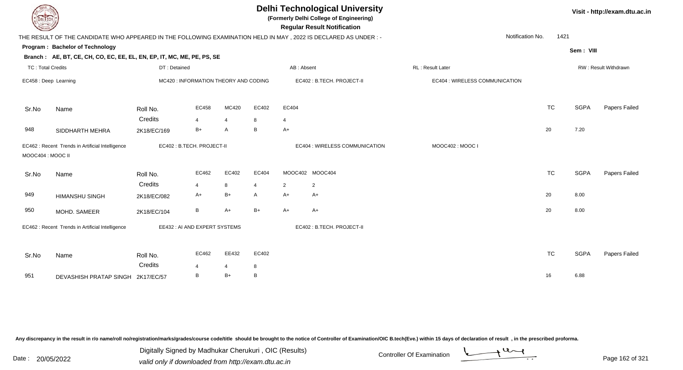| IL I ECH                 |                                                                                                                 |              |                                       |                |        |                | <b>Delhi Technological University</b><br>(Formerly Delhi College of Engineering)<br><b>Regular Result Notification</b> |                  |                                |           |             | Visit - http://exam.dtu.ac.in |
|--------------------------|-----------------------------------------------------------------------------------------------------------------|--------------|---------------------------------------|----------------|--------|----------------|------------------------------------------------------------------------------------------------------------------------|------------------|--------------------------------|-----------|-------------|-------------------------------|
|                          | THE RESULT OF THE CANDIDATE WHO APPEARED IN THE FOLLOWING EXAMINATION HELD IN MAY, 2022 IS DECLARED AS UNDER :- |              |                                       |                |        |                |                                                                                                                        |                  | Notification No.               | 1421      |             |                               |
|                          | Program: Bachelor of Technology                                                                                 |              |                                       |                |        |                |                                                                                                                        |                  |                                |           | Sem: VIII   |                               |
|                          | Branch: AE, BT, CE, CH, CO, EC, EE, EL, EN, EP, IT, MC, ME, PE, PS, SE                                          |              |                                       |                |        |                |                                                                                                                        |                  |                                |           |             |                               |
| <b>TC: Total Credits</b> |                                                                                                                 | DT: Detained |                                       |                |        | AB: Absent     |                                                                                                                        | RL: Result Later |                                |           |             | <b>RW: Result Withdrawn</b>   |
| EC458 : Deep Learning    |                                                                                                                 |              | MC420 : INFORMATION THEORY AND CODING |                |        |                | EC402 : B.TECH. PROJECT-II                                                                                             |                  | EC404 : WIRELESS COMMUNICATION |           |             |                               |
| Sr.No                    | Name                                                                                                            | Roll No.     | EC458                                 | MC420          | EC402  | EC404          |                                                                                                                        |                  |                                | <b>TC</b> | <b>SGPA</b> | Papers Failed                 |
|                          |                                                                                                                 | Credits      | $\overline{4}$                        | $\overline{4}$ | 8      | $\overline{4}$ |                                                                                                                        |                  |                                |           |             |                               |
| 948                      | SIDDHARTH MEHRA                                                                                                 | 2K18/EC/169  | $B+$                                  | $\overline{A}$ | B      | $A+$           |                                                                                                                        |                  |                                | 20        | 7.20        |                               |
| MOOC404 : MOOC II        | EC462 : Recent Trends in Artificial Intelligence                                                                |              | EC402 : B.TECH. PROJECT-II            |                |        |                | EC404 : WIRELESS COMMUNICATION                                                                                         | MOOC402: MOOC I  |                                |           |             |                               |
| Sr.No                    | Name                                                                                                            | Roll No.     | EC462                                 | EC402          | EC404  |                | MOOC402 MOOC404                                                                                                        |                  |                                | <b>TC</b> | <b>SGPA</b> | Papers Failed                 |
|                          |                                                                                                                 | Credits      | $\overline{4}$                        | 8              | 4      | $\overline{2}$ | $\overline{2}$                                                                                                         |                  |                                |           |             |                               |
| 949                      | <b>HIMANSHU SINGH</b>                                                                                           | 2K18/EC/082  | A+                                    | $B+$           | A      | $A+$           | A+                                                                                                                     |                  |                                | 20        | 8.00        |                               |
| 950                      | MOHD. SAMEER                                                                                                    | 2K18/EC/104  | B                                     | $A+$           | $B+$   | $A+$           | $A+$                                                                                                                   |                  |                                | 20        | 8.00        |                               |
|                          | EC462 : Recent Trends in Artificial Intelligence                                                                |              | EE432 : AI AND EXPERT SYSTEMS         |                |        |                | EC402: B.TECH. PROJECT-II                                                                                              |                  |                                |           |             |                               |
| Sr.No                    | Name                                                                                                            | Roll No.     | EC462                                 | EE432          | EC402  |                |                                                                                                                        |                  |                                | <b>TC</b> | <b>SGPA</b> | Papers Failed                 |
|                          |                                                                                                                 | Credits      | 4                                     | $\overline{4}$ | 8<br>B |                |                                                                                                                        |                  |                                |           |             |                               |
| 951                      | DEVASHISH PRATAP SINGH 2K17/EC/57                                                                               |              | B                                     | $B+$           |        |                |                                                                                                                        |                  |                                | 16        | 6.88        |                               |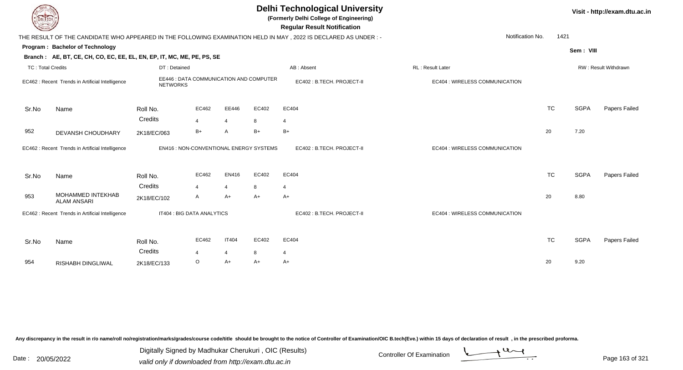| LI ECH                   |                                                                        |                        |                                         |                        |           | <b>Delhi Technological University</b><br>(Formerly Delhi College of Engineering)<br><b>Regular Result Notification</b> |                                |           |             | Visit - http://exam.dtu.ac.in |
|--------------------------|------------------------------------------------------------------------|------------------------|-----------------------------------------|------------------------|-----------|------------------------------------------------------------------------------------------------------------------------|--------------------------------|-----------|-------------|-------------------------------|
|                          |                                                                        |                        |                                         |                        |           | THE RESULT OF THE CANDIDATE WHO APPEARED IN THE FOLLOWING EXAMINATION HELD IN MAY, 2022 IS DECLARED AS UNDER:-         | Notification No.               | 1421      |             |                               |
|                          | Program: Bachelor of Technology                                        |                        |                                         |                        |           |                                                                                                                        |                                |           | Sem: VIII   |                               |
|                          | Branch: AE, BT, CE, CH, CO, EC, EE, EL, EN, EP, IT, MC, ME, PE, PS, SE |                        |                                         |                        |           |                                                                                                                        |                                |           |             |                               |
| <b>TC: Total Credits</b> |                                                                        | DT: Detained           |                                         |                        |           | AB: Absent                                                                                                             | RL: Result Later               |           |             | RW: Result Withdrawn          |
|                          | EC462 : Recent Trends in Artificial Intelligence                       | <b>NETWORKS</b>        | EE446 : DATA COMMUNICATION AND COMPUTER |                        |           | EC402: B.TECH. PROJECT-II                                                                                              | EC404 : WIRELESS COMMUNICATION |           |             |                               |
| Sr.No                    | Name                                                                   | Roll No.               | EC462                                   | EE446                  | EC402     | EC404                                                                                                                  |                                | <b>TC</b> | <b>SGPA</b> | Papers Failed                 |
|                          |                                                                        | Credits                | $\overline{4}$                          | $\overline{4}$         | 8         | $\overline{4}$                                                                                                         |                                |           |             |                               |
| 952                      | DEVANSH CHOUDHARY                                                      | 2K18/EC/063            | $B+$                                    | $\overline{A}$         | $B+$      | $B+$                                                                                                                   |                                | 20        | 7.20        |                               |
|                          | EC462 : Recent Trends in Artificial Intelligence                       |                        | EN416 : NON-CONVENTIONAL ENERGY SYSTEMS |                        |           | EC402: B.TECH. PROJECT-II                                                                                              | EC404 : WIRELESS COMMUNICATION |           |             |                               |
| Sr.No                    | Name                                                                   | Roll No.               | EC462                                   | EN416                  | EC402     | EC404                                                                                                                  |                                | <b>TC</b> | <b>SGPA</b> | Papers Failed                 |
| 953                      | MOHAMMED INTEKHAB<br><b>ALAM ANSARI</b>                                | Credits<br>2K18/EC/102 | $\boldsymbol{\Lambda}$<br>A             | $\overline{4}$<br>$A+$ | 8<br>$A+$ | $\overline{4}$<br>$A+$                                                                                                 |                                | 20        | 8.80        |                               |
|                          | EC462 : Recent Trends in Artificial Intelligence                       |                        | IT404 : BIG DATA ANALYTICS              |                        |           | EC402: B.TECH. PROJECT-II                                                                                              | EC404 : WIRELESS COMMUNICATION |           |             |                               |
| Sr.No                    | Name                                                                   | Roll No.               | EC462                                   | <b>IT404</b>           | EC402     | EC404                                                                                                                  |                                | <b>TC</b> | <b>SGPA</b> | Papers Failed                 |
|                          |                                                                        | Credits                |                                         | $\overline{4}$         | 8         | $\overline{4}$                                                                                                         |                                |           |             |                               |
| 954                      | RISHABH DINGLIWAL                                                      | 2K18/EC/133            | $\circ$                                 | $A+$                   | $A+$      | $A+$                                                                                                                   |                                | 20        | 9.20        |                               |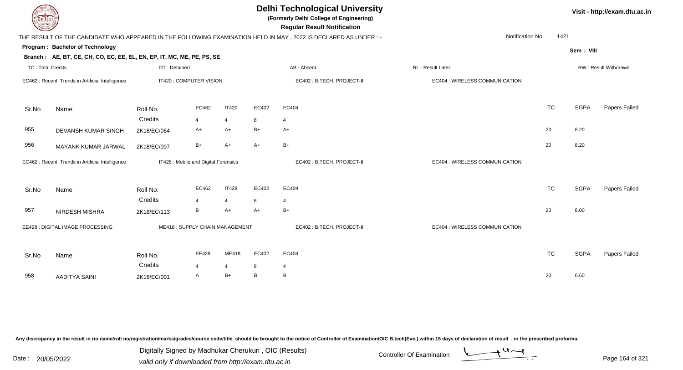| EL ECH                   |                                                                        |              |                                      |                |       | <b>Delhi Technological University</b><br>(Formerly Delhi College of Engineering)<br><b>Regular Result Notification</b> |                                |           |             | Visit - http://exam.dtu.ac.in |
|--------------------------|------------------------------------------------------------------------|--------------|--------------------------------------|----------------|-------|------------------------------------------------------------------------------------------------------------------------|--------------------------------|-----------|-------------|-------------------------------|
|                          |                                                                        |              |                                      |                |       | THE RESULT OF THE CANDIDATE WHO APPEARED IN THE FOLLOWING EXAMINATION HELD IN MAY , 2022 IS DECLARED AS UNDER :-       | Notification No.               | 1421      |             |                               |
|                          | Program: Bachelor of Technology                                        |              |                                      |                |       |                                                                                                                        |                                |           | Sem: VIII   |                               |
|                          | Branch: AE, BT, CE, CH, CO, EC, EE, EL, EN, EP, IT, MC, ME, PE, PS, SE |              |                                      |                |       |                                                                                                                        |                                |           |             |                               |
| <b>TC: Total Credits</b> |                                                                        | DT: Detained |                                      |                |       | AB: Absent                                                                                                             | RL: Result Later               |           |             | RW: Result Withdrawn          |
|                          | EC462 : Recent Trends in Artificial Intelligence                       |              | IT420 : COMPUTER VISION              |                |       | EC402 : B.TECH. PROJECT-II                                                                                             | EC404 : WIRELESS COMMUNICATION |           |             |                               |
| Sr.No                    | Name                                                                   | Roll No.     | EC462                                | <b>IT420</b>   | EC402 | EC404                                                                                                                  |                                | <b>TC</b> | <b>SGPA</b> | Papers Failed                 |
|                          |                                                                        | Credits      | 4                                    | $\overline{4}$ | 8     | $\overline{4}$                                                                                                         |                                |           |             |                               |
| 955                      | DEVANSH KUMAR SINGH                                                    | 2K18/EC/064  | A+                                   | A+             | $B+$  | $A+$                                                                                                                   |                                | 20        | 8.20        |                               |
| 956                      | MAYANK KUMAR JARWAL                                                    | 2K18/EC/097  | $B+$                                 | $A+$           | $A+$  | $B+$                                                                                                                   |                                | 20        | 8.20        |                               |
|                          | EC462 : Recent Trends in Artificial Intelligence                       |              | IT428 : Mobile and Digital Forensics |                |       | EC402: B.TECH. PROJECT-II                                                                                              | EC404 : WIRELESS COMMUNICATION |           |             |                               |
| Sr.No                    | Name                                                                   | Roll No.     | EC462                                | <b>IT428</b>   | EC402 | EC404                                                                                                                  |                                | <b>TC</b> | <b>SGPA</b> | Papers Failed                 |
|                          |                                                                        | Credits      | $\overline{\mathbf{A}}$              | $\overline{4}$ | 8     | $\overline{4}$                                                                                                         |                                |           |             |                               |
| 957                      | NIRDESH MISHRA                                                         | 2K18/EC/113  | B                                    | $A+$           | $A+$  | $B+$                                                                                                                   |                                | 20        | 8.00        |                               |
|                          | EE428 : DIGITAL IMAGE PROCESSING                                       |              | ME418: SUPPLY CHAIN MANAGEMENT       |                |       | EC402: B.TECH. PROJECT-II                                                                                              | EC404 : WIRELESS COMMUNICATION |           |             |                               |
| Sr.No                    | Name                                                                   | Roll No.     | EE428                                | ME418          | EC402 | EC404                                                                                                                  |                                | <b>TC</b> | <b>SGPA</b> | Papers Failed                 |
|                          |                                                                        | Credits      |                                      | $\overline{4}$ | 8     | 4                                                                                                                      |                                |           |             |                               |
| 958                      | <b>AADITYA SAINI</b>                                                   | 2K18/EC/001  | A                                    | $B+$           | B     | B                                                                                                                      |                                | 20        | 6.60        |                               |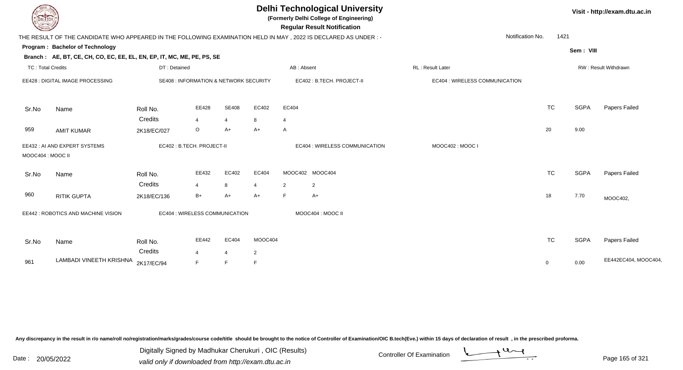| EL ECH                   |                                                                                                                 |                                                   |                        |                      |                      |                | <b>Delhi Technological University</b><br>(Formerly Delhi College of Engineering)<br><b>Regular Result Notification</b> |                                |                  |           |             | Visit - http://exam.dtu.ac.in |
|--------------------------|-----------------------------------------------------------------------------------------------------------------|---------------------------------------------------|------------------------|----------------------|----------------------|----------------|------------------------------------------------------------------------------------------------------------------------|--------------------------------|------------------|-----------|-------------|-------------------------------|
|                          | THE RESULT OF THE CANDIDATE WHO APPEARED IN THE FOLLOWING EXAMINATION HELD IN MAY, 2022 IS DECLARED AS UNDER :- |                                                   |                        |                      |                      |                |                                                                                                                        |                                | Notification No. | 1421      |             |                               |
|                          | Program: Bachelor of Technology                                                                                 |                                                   |                        |                      |                      |                |                                                                                                                        |                                |                  |           | Sem: VIII   |                               |
|                          | Branch: AE, BT, CE, CH, CO, EC, EE, EL, EN, EP, IT, MC, ME, PE, PS, SE                                          |                                                   |                        |                      |                      |                |                                                                                                                        |                                |                  |           |             |                               |
| <b>TC: Total Credits</b> |                                                                                                                 | DT: Detained                                      |                        |                      |                      |                | AB: Absent                                                                                                             | <b>RL: Result Later</b>        |                  |           |             | RW: Result Withdrawn          |
|                          | EE428 : DIGITAL IMAGE PROCESSING                                                                                | <b>SE408 : INFORMATION &amp; NETWORK SECURITY</b> |                        |                      |                      |                | EC402 : B.TECH. PROJECT-II                                                                                             | EC404 : WIRELESS COMMUNICATION |                  |           |             |                               |
| Sr.No                    | Name                                                                                                            | Roll No.                                          | EE428                  | <b>SE408</b>         | EC402                | EC404          |                                                                                                                        |                                |                  | <b>TC</b> | <b>SGPA</b> | Papers Failed                 |
|                          |                                                                                                                 | Credits                                           | $\overline{4}$         | $\overline{4}$       | 8                    | $\overline{4}$ |                                                                                                                        |                                |                  |           |             |                               |
| 959                      | <b>AMIT KUMAR</b>                                                                                               | 2K18/EC/027                                       | $\circ$                | $A+$                 | $A+$                 | $\mathsf{A}$   |                                                                                                                        |                                | 20               |           | 9.00        |                               |
| MOOC404 : MOOC II        | EE432: AI AND EXPERT SYSTEMS                                                                                    | EC402: B.TECH. PROJECT-II                         |                        |                      |                      |                | EC404 : WIRELESS COMMUNICATION                                                                                         | MOOC402: MOOC I                |                  |           |             |                               |
| Sr.No                    | Name                                                                                                            | Roll No.                                          | EE432                  | EC402                | EC404                |                | MOOC402 MOOC404                                                                                                        |                                |                  | <b>TC</b> | <b>SGPA</b> | Papers Failed                 |
| 960                      | <b>RITIK GUPTA</b>                                                                                              | Credits<br>2K18/EC/136                            | $\overline{4}$<br>$B+$ | 8<br>A+              | $\overline{4}$<br>A+ | 2<br>F         | $\overline{2}$<br>$A+$                                                                                                 |                                | 18               |           | 7.70        | MOOC402,                      |
|                          | EE442 : ROBOTICS AND MACHINE VISION                                                                             | EC404 : WIRELESS COMMUNICATION                    |                        |                      |                      |                | MOOC404 : MOOC II                                                                                                      |                                |                  |           |             |                               |
| Sr.No                    | Name                                                                                                            | Roll No.                                          | EE442                  | EC404                | MOOC404              |                |                                                                                                                        |                                |                  | <b>TC</b> | <b>SGPA</b> | Papers Failed                 |
| 961                      | LAMBADI VINEETH KRISHNA                                                                                         | Credits<br>2K17/EC/94                             | $\overline{4}$<br>F    | $\overline{4}$<br>F. | $\overline{2}$<br>F  |                |                                                                                                                        |                                | $\mathbf 0$      |           | 0.00        | EE442EC404, MOOC404,          |

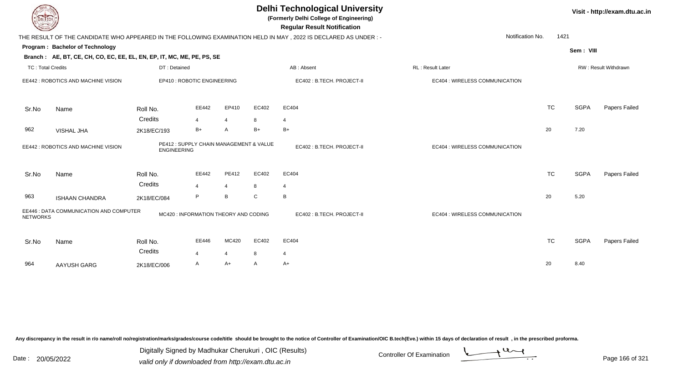| DELTECH                  |                                                                        |                    |                                         |                |             | <b>Delhi Technological University</b><br>(Formerly Delhi College of Engineering)<br><b>Regular Result Notification</b> |                                       |           |             | Visit - http://exam.dtu.ac.in |
|--------------------------|------------------------------------------------------------------------|--------------------|-----------------------------------------|----------------|-------------|------------------------------------------------------------------------------------------------------------------------|---------------------------------------|-----------|-------------|-------------------------------|
|                          |                                                                        |                    |                                         |                |             | THE RESULT OF THE CANDIDATE WHO APPEARED IN THE FOLLOWING EXAMINATION HELD IN MAY, 2022 IS DECLARED AS UNDER:-         | Notification No.                      | 1421      |             |                               |
|                          | <b>Program: Bachelor of Technology</b>                                 |                    |                                         |                |             |                                                                                                                        |                                       |           | Sem: VIII   |                               |
|                          | Branch: AE, BT, CE, CH, CO, EC, EE, EL, EN, EP, IT, MC, ME, PE, PS, SE |                    |                                         |                |             |                                                                                                                        |                                       |           |             |                               |
| <b>TC: Total Credits</b> |                                                                        | DT: Detained       |                                         |                |             | AB: Absent                                                                                                             | RL : Result Later                     |           |             | RW: Result Withdrawn          |
|                          | EE442 : ROBOTICS AND MACHINE VISION                                    |                    | EP410 : ROBOTIC ENGINEERING             |                |             | EC402 : B.TECH. PROJECT-II                                                                                             | EC404 : WIRELESS COMMUNICATION        |           |             |                               |
| Sr.No                    | Name                                                                   | Roll No.           | EE442                                   | EP410          | EC402       | EC404                                                                                                                  |                                       | <b>TC</b> | <b>SGPA</b> | Papers Failed                 |
|                          |                                                                        | Credits            | $\overline{4}$                          | $\overline{4}$ | 8           | $\overline{4}$                                                                                                         |                                       |           |             |                               |
| 962                      | VISHAL JHA                                                             | 2K18/EC/193        | $B+$                                    | $\overline{A}$ | $B+$        | $B+$                                                                                                                   |                                       | 20        | 7.20        |                               |
|                          | EE442 : ROBOTICS AND MACHINE VISION                                    | <b>ENGINEERING</b> | PE412 : SUPPLY CHAIN MANAGEMENT & VALUE |                |             | EC402: B.TECH. PROJECT-II                                                                                              | <b>EC404 : WIRELESS COMMUNICATION</b> |           |             |                               |
| Sr.No                    | Name                                                                   | Roll No.           | EE442                                   | PE412          | EC402       | EC404                                                                                                                  |                                       | <b>TC</b> | <b>SGPA</b> | Papers Failed                 |
|                          |                                                                        | Credits            | $\overline{\mathbf{A}}$                 | $\overline{4}$ | 8           | $\overline{4}$                                                                                                         |                                       |           |             |                               |
| 963                      | <b>ISHAAN CHANDRA</b>                                                  | 2K18/EC/084        | P                                       | B              | $\mathbf C$ | В                                                                                                                      |                                       | 20        | 5.20        |                               |
| <b>NETWORKS</b>          | EE446 : DATA COMMUNICATION AND COMPUTER                                |                    | MC420 : INFORMATION THEORY AND CODING   |                |             | EC402 : B.TECH. PROJECT-II                                                                                             | EC404 : WIRELESS COMMUNICATION        |           |             |                               |
| Sr.No                    | Name                                                                   | Roll No.           | EE446                                   | MC420          | EC402       | EC404                                                                                                                  |                                       | <b>TC</b> | <b>SGPA</b> | Papers Failed                 |
|                          |                                                                        | Credits            | $\overline{4}$                          | $\overline{4}$ | 8           | $\boldsymbol{\Delta}$                                                                                                  |                                       |           |             |                               |
| 964                      | AAYUSH GARG                                                            | 2K18/EC/006        | A                                       | A+             | A           | A+                                                                                                                     |                                       | 20        | 8.40        |                               |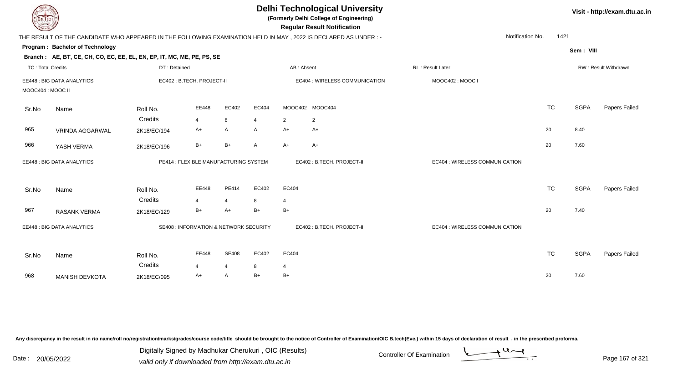| DEL TECH                 |                                                                        |              |                                        |                |                |                | <b>Delhi Technological University</b><br>(Formerly Delhi College of Engineering)<br><b>Regular Result Notification</b> |                                |           |             | Visit - http://exam.dtu.ac.in |
|--------------------------|------------------------------------------------------------------------|--------------|----------------------------------------|----------------|----------------|----------------|------------------------------------------------------------------------------------------------------------------------|--------------------------------|-----------|-------------|-------------------------------|
|                          |                                                                        |              |                                        |                |                |                | THE RESULT OF THE CANDIDATE WHO APPEARED IN THE FOLLOWING EXAMINATION HELD IN MAY, 2022 IS DECLARED AS UNDER :-        | Notification No.               | 1421      |             |                               |
|                          | Program: Bachelor of Technology                                        |              |                                        |                |                |                |                                                                                                                        |                                |           | Sem: VIII   |                               |
|                          | Branch: AE, BT, CE, CH, CO, EC, EE, EL, EN, EP, IT, MC, ME, PE, PS, SE |              |                                        |                |                |                |                                                                                                                        |                                |           |             |                               |
| <b>TC: Total Credits</b> |                                                                        | DT: Detained |                                        |                |                | AB: Absent     |                                                                                                                        | RL: Result Later               |           |             | RW: Result Withdrawn          |
|                          | EE448 : BIG DATA ANALYTICS                                             |              | EC402: B.TECH. PROJECT-II              |                |                |                | EC404 : WIRELESS COMMUNICATION                                                                                         | MOOC402: MOOC I                |           |             |                               |
| MOOC404: MOOC II         |                                                                        |              |                                        |                |                |                |                                                                                                                        |                                |           |             |                               |
| Sr.No                    | Name                                                                   | Roll No.     | EE448                                  | EC402          | EC404          |                | MOOC402 MOOC404                                                                                                        |                                | <b>TC</b> | <b>SGPA</b> | Papers Failed                 |
|                          |                                                                        | Credits      | 4                                      | 8              | $\overline{4}$ | $\overline{2}$ | $\overline{2}$                                                                                                         |                                |           |             |                               |
| 965                      | <b>VRINDA AGGARWAL</b>                                                 | 2K18/EC/194  | $A+$                                   | $\mathsf{A}$   | A              | $A+$           | A+                                                                                                                     |                                | 20        | 8.40        |                               |
| 966                      | YASH VERMA                                                             | 2K18/EC/196  | $B+$                                   | $B+$           | $\mathsf{A}$   | $A+$           | A+                                                                                                                     |                                | 20        | 7.60        |                               |
|                          | EE448 : BIG DATA ANALYTICS                                             |              | PE414 : FLEXIBLE MANUFACTURING SYSTEM  |                |                |                | EC402: B.TECH. PROJECT-II                                                                                              | EC404 : WIRELESS COMMUNICATION |           |             |                               |
| Sr.No                    | Name                                                                   | Roll No.     | EE448                                  | PE414          | EC402          | EC404          |                                                                                                                        |                                | <b>TC</b> | <b>SGPA</b> | Papers Failed                 |
|                          |                                                                        | Credits      | 4                                      | $\overline{4}$ | 8              | 4              |                                                                                                                        |                                |           |             |                               |
| 967                      | <b>RASANK VERMA</b>                                                    | 2K18/EC/129  | $B+$                                   | $A+$           | $B+$           | $B+$           |                                                                                                                        |                                | 20        | 7.40        |                               |
|                          | EE448 : BIG DATA ANALYTICS                                             |              | SE408 : INFORMATION & NETWORK SECURITY |                |                |                | EC402: B.TECH. PROJECT-II                                                                                              | EC404 : WIRELESS COMMUNICATION |           |             |                               |
| Sr.No                    | Name                                                                   | Roll No.     | EE448                                  | <b>SE408</b>   | EC402          | EC404          |                                                                                                                        |                                | <b>TC</b> | <b>SGPA</b> | Papers Failed                 |
|                          |                                                                        | Credits      | 4                                      | $\overline{4}$ | 8              | 4              |                                                                                                                        |                                |           |             |                               |
| 968                      | <b>MANISH DEVKOTA</b>                                                  | 2K18/EC/095  | A+                                     | A              | $B+$           | $B+$           |                                                                                                                        |                                | 20        | 7.60        |                               |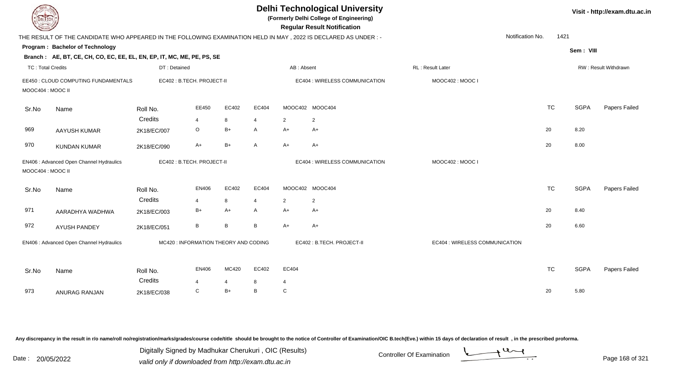| DEL TECH                 |                                                                                                                 |              |                                       |                |                |                | <b>Delhi Technological University</b><br>(Formerly Delhi College of Engineering)<br><b>Regular Result Notification</b> |                                |                  |             | Visit - http://exam.dtu.ac.in |
|--------------------------|-----------------------------------------------------------------------------------------------------------------|--------------|---------------------------------------|----------------|----------------|----------------|------------------------------------------------------------------------------------------------------------------------|--------------------------------|------------------|-------------|-------------------------------|
|                          | THE RESULT OF THE CANDIDATE WHO APPEARED IN THE FOLLOWING EXAMINATION HELD IN MAY, 2022 IS DECLARED AS UNDER: - |              |                                       |                |                |                |                                                                                                                        |                                | Notification No. | 1421        |                               |
|                          | Program: Bachelor of Technology                                                                                 |              |                                       |                |                |                |                                                                                                                        |                                |                  | Sem: VIII   |                               |
|                          | Branch: AE, BT, CE, CH, CO, EC, EE, EL, EN, EP, IT, MC, ME, PE, PS, SE                                          |              |                                       |                |                |                |                                                                                                                        |                                |                  |             |                               |
| <b>TC: Total Credits</b> |                                                                                                                 | DT: Detained |                                       |                |                | AB: Absent     |                                                                                                                        | <b>RL</b> : Result Later       |                  |             | RW: Result Withdrawn          |
| MOOC404 : MOOC II        | EE450 : CLOUD COMPUTING FUNDAMENTALS                                                                            |              | EC402: B.TECH. PROJECT-II             |                |                |                | EC404 : WIRELESS COMMUNICATION                                                                                         | MOOC402: MOOC                  |                  |             |                               |
| Sr.No                    | Name                                                                                                            | Roll No.     | EE450                                 | EC402          | EC404          |                | MOOC402 MOOC404                                                                                                        |                                | <b>TC</b>        | <b>SGPA</b> | Papers Failed                 |
|                          |                                                                                                                 | Credits      | $\overline{4}$                        | 8              | $\overline{4}$ | $\overline{2}$ | $\overline{2}$                                                                                                         |                                |                  |             |                               |
| 969                      | <b>AAYUSH KUMAR</b>                                                                                             | 2K18/EC/007  | $\circ$                               | $B+$           | $\mathsf{A}$   | $A+$           | $A+$                                                                                                                   |                                | 20               | 8.20        |                               |
| 970                      | <b>KUNDAN KUMAR</b>                                                                                             | 2K18/EC/090  | $A+$                                  | $B+$           | A              | $A+$           | $A+$                                                                                                                   |                                | 20               | 8.00        |                               |
| MOOC404 : MOOC II        | EN406 : Advanced Open Channel Hydraulics                                                                        |              | EC402 : B.TECH. PROJECT-II            |                |                |                | EC404 : WIRELESS COMMUNICATION                                                                                         | MOOC402: MOOC I                |                  |             |                               |
| Sr.No                    | Name                                                                                                            | Roll No.     | EN406                                 | EC402          | EC404          |                | MOOC402 MOOC404                                                                                                        |                                | <b>TC</b>        | <b>SGPA</b> | Papers Failed                 |
|                          |                                                                                                                 | Credits      | $\overline{4}$                        | 8              | $\overline{4}$ | $\overline{2}$ | $\overline{2}$                                                                                                         |                                |                  |             |                               |
| 971                      | AARADHYA WADHWA                                                                                                 | 2K18/EC/003  | $B+$                                  | $A+$           | A              | $A+$           | $A+$                                                                                                                   |                                | 20               | 8.40        |                               |
| 972                      | <b>AYUSH PANDEY</b>                                                                                             | 2K18/EC/051  | $\, {\sf B}$                          | B              | B              | $A+$           | $A+$                                                                                                                   |                                | 20               | 6.60        |                               |
|                          | EN406 : Advanced Open Channel Hydraulics                                                                        |              | MC420 : INFORMATION THEORY AND CODING |                |                |                | EC402: B.TECH. PROJECT-II                                                                                              | EC404 : WIRELESS COMMUNICATION |                  |             |                               |
| Sr.No                    | Name                                                                                                            | Roll No.     | <b>EN406</b>                          | MC420          | EC402          | EC404          |                                                                                                                        |                                | <b>TC</b>        | <b>SGPA</b> | Papers Failed                 |
|                          |                                                                                                                 | Credits      | $\overline{4}$                        | $\overline{4}$ | 8              | 4              |                                                                                                                        |                                |                  |             |                               |
| 973                      | <b>ANURAG RANJAN</b>                                                                                            | 2K18/EC/038  | C                                     | $B+$           | B              | $\mathbf C$    |                                                                                                                        |                                | 20               | 5.80        |                               |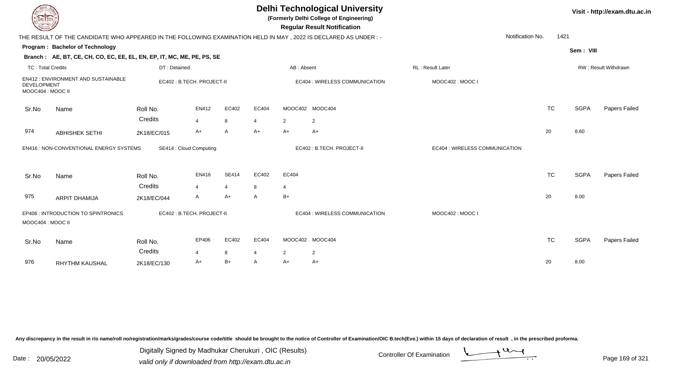| DEL ECH                                 |                                                                                                                |                     |                           |                |                |                | <b>Delhi Technological University</b><br>(Formerly Delhi College of Engineering)<br><b>Regular Result Notification</b> |                                |           |             | Visit - http://exam.dtu.ac.in |
|-----------------------------------------|----------------------------------------------------------------------------------------------------------------|---------------------|---------------------------|----------------|----------------|----------------|------------------------------------------------------------------------------------------------------------------------|--------------------------------|-----------|-------------|-------------------------------|
|                                         | THE RESULT OF THE CANDIDATE WHO APPEARED IN THE FOLLOWING EXAMINATION HELD IN MAY, 2022 IS DECLARED AS UNDER:- |                     |                           |                |                |                |                                                                                                                        | Notification No.               | 1421      |             |                               |
|                                         | Program: Bachelor of Technology                                                                                |                     |                           |                |                |                |                                                                                                                        |                                |           | Sem: VIII   |                               |
|                                         | Branch: AE, BT, CE, CH, CO, EC, EE, EL, EN, EP, IT, MC, ME, PE, PS, SE                                         |                     |                           |                |                |                |                                                                                                                        |                                |           |             |                               |
| <b>TC: Total Credits</b>                |                                                                                                                | DT: Detained        |                           |                |                | AB: Absent     |                                                                                                                        | <b>RL: Result Later</b>        |           |             | RW: Result Withdrawn          |
| <b>DEVELOPMENT</b><br>MOOC404 : MOOC II | EN412: ENVIRONMENT AND SUSTAINABLE                                                                             |                     | EC402: B.TECH. PROJECT-II |                |                |                | EC404 : WIRELESS COMMUNICATION                                                                                         | MOOC402: MOOC I                |           |             |                               |
| Sr.No                                   | Name                                                                                                           | Roll No.            | EN412                     | EC402          | EC404          |                | MOOC402 MOOC404                                                                                                        |                                | <b>TC</b> | <b>SGPA</b> | Papers Failed                 |
|                                         |                                                                                                                | Credits             | $\overline{4}$            | 8              | $\overline{4}$ | 2              | 2                                                                                                                      |                                |           |             |                               |
| 974                                     | <b>ABHISHEK SETHI</b>                                                                                          | 2K18/EC/015         | A+                        | A              | $A+$           | $A+$           | $A+$                                                                                                                   |                                | 20        | 8.60        |                               |
|                                         | EN416 : NON-CONVENTIONAL ENERGY SYSTEMS                                                                        |                     | SE414 : Cloud Computing   |                |                |                | EC402: B.TECH. PROJECT-II                                                                                              | EC404 : WIRELESS COMMUNICATION |           |             |                               |
| Sr.No                                   | Name                                                                                                           | Roll No.            | EN416                     | <b>SE414</b>   | EC402          | EC404          |                                                                                                                        |                                | <b>TC</b> | <b>SGPA</b> | Papers Failed                 |
|                                         |                                                                                                                | Credits             | $\overline{4}$            | $\overline{4}$ | 8              | 4              |                                                                                                                        |                                |           |             |                               |
| 975                                     | <b>ARPIT DHAMIJA</b>                                                                                           | 2K18/EC/044         | A                         | A+             | A              | $B+$           |                                                                                                                        |                                | 20        | 8.00        |                               |
| MOOC404 : MOOC II                       | EP406 : INTRODUCTION TO SPINTRONICS                                                                            |                     | EC402: B.TECH. PROJECT-II |                |                |                | EC404 : WIRELESS COMMUNICATION                                                                                         | MOOC402: MOOC I                |           |             |                               |
| Sr.No                                   | Name                                                                                                           | Roll No.<br>Credits | EP406<br>4                | EC402<br>8     | EC404<br>4     | $\overline{2}$ | MOOC402 MOOC404<br>2                                                                                                   |                                | <b>TC</b> | <b>SGPA</b> | Papers Failed                 |
| 976                                     | <b>RHYTHM KAUSHAL</b>                                                                                          | 2K18/EC/130         | A+                        | $B+$           | $\mathsf{A}$   | $A+$           | $A+$                                                                                                                   |                                | 20        | 8.00        |                               |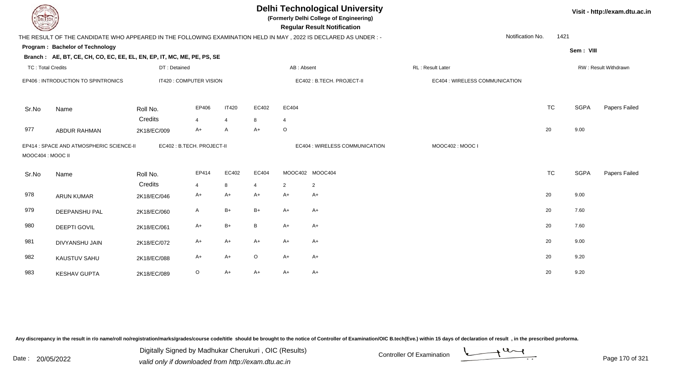| <b>DELTECH</b>           |                                                                                                                |              |                           |                |         |                         | <b>Delhi Technological University</b><br>(Formerly Delhi College of Engineering)<br><b>Regular Result Notification</b> |                                |                          |             | Visit - http://exam.dtu.ac.in |
|--------------------------|----------------------------------------------------------------------------------------------------------------|--------------|---------------------------|----------------|---------|-------------------------|------------------------------------------------------------------------------------------------------------------------|--------------------------------|--------------------------|-------------|-------------------------------|
|                          | THE RESULT OF THE CANDIDATE WHO APPEARED IN THE FOLLOWING EXAMINATION HELD IN MAY, 2022 IS DECLARED AS UNDER:- |              |                           |                |         |                         |                                                                                                                        |                                | 1421<br>Notification No. |             |                               |
|                          | Program: Bachelor of Technology                                                                                |              |                           |                |         |                         |                                                                                                                        |                                |                          | Sem: VIII   |                               |
|                          | Branch: AE, BT, CE, CH, CO, EC, EE, EL, EN, EP, IT, MC, ME, PE, PS, SE                                         |              |                           |                |         |                         |                                                                                                                        |                                |                          |             |                               |
| <b>TC: Total Credits</b> |                                                                                                                | DT: Detained |                           |                |         | AB: Absent              |                                                                                                                        | RL: Result Later               |                          |             | RW: Result Withdrawn          |
|                          | EP406 : INTRODUCTION TO SPINTRONICS                                                                            |              | IT420 : COMPUTER VISION   |                |         |                         | EC402 : B.TECH. PROJECT-II                                                                                             | EC404 : WIRELESS COMMUNICATION |                          |             |                               |
| Sr.No                    | Name                                                                                                           | Roll No.     | EP406                     | <b>IT420</b>   | EC402   | EC404                   |                                                                                                                        |                                | <b>TC</b>                | <b>SGPA</b> | Papers Failed                 |
|                          |                                                                                                                | Credits      | $\overline{4}$            | $\overline{4}$ | 8       | $\overline{\mathbf{4}}$ |                                                                                                                        |                                |                          |             |                               |
| 977                      | <b>ABDUR RAHMAN</b>                                                                                            | 2K18/EC/009  | $A+$                      | A              | $A+$    | $\circ$                 |                                                                                                                        |                                | 20                       | 9.00        |                               |
| MOOC404 : MOOC II        | EP414 : SPACE AND ATMOSPHERIC SCIENCE-II                                                                       |              | EC402: B.TECH. PROJECT-II |                |         |                         | EC404 : WIRELESS COMMUNICATION                                                                                         | MOOC402: MOOC I                |                          |             |                               |
| Sr.No                    | Name                                                                                                           | Roll No.     | EP414                     | EC402          | EC404   |                         | MOOC402 MOOC404                                                                                                        |                                | <b>TC</b>                | <b>SGPA</b> | Papers Failed                 |
|                          |                                                                                                                | Credits      | $\overline{4}$            | 8              | 4       | $\overline{2}$          | 2                                                                                                                      |                                |                          |             |                               |
| 978                      | <b>ARUN KUMAR</b>                                                                                              | 2K18/EC/046  | $A+$                      | $A+$           | $A+$    | $A+$                    | $A+$                                                                                                                   |                                | 20                       | 9.00        |                               |
| 979                      | DEEPANSHU PAL                                                                                                  | 2K18/EC/060  | A                         | $B+$           | $B+$    | $A+$                    | $A+$                                                                                                                   |                                | 20                       | 7.60        |                               |
| 980                      | <b>DEEPTI GOVIL</b>                                                                                            | 2K18/EC/061  | $A+$                      | $B+$           | B       | $A+$                    | $A+$                                                                                                                   |                                | 20                       | 7.60        |                               |
| 981                      | DIVYANSHU JAIN                                                                                                 | 2K18/EC/072  | $A+$                      | $A+$           | $A+$    | A+                      | $A+$                                                                                                                   |                                | 20                       | 9.00        |                               |
| 982                      | KAUSTUV SAHU                                                                                                   | 2K18/EC/088  | $A+$                      | $A+$           | $\circ$ | A+                      | $A+$                                                                                                                   |                                | 20                       | 9.20        |                               |
| 983                      | <b>KESHAV GUPTA</b>                                                                                            | 2K18/EC/089  | $\circ$                   | $A+$           | A+      | A+                      | A+                                                                                                                     |                                | 20                       | 9.20        |                               |

Digitally Signed by Madhukar Cherukuri, OIC (Results)<br>Date : 20/05/2022 valid only if downloaded from http://oxam.dtu.ac.in Digitally Signed by Madhukar Cherukuri , OIC (Results)

valid only if downloaded from http://exam.dtu.ac.in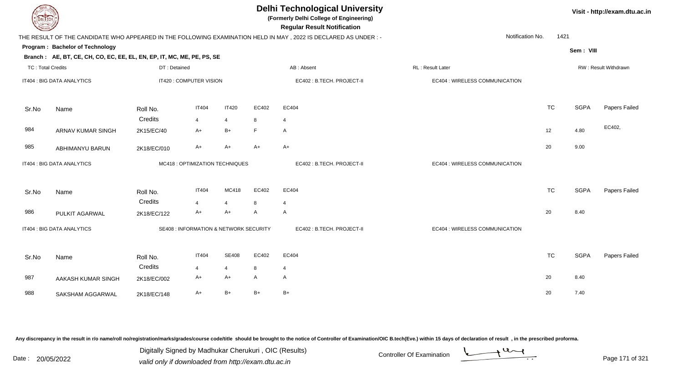| EL ECH                   |                                                                        |              |                                        |                |              | <b>Delhi Technological University</b><br>(Formerly Delhi College of Engineering)<br><b>Regular Result Notification</b> |                                |           |             | Visit - http://exam.dtu.ac.in |
|--------------------------|------------------------------------------------------------------------|--------------|----------------------------------------|----------------|--------------|------------------------------------------------------------------------------------------------------------------------|--------------------------------|-----------|-------------|-------------------------------|
|                          |                                                                        |              |                                        |                |              | THE RESULT OF THE CANDIDATE WHO APPEARED IN THE FOLLOWING EXAMINATION HELD IN MAY, 2022 IS DECLARED AS UNDER :-        | Notification No.               | 1421      |             |                               |
|                          | Program: Bachelor of Technology                                        |              |                                        |                |              |                                                                                                                        |                                |           | Sem: VIII   |                               |
|                          | Branch: AE, BT, CE, CH, CO, EC, EE, EL, EN, EP, IT, MC, ME, PE, PS, SE |              |                                        |                |              |                                                                                                                        |                                |           |             |                               |
| <b>TC: Total Credits</b> |                                                                        | DT: Detained |                                        |                |              | AB: Absent                                                                                                             | RL: Result Later               |           |             | RW: Result Withdrawn          |
|                          | IT404 : BIG DATA ANALYTICS                                             |              | IT420 : COMPUTER VISION                |                |              | EC402: B.TECH. PROJECT-II                                                                                              | EC404 : WIRELESS COMMUNICATION |           |             |                               |
| Sr.No                    | Name                                                                   | Roll No.     | <b>IT404</b>                           | <b>IT420</b>   | EC402        | EC404                                                                                                                  |                                | <b>TC</b> | <b>SGPA</b> | Papers Failed                 |
|                          |                                                                        | Credits      | $\overline{4}$                         | $\overline{4}$ | 8            | $\overline{4}$                                                                                                         |                                |           |             |                               |
| 984                      | <b>ARNAV KUMAR SINGH</b>                                               | 2K15/EC/40   | $A+$                                   | B+             | E            | $\mathsf{A}$                                                                                                           |                                | 12        | 4.80        | EC402,                        |
| 985                      | ABHIMANYU BARUN                                                        | 2K18/EC/010  | A+                                     | $A+$           | $A+$         | $A+$                                                                                                                   |                                | 20        | 9.00        |                               |
|                          | IT404 : BIG DATA ANALYTICS                                             |              | MC418 : OPTIMIZATION TECHNIQUES        |                |              | EC402: B.TECH. PROJECT-II                                                                                              | EC404 : WIRELESS COMMUNICATION |           |             |                               |
| Sr.No                    | Name                                                                   | Roll No.     | IT404                                  | MC418          | EC402        | EC404                                                                                                                  |                                | <b>TC</b> | <b>SGPA</b> | Papers Failed                 |
|                          |                                                                        | Credits      | 4                                      | $\overline{4}$ | 8            | 4                                                                                                                      |                                |           |             |                               |
| 986                      | PULKIT AGARWAL                                                         | 2K18/EC/122  | A+                                     | $A+$           | $\mathsf{A}$ | $\mathsf{A}$                                                                                                           |                                | 20        | 8.40        |                               |
|                          | IT404 : BIG DATA ANALYTICS                                             |              | SE408 : INFORMATION & NETWORK SECURITY |                |              | EC402: B.TECH. PROJECT-II                                                                                              | EC404 : WIRELESS COMMUNICATION |           |             |                               |
| Sr.No                    | Name                                                                   | Roll No.     | <b>IT404</b>                           | <b>SE408</b>   | EC402        | EC404                                                                                                                  |                                | <b>TC</b> | <b>SGPA</b> | Papers Failed                 |
|                          |                                                                        | Credits      | 4                                      | $\overline{4}$ | 8            | $\overline{4}$                                                                                                         |                                |           |             |                               |
| 987                      | AAKASH KUMAR SINGH                                                     | 2K18/EC/002  | A+                                     | $A+$           | A            | A                                                                                                                      |                                | 20        | 8.40        |                               |
| 988                      | SAKSHAM AGGARWAL                                                       | 2K18/EC/148  | $A+$                                   | $B+$           | $B+$         | $B+$                                                                                                                   |                                | 20        | 7.40        |                               |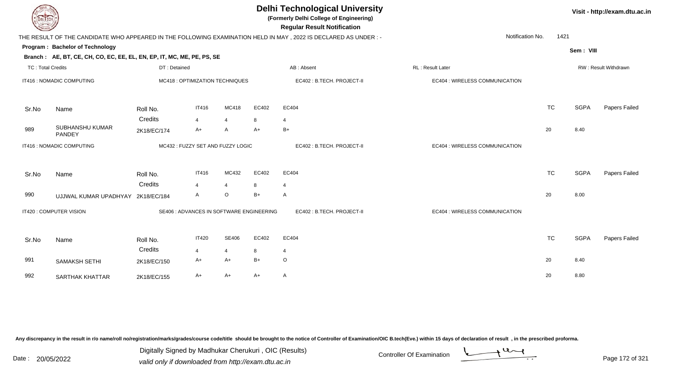| EL ECH                   |                                                                        |                                          |                |                |       | <b>Delhi Technological University</b><br>(Formerly Delhi College of Engineering)<br><b>Regular Result Notification</b> |                                |           |             | Visit - http://exam.dtu.ac.in |
|--------------------------|------------------------------------------------------------------------|------------------------------------------|----------------|----------------|-------|------------------------------------------------------------------------------------------------------------------------|--------------------------------|-----------|-------------|-------------------------------|
|                          |                                                                        |                                          |                |                |       | THE RESULT OF THE CANDIDATE WHO APPEARED IN THE FOLLOWING EXAMINATION HELD IN MAY, 2022 IS DECLARED AS UNDER :-        | Notification No.               | 1421      |             |                               |
|                          | Program: Bachelor of Technology                                        |                                          |                |                |       |                                                                                                                        |                                |           | Sem: VIII   |                               |
|                          | Branch: AE, BT, CE, CH, CO, EC, EE, EL, EN, EP, IT, MC, ME, PE, PS, SE |                                          |                |                |       |                                                                                                                        |                                |           |             |                               |
| <b>TC: Total Credits</b> |                                                                        | DT: Detained                             |                |                |       | AB: Absent                                                                                                             | RL: Result Later               |           |             | RW: Result Withdrawn          |
|                          | IT416 : NOMADIC COMPUTING                                              | MC418 : OPTIMIZATION TECHNIQUES          |                |                |       | EC402 : B.TECH. PROJECT-II                                                                                             | EC404 : WIRELESS COMMUNICATION |           |             |                               |
| Sr.No                    | Name                                                                   | Roll No.                                 | <b>IT416</b>   | MC418          | EC402 | EC404                                                                                                                  |                                | <b>TC</b> | <b>SGPA</b> | Papers Failed                 |
|                          |                                                                        | Credits                                  | $\overline{4}$ | $\overline{4}$ | 8     | $\overline{4}$                                                                                                         |                                |           |             |                               |
| 989                      | SUBHANSHU KUMAR<br>PANDEY                                              | 2K18/EC/174                              | A+             | A              | $A+$  | $B+$                                                                                                                   |                                | 20        | 8.40        |                               |
|                          | IT416 : NOMADIC COMPUTING                                              | MC432: FUZZY SET AND FUZZY LOGIC         |                |                |       | EC402: B.TECH. PROJECT-II                                                                                              | EC404 : WIRELESS COMMUNICATION |           |             |                               |
| Sr.No                    | Name                                                                   | Roll No.                                 | <b>IT416</b>   | MC432          | EC402 | EC404                                                                                                                  |                                | <b>TC</b> | <b>SGPA</b> | Papers Failed                 |
|                          |                                                                        | Credits                                  | 4              | $\overline{4}$ | 8     | $\overline{4}$                                                                                                         |                                |           |             |                               |
| 990                      | UJJWAL KUMAR UPADHYAY 2K18/EC/184                                      |                                          | A              | $\circ$        | $B+$  | A                                                                                                                      |                                | 20        | 8.00        |                               |
|                          | IT420 : COMPUTER VISION                                                | SE406 : ADVANCES IN SOFTWARE ENGINEERING |                |                |       | EC402: B.TECH. PROJECT-II                                                                                              | EC404 : WIRELESS COMMUNICATION |           |             |                               |
| Sr.No                    | Name                                                                   | Roll No.                                 | <b>IT420</b>   | SE406          | EC402 | EC404                                                                                                                  |                                | <b>TC</b> | <b>SGPA</b> | Papers Failed                 |
|                          |                                                                        | Credits                                  | 4              | $\overline{4}$ | 8     | $\overline{4}$                                                                                                         |                                |           |             |                               |
| 991                      | SAMAKSH SETHI                                                          | 2K18/EC/150                              | A+             | $A+$           | $B+$  | $\circ$                                                                                                                |                                | 20        | 8.40        |                               |
| 992                      | <b>SARTHAK KHATTAR</b>                                                 | 2K18/EC/155                              | A+             | $A+$           | $A+$  | A                                                                                                                      |                                | 20        | 8.80        |                               |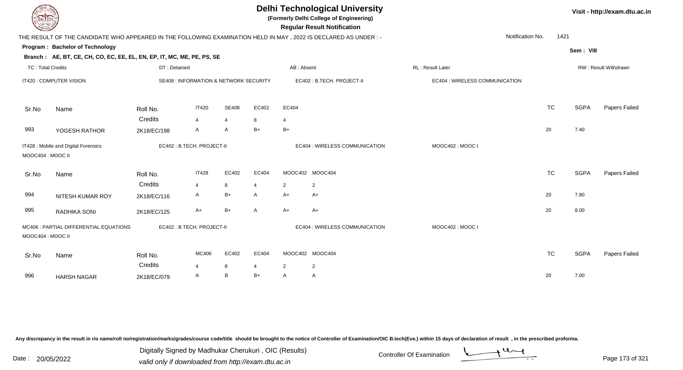| <b>DELTECH</b>           |                                                                                                                 |                                        |                         |              |                |                | <b>Delhi Technological University</b><br>(Formerly Delhi College of Engineering)<br><b>Regular Result Notification</b> |                                |                  |      |             | Visit - http://exam.dtu.ac.in |
|--------------------------|-----------------------------------------------------------------------------------------------------------------|----------------------------------------|-------------------------|--------------|----------------|----------------|------------------------------------------------------------------------------------------------------------------------|--------------------------------|------------------|------|-------------|-------------------------------|
|                          | THE RESULT OF THE CANDIDATE WHO APPEARED IN THE FOLLOWING EXAMINATION HELD IN MAY, 2022 IS DECLARED AS UNDER :- |                                        |                         |              |                |                |                                                                                                                        |                                | Notification No. | 1421 |             |                               |
|                          | Program: Bachelor of Technology                                                                                 |                                        |                         |              |                |                |                                                                                                                        |                                |                  |      | Sem: VIII   |                               |
|                          | Branch: AE, BT, CE, CH, CO, EC, EE, EL, EN, EP, IT, MC, ME, PE, PS, SE                                          |                                        |                         |              |                |                |                                                                                                                        |                                |                  |      |             |                               |
| <b>TC: Total Credits</b> |                                                                                                                 | DT: Detained                           |                         |              |                | AB: Absent     |                                                                                                                        | RL: Result Later               |                  |      |             | RW: Result Withdrawn          |
|                          | IT420 : COMPUTER VISION                                                                                         | SE408 : INFORMATION & NETWORK SECURITY |                         |              |                |                | EC402 : B.TECH. PROJECT-II                                                                                             | EC404 : WIRELESS COMMUNICATION |                  |      |             |                               |
| Sr.No                    | Name                                                                                                            | Roll No.                               | <b>IT420</b>            | <b>SE408</b> | EC402          | EC404          |                                                                                                                        |                                | <b>TC</b>        |      | <b>SGPA</b> | Papers Failed                 |
|                          |                                                                                                                 | Credits                                | $\overline{\mathbf{A}}$ | 4            | 8              | $\overline{4}$ |                                                                                                                        |                                |                  |      |             |                               |
| 993                      | YOGESH RATHOR                                                                                                   | 2K18/EC/198                            | A                       | A            | $B+$           | $B+$           |                                                                                                                        |                                | 20               |      | 7.40        |                               |
| MOOC404 : MOOC II        | IT428 : Mobile and Digital Forensics                                                                            | EC402 : B.TECH. PROJECT-II             |                         |              |                |                | EC404 : WIRELESS COMMUNICATION                                                                                         | MOOC402: MOOC I                |                  |      |             |                               |
| Sr.No                    | Name                                                                                                            | Roll No.                               | <b>IT428</b>            | EC402        | EC404          |                | MOOC402 MOOC404                                                                                                        |                                | <b>TC</b>        |      | <b>SGPA</b> | Papers Failed                 |
|                          |                                                                                                                 | Credits                                | $\overline{\mathbf{4}}$ | 8            | $\overline{4}$ | 2              | $\overline{2}$                                                                                                         |                                |                  |      |             |                               |
| 994                      | NITESH KUMAR ROY                                                                                                | 2K18/EC/116                            | A                       | $B+$         | A              | $A+$           | A+                                                                                                                     |                                | 20               |      | 7.80        |                               |
| 995                      | RADHIKA SONI                                                                                                    | 2K18/EC/125                            | $A+$                    | $B+$         | $\mathsf{A}$   | $A+$           | $A+$                                                                                                                   |                                | 20               |      | 8.00        |                               |
| MOOC404 : MOOC II        | MC406 : PARTIAL DIFFERENTIAL EQUATIONS                                                                          | EC402: B.TECH. PROJECT-II              |                         |              |                |                | EC404 : WIRELESS COMMUNICATION                                                                                         | MOOC402: MOOC I                |                  |      |             |                               |
| Sr.No                    | Name                                                                                                            | Roll No.                               | MC406                   | EC402        | EC404          |                | MOOC402 MOOC404                                                                                                        |                                | <b>TC</b>        |      | <b>SGPA</b> | Papers Failed                 |
|                          |                                                                                                                 | Credits                                | Δ                       | 8            | $\overline{4}$ | $\overline{2}$ | $\overline{2}$                                                                                                         |                                |                  |      |             |                               |
| 996                      | <b>HARSH NAGAR</b>                                                                                              | 2K18/EC/079                            | A                       | B            | $B+$           | $\mathsf{A}$   | $\overline{A}$                                                                                                         |                                | 20               |      | 7.00        |                               |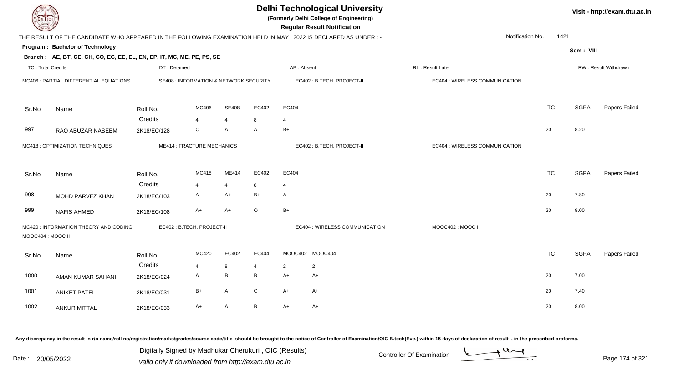| DEL ECH                  |                                                                                                                |              |                                                   |              |                |                           | <b>Delhi Technological University</b><br>(Formerly Delhi College of Engineering)<br><b>Regular Result Notification</b> |                                |                  |           |             | Visit - http://exam.dtu.ac |
|--------------------------|----------------------------------------------------------------------------------------------------------------|--------------|---------------------------------------------------|--------------|----------------|---------------------------|------------------------------------------------------------------------------------------------------------------------|--------------------------------|------------------|-----------|-------------|----------------------------|
|                          | THE RESULT OF THE CANDIDATE WHO APPEARED IN THE FOLLOWING EXAMINATION HELD IN MAY, 2022 IS DECLARED AS UNDER:- |              |                                                   |              |                |                           |                                                                                                                        |                                | Notification No. | 1421      |             |                            |
|                          | Program: Bachelor of Technology                                                                                |              |                                                   |              |                |                           |                                                                                                                        |                                |                  |           | Sem: VIII   |                            |
|                          | Branch: AE, BT, CE, CH, CO, EC, EE, EL, EN, EP, IT, MC, ME, PE, PS, SE                                         |              |                                                   |              |                |                           |                                                                                                                        |                                |                  |           |             |                            |
| <b>TC: Total Credits</b> |                                                                                                                | DT: Detained |                                                   |              |                | AB: Absent                |                                                                                                                        | RL: Result Later               |                  |           |             | RW: Result Withdrawn       |
|                          | MC406 : PARTIAL DIFFERENTIAL EQUATIONS                                                                         |              | <b>SE408 : INFORMATION &amp; NETWORK SECURITY</b> |              |                |                           | EC402 : B.TECH. PROJECT-II                                                                                             | EC404 : WIRELESS COMMUNICATION |                  |           |             |                            |
| Sr.No                    | Name                                                                                                           | Roll No.     | MC406                                             | <b>SE408</b> | EC402          | EC404                     |                                                                                                                        |                                |                  | <b>TC</b> | <b>SGPA</b> | Papers Failed              |
|                          |                                                                                                                | Credits      | 4                                                 | 4            | 8              | 4                         |                                                                                                                        |                                |                  |           |             |                            |
| 997                      | RAO ABUZAR NASEEM                                                                                              | 2K18/EC/128  | $\circ$                                           | A            | A              | $B+$                      |                                                                                                                        |                                |                  | 20        | 8.20        |                            |
|                          | ME414 : FRACTURE MECHANICS<br>MC418 : OPTIMIZATION TECHNIQUES                                                  |              |                                                   |              |                | EC402: B.TECH. PROJECT-II | EC404 : WIRELESS COMMUNICATION                                                                                         |                                |                  |           |             |                            |
| Sr.No                    | Name                                                                                                           | Roll No.     | MC418                                             | ME414        | EC402          | EC404                     |                                                                                                                        |                                |                  | <b>TC</b> | <b>SGPA</b> | Papers Failed              |
|                          |                                                                                                                | Credits      | 4                                                 | 4            | 8              | $\overline{4}$            |                                                                                                                        |                                |                  |           |             |                            |
| 998                      | MOHD PARVEZ KHAN                                                                                               | 2K18/EC/103  | A                                                 | $A+$         | $B+$           | $\mathsf{A}$              |                                                                                                                        |                                |                  | 20        | 7.80        |                            |
| 999                      | <b>NAFIS AHMED</b>                                                                                             | 2K18/EC/108  | A+                                                | A+           | $\circ$        | $B+$                      |                                                                                                                        |                                |                  | 20        | 9.00        |                            |
| MOOC404 : MOOC II        | MC420 : INFORMATION THEORY AND CODING                                                                          |              | EC402: B.TECH. PROJECT-II                         |              |                |                           | EC404 : WIRELESS COMMUNICATION                                                                                         | MOOC402: MOOC I                |                  |           |             |                            |
| Sr.No                    | Name                                                                                                           | Roll No.     | MC420                                             | EC402        | EC404          |                           | MOOC402 MOOC404                                                                                                        |                                |                  | <b>TC</b> | <b>SGPA</b> | Papers Failed              |
|                          |                                                                                                                | Credits      | $\overline{4}$                                    | 8            | $\overline{4}$ | $\overline{2}$            | $\overline{2}$                                                                                                         |                                |                  |           |             |                            |
| 1000                     | AMAN KUMAR SAHANI                                                                                              | 2K18/EC/024  | A                                                 | B            | B              | $A+$                      | $A+$                                                                                                                   |                                |                  | 20        | 7.00        |                            |
| 1001                     | <b>ANIKET PATEL</b>                                                                                            | 2K18/EC/031  | $B+$                                              | A            | $\mathbf C$    | $A+$                      | $A+$                                                                                                                   |                                |                  | 20        | 7.40        |                            |
| 1002                     | <b>ANKUR MITTAL</b>                                                                                            | 2K18/EC/033  | $A+$                                              | A            | B              | $A+$                      | $A+$                                                                                                                   |                                |                  | 20        | 8.00        |                            |

Digitally Signed by Madhukar Cherukuri, OIC (Results)<br>Date : 20/05/2022 valid only if downloaded from http://oxam.dtu.ac.in Digitally Signed by Madhukar Cherukuri , OIC (Results)valid only if downloaded from http://exam.dtu.ac.in



**Visit - http://exam.dtu.ac.in**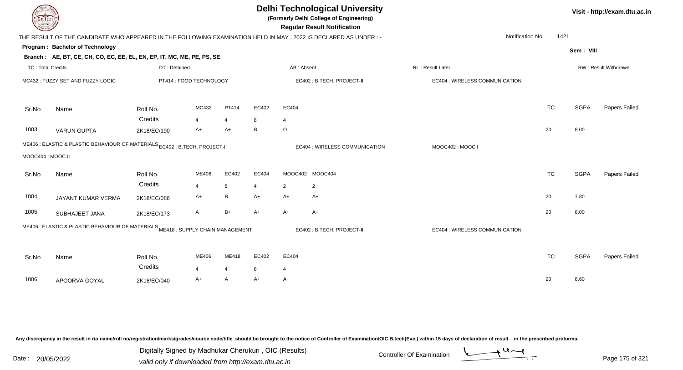| <b>DELTECH</b>           |                                                                                                                 |              |                         |                             |                |                | <b>Delhi Technological University</b><br>(Formerly Delhi College of Engineering)<br><b>Regular Result Notification</b> |                   |                                |                  |           |             | Visit - http://exam.dtu.ac.in |
|--------------------------|-----------------------------------------------------------------------------------------------------------------|--------------|-------------------------|-----------------------------|----------------|----------------|------------------------------------------------------------------------------------------------------------------------|-------------------|--------------------------------|------------------|-----------|-------------|-------------------------------|
|                          | THE RESULT OF THE CANDIDATE WHO APPEARED IN THE FOLLOWING EXAMINATION HELD IN MAY, 2022 IS DECLARED AS UNDER :- |              |                         |                             |                |                |                                                                                                                        |                   |                                | Notification No. | 1421      |             |                               |
|                          | Program: Bachelor of Technology                                                                                 |              |                         |                             |                |                |                                                                                                                        |                   |                                |                  |           |             |                               |
|                          | Branch: AE, BT, CE, CH, CO, EC, EE, EL, EN, EP, IT, MC, ME, PE, PS, SE                                          |              |                         |                             |                |                |                                                                                                                        |                   |                                |                  |           | Sem: VIII   |                               |
| <b>TC: Total Credits</b> |                                                                                                                 | DT: Detained |                         |                             |                | AB: Absent     |                                                                                                                        | RL : Result Later |                                |                  |           |             | RW: Result Withdrawn          |
|                          | MC432: FUZZY SET AND FUZZY LOGIC                                                                                |              | PT414 : FOOD TECHNOLOGY |                             |                |                | EC402: B.TECH. PROJECT-II                                                                                              |                   | EC404 : WIRELESS COMMUNICATION |                  |           |             |                               |
| Sr.No                    | Name                                                                                                            | Roll No.     | MC432                   | PT414                       | EC402          | EC404          |                                                                                                                        |                   |                                |                  | <b>TC</b> | <b>SGPA</b> | Papers Failed                 |
|                          |                                                                                                                 | Credits      | $\overline{4}$          | $\overline{4}$              | 8              | $\overline{4}$ |                                                                                                                        |                   |                                |                  |           |             |                               |
| 1003                     | <b>VARUN GUPTA</b>                                                                                              | 2K18/EC/190  | $A+$                    | $A+$                        | $\, {\sf B}$   | $\circ$        |                                                                                                                        |                   |                                |                  | 20        | 8.00        |                               |
|                          | ME406 : ELASTIC & PLASTIC BEHAVIOUR OF MATERIALS EC402 : B.TECH. PROJECT-II                                     |              |                         |                             |                |                | EC404 : WIRELESS COMMUNICATION                                                                                         |                   | MOOC402: MOOC I                |                  |           |             |                               |
| MOOC404: MOOC II         |                                                                                                                 |              |                         |                             |                |                |                                                                                                                        |                   |                                |                  |           |             |                               |
|                          |                                                                                                                 |              |                         |                             |                |                |                                                                                                                        |                   |                                |                  |           |             |                               |
| Sr.No                    | Name                                                                                                            | Roll No.     | ME406                   | EC402                       | EC404          |                | MOOC402 MOOC404                                                                                                        |                   |                                |                  | <b>TC</b> | <b>SGPA</b> | Papers Failed                 |
|                          |                                                                                                                 | Credits      | $\overline{4}$          | 8                           | $\overline{4}$ | $\overline{2}$ | $\overline{2}$                                                                                                         |                   |                                |                  |           |             |                               |
| 1004                     | JAYANT KUMAR VERMA                                                                                              | 2K18/EC/086  | $A+$                    | B                           | $A+$           | $A+$           | $A+$                                                                                                                   |                   |                                |                  | 20        | 7.80        |                               |
| 1005                     | SUBHAJEET JANA                                                                                                  | 2K18/EC/173  | $\mathsf{A}$            | $B+$                        | $A+$           | $A+$           | $A+$                                                                                                                   |                   |                                |                  | 20        | 8.00        |                               |
|                          | ME406 : ELASTIC & PLASTIC BEHAVIOUR OF MATERIALS ME418 : SUPPLY CHAIN MANAGEMENT                                |              |                         |                             |                |                | EC402: B.TECH. PROJECT-II                                                                                              |                   | EC404 : WIRELESS COMMUNICATION |                  |           |             |                               |
|                          |                                                                                                                 |              |                         |                             |                |                |                                                                                                                        |                   |                                |                  |           |             |                               |
| Sr.No                    | Name                                                                                                            | Roll No.     | ME406                   | ME418                       | EC402          | EC404          |                                                                                                                        |                   |                                |                  | <b>TC</b> | <b>SGPA</b> | Papers Failed                 |
|                          |                                                                                                                 | Credits      | $\boldsymbol{\Delta}$   | $\boldsymbol{\vartriangle}$ | 8              | $\overline{4}$ |                                                                                                                        |                   |                                |                  |           |             |                               |
| 1006                     | APOORVA GOYAL                                                                                                   | 2K18/EC/040  | A+                      | $\mathsf{A}$                | $A+$           | A              |                                                                                                                        |                   |                                |                  | 20        | 8.60        |                               |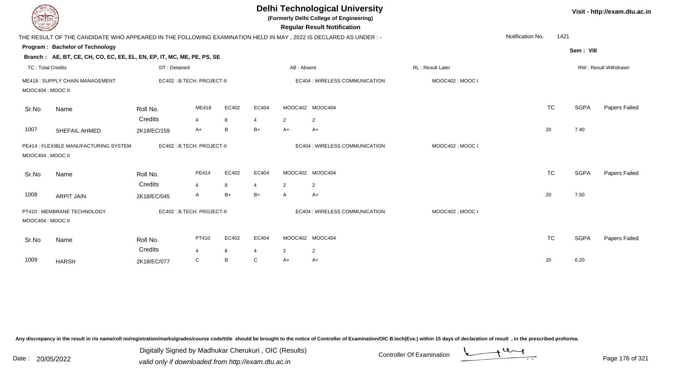| <b>DELTECH</b>           |                                                                                                                 |                     |                            |           |                   |                   | <b>Delhi Technological University</b><br>(Formerly Delhi College of Engineering)<br><b>Regular Result Notification</b> |                         |                  |           |             | Visit - http://exam.dtu.ac.in |
|--------------------------|-----------------------------------------------------------------------------------------------------------------|---------------------|----------------------------|-----------|-------------------|-------------------|------------------------------------------------------------------------------------------------------------------------|-------------------------|------------------|-----------|-------------|-------------------------------|
|                          | THE RESULT OF THE CANDIDATE WHO APPEARED IN THE FOLLOWING EXAMINATION HELD IN MAY, 2022 IS DECLARED AS UNDER :- |                     |                            |           |                   |                   |                                                                                                                        |                         | Notification No. | 1421      |             |                               |
|                          | Program: Bachelor of Technology                                                                                 |                     |                            |           |                   |                   |                                                                                                                        |                         |                  |           | Sem: VIII   |                               |
|                          | Branch: AE, BT, CE, CH, CO, EC, EE, EL, EN, EP, IT, MC, ME, PE, PS, SE                                          |                     |                            |           |                   |                   |                                                                                                                        |                         |                  |           |             |                               |
| <b>TC: Total Credits</b> |                                                                                                                 | DT: Detained        |                            |           |                   | AB: Absent        |                                                                                                                        | <b>RL: Result Later</b> |                  |           |             | <b>RW: Result Withdrawn</b>   |
| MOOC404 : MOOC II        | ME418: SUPPLY CHAIN MANAGEMENT                                                                                  |                     | EC402 : B.TECH. PROJECT-II |           |                   |                   | EC404 : WIRELESS COMMUNICATION                                                                                         | MOOC402: MOOC I         |                  |           |             |                               |
| Sr.No                    | Name                                                                                                            | Roll No.            | ME418                      | EC402     | EC404             |                   | MOOC402 MOOC404                                                                                                        |                         |                  | <b>TC</b> | <b>SGPA</b> | Papers Failed                 |
|                          |                                                                                                                 | Credits             | $\overline{\mathbf{4}}$    | 8         | $\overline{4}$    | 2                 | 2                                                                                                                      |                         |                  |           |             |                               |
| 1007                     | SHEFAIL AHMED                                                                                                   | 2K18/EC/159         | A+                         | B         | $B+$              | $A+$              | $A+$                                                                                                                   |                         |                  | 20        | 7.40        |                               |
| MOOC404: MOOC II         | PE414 : FLEXIBLE MANUFACTURING SYSTEM                                                                           |                     | EC402 : B.TECH. PROJECT-II |           |                   |                   | EC404 : WIRELESS COMMUNICATION                                                                                         | MOOC402: MOOC I         |                  |           |             |                               |
| Sr.No                    | Name                                                                                                            | Roll No.<br>Credits | PE414                      | EC402     | EC404             |                   | MOOC402 MOOC404                                                                                                        |                         |                  | <b>TC</b> | <b>SGPA</b> | Papers Failed                 |
| 1008                     | <b>ARPIT JAIN</b>                                                                                               | 2K18/EC/045         | $\overline{4}$<br>A        | 8<br>$B+$ | 4<br>$B+$         | 2<br>$\mathsf{A}$ | $\overline{2}$<br>A+                                                                                                   |                         |                  | 20        | 7.50        |                               |
|                          |                                                                                                                 |                     |                            |           |                   |                   |                                                                                                                        |                         |                  |           |             |                               |
| MOOC404 : MOOC II        | PT410 : MEMBRANE TECHNOLOGY                                                                                     |                     | EC402 : B.TECH. PROJECT-II |           |                   |                   | EC404 : WIRELESS COMMUNICATION                                                                                         | MOOC402: MOOC I         |                  |           |             |                               |
| Sr.No                    | Name                                                                                                            | Roll No.<br>Credits | PT410<br>4                 | EC402     | EC404             |                   | MOOC402 MOOC404                                                                                                        |                         |                  | <b>TC</b> | <b>SGPA</b> | Papers Failed                 |
| 1009                     |                                                                                                                 | 2K18/EC/077         | C                          | 8<br>B    | 4<br>$\mathsf{C}$ | 2<br>$A+$         | $\overline{2}$<br>A+                                                                                                   |                         |                  | 20        | 6.20        |                               |
|                          | <b>HARSH</b>                                                                                                    |                     |                            |           |                   |                   |                                                                                                                        |                         |                  |           |             |                               |

Digitally Signed by Madhukar Cherukuri, OIC (Results)<br>Date : 20/05/2022 valid only if downloaded from http://oxam.dtu.ac.in Digitally Signed by Madhukar Cherukuri , OIC (Results)



valid only if downloaded from http://exam.dtu.ac.in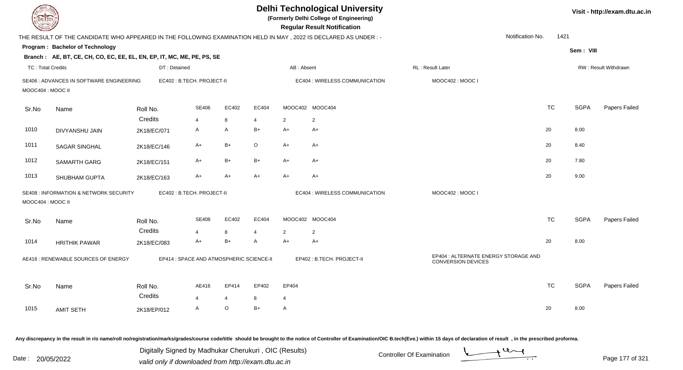| <b>DELTECH</b>           |                                                                                                                 |                     |                                          |                         |                |                         | <b>Delhi Technological University</b><br>(Formerly Delhi College of Engineering)<br><b>Regular Result Notification</b> |                                                                   |                  |           |             | Visit - http://exam.dtu.ac.in |
|--------------------------|-----------------------------------------------------------------------------------------------------------------|---------------------|------------------------------------------|-------------------------|----------------|-------------------------|------------------------------------------------------------------------------------------------------------------------|-------------------------------------------------------------------|------------------|-----------|-------------|-------------------------------|
|                          | THE RESULT OF THE CANDIDATE WHO APPEARED IN THE FOLLOWING EXAMINATION HELD IN MAY, 2022 IS DECLARED AS UNDER :- |                     |                                          |                         |                |                         |                                                                                                                        |                                                                   | Notification No. | 1421      |             |                               |
|                          | Program: Bachelor of Technology                                                                                 |                     |                                          |                         |                |                         |                                                                                                                        |                                                                   |                  |           | Sem: VIII   |                               |
|                          | Branch: AE, BT, CE, CH, CO, EC, EE, EL, EN, EP, IT, MC, ME, PE, PS, SE                                          |                     |                                          |                         |                |                         |                                                                                                                        |                                                                   |                  |           |             |                               |
| <b>TC: Total Credits</b> |                                                                                                                 | DT: Detained        |                                          |                         |                | AB: Absent              |                                                                                                                        | RL: Result Later                                                  |                  |           |             | RW: Result Withdrawn          |
| MOOC404 : MOOC II        | SE406 : ADVANCES IN SOFTWARE ENGINEERING                                                                        |                     | EC402 : B.TECH. PROJECT-II               |                         |                |                         | EC404 : WIRELESS COMMUNICATION                                                                                         | MOOC402: MOOC I                                                   |                  |           |             |                               |
| Sr.No                    | Name                                                                                                            | Roll No.            | SE406                                    | EC402                   | EC404          |                         | MOOC402 MOOC404                                                                                                        |                                                                   |                  | <b>TC</b> | <b>SGPA</b> | Papers Failed                 |
|                          |                                                                                                                 | Credits             | $\overline{4}$                           | 8                       | $\overline{4}$ | $\overline{2}$          | $\overline{2}$                                                                                                         |                                                                   |                  |           |             |                               |
| 1010                     | <b>DIVYANSHU JAIN</b>                                                                                           | 2K18/EC/071         | $\mathsf{A}$                             | $\mathsf{A}$            | $B+$           | $A+$                    | $A+$                                                                                                                   |                                                                   | 20               |           | 8.00        |                               |
| 1011                     | <b>SAGAR SINGHAL</b>                                                                                            | 2K18/EC/146         | A+                                       | $B+$                    | $\circ$        | A+                      | A+                                                                                                                     |                                                                   | 20               |           | 8.40        |                               |
| 1012                     | <b>SAMARTH GARG</b>                                                                                             | 2K18/EC/151         | A+                                       | $B+$                    | $B+$           | A+                      | A+                                                                                                                     |                                                                   | 20               |           | 7.80        |                               |
| 1013                     | <b>SHUBHAM GUPTA</b>                                                                                            | 2K18/EC/163         | A+                                       | $A+$                    | $A+$           | A+                      | $A+$                                                                                                                   |                                                                   | 20               |           | 9.00        |                               |
| MOOC404 : MOOC II        | <b>SE408 : INFORMATION &amp; NETWORK SECURITY</b>                                                               |                     | EC402 : B.TECH. PROJECT-II               |                         |                |                         | EC404 : WIRELESS COMMUNICATION                                                                                         | MOOC402 : MOOC I                                                  |                  |           |             |                               |
| Sr.No                    | Name                                                                                                            | Roll No.            | <b>SE408</b>                             | EC402                   | EC404          |                         | MOOC402 MOOC404                                                                                                        |                                                                   |                  | <b>TC</b> | <b>SGPA</b> | Papers Failed                 |
|                          |                                                                                                                 | Credits             | $\overline{4}$                           | 8                       | $\overline{4}$ | $\overline{2}$          | 2                                                                                                                      |                                                                   |                  |           |             |                               |
| 1014                     | <b>HRITHIK PAWAR</b>                                                                                            | 2K18/EC/083         | A+                                       | $B+$                    | A              | $A+$                    | A+                                                                                                                     |                                                                   | 20               |           | 8.00        |                               |
|                          | AE416 : RENEWABLE SOURCES OF ENERGY                                                                             |                     | EP414 : SPACE AND ATMOSPHERIC SCIENCE-II |                         |                |                         | EP402 : B.TECH. PROJECT-II                                                                                             | EP404 : ALTERNATE ENERGY STORAGE AND<br><b>CONVERSION DEVICES</b> |                  |           |             |                               |
| Sr.No                    | Name                                                                                                            | Roll No.<br>Credits | AE416<br>$\overline{4}$                  | EP414<br>$\overline{4}$ | EP402<br>8     | EP404<br>$\overline{4}$ |                                                                                                                        |                                                                   |                  | <b>TC</b> | <b>SGPA</b> | Papers Failed                 |
| 1015                     | <b>AMIT SETH</b>                                                                                                | 2K18/EP/012         | A                                        | $\circ$                 | $B+$           | A                       |                                                                                                                        |                                                                   | 20               |           | 8.00        |                               |
|                          |                                                                                                                 |                     |                                          |                         |                |                         |                                                                                                                        |                                                                   |                  |           |             |                               |

Digitally Signed by Madhukar Cherukuri, OIC (Results)<br>Date : 20/05/2022 valid only if downloaded from http://oxam.dtu.ac.in Digitally Signed by Madhukar Cherukuri , OIC (Results)valid only if downloaded from http://exam.dtu.ac.in



Page 177 of 321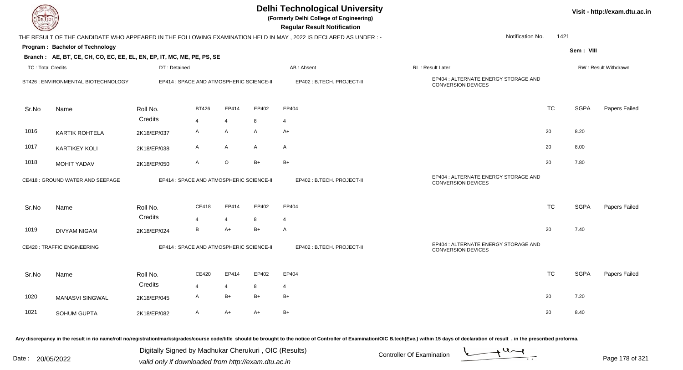| <b>DELTECH</b>           |                                                                        |              |                                          |                |       | <b>Delhi Technological University</b><br>(Formerly Delhi College of Engineering)<br><b>Regular Result Notification</b> |                                                                   |           |             | Visit - http://exam.dtu.ac.in |
|--------------------------|------------------------------------------------------------------------|--------------|------------------------------------------|----------------|-------|------------------------------------------------------------------------------------------------------------------------|-------------------------------------------------------------------|-----------|-------------|-------------------------------|
|                          |                                                                        |              |                                          |                |       | THE RESULT OF THE CANDIDATE WHO APPEARED IN THE FOLLOWING EXAMINATION HELD IN MAY, 2022 IS DECLARED AS UNDER:-         | Notification No.                                                  | 1421      |             |                               |
|                          | Program: Bachelor of Technology                                        |              |                                          |                |       |                                                                                                                        |                                                                   |           | Sem: VIII   |                               |
|                          | Branch: AE, BT, CE, CH, CO, EC, EE, EL, EN, EP, IT, MC, ME, PE, PS, SE |              |                                          |                |       |                                                                                                                        |                                                                   |           |             |                               |
| <b>TC: Total Credits</b> |                                                                        | DT: Detained |                                          |                |       | AB: Absent                                                                                                             | RL: Result Later                                                  |           |             | RW: Result Withdrawn          |
|                          | BT426 : ENVIRONMENTAL BIOTECHNOLOGY                                    |              | EP414 : SPACE AND ATMOSPHERIC SCIENCE-II |                |       | EP402: B.TECH. PROJECT-II                                                                                              | EP404 : ALTERNATE ENERGY STORAGE AND<br>CONVERSION DEVICES        |           |             |                               |
| Sr.No                    | Name                                                                   | Roll No.     | <b>BT426</b>                             | EP414          | EP402 | EP404                                                                                                                  |                                                                   | <b>TC</b> | <b>SGPA</b> | Papers Failed                 |
|                          |                                                                        | Credits      | $\overline{4}$                           | $\overline{4}$ | 8     | $\overline{4}$                                                                                                         |                                                                   |           |             |                               |
| 1016                     | <b>KARTIK ROHTELA</b>                                                  | 2K18/EP/037  | A                                        | A              | A     | A+                                                                                                                     |                                                                   | 20        | 8.20        |                               |
| 1017                     | <b>KARTIKEY KOLI</b>                                                   | 2K18/EP/038  | A                                        | A              | A     | $\mathsf{A}$                                                                                                           |                                                                   | 20        | 8.00        |                               |
| 1018                     | <b>MOHIT YADAV</b>                                                     | 2K18/EP/050  | A                                        | $\circ$        | $B+$  | $B+$                                                                                                                   |                                                                   | 20        | 7.80        |                               |
|                          | CE418 : GROUND WATER AND SEEPAGE                                       |              | EP414 : SPACE AND ATMOSPHERIC SCIENCE-II |                |       | EP402: B.TECH. PROJECT-II                                                                                              | EP404 : ALTERNATE ENERGY STORAGE AND<br><b>CONVERSION DEVICES</b> |           |             |                               |
| Sr.No                    | Name                                                                   | Roll No.     | CE418                                    | EP414          | EP402 | EP404                                                                                                                  |                                                                   | <b>TC</b> | <b>SGPA</b> | Papers Failed                 |
|                          |                                                                        | Credits      | $\overline{4}$                           | $\overline{4}$ | 8     | 4                                                                                                                      |                                                                   |           |             |                               |
| 1019                     | <b>DIVYAM NIGAM</b>                                                    | 2K18/EP/024  | B                                        | $A+$           | $B+$  | Α                                                                                                                      |                                                                   | 20        | 7.40        |                               |
|                          | <b>CE420: TRAFFIC ENGINEERING</b>                                      |              | EP414 : SPACE AND ATMOSPHERIC SCIENCE-II |                |       | EP402 : B.TECH. PROJECT-II                                                                                             | EP404 : ALTERNATE ENERGY STORAGE AND<br><b>CONVERSION DEVICES</b> |           |             |                               |
| Sr.No                    | Name                                                                   | Roll No.     | CE420                                    | EP414          | EP402 | EP404                                                                                                                  |                                                                   | <b>TC</b> | <b>SGPA</b> | Papers Failed                 |
|                          |                                                                        | Credits      |                                          | $\overline{4}$ | 8     | 4                                                                                                                      |                                                                   |           |             |                               |
| 1020                     | MANASVI SINGWAL                                                        | 2K18/EP/045  | A                                        | $\mathsf{B}+$  | B+    | $B+$                                                                                                                   |                                                                   | 20        | 7.20        |                               |
| 1021                     | SOHUM GUPTA                                                            | 2K18/EP/082  | A                                        | $A+$           | A+    | $B+$                                                                                                                   |                                                                   | 20        | 8.40        |                               |
|                          |                                                                        |              |                                          |                |       |                                                                                                                        |                                                                   |           |             |                               |

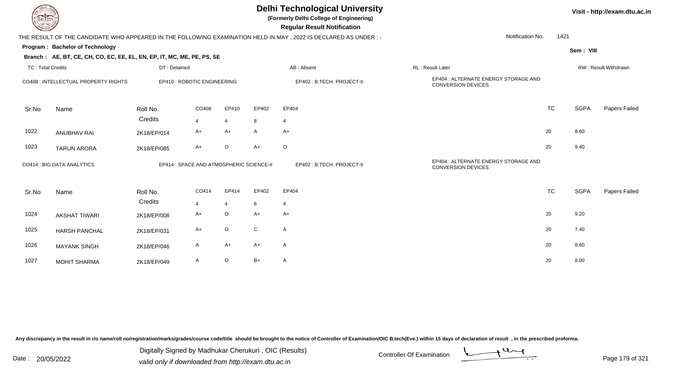| LI ECH                                                                                                                                                          |                            |                                          |                |                | <b>Delhi Technological University</b><br>(Formerly Delhi College of Engineering)<br><b>Regular Result Notification</b> |                           |                                                            |                      | Visit - http://exam.dtu.ac.in |               |  |  |
|-----------------------------------------------------------------------------------------------------------------------------------------------------------------|----------------------------|------------------------------------------|----------------|----------------|------------------------------------------------------------------------------------------------------------------------|---------------------------|------------------------------------------------------------|----------------------|-------------------------------|---------------|--|--|
|                                                                                                                                                                 |                            |                                          |                |                |                                                                                                                        |                           | Notification No.                                           | 1421                 |                               |               |  |  |
| THE RESULT OF THE CANDIDATE WHO APPEARED IN THE FOLLOWING EXAMINATION HELD IN MAY, 2022 IS DECLARED AS UNDER :-<br>Program: Bachelor of Technology<br>Sem: VIII |                            |                                          |                |                |                                                                                                                        |                           |                                                            |                      |                               |               |  |  |
| Branch: AE, BT, CE, CH, CO, EC, EE, EL, EN, EP, IT, MC, ME, PE, PS, SE                                                                                          |                            |                                          |                |                |                                                                                                                        |                           |                                                            |                      |                               |               |  |  |
| <b>TC: Total Credits</b>                                                                                                                                        |                            | DT: Detained                             |                |                |                                                                                                                        | AB: Absent                | RL: Result Later                                           | RW: Result Withdrawn |                               |               |  |  |
| CO408 : INTELLECTUAL PROPERTY RIGHTS                                                                                                                            |                            | EP410 : ROBOTIC ENGINEERING              |                |                |                                                                                                                        | EP402: B.TECH. PROJECT-II | EP404 : ALTERNATE ENERGY STORAGE AND<br>CONVERSION DEVICES |                      |                               |               |  |  |
| Sr.No                                                                                                                                                           | Name                       | Roll No.                                 | CO408          | EP410          | EP402                                                                                                                  | EP404                     |                                                            | <b>TC</b>            | <b>SGPA</b>                   | Papers Failed |  |  |
|                                                                                                                                                                 |                            | Credits                                  | 4              | $\overline{4}$ | 8                                                                                                                      | 4                         |                                                            |                      |                               |               |  |  |
| 1022                                                                                                                                                            | <b>ANUBHAV RAI</b>         | 2K18/EP/014                              | A+             | $A+$           | $\mathsf{A}$                                                                                                           | $A+$                      |                                                            | 20                   | 8.60                          |               |  |  |
| 1023                                                                                                                                                            | <b>TARUN ARORA</b>         | 2K18/EP/085                              | $A+$           | $\circ$        | $A+$                                                                                                                   | $\circ$                   |                                                            | 20                   | 9.40                          |               |  |  |
|                                                                                                                                                                 | CO414 : BIG DATA ANALYTICS | EP414 : SPACE AND ATMOSPHERIC SCIENCE-II |                |                |                                                                                                                        | EP402: B.TECH. PROJECT-II | EP404 : ALTERNATE ENERGY STORAGE AND<br>CONVERSION DEVICES |                      |                               |               |  |  |
| Sr.No                                                                                                                                                           | Name                       | Roll No.                                 | CO414          | EP414          | EP402                                                                                                                  | EP404                     |                                                            | <b>TC</b>            | <b>SGPA</b>                   | Papers Failed |  |  |
|                                                                                                                                                                 |                            | Credits                                  | $\overline{4}$ | $\overline{4}$ | 8                                                                                                                      | 4                         |                                                            |                      |                               |               |  |  |
| 1024                                                                                                                                                            | <b>AKSHAT TIWARI</b>       | 2K18/EP/008                              | A+             | $\circ$        | $A+$                                                                                                                   | $A+$                      |                                                            | 20                   | 9.20                          |               |  |  |
| 1025                                                                                                                                                            | <b>HARSH PANCHAL</b>       | 2K18/EP/031                              | $A+$           | $\circ$        | $\mathsf{C}$                                                                                                           | $\mathsf{A}$              |                                                            | 20                   | 7.40                          |               |  |  |
| 1026                                                                                                                                                            | <b>MAYANK SINGH</b>        | 2K18/EP/046                              | A              | $A+$           | $A+$                                                                                                                   | $\mathsf{A}$              |                                                            | 20                   | 8.60                          |               |  |  |
| 1027                                                                                                                                                            | <b>MOHIT SHARMA</b>        | 2K18/EP/049                              | A              | $\circ$        | $B+$                                                                                                                   | A                         |                                                            | 20                   | 8.00                          |               |  |  |

Digitally Signed by Madhukar Cherukuri, OIC (Results)<br>Date : 20/05/2022 valid only if downloaded from http://oxam.dtu.ac.in Digitally Signed by Madhukar Cherukuri , OIC (Results)valid only if downloaded from http://exam.dtu.ac.in

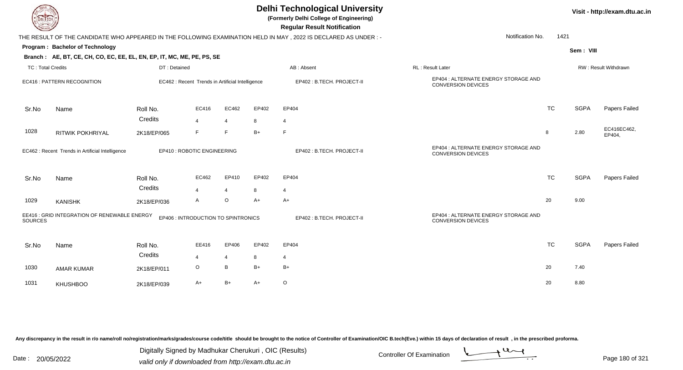| IL I ECH                                                                                              |                                                                        |                                                  | <b>Delhi Technological University</b><br>(Formerly Delhi College of Engineering)<br><b>Regular Result Notification</b> |                |            |                                                                                                                |                                                                   |           |                      |                       |  |
|-------------------------------------------------------------------------------------------------------|------------------------------------------------------------------------|--------------------------------------------------|------------------------------------------------------------------------------------------------------------------------|----------------|------------|----------------------------------------------------------------------------------------------------------------|-------------------------------------------------------------------|-----------|----------------------|-----------------------|--|
|                                                                                                       |                                                                        |                                                  |                                                                                                                        |                |            | THE RESULT OF THE CANDIDATE WHO APPEARED IN THE FOLLOWING EXAMINATION HELD IN MAY, 2022 IS DECLARED AS UNDER:- | Notification No.                                                  | 1421      |                      |                       |  |
|                                                                                                       | Program: Bachelor of Technology                                        |                                                  |                                                                                                                        |                |            |                                                                                                                |                                                                   |           | Sem: VIII            |                       |  |
|                                                                                                       | Branch: AE, BT, CE, CH, CO, EC, EE, EL, EN, EP, IT, MC, ME, PE, PS, SE |                                                  |                                                                                                                        |                |            |                                                                                                                |                                                                   |           |                      |                       |  |
| <b>TC: Total Credits</b>                                                                              |                                                                        | DT: Detained                                     |                                                                                                                        |                | AB: Absent |                                                                                                                | RL: Result Later                                                  |           | RW: Result Withdrawn |                       |  |
| <b>EC416: PATTERN RECOGNITION</b>                                                                     |                                                                        | EC462 : Recent Trends in Artificial Intelligence |                                                                                                                        |                |            | EP402: B.TECH. PROJECT-II                                                                                      | EP404 : ALTERNATE ENERGY STORAGE AND<br><b>CONVERSION DEVICES</b> |           |                      |                       |  |
| Sr.No                                                                                                 | Name                                                                   | Roll No.                                         | EC416                                                                                                                  | EC462          | EP402      | EP404                                                                                                          |                                                                   | <b>TC</b> | <b>SGPA</b>          | Papers Failed         |  |
|                                                                                                       |                                                                        | Credits                                          | $\overline{4}$                                                                                                         | $\overline{4}$ | 8          | $\overline{4}$                                                                                                 |                                                                   |           |                      |                       |  |
| 1028                                                                                                  | <b>RITWIK POKHRIYAL</b>                                                | 2K18/EP/065                                      | F                                                                                                                      | F              | $B+$       | F                                                                                                              |                                                                   | 8         | 2.80                 | EC416EC462,<br>EP404, |  |
|                                                                                                       | EC462 : Recent Trends in Artificial Intelligence                       |                                                  | EP410 : ROBOTIC ENGINEERING                                                                                            |                |            | EP402: B.TECH. PROJECT-II                                                                                      | EP404 : ALTERNATE ENERGY STORAGE AND<br><b>CONVERSION DEVICES</b> |           |                      |                       |  |
| Sr.No                                                                                                 | Name                                                                   | Roll No.                                         | EC462                                                                                                                  | EP410          | EP402      | EP404                                                                                                          |                                                                   | <b>TC</b> | <b>SGPA</b>          | Papers Failed         |  |
|                                                                                                       |                                                                        | Credits                                          | $\overline{4}$                                                                                                         | $\overline{4}$ | 8          | $\overline{4}$                                                                                                 |                                                                   |           |                      |                       |  |
| 1029                                                                                                  | <b>KANISHK</b>                                                         | 2K18/EP/036                                      | A                                                                                                                      | $\circ$        | $A+$       | $A+$                                                                                                           |                                                                   | 20        | 9.00                 |                       |  |
| EE416 : GRID INTEGRATION OF RENEWABLE ENERGY<br>EP406 : INTRODUCTION TO SPINTRONICS<br><b>SOURCES</b> |                                                                        |                                                  |                                                                                                                        |                |            | EP402: B.TECH. PROJECT-II                                                                                      | EP404 : ALTERNATE ENERGY STORAGE AND<br><b>CONVERSION DEVICES</b> |           |                      |                       |  |
| Sr.No                                                                                                 | Name                                                                   | Roll No.                                         | EE416                                                                                                                  | EP406          | EP402      | EP404                                                                                                          |                                                                   | <b>TC</b> | <b>SGPA</b>          | Papers Failed         |  |
|                                                                                                       |                                                                        | Credits                                          | 4                                                                                                                      | $\overline{4}$ | 8          | 4                                                                                                              |                                                                   |           |                      |                       |  |
| 1030                                                                                                  | <b>AMAR KUMAR</b>                                                      | 2K18/EP/011                                      | $\circ$                                                                                                                | B              | $B+$       | $B+$                                                                                                           |                                                                   | 20        | 7.40                 |                       |  |
| 1031                                                                                                  | <b>KHUSHBOO</b>                                                        | 2K18/EP/039                                      | $A+$                                                                                                                   | $B+$           | $A+$       | $\circ$                                                                                                        |                                                                   | 20        | 8.80                 |                       |  |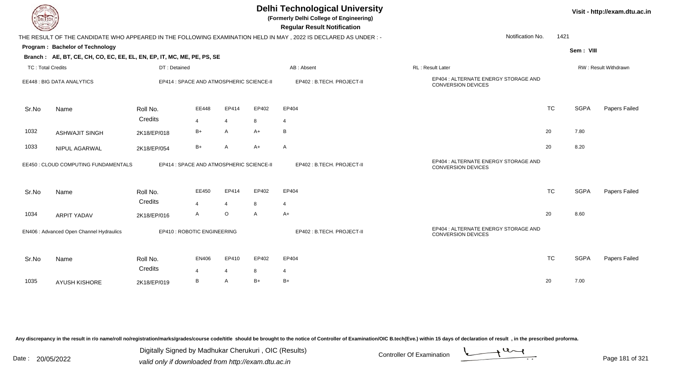| <b>DELTECH</b>                           |                                                                        |                     |                                          |                                          |              | <b>Delhi Technological University</b><br>(Formerly Delhi College of Engineering)<br><b>Regular Result Notification</b> |                                                                   |           |             | Visit - http://exam.dtu.ac.in |
|------------------------------------------|------------------------------------------------------------------------|---------------------|------------------------------------------|------------------------------------------|--------------|------------------------------------------------------------------------------------------------------------------------|-------------------------------------------------------------------|-----------|-------------|-------------------------------|
|                                          |                                                                        |                     |                                          |                                          |              | THE RESULT OF THE CANDIDATE WHO APPEARED IN THE FOLLOWING EXAMINATION HELD IN MAY, 2022 IS DECLARED AS UNDER :-        | Notification No.                                                  | 1421      |             |                               |
|                                          | Program: Bachelor of Technology                                        |                     |                                          |                                          |              |                                                                                                                        |                                                                   |           | Sem: VIII   |                               |
|                                          | Branch: AE, BT, CE, CH, CO, EC, EE, EL, EN, EP, IT, MC, ME, PE, PS, SE |                     |                                          |                                          |              |                                                                                                                        |                                                                   |           |             |                               |
| <b>TC: Total Credits</b>                 |                                                                        | DT: Detained        |                                          |                                          |              | AB: Absent                                                                                                             | RL: Result Later                                                  |           |             | RW: Result Withdrawn          |
|                                          | EE448 : BIG DATA ANALYTICS                                             |                     |                                          | EP414 : SPACE AND ATMOSPHERIC SCIENCE-II |              | EP402: B.TECH. PROJECT-II                                                                                              | EP404 : ALTERNATE ENERGY STORAGE AND<br><b>CONVERSION DEVICES</b> |           |             |                               |
| Sr.No                                    | Name                                                                   | Roll No.            | EE448                                    | EP414                                    | EP402        | EP404                                                                                                                  |                                                                   | <b>TC</b> | <b>SGPA</b> | Papers Failed                 |
|                                          |                                                                        | Credits             | 4                                        | $\overline{4}$                           | 8            | $\overline{4}$                                                                                                         |                                                                   |           |             |                               |
| 1032                                     | <b>ASHWAJIT SINGH</b>                                                  | 2K18/EP/018         | $B+$                                     | A                                        | A+           | B                                                                                                                      |                                                                   | 20        | 7.80        |                               |
| 1033                                     | NIPUL AGARWAL                                                          | 2K18/EP/054         | $B+$                                     | A                                        | A+           | A                                                                                                                      |                                                                   | 20        | 8.20        |                               |
|                                          | EE450 : CLOUD COMPUTING FUNDAMENTALS                                   |                     | EP414 : SPACE AND ATMOSPHERIC SCIENCE-II |                                          |              | EP402: B.TECH. PROJECT-II                                                                                              | EP404 : ALTERNATE ENERGY STORAGE AND<br><b>CONVERSION DEVICES</b> |           |             |                               |
| Sr.No                                    | Name                                                                   | Roll No.            | EE450                                    | EP414                                    | EP402        | EP404                                                                                                                  |                                                                   | <b>TC</b> | <b>SGPA</b> | Papers Failed                 |
|                                          |                                                                        | Credits             | 4                                        | $\overline{4}$                           | 8            | 4                                                                                                                      |                                                                   |           |             |                               |
| 1034                                     | <b>ARPIT YADAV</b>                                                     | 2K18/EP/016         | A                                        | $\circ$                                  | $\mathsf{A}$ | $A+$                                                                                                                   |                                                                   | 20        | 8.60        |                               |
| EN406 : Advanced Open Channel Hydraulics |                                                                        |                     | EP410 : ROBOTIC ENGINEERING              |                                          |              | EP402: B.TECH. PROJECT-II                                                                                              | EP404 : ALTERNATE ENERGY STORAGE AND<br><b>CONVERSION DEVICES</b> |           |             |                               |
| Sr.No                                    | Name                                                                   | Roll No.<br>Credits | <b>EN406</b>                             | EP410                                    | EP402        | EP404                                                                                                                  |                                                                   | <b>TC</b> | <b>SGPA</b> | Papers Failed                 |
|                                          |                                                                        |                     | $\boldsymbol{\Delta}$                    | $\overline{4}$                           | 8            | $\overline{4}$                                                                                                         |                                                                   |           |             |                               |
| 1035                                     | <b>AYUSH KISHORE</b>                                                   | 2K18/EP/019         | В                                        | A                                        | $B+$         | $B+$                                                                                                                   |                                                                   | 20        | 7.00        |                               |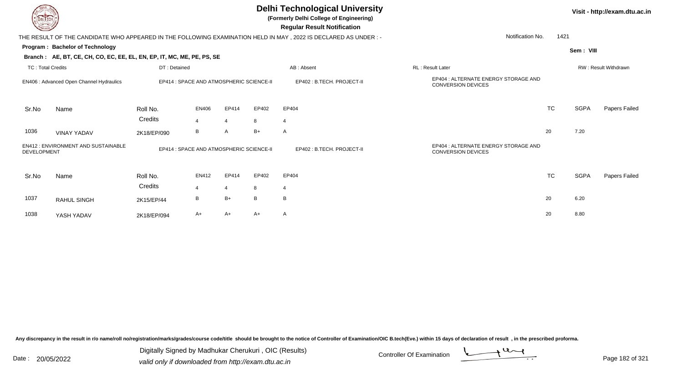|                                                          |                                                                        |                                          |                |                |       | <b>Delhi Technological University</b><br>(Formerly Delhi College of Engineering)<br><b>Regular Result Notification</b> |                                                                   |           |             | Visit - http://exam.dtu.ac.in |
|----------------------------------------------------------|------------------------------------------------------------------------|------------------------------------------|----------------|----------------|-------|------------------------------------------------------------------------------------------------------------------------|-------------------------------------------------------------------|-----------|-------------|-------------------------------|
|                                                          |                                                                        |                                          |                |                |       | THE RESULT OF THE CANDIDATE WHO APPEARED IN THE FOLLOWING EXAMINATION HELD IN MAY, 2022 IS DECLARED AS UNDER :-        | Notification No.                                                  | 1421      |             |                               |
|                                                          | <b>Program: Bachelor of Technology</b>                                 |                                          |                |                |       |                                                                                                                        |                                                                   |           | Sem: VIII   |                               |
|                                                          | Branch: AE, BT, CE, CH, CO, EC, EE, EL, EN, EP, IT, MC, ME, PE, PS, SE |                                          |                |                |       |                                                                                                                        |                                                                   |           |             |                               |
| <b>TC: Total Credits</b>                                 |                                                                        | DT: Detained                             |                |                |       | AB: Absent                                                                                                             | <b>RL: Result Later</b>                                           |           |             | <b>RW: Result Withdrawn</b>   |
|                                                          | EN406 : Advanced Open Channel Hydraulics                               | EP414 : SPACE AND ATMOSPHERIC SCIENCE-II |                |                |       | EP402: B.TECH. PROJECT-II                                                                                              | EP404 : ALTERNATE ENERGY STORAGE AND<br><b>CONVERSION DEVICES</b> |           |             |                               |
| Sr.No                                                    | Name                                                                   | Roll No.                                 | <b>EN406</b>   | EP414          | EP402 | EP404                                                                                                                  |                                                                   | <b>TC</b> | <b>SGPA</b> | Papers Failed                 |
|                                                          |                                                                        | Credits                                  | 4              | $\overline{4}$ | 8     | $\overline{4}$                                                                                                         |                                                                   |           |             |                               |
| 1036                                                     | <b>VINAY YADAV</b>                                                     | 2K18/EP/090                              | В              | A              | $B+$  | $\mathsf{A}$                                                                                                           |                                                                   | 20        | 7.20        |                               |
| EN412: ENVIRONMENT AND SUSTAINABLE<br><b>DEVELOPMENT</b> |                                                                        | EP414 : SPACE AND ATMOSPHERIC SCIENCE-II |                |                |       | EP402 : B.TECH. PROJECT-II                                                                                             | EP404 : ALTERNATE ENERGY STORAGE AND<br>CONVERSION DEVICES        |           |             |                               |
| Sr.No                                                    | Name                                                                   | Roll No.                                 | EN412          | EP414          | EP402 | EP404                                                                                                                  |                                                                   | <b>TC</b> | <b>SGPA</b> | Papers Failed                 |
|                                                          |                                                                        | Credits                                  | $\overline{4}$ | $\overline{4}$ | 8     | 4                                                                                                                      |                                                                   |           |             |                               |
| 1037                                                     | <b>RAHUL SINGH</b>                                                     | 2K15/EP/44                               | В              | $B+$           | B     | B                                                                                                                      |                                                                   | 20        | 6.20        |                               |
| 1038                                                     | YASH YADAV                                                             | 2K18/EP/094                              | A+             | $A+$           | A+    | A                                                                                                                      |                                                                   | 20        | 8.80        |                               |

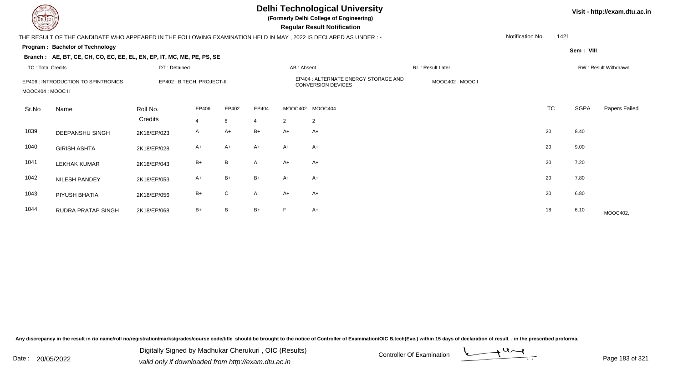**(Formerly Delhi College of Engineering)**

 **Regular Result Notification**

#### **Visit - http://exam.dtu.ac.in**

|                                                          | THE RESULT OF THE CANDIDATE WHO APPEARED IN THE FOLLOWING EXAMINATION HELD IN MAY, 2022 IS DECLARED AS UNDER :- |                            |                |       |                                                                   |                |                 |                  | Notification No. | 1421      |             |                             |
|----------------------------------------------------------|-----------------------------------------------------------------------------------------------------------------|----------------------------|----------------|-------|-------------------------------------------------------------------|----------------|-----------------|------------------|------------------|-----------|-------------|-----------------------------|
|                                                          | Program: Bachelor of Technology                                                                                 |                            |                |       |                                                                   |                |                 |                  |                  |           | Sem: VIII   |                             |
|                                                          | Branch: AE, BT, CE, CH, CO, EC, EE, EL, EN, EP, IT, MC, ME, PE, PS, SE                                          |                            |                |       |                                                                   |                |                 |                  |                  |           |             |                             |
| TC: Total Credits                                        |                                                                                                                 | DT: Detained               |                |       |                                                                   | AB: Absent     |                 | RL: Result Later |                  |           |             | <b>RW: Result Withdrawn</b> |
| EP406 : INTRODUCTION TO SPINTRONICS<br>MOOC404 : MOOC II |                                                                                                                 | EP402 : B.TECH. PROJECT-II |                |       | EP404 : ALTERNATE ENERGY STORAGE AND<br><b>CONVERSION DEVICES</b> |                |                 | MOOC402: MOOC I  |                  |           |             |                             |
| Sr.No                                                    | Name                                                                                                            | Roll No.                   | EP406          | EP402 | EP404                                                             |                | MOOC402 MOOC404 |                  |                  | <b>TC</b> | <b>SGPA</b> | Papers Failed               |
|                                                          |                                                                                                                 | Credits                    | $\overline{4}$ | 8     | $\overline{4}$                                                    | $\overline{2}$ | $\overline{2}$  |                  |                  |           |             |                             |
| 1039                                                     | DEEPANSHU SINGH                                                                                                 | 2K18/EP/023                | A              | $A+$  | $B+$                                                              | $A+$           | $A+$            |                  |                  | 20        | 8.40        |                             |
| 1040                                                     | <b>GIRISH ASHTA</b>                                                                                             | 2K18/EP/028                | $A+$           | A+    | $A+$                                                              | $A+$           | $A+$            |                  |                  | 20        | 9.00        |                             |
| 1041                                                     | <b>LEKHAK KUMAR</b>                                                                                             | 2K18/EP/043                | $B+$           | B     | $\mathsf{A}$                                                      | $A+$           | $A+$            |                  |                  | 20        | 7.20        |                             |
| 1042                                                     | NILESH PANDEY                                                                                                   | 2K18/EP/053                | $A+$           | $B+$  | $B+$                                                              | $A+$           | $A+$            |                  |                  | 20        | 7.80        |                             |
| 1043                                                     | PIYUSH BHATIA                                                                                                   | 2K18/EP/056                | $B+$           | C     | $\mathsf{A}$                                                      | $A+$           | $A+$            |                  |                  | 20        | 6.80        |                             |
| 1044                                                     | RUDRA PRATAP SINGH                                                                                              | 2K18/EP/068                | $B+$           | B     | $B+$                                                              | F              | $A+$            |                  |                  | 18        | 6.10        | MOOC402,                    |

Any discrepancy in the result in r/o name/roll no/registration/marks/grades/course code/title should be brought to the notice of Controller of Examination/OIC B.tech(Eve.) within 15 days of declaration of result, in the pr

Date : 20/05/2022 Digital Digital of Microsofted Chemical Controller Of Examination Determination Page 183 of 32 Digitally Signed by Madhukar Cherukuri , OIC (Results)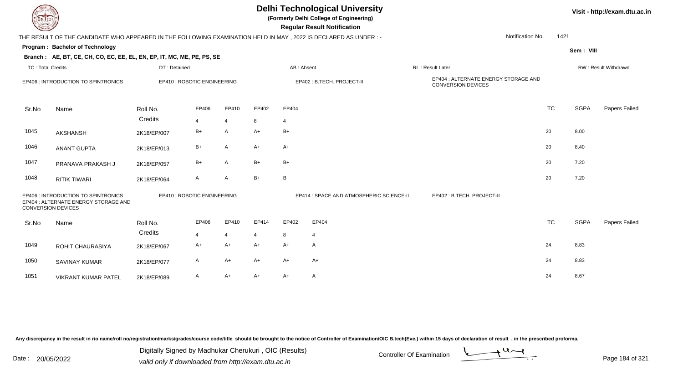|                          | <b>Delhi Technological University</b><br>Visit - http://exam.dtu.ac.in<br>(Formerly Delhi College of Engineering)<br><b>DELTECH</b><br><b>Regular Result Notification</b><br>Notification No.<br>THE RESULT OF THE CANDIDATE WHO APPEARED IN THE FOLLOWING EXAMINATION HELD IN MAY, 2022 IS DECLARED AS UNDER:- |              |                             |                |                           |                |                                          |  |                                                            |           |             |                      |  |
|--------------------------|-----------------------------------------------------------------------------------------------------------------------------------------------------------------------------------------------------------------------------------------------------------------------------------------------------------------|--------------|-----------------------------|----------------|---------------------------|----------------|------------------------------------------|--|------------------------------------------------------------|-----------|-------------|----------------------|--|
|                          |                                                                                                                                                                                                                                                                                                                 |              |                             |                |                           |                |                                          |  |                                                            | 1421      |             |                      |  |
|                          | Program: Bachelor of Technology                                                                                                                                                                                                                                                                                 |              |                             |                |                           |                |                                          |  |                                                            |           | Sem: VIII   |                      |  |
|                          | Branch: AE, BT, CE, CH, CO, EC, EE, EL, EN, EP, IT, MC, ME, PE, PS, SE                                                                                                                                                                                                                                          |              |                             |                |                           |                |                                          |  |                                                            |           |             |                      |  |
| <b>TC: Total Credits</b> |                                                                                                                                                                                                                                                                                                                 | DT: Detained |                             |                |                           | AB: Absent     |                                          |  | <b>RL: Result Later</b>                                    |           |             | RW: Result Withdrawn |  |
|                          | EP406 : INTRODUCTION TO SPINTRONICS                                                                                                                                                                                                                                                                             |              | EP410 : ROBOTIC ENGINEERING |                | EP402: B.TECH. PROJECT-II |                |                                          |  | EP404 : ALTERNATE ENERGY STORAGE AND<br>CONVERSION DEVICES |           |             |                      |  |
| Sr.No                    | Name                                                                                                                                                                                                                                                                                                            | Roll No.     | EP406                       | EP410          | EP402                     | EP404          |                                          |  |                                                            | <b>TC</b> | <b>SGPA</b> | Papers Failed        |  |
|                          |                                                                                                                                                                                                                                                                                                                 | Credits      | 4                           | 4              | 8                         | $\overline{4}$ |                                          |  |                                                            |           |             |                      |  |
| 1045                     | <b>AKSHANSH</b>                                                                                                                                                                                                                                                                                                 | 2K18/EP/007  | B+                          | A              | $A+$                      | $B+$           |                                          |  |                                                            | 20        | 8.00        |                      |  |
| 1046                     | <b>ANANT GUPTA</b>                                                                                                                                                                                                                                                                                              | 2K18/EP/013  | $B+$                        | A              | $A+$                      | $A+$           |                                          |  |                                                            | 20        | 8.40        |                      |  |
| 1047                     | PRANAVA PRAKASH J                                                                                                                                                                                                                                                                                               | 2K18/EP/057  | $B+$                        | A              | $B+$                      | $B+$           |                                          |  |                                                            | 20        | 7.20        |                      |  |
| 1048                     | <b>RITIK TIWARI</b>                                                                                                                                                                                                                                                                                             | 2K18/EP/064  | A                           | A              | $B+$                      | B              |                                          |  |                                                            | 20        | 7.20        |                      |  |
|                          | EP406 : INTRODUCTION TO SPINTRONICS<br>EP404 : ALTERNATE ENERGY STORAGE AND<br>CONVERSION DEVICES                                                                                                                                                                                                               |              | EP410 : ROBOTIC ENGINEERING |                |                           |                | EP414 : SPACE AND ATMOSPHERIC SCIENCE-II |  | EP402: B.TECH. PROJECT-II                                  |           |             |                      |  |
| Sr.No                    | Name                                                                                                                                                                                                                                                                                                            | Roll No.     | EP406                       | EP410          | EP414                     | EP402          | EP404                                    |  |                                                            | <b>TC</b> | <b>SGPA</b> | Papers Failed        |  |
|                          |                                                                                                                                                                                                                                                                                                                 | Credits      | $\overline{4}$              | $\overline{4}$ | 4                         | 8              | $\overline{4}$                           |  |                                                            |           |             |                      |  |
| 1049                     | ROHIT CHAURASIYA                                                                                                                                                                                                                                                                                                | 2K18/EP/067  | A+                          | $A+$           | A+                        | $A+$           | A                                        |  |                                                            | 24        | 8.83        |                      |  |
| 1050                     | <b>SAVINAY KUMAR</b>                                                                                                                                                                                                                                                                                            | 2K18/EP/077  | A                           | $A+$           | A+                        | $A+$           | A+                                       |  |                                                            | 24        | 8.83        |                      |  |
| 1051                     | VIKRANT KUMAR PATEL                                                                                                                                                                                                                                                                                             | 2K18/EP/089  | A                           | A+             | A+                        | $A+$           | A                                        |  |                                                            | 24        | 8.67        |                      |  |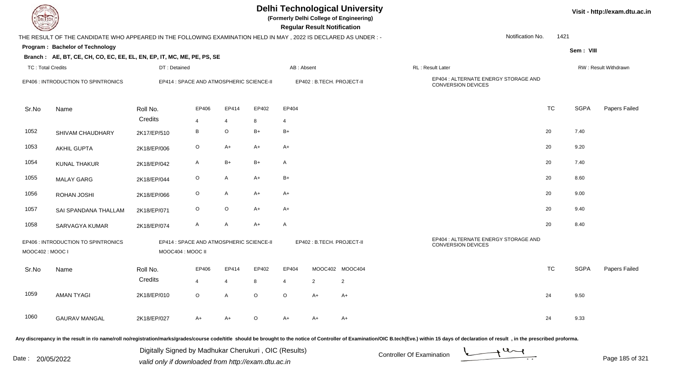| <b>DELTECH</b>           |                                                                                                                                                                                                                                |                   |                                          |                |                           |                | <b>Regular Result Notification</b> | <b>Delhi Technological University</b><br>(Formerly Delhi College of Engineering) |                                                                   |                  |           |             | Visit - http://exam.dtu.ac.in |
|--------------------------|--------------------------------------------------------------------------------------------------------------------------------------------------------------------------------------------------------------------------------|-------------------|------------------------------------------|----------------|---------------------------|----------------|------------------------------------|----------------------------------------------------------------------------------|-------------------------------------------------------------------|------------------|-----------|-------------|-------------------------------|
|                          | THE RESULT OF THE CANDIDATE WHO APPEARED IN THE FOLLOWING EXAMINATION HELD IN MAY, 2022 IS DECLARED AS UNDER:-                                                                                                                 |                   |                                          |                |                           |                |                                    |                                                                                  |                                                                   | Notification No. | 1421      |             |                               |
|                          | Program: Bachelor of Technology                                                                                                                                                                                                |                   |                                          |                |                           |                |                                    |                                                                                  |                                                                   |                  |           | Sem: VIII   |                               |
|                          | Branch: AE, BT, CE, CH, CO, EC, EE, EL, EN, EP, IT, MC, ME, PE, PS, SE                                                                                                                                                         |                   |                                          |                |                           |                |                                    |                                                                                  |                                                                   |                  |           |             |                               |
| <b>TC: Total Credits</b> |                                                                                                                                                                                                                                | DT: Detained      |                                          |                |                           | AB: Absent     |                                    |                                                                                  | RL: Result Later                                                  |                  |           |             | RW: Result Withdrawn          |
|                          | EP406 : INTRODUCTION TO SPINTRONICS                                                                                                                                                                                            |                   | EP414 : SPACE AND ATMOSPHERIC SCIENCE-II |                | EP402: B.TECH. PROJECT-II |                |                                    |                                                                                  | EP404 : ALTERNATE ENERGY STORAGE AND<br><b>CONVERSION DEVICES</b> |                  |           |             |                               |
| Sr.No                    | Name                                                                                                                                                                                                                           | Roll No.          | EP406                                    | EP414          | EP402                     | EP404          |                                    |                                                                                  |                                                                   |                  | <b>TC</b> | <b>SGPA</b> | <b>Papers Failed</b>          |
|                          |                                                                                                                                                                                                                                | Credits           | $\overline{4}$                           | $\overline{4}$ | 8                         | $\overline{4}$ |                                    |                                                                                  |                                                                   |                  |           |             |                               |
| 1052                     | SHIVAM CHAUDHARY                                                                                                                                                                                                               | 2K17/EP/510       | B                                        | $\circ$        | $B+$                      | $B+$           |                                    |                                                                                  |                                                                   |                  | 20        | 7.40        |                               |
| 1053                     | <b>AKHIL GUPTA</b>                                                                                                                                                                                                             | 2K18/EP/006       | $\circ$                                  | A+             | $A+$                      | A+             |                                    |                                                                                  |                                                                   |                  | 20        | 9.20        |                               |
| 1054                     | <b>KUNAL THAKUR</b>                                                                                                                                                                                                            | 2K18/EP/042       | A                                        | $B+$           | $B+$                      | A              |                                    |                                                                                  |                                                                   |                  | 20        | 7.40        |                               |
| 1055                     | <b>MALAY GARG</b>                                                                                                                                                                                                              | 2K18/EP/044       | $\circ$                                  | A              | $A+$                      | $B+$           |                                    |                                                                                  |                                                                   |                  | 20        | 8.60        |                               |
| 1056                     | ROHAN JOSHI                                                                                                                                                                                                                    | 2K18/EP/066       | $\circ$                                  | A              | A+                        | A+             |                                    |                                                                                  |                                                                   |                  | 20        | 9.00        |                               |
| 1057                     | SAI SPANDANA THALLAM                                                                                                                                                                                                           | 2K18/EP/071       | $\circ$                                  | $\circ$        | $A+$                      | A+             |                                    |                                                                                  |                                                                   |                  | 20        | 9.40        |                               |
| 1058                     | SARVAGYA KUMAR                                                                                                                                                                                                                 | 2K18/EP/074       | $\mathsf{A}$                             | A              | $A+$                      | A              |                                    |                                                                                  |                                                                   |                  | 20        | 8.40        |                               |
| MOOC402: MOOC I          | EP406 : INTRODUCTION TO SPINTRONICS                                                                                                                                                                                            | MOOC404 : MOOC II | EP414 : SPACE AND ATMOSPHERIC SCIENCE-II |                |                           |                | EP402: B.TECH. PROJECT-II          |                                                                                  | EP404 : ALTERNATE ENERGY STORAGE AND<br>CONVERSION DEVICES        |                  |           |             |                               |
| Sr.No                    | Name                                                                                                                                                                                                                           | Roll No.          | EP406                                    | EP414          | EP402                     | EP404          |                                    | MOOC402 MOOC404                                                                  |                                                                   |                  | <b>TC</b> | <b>SGPA</b> | <b>Papers Failed</b>          |
|                          |                                                                                                                                                                                                                                | Credits           | $\overline{4}$                           | 4              | 8                         | $\overline{4}$ | $\overline{2}$                     | $\overline{2}$                                                                   |                                                                   |                  |           |             |                               |
| 1059                     | <b>AMAN TYAGI</b>                                                                                                                                                                                                              | 2K18/EP/010       | $\circ$                                  | Α              | $\mathsf O$               | $\circ$        | $A+$                               | $A+$                                                                             |                                                                   |                  | 24        | 9.50        |                               |
| 1060                     | <b>GAURAV MANGAL</b>                                                                                                                                                                                                           | 2K18/EP/027       | A+                                       | A+             | $\circ$                   | A+             | A+                                 | A+                                                                               |                                                                   |                  | 24        | 9.33        |                               |
|                          | Any discrepancy in the result in r/o name/roll no/registration/marks/grades/course code/title should be brought to the notice of Controller of Examination/OIC B.tech(Eve.) within 15 days of declaration of result , in the p |                   |                                          |                |                           |                |                                    |                                                                                  |                                                                   |                  |           |             |                               |

Date : 20/05/2022 Digital Digital of Microsofted Chemical Controller Of Examination Determination Page 185 of 32 Digitally Signed by Madhukar Cherukuri , OIC (Results)

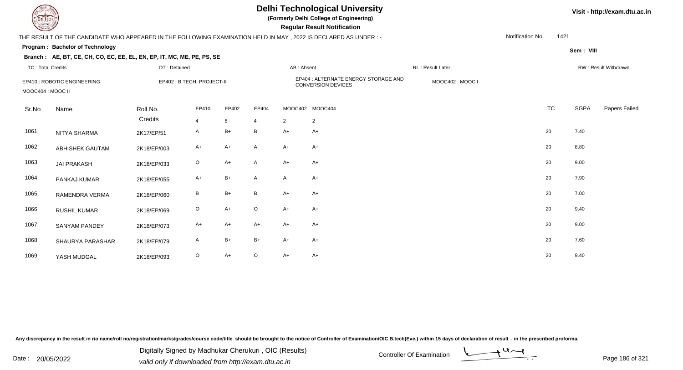TC : Total Credits

# **Delhi Technological University**

**(Formerly Delhi College of Engineering)**

 **Regular Result Notification**

### THE RESULT OF THE CANDIDATE WHO APPEARED IN THE FOLLOWING EXAMINATION HELD IN MAY , 2022 IS DECLARED AS UNDER : -

DT : Detained

**Program : Bachelor of Technology**

#### **Branch : AE, BT, CE, CH, CO, EC, EE, EL, EN, EP, IT, MC, ME, PE, PS, SE**

**Sem : VIII** Notification No.1421

| TC: Total Credits |                             | DT : Detained       |                            |            |                         | AB : Absent    |                                                                   | RL: Result Later |           |      | RW : Result Withdrawn |
|-------------------|-----------------------------|---------------------|----------------------------|------------|-------------------------|----------------|-------------------------------------------------------------------|------------------|-----------|------|-----------------------|
| MOOC404 : MOOC II | EP410 : ROBOTIC ENGINEERING |                     | EP402 : B.TECH. PROJECT-II |            |                         |                | EP404 : ALTERNATE ENERGY STORAGE AND<br><b>CONVERSION DEVICES</b> | MOOC402: MOOC I  |           |      |                       |
| Sr.No             | Name                        | Roll No.<br>Credits | EP410<br>$\overline{4}$    | EP402<br>8 | EP404<br>$\overline{4}$ | $\overline{2}$ | MOOC402 MOOC404<br>2                                              |                  | <b>TC</b> | SGPA | Papers Failec         |
| 1061              | NITYA SHARMA                | 2K17/EP/51          | A                          | $B+$       | $\mathsf{B}$            | A+             | $A+$                                                              |                  | 20        | 7.40 |                       |
| 1062              | ABHISHEK GAUTAM             | 2K18/EP/003         | $A+$                       | $A+$       | $\mathsf{A}$            | $A+$           | $A+$                                                              |                  | 20        | 8.80 |                       |
| 1063              | <b>JAI PRAKASH</b>          | 2K18/EP/033         | $\circ$                    | $A+$       | $\mathsf{A}$            | A+             | $A+$                                                              |                  | 20        | 9.00 |                       |
| 1064              | PANKAJ KUMAR                | 2K18/EP/055         | $A+$                       | $B+$       | $\mathsf{A}$            | $\mathsf{A}$   | $A+$                                                              |                  | 20        | 7.90 |                       |
| 1065              | RAMENDRA VERMA              | 2K18/EP/060         | B                          | $B+$       | $\, {\bf B}$            | $A+$           | $A+$                                                              |                  | 20        | 7.00 |                       |
| 1066              | RUSHIL KUMAR                | 2K18/EP/069         | $\circ$                    | $A+$       | $\circ$                 | $A+$           | $A+$                                                              |                  | 20        | 9.40 |                       |
| 1067              | SANYAM PANDEY               | 2K18/EP/073         | $A+$                       | $A+$       | $A+$                    | $A+$           | $A+$                                                              |                  | 20        | 9.00 |                       |
| 1068              | SHAURYA PARASHAR            | 2K18/EP/079         | A                          | $B+$       | $B+$                    | A+             | $A+$                                                              |                  | 20        | 7.60 |                       |
| 1069              | YASH MUDGAL                 | 2K18/EP/093         | $\circ$                    | $A+$       | $\circ$                 | A+             | $A+$                                                              |                  | 20        | 9.40 |                       |

Any discrepancy in the result in r/o name/roll no/registration/marks/grades/course code/title should be brought to the notice of Controller of Examination/OIC B.tech(Eve.) within 15 days of declaration of result, in the pr

Date : 20/05/2022 Digital Digital of Microsofted Chemical Controller Of Examination Determination Page 186 of 32 Digitally Signed by Madhukar Cherukuri , OIC (Results)

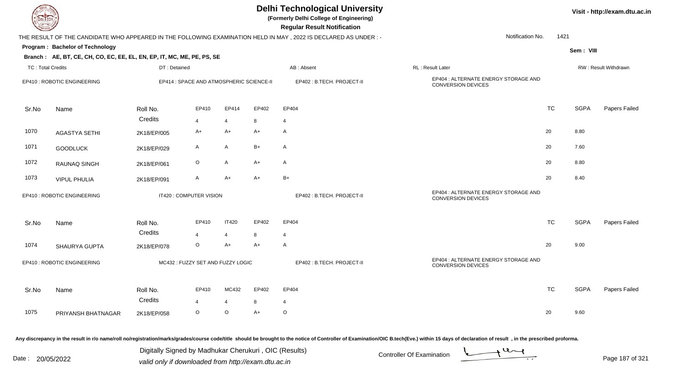| <b>DELTECH</b>           |                                                                        |              |                                          |                         |       | <b>Delhi Technological University</b><br>(Formerly Delhi College of Engineering)<br><b>Regular Result Notification</b> |                                                                   |           |             | Visit - http://exam.dtu.ac.in |
|--------------------------|------------------------------------------------------------------------|--------------|------------------------------------------|-------------------------|-------|------------------------------------------------------------------------------------------------------------------------|-------------------------------------------------------------------|-----------|-------------|-------------------------------|
|                          |                                                                        |              |                                          |                         |       | THE RESULT OF THE CANDIDATE WHO APPEARED IN THE FOLLOWING EXAMINATION HELD IN MAY, 2022 IS DECLARED AS UNDER :-        | Notification No.                                                  | 1421      |             |                               |
|                          | Program: Bachelor of Technology                                        |              |                                          |                         |       |                                                                                                                        |                                                                   |           | Sem: VIII   |                               |
|                          | Branch: AE, BT, CE, CH, CO, EC, EE, EL, EN, EP, IT, MC, ME, PE, PS, SE |              |                                          |                         |       |                                                                                                                        |                                                                   |           |             |                               |
| <b>TC: Total Credits</b> |                                                                        | DT: Detained |                                          |                         |       | AB: Absent                                                                                                             | RL: Result Later                                                  |           |             | RW: Result Withdrawn          |
|                          | EP410 : ROBOTIC ENGINEERING                                            |              | EP414 : SPACE AND ATMOSPHERIC SCIENCE-II |                         |       | EP402 : B.TECH. PROJECT-II                                                                                             | EP404 : ALTERNATE ENERGY STORAGE AND<br><b>CONVERSION DEVICES</b> |           |             |                               |
| Sr.No                    | Name                                                                   | Roll No.     | EP410                                    | EP414                   | EP402 | EP404                                                                                                                  |                                                                   | <b>TC</b> | <b>SGPA</b> | Papers Failed                 |
|                          |                                                                        | Credits      | 4                                        | $\overline{\mathbf{4}}$ | 8     | $\overline{4}$                                                                                                         |                                                                   |           |             |                               |
| 1070                     | <b>AGASTYA SETHI</b>                                                   | 2K18/EP/005  | A+                                       | $A+$                    | A+    | $\mathsf{A}$                                                                                                           |                                                                   | 20        | 8.80        |                               |
| 1071                     | <b>GOODLUCK</b>                                                        | 2K18/EP/029  | A                                        | A                       | $B+$  | $\mathsf{A}$                                                                                                           |                                                                   | 20        | 7.60        |                               |
| 1072                     | RAUNAQ SINGH                                                           | 2K18/EP/061  | O                                        | A                       | $A+$  | $\mathsf{A}$                                                                                                           |                                                                   | 20        | 8.80        |                               |
| 1073                     | <b>VIPUL PHULIA</b>                                                    | 2K18/EP/091  | A                                        | $A+$                    | A+    | $B+$                                                                                                                   |                                                                   | 20        | 8.40        |                               |
|                          | EP410 : ROBOTIC ENGINEERING                                            |              | IT420 : COMPUTER VISION                  |                         |       | EP402: B.TECH. PROJECT-II                                                                                              | EP404 : ALTERNATE ENERGY STORAGE AND<br><b>CONVERSION DEVICES</b> |           |             |                               |
| Sr.No                    | Name                                                                   | Roll No.     | EP410                                    | <b>IT420</b>            | EP402 | EP404                                                                                                                  |                                                                   | <b>TC</b> | <b>SGPA</b> | Papers Failed                 |
|                          |                                                                        | Credits      | $\overline{4}$                           | $\overline{4}$          | 8     | $\overline{4}$                                                                                                         |                                                                   |           |             |                               |
| 1074                     | SHAURYA GUPTA                                                          | 2K18/EP/078  | O                                        | A+                      | A+    | $\mathsf{A}$                                                                                                           |                                                                   | 20        | 9.00        |                               |
|                          | EP410 : ROBOTIC ENGINEERING                                            |              | MC432: FUZZY SET AND FUZZY LOGIC         |                         |       | EP402: B.TECH. PROJECT-II                                                                                              | EP404 : ALTERNATE ENERGY STORAGE AND<br>CONVERSION DEVICES        |           |             |                               |
| Sr.No                    | Name                                                                   | Roll No.     | EP410                                    | MC432                   | EP402 | EP404                                                                                                                  |                                                                   | <b>TC</b> | <b>SGPA</b> | Papers Failed                 |
|                          |                                                                        | Credits      | 4                                        | 4                       | 8     | 4                                                                                                                      |                                                                   |           |             |                               |
| 1075                     | PRIYANSH BHATNAGAR                                                     | 2K18/EP/058  | O                                        | $\mathsf O$             | $A+$  | $\circ$                                                                                                                |                                                                   | 20        | 9.60        |                               |
|                          |                                                                        |              |                                          |                         |       |                                                                                                                        |                                                                   |           |             |                               |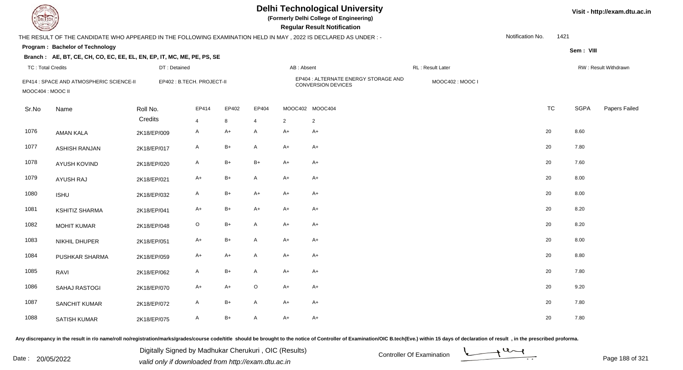**(Formerly Delhi College of Engineering)**

 **Regular Result Notification**

| $\sim$                   |                                                                                                                |                     |                           |            |                         |                | <b>Regular Result Hothiodilori</b>   |                  |                  |      |                              |
|--------------------------|----------------------------------------------------------------------------------------------------------------|---------------------|---------------------------|------------|-------------------------|----------------|--------------------------------------|------------------|------------------|------|------------------------------|
|                          | THE RESULT OF THE CANDIDATE WHO APPEARED IN THE FOLLOWING EXAMINATION HELD IN MAY, 2022 IS DECLARED AS UNDER:- |                     |                           |            |                         |                |                                      |                  | Notification No. | 1421 |                              |
|                          | Program: Bachelor of Technology                                                                                |                     |                           |            |                         |                |                                      |                  |                  |      | Sem: VIII                    |
|                          | Branch: AE, BT, CE, CH, CO, EC, EE, EL, EN, EP, IT, MC, ME, PE, PS, SE                                         |                     |                           |            |                         |                |                                      |                  |                  |      |                              |
| <b>TC: Total Credits</b> |                                                                                                                | DT: Detained        |                           |            |                         | AB: Absent     |                                      | RL: Result Later |                  |      | RW: Result Withdrawn         |
| MOOC404 : MOOC II        | EP414 : SPACE AND ATMOSPHERIC SCIENCE-II                                                                       |                     | EP402: B.TECH. PROJECT-II |            | CONVERSION DEVICES      |                | EP404 : ALTERNATE ENERGY STORAGE AND | MOOC402: MOOC I  |                  |      |                              |
| Sr.No                    | Name                                                                                                           | Roll No.<br>Credits | EP414<br>$\overline{4}$   | EP402<br>8 | EP404<br>$\overline{4}$ | $\overline{2}$ | MOOC402 MOOC404<br>$\overline{2}$    |                  | <b>TC</b>        |      | <b>SGPA</b><br>Papers Failec |
| 1076                     | <b>AMAN KALA</b>                                                                                               | 2K18/EP/009         | A                         | A+         | Α                       | $A+$           | A+                                   |                  | 20               | 8.60 |                              |
| 1077                     | <b>ASHISH RANJAN</b>                                                                                           | 2K18/EP/017         | A                         | B+         | A                       | $A+$           | A+                                   |                  | 20               | 7.80 |                              |
| 1078                     | AYUSH KOVIND                                                                                                   | 2K18/EP/020         | A                         | $B+$       | $B+$                    | $A+$           | $A+$                                 |                  | 20               | 7.60 |                              |
| 1079                     | <b>AYUSH RAJ</b>                                                                                               | 2K18/EP/021         | A+                        | B+         | A                       | $A+$           | A+                                   |                  | 20               | 8.00 |                              |
| 1080                     | <b>ISHU</b>                                                                                                    | 2K18/EP/032         | A                         | B+         | $A+$                    | $A+$           | $A+$                                 |                  | 20               | 8.00 |                              |
| 1081                     | <b>KSHITIZ SHARMA</b>                                                                                          | 2K18/EP/041         | A+                        | B+         | $A+$                    | $A+$           | $A+$                                 |                  | 20               | 8.20 |                              |
| 1082                     | <b>MOHIT KUMAR</b>                                                                                             | 2K18/EP/048         | $\mathsf O$               | B+         | A                       | $A+$           | A+                                   |                  | 20               | 8.20 |                              |
| 1083                     | NIKHIL DHUPER                                                                                                  | 2K18/EP/051         | $A+$                      | $B+$       | $\mathsf{A}$            | $A+$           | $A+$                                 |                  | 20               | 8.00 |                              |
| 1084                     | PUSHKAR SHARMA                                                                                                 | 2K18/EP/059         | $A+$                      | $A+$       | A                       | $A+$           | $A+$                                 |                  | 20               | 8.80 |                              |
| 1085                     | RAVI                                                                                                           | 2K18/EP/062         | $\mathsf{A}$              | $B+$       | A                       | $A+$           | $A+$                                 |                  | 20               | 7.80 |                              |
| 1086                     | <b>SAHAJ RASTOGI</b>                                                                                           | 2K18/EP/070         | $A+$                      | $A+$       | $\mathsf O$             | $A+$           | $A+$                                 |                  | 20               | 9.20 |                              |
| 1087                     | SANCHIT KUMAR                                                                                                  | 2K18/EP/072         | A                         | B+         | A                       | $A+$           | $A+$                                 |                  | 20               | 7.80 |                              |
| 1088                     | SATISH KUMAR                                                                                                   | 2K18/EP/075         | $\mathsf{A}$              | $B+$       | A                       | $A+$           | $A+$                                 |                  | 20               | 7.80 |                              |

Any discrepancy in the result in r/o name/roll no/registration/marks/grades/course code/title should be brought to the notice of Controller of Examination/OIC B.tech(Eve.) within 15 days of declaration of result, in the pr

Date : 20/05/2022 Digital Digital of Microsofted Chemical Controller Of Examination Determination Page 188 of 32 Digitally Signed by Madhukar Cherukuri , OIC (Results)

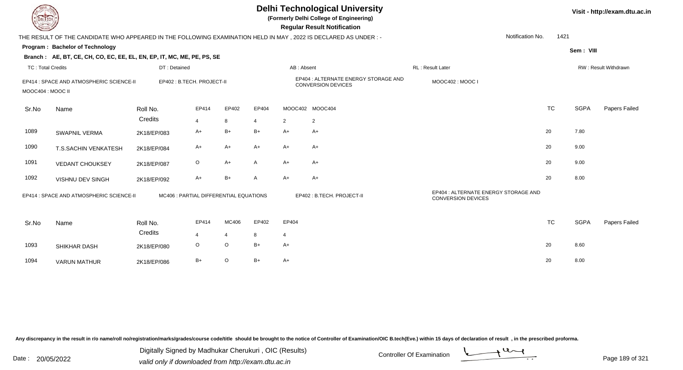| EL TECH                  |                                                                                                                 |                                        |                         |                |       |                 | <b>Delhi Technological University</b><br>(Formerly Delhi College of Engineering)<br><b>Regular Result Notification</b> |                                                                   |           |             | Visit - http://exam.dtu.ac.in |
|--------------------------|-----------------------------------------------------------------------------------------------------------------|----------------------------------------|-------------------------|----------------|-------|-----------------|------------------------------------------------------------------------------------------------------------------------|-------------------------------------------------------------------|-----------|-------------|-------------------------------|
|                          | THE RESULT OF THE CANDIDATE WHO APPEARED IN THE FOLLOWING EXAMINATION HELD IN MAY, 2022 IS DECLARED AS UNDER :- |                                        |                         |                |       |                 |                                                                                                                        | Notification No.                                                  | 1421      |             |                               |
|                          | Program: Bachelor of Technology                                                                                 |                                        |                         |                |       |                 |                                                                                                                        |                                                                   |           | Sem: VIII   |                               |
|                          | Branch: AE, BT, CE, CH, CO, EC, EE, EL, EN, EP, IT, MC, ME, PE, PS, SE                                          |                                        |                         |                |       |                 |                                                                                                                        |                                                                   |           |             |                               |
| <b>TC: Total Credits</b> |                                                                                                                 | DT: Detained                           |                         |                |       | AB: Absent      |                                                                                                                        | RL: Result Later                                                  |           |             | RW: Result Withdrawn          |
| MOOC404 : MOOC II        | EP414 : SPACE AND ATMOSPHERIC SCIENCE-II                                                                        | EP402: B.TECH. PROJECT-II              |                         |                |       |                 | EP404 : ALTERNATE ENERGY STORAGE AND<br><b>CONVERSION DEVICES</b>                                                      | MOOC402: MOOC I                                                   |           |             |                               |
| Sr.No                    | Name                                                                                                            | Roll No.                               | EP414                   | EP402          | EP404 | MOOC402 MOOC404 |                                                                                                                        |                                                                   | <b>TC</b> | <b>SGPA</b> | Papers Failed                 |
|                          |                                                                                                                 | Credits                                | 4                       | 8              | 4     | $\overline{2}$  | $\overline{2}$                                                                                                         |                                                                   |           |             |                               |
| 1089                     | <b>SWAPNIL VERMA</b>                                                                                            | 2K18/EP/083                            | A+                      | $B+$           | $B+$  | $A+$            | A+                                                                                                                     |                                                                   | 20        | 7.80        |                               |
| 1090                     | T.S.SACHIN VENKATESH                                                                                            | 2K18/EP/084                            | $A+$                    | $A+$           | $A+$  | $A+$            | $A+$                                                                                                                   |                                                                   | 20        | 9.00        |                               |
| 1091                     | <b>VEDANT CHOUKSEY</b>                                                                                          | 2K18/EP/087                            | $\circ$                 | $A+$           | A     | $A+$            | $A+$                                                                                                                   |                                                                   | 20        | 9.00        |                               |
| 1092                     | VISHNU DEV SINGH                                                                                                | 2K18/EP/092                            | A+                      | $B+$           | A     | $A+$            | $A+$                                                                                                                   |                                                                   | 20        | 8.00        |                               |
|                          | EP414 : SPACE AND ATMOSPHERIC SCIENCE-II                                                                        | MC406 : PARTIAL DIFFERENTIAL EQUATIONS |                         |                |       |                 | EP402: B.TECH. PROJECT-II                                                                                              | EP404 : ALTERNATE ENERGY STORAGE AND<br><b>CONVERSION DEVICES</b> |           |             |                               |
| Sr.No                    | Name                                                                                                            | Roll No.                               | EP414                   | MC406          | EP402 | EP404           |                                                                                                                        |                                                                   | <b>TC</b> | <b>SGPA</b> | Papers Failed                 |
|                          |                                                                                                                 | Credits                                | $\overline{\mathbf{4}}$ | $\overline{4}$ | 8     | $\overline{4}$  |                                                                                                                        |                                                                   |           |             |                               |
| 1093                     | SHIKHAR DASH                                                                                                    | 2K18/EP/080                            | $\circ$                 | $\circ$        | $B+$  | $A+$            |                                                                                                                        |                                                                   | 20        | 8.60        |                               |
| 1094                     | <b>VARUN MATHUR</b>                                                                                             | 2K18/EP/086                            | $B+$                    | $\circ$        | $B+$  | $A+$            |                                                                                                                        |                                                                   | 20        | 8.00        |                               |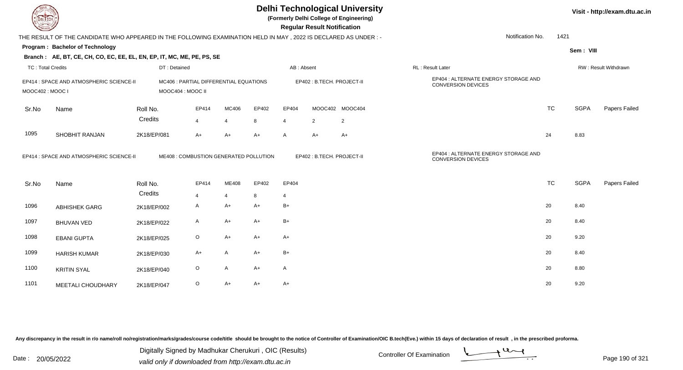**(Formerly Delhi College of Engineering)**

 **Regular Result Notification**

| $\sim$                   |                                                                                                                |             |                                                             |                |       |       |              | nggular ngsult notihodilom |                 |                                                                   |                          |             |                      |
|--------------------------|----------------------------------------------------------------------------------------------------------------|-------------|-------------------------------------------------------------|----------------|-------|-------|--------------|----------------------------|-----------------|-------------------------------------------------------------------|--------------------------|-------------|----------------------|
|                          | THE RESULT OF THE CANDIDATE WHO APPEARED IN THE FOLLOWING EXAMINATION HELD IN MAY, 2022 IS DECLARED AS UNDER:- |             |                                                             |                |       |       |              |                            |                 |                                                                   | Notification No.<br>1421 |             |                      |
|                          | <b>Program: Bachelor of Technology</b>                                                                         |             |                                                             |                |       |       |              |                            |                 |                                                                   |                          | Sem: VIII   |                      |
|                          | Branch: AE, BT, CE, CH, CO, EC, EE, EL, EN, EP, IT, MC, ME, PE, PS, SE                                         |             |                                                             |                |       |       |              |                            |                 |                                                                   |                          |             |                      |
| <b>TC: Total Credits</b> |                                                                                                                |             | DT: Detained                                                |                |       |       | AB: Absent   |                            |                 | RL: Result Later                                                  |                          |             | RW: Result Withdrawn |
| MOOC402: MOOC I          | EP414 : SPACE AND ATMOSPHERIC SCIENCE-II                                                                       |             | MC406 : PARTIAL DIFFERENTIAL EQUATIONS<br>MOOC404 : MOOC II |                |       |       |              | EP402 : B.TECH. PROJECT-II |                 | EP404 : ALTERNATE ENERGY STORAGE AND<br><b>CONVERSION DEVICES</b> |                          |             |                      |
|                          |                                                                                                                |             |                                                             |                |       |       |              |                            |                 |                                                                   |                          |             |                      |
| Sr.No                    | Name                                                                                                           | Roll No.    |                                                             | EP414          | MC406 | EP402 | EP404        |                            | MOOC402 MOOC404 |                                                                   | <b>TC</b>                | <b>SGPA</b> | Papers Failed        |
|                          |                                                                                                                | Credits     |                                                             | $\overline{4}$ | 4     | 8     | 4            | $\overline{2}$             | $\overline{2}$  |                                                                   |                          |             |                      |
| 1095                     | SHOBHIT RANJAN                                                                                                 | 2K18/EP/081 |                                                             | $A+$           | $A+$  | $A+$  | A            | $A+$                       | $A+$            |                                                                   | 24                       | 8.83        |                      |
|                          | EP414 : SPACE AND ATMOSPHERIC SCIENCE-II                                                                       |             | ME408 : COMBUSTION GENERATED POLLUTION                      |                |       |       |              | EP402: B.TECH. PROJECT-II  |                 | EP404 : ALTERNATE ENERGY STORAGE AND<br><b>CONVERSION DEVICES</b> |                          |             |                      |
| Sr.No                    | Name                                                                                                           | Roll No.    |                                                             | EP414          | ME408 | EP402 | EP404        |                            |                 |                                                                   | <b>TC</b>                | <b>SGPA</b> | Papers Failed        |
|                          |                                                                                                                | Credits     |                                                             | $\overline{4}$ | 4     | 8     | 4            |                            |                 |                                                                   |                          |             |                      |
| 1096                     | <b>ABHISHEK GARG</b>                                                                                           | 2K18/EP/002 |                                                             | A              | A+    | $A+$  | $B+$         |                            |                 |                                                                   | 20                       | 8.40        |                      |
| 1097                     | <b>BHUVAN VED</b>                                                                                              | 2K18/EP/022 |                                                             | A              | A+    | $A+$  | $B+$         |                            |                 |                                                                   | 20                       | 8.40        |                      |
| 1098                     | <b>EBANI GUPTA</b>                                                                                             | 2K18/EP/025 |                                                             | $\circ$        | A+    | $A+$  | A+           |                            |                 |                                                                   | 20                       | 9.20        |                      |
| 1099                     | <b>HARISH KUMAR</b>                                                                                            | 2K18/EP/030 |                                                             | $A+$           | A     | $A+$  | $B+$         |                            |                 |                                                                   | 20                       | 8.40        |                      |
| 1100                     | <b>KRITIN SYAL</b>                                                                                             | 2K18/EP/040 |                                                             | $\circ$        | Α     | $A+$  | $\mathsf{A}$ |                            |                 |                                                                   | 20                       | 8.80        |                      |
| 1101                     | MEETALI CHOUDHARY                                                                                              | 2K18/EP/047 |                                                             | $\circ$        | A+    | $A+$  | A+           |                            |                 |                                                                   | 20                       | 9.20        |                      |

Any discrepancy in the result in r/o name/roll no/registration/marks/grades/course code/title should be brought to the notice of Controller of Examination/OIC B.tech(Eve.) within 15 days of declaration of result, in the pr

Date : 20/05/2022 Valid only if downloaded from http://exam.dtu.ac.in<br>valid only if downloaded from http://exam.dtu.ac.in Digitally Signed by Madhukar Cherukuri , OIC (Results)

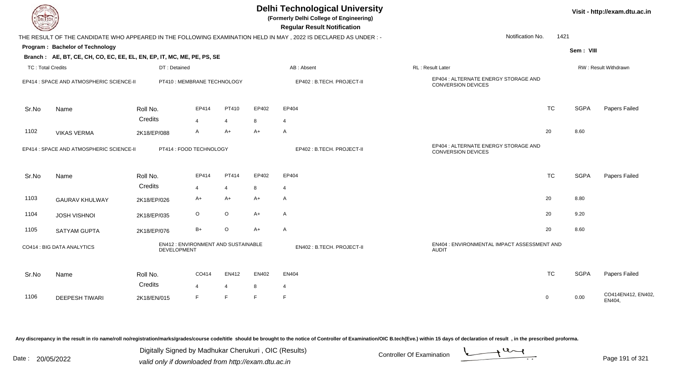| EL I ECH                 |                                                                        |                    |                                     |                |       | <b>Delhi Technological University</b><br>(Formerly Delhi College of Engineering)<br><b>Regular Result Notification</b> |                                                                   |              |             | Visit - http://exam.dtu.ac.in |
|--------------------------|------------------------------------------------------------------------|--------------------|-------------------------------------|----------------|-------|------------------------------------------------------------------------------------------------------------------------|-------------------------------------------------------------------|--------------|-------------|-------------------------------|
|                          |                                                                        |                    |                                     |                |       | THE RESULT OF THE CANDIDATE WHO APPEARED IN THE FOLLOWING EXAMINATION HELD IN MAY, 2022 IS DECLARED AS UNDER :-        | Notification No.                                                  | 1421         |             |                               |
|                          | Program: Bachelor of Technology                                        |                    |                                     |                |       |                                                                                                                        |                                                                   |              | Sem: VIII   |                               |
|                          | Branch: AE, BT, CE, CH, CO, EC, EE, EL, EN, EP, IT, MC, ME, PE, PS, SE |                    |                                     |                |       |                                                                                                                        |                                                                   |              |             |                               |
| <b>TC: Total Credits</b> |                                                                        | DT: Detained       |                                     |                |       | AB: Absent                                                                                                             | RL: Result Later                                                  |              |             | RW: Result Withdrawn          |
|                          | EP414 : SPACE AND ATMOSPHERIC SCIENCE-II                               |                    | PT410 : MEMBRANE TECHNOLOGY         |                |       | EP402: B.TECH. PROJECT-II                                                                                              | EP404 : ALTERNATE ENERGY STORAGE AND<br><b>CONVERSION DEVICES</b> |              |             |                               |
| Sr.No                    | Name                                                                   | Roll No.           | EP414                               | PT410          | EP402 | EP404                                                                                                                  |                                                                   | <b>TC</b>    | <b>SGPA</b> | Papers Failed                 |
|                          |                                                                        | Credits            | $\overline{\mathbf{A}}$             | $\overline{4}$ | 8     | $\overline{4}$                                                                                                         |                                                                   |              |             |                               |
| 1102                     | <b>VIKAS VERMA</b>                                                     | 2K18/EP/088        | $\mathsf{A}$                        | $A+$           | $A+$  | A                                                                                                                      |                                                                   | 20           | 8.60        |                               |
|                          | EP414 : SPACE AND ATMOSPHERIC SCIENCE-II                               |                    | PT414 : FOOD TECHNOLOGY             |                |       | EP402 : B.TECH. PROJECT-II                                                                                             | EP404 : ALTERNATE ENERGY STORAGE AND<br><b>CONVERSION DEVICES</b> |              |             |                               |
| Sr.No                    | Name                                                                   | Roll No.           | EP414                               | PT414          | EP402 | EP404                                                                                                                  |                                                                   | <b>TC</b>    | <b>SGPA</b> | Papers Failed                 |
|                          |                                                                        | Credits            | $\overline{4}$                      | $\overline{4}$ | 8     | $\overline{4}$                                                                                                         |                                                                   |              |             |                               |
| 1103                     | <b>GAURAV KHULWAY</b>                                                  | 2K18/EP/026        | A+                                  | $A+$           | $A+$  | A                                                                                                                      |                                                                   | 20           | 8.80        |                               |
| 1104                     | <b>JOSH VISHNOI</b>                                                    | 2K18/EP/035        | $\circ$                             | $\circ$        | $A+$  | A                                                                                                                      |                                                                   | 20           | 9.20        |                               |
| 1105                     | <b>SATYAM GUPTA</b>                                                    | 2K18/EP/076        | $B+$                                | $\circ$        | $A+$  | $\mathsf{A}$                                                                                                           |                                                                   | 20           | 8.60        |                               |
|                          | CO414 : BIG DATA ANALYTICS                                             | <b>DEVELOPMENT</b> | EN412 : ENVIRONMENT AND SUSTAINABLE |                |       | EN402 : B.TECH. PROJECT-II                                                                                             | EN404 : ENVIRONMENTAL IMPACT ASSESSMENT AND<br><b>AUDIT</b>       |              |             |                               |
| Sr.No                    | Name                                                                   | Roll No.           | CO414                               | EN412          | EN402 | <b>EN404</b>                                                                                                           |                                                                   | <b>TC</b>    | <b>SGPA</b> | Papers Failed                 |
|                          |                                                                        | Credits            | $\overline{4}$                      | 4              | 8     | $\overline{4}$                                                                                                         |                                                                   |              |             |                               |
| 1106                     | <b>DEEPESH TIWARI</b>                                                  | 2K18/EN/015        | F.                                  | E              | E     | F.                                                                                                                     |                                                                   | $\mathsf{O}$ | 0.00        | CO414EN412, EN402<br>EN404,   |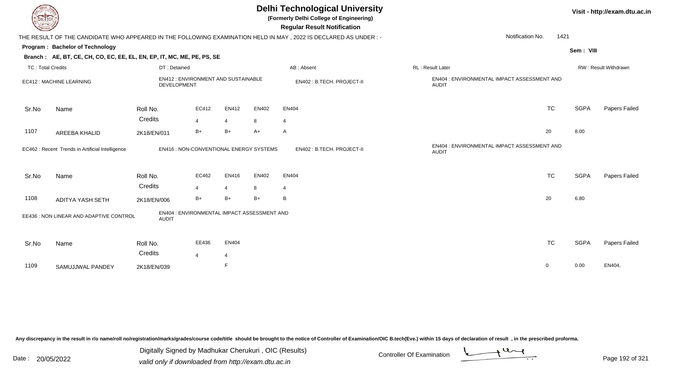**(Formerly Delhi College of Engineering)**

| $\sim$<br><b>Regular Result Notification</b>                                                                                   |                                                             |                              |
|--------------------------------------------------------------------------------------------------------------------------------|-------------------------------------------------------------|------------------------------|
| THE RESULT OF THE CANDIDATE WHO APPEARED IN THE FOLLOWING EXAMINATION HELD IN MAY, 2022 IS DECLARED AS UNDER :-                | 1421<br>Notification No.                                    |                              |
| <b>Program: Bachelor of Technology</b>                                                                                         |                                                             | Sem: VIII                    |
| Branch: AE, BT, CE, CH, CO, EC, EE, EL, EN, EP, IT, MC, ME, PE, PS, SE                                                         |                                                             |                              |
| <b>TC: Total Credits</b><br>DT: Detained<br>AB: Absent                                                                         | RL: Result Later                                            | RW: Result Withdrawn         |
| EN412: ENVIRONMENT AND SUSTAINABLE<br>EC412 : MACHINE LEARNING<br>EN402: B.TECH. PROJECT-II<br>DEVELOPMENT                     | EN404 : ENVIRONMENTAL IMPACT ASSESSMENT AND<br><b>AUDIT</b> |                              |
| EC412<br>EN412<br><b>EN402</b><br><b>EN404</b><br>Roll No.<br>Sr.No<br>Name                                                    | <b>TC</b>                                                   | <b>SGPA</b><br>Papers Failed |
| Credits<br>8<br>$\overline{4}$<br>$\overline{4}$<br>4                                                                          |                                                             |                              |
| 1107<br>$B+$<br>$B+$<br>$A+$<br>$\mathsf{A}$<br>AREEBA KHALID<br>2K18/EN/011                                                   | 20                                                          | 8.00                         |
| EN402: B.TECH. PROJECT-II<br>EC462 : Recent Trends in Artificial Intelligence<br><b>EN416: NON-CONVENTIONAL ENERGY SYSTEMS</b> | EN404 : ENVIRONMENTAL IMPACT ASSESSMENT AND<br><b>AUDIT</b> |                              |
| EC462<br>EN416<br><b>EN402</b><br><b>EN404</b><br>Roll No.<br>Sr.No<br>Name                                                    | <b>TC</b>                                                   | <b>SGPA</b><br>Papers Failed |
| Credits<br>8<br>$\overline{4}$<br>$\overline{4}$<br>$\overline{4}$                                                             |                                                             |                              |
| $B+$<br>$B+$<br>$B+$<br>1108<br>B<br>ADITYA YASH SETH<br>2K18/EN/006                                                           | 20                                                          | 6.80                         |
| EN404 : ENVIRONMENTAL IMPACT ASSESSMENT AND<br>EE436 : NON LINEAR AND ADAPTIVE CONTROL<br><b>AUDIT</b>                         |                                                             |                              |
| EE436<br><b>EN404</b><br>Sr.No<br>Name<br>Roll No.<br>Credits                                                                  | <b>TC</b>                                                   | <b>SGPA</b><br>Papers Failed |
| $\overline{4}$<br>$\overline{4}$<br>E<br>1109<br>SAMUJJWAL PANDEY<br>2K18/EN/039                                               | 0                                                           | EN404,<br>0.00               |

Any discrepancy in the result in r/o name/roll no/registration/marks/grades/course code/title should be brought to the notice of Controller of Examination/OIC B.tech(Eve.) within 15 days of declaration of result, in the pr

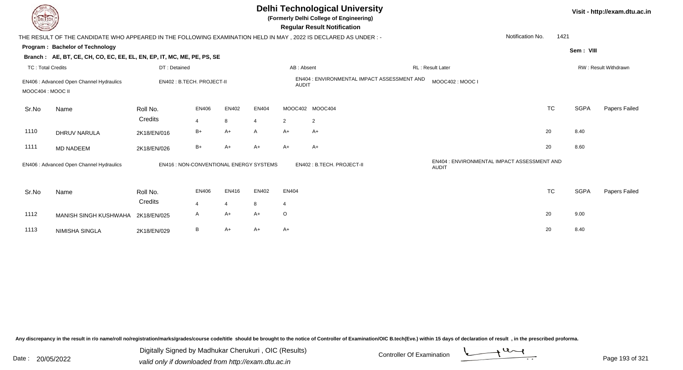| DEL TECH                 |                                                                                                                |                                         |                                |                         |                         |                         | <b>Delhi Technological University</b><br>(Formerly Delhi College of Engineering)<br><b>Regular Result Notification</b> |                  |                                             |             | Visit - http://exam.dtu.ac.in |
|--------------------------|----------------------------------------------------------------------------------------------------------------|-----------------------------------------|--------------------------------|-------------------------|-------------------------|-------------------------|------------------------------------------------------------------------------------------------------------------------|------------------|---------------------------------------------|-------------|-------------------------------|
|                          | THE RESULT OF THE CANDIDATE WHO APPEARED IN THE FOLLOWING EXAMINATION HELD IN MAY, 2022 IS DECLARED AS UNDER:- |                                         |                                |                         |                         |                         |                                                                                                                        |                  | Notification No.<br>1421                    |             |                               |
|                          | Program: Bachelor of Technology                                                                                |                                         |                                |                         |                         |                         |                                                                                                                        |                  |                                             | Sem: VIII   |                               |
|                          | Branch: AE, BT, CE, CH, CO, EC, EE, EL, EN, EP, IT, MC, ME, PE, PS, SE                                         |                                         |                                |                         |                         |                         |                                                                                                                        |                  |                                             |             |                               |
| <b>TC: Total Credits</b> |                                                                                                                | DT: Detained                            |                                |                         |                         | AB: Absent              |                                                                                                                        | RL: Result Later |                                             |             | RW: Result Withdrawn          |
| MOOC404 : MOOC II        | EN406 : Advanced Open Channel Hydraulics                                                                       | EN402: B.TECH. PROJECT-II               |                                |                         |                         | <b>AUDIT</b>            | EN404 : ENVIRONMENTAL IMPACT ASSESSMENT AND                                                                            | MOOC402: MOOC I  |                                             |             |                               |
| Sr.No                    | Name                                                                                                           | Roll No.<br>Credits                     | <b>EN406</b><br>$\overline{4}$ | EN402<br>8              | EN404<br>$\overline{4}$ | $\overline{2}$          | MOOC402 MOOC404<br>2                                                                                                   |                  | <b>TC</b>                                   | <b>SGPA</b> | Papers Failed                 |
| 1110                     | <b>DHRUV NARULA</b>                                                                                            | 2K18/EN/016                             | $B+$                           | $A+$                    | A                       | $A+$                    | A+                                                                                                                     |                  | 20                                          | 8.40        |                               |
| 1111                     | <b>MD NADEEM</b>                                                                                               | 2K18/EN/026                             | $B+$                           | $A+$                    | A+                      | A+                      | $A+$                                                                                                                   |                  | 20                                          | 8.60        |                               |
|                          | EN406 : Advanced Open Channel Hydraulics                                                                       | EN416 : NON-CONVENTIONAL ENERGY SYSTEMS |                                |                         |                         |                         | EN402: B.TECH. PROJECT-II                                                                                              | <b>AUDIT</b>     | EN404 : ENVIRONMENTAL IMPACT ASSESSMENT AND |             |                               |
| Sr.No                    | Name                                                                                                           | Roll No.<br>Credits                     | <b>EN406</b><br>$\overline{4}$ | EN416<br>$\overline{4}$ | EN402<br>8              | EN404<br>$\overline{4}$ |                                                                                                                        |                  | <b>TC</b>                                   | <b>SGPA</b> | Papers Failed                 |
| 1112                     | MANISH SINGH KUSHWAHA                                                                                          | 2K18/EN/025                             | A                              | A+                      | $A+$                    | $\circ$                 |                                                                                                                        |                  | 20                                          | 9.00        |                               |
| 1113                     | NIMISHA SINGLA                                                                                                 | 2K18/EN/029                             | B                              | $A+$                    | A+                      | A+                      |                                                                                                                        |                  | 20                                          | 8.40        |                               |

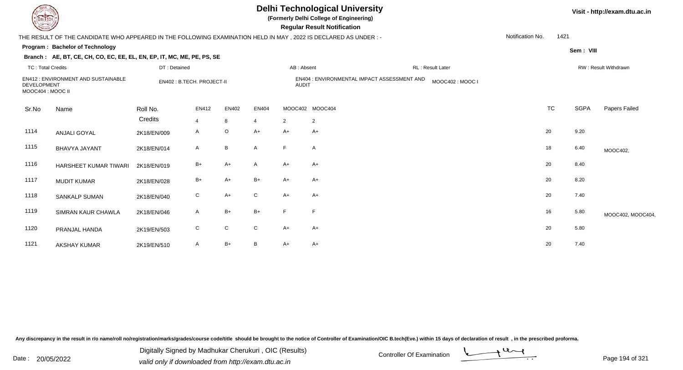**(Formerly Delhi College of Engineering)**

 **Regular Result Notification**

| $\tilde{}$                              |                                                                                                                |                           |                |                 |              |                | $1.99$ and $1.99$ and $1.99$ and $0.90$                        |                  |           |           |                      |
|-----------------------------------------|----------------------------------------------------------------------------------------------------------------|---------------------------|----------------|-----------------|--------------|----------------|----------------------------------------------------------------|------------------|-----------|-----------|----------------------|
|                                         | THE RESULT OF THE CANDIDATE WHO APPEARED IN THE FOLLOWING EXAMINATION HELD IN MAY, 2022 IS DECLARED AS UNDER:- |                           |                |                 |              |                |                                                                | Notification No. | 1421      |           |                      |
|                                         | <b>Program: Bachelor of Technology</b>                                                                         |                           |                |                 |              |                |                                                                |                  |           | Sem: VIII |                      |
|                                         | Branch: AE, BT, CE, CH, CO, EC, EE, EL, EN, EP, IT, MC, ME, PE, PS, SE                                         |                           |                |                 |              |                |                                                                |                  |           |           |                      |
| <b>TC: Total Credits</b>                |                                                                                                                | DT: Detained              |                |                 |              | AB: Absent     | RL : Result Later                                              |                  |           |           | RW: Result Withdrawn |
| <b>DEVELOPMENT</b><br>MOOC404 : MOOC II | <b>EN412: ENVIRONMENT AND SUSTAINABLE</b>                                                                      | EN402: B.TECH. PROJECT-II |                |                 |              | <b>AUDIT</b>   | EN404 : ENVIRONMENTAL IMPACT ASSESSMENT AND<br>MOOC402: MOOC I |                  |           |           |                      |
| Sr.No                                   | Name                                                                                                           | Roll No.                  | EN412          | EN402           | EN404        |                | MOOC402 MOOC404                                                |                  | <b>TC</b> | SGPA      | Papers Failed        |
|                                         |                                                                                                                | Credits                   | $\overline{4}$ | 8               | 4            | $\overline{2}$ | $\overline{c}$                                                 |                  |           |           |                      |
| 1114                                    | <b>ANJALI GOYAL</b>                                                                                            | 2K18/EN/009               | A              | $\circ$         | $A+$         | A+             | A+                                                             |                  | 20        | 9.20      |                      |
| 1115                                    | <b>BHAVYA JAYANT</b>                                                                                           | 2K18/EN/014               | A              | $\, {\bf B} \,$ | A            | F              | $\mathsf{A}$                                                   |                  | 18        | 6.40      | MOOC402,             |
| 1116                                    | HARSHEET KUMAR TIWARI                                                                                          | 2K18/EN/019               | B+             | $A+$            | A            | A+             | A+                                                             |                  | 20        | 8.40      |                      |
| 1117                                    | <b>MUDIT KUMAR</b>                                                                                             | 2K18/EN/028               | $B+$           | $A+$            | $B+$         | $A+$           | $A+$                                                           |                  | 20        | 8.20      |                      |
| 1118                                    | <b>SANKALP SUMAN</b>                                                                                           | 2K18/EN/040               | $\mathsf{C}$   | $A+$            | $\mathsf{C}$ | $A+$           | $A+$                                                           |                  | 20        | 7.40      |                      |
| 1119                                    | SIMRAN KAUR CHAWLA                                                                                             | 2K18/EN/046               | A              | $B+$            | $B+$         | E              | F                                                              |                  | 16        | 5.80      | MOOC402, MOOC404,    |
| 1120                                    | PRANJAL HANDA                                                                                                  | 2K19/EN/503               | C              | $\mathsf C$     | $\mathsf{C}$ | $A+$           | A+                                                             |                  | 20        | 5.80      |                      |
| 1121                                    | <b>AKSHAY KUMAR</b>                                                                                            | 2K19/EN/510               | A              | $B+$            | B            | A+             | $A+$                                                           |                  | 20        | 7.40      |                      |

Any discrepancy in the result in r/o name/roll no/registration/marks/grades/course code/title should be brought to the notice of Controller of Examination/OIC B.tech(Eve.) within 15 days of declaration of result, in the pr

Date : 20/05/2022 Digital Digital of Ortroller Of Examination Determination Date : 20/05/2022<br>valid only if downloaded from http://exam.dtu.ac.in Digitally Signed by Madhukar Cherukuri , OIC (Results)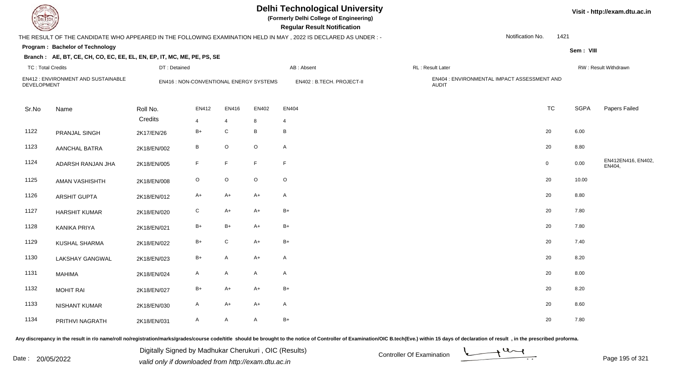**(Formerly Delhi College of Engineering)**

 **Regular Result Notification**

#### **Branch**

|                          |                                                                        |              |                                         |                |             | THE RESULT OF THE CANDIDATE WHO APPEARED IN THE FOLLOWING EXAMINATION HELD IN MAY, 2022 IS DECLARED AS UNDER :- |                                                             | Notification No.<br>1421 |             |                             |
|--------------------------|------------------------------------------------------------------------|--------------|-----------------------------------------|----------------|-------------|-----------------------------------------------------------------------------------------------------------------|-------------------------------------------------------------|--------------------------|-------------|-----------------------------|
|                          | Program: Bachelor of Technology                                        |              |                                         |                |             |                                                                                                                 |                                                             |                          | Sem: VIII   |                             |
|                          | Branch: AE, BT, CE, CH, CO, EC, EE, EL, EN, EP, IT, MC, ME, PE, PS, SE |              |                                         |                |             |                                                                                                                 |                                                             |                          |             |                             |
| <b>TC: Total Credits</b> |                                                                        | DT: Detained |                                         |                |             | AB: Absent                                                                                                      | RL: Result Later                                            |                          |             | RW: Result Withdrawn        |
| DEVELOPMENT              | EN412 : ENVIRONMENT AND SUSTAINABLE                                    |              | EN416 : NON-CONVENTIONAL ENERGY SYSTEMS |                |             | EN402: B.TECH. PROJECT-II                                                                                       | EN404 : ENVIRONMENTAL IMPACT ASSESSMENT AND<br><b>AUDIT</b> |                          |             |                             |
| Sr.No                    | Name                                                                   | Roll No.     | EN412                                   | EN416          | EN402       | EN404                                                                                                           |                                                             | <b>TC</b>                | <b>SGPA</b> | Papers Failed               |
|                          |                                                                        | Credits      | $\overline{4}$                          | $\overline{4}$ | 8           | $\overline{4}$                                                                                                  |                                                             |                          |             |                             |
| 1122                     | PRANJAL SINGH                                                          | 2K17/EN/26   | $B+$                                    | ${\bf C}$      | B           | B                                                                                                               |                                                             | 20                       | 6.00        |                             |
| 1123                     | <b>AANCHAL BATRA</b>                                                   | 2K18/EN/002  | B                                       | $\circ$        | $\circ$     | A                                                                                                               |                                                             | 20                       | 8.80        |                             |
| 1124                     | ADARSH RANJAN JHA                                                      | 2K18/EN/005  | F.                                      | F              | F.          | $\mathsf F$                                                                                                     |                                                             | $\mathbf 0$              | 0.00        | EN412EN416, EN402<br>EN404, |
| 1125                     | AMAN VASHISHTH                                                         | 2K18/EN/008  | $\circ$                                 | $\mathsf O$    | $\mathsf O$ | $\mathsf O$                                                                                                     |                                                             | 20                       | 10.00       |                             |
| 1126                     | <b>ARSHIT GUPTA</b>                                                    | 2K18/EN/012  | $A+$                                    | $A+$           | $A+$        | A                                                                                                               |                                                             | 20                       | 8.80        |                             |
| 1127                     | <b>HARSHIT KUMAR</b>                                                   | 2K18/EN/020  | ${\rm C}$                               | $A+$           | $A+$        | $B+$                                                                                                            |                                                             | 20                       | 7.80        |                             |
| 1128                     | <b>KANIKA PRIYA</b>                                                    | 2K18/EN/021  | $B+$                                    | $B+$           | A+          | $B+$                                                                                                            |                                                             | 20                       | 7.80        |                             |
| 1129                     | <b>KUSHAL SHARMA</b>                                                   | 2K18/EN/022  | $B+$                                    | ${\bf C}$      | $A+$        | $B+$                                                                                                            |                                                             | 20                       | 7.40        |                             |
| 1130                     | <b>LAKSHAY GANGWAL</b>                                                 | 2K18/EN/023  | $B+$                                    | A              | A+          | A                                                                                                               |                                                             | 20                       | 8.20        |                             |
| 1131                     | <b>MAHIMA</b>                                                          | 2K18/EN/024  | A                                       | A              | A           | $\mathsf{A}$                                                                                                    |                                                             | 20                       | 8.00        |                             |
| 1132                     | <b>MOHIT RAI</b>                                                       | 2K18/EN/027  | $B+$                                    | $A+$           | $A+$        | $B+$                                                                                                            |                                                             | 20                       | 8.20        |                             |
| 1133                     | <b>NISHANT KUMAR</b>                                                   | 2K18/EN/030  | A                                       | $A+$           | A+          | $\mathsf{A}$                                                                                                    |                                                             | 20                       | 8.60        |                             |
| 1134                     | PRITHVI NAGRATH                                                        | 2K18/EN/031  | A                                       | $\mathsf{A}$   | A           | $B+$                                                                                                            |                                                             | 20                       | 7.80        |                             |

Any discrepancy in the result in r/o name/roll no/registration/marks/grades/course code/title should be brought to the notice of Controller of Examination/OIC B.tech(Eve.) within 15 days of declaration of result, in the pr

Date : 20/05/2022 Digital Digital of Microsofted Chemical Controller Of Examination Determination Page 195 of 32 Digitally Signed by Madhukar Cherukuri , OIC (Results)

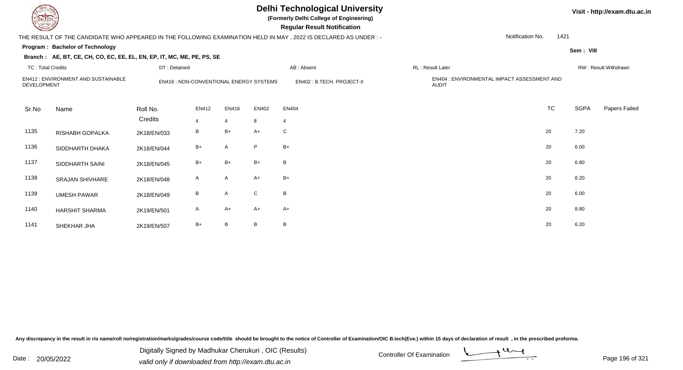**(Formerly Delhi College of Engineering)**

 **Regular Result Notification**

### THE RESULT OF THE CANDIDATE WHO APPEARED IN THE FOLLOWING EXAMINATION HELD IN MAY , 2022 IS DECLARED AS UNDER : -

**Program : Bachelor of Technology**

#### **Branch : AE, BT, CE, CH, CO, EC, EE, EL, EN, EP, IT, MC, ME, PE, PS, SE**

|  | Visit - http://exam.dtu.ac.in |
|--|-------------------------------|
|--|-------------------------------|

Notification No.

1421

**Sem : VIII**

| TC: Total Credits  |                                    | DT: Detained                            |                         |                         |              | AB: Absent                | RL: Result Later |                                                      |           | RW: Result Withdrawn |               |  |
|--------------------|------------------------------------|-----------------------------------------|-------------------------|-------------------------|--------------|---------------------------|------------------|------------------------------------------------------|-----------|----------------------|---------------|--|
| <b>DEVELOPMENT</b> | EN412: ENVIRONMENT AND SUSTAINABLE | EN416 : NON-CONVENTIONAL ENERGY SYSTEMS |                         |                         |              | EN402: B.TECH. PROJECT-II |                  | EN404 : ENVIRONMENTAL IMPACT ASSESSMENT AND<br>AUDIT |           |                      |               |  |
| Sr.No              | Name                               | Roll No.<br>Credits                     | EN412<br>$\overline{4}$ | EN416<br>$\overline{4}$ | EN402<br>8   | EN404<br>$\overline{4}$   |                  |                                                      | <b>TC</b> | SGPA                 | Papers Failed |  |
| 1135               | RISHABH GOPALKA                    | 2K18/EN/033                             | B                       | $B+$                    | $A+$         | $\mathsf{C}$              |                  |                                                      | 20        | 7.20                 |               |  |
| 1136               | SIDDHARTH DHAKA                    | 2K18/EN/044                             | $B+$                    | A                       | P            | $B+$                      |                  |                                                      | 20        | 6.00                 |               |  |
| 1137               | SIDDHARTH SAINI                    | 2K18/EN/045                             | $B+$                    | $B+$                    | B+           | B                         |                  |                                                      | 20        | 6.80                 |               |  |
| 1138               | <b>SRAJAN SHIVHARE</b>             | 2K18/EN/048                             | A                       | A                       | $A+$         | $B+$                      |                  |                                                      | 20        | 8.20                 |               |  |
| 1139               | <b>UMESH PAWAR</b>                 | 2K18/EN/049                             | B                       | $\mathsf{A}$            | $\mathsf{C}$ | B                         |                  |                                                      | 20        | 6.00                 |               |  |
| 1140               | <b>HARSHIT SHARMA</b>              | 2K19/EN/501                             | $\mathsf{A}$            | $A+$                    | $A+$         | $A+$                      |                  |                                                      | 20        | 8.80                 |               |  |
| 1141               | SHEKHAR JHA                        | 2K19/EN/507                             | $B+$                    | $\overline{B}$          | B            | B                         |                  |                                                      | 20        | 6.20                 |               |  |

Any discrepancy in the result in r/o name/roll no/registration/marks/grades/course code/title should be brought to the notice of Controller of Examination/OIC B.tech(Eve.) within 15 days of declaration of result, in the pr

Date : 20/05/2022 Digital Digital of Microsofted Chemical Controller Of Examination Determination Page 196 of 32 Digitally Signed by Madhukar Cherukuri , OIC (Results)

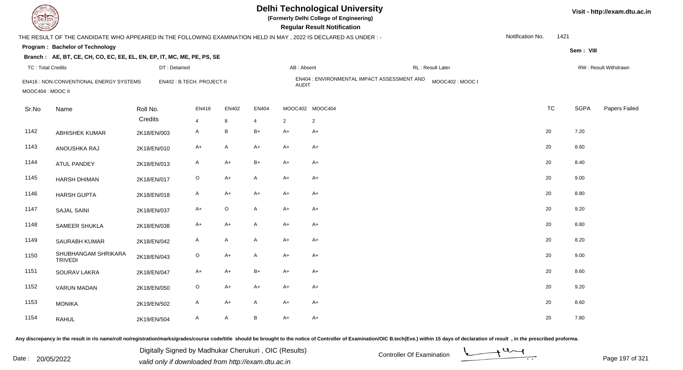**(Formerly Delhi College of Engineering)**

 **Regular Result Notification**

|                          | THE RESULT OF THE CANDIDATE WHO APPEARED IN THE FOLLOWING EXAMINATION HELD IN MAY, 2022 IS DECLARED AS UNDER :- |             |                            |                |              |                 |                |                                             |                 | Notification No.<br>1421 |             |                      |
|--------------------------|-----------------------------------------------------------------------------------------------------------------|-------------|----------------------------|----------------|--------------|-----------------|----------------|---------------------------------------------|-----------------|--------------------------|-------------|----------------------|
|                          | Program: Bachelor of Technology                                                                                 |             |                            |                |              |                 |                |                                             |                 |                          | Sem: VIII   |                      |
|                          | Branch: AE, BT, CE, CH, CO, EC, EE, EL, EN, EP, IT, MC, ME, PE, PS, SE                                          |             |                            |                |              |                 |                |                                             |                 |                          |             |                      |
| <b>TC: Total Credits</b> |                                                                                                                 |             | DT: Detained               |                |              |                 | AB: Absent     | RL : Result Later                           |                 |                          |             | RW: Result Withdrawn |
| MOOC404 : MOOC II        | EN416 : NON-CONVENTIONAL ENERGY SYSTEMS                                                                         |             | EN402 : B.TECH. PROJECT-II |                |              |                 | <b>AUDIT</b>   | EN404 : ENVIRONMENTAL IMPACT ASSESSMENT AND | MOOC402: MOOC I |                          |             |                      |
| Sr.No                    | Name                                                                                                            | Roll No.    |                            | EN416          | EN402        | EN404           |                | MOOC402 MOOC404                             |                 | <b>TC</b>                | <b>SGPA</b> | Papers Failed        |
|                          |                                                                                                                 | Credits     |                            | $\overline{4}$ | 8            | $\overline{4}$  | $\overline{2}$ | $\overline{2}$                              |                 |                          |             |                      |
| 1142                     | <b>ABHISHEK KUMAR</b>                                                                                           | 2K18/EN/003 |                            | A              | B            | $B+$            | A+             | $A+$                                        |                 | 20                       | 7.20        |                      |
| 1143                     | ANOUSHKA RAJ                                                                                                    | 2K18/EN/010 |                            | $A+$           | A            | $A+$            | A+             | A+                                          |                 | 20                       | 8.60        |                      |
| 1144                     | <b>ATUL PANDEY</b>                                                                                              | 2K18/EN/013 |                            | $\mathsf{A}$   | $A+$         | $B+$            | A+             | $A+$                                        |                 | 20                       | 8.40        |                      |
| 1145                     | <b>HARSH DHIMAN</b>                                                                                             | 2K18/EN/017 |                            | $\circ$        | A+           | $\mathsf{A}$    | $A+$           | A+                                          |                 | 20                       | 9.00        |                      |
| 1146                     | <b>HARSH GUPTA</b>                                                                                              | 2K18/EN/018 |                            | $\mathsf{A}$   | $A+$         | $A+$            | $A+$           | $A+$                                        |                 | 20                       | 8.80        |                      |
| 1147                     | <b>SAJAL SAINI</b>                                                                                              | 2K18/EN/037 |                            | $A+$           | $\circ$      | $\mathsf{A}$    | $A+$           | $A+$                                        |                 | 20                       | 9.20        |                      |
| 1148                     | <b>SAMEER SHUKLA</b>                                                                                            | 2K18/EN/038 |                            | $A+$           | A+           | $\mathsf{A}$    | $A+$           | A+                                          |                 | 20                       | 8.80        |                      |
| 1149                     | SAURABH KUMAR                                                                                                   | 2K18/EN/042 |                            | A              | A            | $\mathsf{A}$    | $A+$           | $A+$                                        |                 | 20                       | 8.20        |                      |
| 1150                     | SHUBHANGAM SHRIKARA<br><b>TRIVEDI</b>                                                                           | 2K18/EN/043 |                            | $\circ$        | $A+$         | $\mathsf{A}$    | $A+$           | $A+$                                        |                 | 20                       | 9.00        |                      |
| 1151                     | SOURAV LAKRA                                                                                                    | 2K18/EN/047 |                            | $A+$           | $A+$         | $B+$            | $A+$           | A+                                          |                 | 20                       | 8.60        |                      |
| 1152                     | <b>VARUN MADAN</b>                                                                                              | 2K18/EN/050 |                            | $\circ$        | $A+$         | $A+$            | A+             | $A+$                                        |                 | 20                       | 9.20        |                      |
| 1153                     | <b>MONIKA</b>                                                                                                   | 2K19/EN/502 |                            | $\mathsf{A}$   | A+           | $\mathsf{A}$    | $A+$           | $A+$                                        |                 | 20                       | 8.60        |                      |
| 1154                     | <b>RAHUL</b>                                                                                                    | 2K19/EN/504 |                            | $\mathsf{A}$   | $\mathsf{A}$ | $\, {\bf B} \,$ | $A+$           | $A+$                                        |                 | 20                       | 7.80        |                      |

Any discrepancy in the result in r/o name/roll no/registration/marks/grades/course code/title should be brought to the notice of Controller of Examination/OIC B.tech(Eve.) within 15 days of declaration of result, in the pr

Date : 20/05/2022 Digital Digital of Microsofted Chemical Controller Of Examination Determination Page 197 of 32 Digitally Signed by Madhukar Cherukuri , OIC (Results)

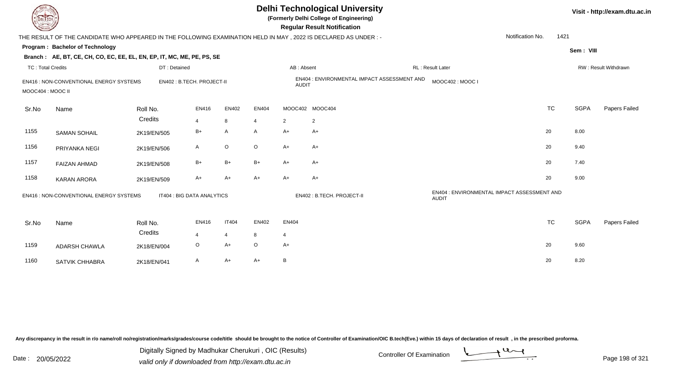| <b>DELTECH</b>           |                                                                                                                 |                            |                |                |         |                 | <b>Delhi Technological University</b><br>(Formerly Delhi College of Engineering)<br><b>Regular Result Notification</b> |                                                             |           |             | Visit - http://exam.dtu.ac.in |
|--------------------------|-----------------------------------------------------------------------------------------------------------------|----------------------------|----------------|----------------|---------|-----------------|------------------------------------------------------------------------------------------------------------------------|-------------------------------------------------------------|-----------|-------------|-------------------------------|
|                          | THE RESULT OF THE CANDIDATE WHO APPEARED IN THE FOLLOWING EXAMINATION HELD IN MAY, 2022 IS DECLARED AS UNDER :- |                            |                |                |         |                 |                                                                                                                        | Notification No.                                            | 1421      |             |                               |
|                          | Program: Bachelor of Technology                                                                                 |                            |                |                |         |                 |                                                                                                                        |                                                             |           | Sem: VIII   |                               |
|                          | Branch: AE, BT, CE, CH, CO, EC, EE, EL, EN, EP, IT, MC, ME, PE, PS, SE                                          |                            |                |                |         |                 |                                                                                                                        |                                                             |           |             |                               |
| <b>TC: Total Credits</b> |                                                                                                                 | DT: Detained               |                |                |         | AB: Absent      |                                                                                                                        | RL : Result Later                                           |           |             | RW: Result Withdrawn          |
| MOOC404 : MOOC II        | EN416 : NON-CONVENTIONAL ENERGY SYSTEMS                                                                         | EN402 : B.TECH. PROJECT-II |                |                |         | <b>AUDIT</b>    | EN404 : ENVIRONMENTAL IMPACT ASSESSMENT AND                                                                            | MOOC402: MOOC I                                             |           |             |                               |
| Sr.No                    | Name                                                                                                            | Roll No.                   | EN416          | EN402          | EN404   | MOOC402 MOOC404 |                                                                                                                        |                                                             | <b>TC</b> | <b>SGPA</b> | Papers Failed                 |
|                          |                                                                                                                 | Credits                    | $\overline{4}$ | 8              | 4       | $\overline{2}$  | $\overline{2}$                                                                                                         |                                                             |           |             |                               |
| 1155                     | <b>SAMAN SOHAIL</b>                                                                                             | 2K19/EN/505                | $B+$           | $\mathsf{A}$   | A       | $A+$            | A+                                                                                                                     |                                                             | 20        | 8.00        |                               |
| 1156                     | PRIYANKA NEGI                                                                                                   | 2K19/EN/506                | A              | $\mathsf O$    | $\circ$ | $A+$            | A+                                                                                                                     |                                                             | 20        | 9.40        |                               |
| 1157                     | <b>FAIZAN AHMAD</b>                                                                                             | 2K19/EN/508                | $B+$           | $B+$           | $B+$    | $A+$            | A+                                                                                                                     |                                                             | 20        | 7.40        |                               |
| 1158                     | <b>KARAN ARORA</b>                                                                                              | 2K19/EN/509                | A+             | $A+$           | $A+$    | $A+$            | A+                                                                                                                     |                                                             | 20        | 9.00        |                               |
|                          | EN416 : NON-CONVENTIONAL ENERGY SYSTEMS                                                                         | IT404 : BIG DATA ANALYTICS |                |                |         |                 | EN402: B.TECH. PROJECT-II                                                                                              | EN404 : ENVIRONMENTAL IMPACT ASSESSMENT AND<br><b>AUDIT</b> |           |             |                               |
| Sr.No                    | Name                                                                                                            | Roll No.                   | EN416          | <b>IT404</b>   | EN402   | EN404           |                                                                                                                        |                                                             | <b>TC</b> | <b>SGPA</b> | Papers Failed                 |
|                          |                                                                                                                 | Credits                    | 4              | $\overline{4}$ | 8       | 4               |                                                                                                                        |                                                             |           |             |                               |
| 1159                     | ADARSH CHAWLA                                                                                                   | 2K18/EN/004                | O              | $A+$           | $\circ$ | $A+$            |                                                                                                                        |                                                             | 20        | 9.60        |                               |
| 1160                     | SATVIK CHHABRA                                                                                                  | 2K18/EN/041                | A              | $A+$           | A+      | B               |                                                                                                                        |                                                             | 20        | 8.20        |                               |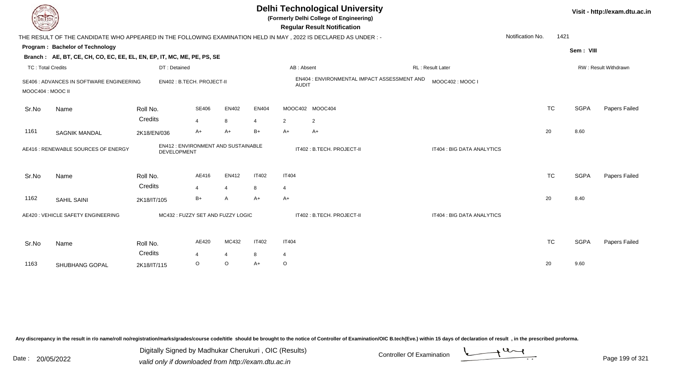|                          |                                                                                                                  |                                                          |                |                     |                |                        | <b>Delhi Technological University</b><br>(Formerly Delhi College of Engineering)<br><b>Regular Result Notification</b> |                            |                  |           |             | Visit - http://exam.dtu.ac.in |
|--------------------------|------------------------------------------------------------------------------------------------------------------|----------------------------------------------------------|----------------|---------------------|----------------|------------------------|------------------------------------------------------------------------------------------------------------------------|----------------------------|------------------|-----------|-------------|-------------------------------|
|                          | THE RESULT OF THE CANDIDATE WHO APPEARED IN THE FOLLOWING EXAMINATION HELD IN MAY , 2022 IS DECLARED AS UNDER :- |                                                          |                |                     |                |                        |                                                                                                                        |                            | Notification No. | 1421      |             |                               |
|                          | Program: Bachelor of Technology                                                                                  |                                                          |                |                     |                |                        |                                                                                                                        |                            |                  |           | Sem: VIII   |                               |
|                          | Branch: AE, BT, CE, CH, CO, EC, EE, EL, EN, EP, IT, MC, ME, PE, PS, SE                                           |                                                          |                |                     |                |                        |                                                                                                                        |                            |                  |           |             |                               |
| <b>TC: Total Credits</b> |                                                                                                                  | DT: Detained                                             |                |                     |                | AB: Absent             |                                                                                                                        | RL: Result Later           |                  |           |             | RW: Result Withdrawn          |
| MOOC404 : MOOC II        | SE406 : ADVANCES IN SOFTWARE ENGINEERING                                                                         | EN402: B.TECH. PROJECT-II                                |                |                     |                | <b>AUDIT</b>           | EN404 : ENVIRONMENTAL IMPACT ASSESSMENT AND                                                                            | MOOC402: MOOC I            |                  |           |             |                               |
| Sr.No                    | Name                                                                                                             | Roll No.                                                 | <b>SE406</b>   | EN402               | <b>EN404</b>   | MOOC402 MOOC404        |                                                                                                                        |                            |                  | <b>TC</b> | <b>SGPA</b> | Papers Failed                 |
|                          |                                                                                                                  | Credits                                                  | $\overline{4}$ | 8                   | $\overline{4}$ | $\overline{2}$         | $\overline{2}$                                                                                                         |                            |                  |           |             |                               |
| 1161                     | <b>SAGNIK MANDAL</b>                                                                                             | 2K18/EN/036                                              | A+             | $A+$                | $B+$           | $A+$                   | $A+$                                                                                                                   |                            |                  | 20        | 8.60        |                               |
|                          | AE416 : RENEWABLE SOURCES OF ENERGY                                                                              | EN412: ENVIRONMENT AND SUSTAINABLE<br><b>DEVELOPMENT</b> |                |                     |                |                        | IT402: B.TECH. PROJECT-II                                                                                              | IT404 : BIG DATA ANALYTICS |                  |           |             |                               |
| Sr.No                    | Name                                                                                                             | Roll No.<br>Credits                                      | AE416          | EN412               | <b>IT402</b>   | <b>IT404</b>           |                                                                                                                        |                            |                  | <b>TC</b> | <b>SGPA</b> | Papers Failed                 |
| 1162                     | <b>SAHIL SAINI</b>                                                                                               | 2K18/IT/105                                              | $B+$           | $\overline{4}$<br>A | 8<br>$A+$      | $\overline{4}$<br>$A+$ |                                                                                                                        |                            |                  | 20        | 8.40        |                               |
|                          | AE420 : VEHICLE SAFETY ENGINEERING                                                                               | MC432 : FUZZY SET AND FUZZY LOGIC                        |                |                     |                |                        | IT402: B.TECH. PROJECT-II                                                                                              | IT404 : BIG DATA ANALYTICS |                  |           |             |                               |
| Sr.No                    | Name                                                                                                             | Roll No.                                                 | AE420          | MC432               | <b>IT402</b>   | <b>IT404</b>           |                                                                                                                        |                            |                  | <b>TC</b> | <b>SGPA</b> | Papers Failed                 |
|                          |                                                                                                                  | Credits                                                  |                | $\overline{4}$      | 8              | $\overline{4}$         |                                                                                                                        |                            |                  |           |             |                               |
| 1163                     | SHUBHANG GOPAL                                                                                                   | 2K18/IT/115                                              | $\circ$        | $\circ$             | $A+$           | $\circ$                |                                                                                                                        |                            |                  | 20        | 9.60        |                               |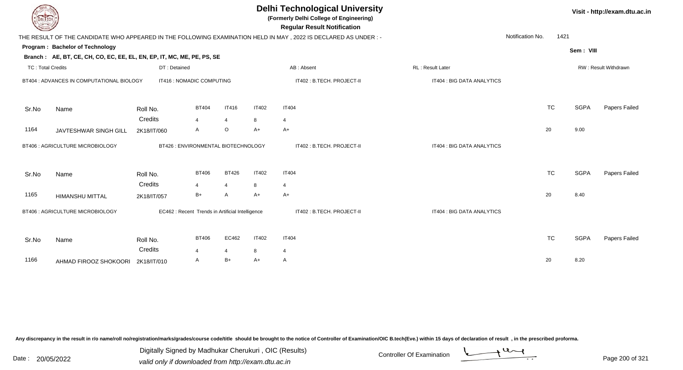| DEL ECH                  | Visit - http://exam.dtu.ac.in                                          |                                                  |                       |                |              |                                                                                                                                                       |                            |                  |             |                      |
|--------------------------|------------------------------------------------------------------------|--------------------------------------------------|-----------------------|----------------|--------------|-------------------------------------------------------------------------------------------------------------------------------------------------------|----------------------------|------------------|-------------|----------------------|
|                          |                                                                        |                                                  |                       |                |              | <b>Regular Result Notification</b><br>THE RESULT OF THE CANDIDATE WHO APPEARED IN THE FOLLOWING EXAMINATION HELD IN MAY, 2022 IS DECLARED AS UNDER :- |                            | Notification No. | 1421        |                      |
|                          | Program: Bachelor of Technology                                        |                                                  |                       |                |              |                                                                                                                                                       |                            |                  | Sem: VIII   |                      |
|                          | Branch: AE, BT, CE, CH, CO, EC, EE, EL, EN, EP, IT, MC, ME, PE, PS, SE |                                                  |                       |                |              |                                                                                                                                                       |                            |                  |             |                      |
| <b>TC: Total Credits</b> |                                                                        | DT: Detained                                     |                       |                |              | AB: Absent                                                                                                                                            | RL: Result Later           |                  |             | RW: Result Withdrawn |
|                          | BT404 : ADVANCES IN COMPUTATIONAL BIOLOGY                              | IT416 : NOMADIC COMPUTING                        |                       |                |              | IT402: B.TECH. PROJECT-II                                                                                                                             | IT404 : BIG DATA ANALYTICS |                  |             |                      |
| Sr.No                    | Name                                                                   | Roll No.                                         | <b>BT404</b>          | <b>IT416</b>   | <b>IT402</b> | <b>IT404</b>                                                                                                                                          |                            | <b>TC</b>        | <b>SGPA</b> | Papers Failed        |
|                          |                                                                        | Credits                                          | $\overline{4}$        | $\overline{4}$ | 8            | 4                                                                                                                                                     |                            |                  |             |                      |
| 1164                     | JAVTESHWAR SINGH GILL                                                  | 2K18/IT/060                                      | A                     | $\circ$        | $A+$         | $A+$                                                                                                                                                  |                            | 20               | 9.00        |                      |
|                          | BT406 : AGRICULTURE MICROBIOLOGY                                       | BT426 : ENVIRONMENTAL BIOTECHNOLOGY              |                       |                |              | IT402 : B.TECH. PROJECT-II                                                                                                                            | IT404 : BIG DATA ANALYTICS |                  |             |                      |
| Sr.No                    | Name                                                                   | Roll No.                                         | <b>BT406</b>          | <b>BT426</b>   | <b>IT402</b> | <b>IT404</b>                                                                                                                                          |                            | <b>TC</b>        | <b>SGPA</b> | Papers Failed        |
|                          |                                                                        | Credits                                          | 4                     | $\overline{4}$ | 8            | $\overline{4}$                                                                                                                                        |                            |                  |             |                      |
| 1165                     | <b>HIMANSHU MITTAL</b>                                                 | 2K18/IT/057                                      | $B+$                  | A              | A+           | $A+$                                                                                                                                                  |                            | 20               | 8.40        |                      |
|                          | BT406 : AGRICULTURE MICROBIOLOGY                                       | EC462 : Recent Trends in Artificial Intelligence |                       |                |              | IT402: B.TECH. PROJECT-II                                                                                                                             | IT404 : BIG DATA ANALYTICS |                  |             |                      |
| Sr.No                    | Name                                                                   | Roll No.                                         | <b>BT406</b>          | EC462          | <b>IT402</b> | <b>IT404</b>                                                                                                                                          |                            | <b>TC</b>        | <b>SGPA</b> | Papers Failed        |
|                          |                                                                        | Credits                                          | $\boldsymbol{\Delta}$ | 4              | 8            | $\overline{4}$                                                                                                                                        |                            |                  |             |                      |
| 1166                     | AHMAD FIROOZ SHOKOORI                                                  | 2K18/IT/010                                      | A                     | $B+$           | A+           | A                                                                                                                                                     |                            | 20               | 8.20        |                      |

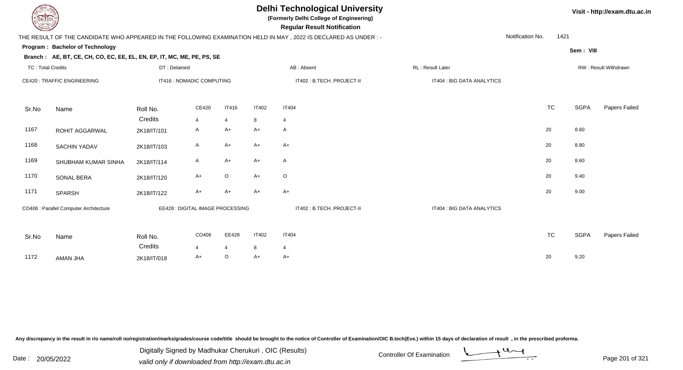**(Formerly Delhi College of Engineering)**

 **Regular Result Notification**

### THE RESULT OF THE CANDIDATE WHO APPEARED IN THE FOLLOWING EXAMINATION HELD IN MAY , 2022 IS DECLARED AS UNDER : -

Notification No.1421

**Program : Bachelor of Technology**

**Sem : VIII**

**Visit - http://exam.dtu.ac.in**

### **Branch : AE, BT, CE, CH, CO, EC, EE, EL, EN, EP, IT, MC, ME, PE, PS, SE**

| <b>TC: Total Credits</b> |                                        | DT: Detained                     |                         |                   |                           | AB: Absent                     | RL: Result Later           |           | RW: Result Withdrawn |               |  |
|--------------------------|----------------------------------------|----------------------------------|-------------------------|-------------------|---------------------------|--------------------------------|----------------------------|-----------|----------------------|---------------|--|
|                          | CE420 : TRAFFIC ENGINEERING            | IT416 : NOMADIC COMPUTING        |                         |                   | IT402: B.TECH. PROJECT-II |                                | IT404 : BIG DATA ANALYTICS |           |                      |               |  |
| Sr.No                    | Name                                   | Roll No.<br>Credits              | CE420<br>$\overline{4}$ | <b>IT416</b><br>4 | <b>IT402</b><br>8         | <b>IT404</b><br>$\overline{4}$ |                            | <b>TC</b> | SGPA                 | Papers Failed |  |
| 1167                     | ROHIT AGGARWAL                         | 2K18/IT/101                      | $\mathsf{A}$            | $A+$              | $A+$                      | A                              |                            | 20        | 8.60                 |               |  |
| 1168                     | SACHIN YADAV                           | 2K18/IT/103                      | A                       | $A+$              | A+                        | $A+$                           |                            | 20        | 8.80                 |               |  |
| 1169                     | SHUBHAM KUMAR SINHA                    | 2K18/IT/114                      | A                       | $A+$              | $A+$                      | A                              |                            | 20        | 8.60                 |               |  |
| 1170                     | SONAL BERA                             | 2K18/IT/120                      | A+                      | $\circ$           | $A+$                      | $\mathsf O$                    |                            | 20        | 9.40                 |               |  |
| 1171                     | SPARSH                                 | 2K18/IT/122                      | $A+$                    | $A+$              | $A+$                      | $A+$                           |                            | 20        | 9.00                 |               |  |
|                          | CO406 : Parallel Computer Architecture | EE428 : DIGITAL IMAGE PROCESSING |                         |                   |                           | IT402 : B.TECH. PROJECT-II     | IT404 : BIG DATA ANALYTICS |           |                      |               |  |
|                          |                                        |                                  |                         |                   |                           |                                |                            |           |                      |               |  |
| Sr.No                    | Name                                   | Roll No.                         | CO406                   | EE428             | IT402                     | <b>IT404</b>                   |                            | <b>TC</b> | <b>SGPA</b>          | Papers Failed |  |
|                          |                                        | Credits                          | $\overline{4}$          | 4                 | 8                         | $\overline{4}$                 |                            |           |                      |               |  |
| 1172                     | AMAN JHA                               | 2K18/IT/018                      | $A+$                    | $\circ$           | A+                        | $A+$                           |                            | 20        | 9.20                 |               |  |

Any discrepancy in the result in r/o name/roll no/registration/marks/grades/course code/title should be brought to the notice of Controller of Examination/OIC B.tech(Eve.) within 15 days of declaration of result, in the pr

Date : 20/05/2022 Digital Digital of Microsofted Chemical Controller Of Examination Determination Page 201 of 32 Digitally Signed by Madhukar Cherukuri , OIC (Results)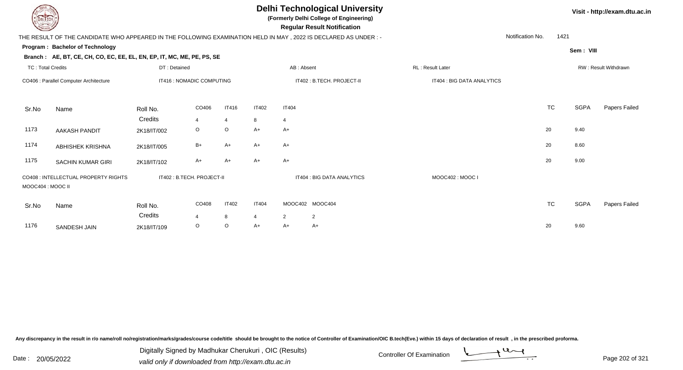**(Formerly Delhi College of Engineering)**

 **Regular Result Notification**

**Visit - http://exam.dtu.ac.in**

|                          | THE RESULT OF THE CANDIDATE WHO APPEARED IN THE FOLLOWING EXAMINATION HELD IN MAY , 2022 IS DECLARED AS UNDER :- |                            |         |              |                |                                  |                            |                            | Notification No. | 1421      |           |                      |
|--------------------------|------------------------------------------------------------------------------------------------------------------|----------------------------|---------|--------------|----------------|----------------------------------|----------------------------|----------------------------|------------------|-----------|-----------|----------------------|
|                          | <b>Program: Bachelor of Technology</b>                                                                           |                            |         |              |                |                                  |                            |                            |                  |           |           |                      |
|                          | Branch: AE, BT, CE, CH, CO, EC, EE, EL, EN, EP, IT, MC, ME, PE, PS, SE                                           |                            |         |              |                |                                  |                            |                            |                  |           | Sem: VIII |                      |
| <b>TC: Total Credits</b> |                                                                                                                  | DT: Detained               |         |              |                | AB: Absent                       |                            | RL: Result Later           |                  |           |           | RW: Result Withdrawn |
|                          | CO406 : Parallel Computer Architecture                                                                           | IT416 : NOMADIC COMPUTING  |         |              |                | IT402: B.TECH. PROJECT-II        |                            | IT404 : BIG DATA ANALYTICS |                  |           |           |                      |
| Sr.No                    | Name                                                                                                             | Roll No.                   | CO406   | <b>IT416</b> | <b>IT402</b>   | <b>IT404</b>                     |                            |                            |                  | <b>TC</b> | SGPA      | Papers Failed        |
|                          |                                                                                                                  | Credits                    | 4       | 4            | 8              | 4                                |                            |                            |                  |           |           |                      |
| 1173                     | AAKASH PANDIT                                                                                                    | 2K18/IT/002                | $\circ$ | O            | $A+$           | $A+$                             |                            |                            |                  | 20        | 9.40      |                      |
| 1174                     | ABHISHEK KRISHNA                                                                                                 | 2K18/IT/005                | $B+$    | A+           | $A+$           | $A+$                             |                            |                            |                  | 20        | 8.60      |                      |
| 1175                     | SACHIN KUMAR GIRI                                                                                                | 2K18/IT/102                | $A+$    | A+           | $A+$           | $A+$                             |                            |                            |                  | 20        | 9.00      |                      |
| MOOC404 : MOOC II        | CO408 : INTELLECTUAL PROPERTY RIGHTS                                                                             | IT402 : B.TECH. PROJECT-II |         |              |                |                                  | IT404 : BIG DATA ANALYTICS | MOOC402: MOOC I            |                  |           |           |                      |
| Sr.No                    | Name                                                                                                             | Roll No.                   | CO408   | <b>IT402</b> | <b>IT404</b>   | MOOC402 MOOC404                  |                            |                            |                  | <b>TC</b> | SGPA      | Papers Failec        |
|                          |                                                                                                                  | Credits                    | 4       | 8            | $\overline{4}$ | $\overline{2}$<br>$\overline{2}$ |                            |                            |                  |           |           |                      |
| 1176                     | SANDESH JAIN                                                                                                     | 2K18/IT/109                | $\circ$ | O            | $A+$           | A+<br>$A+$                       |                            |                            |                  | 20        | 9.60      |                      |
|                          |                                                                                                                  |                            |         |              |                |                                  |                            |                            |                  |           |           |                      |

Any discrepancy in the result in r/o name/roll no/registration/marks/grades/course code/title should be brought to the notice of Controller of Examination/OIC B.tech(Eve.) within 15 days of declaration of result, in the pr

Date : 20/05/2022 Digital Digital of Microsofted Chemical Controller Of Examination Determination Page 202 of 32

Digitally Signed by Madhukar Cherukuri , OIC (Results)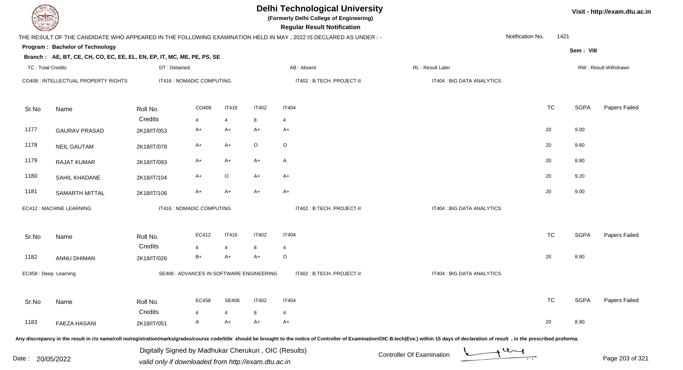| <b>DELTECH</b>           |                                                                        |                                                                                                              |                                          |                |              | <b>Delhi Technological University</b><br>(Formerly Delhi College of Engineering)<br><b>Regular Result Notification</b> |                                                                                                                                                                                                                                |                  |           |             | Visit - http://exam.dtu.ac.in |
|--------------------------|------------------------------------------------------------------------|--------------------------------------------------------------------------------------------------------------|------------------------------------------|----------------|--------------|------------------------------------------------------------------------------------------------------------------------|--------------------------------------------------------------------------------------------------------------------------------------------------------------------------------------------------------------------------------|------------------|-----------|-------------|-------------------------------|
|                          |                                                                        |                                                                                                              |                                          |                |              | THE RESULT OF THE CANDIDATE WHO APPEARED IN THE FOLLOWING EXAMINATION HELD IN MAY, 2022 IS DECLARED AS UNDER:-         |                                                                                                                                                                                                                                | Notification No. | 1421      |             |                               |
|                          | Program: Bachelor of Technology                                        |                                                                                                              |                                          |                |              |                                                                                                                        |                                                                                                                                                                                                                                |                  |           | Sem: VIII   |                               |
|                          | Branch: AE, BT, CE, CH, CO, EC, EE, EL, EN, EP, IT, MC, ME, PE, PS, SE |                                                                                                              |                                          |                |              |                                                                                                                        |                                                                                                                                                                                                                                |                  |           |             |                               |
| <b>TC: Total Credits</b> |                                                                        | DT: Detained                                                                                                 |                                          |                |              | AB: Absent                                                                                                             | RL: Result Later                                                                                                                                                                                                               |                  |           |             | RW: Result Withdrawn          |
|                          | CO408 : INTELLECTUAL PROPERTY RIGHTS                                   |                                                                                                              | IT416 : NOMADIC COMPUTING                |                |              | IT402: B.TECH. PROJECT-II                                                                                              | IT404 : BIG DATA ANALYTICS                                                                                                                                                                                                     |                  |           |             |                               |
| Sr.No                    | Name                                                                   | Roll No.                                                                                                     | CO408                                    | <b>IT416</b>   | <b>IT402</b> | <b>IT404</b>                                                                                                           |                                                                                                                                                                                                                                |                  | <b>TC</b> | <b>SGPA</b> | Papers Failed                 |
|                          |                                                                        | Credits                                                                                                      | $\overline{4}$                           | $\overline{4}$ | 8            | $\overline{4}$                                                                                                         |                                                                                                                                                                                                                                |                  |           |             |                               |
| 1177                     | <b>GAURAV PRASAD</b>                                                   | 2K18/IT/053                                                                                                  | $A+$                                     | A+             | $A+$         | A+                                                                                                                     |                                                                                                                                                                                                                                | 20               |           | 9.00        |                               |
| 1178                     | <b>NEIL GAUTAM</b>                                                     | 2K18/IT/078                                                                                                  | A+                                       | A+             | $\mathsf O$  | $\circ$                                                                                                                |                                                                                                                                                                                                                                | 20               |           | 9.60        |                               |
| 1179                     | <b>RAJAT KUMAR</b>                                                     | 2K18/IT/093                                                                                                  | $A+$                                     | A+             | $A+$         | $\mathsf{A}$                                                                                                           |                                                                                                                                                                                                                                | 20               |           | 8.80        |                               |
| 1180                     | SAHIL KHADANE                                                          | 2K18/IT/104                                                                                                  | $A+$                                     | $\circ$        | $A+$         | $A+$                                                                                                                   |                                                                                                                                                                                                                                | 20               |           | 9.20        |                               |
| 1181                     | <b>SAMARTH MITTAL</b>                                                  | 2K18/IT/106                                                                                                  | $A+$                                     | A+             | $A+$         | $A+$                                                                                                                   |                                                                                                                                                                                                                                | 20               |           | 9.00        |                               |
|                          | EC412 : MACHINE LEARNING                                               |                                                                                                              | IT416 : NOMADIC COMPUTING                |                |              | IT402: B.TECH. PROJECT-II                                                                                              | IT404 : BIG DATA ANALYTICS                                                                                                                                                                                                     |                  |           |             |                               |
| Sr.No                    | Name                                                                   | Roll No.                                                                                                     | EC412                                    | <b>IT416</b>   | <b>IT402</b> | <b>IT404</b>                                                                                                           |                                                                                                                                                                                                                                |                  | <b>TC</b> | <b>SGPA</b> | Papers Failed                 |
|                          |                                                                        | Credits                                                                                                      | $\overline{4}$                           | $\overline{4}$ | 8            | $\overline{4}$                                                                                                         |                                                                                                                                                                                                                                |                  |           |             |                               |
| 1182                     | ANNU DHIMAN                                                            | 2K18/IT/026                                                                                                  | $B+$                                     | A+             | $A+$         | $\circ$                                                                                                                |                                                                                                                                                                                                                                | 20               |           | 8.80        |                               |
| EC458 : Deep Learning    |                                                                        |                                                                                                              | SE406 : ADVANCES IN SOFTWARE ENGINEERING |                |              | IT402: B.TECH. PROJECT-II                                                                                              | IT404 : BIG DATA ANALYTICS                                                                                                                                                                                                     |                  |           |             |                               |
| Sr.No                    | Name                                                                   | Roll No.                                                                                                     | EC458                                    | <b>SE406</b>   | <b>IT402</b> | <b>IT404</b>                                                                                                           |                                                                                                                                                                                                                                |                  | <b>TC</b> | <b>SGPA</b> | Papers Failed                 |
|                          |                                                                        | Credits                                                                                                      |                                          | 4              | 8            | 4                                                                                                                      |                                                                                                                                                                                                                                |                  |           |             |                               |
| 1183                     | <b>FAEZA HASANI</b>                                                    | 2K18/IT/051                                                                                                  | A                                        | A+             | A+           | A+                                                                                                                     |                                                                                                                                                                                                                                | 20               |           | 8.80        |                               |
|                          |                                                                        |                                                                                                              |                                          |                |              |                                                                                                                        | Any discrepancy in the result in r/o name/roll no/registration/marks/grades/course code/title should be brought to the notice of Controller of Examination/OIC B.tech(Eve.) within 15 days of declaration of result , in the p |                  |           |             |                               |
| Date :                   | 20/05/2022                                                             | Digitally Signed by Madhukar Cherukuri, OIC (Results)<br>valid only if downloaded from http://exam.dtu.ac.in |                                          |                |              |                                                                                                                        | <b>Controller Of Examination</b>                                                                                                                                                                                               |                  |           |             | Page 203 of 321               |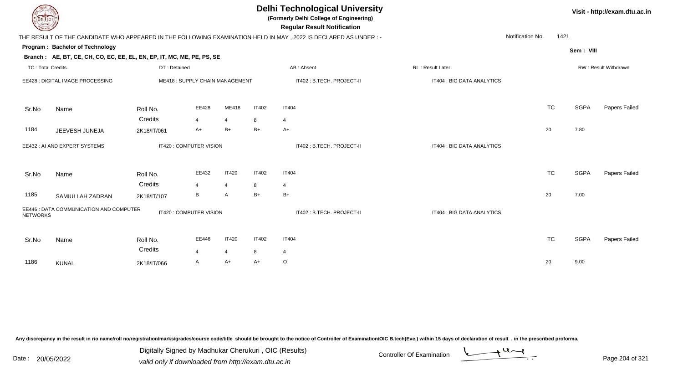| DEL ECH                  |                                                                                                           |                                |                         |                |                            | <b>Delhi Technological University</b><br>(Formerly Delhi College of Engineering)<br><b>Regular Result Notification</b> |                            |                          | Visit - http://exam.dtu.ac.in |                      |  |  |
|--------------------------|-----------------------------------------------------------------------------------------------------------|--------------------------------|-------------------------|----------------|----------------------------|------------------------------------------------------------------------------------------------------------------------|----------------------------|--------------------------|-------------------------------|----------------------|--|--|
|                          |                                                                                                           |                                |                         |                |                            | THE RESULT OF THE CANDIDATE WHO APPEARED IN THE FOLLOWING EXAMINATION HELD IN MAY, 2022 IS DECLARED AS UNDER :-        |                            | Notification No.<br>1421 |                               |                      |  |  |
|                          | Program: Bachelor of Technology<br>Branch: AE, BT, CE, CH, CO, EC, EE, EL, EN, EP, IT, MC, ME, PE, PS, SE |                                |                         |                |                            |                                                                                                                        |                            |                          | Sem: VIII                     |                      |  |  |
| <b>TC: Total Credits</b> |                                                                                                           | DT: Detained                   |                         |                |                            | AB: Absent                                                                                                             | RL: Result Later           |                          |                               | RW: Result Withdrawn |  |  |
|                          | EE428 : DIGITAL IMAGE PROCESSING                                                                          | ME418: SUPPLY CHAIN MANAGEMENT |                         |                | IT402 : B.TECH. PROJECT-II |                                                                                                                        | IT404 : BIG DATA ANALYTICS |                          |                               |                      |  |  |
| Sr.No                    | Name                                                                                                      | Roll No.                       | EE428                   | ME418          | <b>IT402</b>               | <b>IT404</b>                                                                                                           |                            | <b>TC</b>                | <b>SGPA</b>                   | Papers Failed        |  |  |
|                          |                                                                                                           | Credits                        | 4                       | $\overline{4}$ | 8                          | $\overline{4}$                                                                                                         |                            |                          |                               |                      |  |  |
| 1184                     | JEEVESH JUNEJA                                                                                            | 2K18/IT/061                    | $A+$                    | $B+$           | $B+$                       | $A+$                                                                                                                   |                            | 20                       | 7.80                          |                      |  |  |
|                          | EE432 : AI AND EXPERT SYSTEMS                                                                             |                                | IT420 : COMPUTER VISION |                |                            | IT402: B.TECH. PROJECT-II                                                                                              | IT404 : BIG DATA ANALYTICS |                          |                               |                      |  |  |
| Sr.No                    | Name                                                                                                      | Roll No.                       | EE432                   | <b>IT420</b>   | <b>IT402</b>               | <b>IT404</b>                                                                                                           |                            | <b>TC</b>                | <b>SGPA</b>                   | Papers Failed        |  |  |
|                          |                                                                                                           | Credits                        | $\overline{4}$          | $\overline{4}$ | 8                          | $\overline{4}$                                                                                                         |                            |                          |                               |                      |  |  |
| 1185                     | SAMIULLAH ZADRAN                                                                                          | 2K18/IT/107                    | B                       | A              | $B+$                       | $B+$                                                                                                                   |                            | 20                       | 7.00                          |                      |  |  |
| <b>NETWORKS</b>          | EE446 : DATA COMMUNICATION AND COMPUTER                                                                   |                                | IT420 : COMPUTER VISION |                |                            | IT402: B.TECH. PROJECT-II                                                                                              | IT404 : BIG DATA ANALYTICS |                          |                               |                      |  |  |
| Sr.No                    | Name                                                                                                      | Roll No.<br>Credits            | EE446                   | <b>IT420</b>   | <b>IT402</b>               | <b>IT404</b>                                                                                                           |                            | <b>TC</b>                | <b>SGPA</b>                   | <b>Papers Failed</b> |  |  |
|                          |                                                                                                           |                                | $\overline{4}$          | $\overline{4}$ | 8                          | 4                                                                                                                      |                            |                          |                               |                      |  |  |
| 1186                     | <b>KUNAL</b>                                                                                              | 2K18/IT/066                    | A                       | A+             | A+                         | $\circ$                                                                                                                |                            | 20                       | 9.00                          |                      |  |  |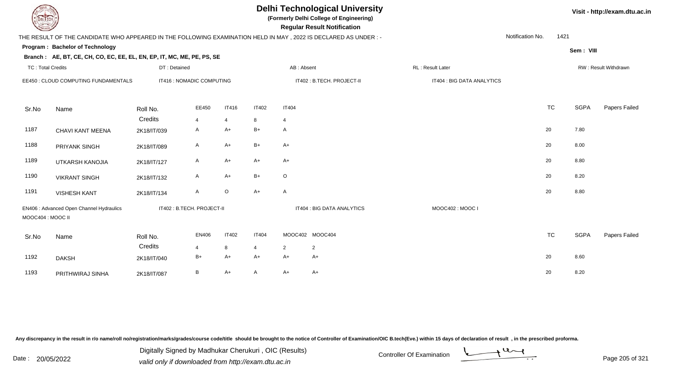| EL ECH                               |                                                                                                                |                            |              |                |                |                | <b>Delhi Technological University</b><br>(Formerly Delhi College of Engineering)<br><b>Regular Result Notification</b> |                            |                  |           |             | Visit - http://exam.dtu.ac.in |
|--------------------------------------|----------------------------------------------------------------------------------------------------------------|----------------------------|--------------|----------------|----------------|----------------|------------------------------------------------------------------------------------------------------------------------|----------------------------|------------------|-----------|-------------|-------------------------------|
|                                      | THE RESULT OF THE CANDIDATE WHO APPEARED IN THE FOLLOWING EXAMINATION HELD IN MAY, 2022 IS DECLARED AS UNDER:- |                            |              |                |                |                |                                                                                                                        |                            | Notification No. | 1421      |             |                               |
|                                      | Program: Bachelor of Technology                                                                                |                            |              |                |                |                |                                                                                                                        |                            |                  |           |             |                               |
|                                      | Branch: AE, BT, CE, CH, CO, EC, EE, EL, EN, EP, IT, MC, ME, PE, PS, SE                                         |                            |              |                |                |                |                                                                                                                        |                            |                  |           | Sem: VIII   |                               |
| <b>TC: Total Credits</b>             |                                                                                                                | DT: Detained               |              |                |                | AB: Absent     |                                                                                                                        | RL: Result Later           |                  |           |             | RW: Result Withdrawn          |
| EE450 : CLOUD COMPUTING FUNDAMENTALS |                                                                                                                | IT416 : NOMADIC COMPUTING  |              |                |                |                | IT402: B.TECH. PROJECT-II                                                                                              | IT404 : BIG DATA ANALYTICS |                  |           |             |                               |
| Sr.No                                | Name                                                                                                           | Roll No.                   | EE450        | <b>IT416</b>   | <b>IT402</b>   | <b>IT404</b>   |                                                                                                                        |                            |                  | <b>TC</b> | <b>SGPA</b> | Papers Failed                 |
|                                      |                                                                                                                | Credits                    | 4            | $\overline{4}$ | 8              | $\overline{4}$ |                                                                                                                        |                            |                  |           |             |                               |
| 1187                                 | CHAVI KANT MEENA                                                                                               | 2K18/IT/039                | A            | $A+$           | $B+$           | A              |                                                                                                                        |                            |                  | 20        | 7.80        |                               |
| 1188                                 | PRIYANK SINGH                                                                                                  | 2K18/IT/089                | A            | $A+$           | $B+$           | $A+$           |                                                                                                                        |                            |                  | 20        | 8.00        |                               |
| 1189                                 | UTKARSH KANOJIA                                                                                                | 2K18/IT/127                | A            | $A+$           | $A+$           | $A+$           |                                                                                                                        |                            |                  | 20        | 8.80        |                               |
| 1190                                 | <b>VIKRANT SINGH</b>                                                                                           | 2K18/IT/132                | A            | $A+$           | $B+$           | $\circ$        |                                                                                                                        |                            |                  | 20        | 8.20        |                               |
| 1191                                 | <b>VISHESH KANT</b>                                                                                            | 2K18/IT/134                | $\mathsf{A}$ | $\circ$        | $A+$           | A              |                                                                                                                        |                            |                  | 20        | 8.80        |                               |
| MOOC404 : MOOC II                    | EN406 : Advanced Open Channel Hydraulics                                                                       | IT402 : B.TECH. PROJECT-II |              |                |                |                | IT404 : BIG DATA ANALYTICS                                                                                             | MOOC402: MOOC I            |                  |           |             |                               |
| Sr.No                                | Name                                                                                                           | Roll No.                   | EN406        | <b>IT402</b>   | <b>IT404</b>   |                | MOOC402 MOOC404                                                                                                        |                            |                  | <b>TC</b> | <b>SGPA</b> | Papers Failed                 |
|                                      |                                                                                                                | Credits                    | 4            | 8              | $\overline{4}$ | $\overline{2}$ | 2                                                                                                                      |                            |                  |           |             |                               |
| 1192                                 | <b>DAKSH</b>                                                                                                   | 2K18/IT/040                | $B+$         | $A+$           | $A+$           | $A+$           | A+                                                                                                                     |                            |                  | 20        | 8.60        |                               |
| 1193                                 | PRITHWIRAJ SINHA                                                                                               | 2K18/IT/087                | В            | $A+$           | A              | $A+$           | A+                                                                                                                     |                            |                  | 20        | 8.20        |                               |

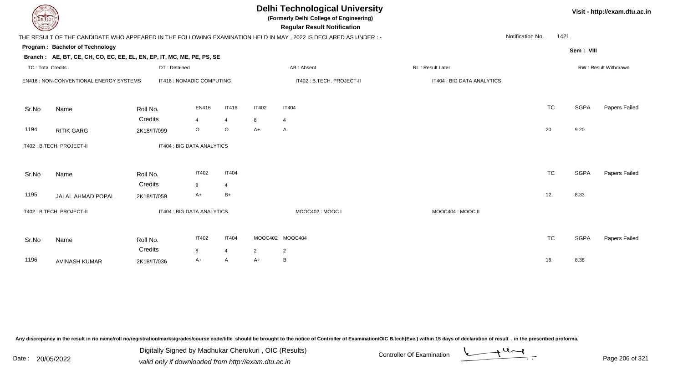| EL TECH                  |                                                                        |              |                            |                |                | <b>Delhi Technological University</b><br>(Formerly Delhi College of Engineering)<br><b>Regular Result Notification</b> |                            | Visit - http://exam.dtu.ac.in |             |                      |  |  |
|--------------------------|------------------------------------------------------------------------|--------------|----------------------------|----------------|----------------|------------------------------------------------------------------------------------------------------------------------|----------------------------|-------------------------------|-------------|----------------------|--|--|
|                          |                                                                        |              |                            |                |                | THE RESULT OF THE CANDIDATE WHO APPEARED IN THE FOLLOWING EXAMINATION HELD IN MAY , 2022 IS DECLARED AS UNDER :-       |                            | Notification No.              | 1421        |                      |  |  |
|                          | Program: Bachelor of Technology                                        |              |                            |                |                |                                                                                                                        |                            |                               | Sem: VIII   |                      |  |  |
|                          | Branch: AE, BT, CE, CH, CO, EC, EE, EL, EN, EP, IT, MC, ME, PE, PS, SE |              |                            |                |                |                                                                                                                        |                            |                               |             |                      |  |  |
| <b>TC: Total Credits</b> |                                                                        | DT: Detained |                            |                |                | AB: Absent                                                                                                             | RL : Result Later          |                               |             | RW: Result Withdrawn |  |  |
|                          | EN416 : NON-CONVENTIONAL ENERGY SYSTEMS                                |              | IT416 : NOMADIC COMPUTING  |                |                | IT402: B.TECH. PROJECT-II                                                                                              | IT404 : BIG DATA ANALYTICS |                               |             |                      |  |  |
| Sr.No                    | Name                                                                   | Roll No.     | EN416                      | <b>IT416</b>   | <b>IT402</b>   | <b>IT404</b>                                                                                                           |                            | <b>TC</b>                     | <b>SGPA</b> | Papers Failed        |  |  |
|                          |                                                                        | Credits      | 4                          | 4              | 8              | $\overline{4}$                                                                                                         |                            |                               |             |                      |  |  |
| 1194                     | <b>RITIK GARG</b>                                                      | 2K18/IT/099  | $\circ$                    | $\circ$        | $A+$           | A                                                                                                                      |                            | 20                            | 9.20        |                      |  |  |
|                          | IT402 : B.TECH. PROJECT-II                                             |              | IT404 : BIG DATA ANALYTICS |                |                |                                                                                                                        |                            |                               |             |                      |  |  |
| Sr.No                    | Name                                                                   | Roll No.     | <b>IT402</b>               | <b>IT404</b>   |                |                                                                                                                        |                            | <b>TC</b>                     | <b>SGPA</b> | Papers Failed        |  |  |
|                          |                                                                        | Credits      | 8                          | $\overline{4}$ |                |                                                                                                                        |                            |                               |             |                      |  |  |
| 1195                     | JALAL AHMAD POPAL                                                      | 2K18/IT/059  | A+                         | $B+$           |                |                                                                                                                        |                            | 12                            | 8.33        |                      |  |  |
|                          | IT402 : B.TECH. PROJECT-II                                             |              | IT404 : BIG DATA ANALYTICS |                |                | MOOC402: MOOC I                                                                                                        | MOOC404 : MOOC II          |                               |             |                      |  |  |
| Sr.No                    | Name                                                                   | Roll No.     | <b>IT402</b>               | <b>IT404</b>   |                | MOOC402 MOOC404                                                                                                        |                            | <b>TC</b>                     | <b>SGPA</b> | Papers Failed        |  |  |
|                          |                                                                        | Credits      | 8                          | 4              | $\overline{2}$ | $\overline{2}$                                                                                                         |                            |                               |             |                      |  |  |
| 1196                     | <b>AVINASH KUMAR</b>                                                   | 2K18/IT/036  | A+                         | A              | $A+$           | B                                                                                                                      |                            | 16                            | 8.38        |                      |  |  |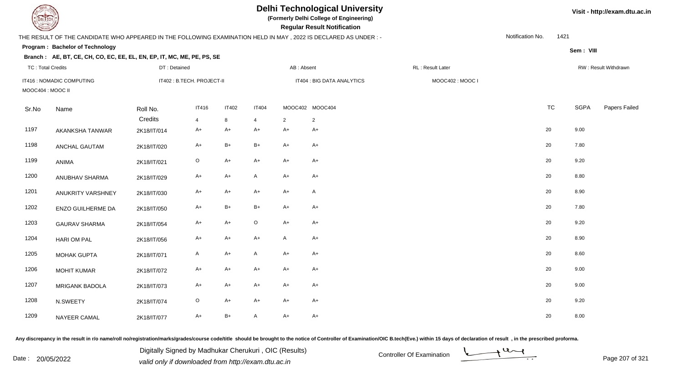**(Formerly Delhi College of Engineering)**

 **Regular Result Notification**

#### **Visit - http://exam.dtu.ac.in**

**Program : Bachelor of TechnologySem : VIII Branch : AE, BT, CE, CH, CO, EC, EE, EL, EN, EP, IT, MC, ME, PE, PS, SE**THE RESULT OF THE CANDIDATE WHO APPEARED IN THE FOLLOWING EXAMINATION HELD IN MAY , 2022 IS DECLARED AS UNDER : -TC : Total Credits DT : Detainedd AB : Absent RL : Result Later RW : Result Withdrawn Notification No. 1421Sr.Noo Name Roll No. **Credits** IT416 : NOMADIC COMPUTINGIT402 : B.TECH. PROJECT-II CHARRY THE SERVICE OF THE SERVICE OF THE SERVICE OF THE SERVICE OF THE SERVICE OF T MOOC404 : MOOC IIIT4166 IT402 IT404 MOOC402 MOOC404 TC SGPA Papers Failed 4 <sup>8</sup> <sup>4</sup> <sup>2</sup> <sup>2</sup> 1197 AKANKSHA TANWARR 2K18/IT/014 A+ A+ A+ A+ A+ A+ A+ A+ C 20 9.00 1198 ANCHAL GAUTAMM 2K18/IT/020 A+ B+ B+ A+ A+ A+ 1199 ANIMAA 2K18/IT/021 O A+ A+ A+ A+ A+ C 20 9.20 1200 ANUBHAV SHARMAA 2K18/IT/029 A+ A+ A A+ A+ A+ A+ C+ 20 8.80 1201 ANUKRITY VARSHNEYY 2K18/IT/030 A+ A+ A+ A+ A+ A 20 8.90 1202 ENZO GUILHERME DAA 2K18/IT/050 A+ B+ B+ A+ A+ A+ 1203 GAURAV SHARMAA 2K18/IT/054 A+ A+ O A+ A+  $^2$ 1204 HARI OM PALL 2K18/IT/056 A+ A+ A+ A+ A A+ A+ C 20 8.90 1205 MOHAK GUPTAA 2K18/IT/071 A A+ A A+ A+ A+ C 20 8.60 1206 MOHIT KUMARR 2K18/IT/072 A+ A+ A+ A+ A+ A+ A+ C 20 9.00 1207 MRIGANK BADOLAA 2K18/IT/073 A+ A+ A+ A+ A+ A+ A+ C 20 9.00 1208 N.SWEETY 2K18/IT/074 <sup>O</sup> A+ A+ A+ A+ <sup>20</sup> 9.20 1209 NAYEER CAMALL 2K18/IT/077 A+ B+ A A+ A+  $+$  A+  $+$  A+  $+$  20 8.00

Any discrepancy in the result in r/o name/roll no/registration/marks/grades/course code/title should be brought to the notice of Controller of Examination/OIC B.tech(Eve.) within 15 days of declaration of result , in the p

Date : 20/05/2022 Digital Digital of Microsofted Chemical Controller Of Examination Determination Page 207 of 32 Digitally Signed by Madhukar Cherukuri , OIC (Results)

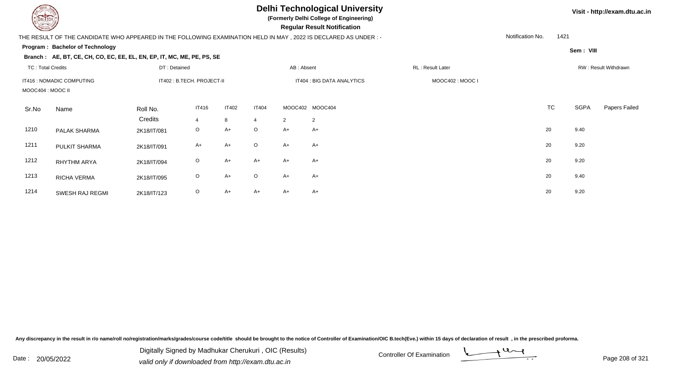**(Formerly Delhi College of Engineering)**

 **Regular Result Notification**

### THE RESULT OF THE CANDIDATE WHO APPEARED IN THE FOLLOWING EXAMINATION HELD IN MAY , 2022 IS DECLARED AS UNDER : -

**Program : Bachelor of Technology**

**Branch : AE, BT, CE, CH, CO, EC, EE, EL, EN, EP, IT, MC, ME, PE, PS, SE**

| <b>TC: Total Credits</b><br>IT416 : NOMADIC COMPUTING<br>MOOC404 : MOOC II |                    | DT: Detained<br>IT402 : B.TECH. PROJECT-II |                   |                   | AB: Absent<br>IT404 : BIG DATA ANALYTICS |      |                                   | RL: Result Later |           | RW: Result Withdrawn |               |  |
|----------------------------------------------------------------------------|--------------------|--------------------------------------------|-------------------|-------------------|------------------------------------------|------|-----------------------------------|------------------|-----------|----------------------|---------------|--|
|                                                                            |                    |                                            |                   |                   |                                          |      |                                   | MOOC402: MOOC I  |           |                      |               |  |
| Sr.No                                                                      | Name               | Roll No.<br>Credits                        | <b>IT416</b><br>4 | <b>IT402</b><br>8 | <b>IT404</b><br>$\overline{4}$           | 2    | MOOC402 MOOC404<br>$\overline{2}$ |                  | <b>TC</b> | <b>SGPA</b>          | Papers Failed |  |
| 1210                                                                       | PALAK SHARMA       | 2K18/IT/081                                | $\circ$           | $A+$              | $\circ$                                  | $A+$ | $A+$                              |                  | 20        | 9.40                 |               |  |
| 1211                                                                       | PULKIT SHARMA      | 2K18/IT/091                                | A+                | $A+$              | $\circ$                                  | A+   | $A+$                              |                  | 20        | 9.20                 |               |  |
| 1212                                                                       | <b>RHYTHM ARYA</b> | 2K18/IT/094                                | $\circ$           | $A+$              | $A+$                                     | $A+$ | $A+$                              |                  | 20        | 9.20                 |               |  |
| 1213                                                                       | RICHA VERMA        | 2K18/IT/095                                | $\circ$           | $A+$              | $\circ$                                  | $A+$ | $A+$                              |                  | 20        | 9.40                 |               |  |
| 1214                                                                       | SWESH RAJ REGMI    | 2K18/IT/123                                | $\circ$           | A+                | $A+$                                     | A+   | $A+$                              |                  | 20        | 9.20                 |               |  |

Any discrepancy in the result in r/o name/roll no/registration/marks/grades/course code/title should be brought to the notice of Controller of Examination/OIC B.tech(Eve.) within 15 days of declaration of result, in the pr



**Visit - http://exam.dtu.ac.in**

**Sem : VIII**

1421

Notification No.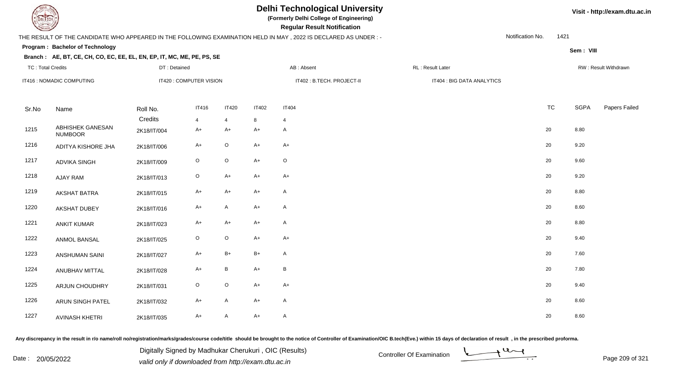**(Formerly Delhi College of Engineering)**

 **Regular Result Notification**

#### THE RESULT OF THE CANDIDATE WHO APPEARED IN THE FOLLOWING EXAMINATION HELD IN MAY , 2022 IS DECLARED AS UNDER : -

Notification No.1421

**Sem : VIII**

#### **Program : Bachelor of TechnologyBranch : AE, BT, CE, CH, CO, EC, EE, EL, EN, EP, IT, MC, ME, PE, PS, SE**

| <b>TC: Total Credits</b> |                                    | DT: Detained |                         |              |                            | AB: Absent   | RL: Result Later           |           |             | RW: Result Withdrawn |  |  |
|--------------------------|------------------------------------|--------------|-------------------------|--------------|----------------------------|--------------|----------------------------|-----------|-------------|----------------------|--|--|
|                          | IT416 : NOMADIC COMPUTING          |              | IT420 : COMPUTER VISION |              | IT402 : B.TECH. PROJECT-II |              | IT404 : BIG DATA ANALYTICS |           |             |                      |  |  |
| Sr.No                    | Name                               | Roll No.     | <b>IT416</b>            | <b>IT420</b> | <b>IT402</b>               | <b>IT404</b> |                            | <b>TC</b> | <b>SGPA</b> | Papers Failed        |  |  |
|                          |                                    | Credits      | 4                       | 4            | 8                          | 4            |                            |           |             |                      |  |  |
| 1215                     | ABHISHEK GANESAN<br><b>NUMBOOR</b> | 2K18/IT/004  | $A+$                    | A+           | $A+$                       | $\mathsf{A}$ |                            | 20        | 8.80        |                      |  |  |
| 1216                     | ADITYA KISHORE JHA                 | 2K18/IT/006  | $A+$                    | O            | $A+$                       | $A+$         |                            | 20        | 9.20        |                      |  |  |
| 1217                     | <b>ADVIKA SINGH</b>                | 2K18/IT/009  | $\mathsf O$             | $\circ$      | $A+$                       | $\circ$      |                            | 20        | 9.60        |                      |  |  |
| 1218                     | <b>AJAY RAM</b>                    | 2K18/IT/013  | $\mathsf O$             | $A+$         | $A+$                       | $A+$         |                            | 20        | 9.20        |                      |  |  |
| 1219                     | <b>AKSHAT BATRA</b>                | 2K18/IT/015  | $A+$                    | $A+$         | $A+$                       | $\mathsf{A}$ |                            | 20        | 8.80        |                      |  |  |
| 1220                     | <b>AKSHAT DUBEY</b>                | 2K18/IT/016  | $A+$                    | A            | $A+$                       | $\mathsf{A}$ |                            | 20        | 8.60        |                      |  |  |
| 1221                     | <b>ANKIT KUMAR</b>                 | 2K18/IT/023  | $A+$                    | A+           | $A+$                       | A            |                            | 20        | 8.80        |                      |  |  |
| 1222                     | ANMOL BANSAL                       | 2K18/IT/025  | $\circ$                 | $\circ$      | $A+$                       | $A+$         |                            | 20        | 9.40        |                      |  |  |
| 1223                     | <b>ANSHUMAN SAINI</b>              | 2K18/IT/027  | $A+$                    | $B+$         | $B+$                       | $\mathsf{A}$ |                            | 20        | 7.60        |                      |  |  |
| 1224                     | ANUBHAV MITTAL                     | 2K18/IT/028  | $A+$                    | B            | $A+$                       | B            |                            | 20        | 7.80        |                      |  |  |
| 1225                     | ARJUN CHOUDHRY                     | 2K18/IT/031  | $\mathsf O$             | $\circ$      | $A+$                       | $A+$         |                            | 20        | 9.40        |                      |  |  |
| 1226                     | ARUN SINGH PATEL                   | 2K18/IT/032  | $A+$                    | A            | $A+$                       | $\mathsf{A}$ |                            | 20        | 8.60        |                      |  |  |
| 1227                     | <b>AVINASH KHETRI</b>              | 2K18/IT/035  | $A+$                    | A            | $A+$                       | A            |                            | 20        | 8.60        |                      |  |  |

Any discrepancy in the result in r/o name/roll no/registration/marks/grades/course code/title should be brought to the notice of Controller of Examination/OIC B.tech(Eve.) within 15 days of declaration of result, in the pr

Date : 20/05/2022 Valid only if downloaded from http://exam.dtu.ac.in<br>valid only if downloaded from http://exam.dtu.ac.in Digitally Signed by Madhukar Cherukuri , OIC (Results)



**Visit - http://exam.dtu.ac.in**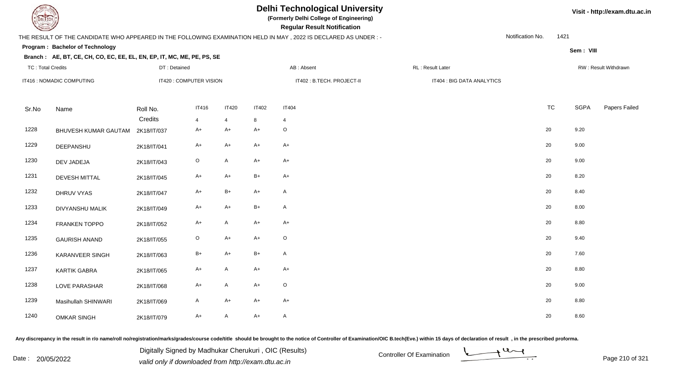**(Formerly Delhi College of Engineering)**

 **Regular Result Notification**

#### **Branch :**

|                          |                                                                        |              |                         |              |              | THE RESULT OF THE CANDIDATE WHO APPEARED IN THE FOLLOWING EXAMINATION HELD IN MAY, 2022 IS DECLARED AS UNDER :- |                            | Notification No. | 1421        |                      |
|--------------------------|------------------------------------------------------------------------|--------------|-------------------------|--------------|--------------|-----------------------------------------------------------------------------------------------------------------|----------------------------|------------------|-------------|----------------------|
|                          | Program: Bachelor of Technology                                        |              |                         |              |              |                                                                                                                 |                            |                  | Sem: VIII   |                      |
|                          | Branch: AE, BT, CE, CH, CO, EC, EE, EL, EN, EP, IT, MC, ME, PE, PS, SE |              |                         |              |              |                                                                                                                 |                            |                  |             |                      |
| <b>TC: Total Credits</b> |                                                                        | DT: Detained |                         |              |              | AB: Absent                                                                                                      | RL: Result Later           |                  |             | RW: Result Withdrawn |
|                          | IT416 : NOMADIC COMPUTING                                              |              | IT420 : COMPUTER VISION |              |              | IT402 : B.TECH. PROJECT-II                                                                                      | IT404 : BIG DATA ANALYTICS |                  |             |                      |
| Sr.No                    | Name                                                                   | Roll No.     | <b>IT416</b>            | <b>IT420</b> | <b>IT402</b> | <b>IT404</b>                                                                                                    |                            | <b>TC</b>        | <b>SGPA</b> | Papers Failec        |
|                          |                                                                        | Credits      | 4                       | 4            | 8            | $\overline{4}$                                                                                                  |                            |                  |             |                      |
| 1228                     | BHUVESH KUMAR GAUTAM 2K18/IT/037                                       |              | $A+$                    | A+           | $A+$         | O                                                                                                               |                            | 20               | 9.20        |                      |
| 1229                     | DEEPANSHU                                                              | 2K18/IT/041  | $A+$                    | A+           | $A+$         | $A+$                                                                                                            |                            | 20               | 9.00        |                      |
| 1230                     | DEV JADEJA                                                             | 2K18/IT/043  | $\mathsf O$             | A            | $A+$         | $A+$                                                                                                            |                            | 20               | 9.00        |                      |
| 1231                     | <b>DEVESH MITTAL</b>                                                   | 2K18/IT/045  | $A+$                    | A+           | $B+$         | $A+$                                                                                                            |                            | 20               | 8.20        |                      |
| 1232                     | DHRUV VYAS                                                             | 2K18/IT/047  | $A+$                    | $B+$         | $A+$         | A                                                                                                               |                            | 20               | 8.40        |                      |
| 1233                     | DIVYANSHU MALIK                                                        | 2K18/IT/049  | $A+$                    | A+           | $B+$         | A                                                                                                               |                            | 20               | 8.00        |                      |
| 1234                     | FRANKEN TOPPO                                                          | 2K18/IT/052  | $A+$                    | A            | $A+$         | $A+$                                                                                                            |                            | 20               | 8.80        |                      |
| 1235                     | <b>GAURISH ANAND</b>                                                   | 2K18/IT/055  | $\mathsf O$             | A+           | $A+$         | $\mathsf O$                                                                                                     |                            | 20               | 9.40        |                      |
| 1236                     | KARANVEER SINGH                                                        | 2K18/IT/063  | $B+$                    | $A+$         | $B+$         | A                                                                                                               |                            | 20               | 7.60        |                      |
| 1237                     | <b>KARTIK GABRA</b>                                                    | 2K18/IT/065  | $A+$                    | A            | $A+$         | $A+$                                                                                                            |                            | 20               | 8.80        |                      |
| 1238                     | LOVE PARASHAR                                                          | 2K18/IT/068  | $A+$                    | A            | $A+$         | $\mathsf O$                                                                                                     |                            | 20               | 9.00        |                      |
| 1239                     | Masihullah SHINWARI                                                    | 2K18/IT/069  | $\mathsf{A}$            | $A+$         | $A+$         | $A+$                                                                                                            |                            | 20               | 8.80        |                      |
| 1240                     | <b>OMKAR SINGH</b>                                                     | 2K18/IT/079  | $A+$                    | A            | $A+$         | A                                                                                                               |                            | 20               | 8.60        |                      |

Any discrepancy in the result in r/o name/roll no/registration/marks/grades/course code/title should be brought to the notice of Controller of Examination/OIC B.tech(Eve.) within 15 days of declaration of result, in the pr

Date : 20/05/2022 Digital Digital of Microsofted Chemical Controller Of Examination Determination Page 210 of 32 Digitally Signed by Madhukar Cherukuri , OIC (Results)

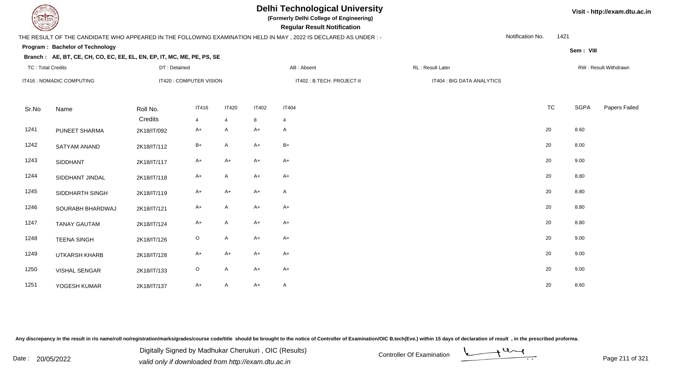**(Formerly Delhi College of Engineering)**

 **Regular Result Notification**

#### THE RESULT OF THE CANDIDATE WHO APPEARED IN THE FOLLOWING EXAMINATION HELD IN MAY , 2022 IS DECLARED AS UNDER : -

**Program : Bachelor of Technology**

#### **Branch : AE, BT, CE, CH, CO, EC, EE, EL, EN, EP, IT, MC, ME, PE, PS, SE**

Notification No.1421

**Sem : VIII**

| <b>TC: Total Credits</b> |                           | DT: Detained            |                |                |              | AB: Absent                 |  | RL: Result Later           |           |      | RW: Result Withdrawn |  |
|--------------------------|---------------------------|-------------------------|----------------|----------------|--------------|----------------------------|--|----------------------------|-----------|------|----------------------|--|
|                          | IT416 : NOMADIC COMPUTING | IT420 : COMPUTER VISION |                |                |              | IT402 : B.TECH. PROJECT-II |  | IT404 : BIG DATA ANALYTICS |           |      |                      |  |
|                          |                           |                         |                |                |              |                            |  |                            |           |      |                      |  |
| Sr.No                    | Name                      | Roll No.                | <b>IT416</b>   | <b>IT420</b>   | <b>IT402</b> | <b>IT404</b>               |  |                            | <b>TC</b> | SGPA | Papers Failed        |  |
|                          |                           | Credits                 | $\overline{4}$ | $\overline{4}$ | 8            | $\overline{4}$             |  |                            |           |      |                      |  |
| 1241                     | PUNEET SHARMA             | 2K18/IT/092             | $A+$           | A              | $A+$         | $\mathsf{A}$               |  |                            | 20        | 8.60 |                      |  |
| 1242                     | SATYAM ANAND              | 2K18/IT/112             | $B+$           | A              | $A+$         | $B+$                       |  |                            | 20        | 8.00 |                      |  |
| 1243                     | SIDDHANT                  | 2K18/IT/117             | $A+$           | $A+$           | $A+$         | $A+$                       |  |                            | 20        | 9.00 |                      |  |
| 1244                     | SIDDHANT JINDAL           | 2K18/IT/118             | $A+$           | $\mathsf{A}$   | $A+$         | $A+$                       |  |                            | 20        | 8.80 |                      |  |
| 1245                     | SIDDHARTH SINGH           | 2K18/IT/119             | $A+$           | $A+$           | $A+$         | $\mathsf{A}$               |  |                            | 20        | 8.80 |                      |  |
| 1246                     | SOURABH BHARDWAJ          | 2K18/IT/121             | $A+$           | $\mathsf{A}$   | $A+$         | $A+$                       |  |                            | 20        | 8.80 |                      |  |
| 1247                     | <b>TANAY GAUTAM</b>       | 2K18/IT/124             | $A+$           | A              | $A+$         | $A+$                       |  |                            | 20        | 8.80 |                      |  |
| 1248                     | <b>TEENA SINGH</b>        | 2K18/IT/126             | $\mathsf O$    | $\mathsf{A}$   | $A+$         | $A+$                       |  |                            | 20        | 9.00 |                      |  |
| 1249                     | UTKARSH KHARB             | 2K18/IT/128             | $A+$           | $A+$           | $A+$         | $A+$                       |  |                            | 20        | 9.00 |                      |  |
| 1250                     | <b>VISHAL SENGAR</b>      | 2K18/IT/133             | $\mathsf O$    | $\mathsf{A}$   | $A+$         | $A+$                       |  |                            | 20        | 9.00 |                      |  |
| 1251                     | YOGESH KUMAR              | 2K18/IT/137             | $A+$           | A              | $A+$         | $\mathsf{A}$               |  |                            | 20        | 8.60 |                      |  |

Any discrepancy in the result in r/o name/roll no/registration/marks/grades/course code/title should be brought to the notice of Controller of Examination/OIC B.tech(Eve.) within 15 days of declaration of result, in the pr

Date : 20/05/2022 Digital Digital of Digital of Muslim Controller Of Examination Determination Page 211 of 32 Digitally Signed by Madhukar Cherukuri , OIC (Results)

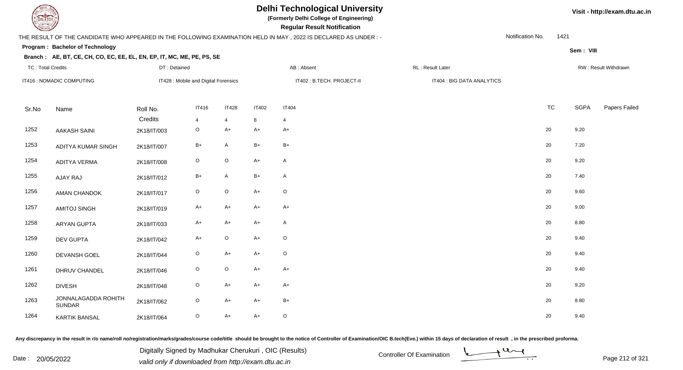**(Formerly Delhi College of Engineering)**

 **Regular Result Notification**

#### **Branch :**

|       |                                                                                                                                                      |                     |                                      |                   |                   | THE RESULT OF THE CANDIDATE WHO APPEARED IN THE FOLLOWING EXAMINATION HELD IN MAY, 2022 IS DECLARED AS UNDER :- |                            | Notification No. | 1421 |             |                      |
|-------|------------------------------------------------------------------------------------------------------------------------------------------------------|---------------------|--------------------------------------|-------------------|-------------------|-----------------------------------------------------------------------------------------------------------------|----------------------------|------------------|------|-------------|----------------------|
|       | Program: Bachelor of Technology                                                                                                                      |                     |                                      |                   |                   |                                                                                                                 |                            |                  |      | Sem: VIII   |                      |
|       | Branch: AE, BT, CE, CH, CO, EC, EE, EL, EN, EP, IT, MC, ME, PE, PS, SE<br>AB: Absent<br>RL: Result Later<br><b>TC: Total Credits</b><br>DT: Detained |                     |                                      |                   |                   |                                                                                                                 |                            |                  |      |             | RW: Result Withdrawn |
|       | IT416 : NOMADIC COMPUTING                                                                                                                            |                     | IT428 : Mobile and Digital Forensics |                   |                   | IT402 : B.TECH. PROJECT-II                                                                                      | IT404 : BIG DATA ANALYTICS |                  |      |             |                      |
| Sr.No | Name                                                                                                                                                 | Roll No.<br>Credits | <b>IT416</b><br>$\overline{4}$       | <b>IT428</b><br>4 | <b>IT402</b><br>8 | <b>IT404</b><br>$\overline{4}$                                                                                  |                            | <b>TC</b>        |      | <b>SGPA</b> | Papers Failec        |
| 1252  | <b>AAKASH SAINI</b>                                                                                                                                  | 2K18/IT/003         | $\circ$                              | $A+$              | $A+$              | $A+$                                                                                                            |                            | 20               |      | 9.20        |                      |
| 1253  | ADITYA KUMAR SINGH                                                                                                                                   | 2K18/IT/007         | $\mathsf{B}+$                        | A                 | $B+$              | $B+$                                                                                                            |                            | 20               |      | 7.20        |                      |
| 1254  | <b>ADITYA VERMA</b>                                                                                                                                  | 2K18/IT/008         | $\circ$                              | $\circ$           | $A+$              | A                                                                                                               |                            | 20               |      | 9.20        |                      |
| 1255  | AJAY RAJ                                                                                                                                             | 2K18/IT/012         | $B+$                                 | A                 | $B+$              | A                                                                                                               |                            | 20               |      | 7.40        |                      |
| 1256  | AMAN CHANDOK                                                                                                                                         | 2K18/IT/017         | $\mathsf O$                          | $\mathsf O$       | $A+$              | $\mathsf O$                                                                                                     |                            | 20               |      | 9.60        |                      |
| 1257  | <b>AMITOJ SINGH</b>                                                                                                                                  | 2K18/IT/019         | $A+$                                 | A+                | $A+$              | $A+$                                                                                                            |                            | 20               |      | 9.00        |                      |
| 1258  | ARYAN GUPTA                                                                                                                                          | 2K18/IT/033         | $A+$                                 | A+                | $A+$              | A                                                                                                               |                            | 20               |      | 8.80        |                      |
| 1259  | <b>DEV GUPTA</b>                                                                                                                                     | 2K18/IT/042         | $A+$                                 | O                 | $A+$              | $\mathsf O$                                                                                                     |                            | 20               |      | 9.40        |                      |
| 1260  | DEVANSH GOEL                                                                                                                                         | 2K18/IT/044         | $\mathsf O$                          | $A+$              | $A+$              | $\mathsf O$                                                                                                     |                            | 20               |      | 9.40        |                      |
| 1261  | DHRUV CHANDEL                                                                                                                                        | 2K18/IT/046         | $\mathsf O$                          | $\mathsf O$       | $A+$              | $A+$                                                                                                            |                            | $20\,$           |      | 9.40        |                      |
| 1262  | <b>DIVESH</b>                                                                                                                                        | 2K18/IT/048         | $\circ$                              | $A+$              | $A+$              | $A+$                                                                                                            |                            | 20               |      | 9.20        |                      |
| 1263  | JONNALAGADDA ROHITH<br><b>SUNDAR</b>                                                                                                                 | 2K18/IT/062         | $\mathsf O$                          | $A+$              | $A+$              | $B+$                                                                                                            |                            | 20               |      | 8.80        |                      |
| 1264  | <b>KARTIK BANSAL</b>                                                                                                                                 | 2K18/IT/064         | $\mathsf O$                          | $A+$              | $A+$              | $\mathsf O$                                                                                                     |                            | 20               |      | 9.40        |                      |

Any discrepancy in the result in r/o name/roll no/registration/marks/grades/course code/title should be brought to the notice of Controller of Examination/OIC B.tech(Eve.) within 15 days of declaration of result, in the pr

Date : 20/05/2022 Digital Digital of Microsofted Chemical Controller Of Examination Determination Page 212 of 32 Digitally Signed by Madhukar Cherukuri , OIC (Results)

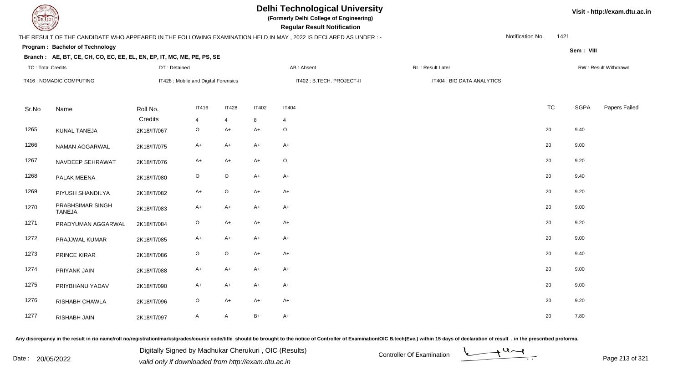TC : Total Credits

IT416 : NOMADIC COMPUTING

### **Delhi Technological University**

**(Formerly Delhi College of Engineering)**

IT428 : Mobile and Digital Forensics **ITADE STECH. PROJECT-II IT402** : B.TECH. PROJECT-II **ITADE STECH** BIG DATA ANALYTICS

 **Regular Result Notification**

#### THE RESULT OF THE CANDIDATE WHO APPEARED IN THE FOLLOWING EXAMINATION HELD IN MAY , 2022 IS DECLARED AS UNDER : -

DT : Detained

**Program : Bachelor of Technology**

#### **Branch : AE, BT, CE, CH, CO, EC, EE, EL, EN, EP, IT, MC, ME, PE, PS, SE**

Notification No.1421

**Sem : VIII**

| . |            |                         |                       |
|---|------------|-------------------------|-----------------------|
|   | AB: Absent | <b>RL: Result Later</b> | RW : Result Withdrawn |

| Sr.No | Name                              | Roll No.    | <b>IT416</b>   | <b>IT428</b>   | <b>IT402</b> | <b>IT404</b> | <b>TC</b> | SGPA | Papers Failec |
|-------|-----------------------------------|-------------|----------------|----------------|--------------|--------------|-----------|------|---------------|
|       |                                   | Credits     | $\overline{4}$ | $\overline{4}$ | 8            | 4            |           |      |               |
| 1265  | KUNAL TANEJA                      | 2K18/IT/067 | $\circ$        | $A+$           | A+           | $\mathsf O$  | 20        | 9.40 |               |
| 1266  | NAMAN AGGARWAL                    | 2K18/IT/075 | $A+$           | $A+$           | $A+$         | $A+$         | 20        | 9.00 |               |
| 1267  | NAVDEEP SEHRAWAT                  | 2K18/IT/076 | $A+$           | $A+$           | $A+$         | $\mathsf O$  | 20        | 9.20 |               |
| 1268  | PALAK MEENA                       | 2K18/IT/080 | $\circ$        | $\circ$        | $A+$         | $A+$         | 20        | 9.40 |               |
| 1269  | PIYUSH SHANDILYA                  | 2K18/IT/082 | $A+$           | $\circ$        | $A+$         | $A+$         | 20        | 9.20 |               |
| 1270  | PRABHSIMAR SINGH<br><b>TANEJA</b> | 2K18/IT/083 | $A+$           | $A+$           | $A+$         | $A+$         | 20        | 9.00 |               |
| 1271  | PRADYUMAN AGGARWAL                | 2K18/IT/084 | $\circ$        | $A+$           | $A+$         | $A+$         | 20        | 9.20 |               |
| 1272  | PRAJJWAL KUMAR                    | 2K18/IT/085 | $A+$           | $A+$           | $A+$         | $A+$         | 20        | 9.00 |               |
| 1273  | PRINCE KIRAR                      | 2K18/IT/086 | $\circ$        | $\circ$        | $A+$         | $A+$         | 20        | 9.40 |               |
| 1274  | PRIYANK JAIN                      | 2K18/IT/088 | $A+$           | $A+$           | $A+$         | $A+$         | 20        | 9.00 |               |
| 1275  | PRIYBHANU YADAV                   | 2K18/IT/090 | $A+$           | $A+$           | $A+$         | $A+$         | 20        | 9.00 |               |
| 1276  | RISHABH CHAWLA                    | 2K18/IT/096 | $\circ$        | $A+$           | $A+$         | $A+$         | 20        | 9.20 |               |
| 1277  | RISHABH JAIN                      | 2K18/IT/097 | A              | A              | $B+$         | $A+$         | 20        | 7.80 |               |

Any discrepancy in the result in r/o name/roll no/registration/marks/grades/course code/title should be brought to the notice of Controller of Examination/OIC B.tech(Eve.) within 15 days of declaration of result, in the pr

Date : 20/05/2022 Digital Digital of Microsofted Chemical Controller Of Examination Determination Page 213 of 32 Digitally Signed by Madhukar Cherukuri , OIC (Results)

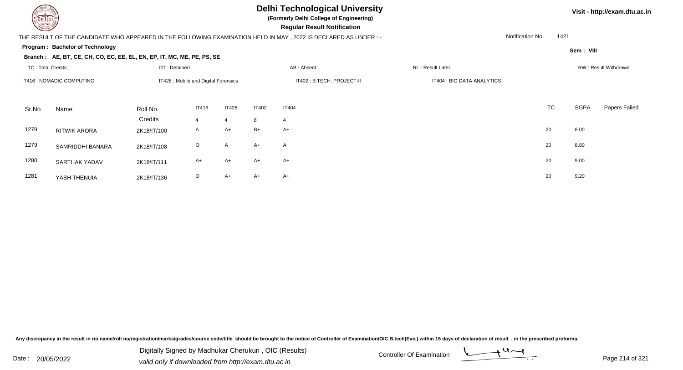**(Formerly Delhi College of Engineering)**

 **Regular Result Notification**

#### THE RESULT OF THE CANDIDATE WHO APPEARED IN THE FOLLOWING EXAMINATION HELD IN MAY , 2022 IS DECLARED AS UNDER : -

**Program : Bachelor of Technology**

#### **Branch : AE, BT, CE, CH, CO, EC, EE, EL, EN, EP, IT, MC, ME, PE, PS, SE**

| Visit - http://exam.dtu.ac.in |
|-------------------------------|
|                               |

Notification No.1421

**Sem : VIII**

#### TC : Total Credits DT : Detainedd AB : Absent RL : Result Later RW : Result Withdrawn Sr.NoName Roll No. **Credits** IT416 : NOMADIC COMPUTINGIT428 : Mobile and Digital Forensics **ITADE STECH. PROJECT-II IT402** : B.TECH. PROJECT-II **ITADE STECH** BIG DATA ANALYTICS IT4166 IT428 IT402 IT404 **TC** TC SGPA Papers Failed 4 <sup>4</sup> <sup>8</sup> <sup>4</sup> 1278 RITWIK ARORAA 2K18/IT/100 A A+ B+ A+  $\rightarrow$  20 8.00 1279 SAMRIDDHI BANARAA 2K18/IT/108 O A A+ A 20 8.80 1280 SARTHAK YADAVV 2K18/IT/111 A+ A+ A+ A+ A+ A+ C+ 20 9.00 1281 YASH THENUIAA 2K18/IT/136 O A+ A+ A+ A+ 20 9.20

Any discrepancy in the result in r/o name/roll no/registration/marks/grades/course code/title should be brought to the notice of Controller of Examination/OIC B.tech(Eve.) within 15 days of declaration of result , in the p

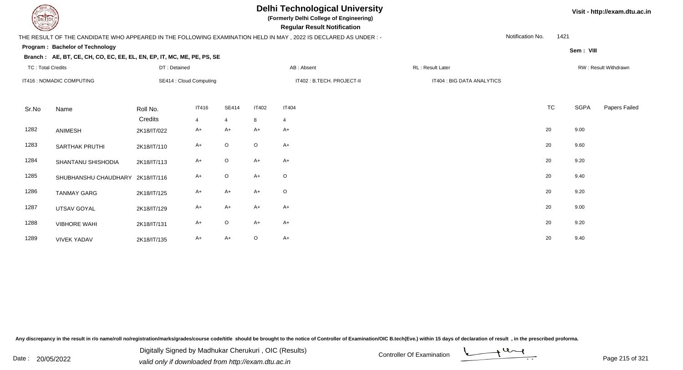**(Formerly Delhi College of Engineering)**

 **Regular Result Notification**

#### THE RESULT OF THE CANDIDATE WHO APPEARED IN THE FOLLOWING EXAMINATION HELD IN MAY , 2022 IS DECLARED AS UNDER : -

**Program : Bachelor of Technology**

#### **Branch : AE, BT, CE, CH, CO, EC, EE, EL, EN, EP, IT, MC, ME, PE, PS, SE**

| Sem: VIII |  |
|-----------|--|

1421

Notification No.

| <b>TC: Total Credits</b> |                                  | DT: Detained            |                |              |              | AB: Absent                 | RL: Result Later |                            |           |      | RW: Result Withdrawn |
|--------------------------|----------------------------------|-------------------------|----------------|--------------|--------------|----------------------------|------------------|----------------------------|-----------|------|----------------------|
|                          | IT416 : NOMADIC COMPUTING        | SE414 : Cloud Computing |                |              |              | IT402 : B.TECH. PROJECT-II |                  | IT404 : BIG DATA ANALYTICS |           |      |                      |
|                          |                                  |                         |                |              |              |                            |                  |                            |           |      |                      |
| Sr.No                    | Name                             | Roll No.                | <b>IT416</b>   | <b>SE414</b> | <b>IT402</b> | <b>IT404</b>               |                  |                            | <b>TC</b> | SGPA | Papers Failed        |
|                          |                                  | Credits                 | $\overline{4}$ | 4            | 8            | $\overline{4}$             |                  |                            |           |      |                      |
| 1282                     | ANIMESH                          | 2K18/IT/022             | $A+$           | $A+$         | $A+$         | $A+$                       |                  |                            | 20        | 9.00 |                      |
| 1283                     | <b>SARTHAK PRUTHI</b>            | 2K18/IT/110             | $A+$           | $\circ$      | $\circ$      | $A+$                       |                  |                            | 20        | 9.60 |                      |
| 1284                     | SHANTANU SHISHODIA               | 2K18/IT/113             | $A+$           | $\circ$      | $A+$         | $A+$                       |                  |                            | $20\,$    | 9.20 |                      |
| 1285                     | SHUBHANSHU CHAUDHARY 2K18/IT/116 |                         | $A+$           | $\circ$      | $A+$         | $\circ$                    |                  |                            | 20        | 9.40 |                      |
| 1286                     | <b>TANMAY GARG</b>               | 2K18/IT/125             | $A+$           | A+           | $A+$         | $\circ$                    |                  |                            | 20        | 9.20 |                      |
| 1287                     | UTSAV GOYAL                      | 2K18/IT/129             | $A+$           | A+           | $A+$         | $A+$                       |                  |                            | 20        | 9.00 |                      |
| 1288                     | <b>VIBHORE WAHI</b>              | 2K18/IT/131             | $A+$           | $\circ$      | $A+$         | $A+$                       |                  |                            | 20        | 9.20 |                      |
| 1289                     | <b>VIVEK YADAV</b>               | 2K18/IT/135             | $A+$           | A+           | $\circ$      | $A+$                       |                  |                            | $20\,$    | 9.40 |                      |

Any discrepancy in the result in r/o name/roll no/registration/marks/grades/course code/title should be brought to the notice of Controller of Examination/OIC B.tech(Eve.) within 15 days of declaration of result, in the pr

Date : 20/05/2022 Digital Digital of Microsofted Chemical Controller Of Examination Determination Page 215 of 32 Digitally Signed by Madhukar Cherukuri , OIC (Results)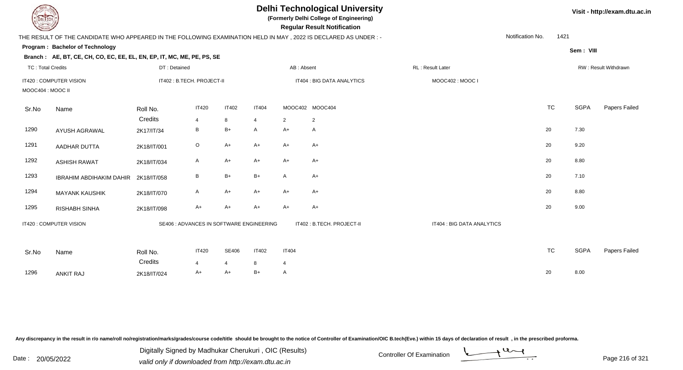| EL ECH                   |                                                                                                                |                            |                   |                         |                                          |                                | <b>Delhi Technological University</b><br>(Formerly Delhi College of Engineering)<br><b>Regular Result Notification</b> |                            |                  |           |             | Visit - http://exam.dtu.ac.in |
|--------------------------|----------------------------------------------------------------------------------------------------------------|----------------------------|-------------------|-------------------------|------------------------------------------|--------------------------------|------------------------------------------------------------------------------------------------------------------------|----------------------------|------------------|-----------|-------------|-------------------------------|
|                          | THE RESULT OF THE CANDIDATE WHO APPEARED IN THE FOLLOWING EXAMINATION HELD IN MAY, 2022 IS DECLARED AS UNDER:- |                            |                   |                         |                                          |                                |                                                                                                                        |                            | Notification No. | 1421      |             |                               |
|                          | Program: Bachelor of Technology                                                                                |                            |                   |                         |                                          |                                |                                                                                                                        |                            |                  |           | Sem: VIII   |                               |
|                          | Branch: AE, BT, CE, CH, CO, EC, EE, EL, EN, EP, IT, MC, ME, PE, PS, SE                                         |                            |                   |                         |                                          |                                |                                                                                                                        |                            |                  |           |             |                               |
| <b>TC: Total Credits</b> |                                                                                                                | DT: Detained               |                   |                         |                                          | AB: Absent                     |                                                                                                                        | RL: Result Later           |                  |           |             | RW: Result Withdrawn          |
| MOOC404 : MOOC II        | IT420 : COMPUTER VISION                                                                                        | IT402 : B.TECH. PROJECT-II |                   |                         |                                          | IT404 : BIG DATA ANALYTICS     |                                                                                                                        | MOOC402: MOOC I            |                  |           |             |                               |
| Sr.No                    | Name                                                                                                           | Roll No.                   | <b>IT420</b>      | <b>IT402</b>            | <b>IT404</b>                             |                                | MOOC402 MOOC404                                                                                                        |                            |                  | <b>TC</b> | <b>SGPA</b> | Papers Failed                 |
|                          |                                                                                                                | Credits                    | $\overline{4}$    | 8                       | 4                                        | $\overline{2}$                 | $\overline{2}$                                                                                                         |                            |                  |           |             |                               |
| 1290                     | AYUSH AGRAWAL                                                                                                  | 2K17/IT/34                 | В                 | $B+$                    | A                                        | $A+$                           | A                                                                                                                      |                            | 20               |           | 7.30        |                               |
| 1291                     | AADHAR DUTTA                                                                                                   | 2K18/IT/001                | $\circ$           | $A+$                    | $A+$                                     | $A+$                           | $A+$                                                                                                                   |                            | 20               |           | 9.20        |                               |
| 1292                     | <b>ASHISH RAWAT</b>                                                                                            | 2K18/IT/034                | A                 | $A+$                    | $A+$                                     | $A+$                           | A+                                                                                                                     |                            | 20               |           | 8.80        |                               |
| 1293                     | <b>IBRAHIM ABDIHAKIM DAHIR</b>                                                                                 | 2K18/IT/058                | B                 | $B+$                    | $B+$                                     | A                              | A+                                                                                                                     |                            | 20               |           | 7.10        |                               |
| 1294                     | <b>MAYANK KAUSHIK</b>                                                                                          | 2K18/IT/070                | A                 | $A+$                    | $A+$                                     | $A+$                           | $A+$                                                                                                                   |                            | 20               |           | 8.80        |                               |
| 1295                     | <b>RISHABH SINHA</b>                                                                                           | 2K18/IT/098                | A+                | $A+$                    | $A+$                                     | $A+$                           | A+                                                                                                                     |                            | 20               |           | 9.00        |                               |
|                          | IT420 : COMPUTER VISION                                                                                        |                            |                   |                         | SE406 : ADVANCES IN SOFTWARE ENGINEERING |                                | IT402: B.TECH. PROJECT-II                                                                                              | IT404 : BIG DATA ANALYTICS |                  |           |             |                               |
| Sr.No                    | Name                                                                                                           | Roll No.<br>Credits        | <b>IT420</b><br>4 | SE406<br>$\overline{4}$ | <b>IT402</b><br>8                        | <b>IT404</b><br>$\overline{4}$ |                                                                                                                        |                            |                  | <b>TC</b> | <b>SGPA</b> | Papers Failed                 |
| 1296                     | <b>ANKIT RAJ</b>                                                                                               | 2K18/IT/024                | A+                | A+                      | $B+$                                     | A                              |                                                                                                                        |                            | 20               |           | 8.00        |                               |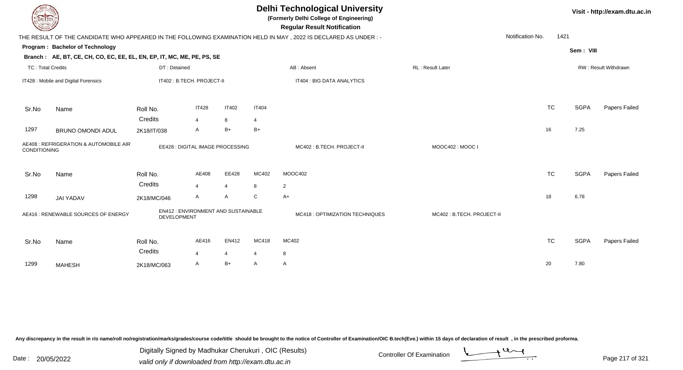|                                                           | <b>Delhi Technological University</b><br>(Formerly Delhi College of Engineering)<br><b>Regular Result Notification</b> |                    |                |                                                                                                              |                                                                         |                                                                                                                |                  |      |                                     |                                                                                                                 |  |  |  |
|-----------------------------------------------------------|------------------------------------------------------------------------------------------------------------------------|--------------------|----------------|--------------------------------------------------------------------------------------------------------------|-------------------------------------------------------------------------|----------------------------------------------------------------------------------------------------------------|------------------|------|-------------------------------------|-----------------------------------------------------------------------------------------------------------------|--|--|--|
|                                                           |                                                                                                                        |                    |                |                                                                                                              |                                                                         |                                                                                                                | Notification No. | 1421 |                                     |                                                                                                                 |  |  |  |
|                                                           |                                                                                                                        |                    |                |                                                                                                              |                                                                         |                                                                                                                |                  |      |                                     |                                                                                                                 |  |  |  |
|                                                           |                                                                                                                        |                    |                |                                                                                                              |                                                                         |                                                                                                                |                  |      |                                     |                                                                                                                 |  |  |  |
|                                                           |                                                                                                                        |                    |                |                                                                                                              | AB: Absent                                                              | RL: Result Later                                                                                               |                  |      |                                     | RW: Result Withdrawn                                                                                            |  |  |  |
|                                                           |                                                                                                                        |                    |                |                                                                                                              | IT404 : BIG DATA ANALYTICS                                              |                                                                                                                |                  |      |                                     |                                                                                                                 |  |  |  |
| Name                                                      | Roll No.                                                                                                               | <b>IT428</b>       | <b>IT402</b>   | <b>IT404</b>                                                                                                 |                                                                         |                                                                                                                |                  |      |                                     | Papers Failed                                                                                                   |  |  |  |
|                                                           | Credits                                                                                                                | 4                  | 8              | 4                                                                                                            |                                                                         |                                                                                                                |                  |      |                                     |                                                                                                                 |  |  |  |
| <b>BRUNO OMONDI ADUL</b>                                  | 2K18/IT/038                                                                                                            | A                  | $B+$           | $B+$                                                                                                         |                                                                         |                                                                                                                | 16               |      |                                     |                                                                                                                 |  |  |  |
| AE408 : REFRIGERATION & AUTOMOBILE AIR<br>CONDITIONING    |                                                                                                                        |                    |                |                                                                                                              | MC402: B.TECH. PROJECT-II                                               | MOOC402: MOOC I                                                                                                |                  |      |                                     |                                                                                                                 |  |  |  |
| Name                                                      | Roll No.                                                                                                               | AE408              | EE428          | MC402                                                                                                        | MOOC402                                                                 |                                                                                                                |                  |      |                                     | Papers Failed                                                                                                   |  |  |  |
|                                                           |                                                                                                                        | $\overline{4}$     | $\overline{4}$ | 8                                                                                                            | $\overline{2}$                                                          |                                                                                                                |                  |      |                                     |                                                                                                                 |  |  |  |
| <b>JAI YADAV</b>                                          | 2K18/MC/046                                                                                                            | A                  | $\mathsf{A}$   | C                                                                                                            | $A+$                                                                    |                                                                                                                | 18               |      |                                     |                                                                                                                 |  |  |  |
| AE416 : RENEWABLE SOURCES OF ENERGY<br><b>DEVELOPMENT</b> |                                                                                                                        |                    |                |                                                                                                              | <b>MC418: OPTIMIZATION TECHNIQUES</b>                                   | MC402: B.TECH. PROJECT-II                                                                                      |                  |      |                                     |                                                                                                                 |  |  |  |
| Name                                                      | Roll No.                                                                                                               | AE416              | EN412          | MC418                                                                                                        | MC402                                                                   |                                                                                                                |                  |      |                                     | Papers Failed                                                                                                   |  |  |  |
|                                                           |                                                                                                                        | $\overline{4}$     | $\overline{4}$ |                                                                                                              | 8                                                                       |                                                                                                                |                  |      |                                     |                                                                                                                 |  |  |  |
| <b>MAHESH</b>                                             | 2K18/MC/063                                                                                                            | A                  |                | A                                                                                                            | $\mathsf{A}$                                                            |                                                                                                                |                  |      |                                     |                                                                                                                 |  |  |  |
|                                                           | DEL ECH<br>Program: Bachelor of Technology<br><b>TC: Total Credits</b><br>IT428 : Mobile and Digital Forensics         | Credits<br>Credits | DT: Detained   | Branch: AE, BT, CE, CH, CO, EC, EE, EL, EN, EP, IT, MC, ME, PE, PS, SE<br>IT402 : B.TECH. PROJECT-II<br>$B+$ | EE428 : DIGITAL IMAGE PROCESSING<br>EN412 : ENVIRONMENT AND SUSTAINABLE | THE RESULT OF THE CANDIDATE WHO APPEARED IN THE FOLLOWING EXAMINATION HELD IN MAY, 2022 IS DECLARED AS UNDER:- |                  | 20   | <b>TC</b><br><b>TC</b><br><b>TC</b> | Visit - http://exam.dtu.ac.in<br>Sem: VIII<br><b>SGPA</b><br>7.25<br><b>SGPA</b><br>6.78<br><b>SGPA</b><br>7.80 |  |  |  |

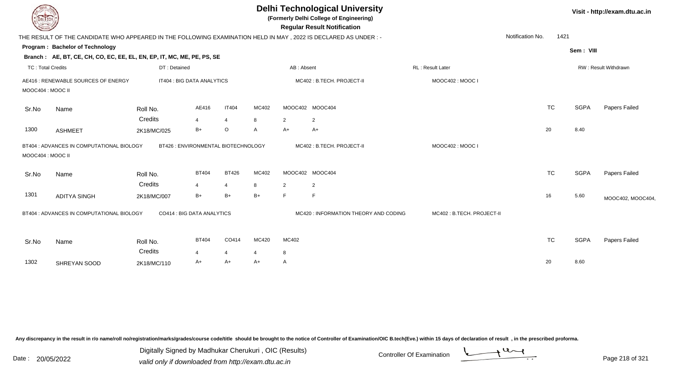| EL ECH                   |                                                                                                                |                            |                      |                      | Visit - http://exam.dtu.ac.in |                |                                       |                           |                  |           |             |                      |
|--------------------------|----------------------------------------------------------------------------------------------------------------|----------------------------|----------------------|----------------------|-------------------------------|----------------|---------------------------------------|---------------------------|------------------|-----------|-------------|----------------------|
|                          | THE RESULT OF THE CANDIDATE WHO APPEARED IN THE FOLLOWING EXAMINATION HELD IN MAY, 2022 IS DECLARED AS UNDER:- |                            |                      |                      |                               |                |                                       |                           | Notification No. | 1421      |             |                      |
|                          | Program: Bachelor of Technology                                                                                |                            |                      |                      |                               |                |                                       |                           |                  |           | Sem: VIII   |                      |
|                          | Branch: AE, BT, CE, CH, CO, EC, EE, EL, EN, EP, IT, MC, ME, PE, PS, SE                                         |                            |                      |                      |                               |                |                                       |                           |                  |           |             |                      |
| <b>TC: Total Credits</b> |                                                                                                                | DT: Detained               |                      |                      |                               | AB: Absent     |                                       | RL: Result Later          |                  |           |             | RW: Result Withdrawn |
| MOOC404: MOOC II         | AE416 : RENEWABLE SOURCES OF ENERGY                                                                            | IT404 : BIG DATA ANALYTICS |                      |                      |                               |                | MC402: B.TECH. PROJECT-II             | MOOC402: MOOC I           |                  |           |             |                      |
| Sr.No                    | Name                                                                                                           | Roll No.                   | AE416                | <b>IT404</b>         | MC402                         |                | MOOC402 MOOC404                       |                           |                  | <b>TC</b> | <b>SGPA</b> | Papers Failed        |
|                          |                                                                                                                | Credits                    | $\overline{4}$       | $\overline{4}$       | 8                             | $\overline{2}$ | 2                                     |                           |                  |           |             |                      |
| 1300                     | <b>ASHMEET</b>                                                                                                 | 2K18/MC/025                | B+                   | $\circ$              | A                             | A+             | $A+$                                  |                           |                  | 20        | 8.40        |                      |
|                          | BT426 : ENVIRONMENTAL BIOTECHNOLOGY<br>BT404 : ADVANCES IN COMPUTATIONAL BIOLOGY<br>MOOC404: MOOC II           |                            |                      |                      |                               |                | MC402: B.TECH. PROJECT-II             | MOOC402: MOOC I           |                  |           |             |                      |
| Sr.No                    | Name                                                                                                           | Roll No.                   | <b>BT404</b>         | <b>BT426</b>         | MC402                         |                | MOOC402 MOOC404                       |                           |                  | <b>TC</b> | <b>SGPA</b> | Papers Failed        |
|                          |                                                                                                                | Credits                    | $\overline{4}$       | $\overline{4}$       | 8                             | $\overline{2}$ | 2                                     |                           |                  |           |             |                      |
| 1301                     | <b>ADITYA SINGH</b>                                                                                            | 2K18/MC/007                | $B+$                 | $B+$                 | $B+$                          | E              | E                                     |                           |                  | 16        | 5.60        | MOOC402, MOOC404,    |
|                          | BT404 : ADVANCES IN COMPUTATIONAL BIOLOGY                                                                      | CO414 : BIG DATA ANALYTICS |                      |                      |                               |                | MC420 : INFORMATION THEORY AND CODING | MC402: B.TECH. PROJECT-II |                  |           |             |                      |
| Sr.No                    | Name                                                                                                           | Roll No.                   | <b>BT404</b>         | CO414                | MC420                         | MC402          |                                       |                           |                  | <b>TC</b> | <b>SGPA</b> | Papers Failed        |
| 1302                     | SHREYAN SOOD                                                                                                   | Credits<br>2K18/MC/110     | $\overline{4}$<br>A+ | $\overline{4}$<br>A+ | 4<br>A+                       | 8<br>A         |                                       |                           |                  | 20        | 8.60        |                      |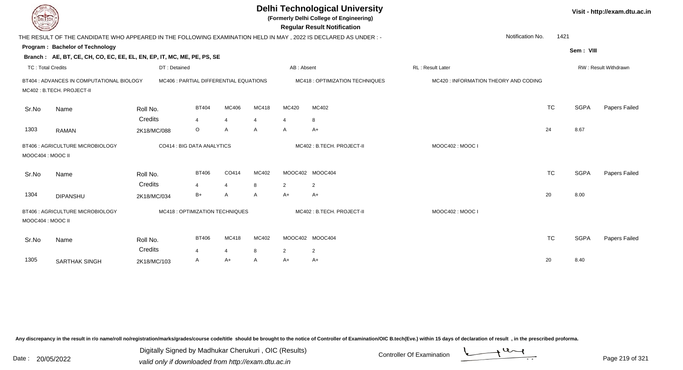| EL TECH                  |                                                                                                                  | <b>Delhi Technological University</b><br>(Formerly Delhi College of Engineering)<br><b>Regular Result Notification</b> |                                        |                     |                |                        |                                 |                                       |           |             |                      |  |  |
|--------------------------|------------------------------------------------------------------------------------------------------------------|------------------------------------------------------------------------------------------------------------------------|----------------------------------------|---------------------|----------------|------------------------|---------------------------------|---------------------------------------|-----------|-------------|----------------------|--|--|
|                          | THE RESULT OF THE CANDIDATE WHO APPEARED IN THE FOLLOWING EXAMINATION HELD IN MAY , 2022 IS DECLARED AS UNDER :- |                                                                                                                        |                                        |                     |                |                        |                                 | Notification No.                      | 1421      |             |                      |  |  |
|                          | Program: Bachelor of Technology                                                                                  |                                                                                                                        |                                        |                     |                |                        |                                 |                                       |           | Sem: VIII   |                      |  |  |
|                          | Branch: AE, BT, CE, CH, CO, EC, EE, EL, EN, EP, IT, MC, ME, PE, PS, SE                                           |                                                                                                                        |                                        |                     |                |                        |                                 |                                       |           |             |                      |  |  |
| <b>TC: Total Credits</b> |                                                                                                                  | DT: Detained                                                                                                           |                                        |                     |                | AB: Absent             |                                 | RL: Result Later                      |           |             | RW: Result Withdrawn |  |  |
|                          | BT404 : ADVANCES IN COMPUTATIONAL BIOLOGY<br>MC402: B.TECH. PROJECT-II                                           |                                                                                                                        | MC406 : PARTIAL DIFFERENTIAL EQUATIONS |                     |                |                        | MC418 : OPTIMIZATION TECHNIQUES | MC420 : INFORMATION THEORY AND CODING |           |             |                      |  |  |
| Sr.No                    | Name                                                                                                             | Roll No.                                                                                                               | <b>BT404</b>                           | MC406               | MC418          | MC420                  | MC402                           |                                       | <b>TC</b> | <b>SGPA</b> | Papers Failed        |  |  |
|                          |                                                                                                                  | Credits                                                                                                                | $\overline{4}$                         | $\overline{4}$      | $\overline{4}$ | $\overline{4}$         | 8                               |                                       |           |             |                      |  |  |
| 1303                     | <b>RAMAN</b>                                                                                                     | 2K18/MC/088                                                                                                            | $\circ$                                | $\overline{A}$      | A              | A                      | $A+$                            |                                       | 24        | 8.67        |                      |  |  |
| MOOC404 : MOOC II        | BT406 : AGRICULTURE MICROBIOLOGY                                                                                 |                                                                                                                        | CO414 : BIG DATA ANALYTICS             |                     |                |                        | MC402: B.TECH. PROJECT-II       | MOOC402: MOOC I                       |           |             |                      |  |  |
| Sr.No                    | Name                                                                                                             | Roll No.<br>Credits                                                                                                    | <b>BT406</b>                           | CO414               | MC402          |                        | MOOC402 MOOC404                 |                                       | <b>TC</b> | <b>SGPA</b> | Papers Failed        |  |  |
| 1304                     | <b>DIPANSHU</b>                                                                                                  | 2K18/MC/034                                                                                                            | $B+$                                   | $\overline{4}$<br>A | 8<br>A         | $\overline{2}$<br>$A+$ | $\overline{2}$<br>$A+$          |                                       | 20        | 8.00        |                      |  |  |
| MOOC404: MOOC II         | BT406 : AGRICULTURE MICROBIOLOGY                                                                                 |                                                                                                                        | MC418 : OPTIMIZATION TECHNIQUES        |                     |                |                        | MC402: B.TECH. PROJECT-II       | MOOC402: MOOC I                       |           |             |                      |  |  |
| Sr.No                    | Name                                                                                                             | Roll No.                                                                                                               | <b>BT406</b>                           | MC418               | MC402          |                        | MOOC402 MOOC404                 |                                       | <b>TC</b> | <b>SGPA</b> | <b>Papers Failed</b> |  |  |
|                          |                                                                                                                  | Credits                                                                                                                | 4                                      | $\overline{4}$      | 8              | $\overline{2}$         | $\overline{2}$                  |                                       |           |             |                      |  |  |
| 1305                     | <b>SARTHAK SINGH</b>                                                                                             | 2K18/MC/103                                                                                                            | A                                      | A+                  | A              | A+                     | A+                              |                                       | 20        | 8.40        |                      |  |  |

Digitally Signed by Madhukar Cherukuri, OIC (Results)<br>Date : 20/05/2022 valid only if downloaded from http://oxam.dtu.ac.in Digitally Signed by Madhukar Cherukuri , OIC (Results)

valid only if downloaded from http://exam.dtu.ac.in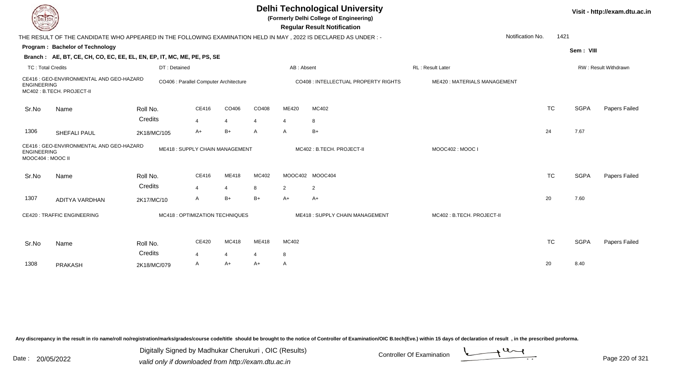| EL ECH                                 |                                                                                                                   |              |                                        |                          |       |                | <b>Delhi Technological University</b><br>(Formerly Delhi College of Engineering)<br><b>Regular Result Notification</b> |                             |           |             | Visit - http://exam.dtu.ac.in |
|----------------------------------------|-------------------------------------------------------------------------------------------------------------------|--------------|----------------------------------------|--------------------------|-------|----------------|------------------------------------------------------------------------------------------------------------------------|-----------------------------|-----------|-------------|-------------------------------|
|                                        | THE RESULT OF THE CANDIDATE WHO APPEARED IN THE FOLLOWING EXAMINATION HELD IN MAY , 2022 IS DECLARED AS UNDER : - |              |                                        |                          |       |                |                                                                                                                        | Notification No.            | 1421      |             |                               |
|                                        | Program: Bachelor of Technology                                                                                   |              |                                        |                          |       |                |                                                                                                                        |                             |           | Sem: VIII   |                               |
|                                        | Branch: AE, BT, CE, CH, CO, EC, EE, EL, EN, EP, IT, MC, ME, PE, PS, SE                                            |              |                                        |                          |       |                |                                                                                                                        |                             |           |             |                               |
| <b>TC: Total Credits</b>               |                                                                                                                   | DT: Detained |                                        |                          |       | AB: Absent     |                                                                                                                        | RL: Result Later            |           |             | RW: Result Withdrawn          |
| <b>ENGINEERING</b>                     | CE416 : GEO-ENVIRONMENTAL AND GEO-HAZARD<br>MC402: B.TECH. PROJECT-II                                             |              | CO406 : Parallel Computer Architecture |                          |       |                | CO408 : INTELLECTUAL PROPERTY RIGHTS                                                                                   | ME420: MATERIALS MANAGEMENT |           |             |                               |
| Sr.No                                  | Name                                                                                                              | Roll No.     | CE416                                  | CO406                    | CO408 | ME420          | MC402                                                                                                                  |                             | <b>TC</b> | <b>SGPA</b> | Papers Failed                 |
|                                        |                                                                                                                   | Credits      | $\overline{4}$                         | $\overline{\mathcal{A}}$ | 4     | $\overline{4}$ | 8                                                                                                                      |                             |           |             |                               |
| 1306                                   | SHEFALI PAUL                                                                                                      | 2K18/MC/105  | A+                                     | $B+$                     | Α     | A              | $B+$                                                                                                                   |                             | 24        | 7.67        |                               |
| <b>ENGINEERING</b><br>MOOC404: MOOC II | CE416 : GEO-ENVIRONMENTAL AND GEO-HAZARD                                                                          |              | ME418: SUPPLY CHAIN MANAGEMENT         |                          |       |                | MC402: B.TECH. PROJECT-II                                                                                              | MOOC402: MOOC I             |           |             |                               |
| Sr.No                                  | Name                                                                                                              | Roll No.     | CE416                                  | ME418                    | MC402 |                | MOOC402 MOOC404                                                                                                        |                             | <b>TC</b> | <b>SGPA</b> | Papers Failed                 |
|                                        |                                                                                                                   | Credits      | 4                                      | $\overline{4}$           | 8     | 2              | $\overline{2}$                                                                                                         |                             |           |             |                               |
| 1307                                   | ADITYA VARDHAN                                                                                                    | 2K17/MC/10   | A                                      | $B+$                     | B+    | $A+$           | $A+$                                                                                                                   |                             | 20        | 7.60        |                               |
|                                        | <b>CE420: TRAFFIC ENGINEERING</b><br>MC418 : OPTIMIZATION TECHNIQUES                                              |              |                                        |                          |       |                | ME418: SUPPLY CHAIN MANAGEMENT                                                                                         | MC402: B.TECH. PROJECT-II   |           |             |                               |
| Sr.No                                  | Name                                                                                                              | Roll No.     | CE420                                  | MC418                    | ME418 | MC402          |                                                                                                                        |                             | <b>TC</b> | <b>SGPA</b> | Papers Failed                 |
|                                        |                                                                                                                   | Credits      | $\overline{4}$                         | $\overline{\mathbf{4}}$  |       | 8              |                                                                                                                        |                             |           |             |                               |
| 1308                                   | <b>PRAKASH</b>                                                                                                    | 2K18/MC/079  | A                                      | A+                       | A+    | A              |                                                                                                                        |                             | 20        | 8.40        |                               |
|                                        |                                                                                                                   |              |                                        |                          |       |                |                                                                                                                        |                             |           |             |                               |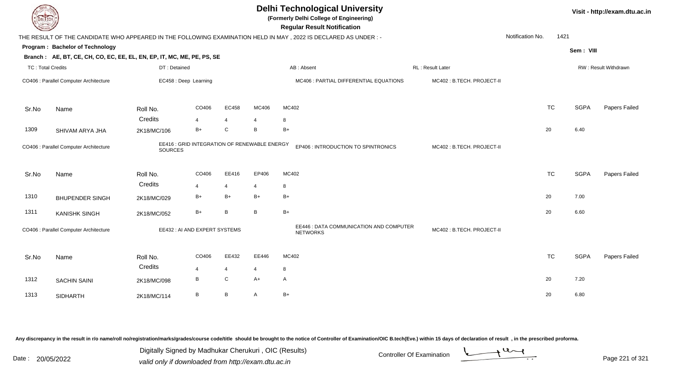| <b>Delhi Technological University</b><br>(Formerly Delhi College of Engineering)<br>DEL TECH<br><b>Regular Result Notification</b> |                                                                        |                |                                              |                |                |                                                                                                                 |  |                           |                  |           |             | Visit - http://exam.dtu.ac.in |
|------------------------------------------------------------------------------------------------------------------------------------|------------------------------------------------------------------------|----------------|----------------------------------------------|----------------|----------------|-----------------------------------------------------------------------------------------------------------------|--|---------------------------|------------------|-----------|-------------|-------------------------------|
|                                                                                                                                    |                                                                        |                |                                              |                |                | THE RESULT OF THE CANDIDATE WHO APPEARED IN THE FOLLOWING EXAMINATION HELD IN MAY, 2022 IS DECLARED AS UNDER :- |  |                           | Notification No. | 1421      |             |                               |
|                                                                                                                                    | Program: Bachelor of Technology                                        |                |                                              |                |                |                                                                                                                 |  |                           |                  |           | Sem: VIII   |                               |
|                                                                                                                                    | Branch: AE, BT, CE, CH, CO, EC, EE, EL, EN, EP, IT, MC, ME, PE, PS, SE |                |                                              |                |                |                                                                                                                 |  |                           |                  |           |             |                               |
| <b>TC: Total Credits</b>                                                                                                           |                                                                        | DT: Detained   |                                              |                |                | AB: Absent                                                                                                      |  | <b>RL: Result Later</b>   |                  |           |             | <b>RW: Result Withdrawn</b>   |
|                                                                                                                                    | CO406 : Parallel Computer Architecture                                 |                | EC458 : Deep Learning                        |                |                | MC406 : PARTIAL DIFFERENTIAL EQUATIONS                                                                          |  | MC402: B.TECH. PROJECT-II |                  |           |             |                               |
| Sr.No                                                                                                                              | Name                                                                   | Roll No.       | CO406                                        | EC458          | MC406          | MC402                                                                                                           |  |                           |                  | <b>TC</b> | <b>SGPA</b> | Papers Failed                 |
|                                                                                                                                    |                                                                        | Credits        | $\overline{\mathbf{4}}$                      | $\overline{4}$ | $\overline{4}$ | 8                                                                                                               |  |                           |                  |           |             |                               |
| 1309                                                                                                                               | SHIVAM ARYA JHA                                                        | 2K18/MC/106    | $B+$                                         | ${\bf C}$      | B              | $B+$                                                                                                            |  |                           |                  | 20        | 6.40        |                               |
|                                                                                                                                    | CO406 : Parallel Computer Architecture                                 | <b>SOURCES</b> | EE416 : GRID INTEGRATION OF RENEWABLE ENERGY |                |                | EP406 : INTRODUCTION TO SPINTRONICS                                                                             |  | MC402: B.TECH. PROJECT-II |                  |           |             |                               |
| Sr.No                                                                                                                              | Name                                                                   | Roll No.       | CO406                                        | EE416          | EP406          | MC402                                                                                                           |  |                           |                  | <b>TC</b> | <b>SGPA</b> | Papers Failed                 |
|                                                                                                                                    |                                                                        | Credits        | $\overline{\mathbf{4}}$                      | $\overline{4}$ | $\overline{4}$ | 8                                                                                                               |  |                           |                  |           |             |                               |
| 1310                                                                                                                               | <b>BHUPENDER SINGH</b>                                                 | 2K18/MC/029    | $B+$                                         | $B+$           | $B+$           | $B+$                                                                                                            |  |                           |                  | 20        | 7.00        |                               |
| 1311                                                                                                                               | <b>KANISHK SINGH</b>                                                   | 2K18/MC/052    | $B+$                                         | $\overline{B}$ | B              | $B+$                                                                                                            |  |                           |                  | 20        | 6.60        |                               |
|                                                                                                                                    | CO406 : Parallel Computer Architecture                                 |                | EE432 : AI AND EXPERT SYSTEMS                |                |                | EE446 : DATA COMMUNICATION AND COMPUTER<br><b>NETWORKS</b>                                                      |  | MC402: B.TECH. PROJECT-II |                  |           |             |                               |
| Sr.No                                                                                                                              | Name                                                                   | Roll No.       | CO406                                        | EE432          | EE446          | MC402                                                                                                           |  |                           |                  | <b>TC</b> | <b>SGPA</b> | Papers Failed                 |
|                                                                                                                                    |                                                                        | Credits        | $\overline{4}$                               | $\overline{4}$ | $\overline{4}$ | 8                                                                                                               |  |                           |                  |           |             |                               |
| 1312                                                                                                                               | <b>SACHIN SAINI</b>                                                    | 2K18/MC/098    | $\, {\bf B}$                                 | ${\bf C}$      | $A+$           | A                                                                                                               |  |                           |                  | 20        | 7.20        |                               |
| 1313                                                                                                                               | <b>SIDHARTH</b>                                                        | 2K18/MC/114    | B                                            | $\mathsf B$    | A              | $B+$                                                                                                            |  |                           |                  | 20        | 6.80        |                               |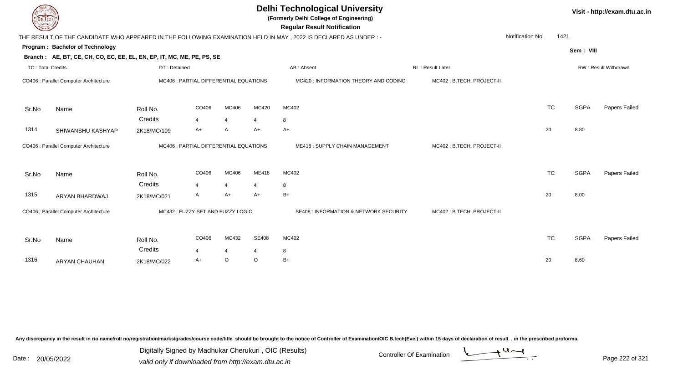| EL ECH            |                                                                                  |              |                                        |                         | Visit - http://exam.dtu.ac.in |                                                                                                                                                      |                           |                  |           |             |                             |
|-------------------|----------------------------------------------------------------------------------|--------------|----------------------------------------|-------------------------|-------------------------------|------------------------------------------------------------------------------------------------------------------------------------------------------|---------------------------|------------------|-----------|-------------|-----------------------------|
|                   |                                                                                  |              |                                        |                         |                               | <b>Regular Result Notification</b><br>THE RESULT OF THE CANDIDATE WHO APPEARED IN THE FOLLOWING EXAMINATION HELD IN MAY, 2022 IS DECLARED AS UNDER:- |                           | Notification No. | 1421      |             |                             |
|                   | Program: Bachelor of Technology                                                  |              |                                        |                         |                               |                                                                                                                                                      |                           |                  |           | Sem: VIII   |                             |
|                   | Branch: AE, BT, CE, CH, CO, EC, EE, EL, EN, EP, IT, MC, ME, PE, PS, SE           |              |                                        |                         |                               |                                                                                                                                                      |                           |                  |           |             |                             |
| TC: Total Credits |                                                                                  | DT: Detained |                                        |                         |                               | AB: Absent                                                                                                                                           | <b>RL: Result Later</b>   |                  |           |             | <b>RW: Result Withdrawn</b> |
|                   | CO406 : Parallel Computer Architecture                                           |              | MC406 : PARTIAL DIFFERENTIAL EQUATIONS |                         |                               | MC420 : INFORMATION THEORY AND CODING                                                                                                                | MC402: B.TECH. PROJECT-II |                  |           |             |                             |
| Sr.No             | Name                                                                             | Roll No.     | CO406                                  | MC406                   | MC420                         | MC402                                                                                                                                                |                           |                  | <b>TC</b> | <b>SGPA</b> | Papers Failed               |
|                   |                                                                                  | Credits      | 4                                      | $\overline{\mathbf{4}}$ |                               | 8                                                                                                                                                    |                           |                  |           |             |                             |
| 1314              | SHIWANSHU KASHYAP                                                                | 2K18/MC/109  | A+                                     | $\overline{A}$          | $A+$                          | $A+$                                                                                                                                                 |                           |                  | 20        | 8.80        |                             |
|                   | CO406 : Parallel Computer Architecture<br>MC406 : PARTIAL DIFFERENTIAL EQUATIONS |              |                                        |                         |                               | ME418: SUPPLY CHAIN MANAGEMENT                                                                                                                       | MC402: B.TECH. PROJECT-II |                  |           |             |                             |
| Sr.No             | Name                                                                             | Roll No.     | CO406                                  | MC406                   | ME418                         | MC402                                                                                                                                                |                           |                  | <b>TC</b> | <b>SGPA</b> | Papers Failed               |
|                   |                                                                                  | Credits      | 4                                      | $\overline{\mathbf{4}}$ | $\Delta$                      | 8                                                                                                                                                    |                           |                  |           |             |                             |
| 1315              | ARYAN BHARDWAJ                                                                   | 2K18/MC/021  | A                                      | $A+$                    | $A+$                          | $B+$                                                                                                                                                 |                           |                  | 20        | 8.00        |                             |
|                   | CO406 : Parallel Computer Architecture                                           |              | MC432: FUZZY SET AND FUZZY LOGIC       |                         |                               | <b>SE408 : INFORMATION &amp; NETWORK SECURITY</b>                                                                                                    | MC402: B.TECH. PROJECT-II |                  |           |             |                             |
| Sr.No             | Name                                                                             | Roll No.     | CO406                                  | MC432                   | <b>SE408</b>                  | MC402                                                                                                                                                |                           |                  | <b>TC</b> | <b>SGPA</b> | Papers Failed               |
|                   |                                                                                  | Credits      | 4                                      | $\overline{4}$          | $\overline{4}$                | 8                                                                                                                                                    |                           |                  |           |             |                             |
| 1316              | <b>ARYAN CHAUHAN</b>                                                             | 2K18/MC/022  | A+                                     | $\circ$                 | $\circ$                       | $B+$                                                                                                                                                 |                           |                  | 20        | 8.60        |                             |

Digitally Signed by Madhukar Cherukuri, OIC (Results)<br>Date : 20/05/2022 valid only if downloaded from http://oxam.dtu.ac.in Digitally Signed by Madhukar Cherukuri , OIC (Results)

valid only if downloaded from http://exam.dtu.ac.in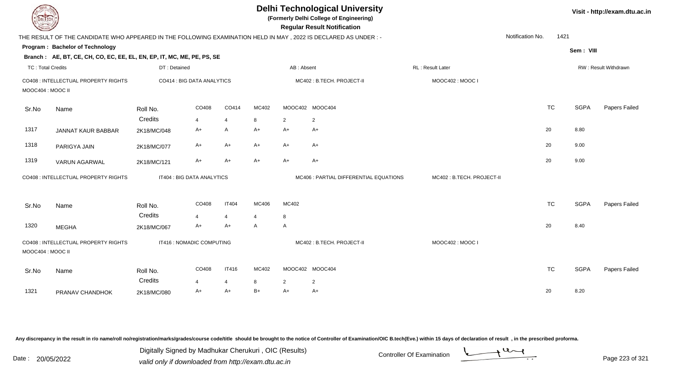| <b>DELTECH</b>           |                                                                                                                 |              |                            |                |                         |                | <b>Delhi Technological University</b><br>(Formerly Delhi College of Engineering)<br><b>Regular Result Notification</b> |                           |                  |           |             | Visit - http://exam.dtu.ac.in |
|--------------------------|-----------------------------------------------------------------------------------------------------------------|--------------|----------------------------|----------------|-------------------------|----------------|------------------------------------------------------------------------------------------------------------------------|---------------------------|------------------|-----------|-------------|-------------------------------|
|                          | THE RESULT OF THE CANDIDATE WHO APPEARED IN THE FOLLOWING EXAMINATION HELD IN MAY, 2022 IS DECLARED AS UNDER :- |              |                            |                |                         |                |                                                                                                                        |                           | Notification No. | 1421      |             |                               |
|                          | Program: Bachelor of Technology                                                                                 |              |                            |                |                         |                |                                                                                                                        |                           |                  |           | Sem: VIII   |                               |
|                          | Branch: AE, BT, CE, CH, CO, EC, EE, EL, EN, EP, IT, MC, ME, PE, PS, SE                                          |              |                            |                |                         |                |                                                                                                                        |                           |                  |           |             |                               |
| <b>TC: Total Credits</b> |                                                                                                                 | DT: Detained |                            |                |                         | AB: Absent     |                                                                                                                        | RL: Result Later          |                  |           |             | RW: Result Withdrawn          |
| MOOC404 : MOOC II        | CO408 : INTELLECTUAL PROPERTY RIGHTS                                                                            |              | CO414 : BIG DATA ANALYTICS |                |                         |                | MC402: B.TECH. PROJECT-II                                                                                              | MOOC402: MOOC I           |                  |           |             |                               |
| Sr.No                    | Name                                                                                                            | Roll No.     | CO408                      | CO414          | MC402                   |                | MOOC402 MOOC404                                                                                                        |                           |                  | <b>TC</b> | <b>SGPA</b> | Papers Failed                 |
|                          |                                                                                                                 | Credits      | $\overline{4}$             | $\overline{4}$ | 8                       | $\overline{2}$ | $\overline{2}$                                                                                                         |                           |                  |           |             |                               |
| 1317                     | JANNAT KAUR BABBAR                                                                                              | 2K18/MC/048  | $A+$                       | A              | $A+$                    | $A+$           | $A+$                                                                                                                   |                           |                  | 20        | 8.80        |                               |
| 1318                     | PARIGYA JAIN                                                                                                    | 2K18/MC/077  | $A+$                       | $A+$           | $A+$                    | $A+$           | $A+$                                                                                                                   |                           |                  | 20        | 9.00        |                               |
| 1319                     | <b>VARUN AGARWAL</b>                                                                                            | 2K18/MC/121  | $A+$                       | $A+$           | $A+$                    | $A+$           | $A+$                                                                                                                   |                           |                  | 20        | 9.00        |                               |
|                          | CO408 : INTELLECTUAL PROPERTY RIGHTS                                                                            |              | IT404 : BIG DATA ANALYTICS |                |                         |                | MC406 : PARTIAL DIFFERENTIAL EQUATIONS                                                                                 | MC402: B.TECH. PROJECT-II |                  |           |             |                               |
| Sr.No                    | Name                                                                                                            | Roll No.     | CO408                      | <b>IT404</b>   | MC406                   | MC402          |                                                                                                                        |                           |                  | <b>TC</b> | <b>SGPA</b> | Papers Failed                 |
|                          |                                                                                                                 | Credits      | $\overline{4}$             | $\overline{4}$ | $\overline{\mathbf{4}}$ | 8              |                                                                                                                        |                           |                  |           |             |                               |
| 1320                     | <b>MEGHA</b>                                                                                                    | 2K18/MC/067  | $A+$                       | A+             | A                       | A              |                                                                                                                        |                           |                  | 20        | 8.40        |                               |
| MOOC404 : MOOC II        | CO408 : INTELLECTUAL PROPERTY RIGHTS                                                                            |              | IT416 : NOMADIC COMPUTING  |                |                         |                | MC402: B.TECH. PROJECT-II                                                                                              | MOOC402: MOOC I           |                  |           |             |                               |
| Sr.No                    | Name                                                                                                            | Roll No.     | CO408                      | <b>IT416</b>   | MC402                   |                | MOOC402 MOOC404                                                                                                        |                           |                  | <b>TC</b> | <b>SGPA</b> | Papers Failed                 |
|                          |                                                                                                                 | Credits      | $\overline{4}$             | 4              | 8                       | 2              | 2                                                                                                                      |                           |                  |           |             |                               |
| 1321                     | PRANAV CHANDHOK                                                                                                 | 2K18/MC/080  | $A+$                       | $A+$           | $B+$                    | $A+$           | $A+$                                                                                                                   |                           |                  | 20        | 8.20        |                               |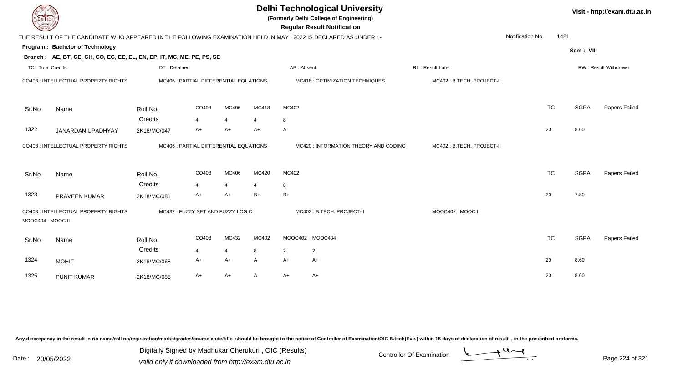| <b>DELTECH</b>           |                                                                                                                 |                                        |       |                |                | Visit - http://exam.dtu.ac.in |                                       |                           |                  |           |             |                      |
|--------------------------|-----------------------------------------------------------------------------------------------------------------|----------------------------------------|-------|----------------|----------------|-------------------------------|---------------------------------------|---------------------------|------------------|-----------|-------------|----------------------|
|                          | THE RESULT OF THE CANDIDATE WHO APPEARED IN THE FOLLOWING EXAMINATION HELD IN MAY, 2022 IS DECLARED AS UNDER :- |                                        |       |                |                |                               | <b>Regular Result Notification</b>    |                           | Notification No. | 1421      |             |                      |
|                          | Program: Bachelor of Technology                                                                                 |                                        |       |                |                |                               |                                       |                           |                  |           | Sem: VIII   |                      |
|                          | Branch: AE, BT, CE, CH, CO, EC, EE, EL, EN, EP, IT, MC, ME, PE, PS, SE                                          |                                        |       |                |                |                               |                                       |                           |                  |           |             |                      |
| <b>TC: Total Credits</b> |                                                                                                                 | DT: Detained                           |       |                |                | AB: Absent                    |                                       | RL : Result Later         |                  |           |             | RW: Result Withdrawn |
|                          | CO408 : INTELLECTUAL PROPERTY RIGHTS                                                                            | MC406 : PARTIAL DIFFERENTIAL EQUATIONS |       |                |                |                               | MC418 : OPTIMIZATION TECHNIQUES       | MC402: B.TECH. PROJECT-II |                  |           |             |                      |
| Sr.No                    | Name                                                                                                            | Roll No.                               | CO408 | MC406          | MC418          | MC402                         |                                       |                           |                  | <b>TC</b> | <b>SGPA</b> | Papers Failed        |
|                          |                                                                                                                 | Credits                                | 4     | 4              | $\overline{a}$ | 8                             |                                       |                           |                  |           |             |                      |
| 1322                     | JANARDAN UPADHYAY                                                                                               | 2K18/MC/047                            | A+    | $A+$           | $A+$           | A                             |                                       |                           |                  | 20        | 8.60        |                      |
|                          | CO408 : INTELLECTUAL PROPERTY RIGHTS                                                                            | MC406 : PARTIAL DIFFERENTIAL EQUATIONS |       |                |                |                               | MC420 : INFORMATION THEORY AND CODING | MC402: B.TECH. PROJECT-II |                  |           |             |                      |
| Sr.No                    | Name                                                                                                            | Roll No.                               | CO408 | MC406          | MC420          | MC402                         |                                       |                           |                  | <b>TC</b> | <b>SGPA</b> | Papers Failed        |
|                          |                                                                                                                 | Credits                                | 4     | $\overline{4}$ | 4              | 8                             |                                       |                           |                  |           |             |                      |
| 1323                     | <b>PRAVEEN KUMAR</b>                                                                                            | 2K18/MC/081                            | A+    | $A+$           | $B+$           | $B+$                          |                                       |                           |                  | 20        | 7.80        |                      |
| MOOC404 : MOOC II        | CO408 : INTELLECTUAL PROPERTY RIGHTS                                                                            | MC432: FUZZY SET AND FUZZY LOGIC       |       |                |                |                               | MC402: B.TECH. PROJECT-II             | MOOC402: MOOC I           |                  |           |             |                      |
| Sr.No                    | Name                                                                                                            | Roll No.                               | CO408 | MC432          | MC402          |                               | MOOC402 MOOC404                       |                           |                  | <b>TC</b> | <b>SGPA</b> | Papers Failed        |
|                          |                                                                                                                 | Credits                                | 4     | $\overline{4}$ | 8              | 2                             | $\overline{2}$                        |                           |                  |           |             |                      |
| 1324                     | <b>MOHIT</b>                                                                                                    | 2K18/MC/068                            | A+    | $A+$           | A              | $A+$                          | A+                                    |                           |                  | 20        | 8.60        |                      |
| 1325                     | <b>PUNIT KUMAR</b>                                                                                              | 2K18/MC/085                            | A+    | $A+$           | A              | A+                            | A+                                    |                           |                  | 20        | 8.60        |                      |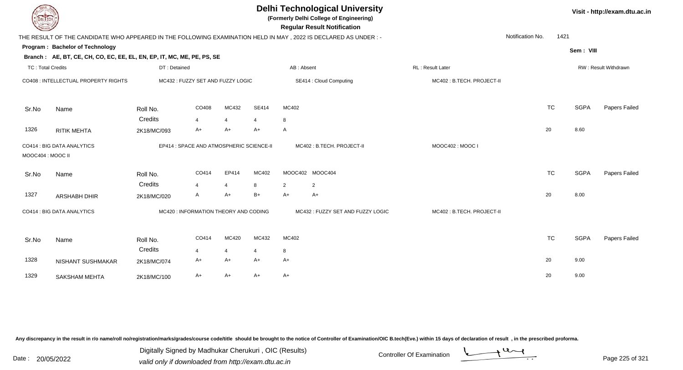| EL ECH                   |                                                                        | <b>Delhi Technological University</b><br>(Formerly Delhi College of Engineering)<br><b>Regular Result Notification</b> |                                       |                           |                 |                                                                                                                |                           |                  |             |                      |  |  |  |
|--------------------------|------------------------------------------------------------------------|------------------------------------------------------------------------------------------------------------------------|---------------------------------------|---------------------------|-----------------|----------------------------------------------------------------------------------------------------------------|---------------------------|------------------|-------------|----------------------|--|--|--|
|                          |                                                                        |                                                                                                                        |                                       |                           |                 | THE RESULT OF THE CANDIDATE WHO APPEARED IN THE FOLLOWING EXAMINATION HELD IN MAY, 2022 IS DECLARED AS UNDER:- |                           | Notification No. | 1421        |                      |  |  |  |
|                          | Program: Bachelor of Technology                                        |                                                                                                                        |                                       |                           |                 |                                                                                                                |                           |                  | Sem: VIII   |                      |  |  |  |
|                          | Branch: AE, BT, CE, CH, CO, EC, EE, EL, EN, EP, IT, MC, ME, PE, PS, SE |                                                                                                                        |                                       |                           |                 |                                                                                                                |                           |                  |             |                      |  |  |  |
| <b>TC: Total Credits</b> |                                                                        | DT: Detained                                                                                                           |                                       |                           |                 | AB: Absent                                                                                                     | RL: Result Later          |                  |             | RW: Result Withdrawn |  |  |  |
|                          | CO408 : INTELLECTUAL PROPERTY RIGHTS                                   |                                                                                                                        | MC432: FUZZY SET AND FUZZY LOGIC      |                           |                 | SE414 : Cloud Computing                                                                                        | MC402: B.TECH. PROJECT-II |                  |             |                      |  |  |  |
| Sr.No                    | Name                                                                   | Roll No.                                                                                                               | CO408                                 | MC432                     | SE414           | MC402                                                                                                          |                           | <b>TC</b>        | <b>SGPA</b> | Papers Failed        |  |  |  |
|                          |                                                                        | Credits                                                                                                                | $\overline{4}$                        | $\overline{4}$            | $\overline{4}$  | 8                                                                                                              |                           |                  |             |                      |  |  |  |
| 1326                     | <b>RITIK MEHTA</b>                                                     | 2K18/MC/093                                                                                                            | A+                                    | A+                        | $A+$            | A                                                                                                              |                           | 20               | 8.60        |                      |  |  |  |
| MOOC404 : MOOC II        | CO414 : BIG DATA ANALYTICS<br>EP414 : SPACE AND ATMOSPHERIC SCIENCE-II |                                                                                                                        |                                       | MC402: B.TECH. PROJECT-II | MOOC402: MOOC I |                                                                                                                |                           |                  |             |                      |  |  |  |
|                          |                                                                        |                                                                                                                        |                                       |                           |                 |                                                                                                                |                           |                  |             |                      |  |  |  |
| Sr.No                    | Name                                                                   | Roll No.                                                                                                               | CO414                                 | EP414                     | MC402           | MOOC402 MOOC404                                                                                                |                           | <b>TC</b>        | <b>SGPA</b> | Papers Failed        |  |  |  |
|                          |                                                                        | Credits                                                                                                                | 4                                     | $\overline{4}$            | 8               | $\overline{2}$<br>$\overline{2}$                                                                               |                           |                  |             |                      |  |  |  |
| 1327                     | ARSHABH DHIR                                                           | 2K18/MC/020                                                                                                            | A                                     | A+                        | $B+$            | $A+$<br>$A+$                                                                                                   |                           | 20               | 8.00        |                      |  |  |  |
|                          | CO414 : BIG DATA ANALYTICS                                             |                                                                                                                        | MC420 : INFORMATION THEORY AND CODING |                           |                 | MC432: FUZZY SET AND FUZZY LOGIC                                                                               | MC402: B.TECH. PROJECT-II |                  |             |                      |  |  |  |
| Sr.No                    | Name                                                                   | Roll No.                                                                                                               | CO414                                 | MC420                     | MC432           | MC402                                                                                                          |                           | <b>TC</b>        | <b>SGPA</b> | Papers Failed        |  |  |  |
|                          |                                                                        | Credits                                                                                                                | 4                                     | $\overline{4}$            | 4               | 8                                                                                                              |                           |                  |             |                      |  |  |  |
| 1328                     | NISHANT SUSHMAKAR                                                      | 2K18/MC/074                                                                                                            | A+                                    | $A+$                      | $A+$            | $A+$                                                                                                           |                           | 20               | 9.00        |                      |  |  |  |
| 1329                     | SAKSHAM MEHTA                                                          | 2K18/MC/100                                                                                                            | A+                                    | A+                        | $A+$            | $A+$                                                                                                           |                           | 20               | 9.00        |                      |  |  |  |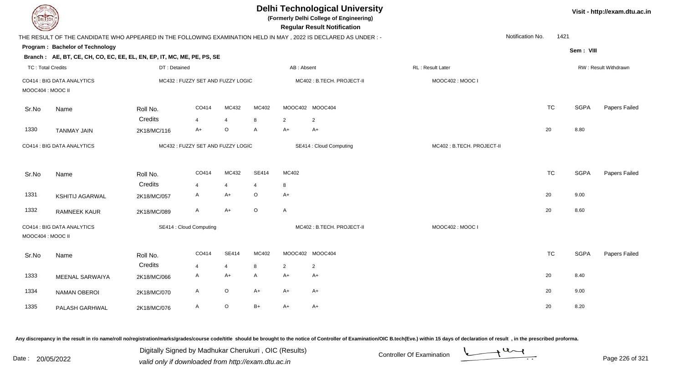| <b>DELTECH</b>           |                                                                        |              |                                  |                |                |                         | <b>Delhi Technological University</b><br>(Formerly Delhi College of Engineering)<br><b>Regular Result Notification</b> |                  |                  |           |             | Visit - http://exam.dtu.ac.in |
|--------------------------|------------------------------------------------------------------------|--------------|----------------------------------|----------------|----------------|-------------------------|------------------------------------------------------------------------------------------------------------------------|------------------|------------------|-----------|-------------|-------------------------------|
|                          |                                                                        |              |                                  |                |                |                         | THE RESULT OF THE CANDIDATE WHO APPEARED IN THE FOLLOWING EXAMINATION HELD IN MAY, 2022 IS DECLARED AS UNDER:-         |                  | Notification No. | 1421      |             |                               |
|                          | <b>Program: Bachelor of Technology</b>                                 |              |                                  |                |                |                         |                                                                                                                        |                  |                  |           | Sem: VIII   |                               |
|                          | Branch: AE, BT, CE, CH, CO, EC, EE, EL, EN, EP, IT, MC, ME, PE, PS, SE |              |                                  |                |                |                         |                                                                                                                        |                  |                  |           |             |                               |
| <b>TC: Total Credits</b> |                                                                        | DT: Detained |                                  |                |                | AB: Absent              |                                                                                                                        | RL: Result Later |                  |           |             | RW: Result Withdrawn          |
| MOOC404 : MOOC II        | CO414 : BIG DATA ANALYTICS                                             |              | MC432: FUZZY SET AND FUZZY LOGIC |                |                |                         | MC402: B.TECH. PROJECT-II                                                                                              | MOOC402: MOOC I  |                  |           |             |                               |
| Sr.No                    | Name                                                                   | Roll No.     | CO414                            | MC432          | MC402          |                         | MOOC402 MOOC404                                                                                                        |                  | <b>TC</b>        |           | <b>SGPA</b> | Papers Failed                 |
|                          |                                                                        | Credits      | 4                                | $\overline{4}$ | 8              | $\overline{2}$          | $\overline{2}$                                                                                                         |                  |                  |           |             |                               |
| 1330                     | <b>TANMAY JAIN</b>                                                     | 2K18/MC/116  | $A+$                             | O              | A              | $A+$                    | $A+$                                                                                                                   |                  | 20               |           | 8.80        |                               |
|                          | MC432: FUZZY SET AND FUZZY LOGIC<br>CO414 : BIG DATA ANALYTICS         |              |                                  |                |                | SE414 : Cloud Computing | MC402: B.TECH. PROJECT-II                                                                                              |                  |                  |           |             |                               |
| Sr.No                    | Name                                                                   | Roll No.     | CO414                            | MC432          | <b>SE414</b>   | MC402                   |                                                                                                                        |                  |                  | <b>TC</b> | <b>SGPA</b> | Papers Failed                 |
|                          |                                                                        | Credits      | $\overline{4}$                   | $\overline{4}$ | $\overline{4}$ | 8                       |                                                                                                                        |                  |                  |           |             |                               |
| 1331                     | <b>KSHITIJ AGARWAL</b>                                                 | 2K18/MC/057  | $\mathsf{A}$                     | $A+$           | $\circ$        | $A+$                    |                                                                                                                        |                  | 20               |           | 9.00        |                               |
| 1332                     | RAMNEEK KAUR                                                           | 2K18/MC/089  | A                                | $A+$           | $\circ$        | A                       |                                                                                                                        |                  | 20               |           | 8.60        |                               |
| MOOC404 : MOOC II        | CO414 : BIG DATA ANALYTICS                                             |              | SE414 : Cloud Computing          |                |                |                         | MC402: B.TECH. PROJECT-II                                                                                              | MOOC402: MOOC I  |                  |           |             |                               |
| Sr.No                    | Name                                                                   | Roll No.     | CO414                            | <b>SE414</b>   | MC402          |                         | MOOC402 MOOC404                                                                                                        |                  | <b>TC</b>        |           | <b>SGPA</b> | Papers Failed                 |
|                          |                                                                        | Credits      | $\overline{4}$                   | $\overline{4}$ | 8              | $\overline{2}$          | $\overline{2}$                                                                                                         |                  |                  |           |             |                               |
| 1333                     | MEENAL SARWAIYA                                                        | 2K18/MC/066  | $\mathsf{A}$                     | $A+$           | $\mathsf{A}$   | $A+$                    | $A+$                                                                                                                   |                  | 20               |           | 8.40        |                               |
| 1334                     | <b>NAMAN OBEROI</b>                                                    | 2K18/MC/070  | A                                | $\mathsf O$    | A+             | $A+$                    | $A+$                                                                                                                   |                  | 20               |           | 9.00        |                               |
| 1335                     | PALASH GARHWAL                                                         | 2K18/MC/076  | $\mathsf{A}$                     | $\mathsf O$    | $B+$           | $A+$                    | $A+$                                                                                                                   |                  | 20               |           | 8.20        |                               |

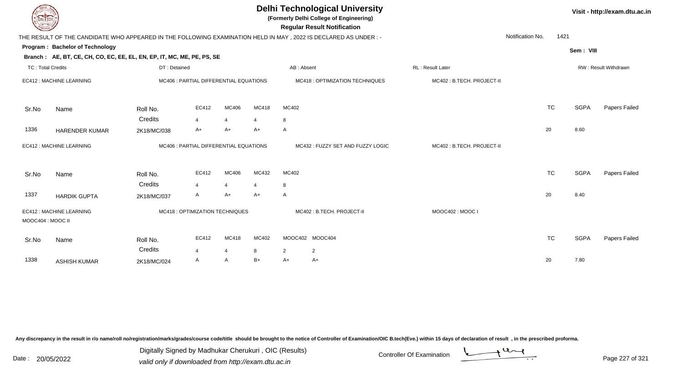| <b>DELTECH</b>           |                                                                        | <b>Delhi Technological University</b><br>(Formerly Delhi College of Engineering)<br><b>Regular Result Notification</b> |                                        |                                  |                           |                                                                                                                 |                           |                  |             |                      |  |  |  |
|--------------------------|------------------------------------------------------------------------|------------------------------------------------------------------------------------------------------------------------|----------------------------------------|----------------------------------|---------------------------|-----------------------------------------------------------------------------------------------------------------|---------------------------|------------------|-------------|----------------------|--|--|--|
|                          |                                                                        |                                                                                                                        |                                        |                                  |                           | THE RESULT OF THE CANDIDATE WHO APPEARED IN THE FOLLOWING EXAMINATION HELD IN MAY, 2022 IS DECLARED AS UNDER :- |                           | Notification No. | 1421        |                      |  |  |  |
|                          | Program: Bachelor of Technology                                        |                                                                                                                        |                                        |                                  |                           |                                                                                                                 |                           |                  | Sem: VIII   |                      |  |  |  |
|                          | Branch: AE, BT, CE, CH, CO, EC, EE, EL, EN, EP, IT, MC, ME, PE, PS, SE |                                                                                                                        |                                        |                                  |                           |                                                                                                                 |                           |                  |             |                      |  |  |  |
| <b>TC: Total Credits</b> |                                                                        | DT: Detained                                                                                                           |                                        |                                  |                           | AB: Absent                                                                                                      | RL: Result Later          |                  |             | RW: Result Withdrawn |  |  |  |
|                          | EC412 : MACHINE LEARNING                                               |                                                                                                                        | MC406 : PARTIAL DIFFERENTIAL EQUATIONS |                                  |                           | MC418 : OPTIMIZATION TECHNIQUES                                                                                 | MC402: B.TECH. PROJECT-II |                  |             |                      |  |  |  |
| Sr.No                    | Name                                                                   | Roll No.                                                                                                               | EC412                                  | MC406                            | MC418                     | MC402                                                                                                           |                           | <b>TC</b>        | <b>SGPA</b> | Papers Failed        |  |  |  |
|                          |                                                                        | Credits                                                                                                                | $\overline{\mathbf{A}}$                | 4                                | $\overline{4}$            | 8                                                                                                               |                           |                  |             |                      |  |  |  |
| 1336                     | <b>HARENDER KUMAR</b>                                                  | 2K18/MC/038                                                                                                            | A+                                     | A+                               | A+                        | $\mathsf{A}$                                                                                                    |                           | 20               | 8.60        |                      |  |  |  |
|                          | EC412 : MACHINE LEARNING<br>MC406 : PARTIAL DIFFERENTIAL EQUATIONS     |                                                                                                                        |                                        | MC432: FUZZY SET AND FUZZY LOGIC | MC402: B.TECH. PROJECT-II |                                                                                                                 |                           |                  |             |                      |  |  |  |
| Sr.No                    | Name                                                                   | Roll No.                                                                                                               | EC412                                  | MC406                            | MC432                     | MC402                                                                                                           |                           | <b>TC</b>        | <b>SGPA</b> | Papers Failed        |  |  |  |
| 1337                     | <b>HARDIK GUPTA</b>                                                    | Credits<br>2K18/MC/037                                                                                                 | Δ<br>A                                 | Δ<br>A+                          | $A+$                      | 8<br>A                                                                                                          |                           | 20               | 8.40        |                      |  |  |  |
| MOOC404 : MOOC II        | EC412 : MACHINE LEARNING                                               |                                                                                                                        | MC418 : OPTIMIZATION TECHNIQUES        |                                  |                           | MC402: B.TECH. PROJECT-II                                                                                       | MOOC402: MOOC I           |                  |             |                      |  |  |  |
| Sr.No                    | Name                                                                   | Roll No.                                                                                                               | EC412                                  | MC418                            | MC402                     | MOOC402 MOOC404                                                                                                 |                           | <b>TC</b>        | <b>SGPA</b> | Papers Failed        |  |  |  |
|                          |                                                                        | Credits                                                                                                                | 4                                      | $\overline{4}$                   | 8                         | $\overline{2}$<br>$\overline{2}$                                                                                |                           |                  |             |                      |  |  |  |
| 1338                     | <b>ASHISH KUMAR</b>                                                    | 2K18/MC/024                                                                                                            | A                                      | A                                | $B+$                      | $A+$<br>A+                                                                                                      |                           | 20               | 7.80        |                      |  |  |  |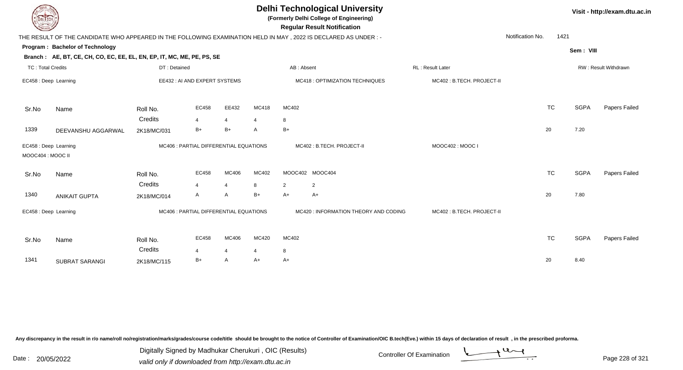| DEL ECH                                    |                                                                                                                |                                        |                         |                |       | Visit - http://exam.dtu.ac.in |                                       |                           |                  |           |             |                      |
|--------------------------------------------|----------------------------------------------------------------------------------------------------------------|----------------------------------------|-------------------------|----------------|-------|-------------------------------|---------------------------------------|---------------------------|------------------|-----------|-------------|----------------------|
|                                            | THE RESULT OF THE CANDIDATE WHO APPEARED IN THE FOLLOWING EXAMINATION HELD IN MAY, 2022 IS DECLARED AS UNDER:- |                                        |                         |                |       |                               |                                       |                           | Notification No. | 1421      |             |                      |
|                                            | Program: Bachelor of Technology                                                                                |                                        |                         |                |       |                               |                                       |                           |                  |           | Sem: VIII   |                      |
|                                            | Branch: AE, BT, CE, CH, CO, EC, EE, EL, EN, EP, IT, MC, ME, PE, PS, SE                                         |                                        |                         |                |       |                               |                                       |                           |                  |           |             |                      |
| <b>TC: Total Credits</b>                   |                                                                                                                | DT: Detained                           |                         |                |       | AB: Absent                    |                                       | RL: Result Later          |                  |           |             | RW: Result Withdrawn |
| EC458 : Deep Learning                      |                                                                                                                | EE432 : AI AND EXPERT SYSTEMS          |                         |                |       |                               | MC418 : OPTIMIZATION TECHNIQUES       | MC402: B.TECH. PROJECT-II |                  |           |             |                      |
| Sr.No                                      | Name                                                                                                           | Roll No.                               | EC458                   | EE432          | MC418 | MC402                         |                                       |                           |                  | <b>TC</b> | <b>SGPA</b> | Papers Failed        |
|                                            |                                                                                                                | Credits                                | 4                       | 4              | 4     | 8                             |                                       |                           |                  |           |             |                      |
| 1339                                       | DEEVANSHU AGGARWAL                                                                                             | 2K18/MC/031                            | $B+$                    | $B+$           | A     | $B+$                          |                                       |                           | 20               |           | 7.20        |                      |
| EC458 : Deep Learning<br>MOOC404 : MOOC II |                                                                                                                | MC406 : PARTIAL DIFFERENTIAL EQUATIONS |                         |                |       | MC402: B.TECH. PROJECT-II     | MOOC402: MOOC I                       |                           |                  |           |             |                      |
| Sr.No                                      | Name                                                                                                           | Roll No.                               | EC458                   | MC406          | MC402 |                               | MOOC402 MOOC404                       |                           |                  | <b>TC</b> | <b>SGPA</b> | Papers Failed        |
|                                            |                                                                                                                | Credits                                | $\overline{\mathbf{A}}$ | $\overline{4}$ | 8     | 2                             | $\overline{2}$                        |                           |                  |           |             |                      |
| 1340                                       | <b>ANIKAIT GUPTA</b>                                                                                           | 2K18/MC/014                            | A                       | A              | $B+$  | $A+$                          | $A+$                                  |                           | 20               |           | 7.80        |                      |
| EC458 : Deep Learning                      |                                                                                                                | MC406 : PARTIAL DIFFERENTIAL EQUATIONS |                         |                |       |                               | MC420 : INFORMATION THEORY AND CODING | MC402: B.TECH. PROJECT-II |                  |           |             |                      |
| Sr.No                                      | Name                                                                                                           | Roll No.                               | EC458                   | MC406          | MC420 | MC402                         |                                       |                           |                  | <b>TC</b> | <b>SGPA</b> | Papers Failed        |
|                                            |                                                                                                                | Credits                                | 4                       | 4              | 4     | 8                             |                                       |                           |                  |           |             |                      |
| 1341                                       | <b>SUBRAT SARANGI</b>                                                                                          | 2K18/MC/115                            | $B+$                    | A              | A+    | $A+$                          |                                       |                           | 20               |           | 8.40        |                      |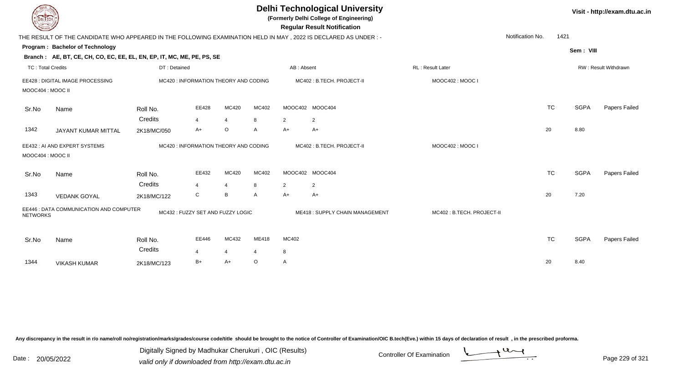| EL ECH                   |                                                                                                                  |                     |                                       |                         |            |                | <b>Delhi Technological University</b><br>(Formerly Delhi College of Engineering)<br><b>Regular Result Notification</b> |                           |                  |             | Visit - http://exam.dtu.ac.in |
|--------------------------|------------------------------------------------------------------------------------------------------------------|---------------------|---------------------------------------|-------------------------|------------|----------------|------------------------------------------------------------------------------------------------------------------------|---------------------------|------------------|-------------|-------------------------------|
|                          | THE RESULT OF THE CANDIDATE WHO APPEARED IN THE FOLLOWING EXAMINATION HELD IN MAY , 2022 IS DECLARED AS UNDER :- |                     |                                       |                         |            |                |                                                                                                                        |                           | Notification No. | 1421        |                               |
|                          | Program: Bachelor of Technology<br>Branch: AE, BT, CE, CH, CO, EC, EE, EL, EN, EP, IT, MC, ME, PE, PS, SE        |                     |                                       |                         |            |                |                                                                                                                        |                           |                  | Sem: VIII   |                               |
| <b>TC: Total Credits</b> |                                                                                                                  | DT: Detained        |                                       |                         |            | AB: Absent     |                                                                                                                        | <b>RL: Result Later</b>   |                  |             | RW: Result Withdrawn          |
| MOOC404 : MOOC II        | EE428 : DIGITAL IMAGE PROCESSING                                                                                 |                     | MC420 : INFORMATION THEORY AND CODING |                         |            |                | MC402: B.TECH. PROJECT-II                                                                                              | MOOC402: MOOC I           |                  |             |                               |
| Sr.No                    | Name                                                                                                             | Roll No.<br>Credits | EE428<br>$\overline{4}$               | MC420<br>$\overline{4}$ | MC402<br>8 | $\overline{2}$ | MOOC402 MOOC404<br>$\overline{2}$                                                                                      |                           | <b>TC</b>        | <b>SGPA</b> | <b>Papers Failed</b>          |
| 1342                     | JAYANT KUMAR MITTAL                                                                                              | 2K18/MC/050         | A+                                    | $\circ$                 | A          | $A+$           | A+                                                                                                                     |                           | 20               | 8.80        |                               |
| MOOC404 : MOOC II        | EE432 : AI AND EXPERT SYSTEMS                                                                                    |                     | MC420 : INFORMATION THEORY AND CODING |                         |            |                | MC402: B.TECH. PROJECT-II                                                                                              | MOOC402: MOOC I           |                  |             |                               |
| Sr.No                    | Name                                                                                                             | Roll No.<br>Credits | EE432<br>4                            | MC420<br>$\overline{4}$ | MC402<br>8 | $\overline{2}$ | MOOC402 MOOC404<br>2                                                                                                   |                           | <b>TC</b>        | <b>SGPA</b> | Papers Failed                 |
| 1343                     | <b>VEDANK GOYAL</b>                                                                                              | 2K18/MC/122         | C                                     | B                       | A          | $A+$           | $A+$                                                                                                                   |                           | 20               | 7.20        |                               |
| <b>NETWORKS</b>          | EE446 : DATA COMMUNICATION AND COMPUTER                                                                          |                     | MC432: FUZZY SET AND FUZZY LOGIC      |                         |            |                | ME418: SUPPLY CHAIN MANAGEMENT                                                                                         | MC402: B.TECH. PROJECT-II |                  |             |                               |
| Sr.No                    | Name                                                                                                             | Roll No.<br>Credits | EE446                                 | MC432<br>$\overline{4}$ | ME418      | MC402          |                                                                                                                        |                           | <b>TC</b>        | <b>SGPA</b> | Papers Failed                 |
| 1344                     | <b>VIKASH KUMAR</b>                                                                                              | 2K18/MC/123         | B+                                    | $A+$                    | $\circ$    | 8<br>A         |                                                                                                                        |                           | 20               | 8.40        |                               |
|                          |                                                                                                                  |                     |                                       |                         |            |                |                                                                                                                        |                           |                  |             |                               |

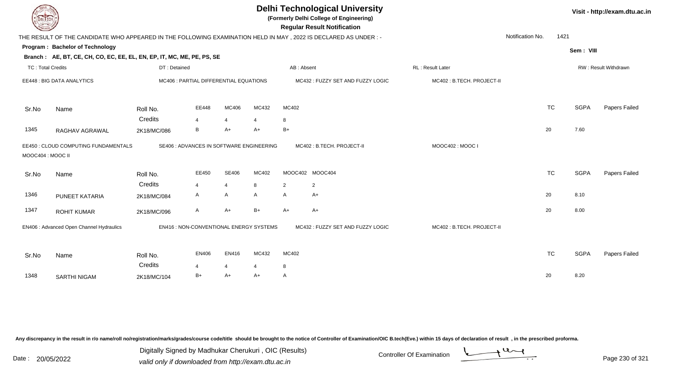| LI ECH                   |                                                                                                                 |              |                                          |                |       |                | <b>Delhi Technological University</b><br>(Formerly Delhi College of Engineering)<br><b>Regular Result Notification</b> |                           |                  |           |             | Visit - http://exam.dtu.ac.in |
|--------------------------|-----------------------------------------------------------------------------------------------------------------|--------------|------------------------------------------|----------------|-------|----------------|------------------------------------------------------------------------------------------------------------------------|---------------------------|------------------|-----------|-------------|-------------------------------|
|                          | THE RESULT OF THE CANDIDATE WHO APPEARED IN THE FOLLOWING EXAMINATION HELD IN MAY, 2022 IS DECLARED AS UNDER :- |              |                                          |                |       |                |                                                                                                                        |                           | Notification No. | 1421      |             |                               |
|                          | Program: Bachelor of Technology                                                                                 |              |                                          |                |       |                |                                                                                                                        |                           |                  |           | Sem: VIII   |                               |
|                          | Branch: AE, BT, CE, CH, CO, EC, EE, EL, EN, EP, IT, MC, ME, PE, PS, SE                                          |              |                                          |                |       |                |                                                                                                                        |                           |                  |           |             |                               |
| <b>TC: Total Credits</b> |                                                                                                                 | DT: Detained |                                          |                |       | AB: Absent     |                                                                                                                        | RL : Result Later         |                  |           |             | RW: Result Withdrawn          |
|                          | EE448 : BIG DATA ANALYTICS                                                                                      |              | MC406 : PARTIAL DIFFERENTIAL EQUATIONS   |                |       |                | MC432: FUZZY SET AND FUZZY LOGIC                                                                                       | MC402: B.TECH. PROJECT-II |                  |           |             |                               |
| Sr.No                    | Name                                                                                                            | Roll No.     | EE448                                    | MC406          | MC432 | MC402          |                                                                                                                        |                           |                  | <b>TC</b> | <b>SGPA</b> | Papers Failed                 |
|                          |                                                                                                                 | Credits      |                                          | $\overline{4}$ |       | 8              |                                                                                                                        |                           |                  |           |             |                               |
| 1345                     | RAGHAV AGRAWAL                                                                                                  | 2K18/MC/086  | B                                        | $A+$           | $A+$  | $B+$           |                                                                                                                        |                           |                  | 20        | 7.60        |                               |
| MOOC404 : MOOC II        | EE450 : CLOUD COMPUTING FUNDAMENTALS                                                                            |              | SE406 : ADVANCES IN SOFTWARE ENGINEERING |                |       |                | MC402: B.TECH. PROJECT-II                                                                                              | MOOC402: MOOC I           |                  |           |             |                               |
| Sr.No                    | Name                                                                                                            | Roll No.     | EE450                                    | <b>SE406</b>   | MC402 |                | MOOC402 MOOC404                                                                                                        |                           |                  | <b>TC</b> | <b>SGPA</b> | Papers Failed                 |
|                          |                                                                                                                 | Credits      | 4                                        | $\overline{4}$ | 8     | $\overline{2}$ | $\overline{2}$                                                                                                         |                           |                  |           |             |                               |
| 1346                     | PUNEET KATARIA                                                                                                  | 2K18/MC/084  | A                                        | A              | A     | $\mathsf{A}$   | $A+$                                                                                                                   |                           |                  | 20        | 8.10        |                               |
| 1347                     | <b>ROHIT KUMAR</b>                                                                                              | 2K18/MC/096  | A                                        | $A+$           | $B+$  | $A+$           | A+                                                                                                                     |                           |                  | 20        | 8.00        |                               |
|                          | EN406 : Advanced Open Channel Hydraulics                                                                        |              | EN416 : NON-CONVENTIONAL ENERGY SYSTEMS  |                |       |                | MC432: FUZZY SET AND FUZZY LOGIC                                                                                       | MC402: B.TECH. PROJECT-II |                  |           |             |                               |
| Sr.No                    | Name                                                                                                            | Roll No.     | <b>EN406</b>                             | EN416          | MC432 | MC402          |                                                                                                                        |                           |                  | <b>TC</b> | <b>SGPA</b> | Papers Failed                 |
|                          |                                                                                                                 | Credits      | 4                                        | $\overline{4}$ | 4     | 8              |                                                                                                                        |                           |                  |           |             |                               |
| 1348                     | <b>SARTHI NIGAM</b>                                                                                             | 2K18/MC/104  | $B+$                                     | $A+$           | $A+$  | A              |                                                                                                                        |                           |                  | 20        | 8.20        |                               |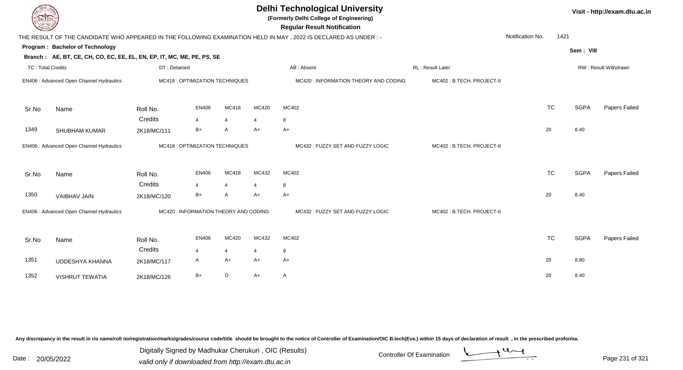| DEL ECH                  |                                                                        |                     |                                       | Visit - http://exam.dtu.ac.in |                         |                                                                                                                 |                           |                  |           |             |                      |
|--------------------------|------------------------------------------------------------------------|---------------------|---------------------------------------|-------------------------------|-------------------------|-----------------------------------------------------------------------------------------------------------------|---------------------------|------------------|-----------|-------------|----------------------|
|                          |                                                                        |                     |                                       |                               |                         | THE RESULT OF THE CANDIDATE WHO APPEARED IN THE FOLLOWING EXAMINATION HELD IN MAY, 2022 IS DECLARED AS UNDER :- |                           | Notification No. | 1421      |             |                      |
|                          | Program: Bachelor of Technology                                        |                     |                                       |                               |                         |                                                                                                                 |                           |                  |           | Sem: VIII   |                      |
|                          | Branch: AE, BT, CE, CH, CO, EC, EE, EL, EN, EP, IT, MC, ME, PE, PS, SE |                     |                                       |                               |                         |                                                                                                                 |                           |                  |           |             |                      |
| <b>TC: Total Credits</b> |                                                                        | DT: Detained        |                                       |                               |                         | AB: Absent                                                                                                      | RL : Result Later         |                  |           |             | RW: Result Withdrawn |
|                          | EN406 : Advanced Open Channel Hydraulics                               |                     | MC418 : OPTIMIZATION TECHNIQUES       |                               |                         | MC420 : INFORMATION THEORY AND CODING                                                                           | MC402: B.TECH. PROJECT-II |                  |           |             |                      |
| Sr.No                    | Name                                                                   | Roll No.            | <b>EN406</b>                          | MC418                         | MC420                   | MC402                                                                                                           |                           |                  | <b>TC</b> | <b>SGPA</b> | Papers Failed        |
|                          |                                                                        | Credits             | 4                                     | $\overline{4}$                | $\overline{4}$          | 8                                                                                                               |                           |                  |           |             |                      |
| 1349                     | <b>SHUBHAM KUMAR</b>                                                   | 2K18/MC/111         | $B+$                                  | A                             | $A+$                    | $A+$                                                                                                            |                           |                  | 20        | 8.40        |                      |
|                          | EN406 : Advanced Open Channel Hydraulics                               |                     | MC418 : OPTIMIZATION TECHNIQUES       |                               |                         | MC432: FUZZY SET AND FUZZY LOGIC                                                                                | MC402: B.TECH. PROJECT-II |                  |           |             |                      |
| Sr.No                    | Name                                                                   | Roll No.<br>Credits | EN406<br>4                            | MC418<br>$\overline{4}$       | MC432<br>$\overline{4}$ | MC402<br>8                                                                                                      |                           |                  | <b>TC</b> | <b>SGPA</b> | Papers Failed        |
| 1350                     | VAIBHAV JAIN                                                           | 2K18/MC/120         | $B+$                                  | $\mathsf{A}$                  | $A+$                    | $A+$                                                                                                            |                           |                  | 20        | 8.40        |                      |
|                          | EN406 : Advanced Open Channel Hydraulics                               |                     | MC420 : INFORMATION THEORY AND CODING |                               |                         | MC432: FUZZY SET AND FUZZY LOGIC                                                                                | MC402: B.TECH. PROJECT-II |                  |           |             |                      |
| Sr.No                    | Name                                                                   | Roll No.            | EN406                                 | MC420                         | MC432                   | MC402                                                                                                           |                           |                  | <b>TC</b> | <b>SGPA</b> | Papers Failed        |
|                          |                                                                        | Credits             | 4                                     | $\overline{4}$                | $\overline{4}$          | 8                                                                                                               |                           |                  |           |             |                      |
| 1351                     | <b>UDDESHYA KHANNA</b>                                                 | 2K18/MC/117         | A                                     | $A+$                          | $A+$                    | $A+$                                                                                                            |                           |                  | 20        | 8.80        |                      |
| 1352                     | <b>VISHRUT TEWATIA</b>                                                 | 2K18/MC/126         | $B+$                                  | $\mathsf O$                   | $A+$                    | A                                                                                                               |                           |                  | 20        | 8.40        |                      |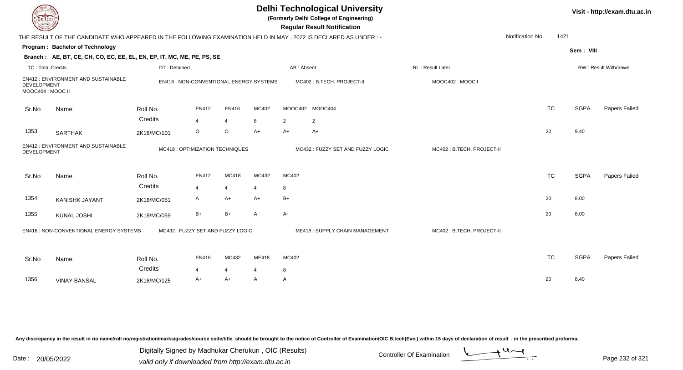| DEL TECH                         |                                                                                                                |              |                                         |                |       |            | <b>Delhi Technological University</b><br>(Formerly Delhi College of Engineering)<br><b>Regular Result Notification</b> |                           |                          |             | Visit - http://exam.dtu.ac.in |
|----------------------------------|----------------------------------------------------------------------------------------------------------------|--------------|-----------------------------------------|----------------|-------|------------|------------------------------------------------------------------------------------------------------------------------|---------------------------|--------------------------|-------------|-------------------------------|
|                                  | THE RESULT OF THE CANDIDATE WHO APPEARED IN THE FOLLOWING EXAMINATION HELD IN MAY, 2022 IS DECLARED AS UNDER:- |              |                                         |                |       |            |                                                                                                                        |                           | 1421<br>Notification No. |             |                               |
|                                  | Program: Bachelor of Technology                                                                                |              |                                         |                |       |            |                                                                                                                        |                           |                          | Sem: VIII   |                               |
|                                  | Branch: AE, BT, CE, CH, CO, EC, EE, EL, EN, EP, IT, MC, ME, PE, PS, SE                                         |              |                                         |                |       |            |                                                                                                                        |                           |                          |             |                               |
| <b>TC: Total Credits</b>         |                                                                                                                | DT: Detained |                                         |                |       | AB: Absent |                                                                                                                        | RL: Result Later          |                          |             | RW: Result Withdrawn          |
| DEVELOPMENT<br>MOOC404 : MOOC II | EN412: ENVIRONMENT AND SUSTAINABLE                                                                             |              | EN416 : NON-CONVENTIONAL ENERGY SYSTEMS |                |       |            | MC402: B.TECH. PROJECT-II                                                                                              | MOOC402: MOOC I           |                          |             |                               |
| Sr.No                            | Name                                                                                                           | Roll No.     | EN412                                   | EN416          | MC402 |            | MOOC402 MOOC404                                                                                                        |                           | <b>TC</b>                | <b>SGPA</b> | Papers Failed                 |
|                                  |                                                                                                                | Credits      | $\overline{4}$                          | $\overline{4}$ | 8     | 2          | 2                                                                                                                      |                           |                          |             |                               |
| 1353                             | <b>SARTHAK</b>                                                                                                 | 2K18/MC/101  | $\circ$                                 | O              | A+    | A+         | $A+$                                                                                                                   |                           | 20                       | 9.40        |                               |
| <b>DEVELOPMENT</b>               | EN412: ENVIRONMENT AND SUSTAINABLE                                                                             |              | MC418 : OPTIMIZATION TECHNIQUES         |                |       |            | MC432: FUZZY SET AND FUZZY LOGIC                                                                                       | MC402: B.TECH. PROJECT-II |                          |             |                               |
| Sr.No                            | Name                                                                                                           | Roll No.     | EN412                                   | MC418          | MC432 | MC402      |                                                                                                                        |                           | <b>TC</b>                | <b>SGPA</b> | Papers Failed                 |
|                                  |                                                                                                                | Credits      | 4                                       | $\overline{4}$ | 4     | 8          |                                                                                                                        |                           |                          |             |                               |
| 1354                             | <b>KANISHK JAYANT</b>                                                                                          | 2K18/MC/051  | A                                       | A+             | A+    | B+         |                                                                                                                        |                           | 20                       | 8.00        |                               |
| 1355                             | <b>KUNAL JOSHI</b>                                                                                             | 2K18/MC/059  | $B+$                                    | $B+$           | A     | $A+$       |                                                                                                                        |                           | 20                       | 8.00        |                               |
|                                  | EN416 : NON-CONVENTIONAL ENERGY SYSTEMS                                                                        |              | MC432: FUZZY SET AND FUZZY LOGIC        |                |       |            | ME418: SUPPLY CHAIN MANAGEMENT                                                                                         | MC402: B.TECH. PROJECT-II |                          |             |                               |
| Sr.No                            | Name                                                                                                           | Roll No.     | EN416                                   | MC432          | ME418 | MC402      |                                                                                                                        |                           | <b>TC</b>                | <b>SGPA</b> | Papers Failed                 |
|                                  |                                                                                                                | Credits      | 4                                       | $\overline{4}$ | 4     | 8          |                                                                                                                        |                           |                          |             |                               |
| 1356                             | <b>VINAY BANSAL</b>                                                                                            | 2K18/MC/125  | A+                                      | $A+$           | A     | A          |                                                                                                                        |                           | 20                       | 8.40        |                               |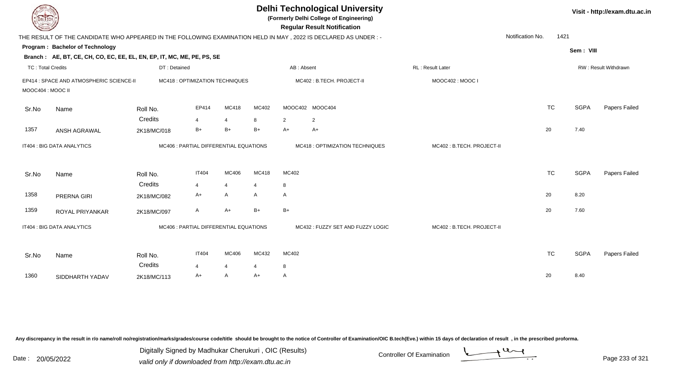| <b>DELIECH</b>    |                                                                                                                |              |                                        |                |                |                | <b>Delhi Technological University</b><br>(Formerly Delhi College of Engineering)<br><b>Regular Result Notification</b> |                           |                          |             | Visit - http://exam.dtu.ac.in |
|-------------------|----------------------------------------------------------------------------------------------------------------|--------------|----------------------------------------|----------------|----------------|----------------|------------------------------------------------------------------------------------------------------------------------|---------------------------|--------------------------|-------------|-------------------------------|
|                   | THE RESULT OF THE CANDIDATE WHO APPEARED IN THE FOLLOWING EXAMINATION HELD IN MAY, 2022 IS DECLARED AS UNDER:- |              |                                        |                |                |                |                                                                                                                        |                           | 1421<br>Notification No. |             |                               |
|                   | Program: Bachelor of Technology                                                                                |              |                                        |                |                |                |                                                                                                                        |                           |                          | Sem: VIII   |                               |
|                   | Branch: AE, BT, CE, CH, CO, EC, EE, EL, EN, EP, IT, MC, ME, PE, PS, SE                                         |              |                                        |                |                |                |                                                                                                                        |                           |                          |             |                               |
| TC: Total Credits |                                                                                                                | DT: Detained |                                        |                |                |                | AB: Absent                                                                                                             | <b>RL: Result Later</b>   |                          |             | RW: Result Withdrawn          |
|                   | EP414 : SPACE AND ATMOSPHERIC SCIENCE-II                                                                       |              | MC418 : OPTIMIZATION TECHNIQUES        |                |                |                | MC402: B.TECH. PROJECT-II                                                                                              | MOOC402: MOOC I           |                          |             |                               |
| MOOC404 : MOOC II |                                                                                                                |              |                                        |                |                |                |                                                                                                                        |                           |                          |             |                               |
| Sr.No             | Name                                                                                                           | Roll No.     | EP414                                  | MC418          | MC402          |                | MOOC402 MOOC404                                                                                                        |                           | <b>TC</b>                | <b>SGPA</b> | Papers Failed                 |
|                   |                                                                                                                | Credits      | 4                                      | $\overline{4}$ | 8              | $\overline{2}$ | 2                                                                                                                      |                           |                          |             |                               |
| 1357              | ANSH AGRAWAL                                                                                                   | 2K18/MC/018  | $B+$                                   | $B+$           | $B+$           | $A+$           | $A+$                                                                                                                   |                           | 20                       | 7.40        |                               |
|                   | IT404 : BIG DATA ANALYTICS                                                                                     |              | MC406 : PARTIAL DIFFERENTIAL EQUATIONS |                |                |                | MC418 : OPTIMIZATION TECHNIQUES                                                                                        | MC402: B.TECH. PROJECT-II |                          |             |                               |
| Sr.No             | Name                                                                                                           | Roll No.     | <b>IT404</b>                           | MC406          | MC418          | MC402          |                                                                                                                        |                           | <b>TC</b>                | <b>SGPA</b> | Papers Failed                 |
|                   |                                                                                                                | Credits      | $\overline{4}$                         | $\overline{4}$ | $\overline{4}$ | 8              |                                                                                                                        |                           |                          |             |                               |
| 1358              | PRERNA GIRI                                                                                                    | 2K18/MC/082  | A+                                     | A              | A              | $\mathsf{A}$   |                                                                                                                        |                           | 20                       | 8.20        |                               |
| 1359              | ROYAL PRIYANKAR                                                                                                | 2K18/MC/097  | A                                      | $A+$           | $B+$           | $B+$           |                                                                                                                        |                           | 20                       | 7.60        |                               |
|                   | IT404 : BIG DATA ANALYTICS                                                                                     |              | MC406 : PARTIAL DIFFERENTIAL EQUATIONS |                |                |                | MC432 : FUZZY SET AND FUZZY LOGIC                                                                                      | MC402: B.TECH. PROJECT-II |                          |             |                               |
| Sr.No             | Name                                                                                                           | Roll No.     | <b>IT404</b>                           | MC406          | MC432          | MC402          |                                                                                                                        |                           | <b>TC</b>                | <b>SGPA</b> | Papers Failed                 |
|                   |                                                                                                                | Credits      | 4                                      | $\overline{4}$ | 4              | 8              |                                                                                                                        |                           |                          |             |                               |
| 1360              | SIDDHARTH YADAV                                                                                                | 2K18/MC/113  | A+                                     | A              | A+             | $\mathsf{A}$   |                                                                                                                        |                           | 20                       | 8.40        |                               |
|                   |                                                                                                                |              |                                        |                |                |                |                                                                                                                        |                           |                          |             |                               |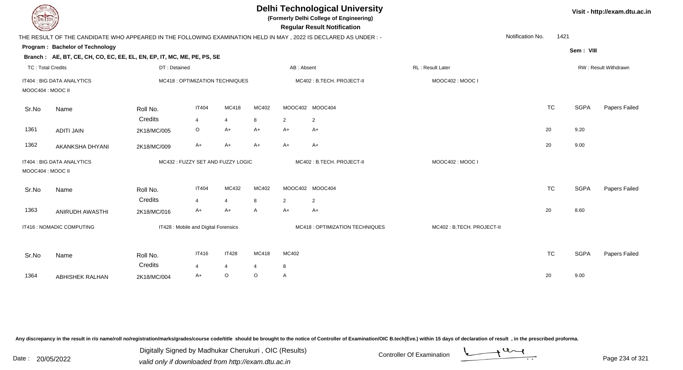| <b>DELTECH</b>           |                                                                        |              |                                      |                |         |                | <b>Delhi Technological University</b><br>(Formerly Delhi College of Engineering)<br><b>Regular Result Notification</b> |                           |                          |             | Visit - http://exam.dtu.ac.in |
|--------------------------|------------------------------------------------------------------------|--------------|--------------------------------------|----------------|---------|----------------|------------------------------------------------------------------------------------------------------------------------|---------------------------|--------------------------|-------------|-------------------------------|
|                          |                                                                        |              |                                      |                |         |                | THE RESULT OF THE CANDIDATE WHO APPEARED IN THE FOLLOWING EXAMINATION HELD IN MAY, 2022 IS DECLARED AS UNDER:-         |                           | Notification No.<br>1421 |             |                               |
|                          | Program: Bachelor of Technology                                        |              |                                      |                |         |                |                                                                                                                        |                           |                          | Sem: VIII   |                               |
|                          | Branch: AE, BT, CE, CH, CO, EC, EE, EL, EN, EP, IT, MC, ME, PE, PS, SE |              |                                      |                |         |                |                                                                                                                        |                           |                          |             |                               |
| <b>TC: Total Credits</b> |                                                                        | DT: Detained |                                      |                |         | AB: Absent     |                                                                                                                        | RL: Result Later          |                          |             | RW: Result Withdrawn          |
| MOOC404 : MOOC II        | IT404 : BIG DATA ANALYTICS                                             |              | MC418 : OPTIMIZATION TECHNIQUES      |                |         |                | MC402: B.TECH. PROJECT-II                                                                                              | MOOC402: MOOC I           |                          |             |                               |
| Sr.No                    | Name                                                                   | Roll No.     | <b>IT404</b>                         | MC418          | MC402   |                | MOOC402 MOOC404                                                                                                        |                           | <b>TC</b>                | <b>SGPA</b> | Papers Failed                 |
|                          |                                                                        | Credits      | $\overline{4}$                       | $\overline{4}$ | 8       | 2              | $\overline{2}$                                                                                                         |                           |                          |             |                               |
| 1361                     | <b>ADITI JAIN</b>                                                      | 2K18/MC/005  | O                                    | $A+$           | A+      | A+             | $A+$                                                                                                                   |                           | 20                       | 9.20        |                               |
| 1362                     | AKANKSHA DHYANI                                                        | 2K18/MC/009  | A+                                   | $A+$           | A+      | A+             | $A+$                                                                                                                   |                           | 20                       | 9.00        |                               |
| MOOC404 : MOOC II        | IT404 : BIG DATA ANALYTICS                                             |              | MC432: FUZZY SET AND FUZZY LOGIC     |                |         |                | MC402: B.TECH. PROJECT-II                                                                                              | MOOC402: MOOC I           |                          |             |                               |
| Sr.No                    | Name                                                                   | Roll No.     | <b>IT404</b>                         | MC432          | MC402   |                | MOOC402 MOOC404                                                                                                        |                           | <b>TC</b>                | <b>SGPA</b> | Papers Failed                 |
|                          |                                                                        | Credits      | $\overline{4}$                       | $\overline{4}$ | 8       | $\overline{2}$ | $\overline{c}$                                                                                                         |                           |                          |             |                               |
| 1363                     | ANIRUDH AWASTHI                                                        | 2K18/MC/016  | A+                                   | $A+$           | A       | A+             | $A+$                                                                                                                   |                           | 20                       | 8.60        |                               |
|                          | IT416 : NOMADIC COMPUTING                                              |              | IT428 : Mobile and Digital Forensics |                |         |                | MC418 : OPTIMIZATION TECHNIQUES                                                                                        | MC402: B.TECH. PROJECT-II |                          |             |                               |
| Sr.No                    | Name                                                                   | Roll No.     | <b>IT416</b>                         | <b>IT428</b>   | MC418   | MC402          |                                                                                                                        |                           | <b>TC</b>                | <b>SGPA</b> | Papers Failed                 |
|                          |                                                                        | Credits      | $\overline{4}$                       | $\overline{4}$ | 4       | 8              |                                                                                                                        |                           |                          |             |                               |
| 1364                     | <b>ABHISHEK RALHAN</b>                                                 | 2K18/MC/004  | $A+$                                 | $\circ$        | $\circ$ | $\mathsf{A}$   |                                                                                                                        |                           | 20                       | 9.00        |                               |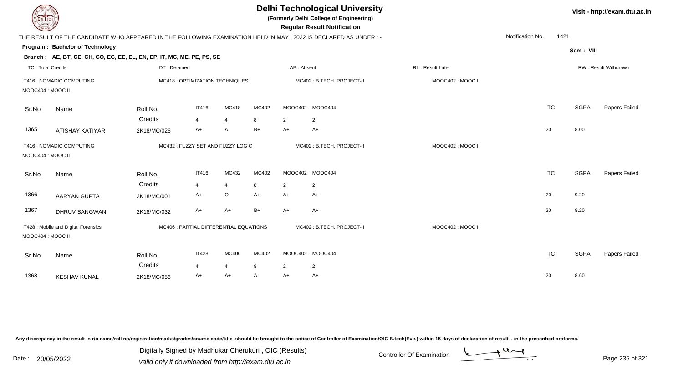| <b>DELTECH</b>           |                                                                                                           |                     |                                        |                         |            |                      | <b>Delhi Technological University</b><br>(Formerly Delhi College of Engineering)<br><b>Regular Result Notification</b> |                  |                  |           |             | Visit - http://exam.dtu.ac.in |
|--------------------------|-----------------------------------------------------------------------------------------------------------|---------------------|----------------------------------------|-------------------------|------------|----------------------|------------------------------------------------------------------------------------------------------------------------|------------------|------------------|-----------|-------------|-------------------------------|
|                          |                                                                                                           |                     |                                        |                         |            |                      | THE RESULT OF THE CANDIDATE WHO APPEARED IN THE FOLLOWING EXAMINATION HELD IN MAY, 2022 IS DECLARED AS UNDER:-         |                  | Notification No. | 1421      |             |                               |
|                          | Program: Bachelor of Technology<br>Branch: AE, BT, CE, CH, CO, EC, EE, EL, EN, EP, IT, MC, ME, PE, PS, SE |                     |                                        |                         |            |                      |                                                                                                                        |                  |                  |           | Sem: VIII   |                               |
| <b>TC: Total Credits</b> |                                                                                                           | DT: Detained        |                                        |                         |            | AB: Absent           |                                                                                                                        | RL: Result Later |                  |           |             | RW: Result Withdrawn          |
| MOOC404 : MOOC II        | IT416 : NOMADIC COMPUTING                                                                                 |                     | MC418 : OPTIMIZATION TECHNIQUES        |                         |            |                      | MC402: B.TECH. PROJECT-II                                                                                              | MOOC402: MOOC I  |                  |           |             |                               |
| Sr.No                    | Name                                                                                                      | Roll No.            | <b>IT416</b>                           | <b>MC418</b>            | MC402      |                      | MOOC402 MOOC404                                                                                                        |                  |                  | <b>TC</b> | <b>SGPA</b> | Papers Failed                 |
|                          |                                                                                                           | Credits             | $\overline{4}$                         | $\overline{4}$          | 8          | $\overline{2}$       | $\overline{2}$                                                                                                         |                  |                  |           |             |                               |
| 1365                     | <b>ATISHAY KATIYAR</b>                                                                                    | 2K18/MC/026         | $A+$                                   | A                       | $B+$       | A+                   | $A+$                                                                                                                   |                  |                  | 20        | 8.00        |                               |
| MOOC404 : MOOC II        | IT416 : NOMADIC COMPUTING                                                                                 |                     | MC432: FUZZY SET AND FUZZY LOGIC       |                         |            |                      | MC402: B.TECH. PROJECT-II                                                                                              | MOOC402: MOOC I  |                  |           |             |                               |
| Sr.No                    | Name                                                                                                      | Roll No.            | IT416                                  | MC432                   | MC402      |                      | MOOC402 MOOC404                                                                                                        |                  |                  | <b>TC</b> | <b>SGPA</b> | Papers Failed                 |
| 1366                     |                                                                                                           | Credits             | $\overline{4}$<br>A+                   | $\overline{4}$<br>O     | 8<br>$A+$  | $\overline{2}$<br>A+ | $\overline{2}$<br>$A+$                                                                                                 |                  |                  | 20        | 9.20        |                               |
|                          | AARYAN GUPTA                                                                                              | 2K18/MC/001         |                                        |                         |            |                      |                                                                                                                        |                  |                  |           |             |                               |
| 1367                     | <b>DHRUV SANGWAN</b>                                                                                      | 2K18/MC/032         | $A+$                                   | $A+$                    | $B+$       | $A+$                 | $A+$                                                                                                                   |                  |                  | 20        | 8.20        |                               |
| MOOC404 : MOOC II        | IT428 : Mobile and Digital Forensics                                                                      |                     | MC406 : PARTIAL DIFFERENTIAL EQUATIONS |                         |            |                      | MC402: B.TECH. PROJECT-II                                                                                              | MOOC402: MOOC I  |                  |           |             |                               |
| Sr.No                    | Name                                                                                                      | Roll No.<br>Credits | <b>IT428</b><br>$\overline{4}$         | MC406<br>$\overline{4}$ | MC402<br>8 | $\overline{2}$       | MOOC402 MOOC404<br>$\overline{2}$                                                                                      |                  |                  | <b>TC</b> | <b>SGPA</b> | Papers Failed                 |
| 1368                     | <b>KESHAV KUNAL</b>                                                                                       | 2K18/MC/056         | A+                                     | $A+$                    | A          | A+                   | A+                                                                                                                     |                  |                  | 20        | 8.60        |                               |
|                          |                                                                                                           |                     |                                        |                         |            |                      |                                                                                                                        |                  |                  |           |             |                               |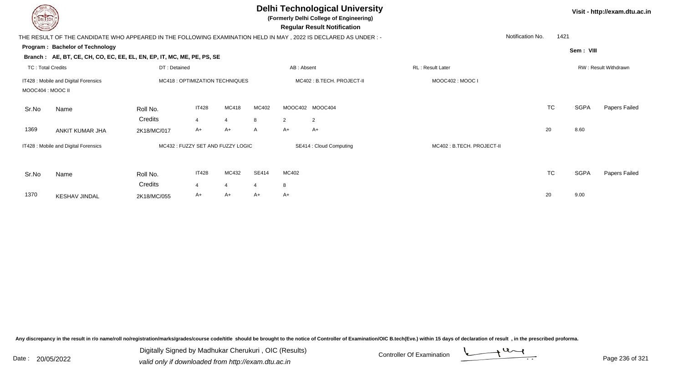| DEL ECH                  |                                                                        |              |                                  |                |              |                | <b>Delhi Technological University</b><br>(Formerly Delhi College of Engineering)<br><b>Regular Result Notification</b> |                           |                  |           |             | Visit - http://exam.dtu.ac.in |
|--------------------------|------------------------------------------------------------------------|--------------|----------------------------------|----------------|--------------|----------------|------------------------------------------------------------------------------------------------------------------------|---------------------------|------------------|-----------|-------------|-------------------------------|
|                          |                                                                        |              |                                  |                |              |                | THE RESULT OF THE CANDIDATE WHO APPEARED IN THE FOLLOWING EXAMINATION HELD IN MAY , 2022 IS DECLARED AS UNDER :-       |                           | Notification No. | 1421      |             |                               |
|                          | Program: Bachelor of Technology                                        |              |                                  |                |              |                |                                                                                                                        |                           |                  |           | Sem: VIII   |                               |
|                          | Branch: AE, BT, CE, CH, CO, EC, EE, EL, EN, EP, IT, MC, ME, PE, PS, SE |              |                                  |                |              |                |                                                                                                                        |                           |                  |           |             |                               |
| <b>TC: Total Credits</b> |                                                                        | DT: Detained |                                  |                |              | AB: Absent     |                                                                                                                        | <b>RL: Result Later</b>   |                  |           |             | RW: Result Withdrawn          |
|                          | IT428 : Mobile and Digital Forensics                                   |              | MC418 : OPTIMIZATION TECHNIQUES  |                |              |                | MC402: B.TECH. PROJECT-II                                                                                              | MOOC402: MOOC I           |                  |           |             |                               |
| MOOC404 : MOOC II        |                                                                        |              |                                  |                |              |                |                                                                                                                        |                           |                  |           |             |                               |
| Sr.No                    | Name                                                                   | Roll No.     | <b>IT428</b>                     | MC418          | MC402        |                | MOOC402 MOOC404                                                                                                        |                           |                  | <b>TC</b> | <b>SGPA</b> | Papers Failed                 |
|                          |                                                                        | Credits      | 4                                | 4              | 8            | $\overline{2}$ | $\overline{2}$                                                                                                         |                           |                  |           |             |                               |
| 1369                     | ANKIT KUMAR JHA                                                        | 2K18/MC/017  | $A+$                             | $A+$           | A            | $A+$           | A+                                                                                                                     |                           |                  | 20        | 8.60        |                               |
|                          | IT428 : Mobile and Digital Forensics                                   |              | MC432: FUZZY SET AND FUZZY LOGIC |                |              |                | SE414 : Cloud Computing                                                                                                | MC402: B.TECH. PROJECT-II |                  |           |             |                               |
| Sr.No                    | Name                                                                   | Roll No.     | <b>IT428</b>                     | MC432          | <b>SE414</b> | MC402          |                                                                                                                        |                           |                  | <b>TC</b> | <b>SGPA</b> | Papers Failed                 |
|                          |                                                                        | Credits      |                                  | $\overline{4}$ | 4            | 8              |                                                                                                                        |                           |                  |           |             |                               |
| 1370                     | <b>KESHAV JINDAL</b>                                                   | 2K18/MC/055  | A+                               | $A+$           | $A+$         | $A+$           |                                                                                                                        |                           |                  | 20        | 9.00        |                               |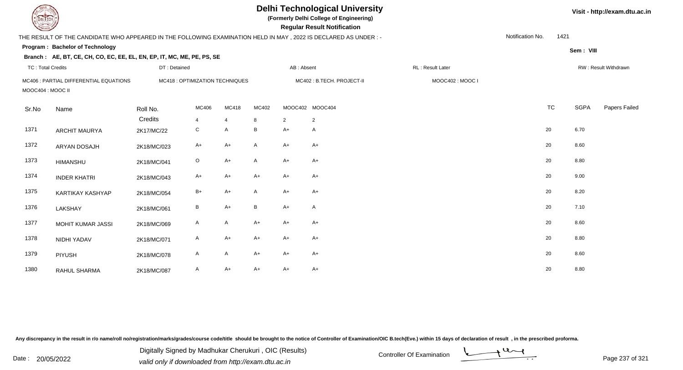| EL ECH                   |                                                                                                                 |                                 |              |                | <b>Delhi Technological University</b><br>(Formerly Delhi College of Engineering)<br><b>Regular Result Notification</b> |                |                           |                   |                  | Visit - http://exam.dtu.ac.in |             |                      |
|--------------------------|-----------------------------------------------------------------------------------------------------------------|---------------------------------|--------------|----------------|------------------------------------------------------------------------------------------------------------------------|----------------|---------------------------|-------------------|------------------|-------------------------------|-------------|----------------------|
|                          | THE RESULT OF THE CANDIDATE WHO APPEARED IN THE FOLLOWING EXAMINATION HELD IN MAY, 2022 IS DECLARED AS UNDER :- |                                 |              |                |                                                                                                                        |                |                           |                   | Notification No. | 1421                          |             |                      |
|                          | Program: Bachelor of Technology                                                                                 |                                 |              |                |                                                                                                                        |                |                           |                   |                  |                               | Sem: VIII   |                      |
|                          | Branch: AE, BT, CE, CH, CO, EC, EE, EL, EN, EP, IT, MC, ME, PE, PS, SE                                          |                                 |              |                |                                                                                                                        |                |                           |                   |                  |                               |             |                      |
| <b>TC: Total Credits</b> |                                                                                                                 | DT: Detained                    |              |                |                                                                                                                        | AB: Absent     |                           | RL : Result Later |                  |                               |             | RW: Result Withdrawn |
|                          | MC406 : PARTIAL DIFFERENTIAL EQUATIONS                                                                          | MC418 : OPTIMIZATION TECHNIQUES |              |                |                                                                                                                        |                | MC402: B.TECH. PROJECT-II | MOOC402: MOOC I   |                  |                               |             |                      |
| MOOC404 : MOOC II        |                                                                                                                 |                                 |              |                |                                                                                                                        |                |                           |                   |                  |                               |             |                      |
| Sr.No                    | Name                                                                                                            | Roll No.                        | MC406        | MC418          | MC402                                                                                                                  |                | MOOC402 MOOC404           |                   |                  | <b>TC</b>                     | <b>SGPA</b> | Papers Failed        |
|                          |                                                                                                                 | Credits                         | 4            | $\overline{4}$ | 8                                                                                                                      | $\overline{2}$ | $\overline{2}$            |                   |                  |                               |             |                      |
| 1371                     | <b>ARCHIT MAURYA</b>                                                                                            | 2K17/MC/22                      | ${\rm C}$    | A              | B                                                                                                                      | $A+$           | A                         |                   |                  | 20                            | 6.70        |                      |
|                          |                                                                                                                 |                                 |              |                |                                                                                                                        |                |                           |                   |                  |                               |             |                      |
| 1372                     | ARYAN DOSAJH                                                                                                    | 2K18/MC/023                     | $A+$         | $A+$           | A                                                                                                                      | $A+$           | $A+$                      |                   |                  | 20                            | 8.60        |                      |
| 1373                     | <b>HIMANSHU</b>                                                                                                 | 2K18/MC/041                     | $\circ$      | $A+$           | A                                                                                                                      | $A+$           | $A+$                      |                   |                  | 20                            | 8.80        |                      |
| 1374                     | <b>INDER KHATRI</b>                                                                                             | 2K18/MC/043                     | $A+$         | $A+$           | $A+$                                                                                                                   | $A+$           | $A+$                      |                   |                  | 20                            | 9.00        |                      |
|                          |                                                                                                                 |                                 |              |                |                                                                                                                        |                |                           |                   |                  |                               |             |                      |
| 1375                     | KARTIKAY KASHYAP                                                                                                | 2K18/MC/054                     | $B+$         | $A+$           | A                                                                                                                      | $A+$           | $A+$                      |                   |                  | 20                            | 8.20        |                      |
| 1376                     | LAKSHAY                                                                                                         | 2K18/MC/061                     | B            | $A+$           | B                                                                                                                      | $A+$           | A                         |                   |                  | 20                            | 7.10        |                      |
| 1377                     | MOHIT KUMAR JASSI                                                                                               | 2K18/MC/069                     | $\mathsf{A}$ | $\mathsf{A}$   | $A+$                                                                                                                   | $A+$           | A+                        |                   |                  | 20                            | 8.60        |                      |
| 1378                     | NIDHI YADAV                                                                                                     | 2K18/MC/071                     | $\mathsf{A}$ | $A+$           | $A+$                                                                                                                   | $A+$           | A+                        |                   |                  | 20                            | 8.80        |                      |
|                          |                                                                                                                 |                                 |              |                |                                                                                                                        |                |                           |                   |                  |                               |             |                      |
| 1379                     | <b>PIYUSH</b>                                                                                                   | 2K18/MC/078                     | A            | $\mathsf{A}$   | $A+$                                                                                                                   | $A+$           | $A+$                      |                   |                  | 20                            | 8.60        |                      |
| 1380                     | RAHUL SHARMA                                                                                                    | 2K18/MC/087                     | A            | $A+$           | $A+$                                                                                                                   | $A+$           | A+                        |                   |                  | 20                            | 8.80        |                      |

Digitally Signed by Madhukar Cherukuri, OIC (Results)<br>Date : 20/05/2022 valid only if downloaded from http://oxam.dtu.ac.in Digitally Signed by Madhukar Cherukuri , OIC (Results)

valid only if downloaded from http://exam.dtu.ac.in

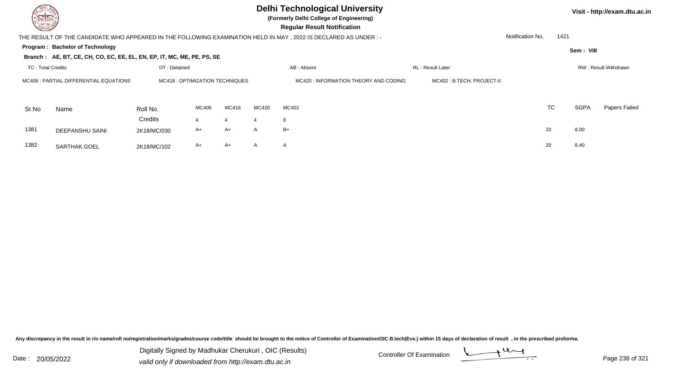## **Delhi Technological University**

**(Formerly Delhi College of Engineering)**

**Visit - http://exam.dtu.ac.in**

 **Regular Result Notification**

| Notification No.<br>1421<br>THE RESULT OF THE CANDIDATE WHO APPEARED IN THE FOLLOWING EXAMINATION HELD IN MAY, 2022 IS DECLARED AS UNDER :-<br>Program: Bachelor of Technology<br>Sem: VIII<br>Branch: AE, BT, CE, CH, CO, EC, EE, EL, EN, EP, IT, MC, ME, PE, PS, SE<br><b>TC: Total Credits</b><br>DT: Detained<br>AB: Absent<br>RL: Result Later<br>RW: Result Withdrawn<br>MC402 : B.TECH. PROJECT-II<br>MC406 : PARTIAL DIFFERENTIAL EQUATIONS<br>MC418 : OPTIMIZATION TECHNIQUES<br>MC420 : INFORMATION THEORY AND CODING<br><b>TC</b><br>SGPA<br>MC418<br>MC402<br>MC406<br>MC420<br>Sr.No<br>Roll No.<br>Name<br>Credits<br>8<br>4<br>4<br>4<br>1381<br>8.00<br>$B+$<br>20<br>A+<br>A<br>A+<br><b>DEEPANSHU SAINI</b><br>2K18/MC/030<br>8.40<br>1382<br>20<br>A+<br>A+<br>A<br>$\mathsf{A}$<br><b>SARTHAK GOEL</b><br>2K18/MC/102 |  |  |  |  |  |                      |
|-------------------------------------------------------------------------------------------------------------------------------------------------------------------------------------------------------------------------------------------------------------------------------------------------------------------------------------------------------------------------------------------------------------------------------------------------------------------------------------------------------------------------------------------------------------------------------------------------------------------------------------------------------------------------------------------------------------------------------------------------------------------------------------------------------------------------------------------|--|--|--|--|--|----------------------|
|                                                                                                                                                                                                                                                                                                                                                                                                                                                                                                                                                                                                                                                                                                                                                                                                                                           |  |  |  |  |  |                      |
|                                                                                                                                                                                                                                                                                                                                                                                                                                                                                                                                                                                                                                                                                                                                                                                                                                           |  |  |  |  |  |                      |
|                                                                                                                                                                                                                                                                                                                                                                                                                                                                                                                                                                                                                                                                                                                                                                                                                                           |  |  |  |  |  |                      |
|                                                                                                                                                                                                                                                                                                                                                                                                                                                                                                                                                                                                                                                                                                                                                                                                                                           |  |  |  |  |  |                      |
|                                                                                                                                                                                                                                                                                                                                                                                                                                                                                                                                                                                                                                                                                                                                                                                                                                           |  |  |  |  |  |                      |
|                                                                                                                                                                                                                                                                                                                                                                                                                                                                                                                                                                                                                                                                                                                                                                                                                                           |  |  |  |  |  | <b>Papers Failed</b> |
|                                                                                                                                                                                                                                                                                                                                                                                                                                                                                                                                                                                                                                                                                                                                                                                                                                           |  |  |  |  |  |                      |
|                                                                                                                                                                                                                                                                                                                                                                                                                                                                                                                                                                                                                                                                                                                                                                                                                                           |  |  |  |  |  |                      |
|                                                                                                                                                                                                                                                                                                                                                                                                                                                                                                                                                                                                                                                                                                                                                                                                                                           |  |  |  |  |  |                      |

Any discrepancy in the result in r/o name/roll no/registration/marks/grades/course code/title should be brought to the notice of Controller of Examination/OIC B.tech(Eve.) within 15 days of declaration of result, in the pr

Date : 20/05/2022 Digital Digital of Microsofted Chemical Controller Of Examination Determination Page 238 of 32 Digitally Signed by Madhukar Cherukuri , OIC (Results)

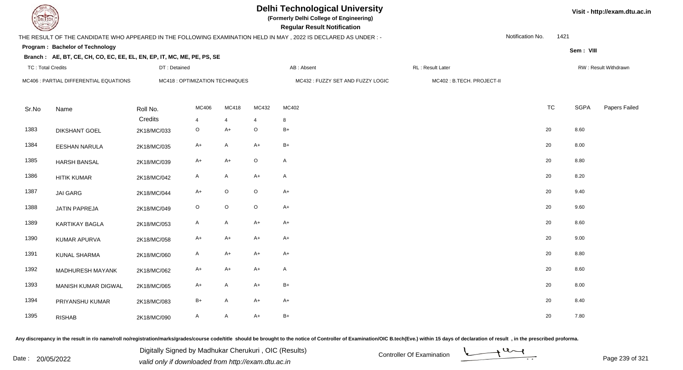|                          |                                                                        |              |                                 |                | <b>Delhi Technological University</b><br>(Formerly Delhi College of Engineering)<br><b>Regular Result Notification</b> |                                                                                                                  |                           |                  |      |             | Visit - http://exam.dtu.ac.in |  |  |
|--------------------------|------------------------------------------------------------------------|--------------|---------------------------------|----------------|------------------------------------------------------------------------------------------------------------------------|------------------------------------------------------------------------------------------------------------------|---------------------------|------------------|------|-------------|-------------------------------|--|--|
|                          |                                                                        |              |                                 |                |                                                                                                                        | THE RESULT OF THE CANDIDATE WHO APPEARED IN THE FOLLOWING EXAMINATION HELD IN MAY , 2022 IS DECLARED AS UNDER :- |                           | Notification No. | 1421 |             |                               |  |  |
|                          | Program: Bachelor of Technology                                        |              |                                 |                |                                                                                                                        |                                                                                                                  |                           |                  |      | Sem: VIII   |                               |  |  |
|                          | Branch: AE, BT, CE, CH, CO, EC, EE, EL, EN, EP, IT, MC, ME, PE, PS, SE |              |                                 |                |                                                                                                                        |                                                                                                                  |                           |                  |      |             |                               |  |  |
| <b>TC: Total Credits</b> |                                                                        | DT: Detained |                                 |                |                                                                                                                        | AB: Absent                                                                                                       | RL: Result Later          |                  |      |             | RW: Result Withdrawn          |  |  |
|                          | MC406 : PARTIAL DIFFERENTIAL EQUATIONS                                 |              | MC418 : OPTIMIZATION TECHNIQUES |                |                                                                                                                        | MC432: FUZZY SET AND FUZZY LOGIC                                                                                 | MC402: B.TECH. PROJECT-II |                  |      |             |                               |  |  |
| Sr.No                    | Name                                                                   | Roll No.     | MC406                           | MC418          | MC432                                                                                                                  | MC402                                                                                                            |                           | <b>TC</b>        |      | <b>SGPA</b> | Papers Failed                 |  |  |
|                          |                                                                        | Credits      | 4                               | $\overline{4}$ |                                                                                                                        | 8                                                                                                                |                           |                  |      |             |                               |  |  |
| 1383                     | <b>DIKSHANT GOEL</b>                                                   | 2K18/MC/033  | $\circ$                         | $A+$           | $\circ$                                                                                                                | $B+$                                                                                                             |                           | 20               |      | 8.60        |                               |  |  |
| 1384                     | <b>EESHAN NARULA</b>                                                   | 2K18/MC/035  | A+                              | $\mathsf{A}$   | $A+$                                                                                                                   | $B+$                                                                                                             |                           | 20               |      | 8.00        |                               |  |  |
| 1385                     | <b>HARSH BANSAL</b>                                                    | 2K18/MC/039  | $A+$                            | $A+$           | $\mathsf O$                                                                                                            | $\mathsf{A}$                                                                                                     |                           | 20               |      | 8.80        |                               |  |  |
| 1386                     | <b>HITIK KUMAR</b>                                                     | 2K18/MC/042  | A                               | $\mathsf{A}$   | $A+$                                                                                                                   | $\mathsf{A}$                                                                                                     |                           | 20               |      | 8.20        |                               |  |  |
| 1387                     | <b>JAI GARG</b>                                                        | 2K18/MC/044  | $A+$                            | $\mathsf O$    | $\mathsf O$                                                                                                            | $A+$                                                                                                             |                           | 20               |      | 9.40        |                               |  |  |
| 1388                     | JATIN PAPREJA                                                          | 2K18/MC/049  | $\circ$                         | $\mathsf O$    | $\mathsf O$                                                                                                            | $A+$                                                                                                             |                           | 20               |      | 9.60        |                               |  |  |
| 1389                     | <b>KARTIKAY BAGLA</b>                                                  | 2K18/MC/053  | A                               | $\mathsf{A}$   | $A+$                                                                                                                   | $A+$                                                                                                             |                           | 20               |      | 8.60        |                               |  |  |
| 1390                     | <b>KUMAR APURVA</b>                                                    | 2K18/MC/058  | $A+$                            | $A+$           | $A+$                                                                                                                   | $A+$                                                                                                             |                           | 20               |      | 9.00        |                               |  |  |
| 1391                     | <b>KUNAL SHARMA</b>                                                    | 2K18/MC/060  | A                               | $A+$           | $A+$                                                                                                                   | $A+$                                                                                                             |                           | 20               |      | 8.80        |                               |  |  |
| 1392                     | MADHURESH MAYANK                                                       | 2K18/MC/062  | A+                              | $A+$           | $A+$                                                                                                                   | $\mathsf{A}$                                                                                                     |                           | 20               |      | 8.60        |                               |  |  |
| 1393                     | MANISH KUMAR DIGWAL                                                    | 2K18/MC/065  | A+                              | $\mathsf{A}$   | $A+$                                                                                                                   | $B+$                                                                                                             |                           | 20               |      | 8.00        |                               |  |  |
| 1394                     | PRIYANSHU KUMAR                                                        | 2K18/MC/083  | B+                              | $\mathsf{A}$   | $A+$                                                                                                                   | A+                                                                                                               |                           | 20               |      | 8.40        |                               |  |  |
| 1395                     | <b>RISHAB</b>                                                          | 2K18/MC/090  | A                               | A              | $A+$                                                                                                                   | $B+$                                                                                                             |                           | 20               |      | 7.80        |                               |  |  |

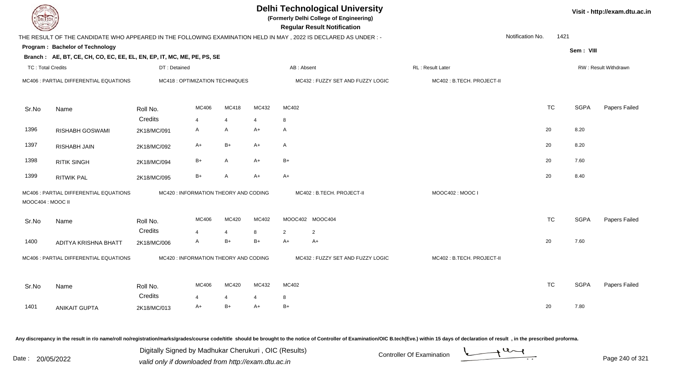| DEL TECH                 |                                                                        |              |                                       |                       |       | <b>Delhi Technological University</b><br>(Formerly Delhi College of Engineering)<br><b>Regular Result Notification</b> |                           |           |             | Visit - http://exam.dtu.ac.in |
|--------------------------|------------------------------------------------------------------------|--------------|---------------------------------------|-----------------------|-------|------------------------------------------------------------------------------------------------------------------------|---------------------------|-----------|-------------|-------------------------------|
|                          |                                                                        |              |                                       |                       |       | THE RESULT OF THE CANDIDATE WHO APPEARED IN THE FOLLOWING EXAMINATION HELD IN MAY, 2022 IS DECLARED AS UNDER:-         | Notification No.          | 1421      |             |                               |
|                          | Program: Bachelor of Technology                                        |              |                                       |                       |       |                                                                                                                        |                           |           | Sem: VIII   |                               |
|                          | Branch: AE, BT, CE, CH, CO, EC, EE, EL, EN, EP, IT, MC, ME, PE, PS, SE |              |                                       |                       |       |                                                                                                                        |                           |           |             |                               |
| <b>TC: Total Credits</b> |                                                                        | DT: Detained |                                       |                       |       | AB: Absent<br>RL: Result Later                                                                                         |                           |           |             | RW: Result Withdrawn          |
|                          | MC406 : PARTIAL DIFFERENTIAL EQUATIONS                                 |              | MC418 : OPTIMIZATION TECHNIQUES       |                       |       | MC432: FUZZY SET AND FUZZY LOGIC                                                                                       | MC402: B.TECH. PROJECT-II |           |             |                               |
| Sr.No                    | Name                                                                   | Roll No.     | MC406                                 | <b>MC418</b>          | MC432 | MC402                                                                                                                  |                           | <b>TC</b> | <b>SGPA</b> | Papers Failed                 |
|                          |                                                                        | Credits      | $\overline{4}$                        | $\overline{4}$        | 4     | 8                                                                                                                      |                           |           |             |                               |
| 1396                     | RISHABH GOSWAMI                                                        | 2K18/MC/091  | A                                     | A                     | $A+$  | A                                                                                                                      |                           | 20        | 8.20        |                               |
| 1397                     | RISHABH JAIN                                                           | 2K18/MC/092  | A+                                    | $B+$                  | A+    | A                                                                                                                      |                           | 20        | 8.20        |                               |
| 1398                     | <b>RITIK SINGH</b>                                                     | 2K18/MC/094  | $B+$                                  | A                     | A+    | $B+$                                                                                                                   |                           | 20        | 7.60        |                               |
| 1399                     | <b>RITWIK PAL</b>                                                      | 2K18/MC/095  | $B+$                                  | A                     | $A+$  | $A+$                                                                                                                   |                           | 20        | 8.40        |                               |
| MOOC404 : MOOC II        | MC406 : PARTIAL DIFFERENTIAL EQUATIONS                                 |              | MC420 : INFORMATION THEORY AND CODING |                       |       | MC402: B.TECH. PROJECT-II                                                                                              | MOOC402: MOOC I           |           |             |                               |
| Sr.No                    | Name                                                                   | Roll No.     | MC406                                 | MC420                 | MC402 | MOOC402 MOOC404                                                                                                        |                           | <b>TC</b> | <b>SGPA</b> | Papers Failed                 |
|                          |                                                                        | Credits      | $\Delta$                              | $\boldsymbol{\Delta}$ | 8     | 2<br>$\overline{2}$                                                                                                    |                           |           |             |                               |
| 1400                     | ADITYA KRISHNA BHATT                                                   | 2K18/MC/006  | $\mathsf{A}$                          | $B+$                  | $B+$  | $A+$<br>$A+$                                                                                                           |                           | 20        | 7.60        |                               |
|                          | MC406 : PARTIAL DIFFERENTIAL EQUATIONS                                 |              | MC420 : INFORMATION THEORY AND CODING |                       |       | MC432: FUZZY SET AND FUZZY LOGIC                                                                                       | MC402: B.TECH. PROJECT-II |           |             |                               |
| Sr.No                    | Name                                                                   | Roll No.     | MC406                                 | MC420                 | MC432 | MC402                                                                                                                  |                           | <b>TC</b> | <b>SGPA</b> | Papers Failed                 |
|                          |                                                                        | Credits      | 4                                     | $\overline{4}$        | 4     | 8                                                                                                                      |                           |           |             |                               |
| 1401                     | <b>ANIKAIT GUPTA</b>                                                   | 2K18/MC/013  | $A+$                                  | $B+$                  | A+    | $B+$                                                                                                                   |                           | 20        | 7.80        |                               |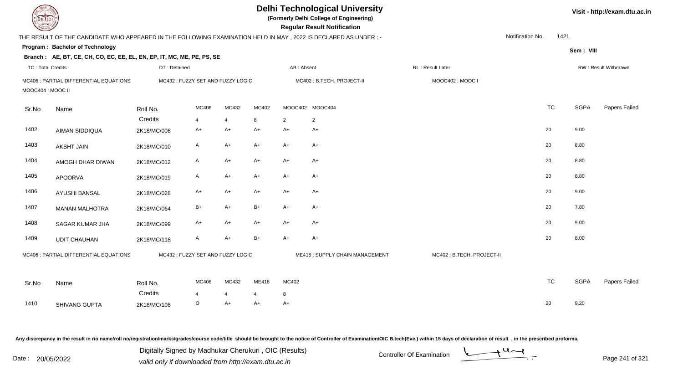|                          | <b>Delhi Technological University</b><br>(Formerly Delhi College of Engineering)<br>DEL TECH<br><b>Regular Result Notification</b> |                                   |                     |                      |                      |                |                                |                           |                  |           |             |                      |  |  |
|--------------------------|------------------------------------------------------------------------------------------------------------------------------------|-----------------------------------|---------------------|----------------------|----------------------|----------------|--------------------------------|---------------------------|------------------|-----------|-------------|----------------------|--|--|
|                          | THE RESULT OF THE CANDIDATE WHO APPEARED IN THE FOLLOWING EXAMINATION HELD IN MAY, 2022 IS DECLARED AS UNDER:-                     |                                   |                     |                      |                      |                |                                |                           | Notification No. | 1421      |             |                      |  |  |
|                          | Program: Bachelor of Technology                                                                                                    |                                   |                     |                      |                      |                |                                |                           |                  |           | Sem: VIII   |                      |  |  |
|                          | Branch: AE, BT, CE, CH, CO, EC, EE, EL, EN, EP, IT, MC, ME, PE, PS, SE                                                             |                                   |                     |                      |                      |                |                                |                           |                  |           |             |                      |  |  |
| <b>TC: Total Credits</b> |                                                                                                                                    | DT: Detained                      |                     |                      |                      | AB: Absent     |                                | RL : Result Later         |                  |           |             | RW: Result Withdrawn |  |  |
| MOOC404 : MOOC II        | MC406 : PARTIAL DIFFERENTIAL EQUATIONS                                                                                             | MC432: FUZZY SET AND FUZZY LOGIC  |                     |                      |                      |                | MC402: B.TECH. PROJECT-II      | MOOC402: MOOC I           |                  |           |             |                      |  |  |
| Sr.No                    | Name                                                                                                                               | Roll No.                          | MC406               | MC432                | MC402                |                | MOOC402 MOOC404                |                           |                  | <b>TC</b> | <b>SGPA</b> | Papers Failed        |  |  |
|                          |                                                                                                                                    | Credits                           | $\overline{4}$      | $\overline{4}$       | 8                    | $\overline{2}$ | 2                              |                           |                  |           |             |                      |  |  |
| 1402                     | AIMAN SIDDIQUA                                                                                                                     | 2K18/MC/008                       | $A+$                | $A+$                 | $A+$                 | $A+$           | $A+$                           |                           |                  | 20        | 9.00        |                      |  |  |
| 1403                     | <b>AKSHT JAIN</b>                                                                                                                  | 2K18/MC/010                       | A                   | $A+$                 | A+                   | A+             | A+                             |                           |                  | 20        | 8.80        |                      |  |  |
| 1404                     | AMOGH DHAR DIWAN                                                                                                                   | 2K18/MC/012                       | A                   | A+                   | A+                   | A+             | A+                             |                           |                  | 20        | 8.80        |                      |  |  |
| 1405                     | <b>APOORVA</b>                                                                                                                     | 2K18/MC/019                       | $\mathsf{A}$        | $A+$                 | $A+$                 | A+             | A+                             |                           |                  | 20        | 8.80        |                      |  |  |
| 1406                     | AYUSHI BANSAL                                                                                                                      | 2K18/MC/028                       | A+                  | $A+$                 | $A+$                 | $A+$           | $A+$                           |                           |                  | 20        | 9.00        |                      |  |  |
| 1407                     | <b>MANAN MALHOTRA</b>                                                                                                              | 2K18/MC/064                       | $B+$                | $A+$                 | B+                   | $A+$           | $A+$                           |                           |                  | 20        | 7.80        |                      |  |  |
| 1408                     | SAGAR KUMAR JHA                                                                                                                    | 2K18/MC/099                       | $A+$                | $A+$                 | $A+$                 | A+             | $A+$                           |                           |                  | 20        | 9.00        |                      |  |  |
| 1409                     | <b>UDIT CHAUHAN</b>                                                                                                                | 2K18/MC/118                       | A                   | $A+$                 | $B+$                 | $A+$           | $A+$                           |                           |                  | 20        | 8.00        |                      |  |  |
|                          | MC406 : PARTIAL DIFFERENTIAL EQUATIONS                                                                                             | MC432 : FUZZY SET AND FUZZY LOGIC |                     |                      |                      |                | ME418: SUPPLY CHAIN MANAGEMENT | MC402: B.TECH. PROJECT-II |                  |           |             |                      |  |  |
| Sr.No                    | Name                                                                                                                               | Roll No.                          | MC406               | MC432                | ME418                | MC402          |                                |                           |                  | <b>TC</b> | <b>SGPA</b> | Papers Failed        |  |  |
| 1410                     | SHIVANG GUPTA                                                                                                                      | Credits<br>2K18/MC/108            | $\overline{4}$<br>O | $\overline{4}$<br>A+ | $\overline{4}$<br>A+ | 8<br>$A+$      |                                |                           |                  | 20        | 9.20        |                      |  |  |
|                          |                                                                                                                                    |                                   |                     |                      |                      |                |                                |                           |                  |           |             |                      |  |  |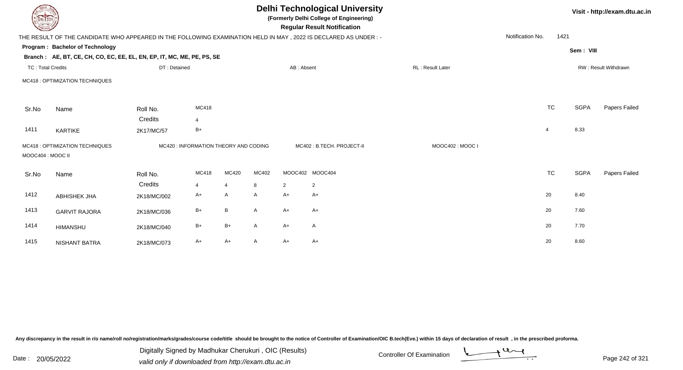| <b>DELTECH</b>           |                                                                                                                |              |                                       | Visit - http://exam.dtu.ac.in |       |                |                           |                  |                  |                |             |                      |
|--------------------------|----------------------------------------------------------------------------------------------------------------|--------------|---------------------------------------|-------------------------------|-------|----------------|---------------------------|------------------|------------------|----------------|-------------|----------------------|
|                          | THE RESULT OF THE CANDIDATE WHO APPEARED IN THE FOLLOWING EXAMINATION HELD IN MAY, 2022 IS DECLARED AS UNDER:- |              |                                       |                               |       |                |                           |                  | Notification No. | 1421           |             |                      |
|                          | Program: Bachelor of Technology                                                                                |              |                                       |                               |       |                |                           |                  |                  |                | Sem: VIII   |                      |
|                          | Branch: AE, BT, CE, CH, CO, EC, EE, EL, EN, EP, IT, MC, ME, PE, PS, SE                                         |              |                                       |                               |       |                |                           |                  |                  |                |             |                      |
| <b>TC: Total Credits</b> |                                                                                                                | DT: Detained |                                       |                               |       | AB: Absent     |                           | RL: Result Later |                  |                |             | RW: Result Withdrawn |
|                          | MC418 : OPTIMIZATION TECHNIQUES                                                                                |              |                                       |                               |       |                |                           |                  |                  |                |             |                      |
| Sr.No                    | Name                                                                                                           | Roll No.     | MC418                                 |                               |       |                |                           |                  |                  | <b>TC</b>      | <b>SGPA</b> | Papers Failed        |
|                          |                                                                                                                | Credits      | $\overline{4}$                        |                               |       |                |                           |                  |                  |                |             |                      |
| 1411                     | <b>KARTIKE</b>                                                                                                 | 2K17/MC/57   | $B+$                                  |                               |       |                |                           |                  |                  | $\overline{4}$ | 8.33        |                      |
| MOOC404 : MOOC II        | MC418 : OPTIMIZATION TECHNIQUES                                                                                |              | MC420 : INFORMATION THEORY AND CODING |                               |       |                | MC402: B.TECH. PROJECT-II | MOOC402: MOOC I  |                  |                |             |                      |
| Sr.No                    | Name                                                                                                           | Roll No.     | MC418                                 | MC420                         | MC402 |                | MOOC402 MOOC404           |                  |                  | TC             | <b>SGPA</b> | Papers Failed        |
|                          |                                                                                                                | Credits      | $\overline{4}$                        | $\overline{4}$                | 8     | $\overline{2}$ | 2                         |                  |                  |                |             |                      |
| 1412                     | <b>ABHISHEK JHA</b>                                                                                            | 2K18/MC/002  | $A+$                                  | A                             | A     | A+             | A+                        |                  |                  | 20             | 8.40        |                      |
| 1413                     | <b>GARVIT RAJORA</b>                                                                                           | 2K18/MC/036  | $B+$                                  | B                             | A     | $A+$           | $A+$                      |                  |                  | 20             | 7.60        |                      |
| 1414                     | <b>HIMANSHU</b>                                                                                                | 2K18/MC/040  | $B+$                                  | $B+$                          | A     | $A+$           | $\mathsf{A}$              |                  |                  | 20             | 7.70        |                      |
| 1415                     | <b>NISHANT BATRA</b>                                                                                           | 2K18/MC/073  | A+                                    | $A+$                          | A     | A+             | $A+$                      |                  |                  | 20             | 8.60        |                      |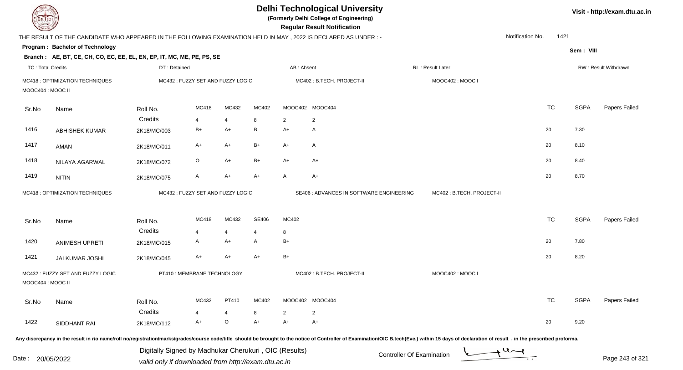| <b>DELTECH</b>           |                                                                                                                |                                                                                                              |                                   |                |                |                | <b>Delhi Technological University</b><br>(Formerly Delhi College of Engineering)<br><b>Regular Result Notification</b> |                                                                                                                                                                                                                                |                  |             | Visit - http://exam.dtu.ac.in |
|--------------------------|----------------------------------------------------------------------------------------------------------------|--------------------------------------------------------------------------------------------------------------|-----------------------------------|----------------|----------------|----------------|------------------------------------------------------------------------------------------------------------------------|--------------------------------------------------------------------------------------------------------------------------------------------------------------------------------------------------------------------------------|------------------|-------------|-------------------------------|
|                          | THE RESULT OF THE CANDIDATE WHO APPEARED IN THE FOLLOWING EXAMINATION HELD IN MAY, 2022 IS DECLARED AS UNDER:- |                                                                                                              |                                   |                |                |                |                                                                                                                        |                                                                                                                                                                                                                                | Notification No. | 1421        |                               |
|                          | Program: Bachelor of Technology                                                                                |                                                                                                              |                                   |                |                |                |                                                                                                                        |                                                                                                                                                                                                                                |                  | Sem: VIII   |                               |
|                          | Branch: AE, BT, CE, CH, CO, EC, EE, EL, EN, EP, IT, MC, ME, PE, PS, SE                                         |                                                                                                              |                                   |                |                |                |                                                                                                                        |                                                                                                                                                                                                                                |                  |             |                               |
| <b>TC: Total Credits</b> |                                                                                                                | DT: Detained                                                                                                 |                                   |                |                | AB: Absent     |                                                                                                                        | RL: Result Later                                                                                                                                                                                                               |                  |             | RW: Result Withdrawn          |
| MOOC404 : MOOC II        | MC418 : OPTIMIZATION TECHNIQUES                                                                                |                                                                                                              | MC432 : FUZZY SET AND FUZZY LOGIC |                |                |                | MC402 : B.TECH. PROJECT-II                                                                                             | MOOC402: MOOC I                                                                                                                                                                                                                |                  |             |                               |
| Sr.No                    | Name                                                                                                           | Roll No.                                                                                                     | MC418                             | MC432          | MC402          |                | MOOC402 MOOC404                                                                                                        |                                                                                                                                                                                                                                | <b>TC</b>        | <b>SGPA</b> | Papers Failed                 |
|                          |                                                                                                                | Credits                                                                                                      | 4                                 | $\overline{4}$ | 8              | $\overline{2}$ | $\overline{2}$                                                                                                         |                                                                                                                                                                                                                                |                  |             |                               |
| 1416                     | <b>ABHISHEK KUMAR</b>                                                                                          | 2K18/MC/003                                                                                                  | $B+$                              | A+             | B              | $A+$           | A                                                                                                                      |                                                                                                                                                                                                                                | 20               | 7.30        |                               |
| 1417                     | AMAN                                                                                                           | 2K18/MC/011                                                                                                  | A+                                | $A+$           | $B+$           | $A+$           | A                                                                                                                      |                                                                                                                                                                                                                                | 20               | 8.10        |                               |
| 1418                     | NILAYA AGARWAL                                                                                                 | 2K18/MC/072                                                                                                  | $\circ$                           | $A+$           | B+             | $A+$           | A+                                                                                                                     |                                                                                                                                                                                                                                | 20               | 8.40        |                               |
| 1419                     | <b>NITIN</b>                                                                                                   | 2K18/MC/075                                                                                                  | $\mathsf{A}$                      | $A+$           | $A+$           | A              | $A+$                                                                                                                   |                                                                                                                                                                                                                                | 20               | 8.70        |                               |
|                          | MC418 : OPTIMIZATION TECHNIQUES                                                                                |                                                                                                              | MC432 : FUZZY SET AND FUZZY LOGIC |                |                |                | SE406 : ADVANCES IN SOFTWARE ENGINEERING                                                                               | MC402: B.TECH. PROJECT-II                                                                                                                                                                                                      |                  |             |                               |
| Sr.No                    | Name                                                                                                           | Roll No.                                                                                                     | MC418                             | MC432          | SE406          | MC402          |                                                                                                                        |                                                                                                                                                                                                                                | <b>TC</b>        | <b>SGPA</b> | Papers Failed                 |
|                          |                                                                                                                | Credits                                                                                                      | $\overline{4}$                    | $\overline{4}$ | $\overline{4}$ | 8              |                                                                                                                        |                                                                                                                                                                                                                                |                  |             |                               |
| 1420                     | <b>ANIMESH UPRETI</b>                                                                                          | 2K18/MC/015                                                                                                  | A                                 | A+             | A              | $B+$           |                                                                                                                        |                                                                                                                                                                                                                                | 20               | 7.80        |                               |
| 1421                     | <b>JAI KUMAR JOSHI</b>                                                                                         | 2K18/MC/045                                                                                                  | $A+$                              | A+             | $A+$           | $B+$           |                                                                                                                        |                                                                                                                                                                                                                                | 20               | 8.20        |                               |
| MOOC404 : MOOC II        | MC432: FUZZY SET AND FUZZY LOGIC                                                                               |                                                                                                              | PT410 : MEMBRANE TECHNOLOGY       |                |                |                | MC402: B.TECH. PROJECT-II                                                                                              | MOOC402: MOOC I                                                                                                                                                                                                                |                  |             |                               |
| Sr.No                    | Name                                                                                                           | Roll No.                                                                                                     | MC432                             | PT410          | MC402          |                | MOOC402 MOOC404                                                                                                        |                                                                                                                                                                                                                                | <b>TC</b>        | <b>SGPA</b> | Papers Failed                 |
|                          |                                                                                                                | Credits                                                                                                      |                                   | 4              | 8              | 2              | 2                                                                                                                      |                                                                                                                                                                                                                                |                  |             |                               |
| 1422                     | SIDDHANT RAI                                                                                                   | 2K18/MC/112                                                                                                  | A+                                | O              | $A+$           | A+             | A+                                                                                                                     |                                                                                                                                                                                                                                | 20               | 9.20        |                               |
|                          |                                                                                                                |                                                                                                              |                                   |                |                |                |                                                                                                                        | Any discrepancy in the result in r/o name/roll no/registration/marks/grades/course code/title should be brought to the notice of Controller of Examination/OIC B.tech(Eve.) within 15 days of declaration of result , in the p |                  |             |                               |
| Date :                   | 20/05/2022                                                                                                     | Digitally Signed by Madhukar Cherukuri, OIC (Results)<br>valid only if downloaded from http://exam.dtu.ac.in |                                   |                |                |                |                                                                                                                        | <b>Controller Of Examination</b>                                                                                                                                                                                               |                  |             | Page 243 of 321               |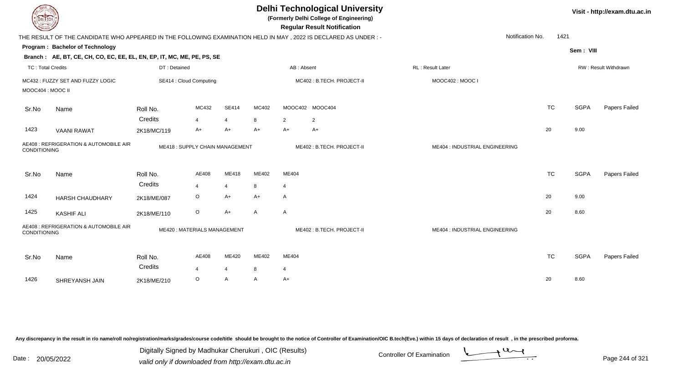| <b>DELTECH</b>           |                                                                        |              |                                |                |              |                | <b>Delhi Technological University</b><br>(Formerly Delhi College of Engineering)<br><b>Regular Result Notification</b> |                                |           |             | Visit - http://exam.dtu.ac.in |
|--------------------------|------------------------------------------------------------------------|--------------|--------------------------------|----------------|--------------|----------------|------------------------------------------------------------------------------------------------------------------------|--------------------------------|-----------|-------------|-------------------------------|
|                          |                                                                        |              |                                |                |              |                | THE RESULT OF THE CANDIDATE WHO APPEARED IN THE FOLLOWING EXAMINATION HELD IN MAY, 2022 IS DECLARED AS UNDER:-         | Notification No.               | 1421      |             |                               |
|                          | Program: Bachelor of Technology                                        |              |                                |                |              |                |                                                                                                                        |                                |           | Sem: VIII   |                               |
|                          | Branch: AE, BT, CE, CH, CO, EC, EE, EL, EN, EP, IT, MC, ME, PE, PS, SE |              |                                |                |              |                |                                                                                                                        |                                |           |             |                               |
| <b>TC: Total Credits</b> |                                                                        | DT: Detained |                                |                |              |                | AB: Absent                                                                                                             | RL: Result Later               |           |             | RW: Result Withdrawn          |
|                          | MC432: FUZZY SET AND FUZZY LOGIC                                       |              | SE414 : Cloud Computing        |                |              |                | MC402: B.TECH. PROJECT-II                                                                                              | MOOC402: MOOC I                |           |             |                               |
| MOOC404 : MOOC II        |                                                                        |              |                                |                |              |                |                                                                                                                        |                                |           |             |                               |
| Sr.No                    | Name                                                                   | Roll No.     | MC432                          | SE414          | MC402        |                | MOOC402 MOOC404                                                                                                        |                                | <b>TC</b> | <b>SGPA</b> | Papers Failed                 |
|                          |                                                                        | Credits      | $\overline{4}$                 | $\overline{4}$ | 8            | $\overline{2}$ | $\overline{2}$                                                                                                         |                                |           |             |                               |
| 1423                     | <b>VAANI RAWAT</b>                                                     | 2K18/MC/119  | A+                             | $A+$           | $A+$         | $A+$           | A+                                                                                                                     |                                | 20        | 9.00        |                               |
| CONDITIONING             | AE408 : REFRIGERATION & AUTOMOBILE AIR                                 |              | ME418: SUPPLY CHAIN MANAGEMENT |                |              |                | ME402: B.TECH. PROJECT-II                                                                                              | ME404 : INDUSTRIAL ENGINEERING |           |             |                               |
| Sr.No                    | Name                                                                   | Roll No.     | AE408                          | ME418          | ME402        | ME404          |                                                                                                                        |                                | <b>TC</b> | <b>SGPA</b> | Papers Failed                 |
|                          |                                                                        | Credits      | $\overline{4}$                 | $\overline{4}$ | 8            | $\overline{4}$ |                                                                                                                        |                                |           |             |                               |
| 1424                     | <b>HARSH CHAUDHARY</b>                                                 | 2K18/ME/087  | $\circ$                        | $A+$           | $A+$         | A              |                                                                                                                        |                                | 20        | 9.00        |                               |
| 1425                     | <b>KASHIF ALI</b>                                                      | 2K18/ME/110  | $\circ$                        | $A+$           | $\mathsf{A}$ | A              |                                                                                                                        |                                | 20        | 8.60        |                               |
| CONDITIONING             | AE408 : REFRIGERATION & AUTOMOBILE AIR                                 |              | ME420: MATERIALS MANAGEMENT    |                |              |                | ME402: B.TECH. PROJECT-II                                                                                              | ME404 : INDUSTRIAL ENGINEERING |           |             |                               |
| Sr.No                    | Name                                                                   | Roll No.     | AE408                          | ME420          | ME402        | ME404          |                                                                                                                        |                                | <b>TC</b> | <b>SGPA</b> | Papers Failed                 |
|                          |                                                                        | Credits      | $\overline{4}$                 | 4              | 8            | $\overline{4}$ |                                                                                                                        |                                |           |             |                               |
| 1426                     | SHREYANSH JAIN                                                         | 2K18/ME/210  | $\circ$                        | A              | A            | A+             |                                                                                                                        |                                | 20        | 8.60        |                               |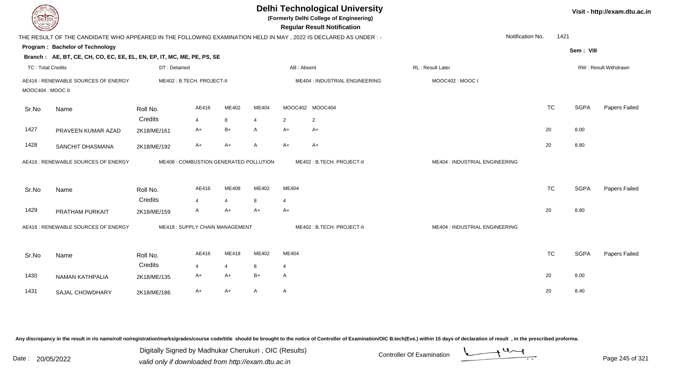| <b>DELTECH</b>           |                                                                                                                 |                        |                                        |                        |                     |                        | <b>Delhi Technological University</b><br>(Formerly Delhi College of Engineering)<br><b>Regular Result Notification</b> |                                |           |             | Visit - http://exam.dtu.ac.in |
|--------------------------|-----------------------------------------------------------------------------------------------------------------|------------------------|----------------------------------------|------------------------|---------------------|------------------------|------------------------------------------------------------------------------------------------------------------------|--------------------------------|-----------|-------------|-------------------------------|
|                          | THE RESULT OF THE CANDIDATE WHO APPEARED IN THE FOLLOWING EXAMINATION HELD IN MAY, 2022 IS DECLARED AS UNDER :- |                        |                                        |                        |                     |                        |                                                                                                                        | Notification No.               | 1421      |             |                               |
|                          | Program: Bachelor of Technology                                                                                 |                        |                                        |                        |                     |                        |                                                                                                                        |                                |           | Sem: VIII   |                               |
|                          | Branch: AE, BT, CE, CH, CO, EC, EE, EL, EN, EP, IT, MC, ME, PE, PS, SE                                          |                        |                                        |                        |                     |                        |                                                                                                                        |                                |           |             |                               |
| <b>TC: Total Credits</b> |                                                                                                                 | DT: Detained           |                                        |                        |                     | AB: Absent             |                                                                                                                        | RL: Result Later               |           |             | <b>RW: Result Withdrawn</b>   |
| MOOC404 : MOOC II        | AE416 : RENEWABLE SOURCES OF ENERGY                                                                             |                        | ME402: B.TECH. PROJECT-II              |                        |                     |                        | ME404 : INDUSTRIAL ENGINEERING                                                                                         | MOOC402: MOOC I                |           |             |                               |
| Sr.No                    | Name                                                                                                            | Roll No.               | AE416                                  | <b>ME402</b>           | ME404               |                        | MOOC402 MOOC404                                                                                                        |                                | <b>TC</b> | <b>SGPA</b> | Papers Failed                 |
| 1427                     | PRAVEEN KUMAR AZAD                                                                                              | Credits<br>2K18/ME/161 | 4<br>A+                                | 8<br>B+                | $\overline{4}$<br>A | 2<br>$A+$              | $\overline{2}$<br>A+                                                                                                   |                                | 20        | 8.00        |                               |
| 1428                     | SANCHIT DHASMANA                                                                                                | 2K18/ME/192            | A+                                     | A+                     | $\overline{A}$      | $A+$                   | $A+$                                                                                                                   |                                | 20        | 8.80        |                               |
|                          | AE416 : RENEWABLE SOURCES OF ENERGY                                                                             |                        | ME408 : COMBUSTION GENERATED POLLUTION |                        |                     |                        | ME402: B.TECH. PROJECT-II                                                                                              | ME404 : INDUSTRIAL ENGINEERING |           |             |                               |
| Sr.No                    | Name                                                                                                            | Roll No.               | AE416                                  | ME408                  | ME402               | ME404                  |                                                                                                                        |                                | <b>TC</b> | <b>SGPA</b> | Papers Failed                 |
| 1429                     | PRATHAM PURKAIT                                                                                                 | Credits<br>2K18/ME/159 | $\overline{4}$<br>A                    | 4<br>A+                | 8<br>$A+$           | $\overline{4}$<br>$A+$ |                                                                                                                        |                                | 20        | 8.80        |                               |
|                          | AE416 : RENEWABLE SOURCES OF ENERGY                                                                             |                        | ME418: SUPPLY CHAIN MANAGEMENT         |                        |                     |                        | ME402: B.TECH. PROJECT-II                                                                                              | ME404 : INDUSTRIAL ENGINEERING |           |             |                               |
| Sr.No                    | Name                                                                                                            | Roll No.               | AE416                                  | ME418                  | ME402               | ME404                  |                                                                                                                        |                                | <b>TC</b> | <b>SGPA</b> | Papers Failed                 |
| 1430                     | NAMAN KATHPALIA                                                                                                 | Credits<br>2K18/ME/135 | $\overline{4}$<br>A+                   | $\overline{4}$<br>$A+$ | 8<br>$B+$           | 4<br>$\overline{A}$    |                                                                                                                        |                                | 20        | 8.00        |                               |
| 1431                     | <b>SAJAL CHOWDHARY</b>                                                                                          | 2K18/ME/186            | A+                                     | A+                     | $\mathsf{A}$        | $\mathsf{A}$           |                                                                                                                        |                                | 20        | 8.40        |                               |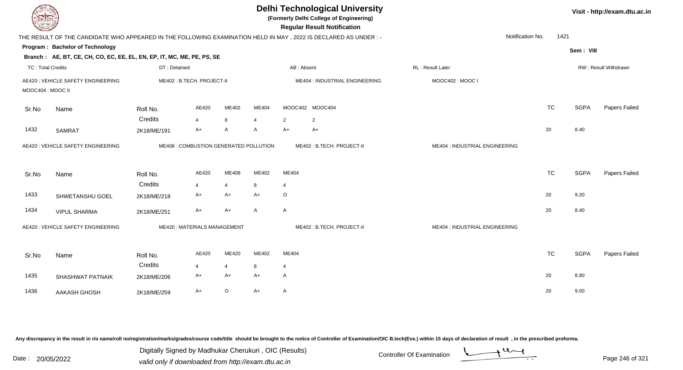| <b>DELTECH</b>           |                                                                                                                |              |                                        |                |       |                | <b>Delhi Technological University</b><br>(Formerly Delhi College of Engineering)<br><b>Regular Result Notification</b> |                                |           |             | Visit - http://exam.dtu.ac.in |
|--------------------------|----------------------------------------------------------------------------------------------------------------|--------------|----------------------------------------|----------------|-------|----------------|------------------------------------------------------------------------------------------------------------------------|--------------------------------|-----------|-------------|-------------------------------|
|                          | THE RESULT OF THE CANDIDATE WHO APPEARED IN THE FOLLOWING EXAMINATION HELD IN MAY, 2022 IS DECLARED AS UNDER:- |              |                                        |                |       |                |                                                                                                                        | Notification No.               | 1421      |             |                               |
|                          | Program: Bachelor of Technology                                                                                |              |                                        |                |       |                |                                                                                                                        |                                |           | Sem: VIII   |                               |
|                          | Branch: AE, BT, CE, CH, CO, EC, EE, EL, EN, EP, IT, MC, ME, PE, PS, SE                                         |              |                                        |                |       |                |                                                                                                                        |                                |           |             |                               |
| <b>TC: Total Credits</b> |                                                                                                                | DT: Detained |                                        |                |       | AB: Absent     |                                                                                                                        | <b>RL: Result Later</b>        |           |             | RW: Result Withdrawn          |
| MOOC404 : MOOC II        | AE420 : VEHICLE SAFETY ENGINEERING                                                                             |              | ME402: B.TECH. PROJECT-II              |                |       |                | ME404 : INDUSTRIAL ENGINEERING                                                                                         | MOOC402: MOOC I                |           |             |                               |
| Sr.No                    | Name                                                                                                           | Roll No.     | AE420                                  | ME402          | ME404 |                | MOOC402 MOOC404                                                                                                        |                                | <b>TC</b> | <b>SGPA</b> | Papers Failed                 |
|                          |                                                                                                                | Credits      | $\overline{4}$                         | 8              | 4     | $\overline{2}$ | 2                                                                                                                      |                                |           |             |                               |
| 1432                     | <b>SAMRAT</b>                                                                                                  | 2K18/ME/191  | $A+$                                   | Α              | A     | $A+$           | $A+$                                                                                                                   |                                | 20        | 8.40        |                               |
|                          | AE420 : VEHICLE SAFETY ENGINEERING                                                                             |              | ME408 : COMBUSTION GENERATED POLLUTION |                |       |                | ME402: B.TECH. PROJECT-II                                                                                              | ME404 : INDUSTRIAL ENGINEERING |           |             |                               |
| Sr.No                    | Name                                                                                                           | Roll No.     | AE420                                  | ME408          | ME402 | ME404          |                                                                                                                        |                                | <b>TC</b> | <b>SGPA</b> | Papers Failed                 |
|                          |                                                                                                                | Credits      | $\overline{4}$                         | $\overline{4}$ | 8     | $\overline{4}$ |                                                                                                                        |                                |           |             |                               |
| 1433                     | SHWETANSHU GOEL                                                                                                | 2K18/ME/218  | A+                                     | $A+$           | $A+$  | $\circ$        |                                                                                                                        |                                | 20        | 9.20        |                               |
| 1434                     | <b>VIPUL SHARMA</b>                                                                                            | 2K18/ME/251  | A+                                     | A+             | A     | $\mathsf{A}$   |                                                                                                                        |                                | 20        | 8.40        |                               |
|                          | AE420 : VEHICLE SAFETY ENGINEERING                                                                             |              | <b>ME420: MATERIALS MANAGEMENT</b>     |                |       |                | ME402: B.TECH. PROJECT-II                                                                                              | ME404 : INDUSTRIAL ENGINEERING |           |             |                               |
| Sr.No                    | Name                                                                                                           | Roll No.     | AE420                                  | ME420          | ME402 | ME404          |                                                                                                                        |                                | <b>TC</b> | <b>SGPA</b> | Papers Failed                 |
|                          |                                                                                                                | Credits      | $\overline{4}$                         | $\overline{4}$ | 8     | $\overline{4}$ |                                                                                                                        |                                |           |             |                               |
| 1435                     | SHASHWAT PATNAIK                                                                                               | 2K18/ME/206  | A+                                     | $A+$           | $A+$  | $\mathsf{A}$   |                                                                                                                        |                                | 20        | 8.80        |                               |
| 1436                     | AAKASH GHOSH                                                                                                   | 2K18/ME/259  | $A+$                                   | $\circ$        | $A+$  | A              |                                                                                                                        |                                | 20        | 9.00        |                               |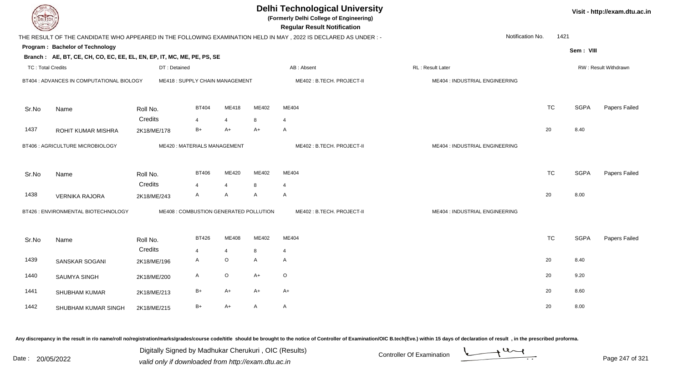| DEL TECH                 |                                                                        |              |                                        |                |              | <b>Delhi Technological University</b><br>(Formerly Delhi College of Engineering)<br><b>Regular Result Notification</b> |                                |                          |             | Visit - http://exam.dtu.ac.in |
|--------------------------|------------------------------------------------------------------------|--------------|----------------------------------------|----------------|--------------|------------------------------------------------------------------------------------------------------------------------|--------------------------------|--------------------------|-------------|-------------------------------|
|                          |                                                                        |              |                                        |                |              | THE RESULT OF THE CANDIDATE WHO APPEARED IN THE FOLLOWING EXAMINATION HELD IN MAY, 2022 IS DECLARED AS UNDER:-         |                                | Notification No.<br>1421 |             |                               |
|                          | <b>Program: Bachelor of Technology</b>                                 |              |                                        |                |              |                                                                                                                        |                                |                          | Sem: VIII   |                               |
|                          | Branch: AE, BT, CE, CH, CO, EC, EE, EL, EN, EP, IT, MC, ME, PE, PS, SE |              |                                        |                |              |                                                                                                                        |                                |                          |             |                               |
| <b>TC: Total Credits</b> |                                                                        | DT: Detained |                                        |                |              | AB: Absent                                                                                                             | <b>RL: Result Later</b>        |                          |             | RW: Result Withdrawn          |
|                          | BT404 : ADVANCES IN COMPUTATIONAL BIOLOGY                              |              | ME418: SUPPLY CHAIN MANAGEMENT         |                |              | ME402: B.TECH. PROJECT-II                                                                                              | ME404 : INDUSTRIAL ENGINEERING |                          |             |                               |
| Sr.No                    | Name                                                                   | Roll No.     | <b>BT404</b>                           | <b>ME418</b>   | ME402        | ME404                                                                                                                  |                                | <b>TC</b>                | <b>SGPA</b> | Papers Failed                 |
|                          |                                                                        | Credits      | $\overline{4}$                         | $\overline{4}$ | 8            | $\overline{4}$                                                                                                         |                                |                          |             |                               |
| 1437                     | ROHIT KUMAR MISHRA                                                     | 2K18/ME/178  | $B+$                                   | $A+$           | A+           | $\mathsf{A}$                                                                                                           |                                | 20                       | 8.40        |                               |
|                          | <b>BT406 : AGRICULTURE MICROBIOLOGY</b>                                |              | ME420: MATERIALS MANAGEMENT            |                |              | ME402: B.TECH. PROJECT-II                                                                                              | ME404 : INDUSTRIAL ENGINEERING |                          |             |                               |
| Sr.No                    | Name                                                                   | Roll No.     | <b>BT406</b>                           | ME420          | ME402        | ME404                                                                                                                  |                                | <b>TC</b>                | <b>SGPA</b> | Papers Failed                 |
|                          |                                                                        | Credits      | $\overline{4}$                         | $\overline{4}$ | 8            | $\overline{4}$                                                                                                         |                                |                          |             |                               |
| 1438                     | <b>VERNIKA RAJORA</b>                                                  | 2K18/ME/243  | A                                      | A              | $\mathsf{A}$ | $\mathsf{A}$                                                                                                           |                                | 20                       | 8.00        |                               |
|                          | BT426 : ENVIRONMENTAL BIOTECHNOLOGY                                    |              | ME408 : COMBUSTION GENERATED POLLUTION |                |              | ME402: B.TECH. PROJECT-II                                                                                              | ME404 : INDUSTRIAL ENGINEERING |                          |             |                               |
| Sr.No                    | Name                                                                   | Roll No.     | <b>BT426</b>                           | ME408          | ME402        | ME404                                                                                                                  |                                | <b>TC</b>                | <b>SGPA</b> | Papers Failed                 |
|                          |                                                                        | Credits      | 4                                      | $\overline{4}$ | 8            | $\overline{4}$<br>$\mathsf{A}$                                                                                         |                                |                          | 8.40        |                               |
| 1439                     | <b>SANSKAR SOGANI</b>                                                  | 2K18/ME/196  | A                                      | $\mathsf O$    | A            |                                                                                                                        |                                | 20                       |             |                               |
| 1440                     | SAUMYA SINGH                                                           | 2K18/ME/200  | A                                      | O              | A+           | $\circ$                                                                                                                |                                | 20                       | 9.20        |                               |
| 1441                     | SHUBHAM KUMAR                                                          | 2K18/ME/213  | $B+$                                   | $A+$           | A+           | $A+$                                                                                                                   |                                | 20                       | 8.60        |                               |
| 1442                     | SHUBHAM KUMAR SINGH                                                    | 2K18/ME/215  | $B+$                                   | $A+$           | A            | $\mathsf{A}$                                                                                                           |                                | 20                       | 8.00        |                               |

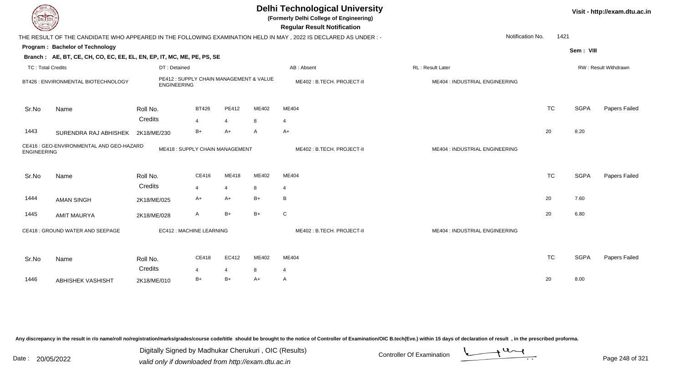|                          |                                                                        |                    |                                         |                |              | <b>Delhi Technological University</b><br>(Formerly Delhi College of Engineering)<br><b>Regular Result Notification</b> |                                |           |             | Visit - http://exam.dtu.ac.in |
|--------------------------|------------------------------------------------------------------------|--------------------|-----------------------------------------|----------------|--------------|------------------------------------------------------------------------------------------------------------------------|--------------------------------|-----------|-------------|-------------------------------|
|                          |                                                                        |                    |                                         |                |              | THE RESULT OF THE CANDIDATE WHO APPEARED IN THE FOLLOWING EXAMINATION HELD IN MAY, 2022 IS DECLARED AS UNDER:-         | Notification No.               | 1421      |             |                               |
|                          | Program: Bachelor of Technology                                        |                    |                                         |                |              |                                                                                                                        |                                |           |             |                               |
|                          | Branch: AE, BT, CE, CH, CO, EC, EE, EL, EN, EP, IT, MC, ME, PE, PS, SE |                    |                                         |                |              |                                                                                                                        |                                |           | Sem: VIII   |                               |
| <b>TC: Total Credits</b> |                                                                        | DT: Detained       |                                         |                |              | AB: Absent                                                                                                             | RL: Result Later               |           |             | RW: Result Withdrawn          |
|                          | BT426 : ENVIRONMENTAL BIOTECHNOLOGY                                    | <b>ENGINEERING</b> | PE412 : SUPPLY CHAIN MANAGEMENT & VALUE |                |              | ME402: B.TECH. PROJECT-II                                                                                              | ME404 : INDUSTRIAL ENGINEERING |           |             |                               |
| Sr.No                    | Name                                                                   | Roll No.           | <b>BT426</b>                            | <b>PE412</b>   | ME402        | ME404                                                                                                                  |                                | <b>TC</b> | <b>SGPA</b> | Papers Failed                 |
|                          |                                                                        | Credits            | 4                                       | $\overline{4}$ | 8            | 4                                                                                                                      |                                |           |             |                               |
| 1443                     | SURENDRA RAJ ABHISHEK                                                  | 2K18/ME/230        | $B+$                                    | $A+$           | $\mathsf{A}$ | $A+$                                                                                                                   |                                | 20        | 8.20        |                               |
| <b>ENGINEERING</b>       | CE416 : GEO-ENVIRONMENTAL AND GEO-HAZARD                               |                    | ME418: SUPPLY CHAIN MANAGEMENT          |                |              | ME402: B.TECH. PROJECT-II                                                                                              | ME404 : INDUSTRIAL ENGINEERING |           |             |                               |
| Sr.No                    | Name                                                                   | Roll No.           | CE416                                   | ME418          | ME402        | ME404                                                                                                                  |                                | <b>TC</b> | <b>SGPA</b> | Papers Failed                 |
|                          |                                                                        | Credits            | $\overline{4}$                          | $\overline{4}$ | 8            | 4                                                                                                                      |                                |           |             |                               |
| 1444                     | <b>AMAN SINGH</b>                                                      | 2K18/ME/025        | A+                                      | A+             | $B+$         | B                                                                                                                      |                                | 20        | 7.60        |                               |
| 1445                     | <b>AMIT MAURYA</b>                                                     | 2K18/ME/028        | A                                       | $B+$           | $B+$         | C                                                                                                                      |                                | 20        | 6.80        |                               |
|                          | CE418 : GROUND WATER AND SEEPAGE                                       |                    | EC412 : MACHINE LEARNING                |                |              | ME402: B.TECH. PROJECT-II                                                                                              | ME404 : INDUSTRIAL ENGINEERING |           |             |                               |
| Sr.No                    | Name                                                                   | Roll No.           | CE418                                   | EC412          | ME402        | ME404                                                                                                                  |                                | <b>TC</b> | <b>SGPA</b> | Papers Failed                 |
|                          |                                                                        | Credits            | $\boldsymbol{\Delta}$                   | $\overline{4}$ | 8            | 4                                                                                                                      |                                |           |             |                               |
| 1446                     | <b>ABHISHEK VASHISHT</b>                                               | 2K18/ME/010        | B+                                      | $B+$           | A+           | A                                                                                                                      |                                | 20        | 8.00        |                               |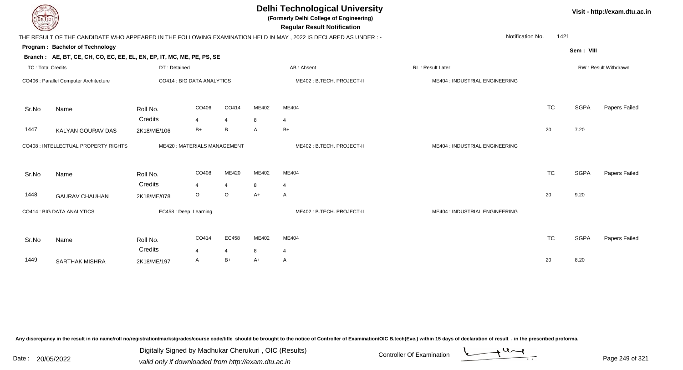| EL TECH                  |                                                                        |              |                             |                |       | <b>Delhi Technological University</b><br>(Formerly Delhi College of Engineering)<br><b>Regular Result Notification</b> |                                |           |             | Visit - http://exam.dtu.ac.in |
|--------------------------|------------------------------------------------------------------------|--------------|-----------------------------|----------------|-------|------------------------------------------------------------------------------------------------------------------------|--------------------------------|-----------|-------------|-------------------------------|
|                          |                                                                        |              |                             |                |       | THE RESULT OF THE CANDIDATE WHO APPEARED IN THE FOLLOWING EXAMINATION HELD IN MAY, 2022 IS DECLARED AS UNDER:-         | Notification No.               | 1421      |             |                               |
|                          | Program: Bachelor of Technology                                        |              |                             |                |       |                                                                                                                        |                                |           | Sem: VIII   |                               |
|                          | Branch: AE, BT, CE, CH, CO, EC, EE, EL, EN, EP, IT, MC, ME, PE, PS, SE |              |                             |                |       |                                                                                                                        |                                |           |             |                               |
| <b>TC: Total Credits</b> |                                                                        | DT: Detained |                             |                |       | AB: Absent                                                                                                             | RL: Result Later               |           |             | <b>RW: Result Withdrawn</b>   |
|                          | CO406 : Parallel Computer Architecture                                 |              | CO414 : BIG DATA ANALYTICS  |                |       | ME402: B.TECH. PROJECT-II                                                                                              | ME404 : INDUSTRIAL ENGINEERING |           |             |                               |
| Sr.No                    | Name                                                                   | Roll No.     | CO406                       | CO414          | ME402 | ME404                                                                                                                  |                                | <b>TC</b> | <b>SGPA</b> | Papers Failed                 |
|                          |                                                                        | Credits      | 4                           | $\overline{4}$ | 8     | $\overline{4}$                                                                                                         |                                |           |             |                               |
| 1447                     | KALYAN GOURAV DAS                                                      | 2K18/ME/106  | $B+$                        | B              | A     | $B+$                                                                                                                   |                                | 20        | 7.20        |                               |
|                          | CO408 : INTELLECTUAL PROPERTY RIGHTS                                   |              | ME420: MATERIALS MANAGEMENT |                |       | ME402: B.TECH. PROJECT-II                                                                                              | ME404 : INDUSTRIAL ENGINEERING |           |             |                               |
| Sr.No                    | Name                                                                   | Roll No.     | CO408                       | ME420          | ME402 | ME404                                                                                                                  |                                | <b>TC</b> | <b>SGPA</b> | Papers Failed                 |
|                          |                                                                        | Credits      |                             | $\overline{4}$ | 8     | $\overline{4}$                                                                                                         |                                |           |             |                               |
| 1448                     | <b>GAURAV CHAUHAN</b>                                                  | 2K18/ME/078  | O                           | $\circ$        | $A+$  | A                                                                                                                      |                                | 20        | 9.20        |                               |
|                          | CO414 : BIG DATA ANALYTICS                                             |              | EC458 : Deep Learning       |                |       | ME402: B.TECH. PROJECT-II                                                                                              | ME404 : INDUSTRIAL ENGINEERING |           |             |                               |
| Sr.No                    | Name                                                                   | Roll No.     | CO414                       | EC458          | ME402 | ME404                                                                                                                  |                                | <b>TC</b> | <b>SGPA</b> | Papers Failed                 |
|                          |                                                                        | Credits      | 4                           | $\overline{4}$ | 8     | 4                                                                                                                      |                                |           |             |                               |
| 1449                     | <b>SARTHAK MISHRA</b>                                                  | 2K18/ME/197  | A                           | $B+$           | A+    | A                                                                                                                      |                                | 20        | 8.20        |                               |
|                          |                                                                        |              |                             |                |       |                                                                                                                        |                                |           |             |                               |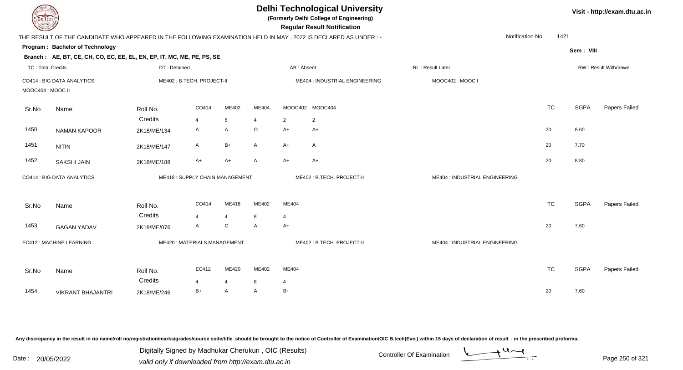| <b>DELTECH</b>           |                                                                                                                |              |                                |                |                         |                | <b>Delhi Technological University</b><br>(Formerly Delhi College of Engineering)<br><b>Regular Result Notification</b> |                                |           |             | Visit - http://exam.dtu.ac.in |
|--------------------------|----------------------------------------------------------------------------------------------------------------|--------------|--------------------------------|----------------|-------------------------|----------------|------------------------------------------------------------------------------------------------------------------------|--------------------------------|-----------|-------------|-------------------------------|
|                          | THE RESULT OF THE CANDIDATE WHO APPEARED IN THE FOLLOWING EXAMINATION HELD IN MAY, 2022 IS DECLARED AS UNDER:- |              |                                |                |                         |                |                                                                                                                        | Notification No.               | 1421      |             |                               |
|                          | Program: Bachelor of Technology                                                                                |              |                                |                |                         |                |                                                                                                                        |                                |           | Sem: VIII   |                               |
|                          | Branch: AE, BT, CE, CH, CO, EC, EE, EL, EN, EP, IT, MC, ME, PE, PS, SE                                         |              |                                |                |                         |                |                                                                                                                        |                                |           |             |                               |
| <b>TC: Total Credits</b> |                                                                                                                | DT: Detained |                                |                |                         | AB: Absent     |                                                                                                                        | <b>RL: Result Later</b>        |           |             | RW: Result Withdrawn          |
| MOOC404 : MOOC II        | CO414 : BIG DATA ANALYTICS                                                                                     |              | ME402: B.TECH. PROJECT-II      |                |                         |                | ME404 : INDUSTRIAL ENGINEERING                                                                                         | MOOC402: MOOC I                |           |             |                               |
| Sr.No                    | Name                                                                                                           | Roll No.     | CO414                          | ME402          | ME404                   |                | MOOC402 MOOC404                                                                                                        |                                | <b>TC</b> | <b>SGPA</b> | Papers Failed                 |
|                          |                                                                                                                | Credits      | $\overline{4}$                 | 8              | $\overline{\mathbf{4}}$ | 2              | $\overline{2}$                                                                                                         |                                |           |             |                               |
| 1450                     | <b>NAMAN KAPOOR</b>                                                                                            | 2K18/ME/134  | A                              | A              | $\circ$                 | $A+$           | A+                                                                                                                     |                                | 20        | 8.60        |                               |
| 1451                     | <b>NITIN</b>                                                                                                   | 2K18/ME/147  | A                              | $B+$           | $\mathsf{A}$            | $A+$           | A                                                                                                                      |                                | 20        | 7.70        |                               |
| 1452                     | <b>SAKSHI JAIN</b>                                                                                             | 2K18/ME/188  | A+                             | $A+$           | $\overline{A}$          | $A+$           | $A+$                                                                                                                   |                                | 20        | 8.80        |                               |
|                          | CO414 : BIG DATA ANALYTICS                                                                                     |              | ME418: SUPPLY CHAIN MANAGEMENT |                |                         |                | ME402: B.TECH. PROJECT-II                                                                                              | ME404 : INDUSTRIAL ENGINEERING |           |             |                               |
| Sr.No                    | Name                                                                                                           | Roll No.     | CO414                          | ME418          | ME402                   | ME404          |                                                                                                                        |                                | <b>TC</b> | <b>SGPA</b> | Papers Failed                 |
|                          |                                                                                                                | Credits      | $\overline{\mathbf{A}}$        | $\overline{4}$ | 8                       | $\overline{4}$ |                                                                                                                        |                                |           |             |                               |
| 1453                     | <b>GAGAN YADAV</b>                                                                                             | 2K18/ME/076  | A                              | C              | A                       | $A+$           |                                                                                                                        |                                | 20        | 7.60        |                               |
|                          | EC412 : MACHINE LEARNING                                                                                       |              | ME420: MATERIALS MANAGEMENT    |                |                         |                | ME402: B.TECH. PROJECT-II                                                                                              | ME404 : INDUSTRIAL ENGINEERING |           |             |                               |
| Sr.No                    | Name                                                                                                           | Roll No.     | EC412                          | ME420          | ME402                   | ME404          |                                                                                                                        |                                | <b>TC</b> | <b>SGPA</b> | Papers Failed                 |
|                          |                                                                                                                | Credits      | $\overline{4}$                 | $\overline{4}$ | 8                       | $\overline{4}$ |                                                                                                                        |                                |           |             |                               |
| 1454                     | <b>VIKRANT BHAJANTRI</b>                                                                                       | 2K18/ME/246  | $B+$                           | A              | A                       | $B+$           |                                                                                                                        |                                | 20        | 7.60        |                               |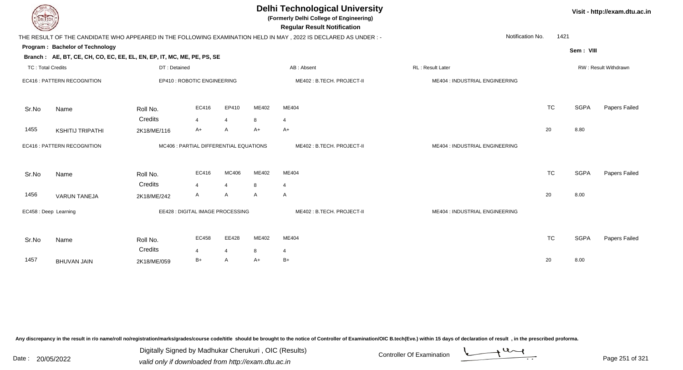| <b>DELIECH</b>                  |             |                |                |                                                                                                       |                                                                            |                                                                                                                                                                                                                                          |           |                  | Visit - http://exam.dtu.ac.in |
|---------------------------------|-------------|----------------|----------------|-------------------------------------------------------------------------------------------------------|----------------------------------------------------------------------------|------------------------------------------------------------------------------------------------------------------------------------------------------------------------------------------------------------------------------------------|-----------|------------------|-------------------------------|
|                                 |             |                |                |                                                                                                       |                                                                            |                                                                                                                                                                                                                                          |           |                  |                               |
| Program: Bachelor of Technology |             |                |                |                                                                                                       |                                                                            |                                                                                                                                                                                                                                          |           |                  |                               |
|                                 |             |                |                |                                                                                                       |                                                                            |                                                                                                                                                                                                                                          |           |                  |                               |
| <b>TC: Total Credits</b>        |             |                |                |                                                                                                       | AB: Absent                                                                 | RL : Result Later                                                                                                                                                                                                                        |           |                  | RW: Result Withdrawn          |
| EC416 : PATTERN RECOGNITION     |             |                |                |                                                                                                       | ME402: B.TECH. PROJECT-II                                                  | ME404 : INDUSTRIAL ENGINEERING                                                                                                                                                                                                           |           |                  |                               |
| Name                            | Roll No.    | EC416          | EP410          | ME402                                                                                                 | ME404                                                                      |                                                                                                                                                                                                                                          | <b>TC</b> | <b>SGPA</b>      | Papers Failed                 |
|                                 | Credits     | $\overline{4}$ | $\overline{4}$ | 8                                                                                                     | $\overline{4}$                                                             |                                                                                                                                                                                                                                          |           |                  |                               |
| <b>KSHITIJ TRIPATHI</b>         | 2K18/ME/116 | $A+$           | A              | $A+$                                                                                                  | $A+$                                                                       |                                                                                                                                                                                                                                          | 20        | 8.80             |                               |
| EC416 : PATTERN RECOGNITION     |             |                |                |                                                                                                       | ME402: B.TECH. PROJECT-II                                                  | ME404 : INDUSTRIAL ENGINEERING                                                                                                                                                                                                           |           |                  |                               |
| Name                            | Roll No.    | EC416          | MC406          | ME402                                                                                                 | ME404                                                                      |                                                                                                                                                                                                                                          | <b>TC</b> | <b>SGPA</b>      | Papers Failed                 |
|                                 | Credits     | $\overline{4}$ | $\overline{4}$ | 8                                                                                                     | 4                                                                          |                                                                                                                                                                                                                                          |           |                  |                               |
| <b>VARUN TANEJA</b>             | 2K18/ME/242 | A              | A              | $\mathsf{A}$                                                                                          | A                                                                          |                                                                                                                                                                                                                                          | 20        | 8.00             |                               |
| EC458 : Deep Learning           |             |                |                |                                                                                                       | ME402: B.TECH. PROJECT-II                                                  | ME404 : INDUSTRIAL ENGINEERING                                                                                                                                                                                                           |           |                  |                               |
| Name                            | Roll No.    | EC458          | EE428          | ME402                                                                                                 | ME404                                                                      |                                                                                                                                                                                                                                          | <b>TC</b> | <b>SGPA</b>      | Papers Failed                 |
|                                 | Credits     | 4              | $\overline{4}$ | 8                                                                                                     | 4                                                                          |                                                                                                                                                                                                                                          |           |                  |                               |
| <b>BHUVAN JAIN</b>              | 2K18/ME/059 | B+             | A              | A+                                                                                                    | $B+$                                                                       |                                                                                                                                                                                                                                          | 20        | 8.00             |                               |
|                                 |             |                | DT: Detained   | Branch: AE, BT, CE, CH, CO, EC, EE, EL, EN, EP, IT, MC, ME, PE, PS, SE<br>EP410 : ROBOTIC ENGINEERING | MC406 : PARTIAL DIFFERENTIAL EQUATIONS<br>EE428 : DIGITAL IMAGE PROCESSING | <b>Delhi Technological University</b><br>(Formerly Delhi College of Engineering)<br><b>Regular Result Notification</b><br>THE RESULT OF THE CANDIDATE WHO APPEARED IN THE FOLLOWING EXAMINATION HELD IN MAY, 2022 IS DECLARED AS UNDER:- |           | Notification No. | 1421<br>Sem: VIII             |

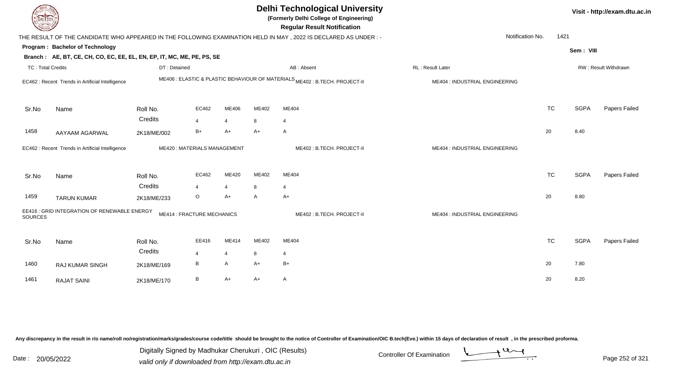| <b>DELTECH</b>                                                                                                   |                                                  | <b>Delhi Technological University</b><br>(Formerly Delhi College of Engineering)<br><b>Regular Result Notification</b> |                |                |                                                                             |                           |                                |                          | Visit - http://exam.dtu.ac.in |               |  |
|------------------------------------------------------------------------------------------------------------------|--------------------------------------------------|------------------------------------------------------------------------------------------------------------------------|----------------|----------------|-----------------------------------------------------------------------------|---------------------------|--------------------------------|--------------------------|-------------------------------|---------------|--|
| THE RESULT OF THE CANDIDATE WHO APPEARED IN THE FOLLOWING EXAMINATION HELD IN MAY, 2022 IS DECLARED AS UNDER:-   |                                                  |                                                                                                                        |                |                |                                                                             |                           |                                | Notification No.<br>1421 |                               |               |  |
| <b>Program: Bachelor of Technology</b><br>Branch: AE, BT, CE, CH, CO, EC, EE, EL, EN, EP, IT, MC, ME, PE, PS, SE |                                                  |                                                                                                                        |                |                |                                                                             |                           |                                | Sem: VIII                |                               |               |  |
| <b>TC: Total Credits</b>                                                                                         |                                                  | DT: Detained                                                                                                           |                |                | AB: Absent                                                                  |                           | RL : Result Later              |                          | RW: Result Withdrawn          |               |  |
| EC462 : Recent Trends in Artificial Intelligence                                                                 |                                                  |                                                                                                                        |                |                | ME406 : ELASTIC & PLASTIC BEHAVIOUR OF MATERIALS ME402 : B.TECH. PROJECT-II |                           | ME404 : INDUSTRIAL ENGINEERING |                          |                               |               |  |
| Sr.No                                                                                                            | Name                                             | Roll No.                                                                                                               | EC462          | ME406          | ME402                                                                       | ME404                     |                                | <b>TC</b>                | <b>SGPA</b>                   | Papers Failed |  |
|                                                                                                                  |                                                  | Credits                                                                                                                | $\overline{4}$ | $\overline{4}$ | 8                                                                           | $\boldsymbol{\Delta}$     |                                |                          |                               |               |  |
| 1458                                                                                                             | AAYAAM AGARWAL                                   | 2K18/ME/002                                                                                                            | $B+$           | $A+$           | $A+$                                                                        | A                         |                                | 20                       | 8.40                          |               |  |
|                                                                                                                  | EC462 : Recent Trends in Artificial Intelligence | ME420: MATERIALS MANAGEMENT                                                                                            |                |                |                                                                             | ME402: B.TECH. PROJECT-II | ME404 : INDUSTRIAL ENGINEERING |                          |                               |               |  |
| Sr.No                                                                                                            | Name                                             | Roll No.                                                                                                               | EC462          | ME420          | ME402                                                                       | ME404                     |                                | <b>TC</b>                | <b>SGPA</b>                   | Papers Failed |  |
|                                                                                                                  |                                                  | Credits                                                                                                                | $\overline{4}$ | $\overline{4}$ | 8                                                                           | $\overline{4}$            |                                |                          |                               |               |  |
| 1459                                                                                                             | <b>TARUN KUMAR</b>                               | 2K18/ME/233                                                                                                            | $\circ$        | $A+$           | A                                                                           | A+                        |                                | 20                       | 8.80                          |               |  |
| EE416 : GRID INTEGRATION OF RENEWABLE ENERGY<br><b>ME414 : FRACTURE MECHANICS</b><br><b>SOURCES</b>              |                                                  |                                                                                                                        |                |                |                                                                             | ME402: B.TECH. PROJECT-II | ME404 : INDUSTRIAL ENGINEERING |                          |                               |               |  |
| Sr.No                                                                                                            | Name                                             | Roll No.                                                                                                               | EE416          | ME414          | ME402                                                                       | ME404                     |                                | <b>TC</b>                | <b>SGPA</b>                   | Papers Failed |  |
|                                                                                                                  |                                                  | Credits                                                                                                                | $\overline{4}$ | $\overline{4}$ | 8                                                                           | $\boldsymbol{\Delta}$     |                                |                          |                               |               |  |
| 1460                                                                                                             | <b>RAJ KUMAR SINGH</b>                           | 2K18/ME/169                                                                                                            | B              | $\mathsf{A}$   | $A+$                                                                        | $B+$                      |                                | 20                       | 7.80                          |               |  |
| 1461                                                                                                             | <b>RAJAT SAINI</b>                               | 2K18/ME/170                                                                                                            | B              | $A+$           | $A+$                                                                        | A                         |                                | 20                       | 8.20                          |               |  |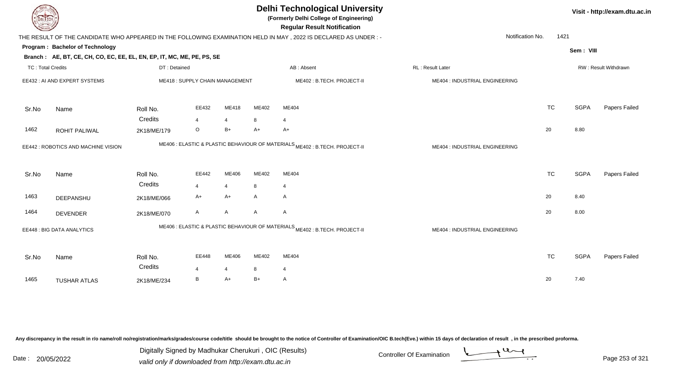| EL ECH                   |                                                                                                                            |              |                                |                |       | <b>Delhi Technological University</b><br>(Formerly Delhi College of Engineering)<br><b>Regular Result Notification</b> |                                |           |             | Visit - http://exam.dtu.ac.in |
|--------------------------|----------------------------------------------------------------------------------------------------------------------------|--------------|--------------------------------|----------------|-------|------------------------------------------------------------------------------------------------------------------------|--------------------------------|-----------|-------------|-------------------------------|
|                          |                                                                                                                            |              |                                |                |       | THE RESULT OF THE CANDIDATE WHO APPEARED IN THE FOLLOWING EXAMINATION HELD IN MAY, 2022 IS DECLARED AS UNDER:-         | Notification No.               | 1421      |             |                               |
|                          | Program: Bachelor of Technology<br>Branch: AE, BT, CE, CH, CO, EC, EE, EL, EN, EP, IT, MC, ME, PE, PS, SE                  |              |                                |                |       |                                                                                                                        |                                |           | Sem: VIII   |                               |
| <b>TC: Total Credits</b> |                                                                                                                            | DT: Detained |                                |                |       | AB: Absent                                                                                                             | RL: Result Later               |           |             | RW: Result Withdrawn          |
|                          | EE432: AI AND EXPERT SYSTEMS                                                                                               |              | ME418: SUPPLY CHAIN MANAGEMENT |                |       | ME402: B.TECH. PROJECT-II                                                                                              | ME404 : INDUSTRIAL ENGINEERING |           |             |                               |
| Sr.No                    | Name                                                                                                                       | Roll No.     | EE432                          | ME418          | ME402 | ME404                                                                                                                  |                                | <b>TC</b> | <b>SGPA</b> | Papers Failed                 |
|                          |                                                                                                                            | Credits      | $\overline{4}$                 | $\overline{4}$ | 8     | $\overline{4}$                                                                                                         |                                |           |             |                               |
| 1462                     | ROHIT PALIWAL                                                                                                              | 2K18/ME/179  | O                              | $B+$           | A+    | $A+$                                                                                                                   |                                | 20        | 8.80        |                               |
|                          | EE442 : ROBOTICS AND MACHINE VISION                                                                                        |              |                                |                |       | ME406 : ELASTIC & PLASTIC BEHAVIOUR OF MATERIALS ME402 : B.TECH. PROJECT-II                                            | ME404 : INDUSTRIAL ENGINEERING |           |             |                               |
| Sr.No                    | Name                                                                                                                       | Roll No.     | EE442                          | ME406          | ME402 | ME404                                                                                                                  |                                | <b>TC</b> | <b>SGPA</b> | Papers Failed                 |
|                          |                                                                                                                            | Credits      | $\overline{4}$                 | $\overline{4}$ | 8     | $\overline{4}$                                                                                                         |                                |           |             |                               |
| 1463                     | DEEPANSHU                                                                                                                  | 2K18/ME/066  | $A+$                           | $A+$           | A     | Α                                                                                                                      |                                | 20        | 8.40        |                               |
| 1464                     | <b>DEVENDER</b>                                                                                                            | 2K18/ME/070  | A                              | A              | A     | Α                                                                                                                      |                                | 20        | 8.00        |                               |
|                          | ME406 : ELASTIC & PLASTIC BEHAVIOUR OF MATERIALS <sub>ME402</sub> : B.TECH. PROJECT-II<br><b>EE448: BIG DATA ANALYTICS</b> |              |                                |                |       |                                                                                                                        | ME404 : INDUSTRIAL ENGINEERING |           |             |                               |
| Sr.No                    | Name                                                                                                                       | Roll No.     | EE448                          | ME406          | ME402 | ME404                                                                                                                  |                                | <b>TC</b> | <b>SGPA</b> | Papers Failed                 |
|                          |                                                                                                                            | Credits      | $\overline{4}$                 | 4              | 8     | $\overline{4}$                                                                                                         |                                |           |             |                               |
| 1465                     | <b>TUSHAR ATLAS</b>                                                                                                        | 2K18/ME/234  | B                              | A+             | B+    | A                                                                                                                      |                                | 20        | 7.40        |                               |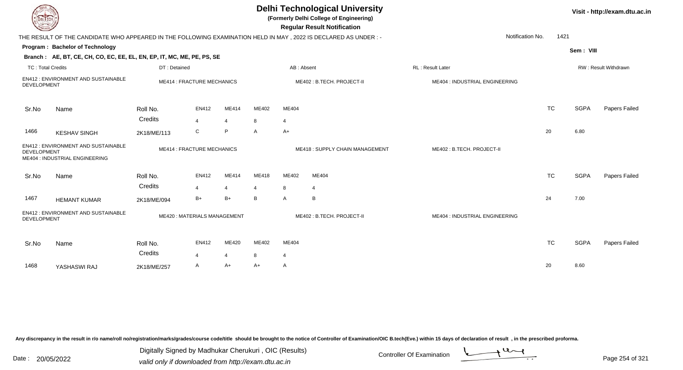| <b>DELIECH</b>                                                                              |                                                                                                                |                     |                                   |                         |            |            | <b>Delhi Technological University</b><br>(Formerly Delhi College of Engineering)<br><b>Regular Result Notification</b> |                                |           |             | Visit - http://exam.dtu.ac.in |
|---------------------------------------------------------------------------------------------|----------------------------------------------------------------------------------------------------------------|---------------------|-----------------------------------|-------------------------|------------|------------|------------------------------------------------------------------------------------------------------------------------|--------------------------------|-----------|-------------|-------------------------------|
|                                                                                             | THE RESULT OF THE CANDIDATE WHO APPEARED IN THE FOLLOWING EXAMINATION HELD IN MAY, 2022 IS DECLARED AS UNDER:- |                     |                                   |                         |            |            |                                                                                                                        | Notification No.               | 1421      |             |                               |
|                                                                                             | Program: Bachelor of Technology                                                                                |                     |                                   |                         |            |            |                                                                                                                        |                                |           | Sem: VIII   |                               |
|                                                                                             | Branch: AE, BT, CE, CH, CO, EC, EE, EL, EN, EP, IT, MC, ME, PE, PS, SE                                         |                     |                                   |                         |            |            |                                                                                                                        |                                |           |             |                               |
| <b>TC: Total Credits</b>                                                                    |                                                                                                                | DT: Detained        |                                   |                         |            | AB: Absent |                                                                                                                        | RL: Result Later               |           |             | RW: Result Withdrawn          |
| <b>DEVELOPMENT</b>                                                                          | EN412: ENVIRONMENT AND SUSTAINABLE                                                                             |                     | <b>ME414 : FRACTURE MECHANICS</b> |                         |            |            | ME402: B.TECH. PROJECT-II                                                                                              | ME404 : INDUSTRIAL ENGINEERING |           |             |                               |
| Sr.No                                                                                       | Name                                                                                                           | Roll No.            | <b>EN412</b>                      | ME414                   | ME402      | ME404      |                                                                                                                        |                                | <b>TC</b> | <b>SGPA</b> | Papers Failed                 |
|                                                                                             |                                                                                                                | Credits             | $\overline{4}$                    | $\overline{4}$          | 8          | 4          |                                                                                                                        |                                |           |             |                               |
| 1466                                                                                        | <b>KESHAV SINGH</b>                                                                                            | 2K18/ME/113         | C                                 | P                       | A          | A+         |                                                                                                                        |                                | 20        | 6.80        |                               |
| EN412 : ENVIRONMENT AND SUSTAINABLE<br><b>DEVELOPMENT</b><br>ME404 : INDUSTRIAL ENGINEERING |                                                                                                                |                     | <b>ME414: FRACTURE MECHANICS</b>  |                         |            |            | <b>ME418: SUPPLY CHAIN MANAGEMENT</b>                                                                                  | ME402: B.TECH. PROJECT-II      |           |             |                               |
| Sr.No                                                                                       | Name                                                                                                           | Roll No.            | EN412                             | ME414                   | ME418      | ME402      | ME404                                                                                                                  |                                | <b>TC</b> | <b>SGPA</b> | Papers Failed                 |
|                                                                                             |                                                                                                                | Credits             | 4                                 | $\overline{4}$          | 4          | 8          | $\overline{\mathcal{A}}$                                                                                               |                                |           |             |                               |
| 1467                                                                                        | <b>HEMANT KUMAR</b>                                                                                            | 2K18/ME/094         | $B+$                              | $B+$                    | B          | A          | B                                                                                                                      |                                | 24        | 7.00        |                               |
| <b>DEVELOPMENT</b>                                                                          | EN412 : ENVIRONMENT AND SUSTAINABLE                                                                            |                     | ME420: MATERIALS MANAGEMENT       |                         |            |            | ME402: B.TECH. PROJECT-II                                                                                              | ME404 : INDUSTRIAL ENGINEERING |           |             |                               |
| Sr.No                                                                                       | Name                                                                                                           | Roll No.<br>Credits | EN412<br>4                        | ME420<br>$\overline{4}$ | ME402<br>8 | ME404<br>4 |                                                                                                                        |                                | <b>TC</b> | <b>SGPA</b> | Papers Failed                 |
| 1468                                                                                        | YASHASWI RAJ                                                                                                   | 2K18/ME/257         | A                                 | A+                      | A+         | A          |                                                                                                                        |                                | 20        | 8.60        |                               |

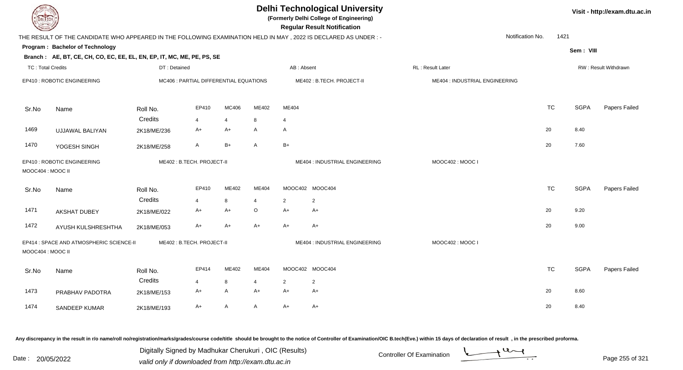| <b>DELTECH</b>           |                                                                                                                |              |                                        |                |                |                | <b>Delhi Technological University</b><br>(Formerly Delhi College of Engineering)<br><b>Regular Result Notification</b> |                                |                  |           |             | Visit - http://exam.dtu.ac.in |
|--------------------------|----------------------------------------------------------------------------------------------------------------|--------------|----------------------------------------|----------------|----------------|----------------|------------------------------------------------------------------------------------------------------------------------|--------------------------------|------------------|-----------|-------------|-------------------------------|
|                          | THE RESULT OF THE CANDIDATE WHO APPEARED IN THE FOLLOWING EXAMINATION HELD IN MAY, 2022 IS DECLARED AS UNDER:- |              |                                        |                |                |                |                                                                                                                        |                                | Notification No. | 1421      |             |                               |
|                          | Program: Bachelor of Technology                                                                                |              |                                        |                |                |                |                                                                                                                        |                                |                  |           | Sem: VIII   |                               |
|                          | Branch: AE, BT, CE, CH, CO, EC, EE, EL, EN, EP, IT, MC, ME, PE, PS, SE                                         |              |                                        |                |                |                |                                                                                                                        |                                |                  |           |             |                               |
| <b>TC: Total Credits</b> |                                                                                                                | DT: Detained |                                        |                |                | AB: Absent     |                                                                                                                        | RL: Result Later               |                  |           |             | RW: Result Withdrawn          |
|                          | EP410 : ROBOTIC ENGINEERING                                                                                    |              | MC406 : PARTIAL DIFFERENTIAL EQUATIONS |                |                |                | ME402: B.TECH. PROJECT-II                                                                                              | ME404 : INDUSTRIAL ENGINEERING |                  |           |             |                               |
| Sr.No                    | Name                                                                                                           | Roll No.     | EP410                                  | MC406          | ME402          | ME404          |                                                                                                                        |                                |                  | <b>TC</b> | <b>SGPA</b> | Papers Failed                 |
|                          |                                                                                                                | Credits      | $\overline{4}$                         | $\overline{4}$ | 8              | $\overline{4}$ |                                                                                                                        |                                |                  |           |             |                               |
| 1469                     | <b>UJJAWAL BALIYAN</b>                                                                                         | 2K18/ME/236  | A+                                     | A+             | A              | A              |                                                                                                                        |                                | 20               |           | 8.40        |                               |
| 1470                     | YOGESH SINGH                                                                                                   | 2K18/ME/258  | A                                      | $B+$           | A              | $B+$           |                                                                                                                        |                                | 20               |           | 7.60        |                               |
| MOOC404: MOOC II         | EP410 : ROBOTIC ENGINEERING                                                                                    |              | ME402: B.TECH. PROJECT-II              |                |                |                | ME404 : INDUSTRIAL ENGINEERING                                                                                         | MOOC402: MOOC I                |                  |           |             |                               |
| Sr.No                    | Name                                                                                                           | Roll No.     | EP410                                  | ME402          | ME404          |                | MOOC402 MOOC404                                                                                                        |                                |                  | <b>TC</b> | <b>SGPA</b> | Papers Failed                 |
|                          |                                                                                                                | Credits      | $\overline{4}$                         | 8              | 4              | 2              | $\overline{2}$                                                                                                         |                                |                  |           |             |                               |
| 1471                     | <b>AKSHAT DUBEY</b>                                                                                            | 2K18/ME/022  | A+                                     | $A+$           | $\mathsf O$    | $A+$           | A+                                                                                                                     |                                | 20               |           | 9.20        |                               |
| 1472                     | AYUSH KULSHRESHTHA                                                                                             | 2K18/ME/053  | A+                                     | A+             | $A+$           | $A+$           | A+                                                                                                                     |                                | 20               |           | 9.00        |                               |
| MOOC404: MOOC II         | EP414 : SPACE AND ATMOSPHERIC SCIENCE-II                                                                       |              | ME402: B.TECH. PROJECT-II              |                |                |                | ME404 : INDUSTRIAL ENGINEERING                                                                                         | MOOC402: MOOC I                |                  |           |             |                               |
| Sr.No                    | Name                                                                                                           | Roll No.     | EP414                                  | ME402          | ME404          |                | MOOC402 MOOC404                                                                                                        |                                |                  | <b>TC</b> | <b>SGPA</b> | Papers Failed                 |
|                          |                                                                                                                | Credits      | $\overline{4}$                         | 8              | $\overline{4}$ | 2              | $\overline{2}$                                                                                                         |                                |                  |           |             |                               |
| 1473                     | PRABHAV PADOTRA                                                                                                | 2K18/ME/153  | A+                                     | A              | $A+$           | $A+$           | $A+$                                                                                                                   |                                | 20               |           | 8.60        |                               |
| 1474                     | SANDEEP KUMAR                                                                                                  | 2K18/ME/193  | $A+$                                   | A              | $\mathsf{A}$   | $A+$           | $A+$                                                                                                                   |                                | 20               |           | 8.40        |                               |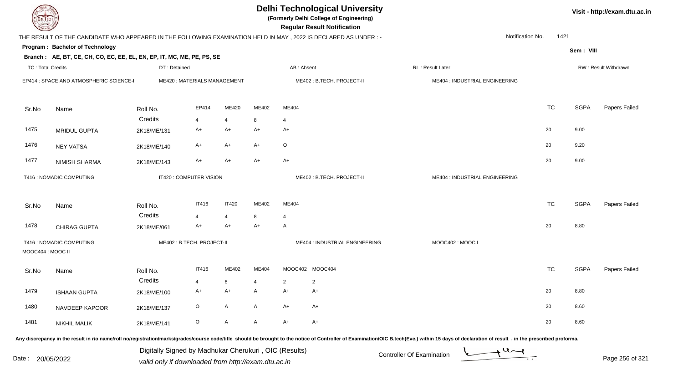| DEL TECH                                       |                                                                        |              |                                                       |              |                |                | <b>Delhi Technological University</b><br>(Formerly Delhi College of Engineering)<br><b>Regular Result Notification</b>                                                                                                         |                         |                                |                          |             | Visit - http://exam.dtu.ac.in |
|------------------------------------------------|------------------------------------------------------------------------|--------------|-------------------------------------------------------|--------------|----------------|----------------|--------------------------------------------------------------------------------------------------------------------------------------------------------------------------------------------------------------------------------|-------------------------|--------------------------------|--------------------------|-------------|-------------------------------|
|                                                |                                                                        |              |                                                       |              |                |                | THE RESULT OF THE CANDIDATE WHO APPEARED IN THE FOLLOWING EXAMINATION HELD IN MAY, 2022 IS DECLARED AS UNDER:-                                                                                                                 |                         |                                | Notification No.<br>1421 |             |                               |
| Program: Bachelor of Technology                |                                                                        |              |                                                       |              |                |                |                                                                                                                                                                                                                                |                         |                                |                          | Sem: VIII   |                               |
|                                                | Branch: AE, BT, CE, CH, CO, EC, EE, EL, EN, EP, IT, MC, ME, PE, PS, SE |              |                                                       |              |                |                |                                                                                                                                                                                                                                |                         |                                |                          |             |                               |
| <b>TC: Total Credits</b>                       |                                                                        | DT: Detained |                                                       |              |                | AB: Absent     |                                                                                                                                                                                                                                | RL: Result Later        |                                |                          |             | RW: Result Withdrawn          |
| EP414 : SPACE AND ATMOSPHERIC SCIENCE-II       |                                                                        |              | ME420: MATERIALS MANAGEMENT                           |              |                |                | ME402: B.TECH. PROJECT-II                                                                                                                                                                                                      |                         | ME404 : INDUSTRIAL ENGINEERING |                          |             |                               |
| Name<br>Sr.No                                  | Roll No.                                                               |              | EP414                                                 | ME420        | ME402          | ME404          |                                                                                                                                                                                                                                |                         |                                | <b>TC</b>                | <b>SGPA</b> | Papers Failed                 |
|                                                |                                                                        | Credits      | $\overline{4}$                                        | 4            | 8              | $\overline{4}$ |                                                                                                                                                                                                                                |                         |                                |                          |             |                               |
| 1475<br><b>MRIDUL GUPTA</b>                    |                                                                        | 2K18/ME/131  | A+                                                    | A+           | A+             | A+             |                                                                                                                                                                                                                                |                         |                                | 20                       | 9.00        |                               |
| 1476<br><b>NEY VATSA</b>                       |                                                                        | 2K18/ME/140  | $A+$                                                  | A+           | $A+$           | O              |                                                                                                                                                                                                                                |                         |                                | 20                       | 9.20        |                               |
| 1477<br><b>NIMISH SHARMA</b>                   |                                                                        | 2K18/ME/143  | $A+$                                                  | A+           | A+             | $A+$           |                                                                                                                                                                                                                                |                         |                                | 20                       | 9.00        |                               |
|                                                | IT416 : NOMADIC COMPUTING<br>IT420 : COMPUTER VISION                   |              |                                                       |              |                |                | ME402: B.TECH. PROJECT-II                                                                                                                                                                                                      |                         | ME404 : INDUSTRIAL ENGINEERING |                          |             |                               |
| Name<br>Sr.No                                  | Roll No.                                                               |              | <b>IT416</b>                                          | <b>IT420</b> | ME402          | ME404          |                                                                                                                                                                                                                                |                         |                                | <b>TC</b>                | <b>SGPA</b> | Papers Failed                 |
|                                                |                                                                        | Credits      | $\overline{4}$                                        | 4            | 8              | $\overline{4}$ |                                                                                                                                                                                                                                |                         |                                |                          |             |                               |
| 1478<br>CHIRAG GUPTA                           |                                                                        | 2K18/ME/061  | A+                                                    | A+           | A+             | A              |                                                                                                                                                                                                                                |                         |                                | 20                       | 8.80        |                               |
| IT416 : NOMADIC COMPUTING<br>MOOC404 : MOOC II |                                                                        |              | ME402: B.TECH. PROJECT-II                             |              |                |                | ME404 : INDUSTRIAL ENGINEERING                                                                                                                                                                                                 |                         | MOOC402: MOOC I                |                          |             |                               |
| Sr.No<br>Name                                  | Roll No.                                                               |              | <b>IT416</b>                                          | ME402        | ME404          |                | MOOC402 MOOC404                                                                                                                                                                                                                |                         |                                | <b>TC</b>                | <b>SGPA</b> | Papers Failed                 |
|                                                |                                                                        | Credits      | $\Lambda$                                             | 8            | $\overline{A}$ | $\mathcal{D}$  | $\overline{2}$                                                                                                                                                                                                                 |                         |                                |                          |             |                               |
| 1479<br><b>ISHAAN GUPTA</b>                    |                                                                        | 2K18/ME/100  | A+                                                    | A+           | A              | A+             | A+                                                                                                                                                                                                                             |                         |                                | 20                       | 8.80        |                               |
| 1480<br>NAVDEEP KAPOOR                         |                                                                        | 2K18/ME/137  | $\circ$                                               | Α            | A              | A+             | $A+$                                                                                                                                                                                                                           |                         |                                | 20                       | 8.60        |                               |
| 1481<br><b>NIKHIL MALIK</b>                    |                                                                        | 2K18/ME/141  | $\circ$                                               | Α            | A              | $A+$           | $A+$                                                                                                                                                                                                                           |                         |                                | 20                       | 8.60        |                               |
|                                                |                                                                        |              | Digitally Signed by Madhukar Cherukuri, OIC (Results) |              |                |                | Any discrepancy in the result in r/o name/roll no/registration/marks/grades/course code/title should be brought to the notice of Controller of Examination/OIC B.tech(Eve.) within 15 days of declaration of result , in the p | Controller Of Eveningti | $+u$                           |                          |             |                               |

Date : 20/05/2022 Digital Digital of Microsofted Chemical Controller Of Examination Determination Page 256 of 32

Page 256 of 321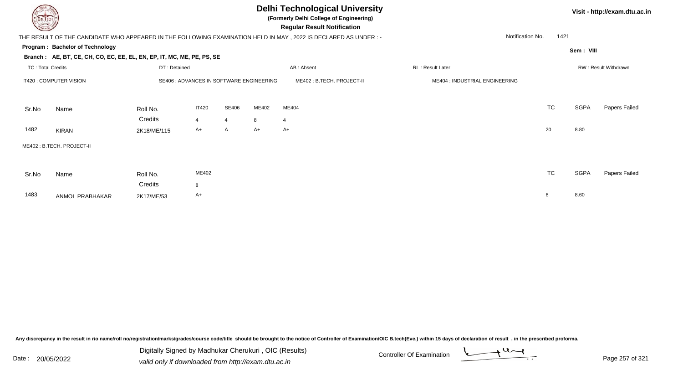| <b>UELTECH</b>           |                                                                        |              |              |                |       | <b>Delhi Technological University</b><br>(Formerly Delhi College of Engineering)<br><b>Regular Result Notification</b> |                                |                  |           |             | Visit - http://exam.dtu.ac.in |
|--------------------------|------------------------------------------------------------------------|--------------|--------------|----------------|-------|------------------------------------------------------------------------------------------------------------------------|--------------------------------|------------------|-----------|-------------|-------------------------------|
|                          |                                                                        |              |              |                |       | THE RESULT OF THE CANDIDATE WHO APPEARED IN THE FOLLOWING EXAMINATION HELD IN MAY , 2022 IS DECLARED AS UNDER :-       |                                | Notification No. | 1421      |             |                               |
|                          | <b>Program: Bachelor of Technology</b>                                 |              |              |                |       |                                                                                                                        |                                |                  |           | Sem: VIII   |                               |
|                          | Branch: AE, BT, CE, CH, CO, EC, EE, EL, EN, EP, IT, MC, ME, PE, PS, SE |              |              |                |       |                                                                                                                        |                                |                  |           |             |                               |
| <b>TC: Total Credits</b> |                                                                        | DT: Detained |              |                |       | AB: Absent                                                                                                             | <b>RL: Result Later</b>        |                  |           |             | RW: Result Withdrawn          |
|                          | IT420 : COMPUTER VISION<br>SE406 : ADVANCES IN SOFTWARE ENGINEERING    |              |              |                |       | ME402 : B.TECH. PROJECT-II                                                                                             | ME404 : INDUSTRIAL ENGINEERING |                  |           |             |                               |
| Sr.No                    | Name                                                                   | Roll No.     | <b>IT420</b> | SE406          | ME402 | ME404                                                                                                                  |                                |                  | <b>TC</b> | <b>SGPA</b> | Papers Failed                 |
|                          |                                                                        | Credits      | 4            | $\overline{4}$ | 8     | 4                                                                                                                      |                                |                  |           |             |                               |
| 1482                     | <b>KIRAN</b>                                                           | 2K18/ME/115  | A+           | $\mathsf{A}$   | $A+$  | $A+$                                                                                                                   |                                |                  | 20        | 8.80        |                               |
|                          | ME402: B.TECH. PROJECT-II                                              |              |              |                |       |                                                                                                                        |                                |                  |           |             |                               |
| Sr.No                    | Name                                                                   | Roll No.     | ME402        |                |       |                                                                                                                        |                                |                  | <b>TC</b> | <b>SGPA</b> | Papers Failed                 |
|                          |                                                                        | Credits      | 8            |                |       |                                                                                                                        |                                |                  |           |             |                               |
| 1483                     | ANMOL PRABHAKAR                                                        | 2K17/ME/53   | A+           |                |       |                                                                                                                        |                                |                  | 8         | 8.60        |                               |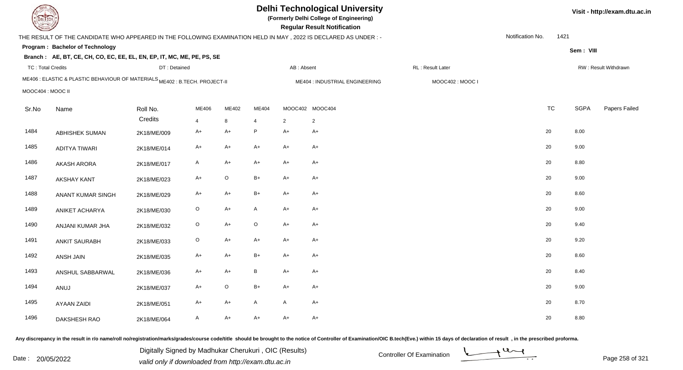| DEL ECH                  |                                                                                                                 |              |             |             |                |            | <b>Delhi Technological University</b><br>(Formerly Delhi College of Engineering)<br><b>Regular Result Notification</b> |                  |                  |      |             | Visit - http://exam.dtu.ac.in |
|--------------------------|-----------------------------------------------------------------------------------------------------------------|--------------|-------------|-------------|----------------|------------|------------------------------------------------------------------------------------------------------------------------|------------------|------------------|------|-------------|-------------------------------|
|                          | THE RESULT OF THE CANDIDATE WHO APPEARED IN THE FOLLOWING EXAMINATION HELD IN MAY, 2022 IS DECLARED AS UNDER :- |              |             |             |                |            |                                                                                                                        |                  | Notification No. | 1421 |             |                               |
|                          | Program: Bachelor of Technology                                                                                 |              |             |             |                |            |                                                                                                                        |                  |                  |      | Sem: VIII   |                               |
|                          | Branch: AE, BT, CE, CH, CO, EC, EE, EL, EN, EP, IT, MC, ME, PE, PS, SE                                          |              |             |             |                |            |                                                                                                                        |                  |                  |      |             |                               |
| <b>TC: Total Credits</b> |                                                                                                                 | DT: Detained |             |             |                | AB: Absent |                                                                                                                        | RL: Result Later |                  |      |             | RW: Result Withdrawn          |
|                          | ME406 : ELASTIC & PLASTIC BEHAVIOUR OF MATERIALS ME402 : B.TECH. PROJECT-II                                     |              |             |             |                |            | ME404 : INDUSTRIAL ENGINEERING                                                                                         | MOOC402: MOOC I  |                  |      |             |                               |
| MOOC404 : MOOC II        |                                                                                                                 |              |             |             |                |            |                                                                                                                        |                  |                  |      |             |                               |
| Sr.No                    | Name                                                                                                            | Roll No.     | ME406       | ME402       | ME404          |            | MOOC402 MOOC404                                                                                                        |                  | <b>TC</b>        |      | <b>SGPA</b> | Papers Failed                 |
|                          |                                                                                                                 | Credits      | 4           | 8           | $\overline{4}$ | 2          | $\overline{2}$                                                                                                         |                  |                  |      |             |                               |
| 1484                     | <b>ABHISHEK SUMAN</b>                                                                                           | 2K18/ME/009  | A+          | $A+$        | P              | $A+$       | $A+$                                                                                                                   |                  | 20               |      | 8.00        |                               |
| 1485                     | <b>ADITYA TIWARI</b>                                                                                            | 2K18/ME/014  | A+          | $A+$        | $A+$           | $A+$       | $A+$                                                                                                                   |                  | 20               |      | 9.00        |                               |
| 1486                     | <b>AKASH ARORA</b>                                                                                              | 2K18/ME/017  | A           | $A+$        | $A+$           | $A+$       | $A+$                                                                                                                   |                  | 20               |      | 8.80        |                               |
| 1487                     | <b>AKSHAY KANT</b>                                                                                              | 2K18/ME/023  | $A+$        | $\mathsf O$ | $B+$           | $A+$       | $A+$                                                                                                                   |                  | 20               |      | 9.00        |                               |
| 1488                     | ANANT KUMAR SINGH                                                                                               | 2K18/ME/029  | $A+$        | $A+$        | $B+$           | $A+$       | $A+$                                                                                                                   |                  | 20               |      | 8.60        |                               |
| 1489                     | ANIKET ACHARYA                                                                                                  | 2K18/ME/030  | $\mathsf O$ | A+          | A              | $A+$       | $A+$                                                                                                                   |                  | 20               |      | 9.00        |                               |
| 1490                     | ANJANI KUMAR JHA                                                                                                | 2K18/ME/032  | O           | $A+$        | $\circ$        | $A+$       | $A+$                                                                                                                   |                  | 20               |      | 9.40        |                               |
| 1491                     | <b>ANKIT SAURABH</b>                                                                                            | 2K18/ME/033  | $\mathsf O$ | $A+$        | $A+$           | $A+$       | $A+$                                                                                                                   |                  | 20               |      | 9.20        |                               |
| 1492                     | ANSH JAIN                                                                                                       | 2K18/ME/035  | $A+$        | A+          | $B+$           | $A+$       | $A+$                                                                                                                   |                  | 20               |      | 8.60        |                               |
| 1493                     | ANSHUL SABBARWAL                                                                                                | 2K18/ME/036  | $A+$        | $A+$        | $\, {\bf B}$   | $A+$       | $A+$                                                                                                                   |                  | 20               |      | 8.40        |                               |
| 1494                     | ANUJ                                                                                                            | 2K18/ME/037  | $A+$        | $\mathsf O$ | $B+$           | $A+$       | $A+$                                                                                                                   |                  | 20               |      | 9.00        |                               |
| 1495                     | <b>AYAAN ZAIDI</b>                                                                                              | 2K18/ME/051  | A+          | $A+$        | A              | A          | A+                                                                                                                     |                  | 20               |      | 8.70        |                               |
| 1496                     | DAKSHESH RAO                                                                                                    | 2K18/ME/064  | A           | $A+$        | $A+$           | $A+$       | $A+$                                                                                                                   |                  | 20               |      | 8.80        |                               |

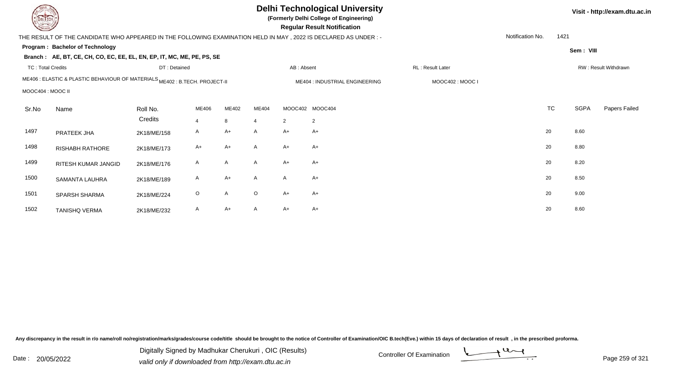| DEL TECH                 |                                                                                                                  |              |                |       |                       |            | <b>Delhi Technological University</b><br>(Formerly Delhi College of Engineering)<br><b>Regular Result Notification</b> |                  |                  |           |             | Visit - http://exam.dtu.ac.in |
|--------------------------|------------------------------------------------------------------------------------------------------------------|--------------|----------------|-------|-----------------------|------------|------------------------------------------------------------------------------------------------------------------------|------------------|------------------|-----------|-------------|-------------------------------|
|                          | THE RESULT OF THE CANDIDATE WHO APPEARED IN THE FOLLOWING EXAMINATION HELD IN MAY, 2022 IS DECLARED AS UNDER : - |              |                |       |                       |            |                                                                                                                        |                  | Notification No. | 1421      |             |                               |
|                          | Program: Bachelor of Technology                                                                                  |              |                |       |                       |            |                                                                                                                        |                  |                  |           | Sem: VIII   |                               |
|                          | Branch: AE, BT, CE, CH, CO, EC, EE, EL, EN, EP, IT, MC, ME, PE, PS, SE                                           |              |                |       |                       |            |                                                                                                                        |                  |                  |           |             |                               |
| <b>TC: Total Credits</b> |                                                                                                                  | DT: Detained |                |       |                       | AB: Absent |                                                                                                                        | RL: Result Later |                  |           |             | RW: Result Withdrawn          |
|                          | ME406 : ELASTIC & PLASTIC BEHAVIOUR OF MATERIALS ME402 : B.TECH. PROJECT-II                                      |              |                |       |                       |            | ME404 : INDUSTRIAL ENGINEERING                                                                                         | MOOC402: MOOC I  |                  |           |             |                               |
| MOOC404 : MOOC II        |                                                                                                                  |              |                |       |                       |            |                                                                                                                        |                  |                  |           |             |                               |
| Sr.No                    | Name                                                                                                             | Roll No.     | ME406          | ME402 | ME404                 | MOOC402    | MOOC404                                                                                                                |                  |                  | <b>TC</b> | <b>SGPA</b> | Papers Failed                 |
|                          |                                                                                                                  | Credits      | $\overline{4}$ | 8     | $\boldsymbol{\Delta}$ | 2          | 2                                                                                                                      |                  |                  |           |             |                               |
| 1497                     | PRATEEK JHA                                                                                                      | 2K18/ME/158  | A              | $A+$  | A                     | A+         | A+                                                                                                                     |                  | 20               |           | 8.60        |                               |
| 1498                     | RISHABH RATHORE                                                                                                  | 2K18/ME/173  | $A+$           | $A+$  | A                     | A+         | $A+$                                                                                                                   |                  | 20               |           | 8.80        |                               |
| 1499                     | RITESH KUMAR JANGID                                                                                              | 2K18/ME/176  | A              | A     | A                     | A+         | $A+$                                                                                                                   |                  | 20               |           | 8.20        |                               |
| 1500                     | SAMANTA LAUHRA                                                                                                   | 2K18/ME/189  | A              | $A+$  | A                     | A          | A+                                                                                                                     |                  | 20               |           | 8.50        |                               |
| 1501                     | SPARSH SHARMA                                                                                                    | 2K18/ME/224  | $\circ$        | Α     | O                     | A+         | $A+$                                                                                                                   |                  | 20               |           | 9.00        |                               |
| 1502                     | <b>TANISHQ VERMA</b>                                                                                             | 2K18/ME/232  | A              | $A+$  | A                     | A+         | $A+$                                                                                                                   |                  | 20               |           | 8.60        |                               |

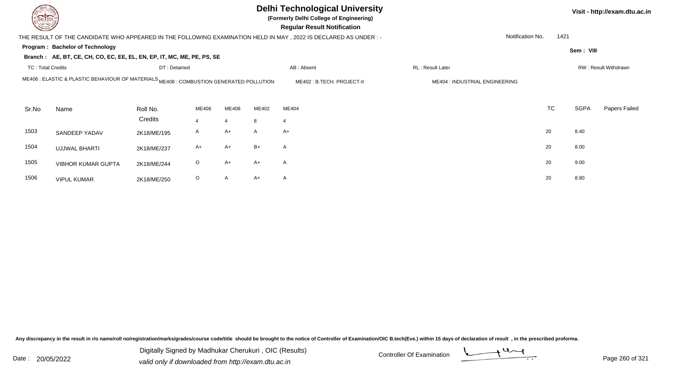| <b>DELTECH</b>           |                                                                                                    |                     |         |                         |        | <b>Delhi Technological University</b><br>(Formerly Delhi College of Engineering)<br><b>Regular Result Notification</b> |                                |           |             | Visit - http://exam.dtu.ac.in |
|--------------------------|----------------------------------------------------------------------------------------------------|---------------------|---------|-------------------------|--------|------------------------------------------------------------------------------------------------------------------------|--------------------------------|-----------|-------------|-------------------------------|
|                          |                                                                                                    |                     |         |                         |        | THE RESULT OF THE CANDIDATE WHO APPEARED IN THE FOLLOWING EXAMINATION HELD IN MAY, 2022 IS DECLARED AS UNDER :-        | Notification No.               | 1421      |             |                               |
|                          | Program: Bachelor of Technology                                                                    |                     |         |                         |        |                                                                                                                        |                                |           | Sem: VIII   |                               |
|                          | Branch: AE, BT, CE, CH, CO, EC, EE, EL, EN, EP, IT, MC, ME, PE, PS, SE                             |                     |         |                         |        |                                                                                                                        |                                |           |             |                               |
| <b>TC: Total Credits</b> |                                                                                                    | DT: Detained        |         |                         |        | AB: Absent                                                                                                             | <b>RL</b> : Result Later       |           |             | RW: Result Withdrawn          |
|                          | ME406 : ELASTIC & PLASTIC BEHAVIOUR OF MATERIALS <sub>ME408</sub> : COMBUSTION GENERATED POLLUTION |                     |         |                         |        | ME402: B.TECH. PROJECT-II                                                                                              | ME404 : INDUSTRIAL ENGINEERING |           |             |                               |
| Sr.No                    | Name                                                                                               | Roll No.<br>Credits | ME406   | ME408<br>$\overline{4}$ | ME402  | ME404                                                                                                                  |                                | <b>TC</b> | <b>SGPA</b> | Papers Failed                 |
| 1503                     | SANDEEP YADAV                                                                                      | 2K18/ME/195         | A       | $A+$                    | 8<br>A | 4<br>$A+$                                                                                                              |                                | 20        | 8.40        |                               |
| 1504                     | <b>UJJWAL BHARTI</b>                                                                               | 2K18/ME/237         | A+      | $A+$                    | $B+$   | $\mathsf{A}$                                                                                                           |                                | 20        | 8.00        |                               |
| 1505                     | <b>VIBHOR KUMAR GUPTA</b>                                                                          | 2K18/ME/244         | $\circ$ | $A+$                    | A+     | $\mathsf{A}$                                                                                                           |                                | 20        | 9.00        |                               |
| 1506                     | <b>VIPUL KUMAR</b>                                                                                 | 2K18/ME/250         | $\circ$ | A                       | A+     | $\mathsf{A}$                                                                                                           |                                | 20        | 8.80        |                               |

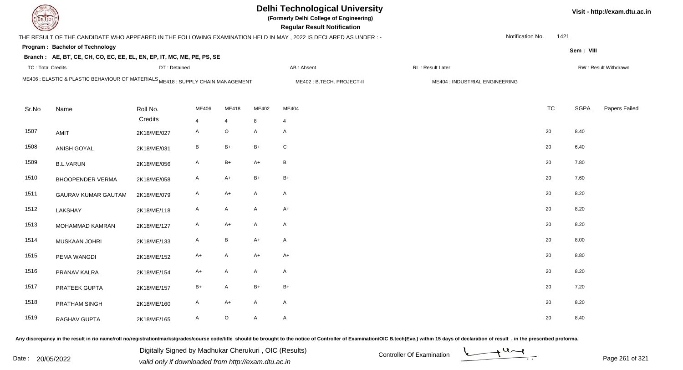|                          |                                                                                  |              |                |                 |              | <b>Delhi Technological University</b><br>(Formerly Delhi College of Engineering)<br><b>Regular Result Notification</b> |                                |                  |      |             | Visit - http://exam.dtu.ac.in |
|--------------------------|----------------------------------------------------------------------------------|--------------|----------------|-----------------|--------------|------------------------------------------------------------------------------------------------------------------------|--------------------------------|------------------|------|-------------|-------------------------------|
|                          |                                                                                  |              |                |                 |              | THE RESULT OF THE CANDIDATE WHO APPEARED IN THE FOLLOWING EXAMINATION HELD IN MAY, 2022 IS DECLARED AS UNDER :-        |                                | Notification No. | 1421 |             |                               |
|                          | <b>Program: Bachelor of Technology</b>                                           |              |                |                 |              |                                                                                                                        |                                |                  |      | Sem: VIII   |                               |
|                          | Branch: AE, BT, CE, CH, CO, EC, EE, EL, EN, EP, IT, MC, ME, PE, PS, SE           |              |                |                 |              |                                                                                                                        |                                |                  |      |             |                               |
| <b>TC: Total Credits</b> |                                                                                  | DT: Detained |                |                 |              | AB: Absent                                                                                                             | RL : Result Later              |                  |      |             | RW: Result Withdrawn          |
|                          | ME406 : ELASTIC & PLASTIC BEHAVIOUR OF MATERIALS ME418 : SUPPLY CHAIN MANAGEMENT |              |                |                 |              | ME402: B.TECH. PROJECT-II                                                                                              | ME404 : INDUSTRIAL ENGINEERING |                  |      |             |                               |
|                          |                                                                                  |              |                |                 |              |                                                                                                                        |                                |                  |      |             |                               |
| Sr.No                    | Name                                                                             | Roll No.     | ME406          | ME418           | ME402        | ME404                                                                                                                  |                                | <b>TC</b>        |      | <b>SGPA</b> | Papers Failed                 |
|                          |                                                                                  | Credits      | $\overline{4}$ | $\overline{4}$  | 8            | $\overline{4}$                                                                                                         |                                |                  |      |             |                               |
| 1507                     | AMIT                                                                             | 2K18/ME/027  | $\mathsf{A}$   | $\mathsf O$     | $\mathsf{A}$ | A                                                                                                                      |                                | 20               |      | 8.40        |                               |
| 1508                     | ANISH GOYAL                                                                      | 2K18/ME/031  | $\, {\sf B}$   | $B+$            | $B+$         | ${\bf C}$                                                                                                              |                                | 20               |      | 6.40        |                               |
| 1509                     | <b>B.L.VARUN</b>                                                                 | 2K18/ME/056  | $\mathsf{A}$   | $B+$            | $A+$         | $\sf B$                                                                                                                |                                | 20               |      | 7.80        |                               |
| 1510                     | <b>BHOOPENDER VERMA</b>                                                          | 2K18/ME/058  | $\mathsf{A}$   | $A+$            | $B+$         | $B+$                                                                                                                   |                                | 20               |      | 7.60        |                               |
| 1511                     | <b>GAURAV KUMAR GAUTAM</b>                                                       | 2K18/ME/079  | $\mathsf{A}$   | $A+$            | $\mathsf{A}$ | A                                                                                                                      |                                | 20               |      | 8.20        |                               |
| 1512                     | LAKSHAY                                                                          | 2K18/ME/118  | A              | $\mathsf{A}$    | $\mathsf{A}$ | $A+$                                                                                                                   |                                | 20               |      | 8.20        |                               |
| 1513                     | MOHAMMAD KAMRAN                                                                  | 2K18/ME/127  | A              | $A+$            | A            | A                                                                                                                      |                                | 20               |      | 8.20        |                               |
| 1514                     | MUSKAAN JOHRI                                                                    | 2K18/ME/133  | $\mathsf{A}$   | $\, {\bf B} \,$ | $A+$         | A                                                                                                                      |                                | 20               |      | 8.00        |                               |
| 1515                     | PEMA WANGDI                                                                      | 2K18/ME/152  | A+             | $\mathsf{A}$    | $A+$         | $A+$                                                                                                                   |                                | 20               |      | 8.80        |                               |
| 1516                     | PRANAV KALRA                                                                     | 2K18/ME/154  | A+             | $\mathsf{A}$    | A            | A                                                                                                                      |                                | 20               |      | 8.20        |                               |
| 1517                     | PRATEEK GUPTA                                                                    | 2K18/ME/157  | $B+$           | $\mathsf{A}$    | $B+$         | $B+$                                                                                                                   |                                | 20               |      | 7.20        |                               |
| 1518                     | PRATHAM SINGH                                                                    | 2K18/ME/160  | A              | $A+$            | $\mathsf{A}$ | A                                                                                                                      |                                | 20               |      | 8.20        |                               |
| 1519                     | RAGHAV GUPTA                                                                     | 2K18/ME/165  | A              | $\mathsf O$     | $\mathsf{A}$ | A                                                                                                                      |                                | 20               |      | 8.40        |                               |

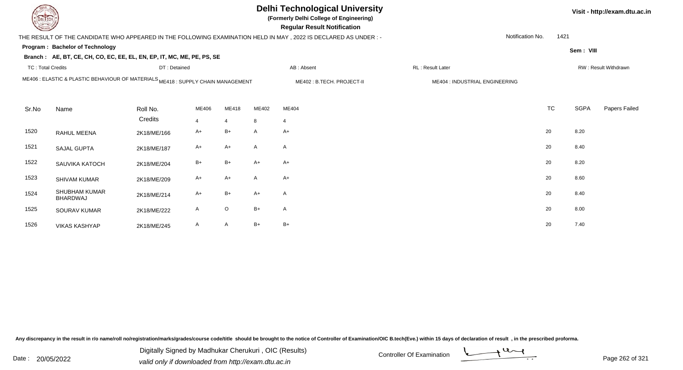| EL TECH                                                                                                                                         |                                                                        |              |       |                |       | <b>Delhi Technological University</b><br>(Formerly Delhi College of Engineering)<br><b>Regular Result Notification</b> |                         |                  |           |             | Visit - http://exam.dtu.ac.in |
|-------------------------------------------------------------------------------------------------------------------------------------------------|------------------------------------------------------------------------|--------------|-------|----------------|-------|------------------------------------------------------------------------------------------------------------------------|-------------------------|------------------|-----------|-------------|-------------------------------|
|                                                                                                                                                 |                                                                        |              |       |                |       | THE RESULT OF THE CANDIDATE WHO APPEARED IN THE FOLLOWING EXAMINATION HELD IN MAY , 2022 IS DECLARED AS UNDER :-       |                         | Notification No. | 1421      |             |                               |
|                                                                                                                                                 | Program: Bachelor of Technology                                        |              |       |                |       |                                                                                                                        |                         |                  |           | Sem: VIII   |                               |
|                                                                                                                                                 | Branch: AE, BT, CE, CH, CO, EC, EE, EL, EN, EP, IT, MC, ME, PE, PS, SE |              |       |                |       |                                                                                                                        |                         |                  |           |             |                               |
| <b>TC: Total Credits</b>                                                                                                                        |                                                                        | DT: Detained |       |                |       | AB: Absent                                                                                                             | <b>RL: Result Later</b> |                  |           |             | RW: Result Withdrawn          |
| ME406 : ELASTIC & PLASTIC BEHAVIOUR OF MATERIALS ME418 : SUPPLY CHAIN MANAGEMENT<br>ME402: B.TECH. PROJECT-II<br>ME404 : INDUSTRIAL ENGINEERING |                                                                        |              |       |                |       |                                                                                                                        |                         |                  |           |             |                               |
|                                                                                                                                                 |                                                                        |              |       |                |       |                                                                                                                        |                         |                  |           |             |                               |
| Sr.No                                                                                                                                           | Name                                                                   | Roll No.     | ME406 | ME418          | ME402 | ME404                                                                                                                  |                         |                  | <b>TC</b> | <b>SGPA</b> | Papers Failed                 |
|                                                                                                                                                 |                                                                        | Credits      | 4     | $\overline{4}$ | 8     | $\overline{4}$                                                                                                         |                         |                  |           |             |                               |
| 1520                                                                                                                                            | RAHUL MEENA                                                            | 2K18/ME/166  | A+    | $B+$           | A     | $A+$                                                                                                                   |                         | 20               |           | 8.20        |                               |
| 1521                                                                                                                                            | SAJAL GUPTA                                                            | 2K18/ME/187  | A+    | $A+$           | A     | A                                                                                                                      |                         | 20               |           | 8.40        |                               |
| 1522                                                                                                                                            | SAUVIKA KATOCH                                                         | 2K18/ME/204  | $B+$  | $B+$           | A+    | $A+$                                                                                                                   |                         | 20               |           | 8.20        |                               |
| 1523                                                                                                                                            | SHIVAM KUMAR                                                           | 2K18/ME/209  | A+    | $A+$           | A     | $A+$                                                                                                                   |                         | 20               |           | 8.60        |                               |
| 1524                                                                                                                                            | <b>SHUBHAM KUMAR</b><br><b>BHARDWAJ</b>                                | 2K18/ME/214  | $A+$  | $B+$           | $A+$  | A                                                                                                                      |                         | 20               |           | 8.40        |                               |
| 1525                                                                                                                                            | SOURAV KUMAR                                                           | 2K18/ME/222  | A     | $\mathsf O$    | $B+$  | A                                                                                                                      |                         | 20               |           | 8.00        |                               |
| 1526                                                                                                                                            | <b>VIKAS KASHYAP</b>                                                   | 2K18/ME/245  | A     | $\overline{A}$ | $B+$  | $B+$                                                                                                                   |                         | 20               |           | 7.40        |                               |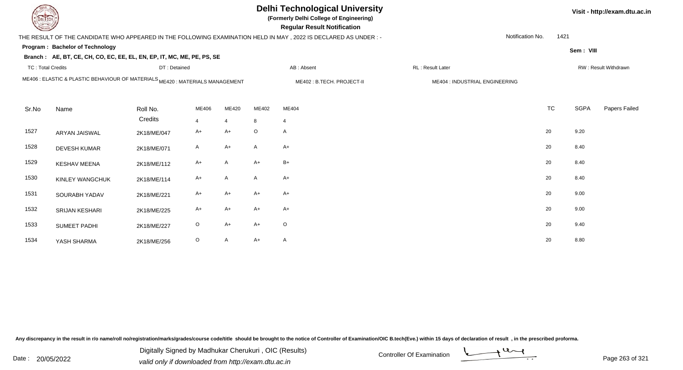| DEL TECH                 | <b>Delhi Technological University</b><br>(Formerly Delhi College of Engineering)<br><b>Regular Result Notification</b> |              |              |                |         |                                                                                                                |                                |                  |           |             |                      |  |  |  |
|--------------------------|------------------------------------------------------------------------------------------------------------------------|--------------|--------------|----------------|---------|----------------------------------------------------------------------------------------------------------------|--------------------------------|------------------|-----------|-------------|----------------------|--|--|--|
|                          |                                                                                                                        |              |              |                |         | THE RESULT OF THE CANDIDATE WHO APPEARED IN THE FOLLOWING EXAMINATION HELD IN MAY, 2022 IS DECLARED AS UNDER:- |                                | Notification No. | 1421      |             |                      |  |  |  |
|                          | Program: Bachelor of Technology                                                                                        |              |              |                |         |                                                                                                                |                                |                  |           | Sem: VIII   |                      |  |  |  |
|                          | Branch: AE, BT, CE, CH, CO, EC, EE, EL, EN, EP, IT, MC, ME, PE, PS, SE                                                 |              |              |                |         |                                                                                                                |                                |                  |           |             |                      |  |  |  |
| <b>TC: Total Credits</b> |                                                                                                                        | DT: Detained |              |                |         | AB: Absent                                                                                                     | RL : Result Later              |                  |           |             | RW: Result Withdrawn |  |  |  |
|                          | ME406 : ELASTIC & PLASTIC BEHAVIOUR OF MATERIALS ME420 : MATERIALS MANAGEMENT                                          |              |              |                |         | ME402: B.TECH. PROJECT-II                                                                                      | ME404 : INDUSTRIAL ENGINEERING |                  |           |             |                      |  |  |  |
| Sr.No                    | Name                                                                                                                   | Roll No.     | ME406        | ME420          | ME402   | ME404                                                                                                          |                                |                  | <b>TC</b> | <b>SGPA</b> | Papers Failed        |  |  |  |
|                          |                                                                                                                        | Credits      | 4            | $\overline{4}$ | 8       | $\overline{4}$                                                                                                 |                                |                  |           |             |                      |  |  |  |
| 1527                     | ARYAN JAISWAL                                                                                                          | 2K18/ME/047  | $A+$         | $A+$           | $\circ$ | A                                                                                                              |                                |                  | 20        | 9.20        |                      |  |  |  |
| 1528                     | <b>DEVESH KUMAR</b>                                                                                                    | 2K18/ME/071  | $\mathsf{A}$ | $A+$           | A       | $A+$                                                                                                           |                                |                  | 20        | 8.40        |                      |  |  |  |
| 1529                     | <b>KESHAV MEENA</b>                                                                                                    | 2K18/ME/112  | $A+$         | $\mathsf{A}$   | $A+$    | $B+$                                                                                                           |                                |                  | 20        | 8.40        |                      |  |  |  |
| 1530                     | KINLEY WANGCHUK                                                                                                        | 2K18/ME/114  | A+           | A              | A       | $A+$                                                                                                           |                                |                  | 20        | 8.40        |                      |  |  |  |
| 1531                     | SOURABH YADAV                                                                                                          | 2K18/ME/221  | $A+$         | $A+$           | $A+$    | $A+$                                                                                                           |                                |                  | 20        | 9.00        |                      |  |  |  |
| 1532                     | <b>SRIJAN KESHARI</b>                                                                                                  | 2K18/ME/225  | A+           | $A+$           | $A+$    | $A+$                                                                                                           |                                |                  | 20        | 9.00        |                      |  |  |  |
| 1533                     | <b>SUMEET PADHI</b>                                                                                                    | 2K18/ME/227  | $\circ$      | $A+$           | $A+$    | $\circ$                                                                                                        |                                |                  | 20        | 9.40        |                      |  |  |  |
| 1534                     | YASH SHARMA                                                                                                            | 2K18/ME/256  | $\circ$      | $\mathsf{A}$   | $A+$    | A                                                                                                              |                                |                  | 20        | 8.80        |                      |  |  |  |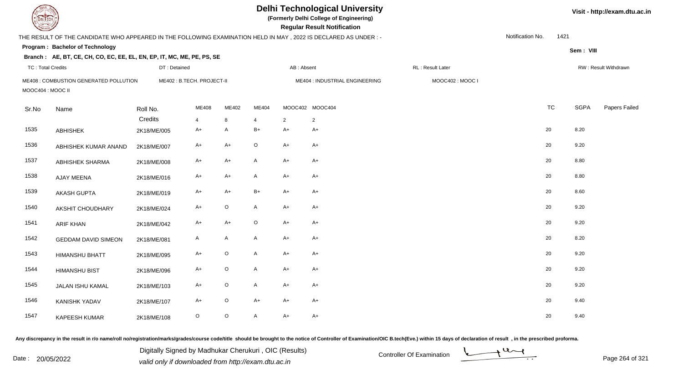|                          |                                                                                                                  |              |                           |              |                          |            | <b>Delhi Technological University</b><br>(Formerly Delhi College of Engineering)<br><b>Regular Result Notification</b> |                  |                  |      |             | Visit - http://exam.dtu.ac.in |
|--------------------------|------------------------------------------------------------------------------------------------------------------|--------------|---------------------------|--------------|--------------------------|------------|------------------------------------------------------------------------------------------------------------------------|------------------|------------------|------|-------------|-------------------------------|
|                          | THE RESULT OF THE CANDIDATE WHO APPEARED IN THE FOLLOWING EXAMINATION HELD IN MAY , 2022 IS DECLARED AS UNDER :- |              |                           |              |                          |            |                                                                                                                        |                  | Notification No. | 1421 |             |                               |
|                          | Program: Bachelor of Technology                                                                                  |              |                           |              |                          |            |                                                                                                                        |                  |                  |      | Sem: VIII   |                               |
|                          | Branch: AE, BT, CE, CH, CO, EC, EE, EL, EN, EP, IT, MC, ME, PE, PS, SE                                           |              |                           |              |                          |            |                                                                                                                        |                  |                  |      |             |                               |
| <b>TC: Total Credits</b> |                                                                                                                  | DT: Detained |                           |              |                          | AB: Absent |                                                                                                                        | RL: Result Later |                  |      |             | RW: Result Withdrawn          |
| MOOC404 : MOOC II        | ME408 : COMBUSTION GENERATED POLLUTION                                                                           |              | ME402: B.TECH. PROJECT-II |              |                          |            | ME404 : INDUSTRIAL ENGINEERING                                                                                         | MOOC402: MOOC I  |                  |      |             |                               |
| Sr.No                    | Name                                                                                                             | Roll No.     | ME408                     | ME402        | ME404                    |            | MOOC402 MOOC404                                                                                                        |                  | <b>TC</b>        |      | <b>SGPA</b> | Papers Failed                 |
|                          |                                                                                                                  | Credits      | 4                         | 8            | $\boldsymbol{\varDelta}$ | 2          | $\overline{2}$                                                                                                         |                  |                  |      |             |                               |
| 1535                     | <b>ABHISHEK</b>                                                                                                  | 2K18/ME/005  | A+                        | A            | B+                       | $A+$       | $A+$                                                                                                                   |                  | 20               |      | 8.20        |                               |
| 1536                     | ABHISHEK KUMAR ANAND                                                                                             | 2K18/ME/007  | $A+$                      | $A+$         | $\circ$                  | $A+$       | $A+$                                                                                                                   |                  | 20               |      | 9.20        |                               |
| 1537                     | ABHISHEK SHARMA                                                                                                  | 2K18/ME/008  | $A+$                      | $A+$         | A                        | $A+$       | $A+$                                                                                                                   |                  | 20               |      | 8.80        |                               |
| 1538                     | AJAY MEENA                                                                                                       | 2K18/ME/016  | $A+$                      | $A+$         | A                        | $A+$       | $A+$                                                                                                                   |                  | 20               |      | 8.80        |                               |
| 1539                     | <b>AKASH GUPTA</b>                                                                                               | 2K18/ME/019  | $A+$                      | $A+$         | $B+$                     | $A+$       | $A+$                                                                                                                   |                  | 20               |      | 8.60        |                               |
| 1540                     | AKSHIT CHOUDHARY                                                                                                 | 2K18/ME/024  | $A+$                      | $\mathsf O$  | $\mathsf{A}$             | $A+$       | $A+$                                                                                                                   |                  | 20               |      | 9.20        |                               |
| 1541                     | <b>ARIF KHAN</b>                                                                                                 | 2K18/ME/042  | A+                        | $A+$         | $\circ$                  | $A+$       | $A+$                                                                                                                   |                  | 20               |      | 9.20        |                               |
| 1542                     | <b>GEDDAM DAVID SIMEON</b>                                                                                       | 2K18/ME/081  | A                         | $\mathsf{A}$ | A                        | $A+$       | A+                                                                                                                     |                  | 20               |      | 8.20        |                               |
| 1543                     | <b>HIMANSHU BHATT</b>                                                                                            | 2K18/ME/095  | $A+$                      | $\mathsf O$  | A                        | $A+$       | $A+$                                                                                                                   |                  | 20               |      | 9.20        |                               |
| 1544                     | <b>HIMANSHU BIST</b>                                                                                             | 2K18/ME/096  | A+                        | $\mathsf O$  | $\mathsf{A}$             | $A+$       | $A+$                                                                                                                   |                  | 20               |      | 9.20        |                               |
| 1545                     | JALAN ISHU KAMAL                                                                                                 | 2K18/ME/103  | A+                        | $\mathsf O$  | $\mathsf{A}$             | $A+$       | A+                                                                                                                     |                  | 20               |      | 9.20        |                               |
| 1546                     | KANISHK YADAV                                                                                                    | 2K18/ME/107  | $A+$                      | $\mathsf O$  | $A+$                     | $A+$       | $A+$                                                                                                                   |                  | 20               |      | 9.40        |                               |
| 1547                     | <b>KAPEESH KUMAR</b>                                                                                             | 2K18/ME/108  | $\circ$                   | $\mathsf O$  | $\mathsf{A}$             | $A+$       | $A+$                                                                                                                   |                  | 20               |      | 9.40        |                               |

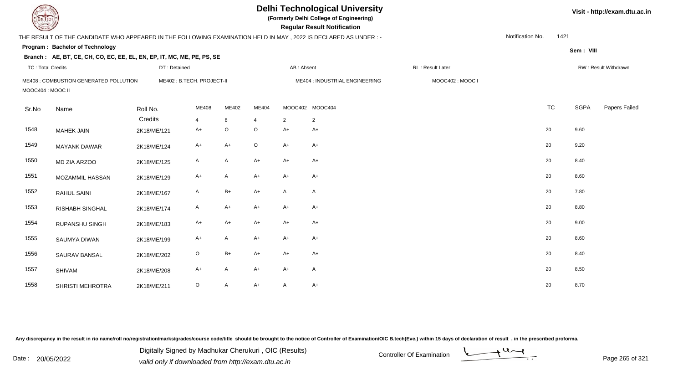| EL ECH                                                     |                                                                                                                  |              |                           |              |                                | <b>Delhi Technological University</b><br>(Formerly Delhi College of Engineering)<br><b>Regular Result Notification</b> |                 | Visit - http://exam.dtu.ac.in |                  |           |             |                      |
|------------------------------------------------------------|------------------------------------------------------------------------------------------------------------------|--------------|---------------------------|--------------|--------------------------------|------------------------------------------------------------------------------------------------------------------------|-----------------|-------------------------------|------------------|-----------|-------------|----------------------|
|                                                            | THE RESULT OF THE CANDIDATE WHO APPEARED IN THE FOLLOWING EXAMINATION HELD IN MAY , 2022 IS DECLARED AS UNDER :- |              |                           |              |                                |                                                                                                                        |                 |                               | Notification No. | 1421      |             |                      |
|                                                            | Program: Bachelor of Technology                                                                                  |              |                           |              |                                |                                                                                                                        |                 |                               |                  |           | Sem: VIII   |                      |
|                                                            | Branch: AE, BT, CE, CH, CO, EC, EE, EL, EN, EP, IT, MC, ME, PE, PS, SE                                           |              |                           |              |                                |                                                                                                                        |                 |                               |                  |           |             |                      |
| <b>TC: Total Credits</b>                                   |                                                                                                                  | DT: Detained |                           |              |                                | AB: Absent                                                                                                             |                 | RL: Result Later              |                  |           |             | RW: Result Withdrawn |
| ME408 : COMBUSTION GENERATED POLLUTION<br>MOOC404: MOOC II |                                                                                                                  |              | ME402: B.TECH. PROJECT-II |              | ME404 : INDUSTRIAL ENGINEERING |                                                                                                                        |                 | MOOC402: MOOC I               |                  |           |             |                      |
| Sr.No                                                      | Name                                                                                                             | Roll No.     | ME408                     | ME402        | ME404                          |                                                                                                                        | MOOC402 MOOC404 |                               |                  | <b>TC</b> | <b>SGPA</b> | Papers Failed        |
|                                                            |                                                                                                                  | Credits      | 4                         | 8            |                                | 2                                                                                                                      | $\overline{2}$  |                               |                  |           |             |                      |
| 1548                                                       | <b>MAHEK JAIN</b>                                                                                                | 2K18/ME/121  | A+                        | $\circ$      | $\circ$                        | $A+$                                                                                                                   | $A+$            |                               | 20               |           | 9.60        |                      |
| 1549                                                       | <b>MAYANK DAWAR</b>                                                                                              | 2K18/ME/124  | A+                        | $A+$         | $\circ$                        | $A+$                                                                                                                   | $A+$            |                               | 20               |           | 9.20        |                      |
| 1550                                                       | MD ZIA ARZOO                                                                                                     | 2K18/ME/125  | A                         | A            | $A+$                           | $A+$                                                                                                                   | $A+$            |                               | 20               |           | 8.40        |                      |
| 1551                                                       | MOZAMMIL HASSAN                                                                                                  | 2K18/ME/129  | A+                        | A            | $A+$                           | $A+$                                                                                                                   | $A+$            |                               | 20               |           | 8.60        |                      |
| 1552                                                       | <b>RAHUL SAINI</b>                                                                                               | 2K18/ME/167  | A                         | $B+$         | $A+$                           | $\mathsf{A}$                                                                                                           | A               |                               | 20               |           | 7.80        |                      |
| 1553                                                       | <b>RISHABH SINGHAL</b>                                                                                           | 2K18/ME/174  | A                         | $A+$         | $A+$                           | $A+$                                                                                                                   | $A+$            |                               | 20               |           | 8.80        |                      |
| 1554                                                       | RUPANSHU SINGH                                                                                                   | 2K18/ME/183  | $A+$                      | $A+$         | $A+$                           | $A+$                                                                                                                   | $A+$            |                               | 20               |           | 9.00        |                      |
| 1555                                                       | SAUMYA DIWAN                                                                                                     | 2K18/ME/199  | $A+$                      | $\mathsf{A}$ | $A+$                           | $A+$                                                                                                                   | $A+$            |                               | 20               |           | 8.60        |                      |
| 1556                                                       | <b>SAURAV BANSAL</b>                                                                                             | 2K18/ME/202  | $\mathsf O$               | $B+$         | $A+$                           | $A+$                                                                                                                   | $A+$            |                               | 20               |           | 8.40        |                      |
| 1557                                                       | SHIVAM                                                                                                           | 2K18/ME/208  | A+                        | $\mathsf{A}$ | A+                             | $A+$                                                                                                                   | $\mathsf{A}$    |                               | 20               |           | 8.50        |                      |
| 1558                                                       | <b>SHRISTI MEHROTRA</b>                                                                                          | 2K18/ME/211  | $\circ$                   | A            | $A+$                           | A                                                                                                                      | A+              |                               | 20               |           | 8.70        |                      |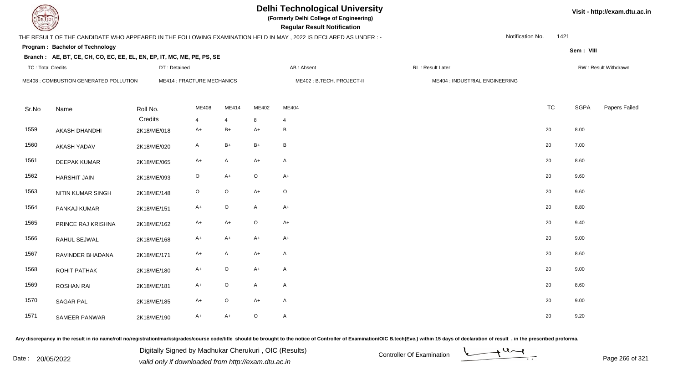# **Delhi Technological University**

**(Formerly Delhi College of Engineering)**

 **Regular Result Notification**

#### **Visit - http://exam.dtu.ac.in**

**Program : Bachelor of TechnologySem : VIII Branch : AE, BT, CE, CH, CO, EC, EE, EL, EN, EP, IT, MC, ME, PE, PS, SE**THE RESULT OF THE CANDIDATE WHO APPEARED IN THE FOLLOWING EXAMINATION HELD IN MAY , 2022 IS DECLARED AS UNDER : -TC : Total Credits DT : Detainedd AB : Absent RL : Result Later RW : Result Withdrawn Notification No. 1421Sr.Noo Name Roll No. **Credits** ME408 : COMBUSTION GENERATED POLLUTIONME414 : FRACTURE MECHANICS MEANICS ME402 : B.TECH. PROJECT-II MEANIC ME404 : INDUSTRIAL ENGINEERING ME4088 ME414 ME402 ME404 TC TC SGPA Papers Failed 4 <sup>4</sup> <sup>8</sup> <sup>4</sup> 1559 AKASH DHANDHI 2K18/ME/018 $8$  A+ B+ A+ B 20 8.00 1560 AKASH YADAVV 2K18/ME/020 A B+ B+ B 20 7.00 1561 DEEPAK KUMARR 2K18/ME/065 A+ A A+ A 20 8.60 1562 HARSHIT JAINN 2K18/ME/093 O A+ O A+  $\frac{1}{20}$ 1563 NITIN KUMAR SINGHH 2K18/ME/148 O O A+ O 1564 PANKAJ KUMARR 2K18/ME/151 A+ O A A+ 20 8.80 1565 PRINCE RAJ KRISHNAA 2K18/ME/162 A+ A+ O A+ 20 9.40 1566 RAHUL SEJWALL 2K18/ME/168 A+ A+ A+ A+ A+ A+ C 20 9.00 1567 RAVINDER BHADANAA 2K18/ME/171 A+ A A+ A 20 8.60 1568 ROHIT PATHAKK 2K18/ME/180 A+ O A+ A 20 20 9.00 1569 ROSHAN RAI 2K18/ME/181 $A+$  O A A  $A$ 1570 SAGAR PALL 2K18/ME/185 A+ O A+ A 20 20 9.00 1571 SAMEER PANWARR 2K18/ME/190 A+ A+ O A

Any discrepancy in the result in r/o name/roll no/registration/marks/grades/course code/title should be brought to the notice of Controller of Examination/OIC B.tech(Eve.) within 15 days of declaration of result , in the p

Date : 20/05/2022 Digital Digital Digital only if downloaded from http://exam.dtu.ac.in<br>valid only if downloaded from http://exam.dtu.ac.in Digitally Signed by Madhukar Cherukuri , OIC (Results)

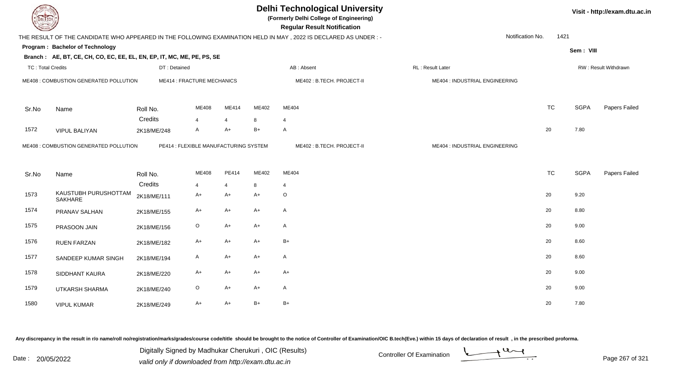| DEL TECH                 |                                                                        |              |                                       |                |       | <b>Delhi Technological University</b><br>(Formerly Delhi College of Engineering)<br><b>Regular Result Notification</b> |                                | Visit - http://exam.dtu.ac.in |             |                      |
|--------------------------|------------------------------------------------------------------------|--------------|---------------------------------------|----------------|-------|------------------------------------------------------------------------------------------------------------------------|--------------------------------|-------------------------------|-------------|----------------------|
|                          |                                                                        |              |                                       |                |       | THE RESULT OF THE CANDIDATE WHO APPEARED IN THE FOLLOWING EXAMINATION HELD IN MAY, 2022 IS DECLARED AS UNDER:-         |                                | Notification No.              | 1421        |                      |
|                          | <b>Program: Bachelor of Technology</b>                                 |              |                                       |                |       |                                                                                                                        |                                |                               | Sem: VIII   |                      |
|                          | Branch: AE, BT, CE, CH, CO, EC, EE, EL, EN, EP, IT, MC, ME, PE, PS, SE |              |                                       |                |       |                                                                                                                        |                                |                               |             |                      |
| <b>TC: Total Credits</b> |                                                                        | DT: Detained |                                       |                |       | AB: Absent                                                                                                             | RL: Result Later               |                               |             | RW: Result Withdrawn |
|                          | ME408 : COMBUSTION GENERATED POLLUTION                                 |              | <b>ME414 : FRACTURE MECHANICS</b>     |                |       | ME402: B.TECH. PROJECT-II                                                                                              | ME404 : INDUSTRIAL ENGINEERING |                               |             |                      |
| Sr.No                    | Name                                                                   | Roll No.     | ME408                                 | ME414          | ME402 | ME404                                                                                                                  |                                | <b>TC</b>                     | <b>SGPA</b> | Papers Failed        |
|                          |                                                                        | Credits      | 4                                     | $\overline{4}$ | 8     | 4                                                                                                                      |                                |                               |             |                      |
| 1572                     | <b>VIPUL BALIYAN</b>                                                   | 2K18/ME/248  | A                                     | $A+$           | $B+$  | $\overline{A}$                                                                                                         |                                | 20                            | 7.80        |                      |
|                          | ME408 : COMBUSTION GENERATED POLLUTION                                 |              | PE414 : FLEXIBLE MANUFACTURING SYSTEM |                |       | ME402: B.TECH. PROJECT-II                                                                                              | ME404 : INDUSTRIAL ENGINEERING |                               |             |                      |
| Sr.No                    | Name                                                                   | Roll No.     | ME408                                 | PE414          | ME402 | ME404                                                                                                                  |                                | <b>TC</b>                     | <b>SGPA</b> | Papers Failed        |
|                          |                                                                        | Credits      | 4                                     | $\overline{4}$ | 8     | $\overline{4}$                                                                                                         |                                |                               |             |                      |
| 1573                     | KAUSTUBH PURUSHOTTAM<br><b>SAKHARE</b>                                 | 2K18/ME/111  | A+                                    | $A+$           | A+    | $\circ$                                                                                                                |                                | 20                            | 9.20        |                      |
| 1574                     | PRANAV SALHAN                                                          | 2K18/ME/155  | $A+$                                  | $A+$           | $A+$  | $\mathsf{A}$                                                                                                           |                                | 20                            | 8.80        |                      |
| 1575                     | PRASOON JAIN                                                           | 2K18/ME/156  | $\mathsf O$                           | $A+$           | $A+$  | $\mathsf{A}$                                                                                                           |                                | 20                            | 9.00        |                      |
| 1576                     | <b>RUEN FARZAN</b>                                                     | 2K18/ME/182  | $A+$                                  | $A+$           | A+    | $B+$                                                                                                                   |                                | 20                            | 8.60        |                      |
| 1577                     | SANDEEP KUMAR SINGH                                                    | 2K18/ME/194  | A                                     | $A+$           | A+    | $\mathsf{A}$                                                                                                           |                                | 20                            | 8.60        |                      |
| 1578                     | SIDDHANT KAURA                                                         | 2K18/ME/220  | $A+$                                  | $A+$           | A+    | $A+$                                                                                                                   |                                | 20                            | 9.00        |                      |
| 1579                     | UTKARSH SHARMA                                                         | 2K18/ME/240  | $\circ$                               | $A+$           | $A+$  | $\mathsf{A}$                                                                                                           |                                | 20                            | 9.00        |                      |
| 1580                     | <b>VIPUL KUMAR</b>                                                     | 2K18/ME/249  | A+                                    | $A+$           | $B+$  | $B+$                                                                                                                   |                                | 20                            | 7.80        |                      |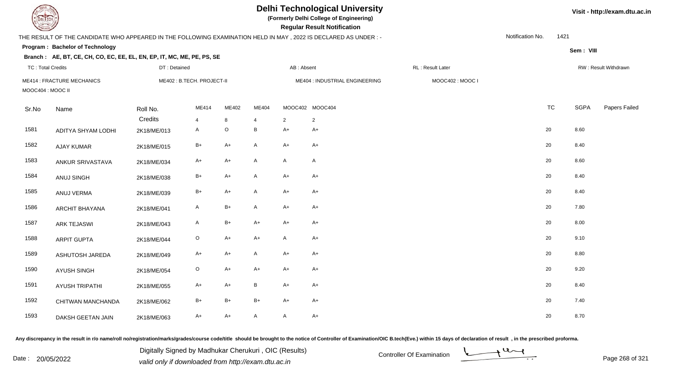| EL ECH                   |                                                                                                                 |              |                           |                                |                         |              | <b>Delhi Technological University</b><br>(Formerly Delhi College of Engineering)<br><b>Regular Result Notification</b> |                 |                  | Visit - http://exam.dtu.ac.in |             |                      |
|--------------------------|-----------------------------------------------------------------------------------------------------------------|--------------|---------------------------|--------------------------------|-------------------------|--------------|------------------------------------------------------------------------------------------------------------------------|-----------------|------------------|-------------------------------|-------------|----------------------|
|                          | THE RESULT OF THE CANDIDATE WHO APPEARED IN THE FOLLOWING EXAMINATION HELD IN MAY, 2022 IS DECLARED AS UNDER :- |              |                           |                                |                         |              |                                                                                                                        |                 | Notification No. | 1421                          |             |                      |
|                          | Program: Bachelor of Technology                                                                                 |              |                           |                                |                         |              |                                                                                                                        |                 |                  |                               | Sem: VIII   |                      |
|                          | Branch: AE, BT, CE, CH, CO, EC, EE, EL, EN, EP, IT, MC, ME, PE, PS, SE                                          |              |                           |                                |                         |              |                                                                                                                        |                 |                  |                               |             |                      |
| <b>TC: Total Credits</b> |                                                                                                                 | DT: Detained |                           | AB: Absent<br>RL: Result Later |                         |              |                                                                                                                        |                 |                  |                               |             | RW: Result Withdrawn |
| MOOC404 : MOOC II        | <b>ME414: FRACTURE MECHANICS</b>                                                                                |              | ME402: B.TECH. PROJECT-II |                                |                         |              | ME404 : INDUSTRIAL ENGINEERING                                                                                         | MOOC402: MOOC I |                  |                               |             |                      |
| Sr.No                    | Name                                                                                                            | Roll No.     | ME414                     | ME402                          | ME404                   |              | MOOC402 MOOC404                                                                                                        |                 |                  | <b>TC</b>                     | <b>SGPA</b> | Papers Failed        |
|                          |                                                                                                                 | Credits      | $\overline{4}$            | 8                              | $\overline{\mathbf{4}}$ | 2            | $\overline{2}$                                                                                                         |                 |                  |                               |             |                      |
| 1581                     | ADITYA SHYAM LODHI                                                                                              | 2K18/ME/013  | A                         | $\mathsf O$                    | $\, {\bf B}$            | $A+$         | $A+$                                                                                                                   |                 |                  | 20                            | 8.60        |                      |
| 1582                     | AJAY KUMAR                                                                                                      | 2K18/ME/015  | $B+$                      | $A+$                           | A                       | $A+$         | $A+$                                                                                                                   |                 |                  | 20                            | 8.40        |                      |
| 1583                     | ANKUR SRIVASTAVA                                                                                                | 2K18/ME/034  | $A+$                      | $A+$                           | A                       | $\mathsf{A}$ | A                                                                                                                      |                 |                  | 20                            | 8.60        |                      |
| 1584                     | ANUJ SINGH                                                                                                      | 2K18/ME/038  | B+                        | $A+$                           | $\mathsf{A}$            | $A+$         | $A+$                                                                                                                   |                 |                  | 20                            | 8.40        |                      |
| 1585                     | ANUJ VERMA                                                                                                      | 2K18/ME/039  | $B+$                      | $A+$                           | $\mathsf{A}$            | $A+$         | $A+$                                                                                                                   |                 |                  | 20                            | 8.40        |                      |
| 1586                     | <b>ARCHIT BHAYANA</b>                                                                                           | 2K18/ME/041  | A                         | $B+$                           | A                       | $A+$         | A+                                                                                                                     |                 |                  | 20                            | 7.80        |                      |
| 1587                     | <b>ARK TEJASWI</b>                                                                                              | 2K18/ME/043  | A                         | $B+$                           | $A+$                    | $A+$         | $A+$                                                                                                                   |                 |                  | 20                            | 8.00        |                      |
| 1588                     | <b>ARPIT GUPTA</b>                                                                                              | 2K18/ME/044  | $\circ$                   | $A+$                           | $A+$                    | $\mathsf{A}$ | $A+$                                                                                                                   |                 |                  | 20                            | 9.10        |                      |
| 1589                     | ASHUTOSH JAREDA                                                                                                 | 2K18/ME/049  | A+                        | $A+$                           | $\mathsf{A}$            | $A+$         | $A+$                                                                                                                   |                 |                  | 20                            | 8.80        |                      |
| 1590                     | <b>AYUSH SINGH</b>                                                                                              | 2K18/ME/054  | $\mathsf O$               | $A+$                           | A+                      | $A+$         | A+                                                                                                                     |                 |                  | 20                            | 9.20        |                      |
| 1591                     | <b>AYUSH TRIPATHI</b>                                                                                           | 2K18/ME/055  | A+                        | $A+$                           | B                       | $A+$         | $A+$                                                                                                                   |                 |                  | 20                            | 8.40        |                      |
| 1592                     | CHITWAN MANCHANDA                                                                                               | 2K18/ME/062  | B+                        | $B+$                           | $B+$                    | $A+$         | $A+$                                                                                                                   |                 |                  | 20                            | 7.40        |                      |
| 1593                     | DAKSH GEETAN JAIN                                                                                               | 2K18/ME/063  | $A+$                      | $A+$                           | A                       | $\mathsf{A}$ | $A+$                                                                                                                   |                 |                  | 20                            | 8.70        |                      |

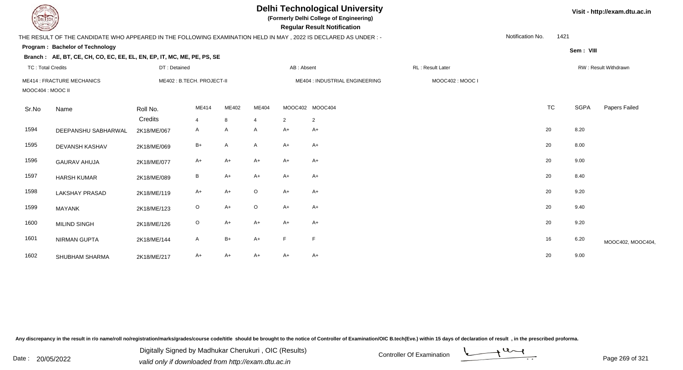| <b>DELTECH</b>                                        |                                                                                                                 |              |                           |       |                |                                | <b>Delhi Technological University</b><br>(Formerly Delhi College of Engineering)<br><b>Regular Result Notification</b> | Visit - http://exam.dtu.ac.in |                  |           |             |                      |
|-------------------------------------------------------|-----------------------------------------------------------------------------------------------------------------|--------------|---------------------------|-------|----------------|--------------------------------|------------------------------------------------------------------------------------------------------------------------|-------------------------------|------------------|-----------|-------------|----------------------|
|                                                       | THE RESULT OF THE CANDIDATE WHO APPEARED IN THE FOLLOWING EXAMINATION HELD IN MAY, 2022 IS DECLARED AS UNDER :- |              |                           |       |                |                                |                                                                                                                        |                               | Notification No. | 1421      |             |                      |
|                                                       | Program: Bachelor of Technology                                                                                 |              |                           |       |                |                                |                                                                                                                        |                               |                  |           | Sem: VIII   |                      |
|                                                       | Branch: AE, BT, CE, CH, CO, EC, EE, EL, EN, EP, IT, MC, ME, PE, PS, SE                                          |              |                           |       |                |                                |                                                                                                                        |                               |                  |           |             |                      |
| <b>TC: Total Credits</b>                              |                                                                                                                 | DT: Detained |                           |       |                | AB: Absent                     |                                                                                                                        | RL: Result Later              |                  |           |             | RW: Result Withdrawn |
| <b>ME414: FRACTURE MECHANICS</b><br>MOOC404 : MOOC II |                                                                                                                 |              | ME402: B.TECH. PROJECT-II |       |                | ME404 : INDUSTRIAL ENGINEERING |                                                                                                                        | MOOC402: MOOC I               |                  |           |             |                      |
| Sr.No                                                 | Name                                                                                                            | Roll No.     | ME414                     | ME402 | ME404          |                                | MOOC402 MOOC404                                                                                                        |                               |                  | <b>TC</b> | <b>SGPA</b> | Papers Failed        |
|                                                       |                                                                                                                 | Credits      | $\overline{4}$            | 8     | $\overline{4}$ | $\overline{2}$                 | $\overline{2}$                                                                                                         |                               |                  |           |             |                      |
| 1594                                                  | DEEPANSHU SABHARWAL                                                                                             | 2K18/ME/067  | Α                         | A     | A              | $A+$                           | $A+$                                                                                                                   |                               |                  | 20        | 8.20        |                      |
| 1595                                                  | DEVANSH KASHAV                                                                                                  | 2K18/ME/069  | $B+$                      | A     | $\mathsf{A}$   | $A+$                           | $A+$                                                                                                                   |                               |                  | 20        | 8.00        |                      |
| 1596                                                  | <b>GAURAV AHUJA</b>                                                                                             | 2K18/ME/077  | A+                        | $A+$  | $A+$           | $A+$                           | $A+$                                                                                                                   |                               |                  | 20        | 9.00        |                      |
| 1597                                                  | <b>HARSH KUMAR</b>                                                                                              | 2K18/ME/089  | $\, {\sf B}$              | $A+$  | $A+$           | $A+$                           | $A+$                                                                                                                   |                               |                  | 20        | 8.40        |                      |
| 1598                                                  | <b>LAKSHAY PRASAD</b>                                                                                           | 2K18/ME/119  | $A+$                      | $A+$  | $\circ$        | $A+$                           | $A+$                                                                                                                   |                               |                  | 20        | 9.20        |                      |
| 1599                                                  | <b>MAYANK</b>                                                                                                   | 2K18/ME/123  | $\circ$                   | $A+$  | $\circ$        | $A+$                           | $A+$                                                                                                                   |                               |                  | 20        | 9.40        |                      |
| 1600                                                  | <b>MILIND SINGH</b>                                                                                             | 2K18/ME/126  | $\circ$                   | $A+$  | A+             | $A+$                           | $A+$                                                                                                                   |                               |                  | 20        | 9.20        |                      |
| 1601                                                  | <b>NIRMAN GUPTA</b>                                                                                             | 2K18/ME/144  | A                         | B+    | A+             | F                              | $\mathsf F$                                                                                                            |                               |                  | 16        | 6.20        | MOOC402, MOOC404,    |
| 1602                                                  | SHUBHAM SHARMA                                                                                                  | 2K18/ME/217  | A+                        | $A+$  | A+             | $A+$                           | $A+$                                                                                                                   |                               |                  | 20        | 9.00        |                      |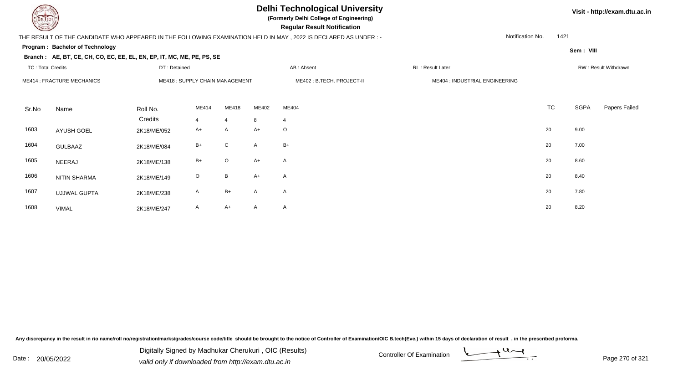# **Delhi Technological University**

**(Formerly Delhi College of Engineering)**

 **Regular Result Notification**

### THE RESULT OF THE CANDIDATE WHO APPEARED IN THE FOLLOWING EXAMINATION HELD IN MAY , 2022 IS DECLARED AS UNDER : -

Notification No.1421

**Sem : VIII**

**Visit - http://exam.dtu.ac.in**

#### **Program : Bachelor of TechnologyBranch :**

|                          | Branch : AE, BT, CE, CH, CO, EC, EE, EL, EN, EP, IT, MC, ME, PE, PS, SE |              |                                |                |              |                            |                                |           |                      |               |  |
|--------------------------|-------------------------------------------------------------------------|--------------|--------------------------------|----------------|--------------|----------------------------|--------------------------------|-----------|----------------------|---------------|--|
| <b>TC: Total Credits</b> |                                                                         | DT: Detained |                                |                |              | AB: Absent                 | RL: Result Later               |           | RW: Result Withdrawn |               |  |
|                          | <b>ME414: FRACTURE MECHANICS</b>                                        |              | ME418: SUPPLY CHAIN MANAGEMENT |                |              | ME402 : B.TECH. PROJECT-II | ME404 : INDUSTRIAL ENGINEERING |           |                      |               |  |
| Sr.No                    | Name                                                                    | Roll No.     | ME414                          | ME418          | ME402        | ME404                      |                                | <b>TC</b> | <b>SGPA</b>          | Papers Failed |  |
|                          |                                                                         | Credits      | $\overline{4}$                 | $\overline{4}$ | 8            | $\overline{4}$             |                                |           |                      |               |  |
| 1603                     | <b>AYUSH GOEL</b>                                                       | 2K18/ME/052  | A+                             | A              | $A+$         | $\circ$                    |                                | 20        | 9.00                 |               |  |
| 1604                     | <b>GULBAAZ</b>                                                          | 2K18/ME/084  | $B+$                           | $\mathsf{C}$   | $\mathsf{A}$ | $B+$                       |                                | 20        | 7.00                 |               |  |
| 1605                     | NEERAJ                                                                  | 2K18/ME/138  | $B+$                           | $\circ$        | $A+$         | $\mathsf{A}$               |                                | 20        | 8.60                 |               |  |
| 1606                     | <b>NITIN SHARMA</b>                                                     | 2K18/ME/149  | $\circ$                        | B              | $A+$         | $\mathsf{A}$               |                                | 20        | 8.40                 |               |  |
| 1607                     | <b>UJJWAL GUPTA</b>                                                     | 2K18/ME/238  | A                              | $B+$           | A            | $\mathsf{A}$               |                                | 20        | 7.80                 |               |  |

A 2K18/ME/238 A B+ A A 20 7.80 1608 VIMALL 2K18/ME/247 A A+ A A A C 20 8.20

Any discrepancy in the result in r/o name/roll no/registration/marks/grades/course code/title should be brought to the notice of Controller of Examination/OIC B.tech(Eve.) within 15 days of declaration of result, in the pr

Digitally Signed by Madhukar Cherukuri , OIC (Results)



Date : 20/05/2022 Digital Digital of Microsofted Chemical Controller Of Examination Determination Page 270 of 32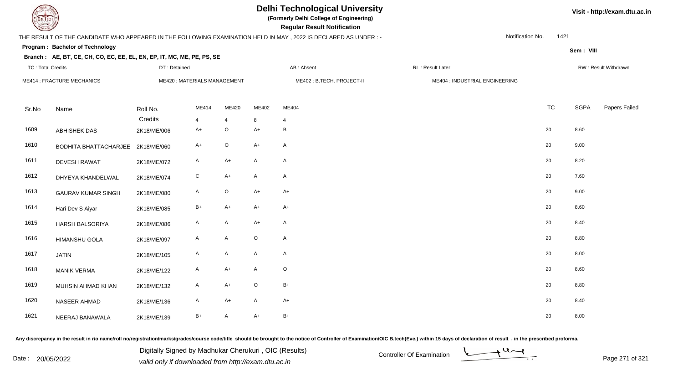TC : Total Credits

# **Delhi Technological University**

**(Formerly Delhi College of Engineering)**

 **Regular Result Notification**

### THE RESULT OF THE CANDIDATE WHO APPEARED IN THE FOLLOWING EXAMINATION HELD IN MAY , 2022 IS DECLARED AS UNDER : -

DT : Detained

Notification No.1421

**Sem : VIII**

### **Program : Bachelor of TechnologyBranch : AE, BT, CE, CH, CO, EC, EE, EL, EN, EP, IT, MC, ME, PE, PS, SE**

| TC: Total Credits |                                   | DT : Detained          |                             |                     |              | AB : Absent               | RL : Result Later              |           |             | RW : Result Withdrawn |
|-------------------|-----------------------------------|------------------------|-----------------------------|---------------------|--------------|---------------------------|--------------------------------|-----------|-------------|-----------------------|
|                   | <b>ME414 : FRACTURE MECHANICS</b> |                        | ME420: MATERIALS MANAGEMENT |                     |              | ME402: B.TECH. PROJECT-II | ME404 : INDUSTRIAL ENGINEERING |           |             |                       |
| Sr.No             | Name                              | Roll No.               | ME414                       | ME420               | ME402        | ME404                     |                                | <b>TC</b> | <b>SGPA</b> | Papers Failed         |
| 1609              | <b>ABHISHEK DAS</b>               | Credits<br>2K18/ME/006 | $\overline{4}$<br>$A+$      | $\overline{4}$<br>O | 8<br>$A+$    | 4<br>В                    |                                | 20        | 8.60        |                       |
| 1610              | BODHITA BHATTACHARJEE 2K18/ME/060 |                        | $A+$                        | O                   | $A+$         | $\mathsf{A}$              |                                | 20        | 9.00        |                       |
| 1611              | <b>DEVESH RAWAT</b>               | 2K18/ME/072            | A                           | $A+$                | $\mathsf{A}$ | $\mathsf{A}$              |                                | 20        | 8.20        |                       |
| 1612              | DHYEYA KHANDELWAL                 | 2K18/ME/074            | $\mathbf C$                 | $A+$                | $\mathsf{A}$ | $\mathsf{A}$              |                                | 20        | 7.60        |                       |
| 1613              | <b>GAURAV KUMAR SINGH</b>         | 2K18/ME/080            | $\mathsf{A}$                | $\circ$             | $A+$         | $A+$                      |                                | 20        | 9.00        |                       |
| 1614              | Hari Dev S Aiyar                  | 2K18/ME/085            | $B+$                        | $A+$                | $A+$         | $A+$                      |                                | 20        | 8.60        |                       |
| 1615              | <b>HARSH BALSORIYA</b>            | 2K18/ME/086            | A                           | A                   | $A+$         | A                         |                                | 20        | 8.40        |                       |
| 1616              | <b>HIMANSHU GOLA</b>              | 2K18/ME/097            | $\mathsf{A}$                | A                   | $\mathsf O$  | $\mathsf{A}$              |                                | 20        | 8.80        |                       |
| 1617              | <b>JATIN</b>                      | 2K18/ME/105            | $\mathsf{A}$                | $\mathsf{A}$        | $\mathsf{A}$ | $\mathsf{A}$              |                                | 20        | 8.00        |                       |
| 1618              | <b>MANIK VERMA</b>                | 2K18/ME/122            | $\mathsf{A}$                | $A+$                | $\mathsf A$  | $\mathsf O$               |                                | 20        | 8.60        |                       |
| 1619              | MUHSIN AHMAD KHAN                 | 2K18/ME/132            | A                           | $A+$                | $\circ$      | B+                        |                                | 20        | 8.80        |                       |
| 1620              | NASEER AHMAD                      | 2K18/ME/136            | $\mathsf{A}$                | $A+$                | $\mathsf{A}$ | $A+$                      |                                | 20        | 8.40        |                       |
| 1621              | NEERAJ BANAWALA                   | 2K18/ME/139            | B+                          | A                   | $A+$         | $B+$                      |                                | 20        | 8.00        |                       |

Any discrepancy in the result in r/o name/roll no/registration/marks/grades/course code/title should be brought to the notice of Controller of Examination/OIC B.tech(Eve.) within 15 days of declaration of result, in the pr

Date : 20/05/2022 Digital Digital of Microsofted Chemical Controller Of Examination Determination Page 271 of 32 Digitally Signed by Madhukar Cherukuri , OIC (Results)



**Visit - http://exam.dtu.ac.in**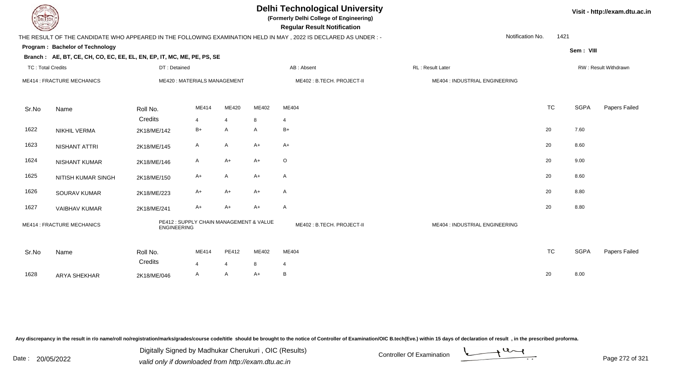# **Delhi Technological University**

**(Formerly Delhi College of Engineering)**

 **Regular Result Notification**

### THE RESULT OF THE CANDIDATE WHO APPEARED IN THE FOLLOWING EXAMINATION HELD IN MAY , 2022 IS DECLARED AS UNDER : -

Notification No.1421

**Program : Bachelor of Technology**

#### **Branch : AE, BT, CE, CH, CO, EC, EE, EL, EN, EP, IT, MC, ME, PE, PS, SE**

| <b>TC: Total Credits</b> |                                   | DT: Detained        |                                         |                         |                           | AB: Absent                | RL : Result Later              |           |      | RW: Result Withdrawn |
|--------------------------|-----------------------------------|---------------------|-----------------------------------------|-------------------------|---------------------------|---------------------------|--------------------------------|-----------|------|----------------------|
|                          | <b>ME414 : FRACTURE MECHANICS</b> |                     | ME420: MATERIALS MANAGEMENT             |                         | ME402: B.TECH. PROJECT-II |                           | ME404 : INDUSTRIAL ENGINEERING |           |      |                      |
| Sr.No                    | Name                              | Roll No.<br>Credits | ME414<br>$\overline{4}$                 | ME420<br>$\overline{4}$ | ME402<br>8                | ME404<br>$\overline{4}$   |                                | <b>TC</b> | SGPA | Papers Failed        |
| 1622                     | NIKHIL VERMA                      | 2K18/ME/142         | $B+$                                    | A                       | A                         | $B+$                      |                                | 20        | 7.60 |                      |
| 1623                     | NISHANT ATTRI                     | 2K18/ME/145         | $\mathsf{A}$                            | $\mathsf{A}$            | $A+$                      | $A+$                      |                                | 20        | 8.60 |                      |
| 1624                     | NISHANT KUMAR                     | 2K18/ME/146         | A                                       | $A+$                    | $A+$                      | $\circ$                   |                                | 20        | 9.00 |                      |
| 1625                     | NITISH KUMAR SINGH                | 2K18/ME/150         | $A+$                                    | A                       | $A+$                      | A                         |                                | 20        | 8.60 |                      |
| 1626                     | SOURAV KUMAR                      | 2K18/ME/223         | $A+$                                    | $A+$                    | $A+$                      | $\mathsf{A}$              |                                | 20        | 8.80 |                      |
| 1627                     | VAIBHAV KUMAR                     | 2K18/ME/241         | $A+$                                    | $A+$                    | $A+$                      | A                         |                                | 20        | 8.80 |                      |
|                          | ME414 : FRACTURE MECHANICS        | <b>ENGINEERING</b>  | PE412 : SUPPLY CHAIN MANAGEMENT & VALUE |                         |                           | ME402: B.TECH. PROJECT-II | ME404 : INDUSTRIAL ENGINEERING |           |      |                      |
| Sr.No                    | Name                              | Roll No.            | ME414                                   | PE412                   | ME402                     | ME404                     |                                | <b>TC</b> | SGPA | Papers Failed        |
|                          |                                   | Credits             | $\overline{4}$                          | $\overline{4}$          | 8                         | $\overline{4}$            |                                |           |      |                      |
| 1628                     | ARYA SHEKHAR                      | 2K18/ME/046         | A                                       | A                       | $A+$                      | В                         |                                | 20        | 8.00 |                      |

Any discrepancy in the result in r/o name/roll no/registration/marks/grades/course code/title should be brought to the notice of Controller of Examination/OIC B.tech(Eve.) within 15 days of declaration of result, in the pr

Date : 20/05/2022 Digital Digital of Microsofted Chemical Controller Of Examination Determination Page 272 of 32<br>valid only if downloaded from http://exam.dtu.ac.in Digitally Signed by Madhukar Cherukuri , OIC (Results)

**Visit - http://exam.dtu.ac.in**

**Sem : VIII**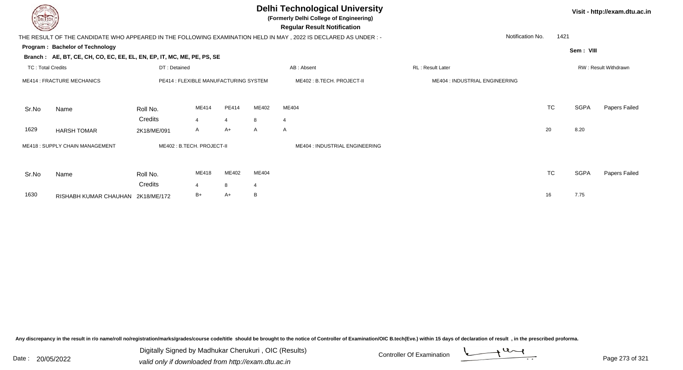|                                   |                                                                        |                                       |       |                |       | <b>Delhi Technological University</b><br>(Formerly Delhi College of Engineering)<br><b>Regular Result Notification</b> |                                |                          |             | Visit - http://exam.dtu.ac.in |
|-----------------------------------|------------------------------------------------------------------------|---------------------------------------|-------|----------------|-------|------------------------------------------------------------------------------------------------------------------------|--------------------------------|--------------------------|-------------|-------------------------------|
|                                   |                                                                        |                                       |       |                |       | THE RESULT OF THE CANDIDATE WHO APPEARED IN THE FOLLOWING EXAMINATION HELD IN MAY, 2022 IS DECLARED AS UNDER :-        |                                | 1421<br>Notification No. |             |                               |
|                                   | Program: Bachelor of Technology                                        |                                       |       |                |       |                                                                                                                        |                                |                          | Sem: VIII   |                               |
|                                   | Branch: AE, BT, CE, CH, CO, EC, EE, EL, EN, EP, IT, MC, ME, PE, PS, SE |                                       |       |                |       |                                                                                                                        |                                |                          |             |                               |
| <b>TC: Total Credits</b>          |                                                                        | DT: Detained                          |       |                |       | AB: Absent                                                                                                             | <b>RL: Result Later</b>        |                          |             | <b>RW: Result Withdrawn</b>   |
| <b>ME414 : FRACTURE MECHANICS</b> |                                                                        | PE414 : FLEXIBLE MANUFACTURING SYSTEM |       |                |       | ME402 : B.TECH. PROJECT-II                                                                                             | ME404 : INDUSTRIAL ENGINEERING |                          |             |                               |
| Sr.No                             | Name                                                                   | Roll No.                              | ME414 | PE414          | ME402 | ME404                                                                                                                  |                                | <b>TC</b>                | <b>SGPA</b> | Papers Failed                 |
|                                   |                                                                        | Credits                               |       | $\overline{4}$ | 8     | $\overline{4}$                                                                                                         |                                |                          |             |                               |
| 1629                              | <b>HARSH TOMAR</b>                                                     | 2K18/ME/091                           | A     | $A+$           | A     | A                                                                                                                      |                                | 20                       | 8.20        |                               |
|                                   | ME418: SUPPLY CHAIN MANAGEMENT                                         | ME402: B.TECH. PROJECT-II             |       |                |       | ME404 : INDUSTRIAL ENGINEERING                                                                                         |                                |                          |             |                               |
| Sr.No                             | Name                                                                   | Roll No.                              | ME418 | ME402          | ME404 |                                                                                                                        |                                | <b>TC</b>                | <b>SGPA</b> | Papers Failed                 |
|                                   |                                                                        | Credits                               |       | 8              | 4     |                                                                                                                        |                                |                          |             |                               |
| 1630                              | RISHABH KUMAR CHAUHAN 2K18/ME/172                                      |                                       | B+    | A+             | B     |                                                                                                                        |                                | 16                       | 7.75        |                               |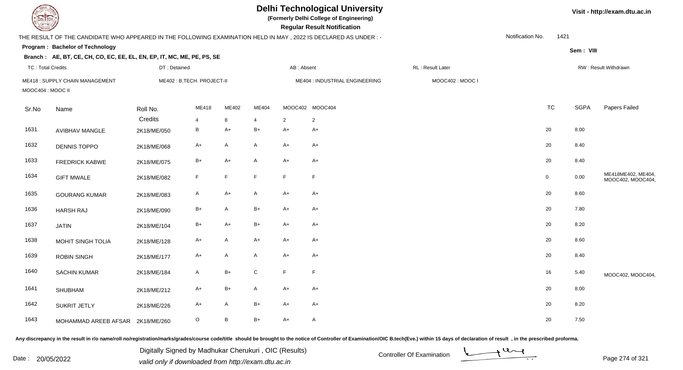|                          | <b>DELTECH</b>                                                                                                  |                           |                |       |                | <b>Delhi Technological University</b><br>(Formerly Delhi College of Engineering)<br><b>Regular Result Notification</b> |                                |                  |                  | Visit - http://exam.dtu.ac.in |                                         |
|--------------------------|-----------------------------------------------------------------------------------------------------------------|---------------------------|----------------|-------|----------------|------------------------------------------------------------------------------------------------------------------------|--------------------------------|------------------|------------------|-------------------------------|-----------------------------------------|
|                          | THE RESULT OF THE CANDIDATE WHO APPEARED IN THE FOLLOWING EXAMINATION HELD IN MAY, 2022 IS DECLARED AS UNDER :- |                           |                |       |                |                                                                                                                        |                                |                  | Notification No. | 1421                          |                                         |
|                          | Program: Bachelor of Technology                                                                                 |                           |                |       |                |                                                                                                                        |                                |                  |                  | Sem: VIII                     |                                         |
|                          | Branch: AE, BT, CE, CH, CO, EC, EE, EL, EN, EP, IT, MC, ME, PE, PS, SE                                          |                           |                |       |                |                                                                                                                        |                                |                  |                  |                               |                                         |
| <b>TC: Total Credits</b> |                                                                                                                 | DT: Detained              |                |       |                | AB: Absent                                                                                                             |                                | RL: Result Later |                  |                               | RW: Result Withdrawn                    |
| MOOC404 : MOOC II        | ME418: SUPPLY CHAIN MANAGEMENT                                                                                  | ME402: B.TECH. PROJECT-II |                |       |                |                                                                                                                        | ME404 : INDUSTRIAL ENGINEERING | MOOC402: MOOC I  |                  |                               |                                         |
| Sr.No                    | Name                                                                                                            | Roll No.                  | ME418          | ME402 | ME404          |                                                                                                                        | MOOC402 MOOC404                |                  | <b>TC</b>        | <b>SGPA</b>                   | Papers Failed                           |
|                          |                                                                                                                 | Credits                   | $\overline{4}$ | 8     | $\overline{4}$ | $\overline{2}$                                                                                                         | $\overline{2}$                 |                  |                  |                               |                                         |
| 1631                     | <b>AVIBHAV MANGLE</b>                                                                                           | 2K18/ME/050               | $\, {\bf B}$   | $A+$  | $B+$           | $A+$                                                                                                                   | $A+$                           |                  | 20               | 8.00                          |                                         |
| 1632                     | <b>DENNIS TOPPO</b>                                                                                             | 2K18/ME/068               | $A+$           | A     | A              | $A+$                                                                                                                   | $A+$                           |                  | 20               | 8.40                          |                                         |
| 1633                     | <b>FREDRICK KABWE</b>                                                                                           | 2K18/ME/075               | $B+$           | $A+$  | A              | $A+$                                                                                                                   | $A+$                           |                  | 20               | 8.40                          |                                         |
| 1634                     | <b>GIFT MWALE</b>                                                                                               | 2K18/ME/082               | F              | F.    | F              | F                                                                                                                      | F                              |                  | $\mathbf 0$      | 0.00                          | ME418ME402, ME404,<br>MOOC402, MOOC404, |
| 1635                     | <b>GOURANG KUMAR</b>                                                                                            | 2K18/ME/083               | $\mathsf{A}$   | $A+$  | $\mathsf{A}$   | $A+$                                                                                                                   | $A+$                           |                  | 20               | 8.60                          |                                         |
| 1636                     | <b>HARSH RAJ</b>                                                                                                | 2K18/ME/090               | $B+$           | A     | $B+$           | $A+$                                                                                                                   | $A+$                           |                  | 20               | 7.80                          |                                         |
| 1637                     | <b>JATIN</b>                                                                                                    | 2K18/ME/104               | $B+$           | $A+$  | B+             | $A+$                                                                                                                   | $A+$                           |                  | 20               | 8.20                          |                                         |
| 1638                     | MOHIT SINGH TOLIA                                                                                               | 2K18/ME/128               | $A+$           | A     | A+             | $A+$                                                                                                                   | $A+$                           |                  | 20               | 8.60                          |                                         |
| 1639                     | <b>ROBIN SINGH</b>                                                                                              | 2K18/ME/177               | A+             | A     | A              | $A+$                                                                                                                   | A+                             |                  | 20               | 8.40                          |                                         |
| 1640                     | <b>SACHIN KUMAR</b>                                                                                             | 2K18/ME/184               | $\mathsf{A}$   | $B+$  | $\mathbf C$    | F                                                                                                                      | $\mathsf F$                    |                  | 16               | 5.40                          | MOOC402, MOOC404,                       |
| 1641                     | <b>SHUBHAM</b>                                                                                                  | 2K18/ME/212               | A+             | $B+$  | A              | $A+$                                                                                                                   | $A+$                           |                  | 20               | 8.00                          |                                         |
| 1642                     | <b>SUKRIT JETLY</b>                                                                                             | 2K18/ME/226               | $A+$           | A     | $B+$           | $A+$                                                                                                                   | $A+$                           |                  | 20               | 8.20                          |                                         |
| 1643                     | MOHAMMAD AREEB AFSAR 2K18/ME/260                                                                                |                           | $\circ$        | B     | $B+$           | $A+$                                                                                                                   | A                              |                  | 20               | 7.50                          |                                         |

Digitally Signed by Madhukar Cherukuri, OIC (Results)<br>Date : 20/05/2022 valid only if downloaded from http://oxam.dtu.ac.in Digitally Signed by Madhukar Cherukuri , OIC (Results)valid only if downloaded from http://exam.dtu.ac.in



Page 274 of 321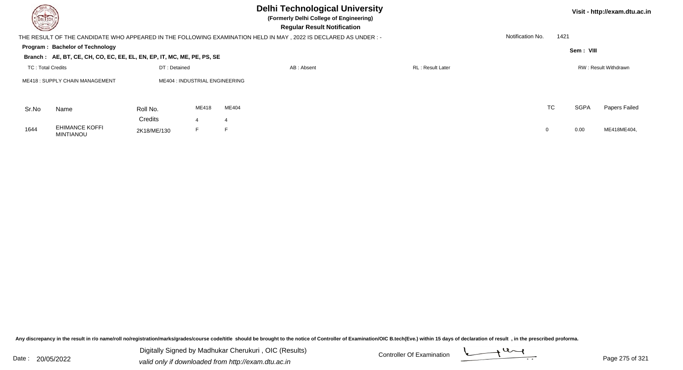| <b>DELTECH</b>                        |                                                                        |              |                                |                                                                                                                 | Visit - http://exam.dtu.ac.in |                  |      |             |                      |
|---------------------------------------|------------------------------------------------------------------------|--------------|--------------------------------|-----------------------------------------------------------------------------------------------------------------|-------------------------------|------------------|------|-------------|----------------------|
|                                       |                                                                        |              |                                | THE RESULT OF THE CANDIDATE WHO APPEARED IN THE FOLLOWING EXAMINATION HELD IN MAY, 2022 IS DECLARED AS UNDER :- |                               | Notification No. | 1421 |             |                      |
|                                       | Program: Bachelor of Technology                                        |              |                                |                                                                                                                 |                               |                  |      | Sem: VIII   |                      |
|                                       | Branch: AE, BT, CE, CH, CO, EC, EE, EL, EN, EP, IT, MC, ME, PE, PS, SE |              |                                |                                                                                                                 |                               |                  |      |             |                      |
| TC: Total Credits                     |                                                                        | DT: Detained |                                | AB: Absent                                                                                                      | <b>RL</b> : Result Later      |                  |      |             | RW: Result Withdrawn |
| <b>ME418: SUPPLY CHAIN MANAGEMENT</b> |                                                                        |              | ME404 : INDUSTRIAL ENGINEERING |                                                                                                                 |                               |                  |      |             |                      |
| Sr.No                                 | Name                                                                   | Roll No.     | ME418                          | ME404                                                                                                           |                               |                  | TC   | <b>SGPA</b> | Papers Failed        |
|                                       |                                                                        | Credits      |                                | 4                                                                                                               |                               |                  |      |             |                      |
| 1644                                  | <b>EHIMANCE KOFFI</b><br><b>MINTIANOU</b>                              | 2K18/ME/130  | F                              | E                                                                                                               |                               |                  | 0    | 0.00        | ME418ME404,          |

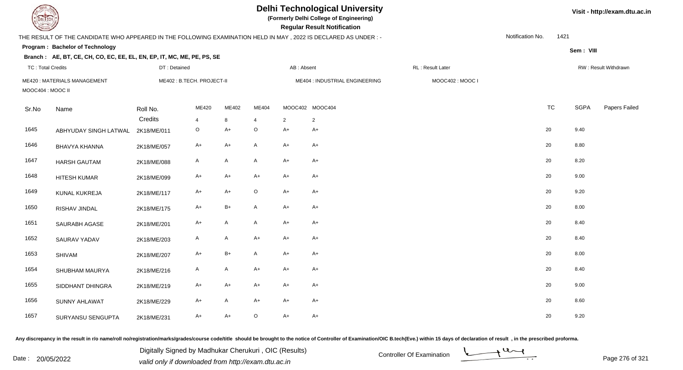| <b>DELTECH</b>           |                                                                                                                 |              |                           |              |              |            | <b>Delhi Technological University</b><br>(Formerly Delhi College of Engineering)<br><b>Regular Result Notification</b> |                  |                  |           |             | Visit - http://exam.dtu.ac.in |
|--------------------------|-----------------------------------------------------------------------------------------------------------------|--------------|---------------------------|--------------|--------------|------------|------------------------------------------------------------------------------------------------------------------------|------------------|------------------|-----------|-------------|-------------------------------|
|                          | THE RESULT OF THE CANDIDATE WHO APPEARED IN THE FOLLOWING EXAMINATION HELD IN MAY, 2022 IS DECLARED AS UNDER :- |              |                           |              |              |            |                                                                                                                        |                  | Notification No. | 1421      |             |                               |
|                          | Program: Bachelor of Technology                                                                                 |              |                           |              |              |            |                                                                                                                        |                  |                  |           | Sem: VIII   |                               |
|                          | Branch: AE, BT, CE, CH, CO, EC, EE, EL, EN, EP, IT, MC, ME, PE, PS, SE                                          |              |                           |              |              |            |                                                                                                                        |                  |                  |           |             |                               |
| <b>TC: Total Credits</b> |                                                                                                                 | DT: Detained |                           |              |              | AB: Absent |                                                                                                                        | RL: Result Later |                  |           |             | RW: Result Withdrawn          |
| MOOC404: MOOC II         | <b>ME420: MATERIALS MANAGEMENT</b>                                                                              |              | ME402: B.TECH. PROJECT-II |              |              |            | ME404 : INDUSTRIAL ENGINEERING                                                                                         | MOOC402: MOOC I  |                  |           |             |                               |
| Sr.No                    | Name                                                                                                            | Roll No.     | ME420                     | ME402        | ME404        |            | MOOC402 MOOC404                                                                                                        |                  |                  | <b>TC</b> | <b>SGPA</b> | Papers Failed                 |
|                          |                                                                                                                 | Credits      | 4                         | 8            | 4            | 2          | $\overline{2}$                                                                                                         |                  |                  |           |             |                               |
| 1645                     | ABHYUDAY SINGH LATWAL                                                                                           | 2K18/ME/011  | O                         | $A+$         | $\mathsf O$  | $A+$       | $A+$                                                                                                                   |                  |                  | 20        | 9.40        |                               |
| 1646                     | BHAVYA KHANNA                                                                                                   | 2K18/ME/057  | A+                        | $A+$         | A            | $A+$       | $A+$                                                                                                                   |                  |                  | 20        | 8.80        |                               |
| 1647                     | <b>HARSH GAUTAM</b>                                                                                             | 2K18/ME/088  | $\mathsf{A}$              | A            | $\mathsf{A}$ | $A+$       | $A+$                                                                                                                   |                  |                  | 20        | 8.20        |                               |
| 1648                     | <b>HITESH KUMAR</b>                                                                                             | 2K18/ME/099  | $A+$                      | $A+$         | $A+$         | $A+$       | $A+$                                                                                                                   |                  |                  | 20        | 9.00        |                               |
| 1649                     | KUNAL KUKREJA                                                                                                   | 2K18/ME/117  | A+                        | $A+$         | $\circ$      | $A+$       | A+                                                                                                                     |                  |                  | 20        | 9.20        |                               |
| 1650                     | RISHAV JINDAL                                                                                                   | 2K18/ME/175  | $A+$                      | $B+$         | A            | $A+$       | $A+$                                                                                                                   |                  |                  | 20        | 8.00        |                               |
| 1651                     | SAURABH AGASE                                                                                                   | 2K18/ME/201  | $A+$                      | $\mathsf{A}$ | $\mathsf{A}$ | $A+$       | $A+$                                                                                                                   |                  |                  | 20        | 8.40        |                               |
| 1652                     | <b>SAURAV YADAV</b>                                                                                             | 2K18/ME/203  | $\mathsf{A}$              | $\mathsf{A}$ | $A+$         | $A+$       | $A+$                                                                                                                   |                  |                  | 20        | 8.40        |                               |
| 1653                     | <b>SHIVAM</b>                                                                                                   | 2K18/ME/207  | A+                        | $B+$         | A            | $A+$       | A+                                                                                                                     |                  |                  | 20        | 8.00        |                               |
| 1654                     | SHUBHAM MAURYA                                                                                                  | 2K18/ME/216  | A                         | $\mathsf{A}$ | $A+$         | $A+$       | $A+$                                                                                                                   |                  |                  | 20        | 8.40        |                               |
| 1655                     | SIDDHANT DHINGRA                                                                                                | 2K18/ME/219  | A+                        | $A+$         | A+           | $A+$       | A+                                                                                                                     |                  |                  | 20        | 9.00        |                               |
| 1656                     | <b>SUNNY AHLAWAT</b>                                                                                            | 2K18/ME/229  | A+                        | $\mathsf{A}$ | $A+$         | $A+$       | A+                                                                                                                     |                  |                  | 20        | 8.60        |                               |
| 1657                     | SURYANSU SENGUPTA                                                                                               | 2K18/ME/231  | A+                        | $A+$         | $\circ$      | $A+$       | A+                                                                                                                     |                  |                  | 20        | 9.20        |                               |

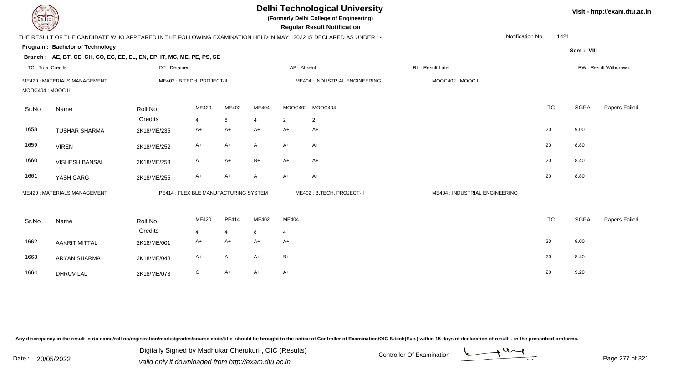| DEL TECH                 |                                                                        |              |                                       |                |                | Visit - http://exam.dtu.ac.in |                                                                                                                |                                |           |             |                      |
|--------------------------|------------------------------------------------------------------------|--------------|---------------------------------------|----------------|----------------|-------------------------------|----------------------------------------------------------------------------------------------------------------|--------------------------------|-----------|-------------|----------------------|
|                          |                                                                        |              |                                       |                |                |                               | THE RESULT OF THE CANDIDATE WHO APPEARED IN THE FOLLOWING EXAMINATION HELD IN MAY, 2022 IS DECLARED AS UNDER:- | Notification No.               | 1421      |             |                      |
|                          | Program: Bachelor of Technology                                        |              |                                       |                |                |                               |                                                                                                                |                                |           | Sem: VIII   |                      |
|                          | Branch: AE, BT, CE, CH, CO, EC, EE, EL, EN, EP, IT, MC, ME, PE, PS, SE |              |                                       |                |                |                               |                                                                                                                |                                |           |             |                      |
| <b>TC: Total Credits</b> |                                                                        | DT: Detained |                                       |                |                | AB: Absent                    |                                                                                                                | RL: Result Later               |           |             | RW: Result Withdrawn |
|                          | ME420: MATERIALS MANAGEMENT                                            |              | ME402: B.TECH. PROJECT-II             |                |                |                               | ME404 : INDUSTRIAL ENGINEERING                                                                                 | MOOC402: MOOC I                |           |             |                      |
| MOOC404 : MOOC II        |                                                                        |              |                                       |                |                |                               |                                                                                                                |                                |           |             |                      |
| Sr.No                    | Name                                                                   | Roll No.     | ME420                                 | ME402          | ME404          |                               | MOOC402 MOOC404                                                                                                |                                | <b>TC</b> | <b>SGPA</b> | <b>Papers Failed</b> |
|                          |                                                                        | Credits      | $\overline{4}$                        | 8              | $\overline{4}$ | 2                             | $\overline{2}$                                                                                                 |                                |           |             |                      |
| 1658                     | <b>TUSHAR SHARMA</b>                                                   | 2K18/ME/235  | A+                                    | $A+$           | $A+$           | $A+$                          | $A+$                                                                                                           |                                | 20        | 9.00        |                      |
| 1659                     | <b>VIREN</b>                                                           | 2K18/ME/252  | $A+$                                  | $A+$           | A              | $A+$                          | $A+$                                                                                                           |                                | 20        | 8.80        |                      |
| 1660                     | <b>VISHESH BANSAL</b>                                                  | 2K18/ME/253  | A                                     | $A+$           | $B+$           | $A+$                          | $A+$                                                                                                           |                                | 20        | 8.40        |                      |
| 1661                     | YASH GARG                                                              | 2K18/ME/255  | $A+$                                  | $A+$           | $\mathsf{A}$   | $A+$                          | $A+$                                                                                                           |                                | 20        | 8.80        |                      |
|                          | <b>ME420: MATERIALS MANAGEMENT</b>                                     |              | PE414 : FLEXIBLE MANUFACTURING SYSTEM |                |                |                               | ME402: B.TECH. PROJECT-II                                                                                      | ME404 : INDUSTRIAL ENGINEERING |           |             |                      |
| Sr.No                    | Name                                                                   | Roll No.     | ME420                                 | PE414          | ME402          | ME404                         |                                                                                                                |                                | <b>TC</b> | <b>SGPA</b> | Papers Failed        |
|                          |                                                                        | Credits      | $\overline{4}$                        | $\overline{4}$ | 8              | $\overline{4}$                |                                                                                                                |                                |           |             |                      |
| 1662                     | <b>AAKRIT MITTAL</b>                                                   | 2K18/ME/001  | $A+$                                  | $A+$           | $A+$           | $A+$                          |                                                                                                                |                                | 20        | 9.00        |                      |
| 1663                     | <b>ARYAN SHARMA</b>                                                    | 2K18/ME/048  | $A+$                                  | A              | $A+$           | $B+$                          |                                                                                                                |                                | 20        | 8.40        |                      |
| 1664                     | <b>DHRUV LAL</b>                                                       | 2K18/ME/073  | O                                     | $A+$           | A+             | $A+$                          |                                                                                                                |                                | 20        | 9.20        |                      |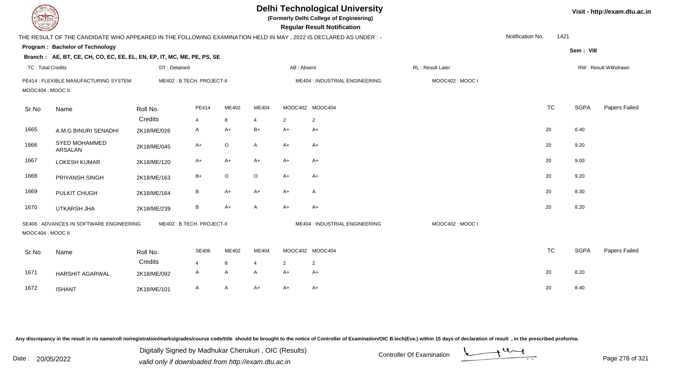| <b>DELTECH</b>           |                                                                                                                  |              |                           |                   |                |                        | <b>Delhi Technological University</b><br>(Formerly Delhi College of Engineering)<br><b>Regular Result Notification</b> |                   |                  |           |             | Visit - http://exam.dtu.ac.in |
|--------------------------|------------------------------------------------------------------------------------------------------------------|--------------|---------------------------|-------------------|----------------|------------------------|------------------------------------------------------------------------------------------------------------------------|-------------------|------------------|-----------|-------------|-------------------------------|
|                          | THE RESULT OF THE CANDIDATE WHO APPEARED IN THE FOLLOWING EXAMINATION HELD IN MAY , 2022 IS DECLARED AS UNDER :- |              |                           |                   |                |                        |                                                                                                                        |                   | Notification No. | 1421      |             |                               |
|                          | Program: Bachelor of Technology                                                                                  |              |                           |                   |                |                        |                                                                                                                        |                   |                  |           | Sem: VIII   |                               |
|                          | Branch: AE, BT, CE, CH, CO, EC, EE, EL, EN, EP, IT, MC, ME, PE, PS, SE                                           |              |                           |                   |                |                        |                                                                                                                        |                   |                  |           |             |                               |
| <b>TC: Total Credits</b> |                                                                                                                  | DT: Detained |                           |                   |                | AB: Absent             |                                                                                                                        | RL : Result Later |                  |           |             | RW: Result Withdrawn          |
| MOOC404: MOOC II         | PE414 : FLEXIBLE MANUFACTURING SYSTEM                                                                            |              | ME402: B.TECH. PROJECT-II |                   |                |                        | ME404 : INDUSTRIAL ENGINEERING                                                                                         | MOOC402: MOOC I   |                  |           |             |                               |
| Sr.No                    | Name                                                                                                             | Roll No.     | PE414                     | ME402             | ME404          |                        | MOOC402 MOOC404                                                                                                        |                   |                  | <b>TC</b> | <b>SGPA</b> | Papers Failed                 |
|                          |                                                                                                                  | Credits      | $\overline{4}$            | 8                 | $\overline{4}$ | $\overline{2}$         | $\overline{2}$                                                                                                         |                   |                  |           |             |                               |
| 1665                     | A.M.G BINURI SENADHI                                                                                             | 2K18/ME/026  | A                         | $A+$              | $B+$           | $A+$                   | $A+$                                                                                                                   |                   |                  | 20        | 8.40        |                               |
| 1666                     | SYED MOHAMMED<br><b>ARSALAN</b>                                                                                  | 2K18/ME/045  | A+                        | $\mathsf O$       | A              | $A+$                   | A+                                                                                                                     |                   |                  | 20        | 9.20        |                               |
| 1667                     | <b>LOKESH KUMAR</b>                                                                                              | 2K18/ME/120  | A+                        | $A+$              | $A+$           | $A+$                   | A+                                                                                                                     |                   |                  | 20        | 9.00        |                               |
| 1668                     | PRIYANSH SINGH                                                                                                   | 2K18/ME/163  | $B+$                      | $\mathsf O$       | $\circ$        | $A+$                   | A+                                                                                                                     |                   |                  | 20        | 9.20        |                               |
| 1669                     | PULKIT CHUGH                                                                                                     | 2K18/ME/164  | B                         | $A+$              | $A+$           | $A+$                   | A                                                                                                                      |                   |                  | 20        | 8.30        |                               |
| 1670                     | UTKARSH JHA                                                                                                      | 2K18/ME/239  | B                         | $A+$              | A              | $A+$                   | A+                                                                                                                     |                   |                  | 20        | 8.20        |                               |
| MOOC404 : MOOC II        | SE406 : ADVANCES IN SOFTWARE ENGINEERING                                                                         |              | ME402: B.TECH. PROJECT-II |                   |                |                        | ME404 : INDUSTRIAL ENGINEERING                                                                                         | MOOC402: MOOC I   |                  |           |             |                               |
| Sr.No                    | Name                                                                                                             | Roll No.     | <b>SE406</b>              | ME402             | ME404          |                        | MOOC402 MOOC404                                                                                                        |                   |                  | <b>TC</b> | <b>SGPA</b> | Papers Failed                 |
|                          |                                                                                                                  | Credits      | $\overline{4}$            | 8<br>$\mathsf{A}$ | 4              | $\overline{2}$<br>$A+$ | $\overline{2}$                                                                                                         |                   |                  | 20        | 8.20        |                               |
| 1671                     | <b>HARSHIT AGARWAL</b>                                                                                           | 2K18/ME/092  | A                         |                   | A              |                        | $A+$                                                                                                                   |                   |                  |           |             |                               |
| 1672                     | <b>ISHANT</b>                                                                                                    | 2K18/ME/101  | A                         | $\mathsf{A}$      | $A+$           | $A+$                   | $A+$                                                                                                                   |                   |                  | 20        | 8.40        |                               |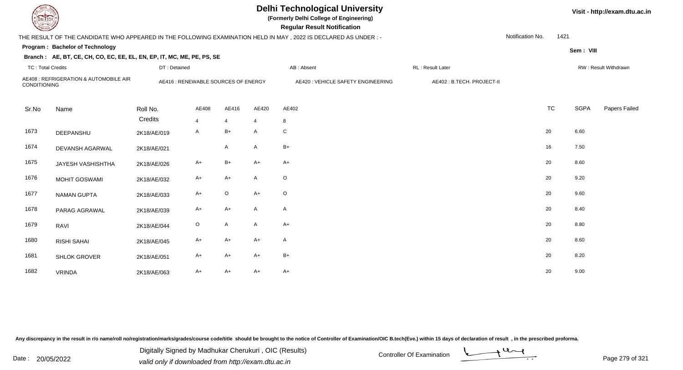|                          | <b>Delhi Technological University</b><br>(Formerly Delhi College of Engineering)<br>DEL ECH<br><b>Regular Result Notification</b> |                                     |         |                |       |                                                                                                                  |                           |                  |           |             |                      |  |  |
|--------------------------|-----------------------------------------------------------------------------------------------------------------------------------|-------------------------------------|---------|----------------|-------|------------------------------------------------------------------------------------------------------------------|---------------------------|------------------|-----------|-------------|----------------------|--|--|
|                          |                                                                                                                                   |                                     |         |                |       | THE RESULT OF THE CANDIDATE WHO APPEARED IN THE FOLLOWING EXAMINATION HELD IN MAY , 2022 IS DECLARED AS UNDER :- |                           | Notification No. | 1421      |             |                      |  |  |
|                          | Program: Bachelor of Technology                                                                                                   |                                     |         |                |       |                                                                                                                  |                           |                  |           | Sem: VIII   |                      |  |  |
|                          | Branch: AE, BT, CE, CH, CO, EC, EE, EL, EN, EP, IT, MC, ME, PE, PS, SE                                                            |                                     |         |                |       |                                                                                                                  |                           |                  |           |             |                      |  |  |
| <b>TC: Total Credits</b> |                                                                                                                                   | DT: Detained                        |         |                |       | AB: Absent                                                                                                       | RL : Result Later         |                  |           |             | RW: Result Withdrawn |  |  |
| CONDITIONING             | AE408 : REFRIGERATION & AUTOMOBILE AIR                                                                                            | AE416 : RENEWABLE SOURCES OF ENERGY |         |                |       | AE420 : VEHICLE SAFETY ENGINEERING                                                                               | AE402: B.TECH. PROJECT-II |                  |           |             |                      |  |  |
|                          |                                                                                                                                   |                                     |         |                |       |                                                                                                                  |                           |                  |           |             |                      |  |  |
| Sr.No                    | Name                                                                                                                              | Roll No.                            | AE408   | AE416          | AE420 | AE402                                                                                                            |                           |                  | <b>TC</b> | <b>SGPA</b> | Papers Failed        |  |  |
|                          |                                                                                                                                   | Credits                             | 4       | $\overline{4}$ | 4     | 8                                                                                                                |                           |                  |           |             |                      |  |  |
| 1673                     | DEEPANSHU                                                                                                                         | 2K18/AE/019                         | A       | $B+$           | A     | C                                                                                                                |                           |                  | 20        | 6.60        |                      |  |  |
| 1674                     | DEVANSH AGARWAL                                                                                                                   | 2K18/AE/021                         |         | $\mathsf{A}$   | A     | $B+$                                                                                                             |                           |                  | 16        | 7.50        |                      |  |  |
| 1675                     | JAYESH VASHISHTHA                                                                                                                 | 2K18/AE/026                         | $A+$    | $B+$           | $A+$  | $A+$                                                                                                             |                           |                  | 20        | 8.60        |                      |  |  |
| 1676                     | <b>MOHIT GOSWAMI</b>                                                                                                              | 2K18/AE/032                         | $A+$    | $A+$           | A     | $\circ$                                                                                                          |                           |                  | 20        | 9.20        |                      |  |  |
| 1677                     | <b>NAMAN GUPTA</b>                                                                                                                | 2K18/AE/033                         | $A+$    | $\mathsf O$    | $A+$  | $\circ$                                                                                                          |                           |                  | 20        | 9.60        |                      |  |  |
| 1678                     | PARAG AGRAWAL                                                                                                                     | 2K18/AE/039                         | $A+$    | $A+$           | A     | A                                                                                                                |                           |                  | 20        | 8.40        |                      |  |  |
| 1679                     | RAVI                                                                                                                              | 2K18/AE/044                         | $\circ$ | $\mathsf{A}$   | A     | $A+$                                                                                                             |                           |                  | $20\,$    | 8.80        |                      |  |  |
| 1680                     | <b>RISHI SAHAI</b>                                                                                                                | 2K18/AE/045                         | $A+$    | $A+$           | $A+$  | A                                                                                                                |                           |                  | 20        | 8.60        |                      |  |  |
| 1681                     | <b>SHLOK GROVER</b>                                                                                                               | 2K18/AE/051                         | A+      | $A+$           | $A+$  | $B+$                                                                                                             |                           |                  | 20        | 8.20        |                      |  |  |
| 1682                     | <b>VRINDA</b>                                                                                                                     | 2K18/AE/063                         | A+      | $A+$           | $A+$  | $A+$                                                                                                             |                           |                  | 20        | 9.00        |                      |  |  |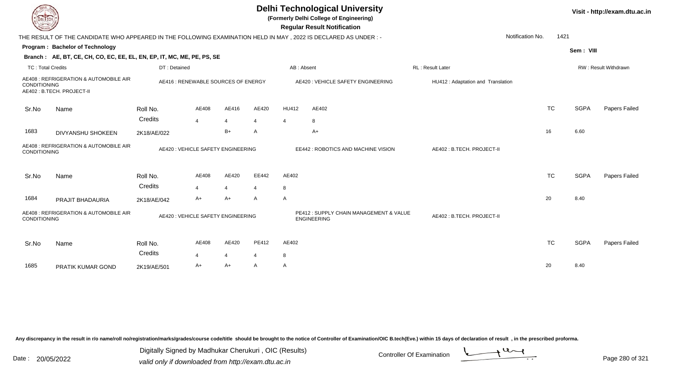| EL ECH                                                                                       |                                                                                                                |                     |                                     |                         |                                                               |                           | <b>Delhi Technological University</b><br>(Formerly Delhi College of Engineering)<br><b>Regular Result Notification</b> |                                   |                          |             | Visit - http://exam.dtu.ac.in |
|----------------------------------------------------------------------------------------------|----------------------------------------------------------------------------------------------------------------|---------------------|-------------------------------------|-------------------------|---------------------------------------------------------------|---------------------------|------------------------------------------------------------------------------------------------------------------------|-----------------------------------|--------------------------|-------------|-------------------------------|
|                                                                                              | THE RESULT OF THE CANDIDATE WHO APPEARED IN THE FOLLOWING EXAMINATION HELD IN MAY, 2022 IS DECLARED AS UNDER:- |                     |                                     |                         |                                                               |                           |                                                                                                                        |                                   | 1421<br>Notification No. |             |                               |
|                                                                                              | Program: Bachelor of Technology                                                                                |                     |                                     |                         |                                                               |                           |                                                                                                                        |                                   |                          | Sem: VIII   |                               |
|                                                                                              | Branch: AE, BT, CE, CH, CO, EC, EE, EL, EN, EP, IT, MC, ME, PE, PS, SE                                         |                     |                                     |                         |                                                               |                           |                                                                                                                        |                                   |                          |             |                               |
| <b>TC: Total Credits</b>                                                                     |                                                                                                                | DT: Detained        |                                     |                         |                                                               | AB: Absent                |                                                                                                                        | RL: Result Later                  |                          |             | RW: Result Withdrawn          |
| CONDITIONING                                                                                 | AE408 : REFRIGERATION & AUTOMOBILE AIR<br>AE402: B.TECH. PROJECT-II                                            |                     | AE416 : RENEWABLE SOURCES OF ENERGY |                         |                                                               |                           | AE420 : VEHICLE SAFETY ENGINEERING                                                                                     | HU412: Adaptation and Translation |                          |             |                               |
| Sr.No                                                                                        | Name                                                                                                           | Roll No.            | AE408                               | AE416                   | AE420                                                         | HU412                     | AE402                                                                                                                  |                                   | <b>TC</b>                | <b>SGPA</b> | Papers Failed                 |
|                                                                                              |                                                                                                                | Credits             | 4                                   | $\overline{4}$          | 4                                                             | $\overline{4}$            | 8                                                                                                                      |                                   |                          |             |                               |
| 1683                                                                                         | DIVYANSHU SHOKEEN                                                                                              | 2K18/AE/022         |                                     | $B+$                    | A                                                             |                           | $A+$                                                                                                                   |                                   | 16                       | 6.60        |                               |
| AE408 : REFRIGERATION & AUTOMOBILE AIR<br><b>CONDITIONING</b>                                |                                                                                                                |                     | AE420 : VEHICLE SAFETY ENGINEERING  |                         |                                                               |                           | EE442 : ROBOTICS AND MACHINE VISION                                                                                    | AE402: B.TECH. PROJECT-II         |                          |             |                               |
| Sr.No                                                                                        | Name                                                                                                           | Roll No.            | AE408                               | AE420                   | EE442                                                         | AE402                     |                                                                                                                        |                                   | <b>TC</b>                | <b>SGPA</b> | Papers Failed                 |
|                                                                                              |                                                                                                                | Credits             | Δ                                   | $\overline{4}$          | $\boldsymbol{\varDelta}$                                      | 8                         |                                                                                                                        |                                   |                          |             |                               |
| 1684                                                                                         | PRAJIT BHADAURIA                                                                                               | 2K18/AE/042         | A+                                  | $A+$                    | A                                                             | A                         |                                                                                                                        |                                   | 20                       | 8.40        |                               |
| AE408 : REFRIGERATION & AUTOMOBILE AIR<br>AE420 : VEHICLE SAFETY ENGINEERING<br>CONDITIONING |                                                                                                                |                     |                                     |                         | PE412 : SUPPLY CHAIN MANAGEMENT & VALUE<br><b>ENGINEERING</b> | AE402: B.TECH. PROJECT-II |                                                                                                                        |                                   |                          |             |                               |
| Sr.No                                                                                        | Name                                                                                                           | Roll No.<br>Credits | AE408                               | AE420<br>$\overline{4}$ | PE412<br>$\overline{4}$                                       | AE402<br>8                |                                                                                                                        |                                   | <b>TC</b>                | <b>SGPA</b> | <b>Papers Failed</b>          |
| 1685                                                                                         | PRATIK KUMAR GOND                                                                                              | 2K19/AE/501         | A+                                  | $A+$                    | A                                                             | A                         |                                                                                                                        |                                   | 20                       | 8.40        |                               |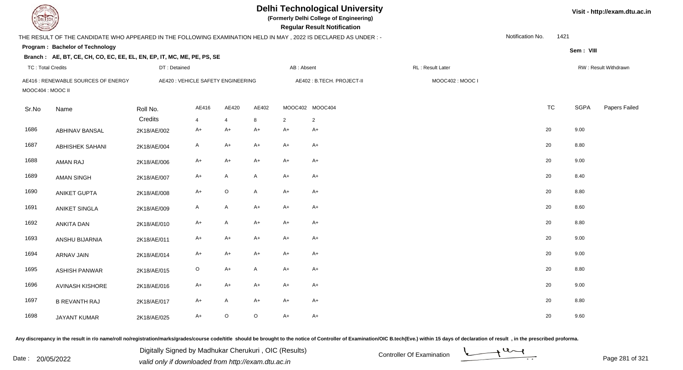| EL TECH                  |                                                                                                                 |              |                                    |                |              |            | <b>Delhi Technological University</b><br>(Formerly Delhi College of Engineering)<br><b>Regular Result Notification</b> |                  |                  |           |             | Visit - http://exam.dtu.ac.in |
|--------------------------|-----------------------------------------------------------------------------------------------------------------|--------------|------------------------------------|----------------|--------------|------------|------------------------------------------------------------------------------------------------------------------------|------------------|------------------|-----------|-------------|-------------------------------|
|                          | THE RESULT OF THE CANDIDATE WHO APPEARED IN THE FOLLOWING EXAMINATION HELD IN MAY, 2022 IS DECLARED AS UNDER :- |              |                                    |                |              |            |                                                                                                                        |                  | Notification No. | 1421      |             |                               |
|                          | <b>Program: Bachelor of Technology</b>                                                                          |              |                                    |                |              |            |                                                                                                                        |                  |                  |           | Sem: VIII   |                               |
|                          | Branch: AE, BT, CE, CH, CO, EC, EE, EL, EN, EP, IT, MC, ME, PE, PS, SE                                          |              |                                    |                |              |            |                                                                                                                        |                  |                  |           |             |                               |
| <b>TC: Total Credits</b> |                                                                                                                 | DT: Detained |                                    |                |              | AB: Absent |                                                                                                                        | RL: Result Later |                  |           |             | RW: Result Withdrawn          |
| MOOC404 : MOOC II        | AE416 : RENEWABLE SOURCES OF ENERGY                                                                             |              | AE420 : VEHICLE SAFETY ENGINEERING |                |              |            | AE402: B.TECH. PROJECT-II                                                                                              | MOOC402: MOOC I  |                  |           |             |                               |
| Sr.No                    | Name                                                                                                            | Roll No.     | AE416                              | AE420          | AE402        |            | MOOC402 MOOC404                                                                                                        |                  |                  | <b>TC</b> | <b>SGPA</b> | Papers Failed                 |
|                          |                                                                                                                 | Credits      | $\overline{4}$                     | $\overline{4}$ | 8            | 2          | $\overline{2}$                                                                                                         |                  |                  |           |             |                               |
| 1686                     | <b>ABHINAV BANSAL</b>                                                                                           | 2K18/AE/002  | A+                                 | $A+$           | A+           | $A+$       | $A+$                                                                                                                   |                  | 20               |           | 9.00        |                               |
| 1687                     | ABHISHEK SAHANI                                                                                                 | 2K18/AE/004  | A                                  | $A+$           | $A+$         | $A+$       | $A+$                                                                                                                   |                  | 20               |           | 8.80        |                               |
| 1688                     | AMAN RAJ                                                                                                        | 2K18/AE/006  | $A+$                               | $A+$           | $A+$         | $A+$       | $A+$                                                                                                                   |                  | 20               |           | 9.00        |                               |
| 1689                     | <b>AMAN SINGH</b>                                                                                               | 2K18/AE/007  | A+                                 | $\mathsf{A}$   | $\mathsf{A}$ | $A+$       | $A+$                                                                                                                   |                  | 20               |           | 8.40        |                               |
| 1690                     | <b>ANIKET GUPTA</b>                                                                                             | 2K18/AE/008  | A+                                 | $\mathsf O$    | $\mathsf{A}$ | $A+$       | $A+$                                                                                                                   |                  | 20               |           | 8.80        |                               |
| 1691                     | ANIKET SINGLA                                                                                                   | 2K18/AE/009  | A                                  | A              | A+           | $A+$       | A+                                                                                                                     |                  | 20               |           | 8.60        |                               |
| 1692                     | ANKITA DAN                                                                                                      | 2K18/AE/010  | $A+$                               | $\mathsf{A}$   | $A+$         | $A+$       | $A+$                                                                                                                   |                  | 20               |           | 8.80        |                               |
| 1693                     | ANSHU BIJARNIA                                                                                                  | 2K18/AE/011  | $A+$                               | $A+$           | $A+$         | $A+$       | $A+$                                                                                                                   |                  | 20               |           | 9.00        |                               |
| 1694                     | <b>ARNAV JAIN</b>                                                                                               | 2K18/AE/014  | A+                                 | $A+$           | $A+$         | $A+$       | $A+$                                                                                                                   |                  | 20               |           | 9.00        |                               |
| 1695                     | <b>ASHISH PANWAR</b>                                                                                            | 2K18/AE/015  | $\circ$                            | $A+$           | A            | $A+$       | A+                                                                                                                     |                  | 20               |           | 8.80        |                               |
| 1696                     | AVINASH KISHORE                                                                                                 | 2K18/AE/016  | A+                                 | $A+$           | $A+$         | $A+$       | $A+$                                                                                                                   |                  | 20               |           | 9.00        |                               |
| 1697                     | <b>B REVANTH RAJ</b>                                                                                            | 2K18/AE/017  | $A+$                               | $\mathsf{A}$   | $A+$         | $A+$       | $A+$                                                                                                                   |                  | 20               |           | 8.80        |                               |
| 1698                     | <b>JAYANT KUMAR</b>                                                                                             | 2K18/AE/025  | $A+$                               | $\circ$        | $\circ$      | $A+$       | $A+$                                                                                                                   |                  | 20               |           | 9.60        |                               |

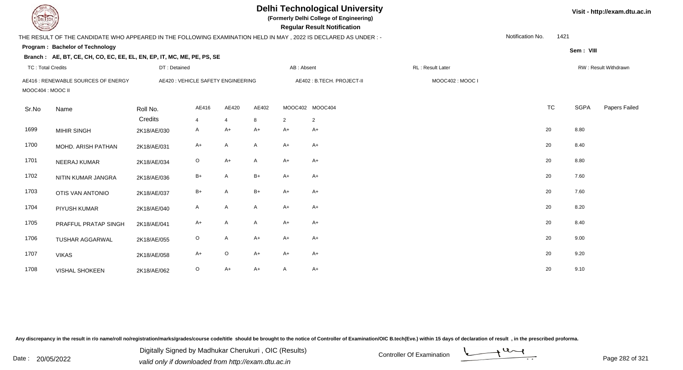| <b>DELTECH</b>           |                                                                                                                 |                                    |                |                |       |                | <b>Delhi Technological University</b><br>(Formerly Delhi College of Engineering)<br><b>Regular Result Notification</b> |                   |                  |           |             | Visit - http://exam.dtu.ac.in |
|--------------------------|-----------------------------------------------------------------------------------------------------------------|------------------------------------|----------------|----------------|-------|----------------|------------------------------------------------------------------------------------------------------------------------|-------------------|------------------|-----------|-------------|-------------------------------|
|                          | THE RESULT OF THE CANDIDATE WHO APPEARED IN THE FOLLOWING EXAMINATION HELD IN MAY, 2022 IS DECLARED AS UNDER :- |                                    |                |                |       |                |                                                                                                                        |                   | Notification No. | 1421      |             |                               |
|                          | Program: Bachelor of Technology                                                                                 |                                    |                |                |       |                |                                                                                                                        |                   |                  |           | Sem: VIII   |                               |
|                          | Branch: AE, BT, CE, CH, CO, EC, EE, EL, EN, EP, IT, MC, ME, PE, PS, SE                                          |                                    |                |                |       |                |                                                                                                                        |                   |                  |           |             |                               |
| <b>TC: Total Credits</b> |                                                                                                                 | DT: Detained                       |                |                |       | AB: Absent     |                                                                                                                        | RL : Result Later |                  |           |             | RW: Result Withdrawn          |
| MOOC404 : MOOC II        | AE416 : RENEWABLE SOURCES OF ENERGY                                                                             | AE420 : VEHICLE SAFETY ENGINEERING |                |                |       |                | AE402: B.TECH. PROJECT-II                                                                                              | MOOC402: MOOC I   |                  |           |             |                               |
| Sr.No                    | Name                                                                                                            | Roll No.                           | AE416          | AE420          | AE402 |                | MOOC402 MOOC404                                                                                                        |                   |                  | <b>TC</b> | <b>SGPA</b> | Papers Failed                 |
|                          |                                                                                                                 | Credits                            | $\overline{4}$ | $\overline{4}$ | 8     | $\overline{2}$ | $\overline{2}$                                                                                                         |                   |                  |           |             |                               |
| 1699                     | <b>MIHIR SINGH</b>                                                                                              | 2K18/AE/030                        | A              | $A+$           | $A+$  | $A+$           | A+                                                                                                                     |                   |                  | 20        | 8.80        |                               |
| 1700                     | MOHD. ARISH PATHAN                                                                                              | 2K18/AE/031                        | A+             | $\mathsf{A}$   | A     | $A+$           | A+                                                                                                                     |                   |                  | 20        | 8.40        |                               |
| 1701                     | NEERAJ KUMAR                                                                                                    | 2K18/AE/034                        | $\circ$        | $A+$           | A     | $A+$           | A+                                                                                                                     |                   |                  | 20        | 8.80        |                               |
| 1702                     | NITIN KUMAR JANGRA                                                                                              | 2K18/AE/036                        | $B+$           | $\mathsf{A}$   | $B+$  | $A+$           | A+                                                                                                                     |                   |                  | 20        | 7.60        |                               |
| 1703                     | <b>OTIS VAN ANTONIO</b>                                                                                         | 2K18/AE/037                        | $B+$           | $\mathsf{A}$   | $B+$  | $A+$           | A+                                                                                                                     |                   |                  | 20        | 7.60        |                               |
| 1704                     | PIYUSH KUMAR                                                                                                    | 2K18/AE/040                        | $\mathsf{A}$   | A              | A     | $A+$           | $A+$                                                                                                                   |                   |                  | 20        | 8.20        |                               |
| 1705                     | PRAFFUL PRATAP SINGH                                                                                            | 2K18/AE/041                        | $A+$           | $\mathsf{A}$   | A     | $A+$           | A+                                                                                                                     |                   |                  | 20        | 8.40        |                               |
| 1706                     | <b>TUSHAR AGGARWAL</b>                                                                                          | 2K18/AE/055                        | $\circ$        | $\mathsf{A}$   | $A+$  | $A+$           | A+                                                                                                                     |                   |                  | 20        | 9.00        |                               |
| 1707                     | <b>VIKAS</b>                                                                                                    | 2K18/AE/058                        | $A+$           | $\mathsf O$    | $A+$  | $A+$           | $A+$                                                                                                                   |                   |                  | 20        | 9.20        |                               |
| 1708                     | VISHAL SHOKEEN                                                                                                  | 2K18/AE/062                        | $\circ$        | $A+$           | $A+$  | A              | A+                                                                                                                     |                   |                  | 20        | 9.10        |                               |

Digitally Signed by Madhukar Cherukuri, OIC (Results)<br>Date : 20/05/2022 valid only if downloaded from http://oxam.dtu.ac.in Digitally Signed by Madhukar Cherukuri , OIC (Results)

valid only if downloaded from http://exam.dtu.ac.in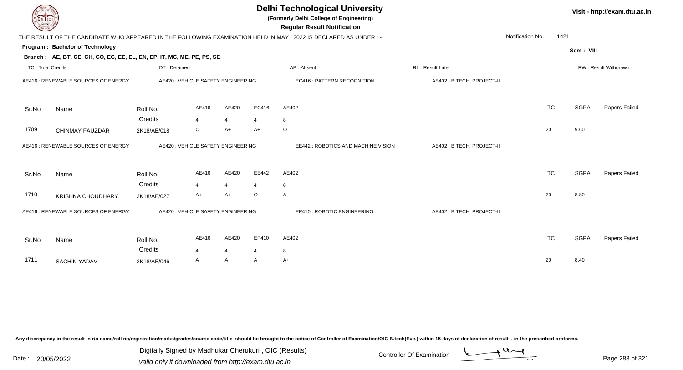| DEL TECH                            |                                                                        |                                    |                |                |         | <b>Delhi Technological University</b><br>(Formerly Delhi College of Engineering)<br><b>Regular Result Notification</b> |                           |                  |           |             | Visit - http://exam.dtu.ac.in |
|-------------------------------------|------------------------------------------------------------------------|------------------------------------|----------------|----------------|---------|------------------------------------------------------------------------------------------------------------------------|---------------------------|------------------|-----------|-------------|-------------------------------|
|                                     |                                                                        |                                    |                |                |         | THE RESULT OF THE CANDIDATE WHO APPEARED IN THE FOLLOWING EXAMINATION HELD IN MAY, 2022 IS DECLARED AS UNDER:-         |                           | Notification No. | 1421      |             |                               |
|                                     | Program: Bachelor of Technology                                        |                                    |                |                |         |                                                                                                                        |                           |                  |           | Sem: VIII   |                               |
|                                     | Branch: AE, BT, CE, CH, CO, EC, EE, EL, EN, EP, IT, MC, ME, PE, PS, SE |                                    |                |                |         |                                                                                                                        |                           |                  |           |             |                               |
| <b>TC: Total Credits</b>            |                                                                        | DT: Detained                       |                |                |         | AB: Absent                                                                                                             | <b>RL: Result Later</b>   |                  |           |             | RW: Result Withdrawn          |
|                                     | AE416 : RENEWABLE SOURCES OF ENERGY                                    | AE420 : VEHICLE SAFETY ENGINEERING |                |                |         | <b>EC416: PATTERN RECOGNITION</b>                                                                                      | AE402: B.TECH. PROJECT-II |                  |           |             |                               |
| Sr.No                               | Name                                                                   | Roll No.                           | AE416          | AE420          | EC416   | AE402                                                                                                                  |                           |                  | <b>TC</b> | <b>SGPA</b> | Papers Failed                 |
|                                     |                                                                        | Credits                            | $\overline{4}$ | $\overline{4}$ | 4       | 8                                                                                                                      |                           |                  |           |             |                               |
| 1709                                | CHINMAY FAUZDAR                                                        | 2K18/AE/018                        | $\circ$        | $A+$           | $A+$    | $\circ$                                                                                                                |                           | 20               |           | 9.60        |                               |
| AE416 : RENEWABLE SOURCES OF ENERGY |                                                                        | AE420 : VEHICLE SAFETY ENGINEERING |                |                |         | EE442 : ROBOTICS AND MACHINE VISION                                                                                    | AE402: B.TECH. PROJECT-II |                  |           |             |                               |
| Sr.No                               | Name                                                                   | Roll No.<br>Credits                | AE416          | AE420          | EE442   | AE402                                                                                                                  |                           |                  | <b>TC</b> | <b>SGPA</b> | Papers Failed                 |
|                                     |                                                                        |                                    | $\overline{4}$ | 4              | 4       | 8                                                                                                                      |                           |                  |           |             |                               |
| 1710                                | <b>KRISHNA CHOUDHARY</b>                                               | 2K18/AE/027                        | $A+$           | $A+$           | $\circ$ | $\overline{A}$                                                                                                         |                           | 20               |           | 8.80        |                               |
|                                     | AE416 : RENEWABLE SOURCES OF ENERGY                                    | AE420 : VEHICLE SAFETY ENGINEERING |                |                |         | EP410 : ROBOTIC ENGINEERING                                                                                            | AE402: B.TECH. PROJECT-II |                  |           |             |                               |
| Sr.No                               | Name                                                                   | Roll No.                           | AE416          | AE420          | EP410   | AE402                                                                                                                  |                           |                  | <b>TC</b> | <b>SGPA</b> | <b>Papers Failed</b>          |
|                                     |                                                                        | Credits                            | $\overline{4}$ | $\overline{4}$ | 4       | 8                                                                                                                      |                           |                  |           |             |                               |
| 1711                                | <b>SACHIN YADAV</b>                                                    | 2K18/AE/046                        | A              | A              | A       | $A+$                                                                                                                   |                           | 20               |           | 8.40        |                               |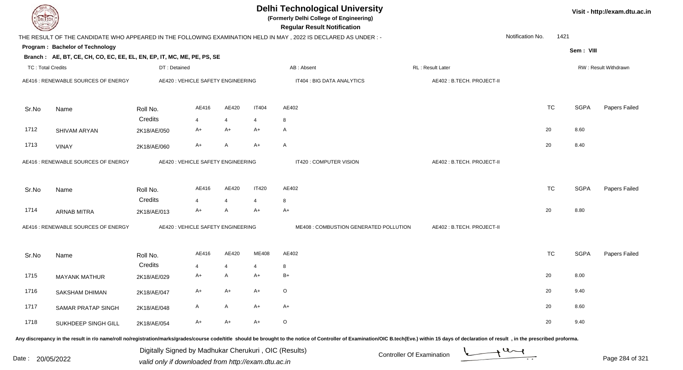| DEL TECH                 |                                                                        |                                                       |                                    |                |                | <b>Delhi Technological University</b><br>(Formerly Delhi College of Engineering)<br><b>Regular Result Notification</b>                                                                                                         |                           |                               |           |             | Visit - http://exam.dtu.ac.in |
|--------------------------|------------------------------------------------------------------------|-------------------------------------------------------|------------------------------------|----------------|----------------|--------------------------------------------------------------------------------------------------------------------------------------------------------------------------------------------------------------------------------|---------------------------|-------------------------------|-----------|-------------|-------------------------------|
|                          |                                                                        |                                                       |                                    |                |                | THE RESULT OF THE CANDIDATE WHO APPEARED IN THE FOLLOWING EXAMINATION HELD IN MAY, 2022 IS DECLARED AS UNDER :-                                                                                                                |                           | Notification No.              | 1421      |             |                               |
|                          | Program: Bachelor of Technology                                        |                                                       |                                    |                |                |                                                                                                                                                                                                                                |                           |                               |           | Sem: VIII   |                               |
|                          | Branch: AE, BT, CE, CH, CO, EC, EE, EL, EN, EP, IT, MC, ME, PE, PS, SE |                                                       |                                    |                |                |                                                                                                                                                                                                                                |                           |                               |           |             |                               |
| <b>TC: Total Credits</b> |                                                                        | DT: Detained                                          |                                    |                |                | AB: Absent                                                                                                                                                                                                                     | RL: Result Later          |                               |           |             | RW: Result Withdrawn          |
|                          | AE416 : RENEWABLE SOURCES OF ENERGY                                    |                                                       | AE420 : VEHICLE SAFETY ENGINEERING |                |                | IT404 : BIG DATA ANALYTICS                                                                                                                                                                                                     | AE402: B.TECH. PROJECT-II |                               |           |             |                               |
| Sr.No                    | Name                                                                   | Roll No.                                              | AE416                              | AE420          | <b>IT404</b>   | AE402                                                                                                                                                                                                                          |                           |                               | <b>TC</b> | <b>SGPA</b> | Papers Failed                 |
|                          |                                                                        | Credits                                               | $\overline{4}$                     | $\overline{4}$ | $\overline{4}$ | 8                                                                                                                                                                                                                              |                           |                               |           |             |                               |
| 1712                     | SHIVAM ARYAN                                                           | 2K18/AE/050                                           | $A+$                               | $A+$           | $A+$           | A                                                                                                                                                                                                                              |                           | 20                            |           | 8.60        |                               |
| 1713                     | <b>VINAY</b>                                                           | 2K18/AE/060                                           | $A+$                               | A              | $A+$           | A                                                                                                                                                                                                                              |                           | 20                            |           | 8.40        |                               |
|                          | AE416 : RENEWABLE SOURCES OF ENERGY                                    |                                                       | AE420 : VEHICLE SAFETY ENGINEERING |                |                | IT420 : COMPUTER VISION                                                                                                                                                                                                        | AE402: B.TECH. PROJECT-II |                               |           |             |                               |
| Sr.No                    | Name                                                                   | Roll No.                                              | AE416                              | AE420          | <b>IT420</b>   | AE402                                                                                                                                                                                                                          |                           |                               | <b>TC</b> | <b>SGPA</b> | Papers Failed                 |
|                          |                                                                        | Credits                                               | $\overline{4}$                     | $\overline{4}$ | $\overline{4}$ | 8                                                                                                                                                                                                                              |                           |                               |           |             |                               |
| 1714                     | <b>ARNAB MITRA</b>                                                     | 2K18/AE/013                                           | $A+$                               | A              | A+             | A+                                                                                                                                                                                                                             |                           | 20                            |           | 8.80        |                               |
|                          | AE416 : RENEWABLE SOURCES OF ENERGY                                    |                                                       | AE420 : VEHICLE SAFETY ENGINEERING |                |                | ME408 : COMBUSTION GENERATED POLLUTION                                                                                                                                                                                         | AE402: B.TECH. PROJECT-II |                               |           |             |                               |
| Sr.No                    | Name                                                                   | Roll No.                                              | AE416                              | AE420          | ME408          | AE402                                                                                                                                                                                                                          |                           |                               | <b>TC</b> | <b>SGPA</b> | Papers Failed                 |
|                          |                                                                        | Credits                                               | $\overline{4}$                     | 4              | 4              | 8                                                                                                                                                                                                                              |                           |                               |           |             |                               |
| 1715                     | <b>MAYANK MATHUR</b>                                                   | 2K18/AE/029                                           | A+                                 | A              | $A+$           | B+                                                                                                                                                                                                                             |                           | 20                            |           | 8.00        |                               |
| 1716                     | SAKSHAM DHIMAN                                                         | 2K18/AE/047                                           | A+                                 | A+             | A+             | O                                                                                                                                                                                                                              |                           | 20                            |           | 9.40        |                               |
| 1717                     | SAMAR PRATAP SINGH                                                     | 2K18/AE/048                                           | A                                  | Α              | A+             | $A+$                                                                                                                                                                                                                           |                           | 20                            |           | 8.60        |                               |
| 1718                     | SUKHDEEP SINGH GILL                                                    | 2K18/AE/054                                           | A+                                 | $A+$           | $A+$           | $\mathsf O$                                                                                                                                                                                                                    |                           | 20                            |           | 9.40        |                               |
|                          |                                                                        |                                                       |                                    |                |                | Any discrepancy in the result in r/o name/roll no/registration/marks/grades/course code/title should be brought to the notice of Controller of Examination/OIC B.tech(Eve.) within 15 days of declaration of result , in the p |                           |                               |           |             |                               |
|                          |                                                                        | Digitally Signed by Madhukar Cherukuri, OIC (Results) |                                    |                |                |                                                                                                                                                                                                                                | Controller Of Evemination | $\rightarrow$ 4 $\rightarrow$ |           |             |                               |

Date : 20/05/2022 Digital Digital of Microsofted Chemical Controller Of Examination Determination Page 284 of 32

Page 284 of 321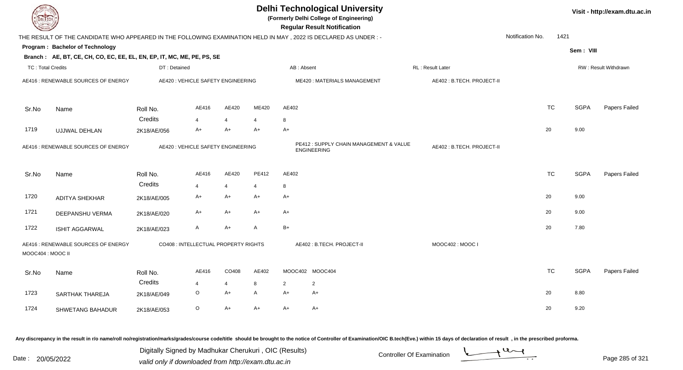| DEL TECH                 |                                                                                                                |                                      |                |                |                |                | <b>Delhi Technological University</b><br>(Formerly Delhi College of Engineering)<br><b>Regular Result Notification</b> |                           |                  |           |             | Visit - http://exam.dtu.ac.in |
|--------------------------|----------------------------------------------------------------------------------------------------------------|--------------------------------------|----------------|----------------|----------------|----------------|------------------------------------------------------------------------------------------------------------------------|---------------------------|------------------|-----------|-------------|-------------------------------|
|                          | THE RESULT OF THE CANDIDATE WHO APPEARED IN THE FOLLOWING EXAMINATION HELD IN MAY, 2022 IS DECLARED AS UNDER:- |                                      |                |                |                |                |                                                                                                                        |                           | Notification No. | 1421      |             |                               |
|                          | Program: Bachelor of Technology                                                                                |                                      |                |                |                |                |                                                                                                                        |                           |                  |           | Sem: VIII   |                               |
|                          | Branch: AE, BT, CE, CH, CO, EC, EE, EL, EN, EP, IT, MC, ME, PE, PS, SE                                         |                                      |                |                |                |                |                                                                                                                        |                           |                  |           |             |                               |
| <b>TC: Total Credits</b> |                                                                                                                | DT: Detained                         |                |                |                |                | AB: Absent                                                                                                             | RL: Result Later          |                  |           |             | RW: Result Withdrawn          |
|                          | AE416 : RENEWABLE SOURCES OF ENERGY                                                                            | AE420 : VEHICLE SAFETY ENGINEERING   |                |                |                |                | ME420: MATERIALS MANAGEMENT                                                                                            | AE402: B.TECH. PROJECT-II |                  |           |             |                               |
| Sr.No                    | Name                                                                                                           | Roll No.                             | AE416          | AE420          | ME420          | AE402          |                                                                                                                        |                           | <b>TC</b>        |           | <b>SGPA</b> | Papers Failed                 |
|                          |                                                                                                                | Credits                              | $\overline{4}$ | 4              | 4              | 8              |                                                                                                                        |                           |                  |           |             |                               |
| 1719                     | UJJWAL DEHLAN                                                                                                  | 2K18/AE/056                          | $A+$           | $A+$           | $A+$           | $A+$           |                                                                                                                        |                           | 20               |           | 9.00        |                               |
|                          | AE416 : RENEWABLE SOURCES OF ENERGY                                                                            | AE420 : VEHICLE SAFETY ENGINEERING   |                |                |                |                | PE412: SUPPLY CHAIN MANAGEMENT & VALUE<br><b>ENGINEERING</b>                                                           | AE402: B.TECH. PROJECT-II |                  |           |             |                               |
| Sr.No                    | Name                                                                                                           | Roll No.                             | AE416          | AE420          | PE412          | AE402          |                                                                                                                        |                           |                  | <b>TC</b> | <b>SGPA</b> | Papers Failed                 |
|                          |                                                                                                                | Credits                              | $\overline{4}$ | $\overline{4}$ | $\overline{4}$ | 8              |                                                                                                                        |                           |                  |           |             |                               |
| 1720                     | <b>ADITYA SHEKHAR</b>                                                                                          | 2K18/AE/005                          | $A+$           | $A+$           | A+             | A+             |                                                                                                                        |                           | 20               |           | 9.00        |                               |
| 1721                     | DEEPANSHU VERMA                                                                                                | 2K18/AE/020                          | $A+$           | $A+$           | $A+$           | $A+$           |                                                                                                                        |                           | 20               |           | 9.00        |                               |
| 1722                     | <b>ISHIT AGGARWAL</b>                                                                                          | 2K18/AE/023                          | $\mathsf{A}$   | A+             | A              | $B+$           |                                                                                                                        |                           | 20               |           | 7.80        |                               |
| MOOC404 : MOOC II        | AE416 : RENEWABLE SOURCES OF ENERGY                                                                            | CO408 : INTELLECTUAL PROPERTY RIGHTS |                |                |                |                | AE402: B.TECH. PROJECT-II                                                                                              | MOOC402: MOOC I           |                  |           |             |                               |
| Sr.No                    | Name                                                                                                           | Roll No.                             | AE416          | CO408          | AE402          |                | MOOC402 MOOC404                                                                                                        |                           | <b>TC</b>        |           | <b>SGPA</b> | Papers Failed                 |
|                          |                                                                                                                | Credits                              | $\overline{4}$ | $\overline{4}$ | 8              | $\overline{2}$ | $\overline{2}$                                                                                                         |                           |                  |           |             |                               |
| 1723                     | SARTHAK THAREJA                                                                                                | 2K18/AE/049                          | $\circ$        | $A+$           | A              | $A+$           | $A+$                                                                                                                   |                           | 20               |           | 8.80        |                               |
| 1724                     | SHWETANG BAHADUR                                                                                               | 2K18/AE/053                          | $\circ$        | A+             | A+             | A+             | A+                                                                                                                     |                           | 20               |           | 9.20        |                               |

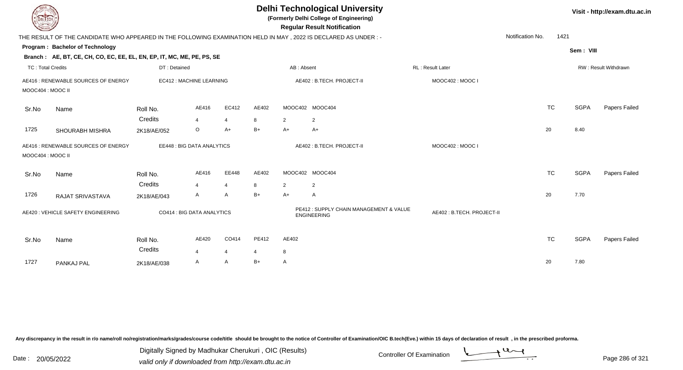| <b>DELTECH</b>                                           |                                                                                                                |                                  |                |                                                               | <b>Delhi Technological University</b><br>(Formerly Delhi College of Engineering)<br><b>Regular Result Notification</b> |       |                           |  |                  |                             | Visit - http://exam.dtu.ac.in |  |  |
|----------------------------------------------------------|----------------------------------------------------------------------------------------------------------------|----------------------------------|----------------|---------------------------------------------------------------|------------------------------------------------------------------------------------------------------------------------|-------|---------------------------|--|------------------|-----------------------------|-------------------------------|--|--|
|                                                          | THE RESULT OF THE CANDIDATE WHO APPEARED IN THE FOLLOWING EXAMINATION HELD IN MAY, 2022 IS DECLARED AS UNDER:- |                                  |                |                                                               |                                                                                                                        |       |                           |  | Notification No. | 1421                        |                               |  |  |
|                                                          | Program: Bachelor of Technology                                                                                |                                  |                |                                                               |                                                                                                                        |       |                           |  |                  | Sem: VIII                   |                               |  |  |
|                                                          | Branch: AE, BT, CE, CH, CO, EC, EE, EL, EN, EP, IT, MC, ME, PE, PS, SE                                         |                                  |                |                                                               |                                                                                                                        |       |                           |  |                  |                             |                               |  |  |
| TC: Total Credits                                        |                                                                                                                | DT: Detained                     |                |                                                               | AB: Absent<br><b>RL</b> : Result Later                                                                                 |       |                           |  |                  | <b>RW: Result Withdrawn</b> |                               |  |  |
| AE416 : RENEWABLE SOURCES OF ENERGY<br>MOOC404 : MOOC II |                                                                                                                | EC412 : MACHINE LEARNING         |                | AE402: B.TECH. PROJECT-II<br>MOOC402: MOOC I                  |                                                                                                                        |       |                           |  |                  |                             |                               |  |  |
| Sr.No                                                    | Name                                                                                                           | Roll No.                         | AE416          | EC412                                                         | AE402                                                                                                                  |       | MOOC402 MOOC404           |  | <b>TC</b>        | <b>SGPA</b>                 | Papers Failed                 |  |  |
|                                                          |                                                                                                                | Credits                          | $\overline{4}$ | $\overline{4}$                                                | 8                                                                                                                      | 2     | $\overline{2}$            |  |                  |                             |                               |  |  |
| 1725                                                     | SHOURABH MISHRA                                                                                                | 2K18/AE/052                      | O              | $A+$                                                          | $B+$                                                                                                                   | $A+$  | $A+$                      |  | 20               | 8.40                        |                               |  |  |
| AE416 : RENEWABLE SOURCES OF ENERGY<br>MOOC404 : MOOC II |                                                                                                                | <b>EE448: BIG DATA ANALYTICS</b> |                | AE402: B.TECH. PROJECT-II                                     |                                                                                                                        |       | MOOC402: MOOC I           |  |                  |                             |                               |  |  |
| Sr.No                                                    | Name                                                                                                           | Roll No.                         | AE416          | EE448                                                         | AE402                                                                                                                  |       | MOOC402 MOOC404           |  | <b>TC</b>        | <b>SGPA</b>                 | Papers Failed                 |  |  |
|                                                          |                                                                                                                | Credits                          | $\overline{4}$ | $\overline{4}$                                                | 8                                                                                                                      | 2     | 2                         |  |                  |                             |                               |  |  |
| 1726                                                     | RAJAT SRIVASTAVA                                                                                               | 2K18/AE/043                      | A              | A                                                             | $B+$                                                                                                                   | $A+$  | A                         |  | 20               | 7.70                        |                               |  |  |
| AE420 : VEHICLE SAFETY ENGINEERING                       |                                                                                                                | CO414 : BIG DATA ANALYTICS       |                | PE412 : SUPPLY CHAIN MANAGEMENT & VALUE<br><b>ENGINEERING</b> |                                                                                                                        |       | AE402: B.TECH. PROJECT-II |  |                  |                             |                               |  |  |
| Sr.No                                                    | Name                                                                                                           | Roll No.<br>Credits              | AE420          | CO414                                                         | PE412                                                                                                                  | AE402 |                           |  | <b>TC</b>        | <b>SGPA</b>                 | Papers Failed                 |  |  |
|                                                          |                                                                                                                |                                  | 4              | $\overline{4}$                                                | 4                                                                                                                      | 8     |                           |  |                  |                             |                               |  |  |
| 1727                                                     | PANKAJ PAL                                                                                                     | 2K18/AE/038                      | A              | A                                                             | $B+$                                                                                                                   | A     |                           |  | 20               | 7.80                        |                               |  |  |

Digitally Signed by Madhukar Cherukuri, OIC (Results)<br>Date : 20/05/2022 valid only if downloaded from http://oxam.dtu.ac.in Digitally Signed by Madhukar Cherukuri , OIC (Results)

valid only if downloaded from http://exam.dtu.ac.in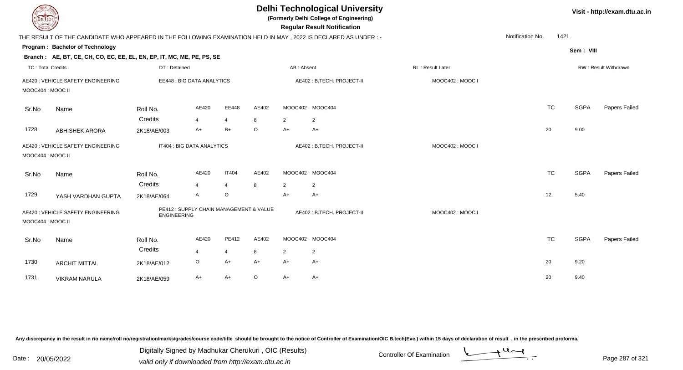| <b>DELTECH</b>                                         |                                                                                                                |                                                               |                |                |                                              |                | <b>Delhi Technological University</b><br>(Formerly Delhi College of Engineering)<br><b>Regular Result Notification</b> |                  |                      | Visit - http://exam.dtu.ac.in |             |               |
|--------------------------------------------------------|----------------------------------------------------------------------------------------------------------------|---------------------------------------------------------------|----------------|----------------|----------------------------------------------|----------------|------------------------------------------------------------------------------------------------------------------------|------------------|----------------------|-------------------------------|-------------|---------------|
|                                                        | THE RESULT OF THE CANDIDATE WHO APPEARED IN THE FOLLOWING EXAMINATION HELD IN MAY, 2022 IS DECLARED AS UNDER:- |                                                               |                |                |                                              |                |                                                                                                                        |                  | Notification No.     | 1421                          |             |               |
|                                                        | Program: Bachelor of Technology                                                                                |                                                               |                |                |                                              |                |                                                                                                                        |                  |                      |                               | Sem: VIII   |               |
|                                                        | Branch: AE, BT, CE, CH, CO, EC, EE, EL, EN, EP, IT, MC, ME, PE, PS, SE                                         |                                                               |                |                |                                              |                |                                                                                                                        |                  |                      |                               |             |               |
| <b>TC: Total Credits</b>                               |                                                                                                                | DT: Detained                                                  |                |                | AB: Absent                                   |                |                                                                                                                        | RL: Result Later | RW: Result Withdrawn |                               |             |               |
| AE420 : VEHICLE SAFETY ENGINEERING                     |                                                                                                                | EE448 : BIG DATA ANALYTICS                                    |                |                | AE402: B.TECH. PROJECT-II<br>MOOC402: MOOC I |                |                                                                                                                        |                  |                      |                               |             |               |
| MOOC404 : MOOC II                                      |                                                                                                                |                                                               |                |                |                                              |                |                                                                                                                        |                  |                      |                               |             |               |
| Sr.No                                                  | Name                                                                                                           | Roll No.                                                      | AE420          | EE448          | AE402                                        |                | MOOC402 MOOC404                                                                                                        |                  |                      | <b>TC</b>                     | <b>SGPA</b> | Papers Failed |
|                                                        |                                                                                                                | Credits                                                       | 4              | $\overline{4}$ | 8                                            | 2              | 2                                                                                                                      |                  |                      |                               |             |               |
| 1728                                                   | <b>ABHISHEK ARORA</b>                                                                                          | 2K18/AE/003                                                   | A+             | $B+$           | O                                            | A+             | $A+$                                                                                                                   |                  |                      | 20                            | 9.00        |               |
| AE420 : VEHICLE SAFETY ENGINEERING                     |                                                                                                                | IT404 : BIG DATA ANALYTICS                                    |                |                | AE402: B.TECH. PROJECT-II                    |                |                                                                                                                        | MOOC402: MOOC I  |                      |                               |             |               |
| MOOC404 : MOOC II                                      |                                                                                                                |                                                               |                |                |                                              |                |                                                                                                                        |                  |                      |                               |             |               |
| Sr.No                                                  | Name                                                                                                           | Roll No.                                                      | AE420          | <b>IT404</b>   | AE402                                        |                | MOOC402 MOOC404                                                                                                        |                  |                      | <b>TC</b>                     | <b>SGPA</b> | Papers Failed |
|                                                        |                                                                                                                | Credits                                                       | $\Delta$       | $\overline{4}$ | 8                                            | 2              | $\overline{2}$                                                                                                         |                  |                      |                               |             |               |
| 1729                                                   | YASH VARDHAN GUPTA                                                                                             | 2K18/AE/064                                                   | A              | O              |                                              | A+             | $A+$                                                                                                                   |                  |                      | 12                            | 5.40        |               |
| AE420 : VEHICLE SAFETY ENGINEERING<br>MOOC404: MOOC II |                                                                                                                | PE412 : SUPPLY CHAIN MANAGEMENT & VALUE<br><b>ENGINEERING</b> |                |                | AE402: B.TECH. PROJECT-II                    |                | MOOC402: MOOC I                                                                                                        |                  |                      |                               |             |               |
| Sr.No                                                  | Name                                                                                                           | Roll No.                                                      | AE420          | PE412          | AE402                                        |                | MOOC402 MOOC404                                                                                                        |                  |                      | <b>TC</b>                     | <b>SGPA</b> | Papers Failed |
|                                                        |                                                                                                                | Credits                                                       | $\overline{4}$ | $\overline{4}$ | 8                                            | $\overline{2}$ | $\overline{2}$                                                                                                         |                  |                      |                               |             |               |
| 1730                                                   | <b>ARCHIT MITTAL</b>                                                                                           | 2K18/AE/012                                                   | $\circ$        | $A+$           | A+                                           | A+             | A+                                                                                                                     |                  |                      | 20                            | 9.20        |               |
| 1731                                                   | <b>VIKRAM NARULA</b>                                                                                           | 2K18/AE/059                                                   | A+             | $A+$           | $\circ$                                      | $A+$           | A+                                                                                                                     |                  |                      | 20                            | 9.40        |               |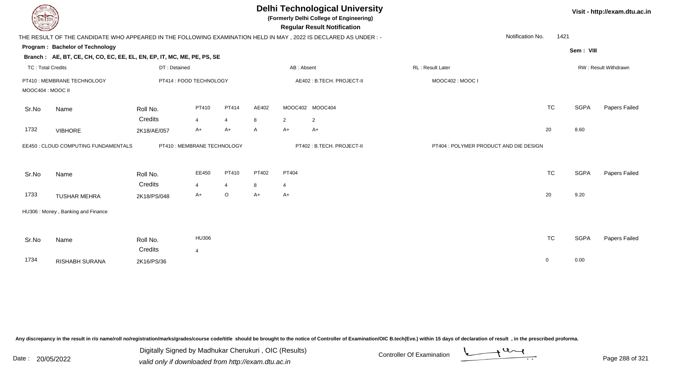| <b>DELTECH</b>                                   |                                                                                                                 |                         |                             |                |                           | <b>Delhi Technological University</b><br>(Formerly Delhi College of Engineering)<br><b>Regular Result Notification</b> | Visit - http://exam.dtu.ac.in |                                        |                          |             |               |
|--------------------------------------------------|-----------------------------------------------------------------------------------------------------------------|-------------------------|-----------------------------|----------------|---------------------------|------------------------------------------------------------------------------------------------------------------------|-------------------------------|----------------------------------------|--------------------------|-------------|---------------|
|                                                  | THE RESULT OF THE CANDIDATE WHO APPEARED IN THE FOLLOWING EXAMINATION HELD IN MAY, 2022 IS DECLARED AS UNDER :- |                         |                             |                |                           |                                                                                                                        |                               |                                        | Notification No.<br>1421 |             |               |
|                                                  | Program: Bachelor of Technology                                                                                 |                         |                             |                |                           |                                                                                                                        |                               |                                        |                          | Sem: VIII   |               |
|                                                  | Branch: AE, BT, CE, CH, CO, EC, EE, EL, EN, EP, IT, MC, ME, PE, PS, SE                                          |                         |                             |                |                           |                                                                                                                        |                               |                                        |                          |             |               |
| <b>TC: Total Credits</b>                         |                                                                                                                 | DT: Detained            |                             |                | AB: Absent                |                                                                                                                        |                               | RL: Result Later                       | RW: Result Withdrawn     |             |               |
| PT410 : MEMBRANE TECHNOLOGY<br>MOOC404 : MOOC II |                                                                                                                 | PT414 : FOOD TECHNOLOGY |                             |                | AE402: B.TECH. PROJECT-II |                                                                                                                        | MOOC402: MOOC I               |                                        |                          |             |               |
| Sr.No                                            | Name                                                                                                            | Roll No.                | PT410                       | PT414          | AE402                     |                                                                                                                        | MOOC402 MOOC404               |                                        | <b>TC</b>                | <b>SGPA</b> | Papers Failed |
|                                                  |                                                                                                                 | Credits                 | 4                           | $\overline{4}$ | 8                         | $\overline{2}$                                                                                                         | $\overline{2}$                |                                        |                          |             |               |
| 1732                                             | <b>VIBHORE</b>                                                                                                  | 2K18/AE/057             | A+                          | $A+$           | $\mathsf{A}$              | $A+$                                                                                                                   | $A+$                          |                                        | 20                       | 8.60        |               |
|                                                  | EE450 : CLOUD COMPUTING FUNDAMENTALS                                                                            |                         | PT410 : MEMBRANE TECHNOLOGY |                |                           |                                                                                                                        | PT402: B.TECH. PROJECT-II     | PT404 : POLYMER PRODUCT AND DIE DESIGN |                          |             |               |
| Sr.No                                            | Name                                                                                                            | Roll No.                | EE450                       | PT410          | PT402                     | PT404                                                                                                                  |                               |                                        | <b>TC</b>                | <b>SGPA</b> | Papers Failed |
|                                                  |                                                                                                                 | Credits                 | $\overline{4}$              | 4              | 8                         | $\overline{4}$                                                                                                         |                               |                                        |                          |             |               |
| 1733                                             | <b>TUSHAR MEHRA</b>                                                                                             | 2K18/PS/048             | A+                          | $\mathsf O$    | $A+$                      | $A+$                                                                                                                   |                               |                                        | 20                       | 9.20        |               |
|                                                  | HU306: Money, Banking and Finance                                                                               |                         |                             |                |                           |                                                                                                                        |                               |                                        |                          |             |               |
| Sr.No                                            | Name                                                                                                            | Roll No.                | HU306                       |                |                           |                                                                                                                        |                               |                                        | <b>TC</b>                | <b>SGPA</b> | Papers Failed |
|                                                  |                                                                                                                 | Credits                 | $\overline{4}$              |                |                           |                                                                                                                        |                               |                                        |                          |             |               |
| 1734                                             | RISHABH SURANA                                                                                                  | 2K16/PS/36              |                             |                |                           |                                                                                                                        |                               |                                        | $\mathbf 0$              | 0.00        |               |

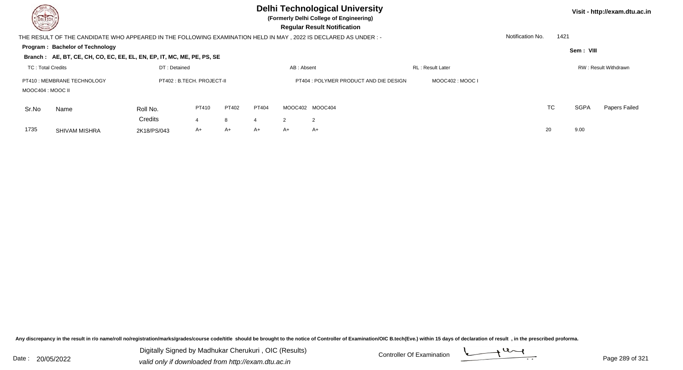**(Formerly Delhi College of Engineering)**

**Visit - http://exam.dtu.ac.in**

 **Regular Result Notification**

|                   | THE RESULT OF THE CANDIDATE WHO APPEARED IN THE FOLLOWING EXAMINATION HELD IN MAY, 2022 IS DECLARED AS UNDER: - |                            |       |       |       |            |                                        |                          | Notification No. | 1421 |             |                       |
|-------------------|-----------------------------------------------------------------------------------------------------------------|----------------------------|-------|-------|-------|------------|----------------------------------------|--------------------------|------------------|------|-------------|-----------------------|
|                   | Program: Bachelor of Technology                                                                                 |                            |       |       |       |            |                                        |                          |                  |      | Sem: VIII   |                       |
|                   | Branch: AE, BT, CE, CH, CO, EC, EE, EL, EN, EP, IT, MC, ME, PE, PS, SE                                          |                            |       |       |       |            |                                        |                          |                  |      |             |                       |
| TC: Total Credits |                                                                                                                 | DT: Detained               |       |       |       | AB: Absent |                                        | <b>RL</b> : Result Later |                  |      |             | RW : Result Withdrawn |
| MOOC404 : MOOC II | PT410 : MEMBRANE TECHNOLOGY                                                                                     | PT402 : B.TECH. PROJECT-II |       |       |       |            | PT404 : POLYMER PRODUCT AND DIE DESIGN | MOOC402 : MOOC I         |                  |      |             |                       |
| Sr.No             | Name                                                                                                            | Roll No.                   | PT410 | PT402 | PT404 |            | MOOC402 MOOC404                        |                          |                  | TC   | <b>SGPA</b> | Papers Failed         |
|                   |                                                                                                                 | Credits                    |       | 8     | 4     |            | $\overline{2}$                         |                          |                  |      |             |                       |
| 1735              | <b>SHIVAM MISHRA</b>                                                                                            | 2K18/PS/043                | A+    | A+    | $A+$  | A+         | A+                                     |                          | 20               |      | 9.00        |                       |
|                   |                                                                                                                 |                            |       |       |       |            |                                        |                          |                  |      |             |                       |

Any discrepancy in the result in r/o name/roll no/registration/marks/grades/course code/title should be brought to the notice of Controller of Examination/OIC B.tech(Eve.) within 15 days of declaration of result, in the pr

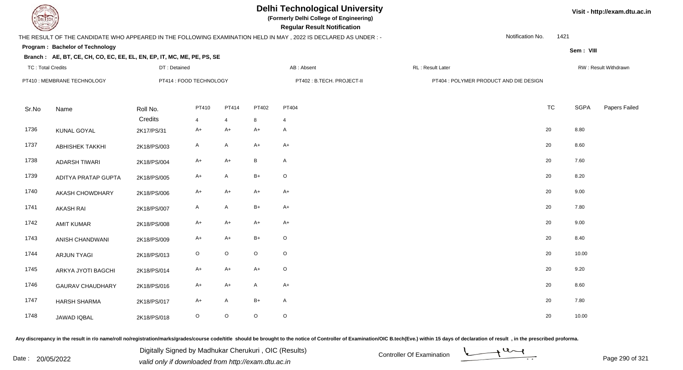

# **Delhi Technological University**

**(Formerly Delhi College of Engineering)**

 **Regular Result Notification**

## THE RESULT OF THE CANDIDATE WHO APPEARED IN THE FOLLOWING EXAMINATION HELD IN MAY , 2022 IS DECLARED AS UNDER : -

DT : Detained

Notification No.1421

**Sem : VIII**

**Visit - http://exam.dtu.ac.in**

#### **Program : Bachelor of Technology**

#### **Branch : AE, BT, CE, CH, CO, EC, EE, EL, EN, EP, IT, MC, ME, PE, PS, SE**

|                         |                                                  |                |                |                         |                            |                                  |                                        | RW: Result Withdrawn |
|-------------------------|--------------------------------------------------|----------------|----------------|-------------------------|----------------------------|----------------------------------|----------------------------------------|----------------------|
|                         |                                                  |                |                |                         | PT402 : B.TECH. PROJECT-II |                                  |                                        |                      |
| Name                    | Roll No.                                         | PT410          | PT414          | PT402                   | PT404                      | <b>TC</b>                        | <b>SGPA</b>                            | Papers Failed        |
|                         | Credits                                          | $\overline{4}$ | $\overline{4}$ | 8                       | $\overline{4}$             |                                  |                                        |                      |
| KUNAL GOYAL             | 2K17/PS/31                                       | $A+$           | $A+$           | $A+$                    | A                          | 20                               | 8.80                                   |                      |
| <b>ABHISHEK TAKKHI</b>  | 2K18/PS/003                                      | $\mathsf{A}$   | A              | $A+$                    | $A+$                       | 20                               | 8.60                                   |                      |
| <b>ADARSH TIWARI</b>    | 2K18/PS/004                                      | A+             | $A+$           | $\, {\sf B}$            | A                          | 20                               | 7.60                                   |                      |
| ADITYA PRATAP GUPTA     | 2K18/PS/005                                      | $A+$           | A              | $B+$                    | $\circ$                    | 20                               | 8.20                                   |                      |
| AKASH CHOWDHARY         | 2K18/PS/006                                      | $A+$           | $A+$           | $A+$                    | $A+$                       | 20                               | 9.00                                   |                      |
| <b>AKASH RAI</b>        | 2K18/PS/007                                      | A              | A              | $B+$                    | $A+$                       | 20                               | 7.80                                   |                      |
| <b>AMIT KUMAR</b>       | 2K18/PS/008                                      | A+             | A+             | $A+$                    | $A+$                       | 20                               | 9.00                                   |                      |
| ANISH CHANDWANI         | 2K18/PS/009                                      | $A+$           | $A+$           | $B+$                    | $\circ$                    | 20                               | 8.40                                   |                      |
| <b>ARJUN TYAGI</b>      | 2K18/PS/013                                      | $\mathsf O$    | $\circ$        | $\mathsf O$             | $\circ$                    | 20                               | 10.00                                  |                      |
| ARKYA JYOTI BAGCHI      | 2K18/PS/014                                      | A+             | A+             | $A+$                    | $\circ$                    | 20                               | 9.20                                   |                      |
| <b>GAURAV CHAUDHARY</b> | 2K18/PS/016                                      | $A+$           | A+             | A                       | $A+$                       | 20                               | 8.60                                   |                      |
| <b>HARSH SHARMA</b>     | 2K18/PS/017                                      | A+             | A              | $B+$                    | A                          | 20                               | 7.80                                   |                      |
| JAWAD IQBAL             | 2K18/PS/018                                      | $\circ$        | $\circ$        | $\mathsf O$             | $\circ$                    | 20                               | 10.00                                  |                      |
|                         | TC: Total Credits<br>PT410 : MEMBRANE TECHNOLOGY |                | DT : Detained  | PT414 : FOOD TECHNOLOGY |                            | AB : Absent<br>RL : Result Later | PT404 : POLYMER PRODUCT AND DIE DESIGN |                      |

Any discrepancy in the result in r/o name/roll no/registration/marks/grades/course code/title should be brought to the notice of Controller of Examination/OIC B.tech(Eve.) within 15 days of declaration of result, in the pr

Date : 20/05/2022 Digital Digital of Microsofted Chemical Controller Of Examination Determination Page 290 of 32 Digitally Signed by Madhukar Cherukuri , OIC (Results)

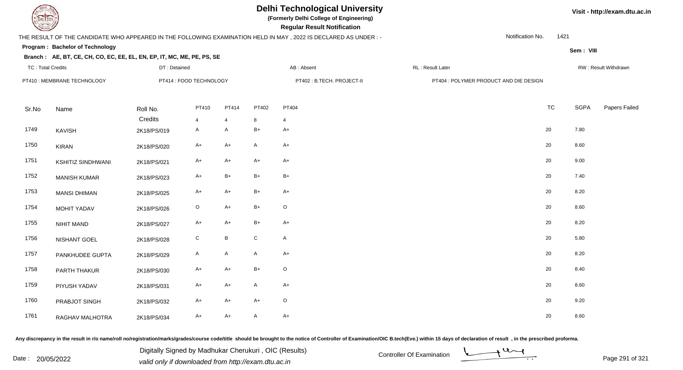

# **Delhi Technological University**

**(Formerly Delhi College of Engineering)**

 **Regular Result Notification**

## THE RESULT OF THE CANDIDATE WHO APPEARED IN THE FOLLOWING EXAMINATION HELD IN MAY , 2022 IS DECLARED AS UNDER : -

DT : Detained

Notification No.1421

**Sem : VIII**

#### **Program : Bachelor of Technology**

#### **Branch : AE, BT, CE, CH, CO, EC, EE, EL, EN, EP, IT, MC, ME, PE, PS, SE**

| TC: Total Credits |                             | DT : Detained |                         |                 |               | AB : Absent                | RL : Result Later |                                        |             | RW : Result Withdrawn |
|-------------------|-----------------------------|---------------|-------------------------|-----------------|---------------|----------------------------|-------------------|----------------------------------------|-------------|-----------------------|
|                   | PT410 : MEMBRANE TECHNOLOGY |               | PT414 : FOOD TECHNOLOGY |                 |               | PT402 : B.TECH. PROJECT-II |                   | PT404 : POLYMER PRODUCT AND DIE DESIGN |             |                       |
| Sr.No             | Name                        | Roll No.      | PT410                   | PT414           | PT402         | PT404                      |                   | <b>TC</b>                              | <b>SGPA</b> | Papers Failed         |
|                   |                             | Credits       | $\overline{4}$          | $\overline{4}$  | 8             | 4                          |                   |                                        |             |                       |
| 1749              | KAVISH                      | 2K18/PS/019   | A                       | A               | $\mathsf{B}+$ | $A+$                       |                   | 20                                     | 7.80        |                       |
| 1750              | <b>KIRAN</b>                | 2K18/PS/020   | A+                      | A+              | $\mathsf{A}$  | $A+$                       |                   | 20                                     | 8.60        |                       |
| 1751              | <b>KSHITIZ SINDHWANI</b>    | 2K18/PS/021   | A+                      | A+              | $A+$          | $A+$                       |                   | 20                                     | 9.00        |                       |
| 1752              | <b>MANISH KUMAR</b>         | 2K18/PS/023   | $A+$                    | $B+$            | $B+$          | $B+$                       |                   | 20                                     | 7.40        |                       |
| 1753              | <b>MANSI DHIMAN</b>         | 2K18/PS/025   | $A+$                    | $A+$            | $B+$          | $A+$                       |                   | 20                                     | 8.20        |                       |
| 1754              | <b>MOHIT YADAV</b>          | 2K18/PS/026   | $\mathsf O$             | $A+$            | $B+$          | $\mathsf O$                |                   | 20                                     | 8.60        |                       |
| 1755              | NIHIT MAND                  | 2K18/PS/027   | A+                      | $A+$            | $B+$          | $A+$                       |                   | 20                                     | 8.20        |                       |
| 1756              | NISHANT GOEL                | 2K18/PS/028   | $\mathbf C$             | $\, {\bf B} \,$ | ${\bf C}$     | $\mathsf{A}$               |                   | 20                                     | 5.80        |                       |
| 1757              | PANKHUDEE GUPTA             | 2K18/PS/029   | $\mathsf{A}$            | A               | A             | $A+$                       |                   | 20                                     | 8.20        |                       |
| 1758              | PARTH THAKUR                | 2K18/PS/030   | A+                      | $A+$            | $B+$          | $\circ$                    |                   | 20                                     | 8.40        |                       |
| 1759              | PIYUSH YADAV                | 2K18/PS/031   | $A+$                    | A+              | A             | $A+$                       |                   | 20                                     | 8.60        |                       |
| 1760              | PRABJOT SINGH               | 2K18/PS/032   | A+                      | A+              | $A+$          | $\circ$                    |                   | 20                                     | 9.20        |                       |
| 1761              | RAGHAV MALHOTRA             | 2K18/PS/034   | $A+$                    | $A+$            | A             | $A+$                       |                   | 20                                     | 8.60        |                       |

Any discrepancy in the result in r/o name/roll no/registration/marks/grades/course code/title should be brought to the notice of Controller of Examination/OIC B.tech(Eve.) within 15 days of declaration of result, in the pr

Date : 20/05/2022 Digital Digital of Microsofted Chemical Controller Of Examination Determination Page 291 of 32 Digitally Signed by Madhukar Cherukuri , OIC (Results)



**Visit - http://exam.dtu.ac.in**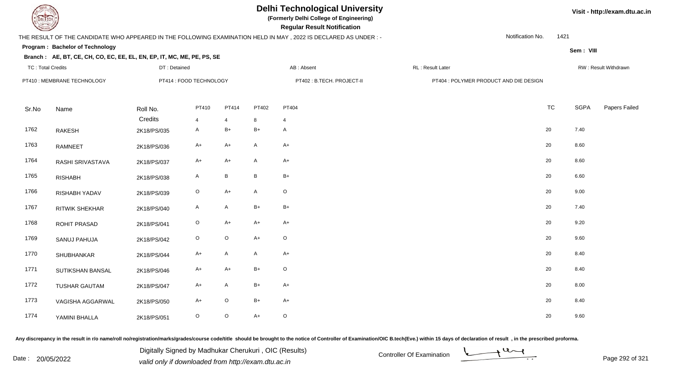

# **Delhi Technological University**

**(Formerly Delhi College of Engineering)**

 **Regular Result Notification**

## THE RESULT OF THE CANDIDATE WHO APPEARED IN THE FOLLOWING EXAMINATION HELD IN MAY , 2022 IS DECLARED AS UNDER : -

DT : Detained

Notification No.1421

**Sem : VIII**

#### **Program : Bachelor of Technology**

#### **Branch : AE, BT, CE, CH, CO, EC, EE, EL, EN, EP, IT, MC, ME, PE, PS, SE**

|                       |                                                  |                |               |                         | AB : Absent                | RL : Result Later |           |                                        | RW : Result Withdrawn |
|-----------------------|--------------------------------------------------|----------------|---------------|-------------------------|----------------------------|-------------------|-----------|----------------------------------------|-----------------------|
|                       |                                                  |                |               |                         | PT402 : B.TECH. PROJECT-II |                   |           |                                        |                       |
| Name                  | Roll No.                                         | PT410          | PT414         | PT402                   | PT404                      |                   | <b>TC</b> | <b>SGPA</b>                            | Papers Failed         |
|                       | Credits                                          | $\overline{4}$ | 4             | 8                       | 4                          |                   |           |                                        |                       |
| <b>RAKESH</b>         | 2K18/PS/035                                      | A              | $B+$          | $B+$                    | A                          |                   | 20        | 7.40                                   |                       |
| RAMNEET               | 2K18/PS/036                                      | A+             | A+            | $\mathsf{A}$            | $A+$                       |                   | 20        | 8.60                                   |                       |
| RASHI SRIVASTAVA      | 2K18/PS/037                                      | A+             | $A+$          | A                       | $A+$                       |                   | 20        | 8.60                                   |                       |
| <b>RISHABH</b>        | 2K18/PS/038                                      | A              | B             | $\, {\bf B}$            | $B+$                       |                   | 20        | 6.60                                   |                       |
| RISHABH YADAV         | 2K18/PS/039                                      | $\circ$        | $A+$          | A                       | $\circ$                    |                   | 20        | 9.00                                   |                       |
| <b>RITWIK SHEKHAR</b> | 2K18/PS/040                                      | A              | A             | $B+$                    | $B+$                       |                   | 20        | 7.40                                   |                       |
| ROHIT PRASAD          | 2K18/PS/041                                      | $\circ$        | A+            | $A+$                    | $A+$                       |                   | 20        | 9.20                                   |                       |
| SANUJ PAHUJA          | 2K18/PS/042                                      | $\circ$        | $\circ$       | $A+$                    | $\circ$                    |                   | 20        | 9.60                                   |                       |
| SHUBHANKAR            | 2K18/PS/044                                      | $A+$           | A             | A                       | $A+$                       |                   | 20        | 8.40                                   |                       |
| SUTIKSHAN BANSAL      | 2K18/PS/046                                      | A+             | $A+$          | $B+$                    | $\circ$                    |                   | 20        | 8.40                                   |                       |
| <b>TUSHAR GAUTAM</b>  | 2K18/PS/047                                      | A+             | A             | $B+$                    | $A+$                       |                   | 20        | 8.00                                   |                       |
| VAGISHA AGGARWAL      | 2K18/PS/050                                      | $A+$           | $\circ$       | $B+$                    | $A+$                       |                   | 20        | 8.40                                   |                       |
| YAMINI BHALLA         | 2K18/PS/051                                      | $\mathsf O$    | $\circ$       | $A+$                    | $\circ$                    |                   | 20        | 9.60                                   |                       |
|                       | TC: Total Credits<br>PT410 : MEMBRANE TECHNOLOGY |                | DT : Detained | PT414 : FOOD TECHNOLOGY |                            |                   |           | PT404 : POLYMER PRODUCT AND DIE DESIGN |                       |

Any discrepancy in the result in r/o name/roll no/registration/marks/grades/course code/title should be brought to the notice of Controller of Examination/OIC B.tech(Eve.) within 15 days of declaration of result, in the pr

Date : 20/05/2022 Digital Digital of Microsofted Chemical Controller Of Examination Determination Page 292 of 32<br>valid only if downloaded from http://exam.dtu.ac.in Digitally Signed by Madhukar Cherukuri , OIC (Results)



**Visit - http://exam.dtu.ac.in**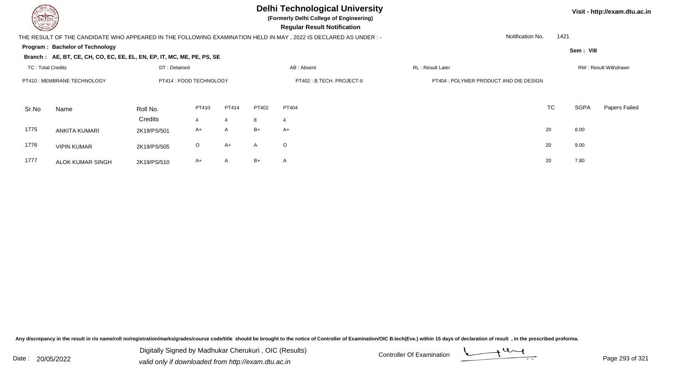

**(Formerly Delhi College of Engineering)**

 **Regular Result Notification**

## THE RESULT OF THE CANDIDATE WHO APPEARED IN THE FOLLOWING EXAMINATION HELD IN MAY , 2022 IS DECLARED AS UNDER : -

Notification No.1421

**Program : Bachelor of Technology**

**Sem : VIII**

**Visit - http://exam.dtu.ac.in**

## **Branch : AE, BT, CE, CH, CO, EC, EE, EL, EN, EP, IT, MC, ME, PE, PS, SE**

|       | <b>TC: Total Credits</b><br>DT: Detained |             |                         | AB: Absent   |              |                            | RL: Result Later |                                        |           | RW: Result Withdrawn |               |  |
|-------|------------------------------------------|-------------|-------------------------|--------------|--------------|----------------------------|------------------|----------------------------------------|-----------|----------------------|---------------|--|
|       | PT410 : MEMBRANE TECHNOLOGY              |             | PT414 : FOOD TECHNOLOGY |              |              | PT402 : B.TECH. PROJECT-II |                  | PT404 : POLYMER PRODUCT AND DIE DESIGN |           |                      |               |  |
| Sr.No | Name                                     | Roll No.    | PT410                   | PT414        | PT402        | PT404                      |                  |                                        | <b>TC</b> | <b>SGPA</b>          | Papers Failed |  |
|       |                                          | Credits     | 4                       | 4            | 8            | 4                          |                  |                                        |           |                      |               |  |
| 1775  | ANKITA KUMARI                            | 2K19/PS/501 | A+                      | $\mathsf{A}$ | $B+$         | A+                         |                  |                                        | 20        | 8.00                 |               |  |
| 1776  | <b>VIPIN KUMAR</b>                       | 2K19/PS/505 | $\circ$                 | A+           | $\mathsf{A}$ | $\circ$                    |                  |                                        | 20        | 9.00                 |               |  |
| 1777  | <b>ALOK KUMAR SINGH</b>                  | 2K19/PS/510 | A+                      | $\mathsf{A}$ | $B+$         | A                          |                  |                                        | 20        | 7.80                 |               |  |

Any discrepancy in the result in r/o name/roll no/registration/marks/grades/course code/title should be brought to the notice of Controller of Examination/OIC B.tech(Eve.) within 15 days of declaration of result, in the pr

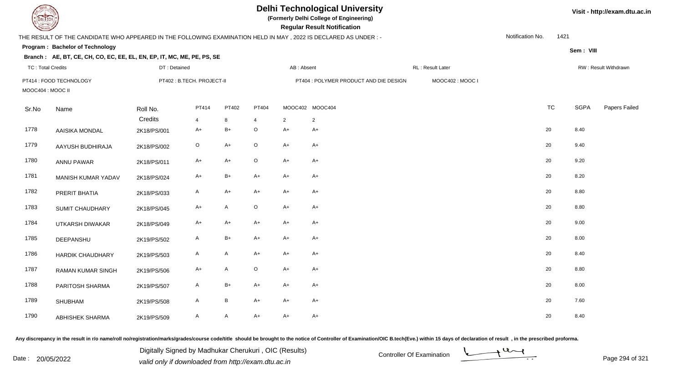| EL ECH                   |                                                                                                                  |              |                           |                 |                         |                | <b>Delhi Technological University</b><br>(Formerly Delhi College of Engineering)<br><b>Regular Result Notification</b> |                  |                  |      |             | Visit - http://exam.dtu.ac.in |
|--------------------------|------------------------------------------------------------------------------------------------------------------|--------------|---------------------------|-----------------|-------------------------|----------------|------------------------------------------------------------------------------------------------------------------------|------------------|------------------|------|-------------|-------------------------------|
|                          | THE RESULT OF THE CANDIDATE WHO APPEARED IN THE FOLLOWING EXAMINATION HELD IN MAY , 2022 IS DECLARED AS UNDER :- |              |                           |                 |                         |                |                                                                                                                        |                  | Notification No. | 1421 |             |                               |
|                          | Program: Bachelor of Technology                                                                                  |              |                           |                 |                         |                |                                                                                                                        |                  |                  |      | Sem: VIII   |                               |
|                          | Branch: AE, BT, CE, CH, CO, EC, EE, EL, EN, EP, IT, MC, ME, PE, PS, SE                                           |              |                           |                 |                         |                |                                                                                                                        |                  |                  |      |             |                               |
| <b>TC: Total Credits</b> |                                                                                                                  | DT: Detained |                           |                 |                         | AB: Absent     |                                                                                                                        | RL: Result Later |                  |      |             | RW: Result Withdrawn          |
| MOOC404 : MOOC II        | PT414 : FOOD TECHNOLOGY                                                                                          |              | PT402: B.TECH. PROJECT-II |                 |                         |                | PT404 : POLYMER PRODUCT AND DIE DESIGN                                                                                 | MOOC402: MOOC I  |                  |      |             |                               |
| Sr.No                    | Name                                                                                                             | Roll No.     | PT414                     | PT402           | PT404                   |                | MOOC402 MOOC404                                                                                                        |                  | <b>TC</b>        |      | <b>SGPA</b> | Papers Failed                 |
|                          |                                                                                                                  | Credits      | 4                         | 8               | $\overline{\mathbf{4}}$ | $\overline{2}$ | $\overline{2}$                                                                                                         |                  |                  |      |             |                               |
| 1778                     | AAISIKA MONDAL                                                                                                   | 2K18/PS/001  | A+                        | $B+$            | $\mathsf O$             | $A+$           | $A+$                                                                                                                   |                  | 20               |      | 8.40        |                               |
| 1779                     | AAYUSH BUDHIRAJA                                                                                                 | 2K18/PS/002  | $\circ$                   | $A+$            | $\circ$                 | $A+$           | $A+$                                                                                                                   |                  | 20               |      | 9.40        |                               |
| 1780                     | <b>ANNU PAWAR</b>                                                                                                | 2K18/PS/011  | A+                        | $A+$            | $\circ$                 | $A+$           | $A+$                                                                                                                   |                  | 20               |      | 9.20        |                               |
| 1781                     | MANISH KUMAR YADAV                                                                                               | 2K18/PS/024  | $A+$                      | $B+$            | $A+$                    | $A+$           | $A+$                                                                                                                   |                  | 20               |      | 8.20        |                               |
| 1782                     | PRERIT BHATIA                                                                                                    | 2K18/PS/033  | A                         | $A+$            | $A+$                    | $A+$           | $A+$                                                                                                                   |                  | 20               |      | 8.80        |                               |
| 1783                     | SUMIT CHAUDHARY                                                                                                  | 2K18/PS/045  | A+                        | $\mathsf{A}$    | $\circ$                 | $A+$           | $A+$                                                                                                                   |                  | 20               |      | 8.80        |                               |
| 1784                     | UTKARSH DIWAKAR                                                                                                  | 2K18/PS/049  | A+                        | $A+$            | A+                      | $A+$           | A+                                                                                                                     |                  | 20               |      | 9.00        |                               |
| 1785                     | DEEPANSHU                                                                                                        | 2K19/PS/502  | A                         | $\mathsf{B}+$   | $A+$                    | $A+$           | $A+$                                                                                                                   |                  | 20               |      | 8.00        |                               |
| 1786                     | <b>HARDIK CHAUDHARY</b>                                                                                          | 2K19/PS/503  | A                         | A               | $A+$                    | $A+$           | A+                                                                                                                     |                  | 20               |      | 8.40        |                               |
| 1787                     | <b>RAMAN KUMAR SINGH</b>                                                                                         | 2K19/PS/506  | A+                        | $\mathsf{A}$    | $\circ$                 | $A+$           | $A+$                                                                                                                   |                  | 20               |      | 8.80        |                               |
| 1788                     | PARITOSH SHARMA                                                                                                  | 2K19/PS/507  | A                         | $B+$            | $A+$                    | $A+$           | A+                                                                                                                     |                  | 20               |      | 8.00        |                               |
| 1789                     | <b>SHUBHAM</b>                                                                                                   | 2K19/PS/508  | A                         | $\, {\bf B} \,$ | $A+$                    | $A+$           | A+                                                                                                                     |                  | 20               |      | 7.60        |                               |
| 1790                     | <b>ABHISHEK SHARMA</b>                                                                                           | 2K19/PS/509  | A                         | A               | $A+$                    | $A+$           | $A+$                                                                                                                   |                  | 20               |      | 8.40        |                               |

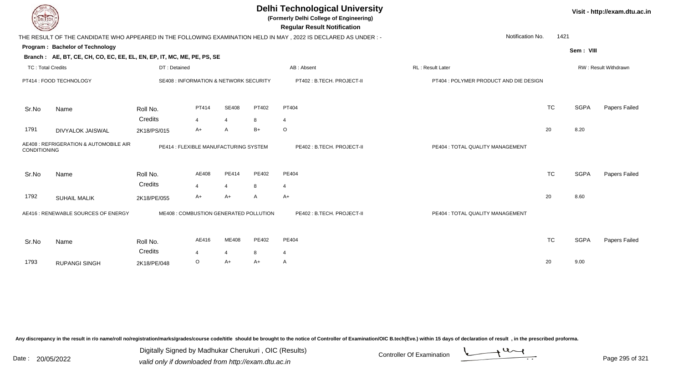| <b>DELTECH</b>           |                                                                        |                                        |                |                |       | <b>Delhi Technological University</b><br>(Formerly Delhi College of Engineering)<br><b>Regular Result Notification</b> |                                        |           |             | Visit - http://exam.dtu.ac.in |
|--------------------------|------------------------------------------------------------------------|----------------------------------------|----------------|----------------|-------|------------------------------------------------------------------------------------------------------------------------|----------------------------------------|-----------|-------------|-------------------------------|
|                          |                                                                        |                                        |                |                |       | THE RESULT OF THE CANDIDATE WHO APPEARED IN THE FOLLOWING EXAMINATION HELD IN MAY, 2022 IS DECLARED AS UNDER:-         | Notification No.                       | 1421      |             |                               |
|                          | Program: Bachelor of Technology                                        |                                        |                |                |       |                                                                                                                        |                                        |           | Sem: VIII   |                               |
|                          | Branch: AE, BT, CE, CH, CO, EC, EE, EL, EN, EP, IT, MC, ME, PE, PS, SE |                                        |                |                |       |                                                                                                                        |                                        |           |             |                               |
| <b>TC: Total Credits</b> |                                                                        | DT: Detained                           |                |                |       | AB: Absent                                                                                                             | RL: Result Later                       |           |             | RW: Result Withdrawn          |
|                          | PT414 : FOOD TECHNOLOGY                                                | SE408 : INFORMATION & NETWORK SECURITY |                |                |       | PT402: B.TECH. PROJECT-II                                                                                              | PT404 : POLYMER PRODUCT AND DIE DESIGN |           |             |                               |
| Sr.No                    | Name                                                                   | Roll No.                               | PT414          | <b>SE408</b>   | PT402 | PT404                                                                                                                  |                                        | <b>TC</b> | <b>SGPA</b> | Papers Failed                 |
|                          |                                                                        | Credits                                | $\overline{4}$ | $\overline{4}$ | 8     | 4                                                                                                                      |                                        |           |             |                               |
| 1791                     | <b>DIVYALOK JAISWAL</b>                                                | 2K18/PS/015                            | $A+$           | A              | $B+$  | $\circ$                                                                                                                |                                        | 20        | 8.20        |                               |
| CONDITIONING             | AE408 : REFRIGERATION & AUTOMOBILE AIR                                 | PE414 : FLEXIBLE MANUFACTURING SYSTEM  |                |                |       | PE402: B.TECH. PROJECT-II                                                                                              | PE404 : TOTAL QUALITY MANAGEMENT       |           |             |                               |
| Sr.No                    | Name                                                                   | Roll No.                               | AE408          | PE414          | PE402 | PE404                                                                                                                  |                                        | <b>TC</b> | <b>SGPA</b> | <b>Papers Failed</b>          |
|                          |                                                                        | Credits                                | $\overline{4}$ | $\overline{4}$ | 8     | 4                                                                                                                      |                                        |           |             |                               |
| 1792                     | <b>SUHAIL MALIK</b>                                                    | 2K18/PE/055                            | A+             | A+             | A     | $A+$                                                                                                                   |                                        | 20        | 8.60        |                               |
|                          | AE416 : RENEWABLE SOURCES OF ENERGY                                    | ME408 : COMBUSTION GENERATED POLLUTION |                |                |       | PE402: B.TECH. PROJECT-II                                                                                              | PE404 : TOTAL QUALITY MANAGEMENT       |           |             |                               |
| Sr.No                    | Name                                                                   | Roll No.                               | AE416          | ME408          | PE402 | PE404                                                                                                                  |                                        | <b>TC</b> | <b>SGPA</b> | Papers Failed                 |
|                          |                                                                        | Credits                                | Δ              | 4              | 8     | 4                                                                                                                      |                                        |           |             |                               |
| 1793                     | <b>RUPANGI SINGH</b>                                                   | 2K18/PE/048                            | O              | $A+$           | $A+$  | A                                                                                                                      |                                        | 20        | 9.00        |                               |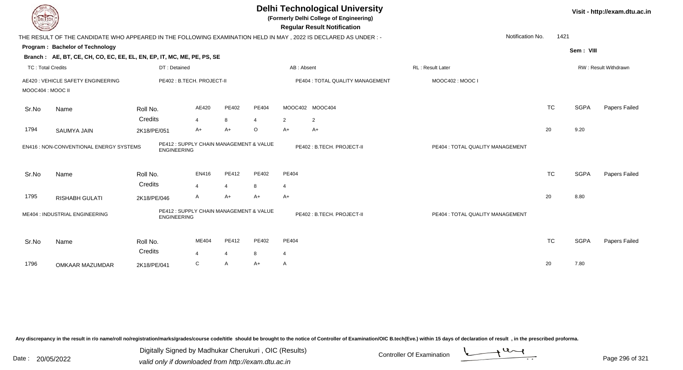| DEL TECH                 |                                                                                                           |                     |                                         |                         |            |                         | <b>Delhi Technological University</b><br>(Formerly Delhi College of Engineering)<br><b>Regular Result Notification</b> |                                  |           |             | Visit - http://exam.dtu.ac.in |
|--------------------------|-----------------------------------------------------------------------------------------------------------|---------------------|-----------------------------------------|-------------------------|------------|-------------------------|------------------------------------------------------------------------------------------------------------------------|----------------------------------|-----------|-------------|-------------------------------|
|                          |                                                                                                           |                     |                                         |                         |            |                         | THE RESULT OF THE CANDIDATE WHO APPEARED IN THE FOLLOWING EXAMINATION HELD IN MAY, 2022 IS DECLARED AS UNDER:-         | Notification No.                 | 1421      |             |                               |
|                          | Program: Bachelor of Technology<br>Branch: AE, BT, CE, CH, CO, EC, EE, EL, EN, EP, IT, MC, ME, PE, PS, SE |                     |                                         |                         |            |                         |                                                                                                                        |                                  |           | Sem: VIII   |                               |
| <b>TC: Total Credits</b> |                                                                                                           | DT: Detained        |                                         |                         |            | AB: Absent              |                                                                                                                        | <b>RL: Result Later</b>          |           |             | RW: Result Withdrawn          |
| MOOC404 : MOOC II        | AE420 : VEHICLE SAFETY ENGINEERING                                                                        |                     | PE402: B.TECH. PROJECT-II               |                         |            |                         | PE404 : TOTAL QUALITY MANAGEMENT                                                                                       | MOOC402: MOOC I                  |           |             |                               |
| Sr.No                    | Name                                                                                                      | Roll No.<br>Credits | AE420<br>$\overline{4}$                 | PE402<br>8              | PE404<br>4 | $\overline{2}$          | MOOC402 MOOC404<br>$\overline{\mathbf{c}}$                                                                             |                                  | <b>TC</b> | <b>SGPA</b> | Papers Failed                 |
| 1794                     | <b>SAUMYA JAIN</b>                                                                                        | 2K18/PE/051         | $A+$                                    | $A+$                    | $\circ$    | $A+$                    | $A+$                                                                                                                   |                                  | 20        | 9.20        |                               |
|                          | EN416 : NON-CONVENTIONAL ENERGY SYSTEMS                                                                   | <b>ENGINEERING</b>  | PE412 : SUPPLY CHAIN MANAGEMENT & VALUE |                         |            |                         | PE402: B.TECH. PROJECT-II                                                                                              | PE404 : TOTAL QUALITY MANAGEMENT |           |             |                               |
| Sr.No                    | Name                                                                                                      | Roll No.<br>Credits | EN416<br>$\overline{4}$                 | PE412<br>$\overline{4}$ | PE402<br>8 | PE404<br>$\overline{4}$ |                                                                                                                        |                                  | <b>TC</b> | <b>SGPA</b> | Papers Failed                 |
| 1795                     | <b>RISHABH GULATI</b>                                                                                     | 2K18/PE/046         | $\mathsf{A}$                            | $A+$                    | $A+$       | $A+$                    |                                                                                                                        |                                  | 20        | 8.80        |                               |
|                          | ME404 : INDUSTRIAL ENGINEERING                                                                            | <b>ENGINEERING</b>  | PE412 : SUPPLY CHAIN MANAGEMENT & VALUE |                         |            |                         | PE402: B.TECH. PROJECT-II                                                                                              | PE404 : TOTAL QUALITY MANAGEMENT |           |             |                               |
| Sr.No                    | Name                                                                                                      | Roll No.<br>Credits | ME404<br>$\overline{4}$                 | PE412<br>4              | PE402<br>8 | PE404<br>$\overline{4}$ |                                                                                                                        |                                  | <b>TC</b> | <b>SGPA</b> | Papers Failed                 |
| 1796                     | OMKAAR MAZUMDAR                                                                                           | 2K18/PE/041         | $\mathsf{C}$                            | A                       | $A+$       | A                       |                                                                                                                        |                                  | 20        | 7.80        |                               |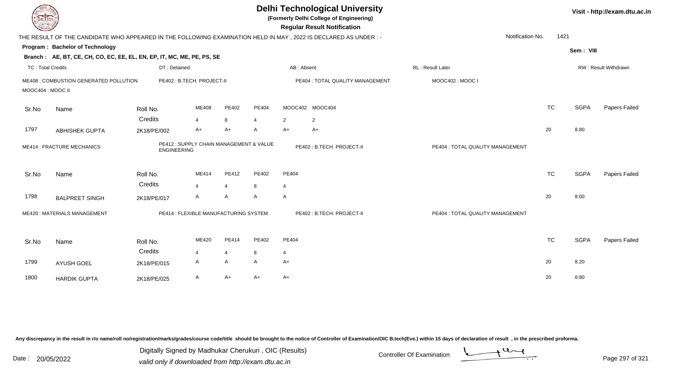| DEL TECH                 |                                                                                                                |                    |                                         |                |                |                | <b>Delhi Technological University</b><br>(Formerly Delhi College of Engineering)<br><b>Regular Result Notification</b> |                                  |           |             | Visit - http://exam.dtu.ac.in |
|--------------------------|----------------------------------------------------------------------------------------------------------------|--------------------|-----------------------------------------|----------------|----------------|----------------|------------------------------------------------------------------------------------------------------------------------|----------------------------------|-----------|-------------|-------------------------------|
|                          | THE RESULT OF THE CANDIDATE WHO APPEARED IN THE FOLLOWING EXAMINATION HELD IN MAY, 2022 IS DECLARED AS UNDER:- |                    |                                         |                |                |                |                                                                                                                        | Notification No.                 | 1421      |             |                               |
|                          | Program: Bachelor of Technology                                                                                |                    |                                         |                |                |                |                                                                                                                        |                                  |           | Sem: VIII   |                               |
|                          | Branch: AE, BT, CE, CH, CO, EC, EE, EL, EN, EP, IT, MC, ME, PE, PS, SE                                         |                    |                                         |                |                |                |                                                                                                                        |                                  |           |             |                               |
| <b>TC: Total Credits</b> |                                                                                                                | DT: Detained       |                                         |                |                |                | AB: Absent                                                                                                             | RL: Result Later                 |           |             | RW: Result Withdrawn          |
|                          | ME408 : COMBUSTION GENERATED POLLUTION                                                                         |                    | PE402: B.TECH. PROJECT-II               |                |                |                | PE404 : TOTAL QUALITY MANAGEMENT                                                                                       | MOOC402: MOOC I                  |           |             |                               |
| MOOC404 : MOOC II        |                                                                                                                |                    |                                         |                |                |                |                                                                                                                        |                                  |           |             |                               |
| Sr.No                    | Name                                                                                                           | Roll No.           | ME408                                   | PE402          | PE404          |                | MOOC402 MOOC404                                                                                                        |                                  | <b>TC</b> | <b>SGPA</b> | Papers Failed                 |
|                          |                                                                                                                | Credits            | 4                                       | 8              | $\overline{4}$ | $\overline{2}$ | $\overline{c}$                                                                                                         |                                  |           |             |                               |
| 1797                     | <b>ABHISHEK GUPTA</b>                                                                                          | 2K18/PE/002        | A+                                      | A+             | A              | $A+$           | $A+$                                                                                                                   |                                  | 20        | 8.80        |                               |
|                          | <b>ME414: FRACTURE MECHANICS</b>                                                                               | <b>ENGINEERING</b> | PE412 : SUPPLY CHAIN MANAGEMENT & VALUE |                |                |                | PE402: B.TECH. PROJECT-II                                                                                              | PE404 : TOTAL QUALITY MANAGEMENT |           |             |                               |
| Sr.No                    | Name                                                                                                           | Roll No.           | ME414                                   | PE412          | PE402          | PE404          |                                                                                                                        |                                  | <b>TC</b> | <b>SGPA</b> | Papers Failed                 |
|                          |                                                                                                                | Credits            | $\overline{4}$                          | $\overline{4}$ | 8              | $\overline{4}$ |                                                                                                                        |                                  |           |             |                               |
| 1798                     | <b>BALPREET SINGH</b>                                                                                          | 2K18/PE/017        | A                                       | A              | A              | A              |                                                                                                                        |                                  | 20        | 8.00        |                               |
|                          | ME420: MATERIALS MANAGEMENT                                                                                    |                    | PE414 : FLEXIBLE MANUFACTURING SYSTEM   |                |                |                | PE402: B.TECH. PROJECT-II                                                                                              | PE404 : TOTAL QUALITY MANAGEMENT |           |             |                               |
| Sr.No                    | Name                                                                                                           | Roll No.           | ME420                                   | PE414          | PE402          | PE404          |                                                                                                                        |                                  | <b>TC</b> | <b>SGPA</b> | Papers Failed                 |
|                          |                                                                                                                | Credits            | $\overline{4}$                          | $\overline{4}$ | 8              | $\overline{4}$ |                                                                                                                        |                                  |           |             |                               |
| 1799                     | <b>AYUSH GOEL</b>                                                                                              | 2K18/PE/015        | A                                       | A              | A              | A+             |                                                                                                                        |                                  | 20        | 8.20        |                               |
| 1800                     | <b>HARDIK GUPTA</b>                                                                                            | 2K18/PE/025        | A                                       | $A+$           | $A+$           | A+             |                                                                                                                        |                                  | 20        | 8.80        |                               |
|                          |                                                                                                                |                    |                                         |                |                |                |                                                                                                                        |                                  |           |             |                               |

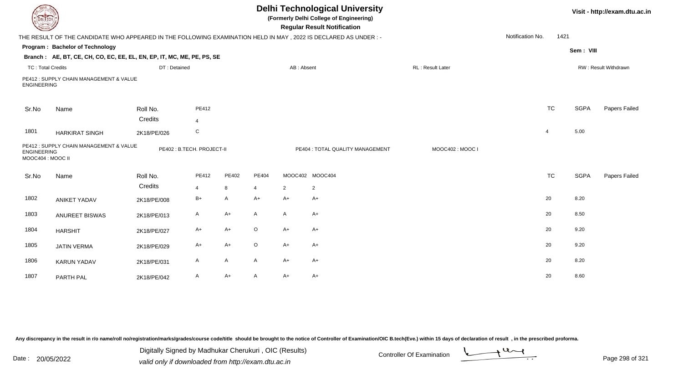| EL ECH                                  |                                                                                                                 |              |                           |              |         |                | <b>Delhi Technological University</b><br>(Formerly Delhi College of Engineering)<br><b>Regular Result Notification</b> |                   |                  |           |             | Visit - http://exam.dtu.ac.in |
|-----------------------------------------|-----------------------------------------------------------------------------------------------------------------|--------------|---------------------------|--------------|---------|----------------|------------------------------------------------------------------------------------------------------------------------|-------------------|------------------|-----------|-------------|-------------------------------|
|                                         | THE RESULT OF THE CANDIDATE WHO APPEARED IN THE FOLLOWING EXAMINATION HELD IN MAY, 2022 IS DECLARED AS UNDER :- |              |                           |              |         |                |                                                                                                                        |                   | Notification No. | 1421      |             |                               |
|                                         | Program: Bachelor of Technology                                                                                 |              |                           |              |         |                |                                                                                                                        |                   |                  |           | Sem: VIII   |                               |
|                                         | Branch: AE, BT, CE, CH, CO, EC, EE, EL, EN, EP, IT, MC, ME, PE, PS, SE                                          |              |                           |              |         |                |                                                                                                                        |                   |                  |           |             |                               |
| <b>TC: Total Credits</b>                |                                                                                                                 | DT: Detained |                           |              |         | AB: Absent     |                                                                                                                        | RL : Result Later |                  |           |             | RW: Result Withdrawn          |
| <b>ENGINEERING</b>                      | PE412 : SUPPLY CHAIN MANAGEMENT & VALUE                                                                         |              |                           |              |         |                |                                                                                                                        |                   |                  |           |             |                               |
| Sr.No                                   | Name                                                                                                            | Roll No.     | PE412                     |              |         |                |                                                                                                                        |                   |                  | <b>TC</b> | <b>SGPA</b> | Papers Failed                 |
|                                         |                                                                                                                 | Credits      | 4                         |              |         |                |                                                                                                                        |                   |                  |           |             |                               |
| 1801                                    | <b>HARKIRAT SINGH</b>                                                                                           | 2K18/PE/026  | C                         |              |         |                |                                                                                                                        |                   |                  | 4         | 5.00        |                               |
| <b>ENGINEERING</b><br>MOOC404 : MOOC II | PE412 : SUPPLY CHAIN MANAGEMENT & VALUE                                                                         |              | PE402: B.TECH. PROJECT-II |              |         |                | PE404 : TOTAL QUALITY MANAGEMENT                                                                                       | MOOC402: MOOC I   |                  |           |             |                               |
| Sr.No                                   | Name                                                                                                            | Roll No.     | PE412                     | PE402        | PE404   |                | MOOC402 MOOC404                                                                                                        |                   |                  | <b>TC</b> | <b>SGPA</b> | Papers Failed                 |
|                                         |                                                                                                                 | Credits      | 4                         | 8            | 4       | $\overline{2}$ | $\overline{2}$                                                                                                         |                   |                  |           |             |                               |
| 1802                                    | <b>ANIKET YADAV</b>                                                                                             | 2K18/PE/008  | $B+$                      | $\mathsf{A}$ | $A+$    | $A+$           | A+                                                                                                                     |                   |                  | 20        | 8.20        |                               |
| 1803                                    | <b>ANUREET BISWAS</b>                                                                                           | 2K18/PE/013  | $\mathsf{A}$              | $A+$         | A       | A              | $A+$                                                                                                                   |                   |                  | 20        | 8.50        |                               |
| 1804                                    | <b>HARSHIT</b>                                                                                                  | 2K18/PE/027  | A+                        | $A+$         | $\circ$ | $A+$           | A+                                                                                                                     |                   |                  | 20        | 9.20        |                               |
| 1805                                    | <b>JATIN VERMA</b>                                                                                              | 2K18/PE/029  | $A+$                      | $A+$         | $\circ$ | $A+$           | $A+$                                                                                                                   |                   |                  | 20        | 9.20        |                               |
| 1806                                    | <b>KARUN YADAV</b>                                                                                              | 2K18/PE/031  | A                         | $\mathsf{A}$ | A       | $A+$           | A+                                                                                                                     |                   |                  | 20        | 8.20        |                               |
| 1807                                    | PARTH PAL                                                                                                       | 2K18/PE/042  | A                         | $A+$         | A       | $A+$           | A+                                                                                                                     |                   |                  | 20        | 8.60        |                               |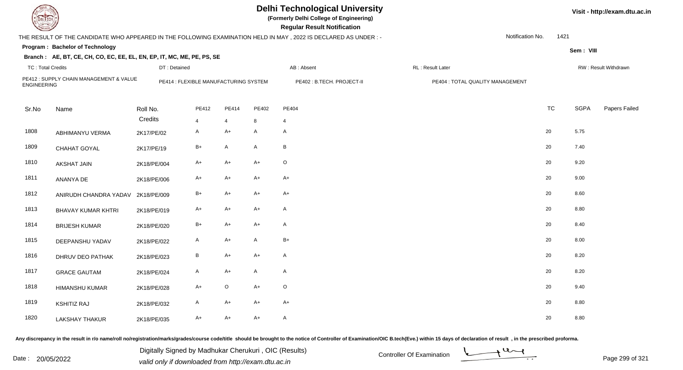| EL TECH                  |                                                                        |                                       |       |                |              | <b>Delhi Technological University</b><br>(Formerly Delhi College of Engineering)<br><b>Regular Result Notification</b> |                                  |                  |           |           | Visit - http://exam.dtu.ac.in |
|--------------------------|------------------------------------------------------------------------|---------------------------------------|-------|----------------|--------------|------------------------------------------------------------------------------------------------------------------------|----------------------------------|------------------|-----------|-----------|-------------------------------|
|                          |                                                                        |                                       |       |                |              | THE RESULT OF THE CANDIDATE WHO APPEARED IN THE FOLLOWING EXAMINATION HELD IN MAY , 2022 IS DECLARED AS UNDER :-       |                                  | Notification No. | 1421      |           |                               |
|                          | Program: Bachelor of Technology                                        |                                       |       |                |              |                                                                                                                        |                                  |                  |           | Sem: VIII |                               |
|                          | Branch: AE, BT, CE, CH, CO, EC, EE, EL, EN, EP, IT, MC, ME, PE, PS, SE |                                       |       |                |              |                                                                                                                        |                                  |                  |           |           |                               |
| <b>TC: Total Credits</b> |                                                                        | DT: Detained                          |       |                |              | AB: Absent                                                                                                             | RL: Result Later                 |                  |           |           | RW: Result Withdrawn          |
| <b>ENGINEERING</b>       | PE412 : SUPPLY CHAIN MANAGEMENT & VALUE                                | PE414 : FLEXIBLE MANUFACTURING SYSTEM |       |                |              | PE402: B.TECH. PROJECT-II                                                                                              | PE404 : TOTAL QUALITY MANAGEMENT |                  |           |           |                               |
| Sr.No                    | Name                                                                   | Roll No.                              | PE412 | PE414          | PE402        | PE404                                                                                                                  |                                  |                  | <b>TC</b> | SGPA      | Papers Failed                 |
|                          |                                                                        | Credits                               | 4     | $\overline{4}$ | 8            | $\overline{4}$                                                                                                         |                                  |                  |           |           |                               |
| 1808                     | ABHIMANYU VERMA                                                        | 2K17/PE/02                            | A     | $A+$           | A            | $\mathsf{A}$                                                                                                           |                                  | 20               |           | 5.75      |                               |
| 1809                     | CHAHAT GOYAL                                                           | 2K17/PE/19                            | B+    | $\mathsf{A}$   | $\mathsf{A}$ | B                                                                                                                      |                                  | 20               |           | 7.40      |                               |
| 1810                     | <b>AKSHAT JAIN</b>                                                     | 2K18/PE/004                           | $A+$  | $A+$           | $A+$         | $\circ$                                                                                                                |                                  | 20               |           | 9.20      |                               |
| 1811                     | ANANYA DE                                                              | 2K18/PE/006                           | A+    | $A+$           | $A+$         | $A+$                                                                                                                   |                                  | 20               |           | 9.00      |                               |
| 1812                     | ANIRUDH CHANDRA YADAV                                                  | 2K18/PE/009                           | B+    | $A+$           | A+           | $A+$                                                                                                                   |                                  | 20               |           | 8.60      |                               |
| 1813                     | <b>BHAVAY KUMAR KHTRI</b>                                              | 2K18/PE/019                           | A+    | $A+$           | $A+$         | $\mathsf{A}$                                                                                                           |                                  | 20               |           | 8.80      |                               |
| 1814                     | <b>BRIJESH KUMAR</b>                                                   | 2K18/PE/020                           | $B+$  | $A+$           | A+           | $\mathsf{A}$                                                                                                           |                                  | 20               |           | 8.40      |                               |
| 1815                     | DEEPANSHU YADAV                                                        | 2K18/PE/022                           | A     | $A+$           | $\mathsf{A}$ | $B+$                                                                                                                   |                                  | 20               |           | 8.00      |                               |
| 1816                     | DHRUV DEO PATHAK                                                       | 2K18/PE/023                           | B     | $A+$           | $A+$         | $\mathsf{A}$                                                                                                           |                                  | 20               |           | 8.20      |                               |
| 1817                     | <b>GRACE GAUTAM</b>                                                    | 2K18/PE/024                           | A     | $A+$           | $\mathsf{A}$ | $\mathsf{A}$                                                                                                           |                                  | 20               |           | 8.20      |                               |
| 1818                     | <b>HIMANSHU KUMAR</b>                                                  | 2K18/PE/028                           | $A+$  | $\mathsf O$    | $A+$         | $\mathsf O$                                                                                                            |                                  | 20               |           | 9.40      |                               |
| 1819                     | <b>KSHITIZ RAJ</b>                                                     | 2K18/PE/032                           | A     | $A+$           | $A+$         | $A+$                                                                                                                   |                                  | 20               |           | 8.80      |                               |
| 1820                     | <b>LAKSHAY THAKUR</b>                                                  | 2K18/PE/035                           | $A+$  | $A+$           | $A+$         | $\mathsf{A}$                                                                                                           |                                  | 20               |           | 8.80      |                               |

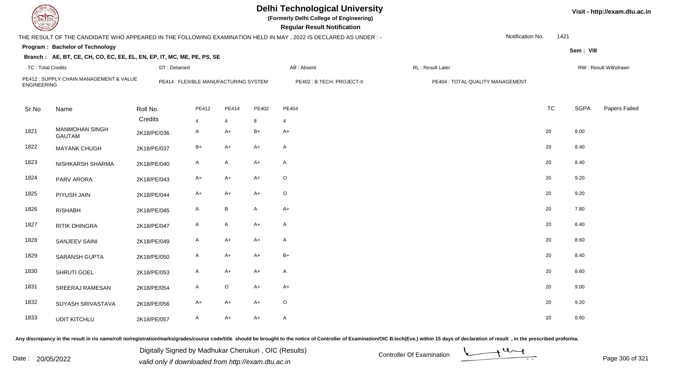| DEL TECH                 |                                                                        |              |                                       |                           |              | <b>Delhi Technological University</b><br>(Formerly Delhi College of Engineering)<br><b>Regular Result Notification</b> |                                  |                  |      |             | Visit - http://exam.dtu.ac.in |
|--------------------------|------------------------------------------------------------------------|--------------|---------------------------------------|---------------------------|--------------|------------------------------------------------------------------------------------------------------------------------|----------------------------------|------------------|------|-------------|-------------------------------|
|                          |                                                                        |              |                                       |                           |              | THE RESULT OF THE CANDIDATE WHO APPEARED IN THE FOLLOWING EXAMINATION HELD IN MAY, 2022 IS DECLARED AS UNDER :-        |                                  | Notification No. | 1421 |             |                               |
|                          | Program: Bachelor of Technology                                        |              |                                       |                           |              |                                                                                                                        |                                  |                  |      | Sem: VIII   |                               |
|                          | Branch: AE, BT, CE, CH, CO, EC, EE, EL, EN, EP, IT, MC, ME, PE, PS, SE |              |                                       |                           |              |                                                                                                                        |                                  |                  |      |             |                               |
| <b>TC: Total Credits</b> |                                                                        | DT: Detained |                                       |                           |              | AB: Absent                                                                                                             | RL: Result Later                 |                  |      |             | RW: Result Withdrawn          |
| <b>ENGINEERING</b>       | PE412 : SUPPLY CHAIN MANAGEMENT & VALUE                                |              | PE414 : FLEXIBLE MANUFACTURING SYSTEM |                           |              | PE402 : B.TECH. PROJECT-II                                                                                             | PE404 : TOTAL QUALITY MANAGEMENT |                  |      |             |                               |
| Sr.No                    | Name                                                                   | Roll No.     | PE412                                 | PE414                     | PE402        | PE404                                                                                                                  |                                  | <b>TC</b>        |      | <b>SGPA</b> | Papers Failed                 |
|                          |                                                                        | Credits      | 4                                     | $\overline{4}$            | 8            | $\overline{4}$                                                                                                         |                                  |                  |      |             |                               |
| 1821                     | <b>MANMOHAN SINGH</b><br><b>GAUTAM</b>                                 | 2K18/PE/036  | A                                     | $A+$                      | $B+$         | $A+$                                                                                                                   |                                  | 20               |      | 8.00        |                               |
| 1822                     | <b>MAYANK CHUGH</b>                                                    | 2K18/PE/037  | $B+$                                  | $A+$                      | $A+$         | $\mathsf{A}$                                                                                                           |                                  | 20               |      | 8.40        |                               |
| 1823                     | NISHKARSH SHARMA                                                       | 2K18/PE/040  | $\mathsf{A}$                          | $\boldsymbol{\mathsf{A}}$ | $A+$         | $\mathsf{A}$                                                                                                           |                                  | 20               |      | 8.40        |                               |
| 1824                     | PARV ARORA                                                             | 2K18/PE/043  | $A+$                                  | $A+$                      | $A+$         | $\mathsf O$                                                                                                            |                                  | 20               |      | 9.20        |                               |
| 1825                     | PIYUSH JAIN                                                            | 2K18/PE/044  | $A+$                                  | $A+$                      | $A+$         | $\circ$                                                                                                                |                                  | 20               |      | 9.20        |                               |
| 1826                     | <b>RISHABH</b>                                                         | 2K18/PE/045  | A                                     | B                         | $\mathsf{A}$ | $A+$                                                                                                                   |                                  | 20               |      | 7.80        |                               |
| 1827                     | <b>RITIK DHINGRA</b>                                                   | 2K18/PE/047  | A                                     | $\mathsf{A}$              | $A+$         | $\mathsf{A}$                                                                                                           |                                  | 20               |      | 8.40        |                               |
| 1828                     | SANJEEV SAINI                                                          | 2K18/PE/049  | A                                     | $A+$                      | $A+$         | $\mathsf{A}$                                                                                                           |                                  | 20               |      | 8.60        |                               |
| 1829                     | SARANSH GUPTA                                                          | 2K18/PE/050  | A                                     | $A+$                      | $A+$         | $B+$                                                                                                                   |                                  | 20               |      | 8.40        |                               |
| 1830                     | SHRUTI GOEL                                                            | 2K18/PE/053  | A                                     | $A+$                      | $A+$         | $\mathsf{A}$                                                                                                           |                                  | 20               |      | 8.60        |                               |
| 1831                     | SREERAJ RAMESAN                                                        | 2K18/PE/054  | $\mathsf{A}$                          | $\mathsf O$               | $A+$         | $A+$                                                                                                                   |                                  | 20               |      | 9.00        |                               |
| 1832                     | SUYASH SRIVASTAVA                                                      | 2K18/PE/056  | A+                                    | $A+$                      | $A+$         | $\circ$                                                                                                                |                                  | 20               |      | 9.20        |                               |
| 1833                     | <b>UDIT KITCHLU</b>                                                    | 2K18/PE/057  | A                                     | $A+$                      | $A+$         | $\mathsf{A}$                                                                                                           |                                  | 20               |      | 8.60        |                               |

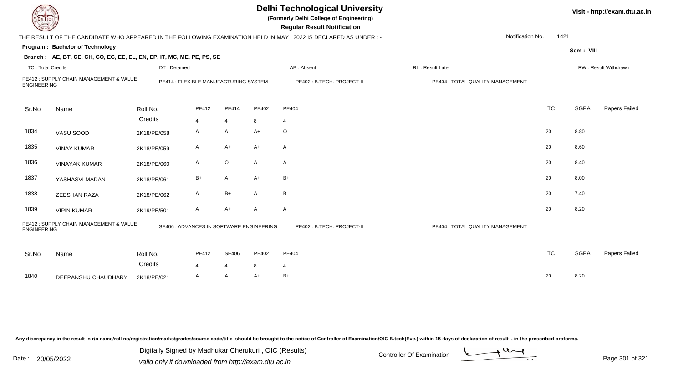|                          | <b>Delhi Technological University</b><br>Visit - http://exam.dtu.ac.in<br>(Formerly Delhi College of Engineering)<br>DEL ECH<br><b>Regular Result Notification</b> |                                          |                |                |       |                                                                                                                 |                                  |                          |             |                      |  |  |  |
|--------------------------|--------------------------------------------------------------------------------------------------------------------------------------------------------------------|------------------------------------------|----------------|----------------|-------|-----------------------------------------------------------------------------------------------------------------|----------------------------------|--------------------------|-------------|----------------------|--|--|--|
|                          |                                                                                                                                                                    |                                          |                |                |       | THE RESULT OF THE CANDIDATE WHO APPEARED IN THE FOLLOWING EXAMINATION HELD IN MAY, 2022 IS DECLARED AS UNDER :- |                                  | Notification No.<br>1421 |             |                      |  |  |  |
|                          | Program: Bachelor of Technology                                                                                                                                    |                                          |                |                |       |                                                                                                                 |                                  |                          | Sem: VIII   |                      |  |  |  |
|                          | Branch: AE, BT, CE, CH, CO, EC, EE, EL, EN, EP, IT, MC, ME, PE, PS, SE                                                                                             |                                          |                |                |       |                                                                                                                 |                                  |                          |             |                      |  |  |  |
| <b>TC: Total Credits</b> |                                                                                                                                                                    | DT: Detained                             |                |                |       | AB: Absent                                                                                                      | RL: Result Later                 |                          |             | RW: Result Withdrawn |  |  |  |
| <b>ENGINEERING</b>       | PE412 : SUPPLY CHAIN MANAGEMENT & VALUE                                                                                                                            | PE414 : FLEXIBLE MANUFACTURING SYSTEM    |                |                |       | PE402 : B.TECH. PROJECT-II                                                                                      | PE404 : TOTAL QUALITY MANAGEMENT |                          |             |                      |  |  |  |
| Sr.No                    | Name                                                                                                                                                               | Roll No.                                 | PE412          | PE414          | PE402 | PE404                                                                                                           |                                  | <b>TC</b>                | <b>SGPA</b> | Papers Failed        |  |  |  |
|                          |                                                                                                                                                                    | Credits                                  | $\overline{4}$ | $\overline{4}$ | 8     | 4                                                                                                               |                                  |                          |             |                      |  |  |  |
| 1834                     | VASU SOOD                                                                                                                                                          | 2K18/PE/058                              | A              | A              | $A+$  | $\circ$                                                                                                         |                                  | 20                       | 8.80        |                      |  |  |  |
| 1835                     | <b>VINAY KUMAR</b>                                                                                                                                                 | 2K18/PE/059                              | A              | $A+$           | $A+$  | A                                                                                                               |                                  | 20                       | 8.60        |                      |  |  |  |
| 1836                     | <b>VINAYAK KUMAR</b>                                                                                                                                               | 2K18/PE/060                              | A              | $\circ$        | A     | A                                                                                                               |                                  | 20                       | 8.40        |                      |  |  |  |
| 1837                     | YASHASVI MADAN                                                                                                                                                     | 2K18/PE/061                              | B+             | $\mathsf{A}$   | $A+$  | $B+$                                                                                                            |                                  | 20                       | 8.00        |                      |  |  |  |
| 1838                     | ZEESHAN RAZA                                                                                                                                                       | 2K18/PE/062                              | A              | $B+$           | A     | B                                                                                                               |                                  | 20                       | 7.40        |                      |  |  |  |
| 1839                     | <b>VIPIN KUMAR</b>                                                                                                                                                 | 2K19/PE/501                              | A              | $A+$           | A     | $\mathsf{A}$                                                                                                    |                                  | 20                       | 8.20        |                      |  |  |  |
| <b>ENGINEERING</b>       | PE412: SUPPLY CHAIN MANAGEMENT & VALUE                                                                                                                             | SE406 : ADVANCES IN SOFTWARE ENGINEERING |                |                |       | PE402 : B.TECH. PROJECT-II                                                                                      | PE404 : TOTAL QUALITY MANAGEMENT |                          |             |                      |  |  |  |
| Sr.No                    | Name                                                                                                                                                               | Roll No.                                 | PE412          | <b>SE406</b>   | PE402 | PE404                                                                                                           |                                  | <b>TC</b>                | <b>SGPA</b> | Papers Failed        |  |  |  |
|                          |                                                                                                                                                                    | Credits                                  | $\overline{4}$ | $\overline{4}$ | 8     | 4                                                                                                               |                                  |                          |             |                      |  |  |  |
| 1840                     | DEEPANSHU CHAUDHARY                                                                                                                                                | 2K18/PE/021                              | A              | $\overline{A}$ | $A+$  | $B+$                                                                                                            |                                  | 20                       | 8.20        |                      |  |  |  |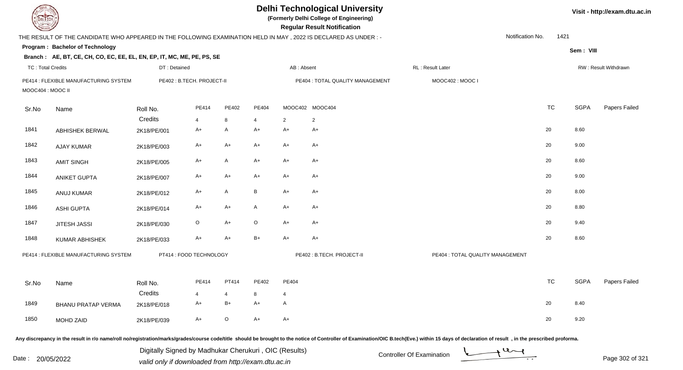| DEL TECH                 |                                                                                                                 |              |                            |              |       |                | <b>Delhi Technological University</b><br>(Formerly Delhi College of Engineering)<br><b>Regular Result Notification</b> |                                                                                                                                                                                                                                |                  |             | Visit - http://exam.dtu.ac.in |
|--------------------------|-----------------------------------------------------------------------------------------------------------------|--------------|----------------------------|--------------|-------|----------------|------------------------------------------------------------------------------------------------------------------------|--------------------------------------------------------------------------------------------------------------------------------------------------------------------------------------------------------------------------------|------------------|-------------|-------------------------------|
|                          | THE RESULT OF THE CANDIDATE WHO APPEARED IN THE FOLLOWING EXAMINATION HELD IN MAY, 2022 IS DECLARED AS UNDER :- |              |                            |              |       |                |                                                                                                                        |                                                                                                                                                                                                                                | Notification No. | 1421        |                               |
|                          | Program: Bachelor of Technology                                                                                 |              |                            |              |       |                |                                                                                                                        |                                                                                                                                                                                                                                |                  | Sem: VIII   |                               |
|                          | Branch: AE, BT, CE, CH, CO, EC, EE, EL, EN, EP, IT, MC, ME, PE, PS, SE                                          |              |                            |              |       |                |                                                                                                                        |                                                                                                                                                                                                                                |                  |             |                               |
| <b>TC: Total Credits</b> |                                                                                                                 | DT: Detained |                            |              |       | AB: Absent     |                                                                                                                        | RL: Result Later                                                                                                                                                                                                               |                  |             | RW: Result Withdrawn          |
| MOOC404 : MOOC II        | PE414 : FLEXIBLE MANUFACTURING SYSTEM                                                                           |              | PE402 : B.TECH. PROJECT-II |              |       |                | PE404 : TOTAL QUALITY MANAGEMENT                                                                                       | MOOC402: MOOC I                                                                                                                                                                                                                |                  |             |                               |
| Sr.No                    | Name                                                                                                            | Roll No.     | PE414                      | PE402        | PE404 |                | MOOC402 MOOC404                                                                                                        |                                                                                                                                                                                                                                | <b>TC</b>        | <b>SGPA</b> | Papers Failed                 |
|                          |                                                                                                                 | Credits      | $\overline{4}$             | 8            | 4     | 2              | 2                                                                                                                      |                                                                                                                                                                                                                                |                  |             |                               |
| 1841                     | <b>ABHISHEK BERWAL</b>                                                                                          | 2K18/PE/001  | $A+$                       | $\mathsf{A}$ | $A+$  | A+             | $A+$                                                                                                                   |                                                                                                                                                                                                                                | 20               | 8.60        |                               |
| 1842                     | <b>AJAY KUMAR</b>                                                                                               | 2K18/PE/003  | $A+$                       | A+           | $A+$  | A+             | $A+$                                                                                                                   |                                                                                                                                                                                                                                | 20               | 9.00        |                               |
| 1843                     | <b>AMIT SINGH</b>                                                                                               | 2K18/PE/005  | $A+$                       | A            | $A+$  | A+             | $A+$                                                                                                                   |                                                                                                                                                                                                                                | 20               | 8.60        |                               |
| 1844                     | <b>ANIKET GUPTA</b>                                                                                             | 2K18/PE/007  | $A+$                       | A+           | $A+$  | A+             | $A+$                                                                                                                   |                                                                                                                                                                                                                                | 20               | 9.00        |                               |
| 1845                     | ANUJ KUMAR                                                                                                      | 2K18/PE/012  | A+                         | Α            | B     | A+             | $A+$                                                                                                                   |                                                                                                                                                                                                                                | 20               | 8.00        |                               |
| 1846                     | <b>ASHI GUPTA</b>                                                                                               | 2K18/PE/014  | A+                         | A+           | A     | A+             | A+                                                                                                                     |                                                                                                                                                                                                                                | 20               | 8.80        |                               |
| 1847                     | <b>JITESH JASSI</b>                                                                                             | 2K18/PE/030  | $\circ$                    | $A+$         | O     | A+             | $A+$                                                                                                                   |                                                                                                                                                                                                                                | 20               | 9.40        |                               |
| 1848                     | <b>KUMAR ABHISHEK</b>                                                                                           | 2K18/PE/033  | $A+$                       | $A+$         | $B+$  | A+             | A+                                                                                                                     |                                                                                                                                                                                                                                | 20               | 8.60        |                               |
|                          | PE414 : FLEXIBLE MANUFACTURING SYSTEM                                                                           |              | PT414 : FOOD TECHNOLOGY    |              |       |                | PE402: B.TECH. PROJECT-II                                                                                              | PE404 : TOTAL QUALITY MANAGEMENT                                                                                                                                                                                               |                  |             |                               |
| Sr.No                    | Name                                                                                                            | Roll No.     | <b>PE414</b>               | PT414        | PE402 | PE404          |                                                                                                                        |                                                                                                                                                                                                                                | TC               | SGPA        | Papers Failed                 |
|                          |                                                                                                                 | Credits      | 4                          | 4            | 8     | $\overline{4}$ |                                                                                                                        |                                                                                                                                                                                                                                |                  |             |                               |
| 1849                     | <b>BHANU PRATAP VERMA</b>                                                                                       | 2K18/PE/018  | A+                         | $B+$         | A+    | A              |                                                                                                                        |                                                                                                                                                                                                                                | 20               | 8.40        |                               |
| 1850                     | MOHD ZAID                                                                                                       | 2K18/PE/039  | A+                         | $\circ$      | A+    | A+             |                                                                                                                        |                                                                                                                                                                                                                                | 20               | 9.20        |                               |
|                          |                                                                                                                 |              |                            |              |       |                |                                                                                                                        | Any discrepancy in the result in r/o name/roll no/registration/marks/grades/course code/title should be brought to the notice of Controller of Examination/OIC B.tech(Eve.) within 15 days of declaration of result , in the p |                  |             |                               |

Date : 20/05/2022 Digital Digital of Microsofted Chemical Controller Of Examination Determination Page 302 of 32 Digitally Signed by Madhukar Cherukuri , OIC (Results)

Page 302 of 321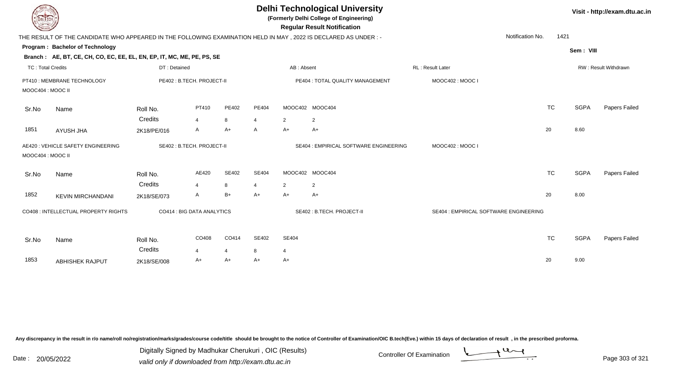| <b>DELTECH</b>           |                                                                                                                |                            |                         |                      | <b>Delhi Technological University</b><br>(Formerly Delhi College of Engineering)<br><b>Regular Result Notification</b> |                        |                                        |                                        |                  |      |             | Visit - http://exam.dtu.ac.in |
|--------------------------|----------------------------------------------------------------------------------------------------------------|----------------------------|-------------------------|----------------------|------------------------------------------------------------------------------------------------------------------------|------------------------|----------------------------------------|----------------------------------------|------------------|------|-------------|-------------------------------|
|                          | THE RESULT OF THE CANDIDATE WHO APPEARED IN THE FOLLOWING EXAMINATION HELD IN MAY, 2022 IS DECLARED AS UNDER:- |                            |                         |                      |                                                                                                                        |                        |                                        |                                        | Notification No. | 1421 |             |                               |
|                          | Program: Bachelor of Technology                                                                                |                            |                         |                      |                                                                                                                        |                        |                                        |                                        |                  |      | Sem: VIII   |                               |
|                          | Branch: AE, BT, CE, CH, CO, EC, EE, EL, EN, EP, IT, MC, ME, PE, PS, SE                                         |                            |                         |                      |                                                                                                                        |                        |                                        |                                        |                  |      |             |                               |
| <b>TC: Total Credits</b> |                                                                                                                | DT: Detained               |                         |                      |                                                                                                                        | AB: Absent             |                                        | RL: Result Later                       |                  |      |             | RW: Result Withdrawn          |
| MOOC404 : MOOC II        | PT410 : MEMBRANE TECHNOLOGY                                                                                    | PE402 : B.TECH. PROJECT-II |                         |                      |                                                                                                                        |                        | PE404 : TOTAL QUALITY MANAGEMENT       | MOOC402: MOOC I                        |                  |      |             |                               |
| Sr.No                    | Name                                                                                                           | Roll No.<br>Credits        | PT410<br>$\overline{4}$ | PE402                | PE404                                                                                                                  |                        | MOOC402 MOOC404                        |                                        | <b>TC</b>        |      | <b>SGPA</b> | Papers Failed                 |
| 1851                     | AYUSH JHA                                                                                                      | 2K18/PE/016                | A                       | 8<br>$A+$            | 4<br>A                                                                                                                 | $\overline{2}$<br>$A+$ | $\overline{2}$<br>$A+$                 |                                        | 20               |      | 8.60        |                               |
| MOOC404 : MOOC II        | AE420: VEHICLE SAFETY ENGINEERING                                                                              | SE402: B.TECH. PROJECT-II  |                         |                      |                                                                                                                        |                        | SE404 : EMPIRICAL SOFTWARE ENGINEERING | MOOC402: MOOC I                        |                  |      |             |                               |
| Sr.No                    | Name                                                                                                           | Roll No.<br>Credits        | AE420<br>4              | <b>SE402</b><br>8    | SE404<br>4                                                                                                             | $\overline{2}$         | MOOC402 MOOC404<br>2                   |                                        | <b>TC</b>        |      | <b>SGPA</b> | Papers Failed                 |
| 1852                     | <b>KEVIN MIRCHANDANI</b>                                                                                       | 2K18/SE/073                | A                       | $B+$                 | A+                                                                                                                     | $A+$                   | $A+$                                   |                                        | 20               |      | 8.00        |                               |
|                          | CO408 : INTELLECTUAL PROPERTY RIGHTS                                                                           | CO414 : BIG DATA ANALYTICS |                         |                      |                                                                                                                        |                        | SE402: B.TECH. PROJECT-II              | SE404 : EMPIRICAL SOFTWARE ENGINEERING |                  |      |             |                               |
| Sr.No                    | Name                                                                                                           | Roll No.                   | CO408                   | CO414                | SE402                                                                                                                  | SE404                  |                                        |                                        | <b>TC</b>        |      | <b>SGPA</b> | Papers Failed                 |
| 1853                     | ABHISHEK RAJPUT                                                                                                | Credits<br>2K18/SE/008     | 4<br>A+                 | $\overline{4}$<br>A+ | 8<br>A+                                                                                                                | 4<br>A+                |                                        |                                        | 20               |      | 9.00        |                               |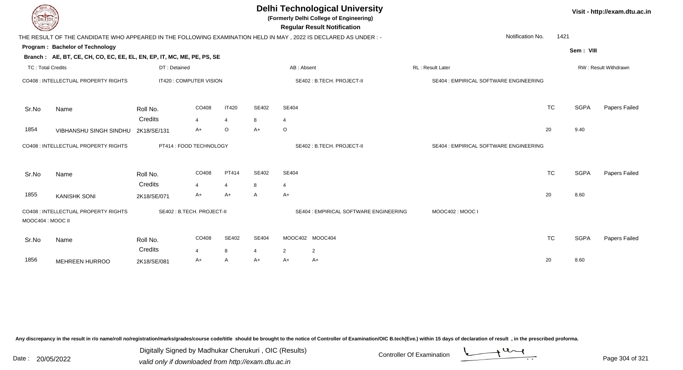| <b>Delhi Technological University</b><br>(Formerly Delhi College of Engineering)<br><b>DELTECH</b><br><b>Regular Result Notification</b> |                                                                                                                |                            |                               |                |                      |                |                                        |  |                                        |           |             | Visit - http://exam.dtu.ac.in |  |  |
|------------------------------------------------------------------------------------------------------------------------------------------|----------------------------------------------------------------------------------------------------------------|----------------------------|-------------------------------|----------------|----------------------|----------------|----------------------------------------|--|----------------------------------------|-----------|-------------|-------------------------------|--|--|
|                                                                                                                                          | THE RESULT OF THE CANDIDATE WHO APPEARED IN THE FOLLOWING EXAMINATION HELD IN MAY, 2022 IS DECLARED AS UNDER:- |                            |                               |                |                      |                |                                        |  | Notification No.                       | 1421      |             |                               |  |  |
|                                                                                                                                          | Program: Bachelor of Technology                                                                                |                            |                               |                |                      |                |                                        |  |                                        |           | Sem: VIII   |                               |  |  |
|                                                                                                                                          | Branch: AE, BT, CE, CH, CO, EC, EE, EL, EN, EP, IT, MC, ME, PE, PS, SE                                         |                            |                               |                |                      |                |                                        |  |                                        |           |             |                               |  |  |
| <b>TC: Total Credits</b>                                                                                                                 |                                                                                                                | DT: Detained               |                               |                |                      | AB: Absent     |                                        |  | RL: Result Later                       |           |             | RW: Result Withdrawn          |  |  |
|                                                                                                                                          | CO408 : INTELLECTUAL PROPERTY RIGHTS                                                                           | IT420 : COMPUTER VISION    |                               |                |                      |                | SE402: B.TECH. PROJECT-II              |  | SE404 : EMPIRICAL SOFTWARE ENGINEERING |           |             |                               |  |  |
| Sr.No                                                                                                                                    | Name                                                                                                           | Roll No.                   | CO408                         | <b>IT420</b>   | SE402                | SE404          |                                        |  |                                        | <b>TC</b> | <b>SGPA</b> | Papers Failed                 |  |  |
|                                                                                                                                          |                                                                                                                | Credits                    | $\overline{4}$                | $\overline{4}$ | 8                    | $\overline{4}$ |                                        |  |                                        |           |             |                               |  |  |
| 1854                                                                                                                                     | VIBHANSHU SINGH SINDHU                                                                                         | 2K18/SE/131                | A+                            | $\circ$        | $A+$                 | $\circ$        |                                        |  |                                        | 20        | 9.40        |                               |  |  |
|                                                                                                                                          | CO408 : INTELLECTUAL PROPERTY RIGHTS                                                                           | PT414 : FOOD TECHNOLOGY    |                               |                |                      |                | SE402: B.TECH. PROJECT-II              |  | SE404 : EMPIRICAL SOFTWARE ENGINEERING |           |             |                               |  |  |
| Sr.No                                                                                                                                    | Name                                                                                                           | Roll No.                   | CO408                         | PT414          | SE402                | <b>SE404</b>   |                                        |  |                                        | <b>TC</b> | <b>SGPA</b> | <b>Papers Failed</b>          |  |  |
|                                                                                                                                          |                                                                                                                | Credits                    | 4                             | $\overline{4}$ | 8                    | $\overline{4}$ |                                        |  |                                        |           |             |                               |  |  |
| 1855                                                                                                                                     | <b>KANISHK SONI</b>                                                                                            | 2K18/SE/071                | A+                            | $A+$           | $\mathsf{A}$         | $A+$           |                                        |  |                                        | 20        | 8.60        |                               |  |  |
| MOOC404 : MOOC II                                                                                                                        | CO408 : INTELLECTUAL PROPERTY RIGHTS                                                                           | SE402 : B.TECH. PROJECT-II |                               |                |                      |                | SE404 : EMPIRICAL SOFTWARE ENGINEERING |  | MOOC402: MOOC I                        |           |             |                               |  |  |
| Sr.No                                                                                                                                    | Name                                                                                                           | Roll No.<br>Credits        | CO408                         | SE402          | SE404                |                | MOOC402 MOOC404                        |  |                                        | <b>TC</b> | <b>SGPA</b> | Papers Failed                 |  |  |
| 1856                                                                                                                                     | <b>MEHREEN HURROO</b>                                                                                          | 2K18/SE/081                | $\overline{\mathbf{A}}$<br>A+ | 8<br>A         | $\overline{4}$<br>A+ | 2<br>$A+$      | $\overline{2}$<br>A+                   |  |                                        | 20        | 8.60        |                               |  |  |
|                                                                                                                                          |                                                                                                                |                            |                               |                |                      |                |                                        |  |                                        |           |             |                               |  |  |

Digitally Signed by Madhukar Cherukuri, OIC (Results)<br>Date : 20/05/2022 valid only if downloaded from http://oxam.dtu.ac.in Digitally Signed by Madhukar Cherukuri , OIC (Results)

valid only if downloaded from http://exam.dtu.ac.in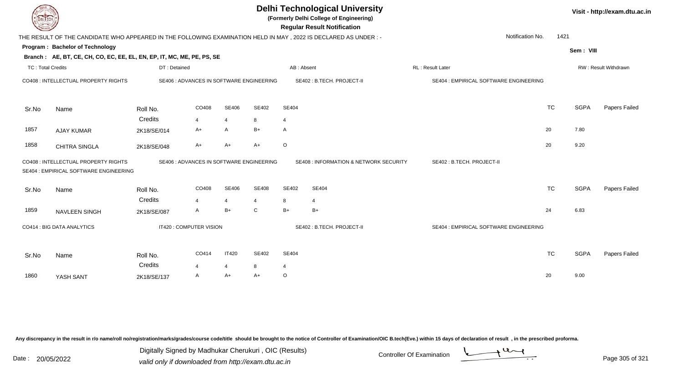| DEL ECH                  |                                                                                                                |              |                         |                |                                          | <b>Delhi Technological University</b><br>(Formerly Delhi College of Engineering)<br><b>Regular Result Notification</b> |                                                   |                         |                                        |           | Visit - http://exam.dtu.ac.in |                      |
|--------------------------|----------------------------------------------------------------------------------------------------------------|--------------|-------------------------|----------------|------------------------------------------|------------------------------------------------------------------------------------------------------------------------|---------------------------------------------------|-------------------------|----------------------------------------|-----------|-------------------------------|----------------------|
|                          | THE RESULT OF THE CANDIDATE WHO APPEARED IN THE FOLLOWING EXAMINATION HELD IN MAY, 2022 IS DECLARED AS UNDER:- |              |                         |                |                                          |                                                                                                                        |                                                   |                         | Notification No.                       | 1421      |                               |                      |
|                          | Program: Bachelor of Technology                                                                                |              |                         |                |                                          |                                                                                                                        |                                                   |                         |                                        |           |                               |                      |
|                          | Branch: AE, BT, CE, CH, CO, EC, EE, EL, EN, EP, IT, MC, ME, PE, PS, SE                                         |              |                         |                |                                          |                                                                                                                        |                                                   |                         |                                        |           | Sem: VIII                     |                      |
| <b>TC: Total Credits</b> |                                                                                                                | DT: Detained |                         |                |                                          | AB: Absent                                                                                                             |                                                   | <b>RL: Result Later</b> |                                        |           |                               | RW: Result Withdrawn |
|                          | CO408 : INTELLECTUAL PROPERTY RIGHTS                                                                           |              |                         |                | SE406 : ADVANCES IN SOFTWARE ENGINEERING |                                                                                                                        | SE402 : B.TECH. PROJECT-II                        |                         | SE404 : EMPIRICAL SOFTWARE ENGINEERING |           |                               |                      |
| Sr.No                    | Name                                                                                                           | Roll No.     | CO408                   | <b>SE406</b>   | SE402                                    | SE404                                                                                                                  |                                                   |                         |                                        | <b>TC</b> | <b>SGPA</b>                   | Papers Failed        |
|                          |                                                                                                                | Credits      | 4                       | $\overline{4}$ | 8                                        | $\overline{4}$                                                                                                         |                                                   |                         |                                        |           |                               |                      |
| 1857                     | <b>AJAY KUMAR</b>                                                                                              | 2K18/SE/014  | $A+$                    | A              | $B+$                                     | A                                                                                                                      |                                                   |                         |                                        | 20        | 7.80                          |                      |
| 1858                     | <b>CHITRA SINGLA</b>                                                                                           | 2K18/SE/048  | A+                      | $A+$           | A+                                       | $\circ$                                                                                                                |                                                   |                         |                                        | 20        | 9.20                          |                      |
|                          | CO408 : INTELLECTUAL PROPERTY RIGHTS<br>SE404 : EMPIRICAL SOFTWARE ENGINEERING                                 |              |                         |                | SE406 : ADVANCES IN SOFTWARE ENGINEERING |                                                                                                                        | <b>SE408 : INFORMATION &amp; NETWORK SECURITY</b> |                         | SE402: B.TECH. PROJECT-II              |           |                               |                      |
| Sr.No                    | Name                                                                                                           | Roll No.     | CO408                   | <b>SE406</b>   | <b>SE408</b>                             | SE402                                                                                                                  | SE404                                             |                         |                                        | <b>TC</b> | <b>SGPA</b>                   | Papers Failed        |
|                          |                                                                                                                | Credits      | $\overline{4}$          | $\overline{4}$ | 4                                        | 8                                                                                                                      | 4                                                 |                         |                                        |           |                               |                      |
| 1859                     | NAVLEEN SINGH                                                                                                  | 2K18/SE/087  | A                       | $B+$           | $\mathsf{C}$                             | $B+$                                                                                                                   | $B+$                                              |                         |                                        | 24        | 6.83                          |                      |
|                          | CO414 : BIG DATA ANALYTICS                                                                                     |              | IT420 : COMPUTER VISION |                |                                          |                                                                                                                        | SE402: B.TECH. PROJECT-II                         |                         | SE404 : EMPIRICAL SOFTWARE ENGINEERING |           |                               |                      |
| Sr.No                    | Name                                                                                                           | Roll No.     | CO414                   | <b>IT420</b>   | SE402                                    | <b>SE404</b>                                                                                                           |                                                   |                         |                                        | <b>TC</b> | <b>SGPA</b>                   | Papers Failed        |
|                          |                                                                                                                | Credits      | 4                       | 4              | 8                                        | $\overline{4}$                                                                                                         |                                                   |                         |                                        |           |                               |                      |
| 1860                     | YASH SANT                                                                                                      | 2K18/SE/137  | A                       | A+             | A+                                       | $\circ$                                                                                                                |                                                   |                         |                                        | 20        | 9.00                          |                      |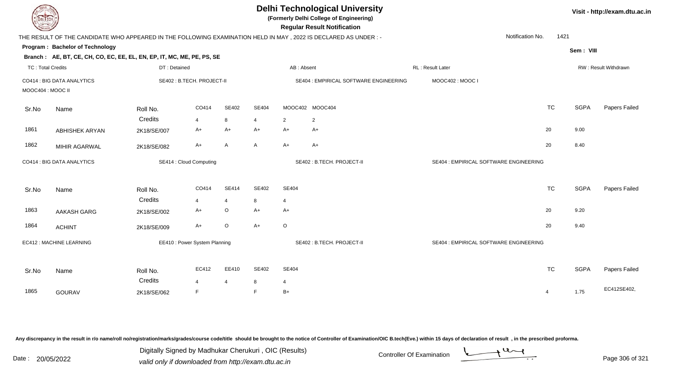| DEL TECH                 |                                                                        |              |                               |                |                |                | <b>Delhi Technological University</b><br>(Formerly Delhi College of Engineering)<br><b>Regular Result Notification</b> |                                        |                          |             | Visit - http://exam.dtu.ac.in |
|--------------------------|------------------------------------------------------------------------|--------------|-------------------------------|----------------|----------------|----------------|------------------------------------------------------------------------------------------------------------------------|----------------------------------------|--------------------------|-------------|-------------------------------|
|                          |                                                                        |              |                               |                |                |                | THE RESULT OF THE CANDIDATE WHO APPEARED IN THE FOLLOWING EXAMINATION HELD IN MAY, 2022 IS DECLARED AS UNDER :-        |                                        | Notification No.<br>1421 |             |                               |
|                          | Program: Bachelor of Technology                                        |              |                               |                |                |                |                                                                                                                        |                                        |                          | Sem: VIII   |                               |
|                          | Branch: AE, BT, CE, CH, CO, EC, EE, EL, EN, EP, IT, MC, ME, PE, PS, SE |              |                               |                |                |                |                                                                                                                        |                                        |                          |             |                               |
| <b>TC: Total Credits</b> |                                                                        | DT: Detained |                               |                |                | AB: Absent     |                                                                                                                        | RL: Result Later                       |                          |             | RW: Result Withdrawn          |
| MOOC404 : MOOC II        | CO414 : BIG DATA ANALYTICS                                             |              | SE402: B.TECH. PROJECT-II     |                |                |                | SE404 : EMPIRICAL SOFTWARE ENGINEERING                                                                                 | MOOC402: MOOC I                        |                          |             |                               |
| Sr.No                    | Name                                                                   | Roll No.     | CO414                         | <b>SE402</b>   | SE404          |                | MOOC402 MOOC404                                                                                                        |                                        | <b>TC</b>                | <b>SGPA</b> | Papers Failed                 |
|                          |                                                                        | Credits      | $\overline{4}$                | 8              | $\overline{4}$ | $\overline{2}$ | $\overline{2}$                                                                                                         |                                        |                          |             |                               |
| 1861                     | <b>ABHISHEK ARYAN</b>                                                  | 2K18/SE/007  | A+                            | $A+$           | $A+$           | $A+$           | $A+$                                                                                                                   |                                        | 20                       | 9.00        |                               |
| 1862                     | MIHIR AGARWAL                                                          | 2K18/SE/082  | $A+$                          | A              | Α              | $A+$           | $A+$                                                                                                                   |                                        | 20                       | 8.40        |                               |
|                          | CO414 : BIG DATA ANALYTICS                                             |              | SE414 : Cloud Computing       |                |                |                | SE402: B.TECH. PROJECT-II                                                                                              | SE404 : EMPIRICAL SOFTWARE ENGINEERING |                          |             |                               |
| Sr.No                    | Name                                                                   | Roll No.     | CO414                         | <b>SE414</b>   | SE402          | <b>SE404</b>   |                                                                                                                        |                                        | <b>TC</b>                | <b>SGPA</b> | Papers Failed                 |
|                          |                                                                        | Credits      | $\overline{4}$                | $\overline{4}$ | 8              | $\overline{4}$ |                                                                                                                        |                                        |                          |             |                               |
| 1863                     | <b>AAKASH GARG</b>                                                     | 2K18/SE/002  | $A+$                          | $\circ$        | $A+$           | $A+$           |                                                                                                                        |                                        | 20                       | 9.20        |                               |
| 1864                     | <b>ACHINT</b>                                                          | 2K18/SE/009  | $A+$                          | $\mathsf O$    | $A+$           | $\circ$        |                                                                                                                        |                                        | 20                       | 9.40        |                               |
|                          | EC412 : MACHINE LEARNING                                               |              | EE410 : Power System Planning |                |                |                | SE402: B.TECH. PROJECT-II                                                                                              | SE404 : EMPIRICAL SOFTWARE ENGINEERING |                          |             |                               |
| Sr.No                    | Name                                                                   | Roll No.     | EC412                         | EE410          | SE402          | <b>SE404</b>   |                                                                                                                        |                                        | <b>TC</b>                | <b>SGPA</b> | Papers Failed                 |
|                          |                                                                        | Credits      | $\overline{\mathbf{A}}$       | $\overline{4}$ | 8              | $\overline{4}$ |                                                                                                                        |                                        |                          |             |                               |
| 1865                     | <b>GOURAV</b>                                                          | 2K18/SE/062  | E                             |                | E              | $B+$           |                                                                                                                        |                                        | $\overline{4}$           | 1.75        | EC412SE402,                   |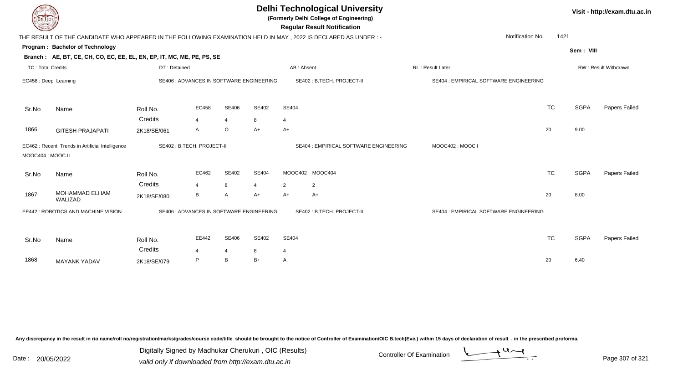| <b>DELTECH</b>           |                                                                                                                |                           |                     |                                       |                                          |                         | <b>Delhi Technological University</b><br>(Formerly Delhi College of Engineering)<br><b>Regular Result Notification</b> |                  |                                        |           |             | Visit - http://exam.dtu.ac.in |
|--------------------------|----------------------------------------------------------------------------------------------------------------|---------------------------|---------------------|---------------------------------------|------------------------------------------|-------------------------|------------------------------------------------------------------------------------------------------------------------|------------------|----------------------------------------|-----------|-------------|-------------------------------|
|                          | THE RESULT OF THE CANDIDATE WHO APPEARED IN THE FOLLOWING EXAMINATION HELD IN MAY, 2022 IS DECLARED AS UNDER:- |                           |                     |                                       |                                          |                         |                                                                                                                        |                  | Notification No.                       | 1421      |             |                               |
|                          | <b>Program: Bachelor of Technology</b>                                                                         |                           |                     |                                       |                                          |                         |                                                                                                                        |                  |                                        |           | Sem: VIII   |                               |
|                          | Branch: AE, BT, CE, CH, CO, EC, EE, EL, EN, EP, IT, MC, ME, PE, PS, SE                                         |                           |                     |                                       |                                          |                         |                                                                                                                        |                  |                                        |           |             |                               |
| <b>TC: Total Credits</b> |                                                                                                                | DT: Detained              |                     |                                       |                                          | AB: Absent              |                                                                                                                        | RL: Result Later |                                        |           |             | RW: Result Withdrawn          |
| EC458 : Deep Learning    |                                                                                                                |                           |                     |                                       | SE406 : ADVANCES IN SOFTWARE ENGINEERING |                         | SE402: B.TECH. PROJECT-II                                                                                              |                  | SE404 : EMPIRICAL SOFTWARE ENGINEERING |           |             |                               |
| Sr.No                    | Name                                                                                                           | Roll No.                  | EC458               | SE406                                 | SE402                                    | SE404                   |                                                                                                                        |                  |                                        | <b>TC</b> | <b>SGPA</b> | Papers Failed                 |
| 1866                     | <b>GITESH PRAJAPATI</b>                                                                                        | Credits<br>2K18/SE/061    | $\overline{4}$<br>A | $\overline{4}$<br>$\mathsf O$         | 8<br>A+                                  | $\overline{4}$<br>$A+$  |                                                                                                                        |                  |                                        | 20        | 9.00        |                               |
| MOOC404 : MOOC II        | EC462 : Recent Trends in Artificial Intelligence                                                               | SE402: B.TECH. PROJECT-II |                     |                                       |                                          |                         | SE404 : EMPIRICAL SOFTWARE ENGINEERING                                                                                 |                  | MOOC402: MOOC I                        |           |             |                               |
| Sr.No                    | Name                                                                                                           | Roll No.<br>Credits       | EC462<br>4          | SE402<br>8                            | <b>SE404</b><br>4                        |                         | MOOC402 MOOC404                                                                                                        |                  |                                        | <b>TC</b> | <b>SGPA</b> | Papers Failed                 |
| 1867                     | MOHAMMAD ELHAM<br>WALIZAD                                                                                      | 2K18/SE/080               | B                   | A                                     | A+                                       | $\overline{2}$<br>$A+$  | 2<br>$A+$                                                                                                              |                  |                                        | 20        | 8.00        |                               |
|                          | EE442 : ROBOTICS AND MACHINE VISION                                                                            |                           |                     |                                       | SE406 : ADVANCES IN SOFTWARE ENGINEERING |                         | SE402: B.TECH. PROJECT-II                                                                                              |                  | SE404 : EMPIRICAL SOFTWARE ENGINEERING |           |             |                               |
| Sr.No                    | Name                                                                                                           | Roll No.<br>Credits       | EE442<br>$\Delta$   | <b>SE406</b><br>$\boldsymbol{\Delta}$ | SE402<br>8                               | SE404<br>$\overline{4}$ |                                                                                                                        |                  |                                        | <b>TC</b> | <b>SGPA</b> | Papers Failed                 |
| 1868                     | <b>MAYANK YADAV</b>                                                                                            | 2K18/SE/079               | P                   | В                                     | $B+$                                     | A                       |                                                                                                                        |                  |                                        | 20        | 6.40        |                               |

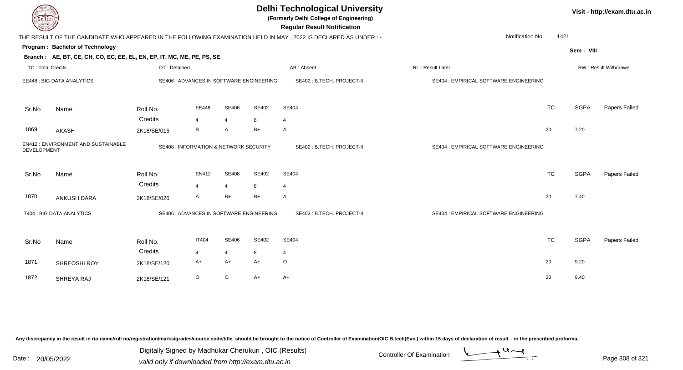| <b>DELTECH</b>           |                                                                        |              |                                                   |                |              | <b>Delhi Technological University</b><br>(Formerly Delhi College of Engineering)<br><b>Regular Result Notification</b> |                                        |           |             | Visit - http://exam.dtu.ac.in |
|--------------------------|------------------------------------------------------------------------|--------------|---------------------------------------------------|----------------|--------------|------------------------------------------------------------------------------------------------------------------------|----------------------------------------|-----------|-------------|-------------------------------|
|                          |                                                                        |              |                                                   |                |              | THE RESULT OF THE CANDIDATE WHO APPEARED IN THE FOLLOWING EXAMINATION HELD IN MAY, 2022 IS DECLARED AS UNDER:-         | Notification No.                       | 1421      |             |                               |
|                          | Program: Bachelor of Technology                                        |              |                                                   |                |              |                                                                                                                        |                                        |           | Sem: VIII   |                               |
|                          | Branch: AE, BT, CE, CH, CO, EC, EE, EL, EN, EP, IT, MC, ME, PE, PS, SE |              |                                                   |                |              |                                                                                                                        |                                        |           |             |                               |
| <b>TC: Total Credits</b> |                                                                        | DT: Detained |                                                   |                |              | AB: Absent                                                                                                             | RL: Result Later                       |           |             | RW: Result Withdrawn          |
|                          | EE448 : BIG DATA ANALYTICS                                             |              | SE406 : ADVANCES IN SOFTWARE ENGINEERING          |                |              | SE402: B.TECH. PROJECT-II                                                                                              | SE404 : EMPIRICAL SOFTWARE ENGINEERING |           |             |                               |
| Sr.No                    | Name                                                                   | Roll No.     | EE448                                             | SE406          | SE402        | SE404                                                                                                                  |                                        | <b>TC</b> | <b>SGPA</b> | Papers Failed                 |
|                          |                                                                        | Credits      | 4                                                 | $\overline{4}$ | 8            | $\overline{4}$                                                                                                         |                                        |           |             |                               |
| 1869                     | <b>AKASH</b>                                                           | 2K18/SE/015  | B                                                 | A              | $B+$         | A                                                                                                                      |                                        | 20        | 7.20        |                               |
| DEVELOPMENT              | EN412: ENVIRONMENT AND SUSTAINABLE                                     |              | <b>SE408 : INFORMATION &amp; NETWORK SECURITY</b> |                |              | SE402: B.TECH. PROJECT-II                                                                                              | SE404 : EMPIRICAL SOFTWARE ENGINEERING |           |             |                               |
| Sr.No                    | Name                                                                   | Roll No.     | EN412                                             | <b>SE408</b>   | <b>SE402</b> | SE404                                                                                                                  |                                        | <b>TC</b> | <b>SGPA</b> | Papers Failed                 |
|                          |                                                                        | Credits      | $\overline{4}$                                    | $\overline{4}$ | 8            | $\overline{4}$                                                                                                         |                                        |           |             |                               |
| 1870                     | <b>ANKUSH DARA</b>                                                     | 2K18/SE/026  | A                                                 | $B+$           | B+           | A                                                                                                                      |                                        | 20        | 7.40        |                               |
|                          | IT404 : BIG DATA ANALYTICS                                             |              | SE406 : ADVANCES IN SOFTWARE ENGINEERING          |                |              | SE402: B.TECH. PROJECT-II                                                                                              | SE404 : EMPIRICAL SOFTWARE ENGINEERING |           |             |                               |
| Sr.No                    | Name                                                                   | Roll No.     | <b>IT404</b>                                      | <b>SE406</b>   | SE402        | SE404                                                                                                                  |                                        | <b>TC</b> | <b>SGPA</b> | Papers Failed                 |
|                          |                                                                        | Credits      | $\overline{4}$                                    | $\overline{4}$ | 8            | $\overline{4}$                                                                                                         |                                        |           |             |                               |
| 1871                     | SHREOSHI ROY                                                           | 2K18/SE/120  | A+                                                | $A+$           | A+           | O                                                                                                                      |                                        | 20        | 9.20        |                               |
| 1872                     | SHREYA RAJ                                                             | 2K18/SE/121  | $\circ$                                           | $\circ$        | $A+$         | A+                                                                                                                     |                                        | 20        | 9.40        |                               |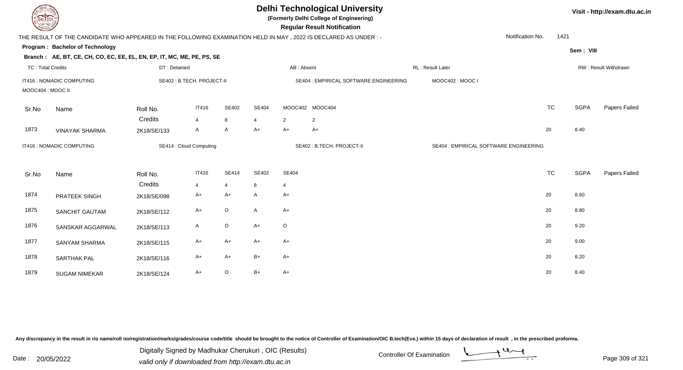| DEL TECH                 |                                                                                                                |              |                            |                |                |                | <b>Delhi Technological University</b><br>(Formerly Delhi College of Engineering)<br><b>Regular Result Notification</b> |                                        |                          |             | Visit - http://exam.dtu.ac.in |
|--------------------------|----------------------------------------------------------------------------------------------------------------|--------------|----------------------------|----------------|----------------|----------------|------------------------------------------------------------------------------------------------------------------------|----------------------------------------|--------------------------|-------------|-------------------------------|
|                          | THE RESULT OF THE CANDIDATE WHO APPEARED IN THE FOLLOWING EXAMINATION HELD IN MAY, 2022 IS DECLARED AS UNDER:- |              |                            |                |                |                |                                                                                                                        |                                        | Notification No.<br>1421 |             |                               |
|                          | Program: Bachelor of Technology                                                                                |              |                            |                |                |                |                                                                                                                        |                                        |                          | Sem: VIII   |                               |
|                          | Branch: AE, BT, CE, CH, CO, EC, EE, EL, EN, EP, IT, MC, ME, PE, PS, SE                                         |              |                            |                |                |                |                                                                                                                        |                                        |                          |             |                               |
| <b>TC: Total Credits</b> |                                                                                                                | DT: Detained |                            |                |                | AB: Absent     |                                                                                                                        | RL: Result Later                       |                          |             | RW: Result Withdrawn          |
| MOOC404 : MOOC II        | IT416 : NOMADIC COMPUTING                                                                                      |              | SE402 : B.TECH. PROJECT-II |                |                |                | SE404 : EMPIRICAL SOFTWARE ENGINEERING                                                                                 | MOOC402: MOOC I                        |                          |             |                               |
| Sr.No                    | Name                                                                                                           | Roll No.     | <b>IT416</b>               | SE402          | <b>SE404</b>   |                | MOOC402 MOOC404                                                                                                        |                                        | <b>TC</b>                | <b>SGPA</b> | Papers Failed                 |
|                          |                                                                                                                | Credits      | $\overline{4}$             | 8              | $\overline{4}$ | $\overline{2}$ | $\overline{2}$                                                                                                         |                                        |                          |             |                               |
| 1873                     | <b>VINAYAK SHARMA</b>                                                                                          | 2K18/SE/133  | $\mathsf{A}$               | A              | $A+$           | A+             | $A+$                                                                                                                   |                                        | 20                       | 8.40        |                               |
|                          | IT416 : NOMADIC COMPUTING                                                                                      |              | SE414 : Cloud Computing    |                |                |                | SE402: B.TECH. PROJECT-II                                                                                              | SE404 : EMPIRICAL SOFTWARE ENGINEERING |                          |             |                               |
| Sr.No                    | Name                                                                                                           | Roll No.     | <b>IT416</b>               | <b>SE414</b>   | SE402          | SE404          |                                                                                                                        |                                        | <b>TC</b>                | <b>SGPA</b> | Papers Failed                 |
|                          |                                                                                                                | Credits      | $\overline{4}$             | $\overline{4}$ | 8              | $\overline{4}$ |                                                                                                                        |                                        |                          |             |                               |
| 1874                     | PRATEEK SINGH                                                                                                  | 2K18/SE/098  | $A+$                       | A+             | $\mathsf{A}$   | $A+$           |                                                                                                                        |                                        | 20                       | 8.60        |                               |
| 1875                     | <b>SANCHIT GAUTAM</b>                                                                                          | 2K18/SE/112  | $A+$                       | $\circ$        | $\mathsf{A}$   | $A+$           |                                                                                                                        |                                        | 20                       | 8.80        |                               |
| 1876                     | SANSKAR AGGARWAL                                                                                               | 2K18/SE/113  | $\mathsf{A}$               | O              | $A+$           | $\circ$        |                                                                                                                        |                                        | 20                       | 9.20        |                               |
| 1877                     | <b>SANYAM SHARMA</b>                                                                                           | 2K18/SE/115  | A+                         | A+             | $A+$           | $A+$           |                                                                                                                        |                                        | 20                       | 9.00        |                               |
| 1878                     | SARTHAK PAL                                                                                                    | 2K18/SE/116  | $A+$                       | A+             | B+             | $A+$           |                                                                                                                        |                                        | 20                       | 8.20        |                               |
| 1879                     | <b>SUGAM NIMEKAR</b>                                                                                           | 2K18/SE/124  | $A+$                       | $\circ$        | $B+$           | A+             |                                                                                                                        |                                        | 20                       | 8.40        |                               |

Digitally Signed by Madhukar Cherukuri, OIC (Results)<br>Date : 20/05/2022 valid only if downloaded from http://oxam.dtu.ac.in Digitally Signed by Madhukar Cherukuri , OIC (Results)

valid only if downloaded from http://exam.dtu.ac.in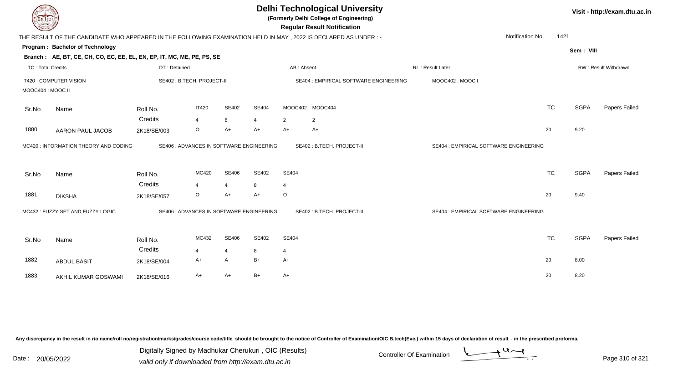| DEL TECH                 |                                                                                                                 |                            |                |                |                                          |                | <b>Delhi Technological University</b><br>(Formerly Delhi College of Engineering)<br><b>Regular Result Notification</b> |                                        |           |             | Visit - http://exam.dtu.ac.in |
|--------------------------|-----------------------------------------------------------------------------------------------------------------|----------------------------|----------------|----------------|------------------------------------------|----------------|------------------------------------------------------------------------------------------------------------------------|----------------------------------------|-----------|-------------|-------------------------------|
|                          | THE RESULT OF THE CANDIDATE WHO APPEARED IN THE FOLLOWING EXAMINATION HELD IN MAY, 2022 IS DECLARED AS UNDER :- |                            |                |                |                                          |                |                                                                                                                        | Notification No.                       | 1421      |             |                               |
|                          | Program: Bachelor of Technology                                                                                 |                            |                |                |                                          |                |                                                                                                                        |                                        |           | Sem: VIII   |                               |
|                          | Branch: AE, BT, CE, CH, CO, EC, EE, EL, EN, EP, IT, MC, ME, PE, PS, SE                                          |                            |                |                |                                          |                |                                                                                                                        |                                        |           |             |                               |
| <b>TC: Total Credits</b> |                                                                                                                 | DT: Detained               |                |                |                                          | AB: Absent     |                                                                                                                        | RL: Result Later                       |           |             | RW: Result Withdrawn          |
|                          | IT420 : COMPUTER VISION                                                                                         | SE402 : B.TECH. PROJECT-II |                |                |                                          |                | SE404 : EMPIRICAL SOFTWARE ENGINEERING                                                                                 | MOOC402: MOOC I                        |           |             |                               |
| MOOC404: MOOC II         |                                                                                                                 |                            |                |                |                                          |                |                                                                                                                        |                                        |           |             |                               |
| Sr.No                    | Name                                                                                                            | Roll No.                   | <b>IT420</b>   | SE402          | <b>SE404</b>                             |                | MOOC402 MOOC404                                                                                                        |                                        | <b>TC</b> | <b>SGPA</b> | Papers Failed                 |
|                          |                                                                                                                 | Credits                    | $\overline{4}$ | 8              | $\overline{4}$                           | $\overline{2}$ | $\overline{2}$                                                                                                         |                                        |           |             |                               |
| 1880                     | <b>AARON PAUL JACOB</b>                                                                                         | 2K18/SE/003                | $\circ$        | $A+$           | $A+$                                     | $A+$           | $A+$                                                                                                                   |                                        | 20        | 9.20        |                               |
|                          | MC420 : INFORMATION THEORY AND CODING                                                                           |                            |                |                | SE406 : ADVANCES IN SOFTWARE ENGINEERING |                | SE402: B.TECH. PROJECT-II                                                                                              | SE404 : EMPIRICAL SOFTWARE ENGINEERING |           |             |                               |
| Sr.No                    | Name                                                                                                            | Roll No.                   | MC420          | SE406          | SE402                                    | <b>SE404</b>   |                                                                                                                        |                                        | <b>TC</b> | <b>SGPA</b> | Papers Failed                 |
|                          |                                                                                                                 | Credits                    | $\overline{4}$ | $\overline{4}$ | 8                                        | $\overline{4}$ |                                                                                                                        |                                        |           |             |                               |
| 1881                     | <b>DIKSHA</b>                                                                                                   | 2K18/SE/057                | $\circ$        | $A+$           | $A+$                                     | $\circ$        |                                                                                                                        |                                        | 20        | 9.40        |                               |
|                          | MC432 : FUZZY SET AND FUZZY LOGIC                                                                               |                            |                |                | SE406 : ADVANCES IN SOFTWARE ENGINEERING |                | SE402: B.TECH. PROJECT-II                                                                                              | SE404 : EMPIRICAL SOFTWARE ENGINEERING |           |             |                               |
| Sr.No                    | Name                                                                                                            | Roll No.                   | MC432          | SE406          | SE402                                    | <b>SE404</b>   |                                                                                                                        |                                        | <b>TC</b> | <b>SGPA</b> | Papers Failed                 |
|                          |                                                                                                                 | Credits                    | $\overline{4}$ | $\overline{4}$ | 8                                        | 4              |                                                                                                                        |                                        |           |             |                               |
| 1882                     | <b>ABDUL BASIT</b>                                                                                              | 2K18/SE/004                | A+             | $\mathsf{A}$   | $B+$                                     | A+             |                                                                                                                        |                                        | 20        | 8.00        |                               |
| 1883                     | AKHIL KUMAR GOSWAMI                                                                                             | 2K18/SE/016                | A+             | $A+$           | $B+$                                     | A+             |                                                                                                                        |                                        | 20        | 8.20        |                               |
|                          |                                                                                                                 |                            |                |                |                                          |                |                                                                                                                        |                                        |           |             |                               |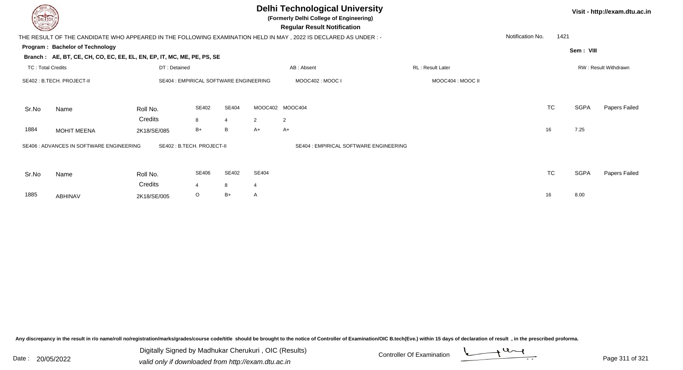| DEL TECH                 |                                                                        |                                        |                         |       |                 | <b>Delhi Technological University</b><br>(Formerly Delhi College of Engineering)<br><b>Regular Result Notification</b> |                         |                  |           |             | Visit - http://exam.dtu.ac.in |
|--------------------------|------------------------------------------------------------------------|----------------------------------------|-------------------------|-------|-----------------|------------------------------------------------------------------------------------------------------------------------|-------------------------|------------------|-----------|-------------|-------------------------------|
|                          |                                                                        |                                        |                         |       |                 | THE RESULT OF THE CANDIDATE WHO APPEARED IN THE FOLLOWING EXAMINATION HELD IN MAY, 2022 IS DECLARED AS UNDER :-        |                         | Notification No. | 1421      |             |                               |
|                          | Program: Bachelor of Technology                                        |                                        |                         |       |                 |                                                                                                                        |                         |                  |           | Sem: VIII   |                               |
|                          | Branch: AE, BT, CE, CH, CO, EC, EE, EL, EN, EP, IT, MC, ME, PE, PS, SE |                                        |                         |       |                 |                                                                                                                        |                         |                  |           |             |                               |
| <b>TC: Total Credits</b> |                                                                        | DT: Detained                           |                         |       |                 | AB: Absent                                                                                                             | <b>RL: Result Later</b> |                  |           |             | RW: Result Withdrawn          |
|                          | SE402 : B.TECH. PROJECT-II                                             | SE404 : EMPIRICAL SOFTWARE ENGINEERING |                         |       |                 | MOOC402: MOOC I                                                                                                        | MOOC404 : MOOC II       |                  |           |             |                               |
| Sr.No                    | Name                                                                   | Roll No.                               | SE402                   | SE404 | MOOC402 MOOC404 |                                                                                                                        |                         |                  | <b>TC</b> | <b>SGPA</b> | Papers Failed                 |
|                          |                                                                        | Credits                                | 8                       | 4     | $\overline{2}$  | $\overline{2}$                                                                                                         |                         |                  |           |             |                               |
| 1884                     | <b>MOHIT MEENA</b>                                                     | 2K18/SE/085                            | $B+$                    | B     | $A+$            | $A+$                                                                                                                   |                         |                  | 16        | 7.25        |                               |
|                          | SE406 : ADVANCES IN SOFTWARE ENGINEERING                               | SE402 : B.TECH. PROJECT-II             |                         |       |                 | SE404 : EMPIRICAL SOFTWARE ENGINEERING                                                                                 |                         |                  |           |             |                               |
| Sr.No                    | Name                                                                   | Roll No.                               | SE406                   | SE402 | SE404           |                                                                                                                        |                         |                  | <b>TC</b> | <b>SGPA</b> | Papers Failed                 |
|                          |                                                                        | Credits                                | $\overline{\mathbf{A}}$ | 8     | 4               |                                                                                                                        |                         |                  |           |             |                               |
| 1885                     | ABHINAV                                                                | 2K18/SE/005                            | $\circ$                 | $B+$  | A               |                                                                                                                        |                         |                  | 16        | 8.00        |                               |

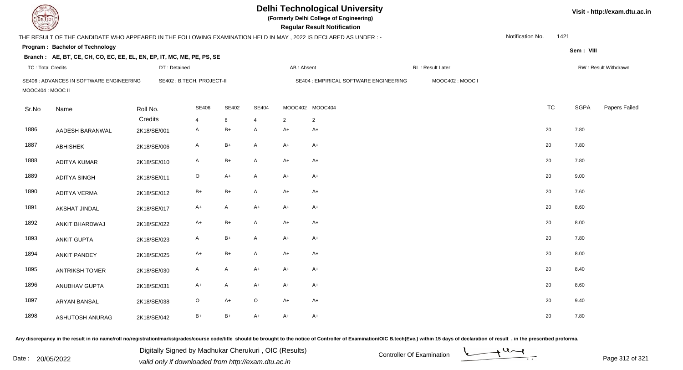| <b>DELIECH</b>           |                                                                                                                 |              |                           |              |                |            | <b>Delhi Technological University</b><br>(Formerly Delhi College of Engineering)<br><b>Regular Result Notification</b> |                  |                  |      | Visit - http://exam.dtu.ac.in |                      |
|--------------------------|-----------------------------------------------------------------------------------------------------------------|--------------|---------------------------|--------------|----------------|------------|------------------------------------------------------------------------------------------------------------------------|------------------|------------------|------|-------------------------------|----------------------|
|                          | THE RESULT OF THE CANDIDATE WHO APPEARED IN THE FOLLOWING EXAMINATION HELD IN MAY, 2022 IS DECLARED AS UNDER :- |              |                           |              |                |            |                                                                                                                        |                  | Notification No. | 1421 |                               |                      |
|                          | Program: Bachelor of Technology                                                                                 |              |                           |              |                |            |                                                                                                                        |                  |                  |      | Sem: VIII                     |                      |
|                          | Branch: AE, BT, CE, CH, CO, EC, EE, EL, EN, EP, IT, MC, ME, PE, PS, SE                                          |              |                           |              |                |            |                                                                                                                        |                  |                  |      |                               |                      |
| <b>TC: Total Credits</b> |                                                                                                                 | DT: Detained |                           |              |                | AB: Absent |                                                                                                                        | RL: Result Later |                  |      |                               | RW: Result Withdrawn |
| MOOC404 : MOOC II        | SE406 : ADVANCES IN SOFTWARE ENGINEERING                                                                        |              | SE402: B.TECH. PROJECT-II |              |                |            | SE404 : EMPIRICAL SOFTWARE ENGINEERING                                                                                 | MOOC402: MOOC I  |                  |      |                               |                      |
| Sr.No                    | Name                                                                                                            | Roll No.     | SE406                     | SE402        | <b>SE404</b>   |            | MOOC402 MOOC404                                                                                                        |                  | <b>TC</b>        |      | <b>SGPA</b>                   | Papers Failed        |
|                          |                                                                                                                 | Credits      | 4                         | 8            | $\overline{4}$ | 2          | $\overline{2}$                                                                                                         |                  |                  |      |                               |                      |
| 1886                     | AADESH BARANWAL                                                                                                 | 2K18/SE/001  | A                         | $B+$         | A              | $A+$       | $A+$                                                                                                                   |                  | 20               |      | 7.80                          |                      |
| 1887                     | <b>ABHISHEK</b>                                                                                                 | 2K18/SE/006  | A                         | $B+$         | A              | $A+$       | $A+$                                                                                                                   |                  | 20               |      | 7.80                          |                      |
| 1888                     | ADITYA KUMAR                                                                                                    | 2K18/SE/010  | $\mathsf{A}$              | $B+$         | $\mathsf{A}$   | $A+$       | $A+$                                                                                                                   |                  | 20               |      | 7.80                          |                      |
| 1889                     | <b>ADITYA SINGH</b>                                                                                             | 2K18/SE/011  | $\circ$                   | $A+$         | $\mathsf{A}$   | $A+$       | $A+$                                                                                                                   |                  | 20               |      | 9.00                          |                      |
| 1890                     | <b>ADITYA VERMA</b>                                                                                             | 2K18/SE/012  | B+                        | $B+$         | $\mathsf{A}$   | $A+$       | $A+$                                                                                                                   |                  | 20               |      | 7.60                          |                      |
| 1891                     | AKSHAT JINDAL                                                                                                   | 2K18/SE/017  | $A+$                      | $\mathsf{A}$ | $A+$           | $A+$       | $A+$                                                                                                                   |                  | 20               |      | 8.60                          |                      |
| 1892                     | ANKIT BHARDWAJ                                                                                                  | 2K18/SE/022  | $A+$                      | $B+$         | $\mathsf{A}$   | $A+$       | $A+$                                                                                                                   |                  | 20               |      | 8.00                          |                      |
| 1893                     | <b>ANKIT GUPTA</b>                                                                                              | 2K18/SE/023  | A                         | $B+$         | $\mathsf{A}$   | $A+$       | $A+$                                                                                                                   |                  | 20               |      | 7.80                          |                      |
| 1894                     | <b>ANKIT PANDEY</b>                                                                                             | 2K18/SE/025  | $A+$                      | $B+$         | $\mathsf{A}$   | $A+$       | $A+$                                                                                                                   |                  | 20               |      | 8.00                          |                      |
| 1895                     | <b>ANTRIKSH TOMER</b>                                                                                           | 2K18/SE/030  | A                         | $\mathsf{A}$ | $A+$           | $A+$       | $A+$                                                                                                                   |                  | 20               |      | 8.40                          |                      |
| 1896                     | <b>ANUBHAV GUPTA</b>                                                                                            | 2K18/SE/031  | A+                        | $\mathsf{A}$ | $A+$           | $A+$       | A+                                                                                                                     |                  | 20               |      | 8.60                          |                      |
| 1897                     | <b>ARYAN BANSAL</b>                                                                                             | 2K18/SE/038  | O                         | $A+$         | $\circ$        | $A+$       | $A+$                                                                                                                   |                  | 20               |      | 9.40                          |                      |
| 1898                     | ASHUTOSH ANURAG                                                                                                 | 2K18/SE/042  | $B+$                      | $B+$         | $A+$           | $A+$       | A+                                                                                                                     |                  | 20               |      | 7.80                          |                      |

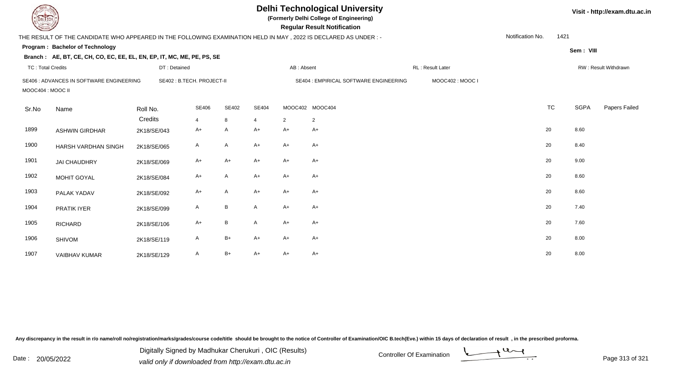| <b>DELTECH</b>           |                                                                                                                 |                           |                         |              |                |                 | <b>Delhi Technological University</b><br>(Formerly Delhi College of Engineering)<br><b>Regular Result Notification</b> |                   |                  |           |             | Visit - http://exam.dtu.ac.in |
|--------------------------|-----------------------------------------------------------------------------------------------------------------|---------------------------|-------------------------|--------------|----------------|-----------------|------------------------------------------------------------------------------------------------------------------------|-------------------|------------------|-----------|-------------|-------------------------------|
|                          | THE RESULT OF THE CANDIDATE WHO APPEARED IN THE FOLLOWING EXAMINATION HELD IN MAY, 2022 IS DECLARED AS UNDER :- |                           |                         |              |                |                 |                                                                                                                        |                   | Notification No. | 1421      |             |                               |
|                          | Program: Bachelor of Technology                                                                                 |                           |                         |              |                |                 |                                                                                                                        |                   |                  |           | Sem: VIII   |                               |
|                          | Branch: AE, BT, CE, CH, CO, EC, EE, EL, EN, EP, IT, MC, ME, PE, PS, SE                                          |                           |                         |              |                |                 |                                                                                                                        |                   |                  |           |             |                               |
| <b>TC: Total Credits</b> |                                                                                                                 | DT: Detained              |                         |              |                | AB: Absent      |                                                                                                                        | RL : Result Later |                  |           |             | RW: Result Withdrawn          |
| MOOC404 : MOOC II        | SE406 : ADVANCES IN SOFTWARE ENGINEERING                                                                        | SE402: B.TECH. PROJECT-II |                         |              |                |                 | SE404 : EMPIRICAL SOFTWARE ENGINEERING                                                                                 | MOOC402: MOOC I   |                  |           |             |                               |
| Sr.No                    | Name                                                                                                            | Roll No.                  | <b>SE406</b>            | SE402        | SE404          | MOOC402 MOOC404 |                                                                                                                        |                   |                  | <b>TC</b> | <b>SGPA</b> | Papers Failed                 |
|                          |                                                                                                                 | Credits                   | $\overline{\mathbf{A}}$ | 8            | $\overline{4}$ | 2               | $\overline{2}$                                                                                                         |                   |                  |           |             |                               |
| 1899                     | <b>ASHWIN GIRDHAR</b>                                                                                           | 2K18/SE/043               | A+                      | A            | $A+$           | $A+$            | $A+$                                                                                                                   |                   |                  | 20        | 8.60        |                               |
| 1900                     | HARSH VARDHAN SINGH                                                                                             | 2K18/SE/065               | A                       | A            | $A+$           | $A+$            | $A+$                                                                                                                   |                   |                  | 20        | 8.40        |                               |
| 1901                     | <b>JAI CHAUDHRY</b>                                                                                             | 2K18/SE/069               | A+                      | A+           | $A+$           | $A+$            | A+                                                                                                                     |                   |                  | 20        | 9.00        |                               |
| 1902                     | MOHIT GOYAL                                                                                                     | 2K18/SE/084               | $A+$                    | A            | $A+$           | $A+$            | $A+$                                                                                                                   |                   |                  | 20        | 8.60        |                               |
| 1903                     | PALAK YADAV                                                                                                     | 2K18/SE/092               | $A+$                    | A            | $A+$           | $A+$            | $A+$                                                                                                                   |                   |                  | 20        | 8.60        |                               |
| 1904                     | PRATIK IYER                                                                                                     | 2K18/SE/099               | A                       | B            | $\mathsf{A}$   | $A+$            | A+                                                                                                                     |                   |                  | 20        | 7.40        |                               |
| 1905                     | <b>RICHARD</b>                                                                                                  | 2K18/SE/106               | $A+$                    | $\, {\sf B}$ | $\mathsf{A}$   | $A+$            | A+                                                                                                                     |                   |                  | 20        | 7.60        |                               |
| 1906                     | <b>SHIVOM</b>                                                                                                   | 2K18/SE/119               | A                       | $B+$         | A+             | $A+$            | A+                                                                                                                     |                   |                  | 20        | 8.00        |                               |
| 1907                     | VAIBHAV KUMAR                                                                                                   | 2K18/SE/129               | A                       | $B+$         | A+             | $A+$            | $A+$                                                                                                                   |                   |                  | 20        | 8.00        |                               |

Digitally Signed by Madhukar Cherukuri, OIC (Results)<br>Date : 20/05/2022 valid only if downloaded from http://oxam.dtu.ac.in Digitally Signed by Madhukar Cherukuri , OIC (Results)



valid only if downloaded from http://exam.dtu.ac.in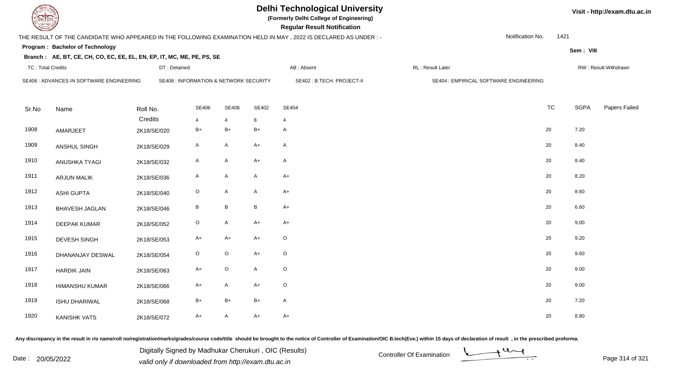| EL TECH                  |                                                                        |              |                                                   |                 |              | <b>Delhi Technological University</b><br>(Formerly Delhi College of Engineering)<br><b>Regular Result Notification</b> |                                        | Visit - http://exam.dtu.ac.in |             |                      |
|--------------------------|------------------------------------------------------------------------|--------------|---------------------------------------------------|-----------------|--------------|------------------------------------------------------------------------------------------------------------------------|----------------------------------------|-------------------------------|-------------|----------------------|
|                          |                                                                        |              |                                                   |                 |              | THE RESULT OF THE CANDIDATE WHO APPEARED IN THE FOLLOWING EXAMINATION HELD IN MAY, 2022 IS DECLARED AS UNDER :-        |                                        | Notification No.              | 1421        |                      |
|                          | Program: Bachelor of Technology                                        |              |                                                   |                 |              |                                                                                                                        |                                        |                               | Sem: VIII   |                      |
|                          | Branch: AE, BT, CE, CH, CO, EC, EE, EL, EN, EP, IT, MC, ME, PE, PS, SE |              |                                                   |                 |              |                                                                                                                        |                                        |                               |             |                      |
| <b>TC: Total Credits</b> |                                                                        | DT: Detained |                                                   |                 |              | AB: Absent                                                                                                             | RL : Result Later                      |                               |             | RW: Result Withdrawn |
|                          | SE406 : ADVANCES IN SOFTWARE ENGINEERING                               |              | <b>SE408 : INFORMATION &amp; NETWORK SECURITY</b> |                 |              | SE402: B.TECH. PROJECT-II                                                                                              | SE404 : EMPIRICAL SOFTWARE ENGINEERING |                               |             |                      |
|                          |                                                                        |              |                                                   |                 |              |                                                                                                                        |                                        |                               |             |                      |
| Sr.No                    | Name                                                                   | Roll No.     | <b>SE406</b>                                      | <b>SE408</b>    | SE402        | <b>SE404</b>                                                                                                           |                                        | <b>TC</b>                     | <b>SGPA</b> | Papers Failed        |
|                          |                                                                        | Credits      | 4                                                 | $\overline{4}$  | 8            | $\overline{4}$                                                                                                         |                                        |                               |             |                      |
| 1908                     | AMARJEET                                                               | 2K18/SE/020  | $B+$                                              | $B+$            | $B+$         | A                                                                                                                      |                                        | $20\,$                        | 7.20        |                      |
| 1909                     | ANSHUL SINGH                                                           | 2K18/SE/029  | $\mathsf{A}$                                      | $\mathsf{A}$    | $A+$         | A                                                                                                                      |                                        | 20                            | 8.40        |                      |
| 1910                     | ANUSHKA TYAGI                                                          | 2K18/SE/032  | $\mathsf{A}$                                      | $\mathsf{A}$    | $A+$         | A                                                                                                                      |                                        | 20                            | 8.40        |                      |
| 1911                     | <b>ARJUN MALIK</b>                                                     | 2K18/SE/036  | A                                                 | $\mathsf{A}$    | $\mathsf{A}$ | $A+$                                                                                                                   |                                        | 20                            | 8.20        |                      |
| 1912                     | <b>ASHI GUPTA</b>                                                      | 2K18/SE/040  | $\mathsf O$                                       | $\mathsf{A}$    | A            | $A+$                                                                                                                   |                                        | 20                            | 8.60        |                      |
| 1913                     | <b>BHAVESH JAGLAN</b>                                                  | 2K18/SE/046  | B                                                 | $\, {\bf B} \,$ | $\mathsf B$  | $A+$                                                                                                                   |                                        | $20\,$                        | 6.60        |                      |
| 1914                     | DEEPAK KUMAR                                                           | 2K18/SE/052  | $\circ$                                           | $\mathsf{A}$    | $A+$         | $A+$                                                                                                                   |                                        | 20                            | 9.00        |                      |
| 1915                     | <b>DEVESH SINGH</b>                                                    | 2K18/SE/053  | $A+$                                              | $A+$            | $A+$         | $\mathsf O$                                                                                                            |                                        | 20                            | 9.20        |                      |
| 1916                     | DHANANJAY DESWAL                                                       | 2K18/SE/054  | $\circ$                                           | $\mathsf O$     | $A+$         | $\circ$                                                                                                                |                                        | 20                            | 9.60        |                      |
| 1917                     | <b>HARDIK JAIN</b>                                                     | 2K18/SE/063  | $A+$                                              | $\mathsf O$     | A            | $\mathsf O$                                                                                                            |                                        | 20                            | 9.00        |                      |
| 1918                     | <b>HIMANSHU KUMAR</b>                                                  | 2K18/SE/066  | A+                                                | $\mathsf{A}$    | $A+$         | $\circ$                                                                                                                |                                        | 20                            | 9.00        |                      |
| 1919                     | ISHU DHARIWAL                                                          | 2K18/SE/068  | $B+$                                              | $B+$            | $B+$         | A                                                                                                                      |                                        | 20                            | 7.20        |                      |
| 1920                     | <b>KANISHK VATS</b>                                                    | 2K18/SE/072  | $A+$                                              | $\mathsf{A}$    | $A+$         | $A+$                                                                                                                   |                                        | 20                            | 8.80        |                      |

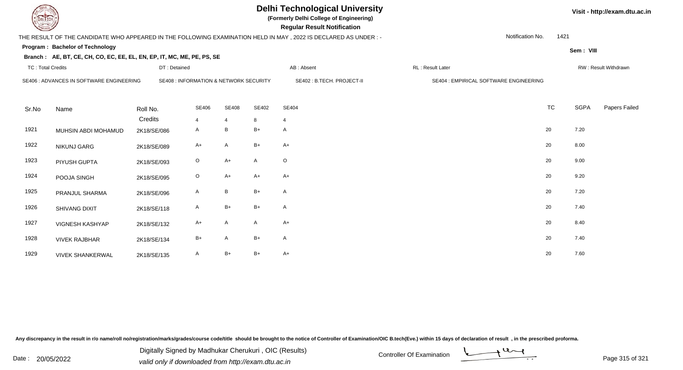| DEL TECH                 |                                                                        |                                        |              |                 |       | <b>Delhi Technological University</b><br>(Formerly Delhi College of Engineering)<br><b>Regular Result Notification</b> |                                        | Visit - http://exam.dtu.ac.in |             |                      |
|--------------------------|------------------------------------------------------------------------|----------------------------------------|--------------|-----------------|-------|------------------------------------------------------------------------------------------------------------------------|----------------------------------------|-------------------------------|-------------|----------------------|
|                          |                                                                        |                                        |              |                 |       | THE RESULT OF THE CANDIDATE WHO APPEARED IN THE FOLLOWING EXAMINATION HELD IN MAY, 2022 IS DECLARED AS UNDER :-        | Notification No.                       | 1421                          |             |                      |
|                          | Program: Bachelor of Technology                                        |                                        |              |                 |       |                                                                                                                        |                                        |                               | Sem: VIII   |                      |
|                          | Branch: AE, BT, CE, CH, CO, EC, EE, EL, EN, EP, IT, MC, ME, PE, PS, SE |                                        |              |                 |       |                                                                                                                        |                                        |                               |             |                      |
| <b>TC: Total Credits</b> |                                                                        | DT: Detained                           |              |                 |       | AB: Absent                                                                                                             | RL: Result Later                       |                               |             | RW: Result Withdrawn |
|                          | SE406 : ADVANCES IN SOFTWARE ENGINEERING                               | SE408 : INFORMATION & NETWORK SECURITY |              |                 |       | SE402: B.TECH. PROJECT-II                                                                                              | SE404 : EMPIRICAL SOFTWARE ENGINEERING |                               |             |                      |
|                          |                                                                        |                                        |              |                 |       |                                                                                                                        |                                        |                               |             |                      |
| Sr.No                    | Name                                                                   | Roll No.                               | <b>SE406</b> | <b>SE408</b>    | SE402 | <b>SE404</b>                                                                                                           |                                        | <b>TC</b>                     | <b>SGPA</b> | Papers Failed        |
|                          |                                                                        | Credits                                | 4            | $\overline{4}$  | 8     | $\overline{4}$                                                                                                         |                                        |                               |             |                      |
| 1921                     | MUHSIN ABDI MOHAMUD                                                    | 2K18/SE/086                            | A            | B               | $B+$  | A                                                                                                                      |                                        | 20                            | 7.20        |                      |
| 1922                     | <b>NIKUNJ GARG</b>                                                     | 2K18/SE/089                            | $A+$         | $\mathsf{A}$    | B+    | $A+$                                                                                                                   |                                        | 20                            | 8.00        |                      |
| 1923                     | PIYUSH GUPTA                                                           | 2K18/SE/093                            | $\circ$      | $A+$            | A     | $\circ$                                                                                                                |                                        | 20                            | 9.00        |                      |
| 1924                     | POOJA SINGH                                                            | 2K18/SE/095                            | $\circ$      | $A+$            | $A+$  | $A+$                                                                                                                   |                                        | 20                            | 9.20        |                      |
| 1925                     | PRANJUL SHARMA                                                         | 2K18/SE/096                            | A            | $\, {\bf B} \,$ | $B+$  | A                                                                                                                      |                                        | 20                            | 7.20        |                      |
| 1926                     | <b>SHIVANG DIXIT</b>                                                   | 2K18/SE/118                            | A            | $B+$            | $B+$  | A                                                                                                                      |                                        | 20                            | 7.40        |                      |
| 1927                     | VIGNESH KASHYAP                                                        | 2K18/SE/132                            | A+           | A               | A     | $A+$                                                                                                                   |                                        | 20                            | 8.40        |                      |
| 1928                     | <b>VIVEK RAJBHAR</b>                                                   | 2K18/SE/134                            | $B+$         | $\mathsf{A}$    | $B+$  | A                                                                                                                      |                                        | 20                            | 7.40        |                      |
| 1929                     | <b>VIVEK SHANKERWAL</b>                                                | 2K18/SE/135                            | A            | $B+$            | $B+$  | $A+$                                                                                                                   |                                        | 20                            | 7.60        |                      |

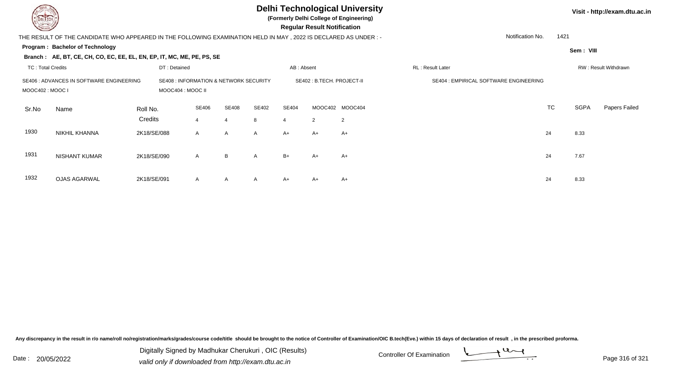

**(Formerly Delhi College of Engineering)**

 **Regular Result Notification**

#### **Visit - http://exam.dtu.ac.in**

**Sem : VIII**

1421

 THE RESULT OF THE CANDIDATE WHO APPEARED IN THE FOLLOWING EXAMINATION HELD IN MAY , 2022 IS DECLARED AS UNDER : -Notification No.

#### **Program : Bachelor of Technology**

**Branch : AE, BT, CE, CH, CO, EC, EE, EL, EN, EP, IT, MC, ME, PE, PS, SE**

|                  | TC: Total Credits                        |                                                             | DT: Detained |  |              |              |                            | AB: Absent     |                                        | RL: Result Later |           |      |               |
|------------------|------------------------------------------|-------------------------------------------------------------|--------------|--|--------------|--------------|----------------------------|----------------|----------------------------------------|------------------|-----------|------|---------------|
| MOOC402 : MOOC I | SE406 : ADVANCES IN SOFTWARE ENGINEERING | SE408 : INFORMATION & NETWORK SECURITY<br>MOOC404 : MOOC II |              |  |              |              | SE402 : B.TECH. PROJECT-II |                | SE404 : EMPIRICAL SOFTWARE ENGINEERING |                  |           |      |               |
| Sr.No            | Name                                     | Roll No.<br>Credits                                         | SE406        |  | SE408<br>4   | SE402<br>8   | <b>SE404</b><br>-4         | $\overline{2}$ | MOOC402 MOOC404<br>$\overline{2}$      |                  | <b>TC</b> | SGPA | Papers Failec |
| 1930             | <b>NIKHIL KHANNA</b>                     | 2K18/SE/088                                                 | $\mathsf{A}$ |  | $\mathsf{A}$ | $\mathsf{A}$ | A+                         | $A+$           | $A+$                                   |                  | 24        | 8.33 |               |
| 1931             | <b>NISHANT KUMAR</b>                     | 2K18/SE/090                                                 | $\mathsf{A}$ |  | B            | $\mathsf{A}$ | $B+$                       | $A+$           | $A+$                                   |                  | 24        | 7.67 |               |
| 1932             | <b>OJAS AGARWAL</b>                      | 2K18/SE/091                                                 | A            |  | A            | $\mathsf{A}$ | A+                         | A+             | A+                                     |                  | 24        | 8.33 |               |

Any discrepancy in the result in r/o name/roll no/registration/marks/grades/course code/title should be brought to the notice of Controller of Examination/OIC B.tech(Eve.) within 15 days of declaration of result, in the pr

Date : 20/05/2022 Digital Digital of Microsofted Chemical Controller Of Examination Determination Page 316 of 32 Digitally Signed by Madhukar Cherukuri , OIC (Results)

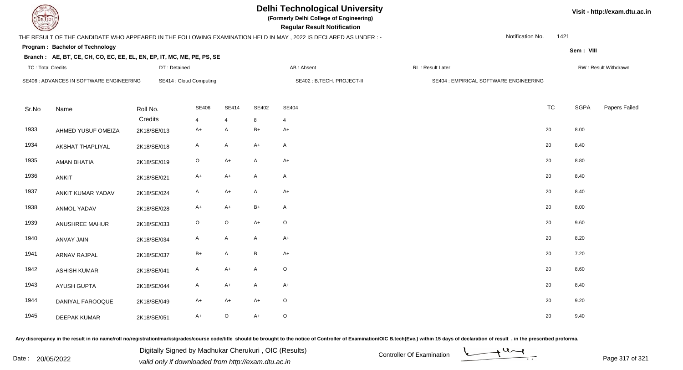**(Formerly Delhi College of Engineering)**

 **Regular Result Notification**

# THE RESULT OF THE CANDIDATE WHO APPEARED IN THE FOLLOWING EXAMINATION HELD IN MAY , 2022 IS DECLARED AS UNDER : -

Notification No.1421

**Sem : VIII**

## **Program : Bachelor of TechnologyBranch : AE, BT, CE, CH, CO, EC, EE, EL, EN, EP, IT, MC, ME, PE, PS, SE**

| <b>TC: Total Credits</b> |                                          | DT: Detained           |                         |                     |                            | AB: Absent             | RL: Result Later                       |           |             | RW: Result Withdrawn |
|--------------------------|------------------------------------------|------------------------|-------------------------|---------------------|----------------------------|------------------------|----------------------------------------|-----------|-------------|----------------------|
|                          | SE406 : ADVANCES IN SOFTWARE ENGINEERING |                        | SE414 : Cloud Computing |                     | SE402 : B.TECH. PROJECT-II |                        | SE404 : EMPIRICAL SOFTWARE ENGINEERING |           |             |                      |
| Sr.No                    | Name                                     | Roll No.               | <b>SE406</b>            | <b>SE414</b>        | SE402                      | SE404                  |                                        | <b>TC</b> | <b>SGPA</b> | Papers Failed        |
| 1933                     | AHMED YUSUF OMEIZA                       | Credits<br>2K18/SE/013 | $\overline{4}$<br>$A+$  | $\overline{4}$<br>A | 8<br>$B+$                  | $\overline{4}$<br>$A+$ |                                        | 20        | 8.00        |                      |
| 1934                     | <b>AKSHAT THAPLIYAL</b>                  | 2K18/SE/018            | A                       | A                   | $A+$                       | $\mathsf{A}$           |                                        | 20        | 8.40        |                      |
| 1935                     | <b>AMAN BHATIA</b>                       | 2K18/SE/019            | $\circ$                 | $A+$                | A                          | $A+$                   |                                        | 20        | 8.80        |                      |
| 1936                     | <b>ANKIT</b>                             | 2K18/SE/021            | $A+$                    | $A+$                | $\mathsf{A}$               | $\mathsf{A}$           |                                        | 20        | 8.40        |                      |
| 1937                     | ANKIT KUMAR YADAV                        | 2K18/SE/024            | $\mathsf{A}$            | $A+$                | $\mathsf{A}$               | $A+$                   |                                        | 20        | 8.40        |                      |
| 1938                     | <b>ANMOL YADAV</b>                       | 2K18/SE/028            | $A+$                    | $A+$                | $B+$                       | $\mathsf{A}$           |                                        | 20        | 8.00        |                      |
| 1939                     | ANUSHREE MAHUR                           | 2K18/SE/033            | $\mathsf O$             | $\mathsf O$         | $A+$                       | $\mathsf O$            |                                        | 20        | 9.60        |                      |
| 1940                     | ANVAY JAIN                               | 2K18/SE/034            | $\mathsf{A}$            | A                   | $\mathsf{A}$               | $A+$                   |                                        | 20        | 8.20        |                      |
| 1941                     | <b>ARNAV RAJPAL</b>                      | 2K18/SE/037            | $B+$                    | A                   | $\, {\bf B}$               | $A+$                   |                                        | 20        | 7.20        |                      |
| 1942                     | <b>ASHISH KUMAR</b>                      | 2K18/SE/041            | $\mathsf{A}$            | $A+$                | A                          | $\circ$                |                                        | 20        | 8.60        |                      |
| 1943                     | AYUSH GUPTA                              | 2K18/SE/044            | A                       | A+                  | A                          | $A+$                   |                                        | 20        | 8.40        |                      |
| 1944                     | DANIYAL FAROOQUE                         | 2K18/SE/049            | A+                      | $A+$                | $A+$                       | $\circ$                |                                        | 20        | 9.20        |                      |
| 1945                     | <b>DEEPAK KUMAR</b>                      | 2K18/SE/051            | $A+$                    | $\circ$             | $A+$                       | $\circ$                |                                        | 20        | 9.40        |                      |

Any discrepancy in the result in r/o name/roll no/registration/marks/grades/course code/title should be brought to the notice of Controller of Examination/OIC B.tech(Eve.) within 15 days of declaration of result, in the pr

Date : 20/05/2022 Digital Digital of Microsofted Chemical Controller Of Examination Determination Page 317 of 32 Digitally Signed by Madhukar Cherukuri , OIC (Results)



**Visit - http://exam.dtu.ac.in**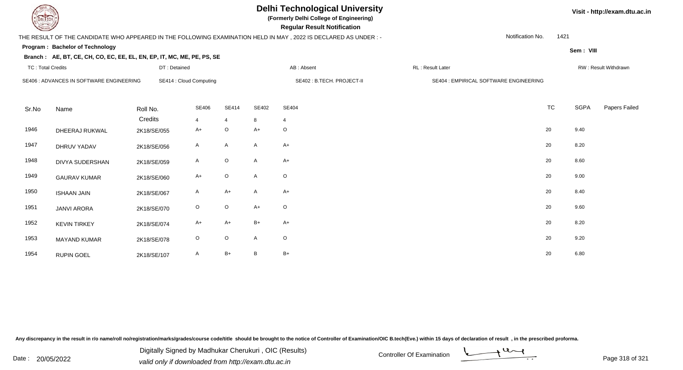**(Formerly Delhi College of Engineering)**

 **Regular Result Notification**

## THE RESULT OF THE CANDIDATE WHO APPEARED IN THE FOLLOWING EXAMINATION HELD IN MAY , 2022 IS DECLARED AS UNDER : -

Notification No.1421

**Sem : VIII**

**Visit - http://exam.dtu.ac.in**

## **Program : Bachelor of Technology**

#### **Branch : AE, BT, CE, CH, CO, EC, EE, EL, EN, EP, IT, MC, ME, PE, PS, SE**

| <b>TC: Total Credits</b> |                                          | DT: Detained        |                                |                                |                            | AB: Absent              | RL: Result Later                       |           |      | RW: Result Withdrawn |
|--------------------------|------------------------------------------|---------------------|--------------------------------|--------------------------------|----------------------------|-------------------------|----------------------------------------|-----------|------|----------------------|
|                          | SE406 : ADVANCES IN SOFTWARE ENGINEERING |                     | SE414 : Cloud Computing        |                                | SE402 : B.TECH. PROJECT-II |                         | SE404 : EMPIRICAL SOFTWARE ENGINEERING |           |      |                      |
| Sr.No                    | Name                                     | Roll No.<br>Credits | <b>SE406</b><br>$\overline{4}$ | <b>SE414</b><br>$\overline{4}$ | SE402<br>8                 | SE404<br>$\overline{4}$ |                                        | <b>TC</b> | SGPA | Papers Failed        |
| 1946                     | DHEERAJ RUKWAL                           | 2K18/SE/055         | $A+$                           | $\circ$                        | $A+$                       | $\circ$                 |                                        | 20        | 9.40 |                      |
| 1947                     | DHRUV YADAV                              | 2K18/SE/056         | $\mathsf{A}$                   | A                              | A                          | $A+$                    |                                        | 20        | 8.20 |                      |
| 1948                     | DIVYA SUDERSHAN                          | 2K18/SE/059         | $\mathsf{A}$                   | $\circ$                        | A                          | $A+$                    |                                        | 20        | 8.60 |                      |
| 1949                     | <b>GAURAV KUMAR</b>                      | 2K18/SE/060         | $A+$                           | $\circ$                        | A                          | $\circ$                 |                                        | 20        | 9.00 |                      |
| 1950                     | <b>ISHAAN JAIN</b>                       | 2K18/SE/067         | A                              | $A+$                           | A                          | $A+$                    |                                        | 20        | 8.40 |                      |
| 1951                     | <b>JANVI ARORA</b>                       | 2K18/SE/070         | $\circ$                        | $\circ$                        | $A+$                       | $\circ$                 |                                        | 20        | 9.60 |                      |
| 1952                     | <b>KEVIN TIRKEY</b>                      | 2K18/SE/074         | $A+$                           | $A+$                           | $B+$                       | $A+$                    |                                        | 20        | 8.20 |                      |
| 1953                     | <b>MAYAND KUMAR</b>                      | 2K18/SE/078         | $\circ$                        | $\circ$                        | A                          | $\circ$                 |                                        | 20        | 9.20 |                      |
| 1954                     | <b>RUPIN GOEL</b>                        | 2K18/SE/107         | A                              | $B+$                           | B                          | $B+$                    |                                        | 20        | 6.80 |                      |

Any discrepancy in the result in r/o name/roll no/registration/marks/grades/course code/title should be brought to the notice of Controller of Examination/OIC B.tech(Eve.) within 15 days of declaration of result, in the pr

Date : 20/05/2022 Digital Digital of Microsofted Chemical Controller Of Examination Determination Page 318 of 32 Digitally Signed by Madhukar Cherukuri , OIC (Results)

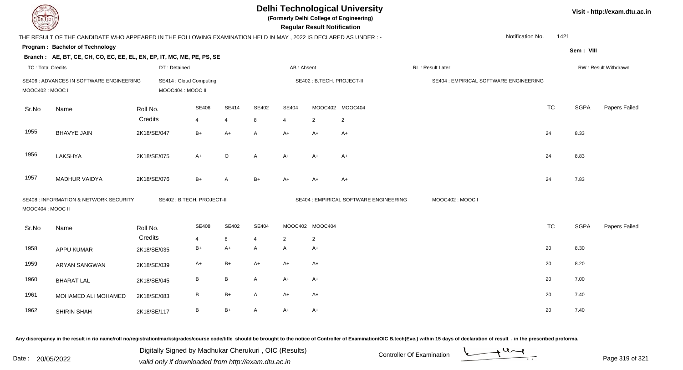| DEL TECH                 |                                                                                                                |             |                                              |                |              |                | <b>Regular Result Notification</b> | <b>Delhi Technological University</b><br>(Formerly Delhi College of Engineering) |                                        |                  | Visit - http://exam.dtu.ac.in          |                  |           |             |                      |
|--------------------------|----------------------------------------------------------------------------------------------------------------|-------------|----------------------------------------------|----------------|--------------|----------------|------------------------------------|----------------------------------------------------------------------------------|----------------------------------------|------------------|----------------------------------------|------------------|-----------|-------------|----------------------|
|                          | THE RESULT OF THE CANDIDATE WHO APPEARED IN THE FOLLOWING EXAMINATION HELD IN MAY, 2022 IS DECLARED AS UNDER:- |             |                                              |                |              |                |                                    |                                                                                  |                                        |                  |                                        | Notification No. | 1421      |             |                      |
|                          | <b>Program: Bachelor of Technology</b>                                                                         |             |                                              |                |              |                |                                    |                                                                                  |                                        |                  |                                        |                  |           | Sem: VIII   |                      |
|                          | Branch: AE, BT, CE, CH, CO, EC, EE, EL, EN, EP, IT, MC, ME, PE, PS, SE                                         |             |                                              |                |              |                |                                    |                                                                                  |                                        |                  |                                        |                  |           |             |                      |
| <b>TC: Total Credits</b> |                                                                                                                |             | DT: Detained                                 |                |              |                | AB: Absent                         |                                                                                  |                                        | RL: Result Later |                                        |                  |           |             | RW: Result Withdrawn |
| MOOC402: MOOC I          | SE406 : ADVANCES IN SOFTWARE ENGINEERING                                                                       |             | SE414 : Cloud Computing<br>MOOC404 : MOOC II |                |              |                |                                    | SE402: B.TECH. PROJECT-II                                                        |                                        |                  | SE404 : EMPIRICAL SOFTWARE ENGINEERING |                  |           |             |                      |
| Sr.No                    | Name                                                                                                           | Roll No.    |                                              | SE406          | <b>SE414</b> | SE402          | <b>SE404</b>                       |                                                                                  | MOOC402 MOOC404                        |                  |                                        |                  | <b>TC</b> | <b>SGPA</b> | Papers Failed        |
|                          |                                                                                                                | Credits     |                                              | $\overline{4}$ | 4            | 8              | $\overline{4}$                     | $\overline{2}$                                                                   | $\overline{2}$                         |                  |                                        |                  |           |             |                      |
| 1955                     | <b>BHAVYE JAIN</b>                                                                                             | 2K18/SE/047 |                                              | $B+$           | $A+$         | A              | A+                                 | $A+$                                                                             | $A+$                                   |                  |                                        |                  | 24        | 8.33        |                      |
| 1956                     | LAKSHYA                                                                                                        | 2K18/SE/075 |                                              | $A+$           | $\circ$      | A              | $A+$                               | $A+$                                                                             | $A+$                                   |                  |                                        |                  | 24        | 8.83        |                      |
| 1957                     | <b>MADHUR VAIDYA</b>                                                                                           | 2K18/SE/076 |                                              | $B+$           | A            | $B+$           | $A+$                               | $A+$                                                                             | $A+$                                   |                  |                                        |                  | 24        | 7.83        |                      |
| MOOC404 : MOOC II        | <b>SE408 : INFORMATION &amp; NETWORK SECURITY</b>                                                              |             | SE402: B.TECH. PROJECT-II                    |                |              |                |                                    |                                                                                  | SE404 : EMPIRICAL SOFTWARE ENGINEERING |                  | MOOC402: MOOC I                        |                  |           |             |                      |
| Sr.No                    | Name                                                                                                           | Roll No.    |                                              | <b>SE408</b>   | <b>SE402</b> | <b>SE404</b>   |                                    | MOOC402 MOOC404                                                                  |                                        |                  |                                        |                  | <b>TC</b> | <b>SGPA</b> | Papers Failed        |
|                          |                                                                                                                | Credits     |                                              | $\overline{4}$ | 8            | $\overline{4}$ | 2                                  | $\overline{2}$                                                                   |                                        |                  |                                        |                  |           |             |                      |
| 1958                     | APPU KUMAR                                                                                                     | 2K18/SE/035 |                                              | $B+$           | $A+$         | A              | $\mathsf{A}$                       | $A+$                                                                             |                                        |                  |                                        |                  | 20        | 8.30        |                      |
| 1959                     | <b>ARYAN SANGWAN</b>                                                                                           | 2K18/SE/039 |                                              | $A+$           | $B+$         | $A+$           | $A+$                               | $A+$                                                                             |                                        |                  |                                        |                  | 20        | 8.20        |                      |
| 1960                     | <b>BHARAT LAL</b>                                                                                              | 2K18/SE/045 |                                              | $\, {\bf B}$   | $\, {\bf B}$ | A              | A+                                 | $A+$                                                                             |                                        |                  |                                        |                  | 20        | 7.00        |                      |
| 1961                     | MOHAMED ALI MOHAMED                                                                                            | 2K18/SE/083 |                                              | $\, {\bf B}$   | $B+$         | A              | A+                                 | $A+$                                                                             |                                        |                  |                                        |                  | 20        | 7.40        |                      |
| 1962                     | SHIRIN SHAH                                                                                                    | 2K18/SE/117 |                                              | $\, {\sf B}$   | $B+$         | A              | $A+$                               | $A+$                                                                             |                                        |                  |                                        |                  | 20        | 7.40        |                      |

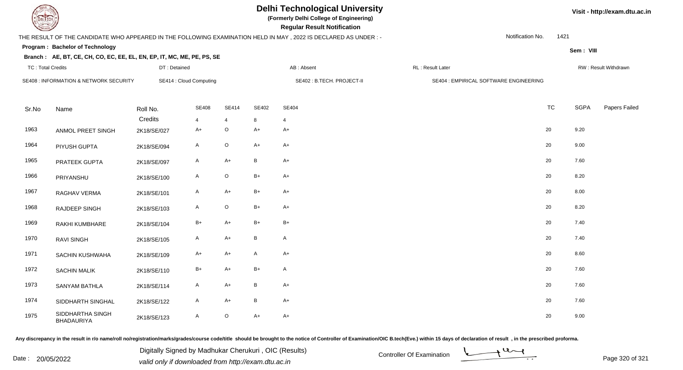# **Delhi Technological University**

**(Formerly Delhi College of Engineering)**

 **Regular Result Notification**

## THE RESULT OF THE CANDIDATE WHO APPEARED IN THE FOLLOWING EXAMINATION HELD IN MAY , 2022 IS DECLARED AS UNDER : -

DT : Detained

Notification No.1421

**Sem : VIII**

**Visit - http://exam.dtu.ac.in**

## **Program : Bachelor of TechnologyBranch : AE, BT, CE, CH, CO, EC, EE, EL, EN, EP, IT, MC, ME, PE, PS, SE**

| TC: Total Credits |                                        | DT: Detained           |                         |                           |              | AB : Absent                | RL : Result Later                      |           |             | RW: Result Withdrawn |
|-------------------|----------------------------------------|------------------------|-------------------------|---------------------------|--------------|----------------------------|----------------------------------------|-----------|-------------|----------------------|
|                   | SE408 : INFORMATION & NETWORK SECURITY |                        | SE414 : Cloud Computing |                           |              | SE402 : B.TECH. PROJECT-II | SE404 : EMPIRICAL SOFTWARE ENGINEERING |           |             |                      |
| Sr.No             | Name                                   | Roll No.               | <b>SE408</b>            | <b>SE414</b>              | SE402        | <b>SE404</b>               |                                        | <b>TC</b> | <b>SGPA</b> | Papers Failec        |
| 1963              | ANMOL PREET SINGH                      | Credits<br>2K18/SE/027 | 4<br>$A+$               | $\overline{4}$<br>$\circ$ | 8<br>$A+$    | 4<br>$A+$                  |                                        | 20        | 9.20        |                      |
| 1964              | PIYUSH GUPTA                           | 2K18/SE/094            | $\mathsf{A}$            | $\circ$                   | $A+$         | $A+$                       |                                        | 20        | 9.00        |                      |
| 1965              | PRATEEK GUPTA                          | 2K18/SE/097            | A                       | $A+$                      | $\, {\bf B}$ | $A+$                       |                                        | 20        | 7.60        |                      |
| 1966              | PRIYANSHU                              | 2K18/SE/100            | $\mathsf{A}$            | $\circ$                   | $B+$         | $A+$                       |                                        | 20        | 8.20        |                      |
| 1967              | RAGHAV VERMA                           | 2K18/SE/101            | $\mathsf{A}$            | $A+$                      | $B+$         | $A+$                       |                                        | 20        | 8.00        |                      |
| 1968              | RAJDEEP SINGH                          | 2K18/SE/103            | A                       | $\circ$                   | $B+$         | $A+$                       |                                        | 20        | 8.20        |                      |
| 1969              | RAKHI KUMBHARE                         | 2K18/SE/104            | $B+$                    | A+                        | B+           | $B+$                       |                                        | 20        | 7.40        |                      |
| 1970              | RAVI SINGH                             | 2K18/SE/105            | $\mathsf{A}$            | $A+$                      | B            | A                          |                                        | 20        | 7.40        |                      |
| 1971              | SACHIN KUSHWAHA                        | 2K18/SE/109            | $A+$                    | $A+$                      | A            | $A+$                       |                                        | 20        | 8.60        |                      |
| 1972              | <b>SACHIN MALIK</b>                    | 2K18/SE/110            | $B+$                    | $A+$                      | $B+$         | A                          |                                        | 20        | 7.60        |                      |
| 1973              | <b>SANYAM BATHLA</b>                   | 2K18/SE/114            | $\mathsf{A}$            | $A+$                      | $\, {\sf B}$ | $A+$                       |                                        | 20        | 7.60        |                      |
| 1974              | SIDDHARTH SINGHAL                      | 2K18/SE/122            | $\mathsf{A}$            | $A+$                      | $\, {\bf B}$ | $A+$                       |                                        | 20        | 7.60        |                      |
| 1975              | SIDDHARTHA SINGH<br><b>BHADAURIYA</b>  | 2K18/SE/123            | $\mathsf{A}$            | $\circ$                   | $A+$         | $A+$                       |                                        | 20        | 9.00        |                      |

Any discrepancy in the result in r/o name/roll no/registration/marks/grades/course code/title should be brought to the notice of Controller of Examination/OIC B.tech(Eve.) within 15 days of declaration of result, in the pr

Date : 20/05/2022 Digital Digital of Microsofted Chemical Controller Of Examination Determination Page 320 of 32<br>valid only if downloaded from http://exam.dtu.ac.in Digitally Signed by Madhukar Cherukuri , OIC (Results)